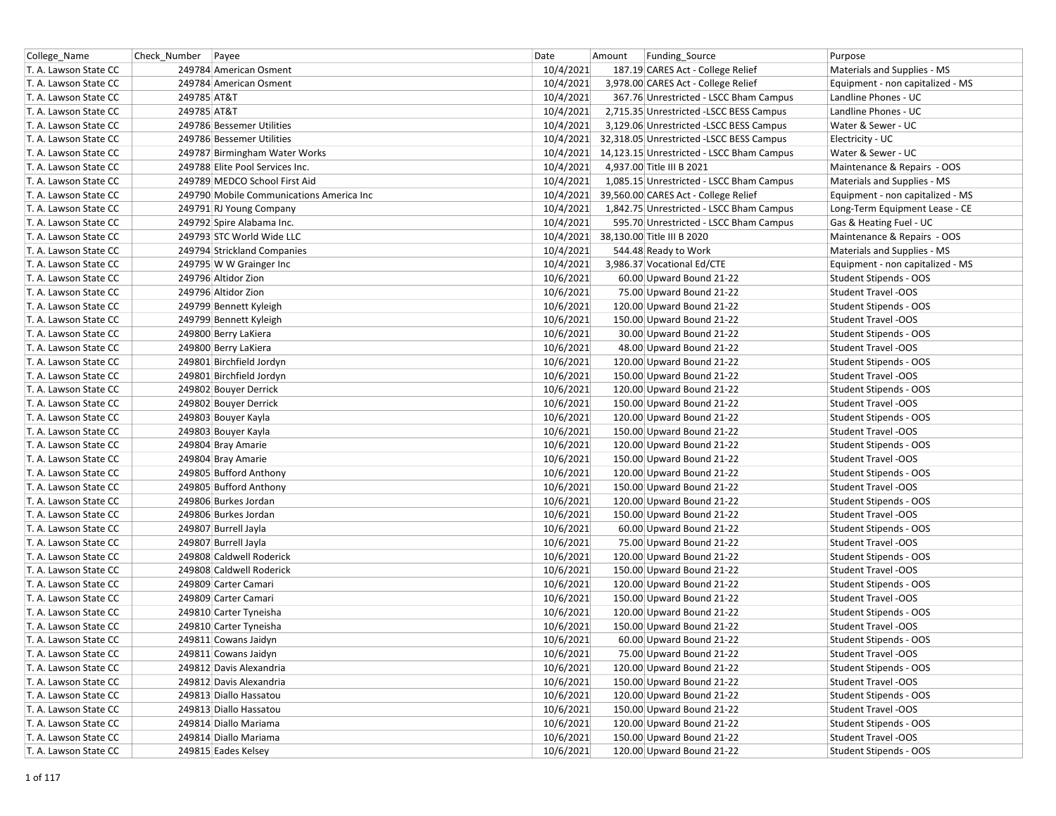| College Name          | Check_Number   Payee                     | Date<br>Funding_Source<br>Amount                       | Purpose                          |
|-----------------------|------------------------------------------|--------------------------------------------------------|----------------------------------|
| T. A. Lawson State CC | 249784 American Osment                   | 10/4/2021<br>187.19 CARES Act - College Relief         | Materials and Supplies - MS      |
| T. A. Lawson State CC | 249784 American Osment                   | 10/4/2021<br>3,978.00 CARES Act - College Relief       | Equipment - non capitalized - MS |
| T. A. Lawson State CC | 249785 AT&T                              | 10/4/2021<br>367.76 Unrestricted - LSCC Bham Campus    | Landline Phones - UC             |
| T. A. Lawson State CC | 249785 AT&T                              | 10/4/2021<br>2,715.35 Unrestricted - LSCC BESS Campus  | Landline Phones - UC             |
| T. A. Lawson State CC | 249786 Bessemer Utilities                | 10/4/2021<br>3,129.06 Unrestricted -LSCC BESS Campus   | Water & Sewer - UC               |
| T. A. Lawson State CC | 249786 Bessemer Utilities                | 10/4/2021<br>32,318.05 Unrestricted -LSCC BESS Campus  | Electricity - UC                 |
| T. A. Lawson State CC | 249787 Birmingham Water Works            | 10/4/2021<br>14,123.15 Unrestricted - LSCC Bham Campus | Water & Sewer - UC               |
| T. A. Lawson State CC | 249788 Elite Pool Services Inc.          | 10/4/2021<br>4,937.00 Title III B 2021                 | Maintenance & Repairs - OOS      |
| T. A. Lawson State CC | 249789 MEDCO School First Aid            | 10/4/2021<br>1,085.15 Unrestricted - LSCC Bham Campus  | Materials and Supplies - MS      |
| T. A. Lawson State CC | 249790 Mobile Communications America Inc | 10/4/2021<br>39,560.00 CARES Act - College Relief      | Equipment - non capitalized - MS |
| T. A. Lawson State CC | 249791 RJ Young Company                  | 10/4/2021<br>1,842.75 Unrestricted - LSCC Bham Campus  | Long-Term Equipment Lease - CE   |
| T. A. Lawson State CC | 249792 Spire Alabama Inc.                | 10/4/2021<br>595.70 Unrestricted - LSCC Bham Campus    | Gas & Heating Fuel - UC          |
| T. A. Lawson State CC | 249793 STC World Wide LLC                | 10/4/2021<br>38,130.00 Title III B 2020                | Maintenance & Repairs - OOS      |
| T. A. Lawson State CC | 249794 Strickland Companies              | 10/4/2021<br>544.48 Ready to Work                      | Materials and Supplies - MS      |
| T. A. Lawson State CC | 249795 W W Grainger Inc                  | 10/4/2021<br>3,986.37 Vocational Ed/CTE                | Equipment - non capitalized - MS |
| T. A. Lawson State CC | 249796 Altidor Zion                      | 10/6/2021<br>60.00 Upward Bound 21-22                  | Student Stipends - OOS           |
| T. A. Lawson State CC | 249796 Altidor Zion                      | 10/6/2021<br>75.00 Upward Bound 21-22                  | <b>Student Travel -OOS</b>       |
| T. A. Lawson State CC | 249799 Bennett Kyleigh                   | 10/6/2021<br>120.00 Upward Bound 21-22                 | Student Stipends - OOS           |
| T. A. Lawson State CC | 249799 Bennett Kyleigh                   | 10/6/2021<br>150.00 Upward Bound 21-22                 | <b>Student Travel -OOS</b>       |
| T. A. Lawson State CC | 249800 Berry LaKiera                     | 10/6/2021<br>30.00 Upward Bound 21-22                  | Student Stipends - OOS           |
| T. A. Lawson State CC | 249800 Berry LaKiera                     | 10/6/2021<br>48.00 Upward Bound 21-22                  | Student Travel -OOS              |
| T. A. Lawson State CC | 249801 Birchfield Jordyn                 | 10/6/2021<br>120.00 Upward Bound 21-22                 | Student Stipends - OOS           |
| T. A. Lawson State CC | 249801 Birchfield Jordyn                 | 10/6/2021<br>150.00 Upward Bound 21-22                 | <b>Student Travel -OOS</b>       |
| T. A. Lawson State CC | 249802 Bouyer Derrick                    | 10/6/2021<br>120.00 Upward Bound 21-22                 | Student Stipends - OOS           |
| T. A. Lawson State CC | 249802 Bouyer Derrick                    | 10/6/2021<br>150.00 Upward Bound 21-22                 | <b>Student Travel -OOS</b>       |
| T. A. Lawson State CC | 249803 Bouyer Kayla                      | 10/6/2021<br>120.00 Upward Bound 21-22                 | Student Stipends - OOS           |
| T. A. Lawson State CC | 249803 Bouyer Kayla                      | 10/6/2021<br>150.00 Upward Bound 21-22                 | Student Travel -OOS              |
| T. A. Lawson State CC | 249804 Bray Amarie                       | 10/6/2021<br>120.00 Upward Bound 21-22                 | Student Stipends - OOS           |
| T. A. Lawson State CC | 249804 Bray Amarie                       | 10/6/2021<br>150.00 Upward Bound 21-22                 | <b>Student Travel -OOS</b>       |
| T. A. Lawson State CC | 249805 Bufford Anthony                   | 10/6/2021<br>120.00 Upward Bound 21-22                 | Student Stipends - OOS           |
| T. A. Lawson State CC | 249805 Bufford Anthony                   | 10/6/2021<br>150.00 Upward Bound 21-22                 | Student Travel -OOS              |
| T. A. Lawson State CC | 249806 Burkes Jordan                     | 10/6/2021<br>120.00 Upward Bound 21-22                 | Student Stipends - OOS           |
| T. A. Lawson State CC | 249806 Burkes Jordan                     | 10/6/2021<br>150.00 Upward Bound 21-22                 | Student Travel -OOS              |
| T. A. Lawson State CC | 249807 Burrell Jayla                     | 10/6/2021<br>60.00 Upward Bound 21-22                  | Student Stipends - OOS           |
| T. A. Lawson State CC | 249807 Burrell Jayla                     | 10/6/2021<br>75.00 Upward Bound 21-22                  | <b>Student Travel -OOS</b>       |
| T. A. Lawson State CC | 249808 Caldwell Roderick                 | 10/6/2021<br>120.00 Upward Bound 21-22                 | Student Stipends - OOS           |
| T. A. Lawson State CC | 249808 Caldwell Roderick                 | 10/6/2021<br>150.00 Upward Bound 21-22                 | <b>Student Travel -OOS</b>       |
| T. A. Lawson State CC | 249809 Carter Camari                     | 10/6/2021<br>120.00 Upward Bound 21-22                 | Student Stipends - OOS           |
| T. A. Lawson State CC | 249809 Carter Camari                     | 10/6/2021<br>150.00 Upward Bound 21-22                 | Student Travel -OOS              |
| T. A. Lawson State CC | 249810 Carter Tyneisha                   | 10/6/2021<br>120.00 Upward Bound 21-22                 | Student Stipends - OOS           |
| T. A. Lawson State CC | 249810 Carter Tyneisha                   | 10/6/2021<br>150.00 Upward Bound 21-22                 | Student Travel -OOS              |
| T. A. Lawson State CC | 249811 Cowans Jaidyn                     | 10/6/2021<br>60.00 Upward Bound 21-22                  | <b>Student Stipends - OOS</b>    |
| T. A. Lawson State CC | 249811 Cowans Jaidyn                     | 10/6/2021<br>75.00 Upward Bound 21-22                  | Student Travel -OOS              |
| T. A. Lawson State CC | 249812 Davis Alexandria                  | 10/6/2021<br>120.00 Upward Bound 21-22                 | Student Stipends - OOS           |
| T. A. Lawson State CC | 249812 Davis Alexandria                  | 10/6/2021<br>150.00 Upward Bound 21-22                 | <b>Student Travel -OOS</b>       |
| T. A. Lawson State CC | 249813 Diallo Hassatou                   | 10/6/2021<br>120.00 Upward Bound 21-22                 | Student Stipends - OOS           |
| T. A. Lawson State CC | 249813 Diallo Hassatou                   | 10/6/2021<br>150.00 Upward Bound 21-22                 | <b>Student Travel -OOS</b>       |
| T. A. Lawson State CC | 249814 Diallo Mariama                    | 10/6/2021<br>120.00 Upward Bound 21-22                 | Student Stipends - OOS           |
| T. A. Lawson State CC | 249814 Diallo Mariama                    | 10/6/2021<br>150.00 Upward Bound 21-22                 | Student Travel -OOS              |
| T. A. Lawson State CC | 249815 Eades Kelsey                      | 10/6/2021<br>120.00 Upward Bound 21-22                 | Student Stipends - OOS           |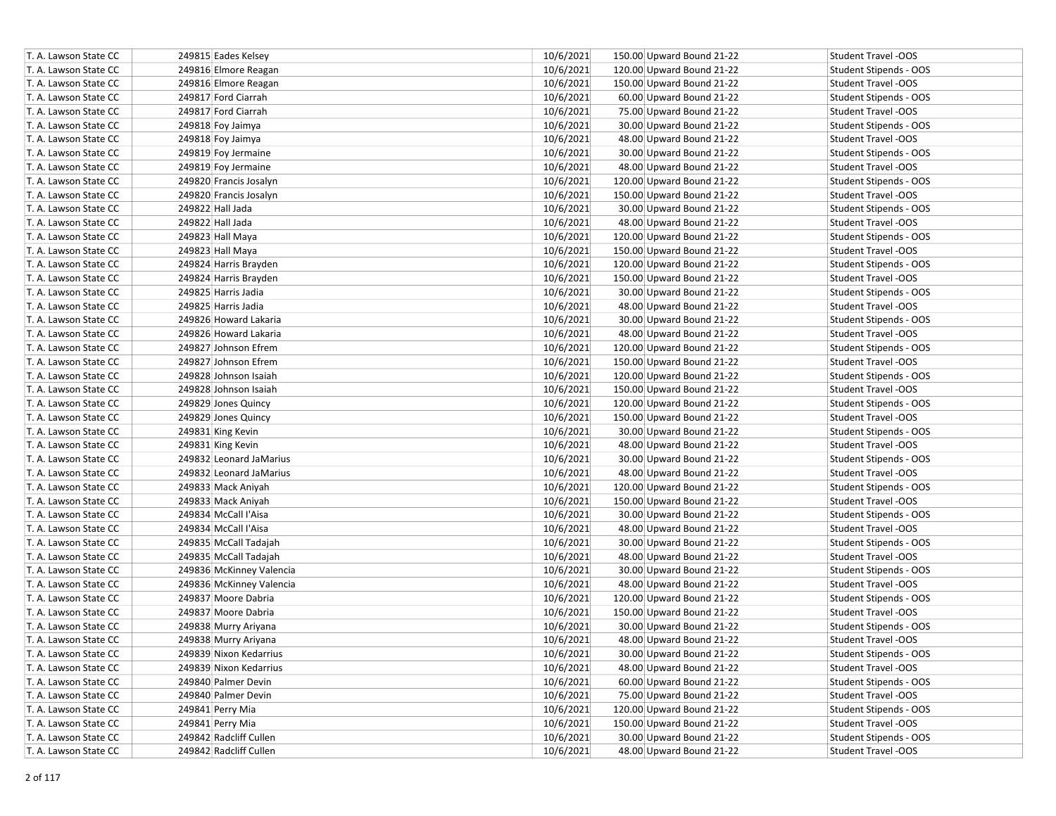| T. A. Lawson State CC | 249815 Eades Kelsey      | 10/6/2021 | 150.00 Upward Bound 21-22 | Student Travel -OOS        |
|-----------------------|--------------------------|-----------|---------------------------|----------------------------|
| T. A. Lawson State CC | 249816 Elmore Reagan     | 10/6/2021 | 120.00 Upward Bound 21-22 | Student Stipends - OOS     |
| T. A. Lawson State CC | 249816 Elmore Reagan     | 10/6/2021 | 150.00 Upward Bound 21-22 | Student Travel -OOS        |
| T. A. Lawson State CC | 249817 Ford Ciarrah      | 10/6/2021 | 60.00 Upward Bound 21-22  | Student Stipends - OOS     |
| T. A. Lawson State CC | 249817 Ford Ciarrah      | 10/6/2021 | 75.00 Upward Bound 21-22  | <b>Student Travel -OOS</b> |
| T. A. Lawson State CC | 249818 Foy Jaimya        | 10/6/2021 | 30.00 Upward Bound 21-22  | Student Stipends - OOS     |
| T. A. Lawson State CC | 249818 Foy Jaimya        | 10/6/2021 | 48.00 Upward Bound 21-22  | <b>Student Travel -OOS</b> |
| T. A. Lawson State CC | 249819 Foy Jermaine      | 10/6/2021 | 30.00 Upward Bound 21-22  | Student Stipends - OOS     |
| T. A. Lawson State CC | 249819 Foy Jermaine      | 10/6/2021 | 48.00 Upward Bound 21-22  | Student Travel -OOS        |
| T. A. Lawson State CC | 249820 Francis Josalyn   | 10/6/2021 | 120.00 Upward Bound 21-22 | Student Stipends - OOS     |
| T. A. Lawson State CC | 249820 Francis Josalyn   | 10/6/2021 | 150.00 Upward Bound 21-22 | <b>Student Travel -OOS</b> |
| T. A. Lawson State CC | 249822 Hall Jada         | 10/6/2021 | 30.00 Upward Bound 21-22  | Student Stipends - OOS     |
| T. A. Lawson State CC | 249822 Hall Jada         | 10/6/2021 | 48.00 Upward Bound 21-22  | <b>Student Travel -OOS</b> |
| T. A. Lawson State CC | 249823 Hall Maya         | 10/6/2021 | 120.00 Upward Bound 21-22 | Student Stipends - OOS     |
| T. A. Lawson State CC | 249823 Hall Maya         | 10/6/2021 | 150.00 Upward Bound 21-22 | Student Travel -OOS        |
| T. A. Lawson State CC | 249824 Harris Brayden    | 10/6/2021 | 120.00 Upward Bound 21-22 | Student Stipends - OOS     |
| T. A. Lawson State CC | 249824 Harris Brayden    | 10/6/2021 | 150.00 Upward Bound 21-22 | <b>Student Travel -OOS</b> |
| T. A. Lawson State CC | 249825 Harris Jadia      | 10/6/2021 | 30.00 Upward Bound 21-22  | Student Stipends - OOS     |
| T. A. Lawson State CC | 249825 Harris Jadia      | 10/6/2021 | 48.00 Upward Bound 21-22  | <b>Student Travel -OOS</b> |
| T. A. Lawson State CC | 249826 Howard Lakaria    | 10/6/2021 | 30.00 Upward Bound 21-22  | Student Stipends - OOS     |
| T. A. Lawson State CC | 249826 Howard Lakaria    | 10/6/2021 | 48.00 Upward Bound 21-22  | <b>Student Travel -OOS</b> |
| T. A. Lawson State CC | 249827 Johnson Efrem     | 10/6/2021 | 120.00 Upward Bound 21-22 | Student Stipends - OOS     |
| T. A. Lawson State CC | 249827 Johnson Efrem     | 10/6/2021 | 150.00 Upward Bound 21-22 | Student Travel -OOS        |
| T. A. Lawson State CC | 249828 Johnson Isaiah    | 10/6/2021 | 120.00 Upward Bound 21-22 | Student Stipends - OOS     |
| T. A. Lawson State CC | 249828 Johnson Isaiah    | 10/6/2021 | 150.00 Upward Bound 21-22 | Student Travel -OOS        |
| T. A. Lawson State CC | 249829 Jones Quincy      | 10/6/2021 | 120.00 Upward Bound 21-22 | Student Stipends - OOS     |
| T. A. Lawson State CC | 249829 Jones Quincy      | 10/6/2021 | 150.00 Upward Bound 21-22 | <b>Student Travel -OOS</b> |
| T. A. Lawson State CC | 249831 King Kevin        | 10/6/2021 | 30.00 Upward Bound 21-22  | Student Stipends - OOS     |
| T. A. Lawson State CC | 249831 King Kevin        | 10/6/2021 | 48.00 Upward Bound 21-22  | <b>Student Travel -OOS</b> |
| T. A. Lawson State CC | 249832 Leonard JaMarius  | 10/6/2021 | 30.00 Upward Bound 21-22  | Student Stipends - OOS     |
| T. A. Lawson State CC | 249832 Leonard JaMarius  | 10/6/2021 | 48.00 Upward Bound 21-22  | Student Travel -OOS        |
| T. A. Lawson State CC | 249833 Mack Aniyah       | 10/6/2021 | 120.00 Upward Bound 21-22 | Student Stipends - OOS     |
| T. A. Lawson State CC | 249833 Mack Aniyah       | 10/6/2021 | 150.00 Upward Bound 21-22 | Student Travel -OOS        |
| T. A. Lawson State CC | 249834 McCall I'Aisa     | 10/6/2021 | 30.00 Upward Bound 21-22  | Student Stipends - OOS     |
| T. A. Lawson State CC | 249834 McCall I'Aisa     | 10/6/2021 | 48.00 Upward Bound 21-22  | Student Travel -OOS        |
| T. A. Lawson State CC | 249835 McCall Tadajah    | 10/6/2021 | 30.00 Upward Bound 21-22  | Student Stipends - OOS     |
| T. A. Lawson State CC | 249835 McCall Tadajah    | 10/6/2021 | 48.00 Upward Bound 21-22  | Student Travel -OOS        |
| T. A. Lawson State CC | 249836 McKinney Valencia | 10/6/2021 | 30.00 Upward Bound 21-22  | Student Stipends - OOS     |
| T. A. Lawson State CC | 249836 McKinney Valencia | 10/6/2021 | 48.00 Upward Bound 21-22  | Student Travel -OOS        |
| T. A. Lawson State CC | 249837 Moore Dabria      | 10/6/2021 | 120.00 Upward Bound 21-22 | Student Stipends - OOS     |
| T. A. Lawson State CC | 249837 Moore Dabria      | 10/6/2021 | 150.00 Upward Bound 21-22 | Student Travel -OOS        |
| T. A. Lawson State CC | 249838 Murry Ariyana     | 10/6/2021 | 30.00 Upward Bound 21-22  | Student Stipends - OOS     |
| T. A. Lawson State CC | 249838 Murry Ariyana     | 10/6/2021 | 48.00 Upward Bound 21-22  | Student Travel -OOS        |
| T. A. Lawson State CC | 249839 Nixon Kedarrius   | 10/6/2021 | 30.00 Upward Bound 21-22  | Student Stipends - OOS     |
| T. A. Lawson State CC | 249839 Nixon Kedarrius   | 10/6/2021 | 48.00 Upward Bound 21-22  | Student Travel -OOS        |
| T. A. Lawson State CC | 249840 Palmer Devin      | 10/6/2021 | 60.00 Upward Bound 21-22  | Student Stipends - OOS     |
| T. A. Lawson State CC | 249840 Palmer Devin      | 10/6/2021 | 75.00 Upward Bound 21-22  | Student Travel -OOS        |
| T. A. Lawson State CC | 249841 Perry Mia         | 10/6/2021 | 120.00 Upward Bound 21-22 | Student Stipends - OOS     |
| T. A. Lawson State CC | 249841 Perry Mia         | 10/6/2021 | 150.00 Upward Bound 21-22 | Student Travel -OOS        |
| T. A. Lawson State CC | 249842 Radcliff Cullen   | 10/6/2021 | 30.00 Upward Bound 21-22  | Student Stipends - OOS     |
| T. A. Lawson State CC | 249842 Radcliff Cullen   | 10/6/2021 | 48.00 Upward Bound 21-22  | Student Travel -OOS        |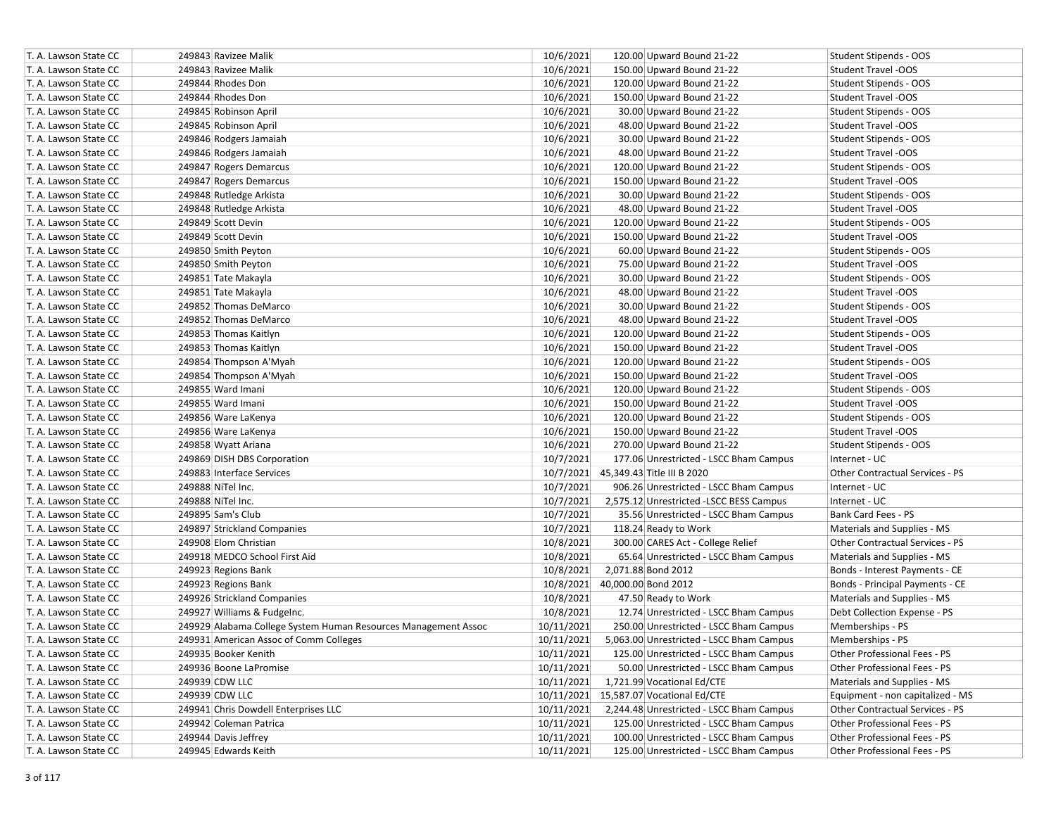| T. A. Lawson State CC | 249843 Ravizee Malik                                           | 10/6/2021  | 120.00 Upward Bound 21-22                | Student Stipends - OOS           |
|-----------------------|----------------------------------------------------------------|------------|------------------------------------------|----------------------------------|
| T. A. Lawson State CC | 249843 Ravizee Malik                                           | 10/6/2021  | 150.00 Upward Bound 21-22                | <b>Student Travel -OOS</b>       |
| T. A. Lawson State CC | 249844 Rhodes Don                                              | 10/6/2021  | 120.00 Upward Bound 21-22                | Student Stipends - OOS           |
| T. A. Lawson State CC | 249844 Rhodes Don                                              | 10/6/2021  | 150.00 Upward Bound 21-22                | <b>Student Travel -OOS</b>       |
| T. A. Lawson State CC | 249845 Robinson April                                          | 10/6/2021  | 30.00 Upward Bound 21-22                 | Student Stipends - OOS           |
| T. A. Lawson State CC | 249845 Robinson April                                          | 10/6/2021  | 48.00 Upward Bound 21-22                 | <b>Student Travel -OOS</b>       |
| T. A. Lawson State CC | 249846 Rodgers Jamaiah                                         | 10/6/2021  | 30.00 Upward Bound 21-22                 | Student Stipends - OOS           |
| T. A. Lawson State CC | 249846 Rodgers Jamaiah                                         | 10/6/2021  | 48.00 Upward Bound 21-22                 | <b>Student Travel -OOS</b>       |
| T. A. Lawson State CC | 249847 Rogers Demarcus                                         | 10/6/2021  | 120.00 Upward Bound 21-22                | Student Stipends - OOS           |
| T. A. Lawson State CC | 249847 Rogers Demarcus                                         | 10/6/2021  | 150.00 Upward Bound 21-22                | <b>Student Travel -OOS</b>       |
| T. A. Lawson State CC | 249848 Rutledge Arkista                                        | 10/6/2021  | 30.00 Upward Bound 21-22                 | Student Stipends - OOS           |
| T. A. Lawson State CC | 249848 Rutledge Arkista                                        | 10/6/2021  | 48.00 Upward Bound 21-22                 | Student Travel -OOS              |
| T. A. Lawson State CC | 249849 Scott Devin                                             | 10/6/2021  | 120.00 Upward Bound 21-22                | Student Stipends - OOS           |
| T. A. Lawson State CC | 249849 Scott Devin                                             | 10/6/2021  | 150.00 Upward Bound 21-22                | <b>Student Travel -OOS</b>       |
| T. A. Lawson State CC | 249850 Smith Peyton                                            | 10/6/2021  | 60.00 Upward Bound 21-22                 | Student Stipends - OOS           |
| T. A. Lawson State CC | 249850 Smith Peyton                                            | 10/6/2021  | 75.00 Upward Bound 21-22                 | <b>Student Travel -OOS</b>       |
| T. A. Lawson State CC | 249851 Tate Makayla                                            | 10/6/2021  | 30.00 Upward Bound 21-22                 | Student Stipends - OOS           |
| T. A. Lawson State CC | 249851 Tate Makayla                                            | 10/6/2021  | 48.00 Upward Bound 21-22                 | <b>Student Travel -OOS</b>       |
| T. A. Lawson State CC | 249852 Thomas DeMarco                                          | 10/6/2021  | 30.00 Upward Bound 21-22                 | Student Stipends - OOS           |
| T. A. Lawson State CC | 249852 Thomas DeMarco                                          | 10/6/2021  | 48.00 Upward Bound 21-22                 | <b>Student Travel -OOS</b>       |
| T. A. Lawson State CC | 249853 Thomas Kaitlyn                                          | 10/6/2021  | 120.00 Upward Bound 21-22                | Student Stipends - OOS           |
| T. A. Lawson State CC | 249853 Thomas Kaitlyn                                          | 10/6/2021  | 150.00 Upward Bound 21-22                | <b>Student Travel -OOS</b>       |
| T. A. Lawson State CC | 249854 Thompson A'Myah                                         | 10/6/2021  | 120.00 Upward Bound 21-22                | Student Stipends - OOS           |
| T. A. Lawson State CC | 249854 Thompson A'Myah                                         | 10/6/2021  | 150.00 Upward Bound 21-22                | <b>Student Travel -OOS</b>       |
| T. A. Lawson State CC | 249855 Ward Imani                                              | 10/6/2021  | 120.00 Upward Bound 21-22                | Student Stipends - OOS           |
| T. A. Lawson State CC | 249855 Ward Imani                                              | 10/6/2021  | 150.00 Upward Bound 21-22                | Student Travel -OOS              |
| T. A. Lawson State CC | 249856 Ware LaKenya                                            | 10/6/2021  | 120.00 Upward Bound 21-22                | Student Stipends - OOS           |
| T. A. Lawson State CC | 249856 Ware LaKenya                                            | 10/6/2021  | 150.00 Upward Bound 21-22                | Student Travel -OOS              |
| T. A. Lawson State CC | 249858 Wyatt Ariana                                            | 10/6/2021  | 270.00 Upward Bound 21-22                | Student Stipends - OOS           |
| T. A. Lawson State CC | 249869 DISH DBS Corporation                                    | 10/7/2021  | 177.06 Unrestricted - LSCC Bham Campus   | Internet - UC                    |
| T. A. Lawson State CC | 249883 Interface Services                                      |            | 10/7/2021 45,349.43 Title III B 2020     | Other Contractual Services - PS  |
| T. A. Lawson State CC | 249888 NiTel Inc.                                              | 10/7/2021  | 906.26 Unrestricted - LSCC Bham Campus   | Internet - UC                    |
| T. A. Lawson State CC | 249888 NiTel Inc.                                              | 10/7/2021  | 2,575.12 Unrestricted -LSCC BESS Campus  | Internet - UC                    |
| T. A. Lawson State CC | 249895 Sam's Club                                              | 10/7/2021  | 35.56 Unrestricted - LSCC Bham Campus    | Bank Card Fees - PS              |
| T. A. Lawson State CC | 249897 Strickland Companies                                    | 10/7/2021  | 118.24 Ready to Work                     | Materials and Supplies - MS      |
| T. A. Lawson State CC | 249908 Elom Christian                                          | 10/8/2021  | 300.00 CARES Act - College Relief        | Other Contractual Services - PS  |
| T. A. Lawson State CC | 249918 MEDCO School First Aid                                  | 10/8/2021  | 65.64 Unrestricted - LSCC Bham Campus    | Materials and Supplies - MS      |
| T. A. Lawson State CC | 249923 Regions Bank                                            | 10/8/2021  | 2,071.88 Bond 2012                       | Bonds - Interest Payments - CE   |
| T. A. Lawson State CC | 249923 Regions Bank                                            | 10/8/2021  | 40,000.00 Bond 2012                      | Bonds - Principal Payments - CE  |
| T. A. Lawson State CC | 249926 Strickland Companies                                    | 10/8/2021  | 47.50 Ready to Work                      | Materials and Supplies - MS      |
| T. A. Lawson State CC | 249927 Williams & Fudgelnc.                                    | 10/8/2021  | 12.74 Unrestricted - LSCC Bham Campus    | Debt Collection Expense - PS     |
| T. A. Lawson State CC | 249929 Alabama College System Human Resources Management Assoc | 10/11/2021 | 250.00 Unrestricted - LSCC Bham Campus   | Memberships - PS                 |
| T. A. Lawson State CC | 249931 American Assoc of Comm Colleges                         | 10/11/2021 | 5,063.00 Unrestricted - LSCC Bham Campus | Memberships - PS                 |
| T. A. Lawson State CC | 249935 Booker Kenith                                           | 10/11/2021 | 125.00 Unrestricted - LSCC Bham Campus   | Other Professional Fees - PS     |
| T. A. Lawson State CC | 249936 Boone LaPromise                                         | 10/11/2021 | 50.00 Unrestricted - LSCC Bham Campus    | Other Professional Fees - PS     |
| T. A. Lawson State CC | 249939 CDW LLC                                                 | 10/11/2021 | 1,721.99 Vocational Ed/CTE               | Materials and Supplies - MS      |
| T. A. Lawson State CC | 249939 CDW LLC                                                 |            | 10/11/2021 15,587.07 Vocational Ed/CTE   | Equipment - non capitalized - MS |
| T. A. Lawson State CC | 249941 Chris Dowdell Enterprises LLC                           | 10/11/2021 | 2,244.48 Unrestricted - LSCC Bham Campus | Other Contractual Services - PS  |
| T. A. Lawson State CC | 249942 Coleman Patrica                                         | 10/11/2021 | 125.00 Unrestricted - LSCC Bham Campus   | Other Professional Fees - PS     |
| T. A. Lawson State CC | 249944 Davis Jeffrey                                           | 10/11/2021 | 100.00 Unrestricted - LSCC Bham Campus   | Other Professional Fees - PS     |
| T. A. Lawson State CC | 249945 Edwards Keith                                           | 10/11/2021 | 125.00 Unrestricted - LSCC Bham Campus   | Other Professional Fees - PS     |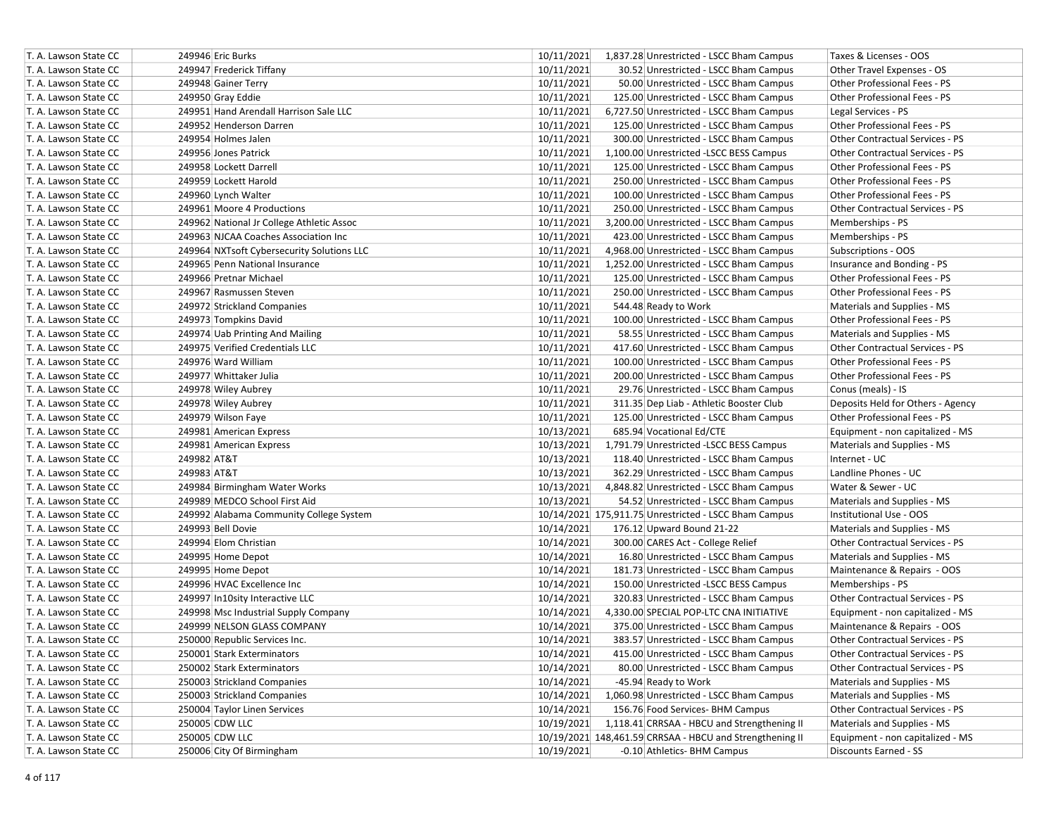| T. A. Lawson State CC | 249946 Eric Burks                          | 10/11/2021 | 1,837.28 Unrestricted - LSCC Bham Campus                 | Taxes & Licenses - OOS                 |
|-----------------------|--------------------------------------------|------------|----------------------------------------------------------|----------------------------------------|
| T. A. Lawson State CC | 249947 Frederick Tiffany                   | 10/11/2021 | 30.52 Unrestricted - LSCC Bham Campus                    | Other Travel Expenses - OS             |
| T. A. Lawson State CC | 249948 Gainer Terry                        | 10/11/2021 | 50.00 Unrestricted - LSCC Bham Campus                    | Other Professional Fees - PS           |
| T. A. Lawson State CC | 249950 Gray Eddie                          | 10/11/2021 | 125.00 Unrestricted - LSCC Bham Campus                   | Other Professional Fees - PS           |
| T. A. Lawson State CC | 249951 Hand Arendall Harrison Sale LLC     | 10/11/2021 | 6,727.50 Unrestricted - LSCC Bham Campus                 | Legal Services - PS                    |
| T. A. Lawson State CC | 249952 Henderson Darren                    | 10/11/2021 | 125.00 Unrestricted - LSCC Bham Campus                   | Other Professional Fees - PS           |
| T. A. Lawson State CC | 249954 Holmes Jalen                        | 10/11/2021 | 300.00 Unrestricted - LSCC Bham Campus                   | Other Contractual Services - PS        |
| T. A. Lawson State CC | 249956 Jones Patrick                       | 10/11/2021 | 1,100.00 Unrestricted -LSCC BESS Campus                  | Other Contractual Services - PS        |
| T. A. Lawson State CC | 249958 Lockett Darrell                     | 10/11/2021 | 125.00 Unrestricted - LSCC Bham Campus                   | Other Professional Fees - PS           |
| T. A. Lawson State CC | 249959 Lockett Harold                      | 10/11/2021 | 250.00 Unrestricted - LSCC Bham Campus                   | Other Professional Fees - PS           |
| T. A. Lawson State CC | 249960 Lynch Walter                        | 10/11/2021 | 100.00 Unrestricted - LSCC Bham Campus                   | Other Professional Fees - PS           |
| T. A. Lawson State CC | 249961 Moore 4 Productions                 | 10/11/2021 | 250.00 Unrestricted - LSCC Bham Campus                   | <b>Other Contractual Services - PS</b> |
| T. A. Lawson State CC | 249962 National Jr College Athletic Assoc  | 10/11/2021 | 3,200.00 Unrestricted - LSCC Bham Campus                 | Memberships - PS                       |
| T. A. Lawson State CC | 249963 NJCAA Coaches Association Inc       | 10/11/2021 | 423.00 Unrestricted - LSCC Bham Campus                   | Memberships - PS                       |
| T. A. Lawson State CC | 249964 NXTsoft Cybersecurity Solutions LLC | 10/11/2021 | 4,968.00 Unrestricted - LSCC Bham Campus                 | Subscriptions - OOS                    |
| T. A. Lawson State CC | 249965 Penn National Insurance             | 10/11/2021 | 1,252.00 Unrestricted - LSCC Bham Campus                 | Insurance and Bonding - PS             |
| T. A. Lawson State CC | 249966 Pretnar Michael                     | 10/11/2021 | 125.00 Unrestricted - LSCC Bham Campus                   | Other Professional Fees - PS           |
| T. A. Lawson State CC | 249967 Rasmussen Steven                    | 10/11/2021 | 250.00 Unrestricted - LSCC Bham Campus                   | Other Professional Fees - PS           |
| T. A. Lawson State CC | 249972 Strickland Companies                | 10/11/2021 | 544.48 Ready to Work                                     | Materials and Supplies - MS            |
| T. A. Lawson State CC | 249973 Tompkins David                      | 10/11/2021 | 100.00 Unrestricted - LSCC Bham Campus                   | Other Professional Fees - PS           |
| T. A. Lawson State CC | 249974 Uab Printing And Mailing            | 10/11/2021 | 58.55 Unrestricted - LSCC Bham Campus                    | Materials and Supplies - MS            |
| T. A. Lawson State CC | 249975 Verified Credentials LLC            | 10/11/2021 | 417.60 Unrestricted - LSCC Bham Campus                   | Other Contractual Services - PS        |
| T. A. Lawson State CC | 249976 Ward William                        | 10/11/2021 | 100.00 Unrestricted - LSCC Bham Campus                   | Other Professional Fees - PS           |
| T. A. Lawson State CC | 249977 Whittaker Julia                     | 10/11/2021 | 200.00 Unrestricted - LSCC Bham Campus                   | Other Professional Fees - PS           |
| T. A. Lawson State CC | 249978 Wiley Aubrey                        | 10/11/2021 | 29.76 Unrestricted - LSCC Bham Campus                    | Conus (meals) - IS                     |
| T. A. Lawson State CC | 249978 Wiley Aubrey                        | 10/11/2021 | 311.35 Dep Liab - Athletic Booster Club                  | Deposits Held for Others - Agency      |
| T. A. Lawson State CC | 249979 Wilson Faye                         | 10/11/2021 | 125.00 Unrestricted - LSCC Bham Campus                   | Other Professional Fees - PS           |
| T. A. Lawson State CC | 249981 American Express                    | 10/13/2021 | 685.94 Vocational Ed/CTE                                 | Equipment - non capitalized - MS       |
| T. A. Lawson State CC | 249981 American Express                    | 10/13/2021 | 1,791.79 Unrestricted -LSCC BESS Campus                  | Materials and Supplies - MS            |
| T. A. Lawson State CC | 249982 AT&T                                | 10/13/2021 | 118.40 Unrestricted - LSCC Bham Campus                   | Internet - UC                          |
| T. A. Lawson State CC | 249983 AT&T                                | 10/13/2021 | 362.29 Unrestricted - LSCC Bham Campus                   | Landline Phones - UC                   |
| T. A. Lawson State CC | 249984 Birmingham Water Works              | 10/13/2021 | 4,848.82 Unrestricted - LSCC Bham Campus                 | Water & Sewer - UC                     |
| T. A. Lawson State CC | 249989 MEDCO School First Aid              | 10/13/2021 | 54.52 Unrestricted - LSCC Bham Campus                    | Materials and Supplies - MS            |
| T. A. Lawson State CC | 249992 Alabama Community College System    |            | 10/14/2021 175,911.75 Unrestricted - LSCC Bham Campus    | Institutional Use - OOS                |
| T. A. Lawson State CC | 249993 Bell Dovie                          | 10/14/2021 | 176.12 Upward Bound 21-22                                | Materials and Supplies - MS            |
| T. A. Lawson State CC | 249994 Elom Christian                      | 10/14/2021 | 300.00 CARES Act - College Relief                        | Other Contractual Services - PS        |
| T. A. Lawson State CC | 249995 Home Depot                          | 10/14/2021 | 16.80 Unrestricted - LSCC Bham Campus                    | Materials and Supplies - MS            |
| T. A. Lawson State CC | 249995 Home Depot                          | 10/14/2021 | 181.73 Unrestricted - LSCC Bham Campus                   | Maintenance & Repairs - OOS            |
| T. A. Lawson State CC | 249996 HVAC Excellence Inc                 | 10/14/2021 | 150.00 Unrestricted -LSCC BESS Campus                    | Memberships - PS                       |
| T. A. Lawson State CC | 249997 In10sity Interactive LLC            | 10/14/2021 | 320.83 Unrestricted - LSCC Bham Campus                   | Other Contractual Services - PS        |
| T. A. Lawson State CC | 249998 Msc Industrial Supply Company       | 10/14/2021 | 4,330.00 SPECIAL POP-LTC CNA INITIATIVE                  | Equipment - non capitalized - MS       |
| T. A. Lawson State CC | 249999 NELSON GLASS COMPANY                | 10/14/2021 | 375.00 Unrestricted - LSCC Bham Campus                   | Maintenance & Repairs - OOS            |
| T. A. Lawson State CC | 250000 Republic Services Inc.              | 10/14/2021 | 383.57 Unrestricted - LSCC Bham Campus                   | <b>Other Contractual Services - PS</b> |
| T. A. Lawson State CC | 250001 Stark Exterminators                 | 10/14/2021 | 415.00 Unrestricted - LSCC Bham Campus                   | Other Contractual Services - PS        |
| T. A. Lawson State CC | 250002 Stark Exterminators                 | 10/14/2021 | 80.00 Unrestricted - LSCC Bham Campus                    | Other Contractual Services - PS        |
| T. A. Lawson State CC | 250003 Strickland Companies                | 10/14/2021 | -45.94 Ready to Work                                     | Materials and Supplies - MS            |
| T. A. Lawson State CC | 250003 Strickland Companies                | 10/14/2021 | 1,060.98 Unrestricted - LSCC Bham Campus                 | Materials and Supplies - MS            |
| T. A. Lawson State CC | 250004 Taylor Linen Services               | 10/14/2021 | 156.76 Food Services- BHM Campus                         | Other Contractual Services - PS        |
| T. A. Lawson State CC | 250005 CDW LLC                             | 10/19/2021 | 1,118.41 CRRSAA - HBCU and Strengthening II              | Materials and Supplies - MS            |
| T. A. Lawson State CC | 250005 CDW LLC                             |            | 10/19/2021 148,461.59 CRRSAA - HBCU and Strengthening II | Equipment - non capitalized - MS       |
| T. A. Lawson State CC | 250006 City Of Birmingham                  | 10/19/2021 | -0.10 Athletics- BHM Campus                              | Discounts Earned - SS                  |
|                       |                                            |            |                                                          |                                        |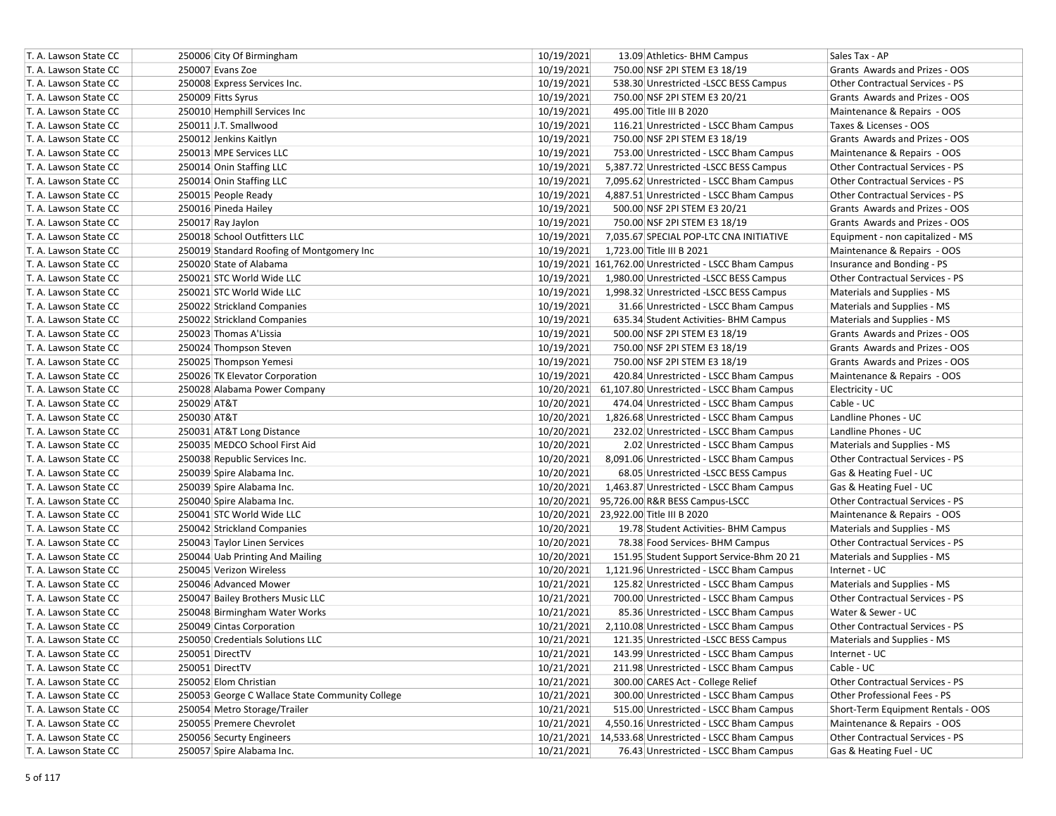| T. A. Lawson State CC | 250006 City Of Birmingham                       | 10/19/2021<br>13.09 Athletics- BHM Campus              | Sales Tax - AP                         |
|-----------------------|-------------------------------------------------|--------------------------------------------------------|----------------------------------------|
| T. A. Lawson State CC | 250007 Evans Zoe                                | 10/19/2021<br>750.00 NSF 2PI STEM E3 18/19             | Grants Awards and Prizes - OOS         |
| T. A. Lawson State CC | 250008 Express Services Inc.                    | 10/19/2021<br>538.30 Unrestricted -LSCC BESS Campus    | Other Contractual Services - PS        |
| T. A. Lawson State CC | 250009 Fitts Syrus                              | 10/19/2021<br>750.00 NSF 2PI STEM E3 20/21             | Grants Awards and Prizes - OOS         |
| T. A. Lawson State CC | 250010 Hemphill Services Inc                    | 10/19/2021<br>495.00 Title III B 2020                  | Maintenance & Repairs - OOS            |
| T. A. Lawson State CC | 250011 J.T. Smallwood                           | 10/19/2021<br>116.21 Unrestricted - LSCC Bham Campus   | Taxes & Licenses - OOS                 |
| T. A. Lawson State CC | 250012 Jenkins Kaitlyn                          | 10/19/2021<br>750.00 NSF 2PI STEM E3 18/19             | Grants Awards and Prizes - OOS         |
| T. A. Lawson State CC | 250013 MPE Services LLC                         | 10/19/2021<br>753.00 Unrestricted - LSCC Bham Campus   | Maintenance & Repairs - OOS            |
| T. A. Lawson State CC | 250014 Onin Staffing LLC                        | 10/19/2021<br>5,387.72 Unrestricted -LSCC BESS Campus  | Other Contractual Services - PS        |
| T. A. Lawson State CC | 250014 Onin Staffing LLC                        | 10/19/2021<br>7,095.62 Unrestricted - LSCC Bham Campus | <b>Other Contractual Services - PS</b> |
| T. A. Lawson State CC | 250015 People Ready                             | 10/19/2021<br>4,887.51 Unrestricted - LSCC Bham Campus | <b>Other Contractual Services - PS</b> |
| T. A. Lawson State CC | 250016 Pineda Hailey                            | 10/19/2021<br>500.00 NSF 2PI STEM E3 20/21             | Grants Awards and Prizes - OOS         |
| T. A. Lawson State CC | 250017 Ray Jaylon                               | 10/19/2021<br>750.00 NSF 2PI STEM E3 18/19             | Grants Awards and Prizes - OOS         |
| T. A. Lawson State CC | 250018 School Outfitters LLC                    | 10/19/2021<br>7,035.67 SPECIAL POP-LTC CNA INITIATIVE  | Equipment - non capitalized - MS       |
| T. A. Lawson State CC | 250019 Standard Roofing of Montgomery Inc       | 10/19/2021<br>1,723.00 Title III B 2021                | Maintenance & Repairs - OOS            |
| T. A. Lawson State CC | 250020 State of Alabama                         | 10/19/2021 161,762.00 Unrestricted - LSCC Bham Campus  | Insurance and Bonding - PS             |
| T. A. Lawson State CC | 250021 STC World Wide LLC                       | 10/19/2021<br>1,980.00 Unrestricted -LSCC BESS Campus  | Other Contractual Services - PS        |
| T. A. Lawson State CC | 250021 STC World Wide LLC                       | 10/19/2021<br>1,998.32 Unrestricted -LSCC BESS Campus  | Materials and Supplies - MS            |
| T. A. Lawson State CC | 250022 Strickland Companies                     | 10/19/2021<br>31.66 Unrestricted - LSCC Bham Campus    | Materials and Supplies - MS            |
| T. A. Lawson State CC | 250022 Strickland Companies                     | 10/19/2021<br>635.34 Student Activities- BHM Campus    | Materials and Supplies - MS            |
| T. A. Lawson State CC | 250023 Thomas A'Lissia                          | 10/19/2021<br>500.00 NSF 2PI STEM E3 18/19             | Grants Awards and Prizes - OOS         |
| T. A. Lawson State CC | 250024 Thompson Steven                          | 10/19/2021<br>750.00 NSF 2PI STEM E3 18/19             | Grants Awards and Prizes - OOS         |
| T. A. Lawson State CC | 250025 Thompson Yemesi                          | 10/19/2021<br>750.00 NSF 2PI STEM E3 18/19             | Grants Awards and Prizes - OOS         |
| T. A. Lawson State CC | 250026 TK Elevator Corporation                  | 10/19/2021<br>420.84 Unrestricted - LSCC Bham Campus   | Maintenance & Repairs - OOS            |
| T. A. Lawson State CC | 250028 Alabama Power Company                    | 10/20/2021 61,107.80 Unrestricted - LSCC Bham Campus   | Electricity - UC                       |
| T. A. Lawson State CC | 250029 AT&T                                     | 10/20/2021<br>474.04 Unrestricted - LSCC Bham Campus   | Cable - UC                             |
| T. A. Lawson State CC | 250030 AT&T                                     | 10/20/2021<br>1,826.68 Unrestricted - LSCC Bham Campus | Landline Phones - UC                   |
| T. A. Lawson State CC | 250031 AT&T Long Distance                       | 10/20/2021<br>232.02 Unrestricted - LSCC Bham Campus   | Landline Phones - UC                   |
| T. A. Lawson State CC | 250035 MEDCO School First Aid                   | 10/20/2021<br>2.02 Unrestricted - LSCC Bham Campus     | Materials and Supplies - MS            |
| T. A. Lawson State CC | 250038 Republic Services Inc.                   | 10/20/2021<br>8,091.06 Unrestricted - LSCC Bham Campus | Other Contractual Services - PS        |
| T. A. Lawson State CC | 250039 Spire Alabama Inc.                       | 10/20/2021<br>68.05 Unrestricted -LSCC BESS Campus     | Gas & Heating Fuel - UC                |
| T. A. Lawson State CC | 250039 Spire Alabama Inc.                       | 10/20/2021<br>1,463.87 Unrestricted - LSCC Bham Campus | Gas & Heating Fuel - UC                |
| T. A. Lawson State CC | 250040 Spire Alabama Inc.                       | 10/20/2021 95,726.00 R&R BESS Campus-LSCC              | Other Contractual Services - PS        |
| T. A. Lawson State CC | 250041 STC World Wide LLC                       | 10/20/2021 23,922.00 Title III B 2020                  | Maintenance & Repairs - OOS            |
| T. A. Lawson State CC | 250042 Strickland Companies                     | 10/20/2021<br>19.78 Student Activities- BHM Campus     | Materials and Supplies - MS            |
| T. A. Lawson State CC | 250043 Taylor Linen Services                    | 10/20/2021<br>78.38 Food Services- BHM Campus          | <b>Other Contractual Services - PS</b> |
| T. A. Lawson State CC | 250044 Uab Printing And Mailing                 | 10/20/2021<br>151.95 Student Support Service-Bhm 20 21 | Materials and Supplies - MS            |
| T. A. Lawson State CC | 250045 Verizon Wireless                         | 10/20/2021<br>1,121.96 Unrestricted - LSCC Bham Campus | Internet - UC                          |
| T. A. Lawson State CC | 250046 Advanced Mower                           | 10/21/2021<br>125.82 Unrestricted - LSCC Bham Campus   | Materials and Supplies - MS            |
| T. A. Lawson State CC | 250047 Bailey Brothers Music LLC                | 10/21/2021<br>700.00 Unrestricted - LSCC Bham Campus   | Other Contractual Services - PS        |
| T. A. Lawson State CC | 250048 Birmingham Water Works                   | 10/21/2021<br>85.36 Unrestricted - LSCC Bham Campus    | Water & Sewer - UC                     |
| T. A. Lawson State CC | 250049 Cintas Corporation                       | 10/21/2021<br>2,110.08 Unrestricted - LSCC Bham Campus | <b>Other Contractual Services - PS</b> |
| T. A. Lawson State CC | 250050 Credentials Solutions LLC                | 10/21/2021<br>121.35 Unrestricted -LSCC BESS Campus    | Materials and Supplies - MS            |
| T. A. Lawson State CC | 250051 DirectTV                                 | 10/21/2021<br>143.99 Unrestricted - LSCC Bham Campus   | Internet - UC                          |
| T. A. Lawson State CC | 250051 DirectTV                                 | 10/21/2021<br>211.98 Unrestricted - LSCC Bham Campus   | Cable - UC                             |
| T. A. Lawson State CC | 250052 Elom Christian                           | 10/21/2021<br>300.00 CARES Act - College Relief        | Other Contractual Services - PS        |
| T. A. Lawson State CC | 250053 George C Wallace State Community College | 10/21/2021<br>300.00 Unrestricted - LSCC Bham Campus   | Other Professional Fees - PS           |
| T. A. Lawson State CC | 250054 Metro Storage/Trailer                    | 10/21/2021<br>515.00 Unrestricted - LSCC Bham Campus   | Short-Term Equipment Rentals - OOS     |
| T. A. Lawson State CC | 250055 Premere Chevrolet                        | 10/21/2021<br>4,550.16 Unrestricted - LSCC Bham Campus | Maintenance & Repairs - OOS            |
| T. A. Lawson State CC | 250056 Securty Engineers                        | 10/21/2021 14,533.68 Unrestricted - LSCC Bham Campus   | Other Contractual Services - PS        |
| T. A. Lawson State CC | 250057 Spire Alabama Inc.                       | 10/21/2021<br>76.43 Unrestricted - LSCC Bham Campus    | Gas & Heating Fuel - UC                |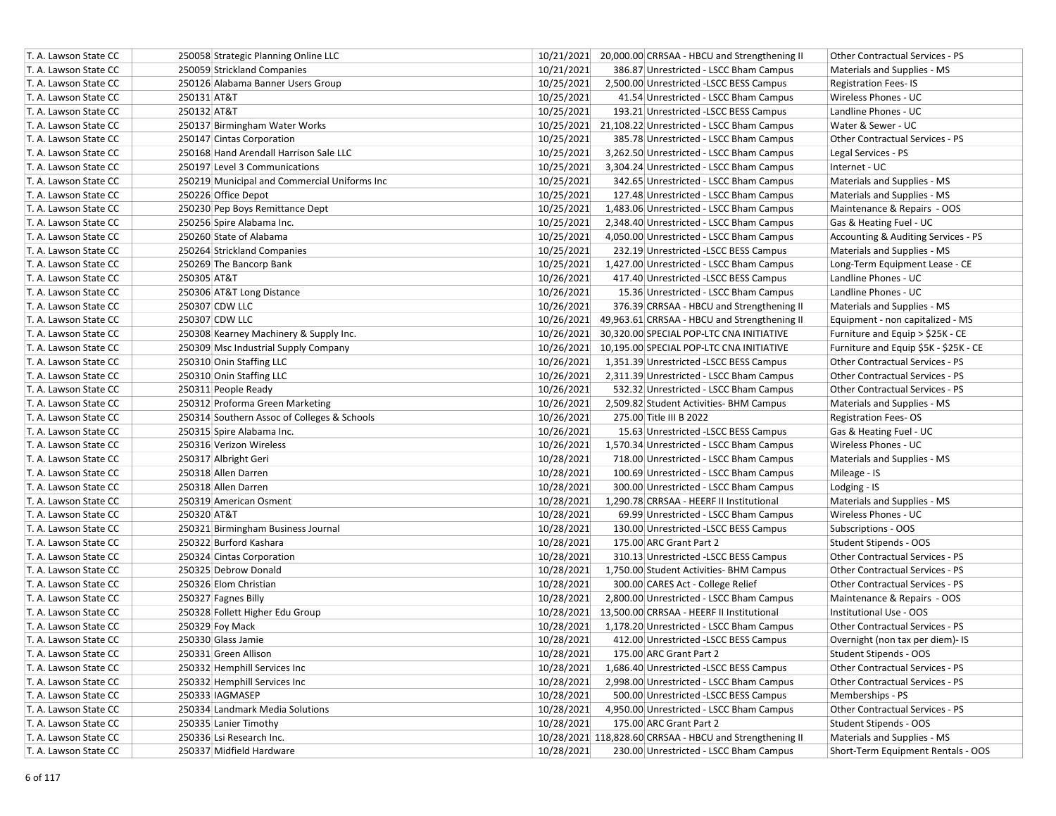| T. A. Lawson State CC | 250058 Strategic Planning Online LLC         | 10/21/2021 20,000.00 CRRSAA - HBCU and Strengthening II    | Other Contractual Services - PS        |
|-----------------------|----------------------------------------------|------------------------------------------------------------|----------------------------------------|
| T. A. Lawson State CC | 250059 Strickland Companies                  | 10/21/2021<br>386.87 Unrestricted - LSCC Bham Campus       | Materials and Supplies - MS            |
| T. A. Lawson State CC | 250126 Alabama Banner Users Group            | 10/25/2021<br>2,500.00 Unrestricted -LSCC BESS Campus      | <b>Registration Fees-IS</b>            |
| T. A. Lawson State CC | 250131 AT&T                                  | 10/25/2021<br>41.54 Unrestricted - LSCC Bham Campus        | Wireless Phones - UC                   |
| T. A. Lawson State CC | 250132 AT&T                                  | 10/25/2021<br>193.21 Unrestricted -LSCC BESS Campus        | Landline Phones - UC                   |
| T. A. Lawson State CC | 250137 Birmingham Water Works                | 10/25/2021 21,108.22 Unrestricted - LSCC Bham Campus       | Water & Sewer - UC                     |
| T. A. Lawson State CC | 250147 Cintas Corporation                    | 10/25/2021<br>385.78 Unrestricted - LSCC Bham Campus       | Other Contractual Services - PS        |
| T. A. Lawson State CC | 250168 Hand Arendall Harrison Sale LLC       | 10/25/2021<br>3,262.50 Unrestricted - LSCC Bham Campus     | Legal Services - PS                    |
| T. A. Lawson State CC | 250197 Level 3 Communications                | 10/25/2021<br>3,304.24 Unrestricted - LSCC Bham Campus     | Internet - UC                          |
| T. A. Lawson State CC | 250219 Municipal and Commercial Uniforms Inc | 10/25/2021<br>342.65 Unrestricted - LSCC Bham Campus       | Materials and Supplies - MS            |
| T. A. Lawson State CC | 250226 Office Depot                          | 10/25/2021<br>127.48 Unrestricted - LSCC Bham Campus       | Materials and Supplies - MS            |
| T. A. Lawson State CC | 250230 Pep Boys Remittance Dept              | 10/25/2021<br>1,483.06 Unrestricted - LSCC Bham Campus     | Maintenance & Repairs - OOS            |
| T. A. Lawson State CC | 250256 Spire Alabama Inc.                    | 10/25/2021<br>2,348.40 Unrestricted - LSCC Bham Campus     | Gas & Heating Fuel - UC                |
| T. A. Lawson State CC | 250260 State of Alabama                      | 10/25/2021<br>4,050.00 Unrestricted - LSCC Bham Campus     | Accounting & Auditing Services - PS    |
| T. A. Lawson State CC | 250264 Strickland Companies                  | 10/25/2021<br>232.19 Unrestricted -LSCC BESS Campus        | Materials and Supplies - MS            |
| T. A. Lawson State CC | 250269 The Bancorp Bank                      | 10/25/2021<br>1,427.00 Unrestricted - LSCC Bham Campus     | Long-Term Equipment Lease - CE         |
| T. A. Lawson State CC | 250305 AT&T                                  | 10/26/2021<br>417.40 Unrestricted -LSCC BESS Campus        | Landline Phones - UC                   |
| T. A. Lawson State CC | 250306 AT&T Long Distance                    | 10/26/2021<br>15.36 Unrestricted - LSCC Bham Campus        | Landline Phones - UC                   |
| T. A. Lawson State CC | 250307 CDW LLC                               | 10/26/2021<br>376.39 CRRSAA - HBCU and Strengthening II    | Materials and Supplies - MS            |
| T. A. Lawson State CC | 250307 CDW LLC                               | 10/26/2021<br>49,963.61 CRRSAA - HBCU and Strengthening II | Equipment - non capitalized - MS       |
| T. A. Lawson State CC | 250308 Kearney Machinery & Supply Inc.       | 10/26/2021<br>30,320.00 SPECIAL POP-LTC CNA INITIATIVE     | Furniture and Equip > \$25K - CE       |
| T. A. Lawson State CC | 250309 Msc Industrial Supply Company         | 10/26/2021 10.195.00 SPECIAL POP-LTC CNA INITIATIVE        | Furniture and Equip \$5K - \$25K - CE  |
| T. A. Lawson State CC | 250310 Onin Staffing LLC                     | 10/26/2021<br>1,351.39 Unrestricted -LSCC BESS Campus      | Other Contractual Services - PS        |
| T. A. Lawson State CC | 250310 Onin Staffing LLC                     | 10/26/2021<br>2,311.39 Unrestricted - LSCC Bham Campus     | <b>Other Contractual Services - PS</b> |
| T. A. Lawson State CC | 250311 People Ready                          | 10/26/2021<br>532.32 Unrestricted - LSCC Bham Campus       | Other Contractual Services - PS        |
| T. A. Lawson State CC | 250312 Proforma Green Marketing              | 10/26/2021<br>2,509.82 Student Activities- BHM Campus      | Materials and Supplies - MS            |
| T. A. Lawson State CC | 250314 Southern Assoc of Colleges & Schools  | 10/26/2021<br>275.00 Title III B 2022                      | <b>Registration Fees-OS</b>            |
| T. A. Lawson State CC | 250315 Spire Alabama Inc.                    | 10/26/2021<br>15.63 Unrestricted -LSCC BESS Campus         | Gas & Heating Fuel - UC                |
| T. A. Lawson State CC | 250316 Verizon Wireless                      | 10/26/2021<br>1,570.34 Unrestricted - LSCC Bham Campus     | Wireless Phones - UC                   |
| T. A. Lawson State CC | 250317 Albright Geri                         | 10/28/2021<br>718.00 Unrestricted - LSCC Bham Campus       | Materials and Supplies - MS            |
| T. A. Lawson State CC | 250318 Allen Darren                          | 10/28/2021<br>100.69 Unrestricted - LSCC Bham Campus       | Mileage - IS                           |
| T. A. Lawson State CC | 250318 Allen Darren                          | 10/28/2021<br>300.00 Unrestricted - LSCC Bham Campus       | Lodging - IS                           |
| T. A. Lawson State CC | 250319 American Osment                       | 10/28/2021<br>1,290.78 CRRSAA - HEERF II Institutional     | Materials and Supplies - MS            |
| T. A. Lawson State CC | 250320 AT&T                                  | 10/28/2021<br>69.99 Unrestricted - LSCC Bham Campus        | Wireless Phones - UC                   |
| T. A. Lawson State CC | 250321 Birmingham Business Journal           | 10/28/2021<br>130.00 Unrestricted -LSCC BESS Campus        | Subscriptions - OOS                    |
| T. A. Lawson State CC | 250322 Burford Kashara                       | 10/28/2021<br>175.00 ARC Grant Part 2                      | Student Stipends - OOS                 |
| T. A. Lawson State CC | 250324 Cintas Corporation                    | 10/28/2021<br>310.13 Unrestricted -LSCC BESS Campus        | Other Contractual Services - PS        |
| T. A. Lawson State CC | 250325 Debrow Donald                         | 10/28/2021<br>1,750.00 Student Activities- BHM Campus      | <b>Other Contractual Services - PS</b> |
| T. A. Lawson State CC | 250326 Elom Christian                        | 10/28/2021<br>300.00 CARES Act - College Relief            | Other Contractual Services - PS        |
| T. A. Lawson State CC | 250327 Fagnes Billy                          | 10/28/2021<br>2,800.00 Unrestricted - LSCC Bham Campus     | Maintenance & Repairs - OOS            |
| T. A. Lawson State CC | 250328 Follett Higher Edu Group              | 10/28/2021<br>13,500.00 CRRSAA - HEERF II Institutional    | Institutional Use - OOS                |
| T. A. Lawson State CC | 250329 Foy Mack                              | 10/28/2021<br>1,178.20 Unrestricted - LSCC Bham Campus     | Other Contractual Services - PS        |
| T. A. Lawson State CC | 250330 Glass Jamie                           | 10/28/2021<br>412.00 Unrestricted -LSCC BESS Campus        | Overnight (non tax per diem)- IS       |
| T. A. Lawson State CC | 250331 Green Allison                         | 10/28/2021<br>175.00 ARC Grant Part 2                      | Student Stipends - OOS                 |
| T. A. Lawson State CC | 250332 Hemphill Services Inc                 | 10/28/2021<br>1,686.40 Unrestricted -LSCC BESS Campus      | Other Contractual Services - PS        |
| T. A. Lawson State CC | 250332 Hemphill Services Inc                 | 10/28/2021<br>2,998.00 Unrestricted - LSCC Bham Campus     | Other Contractual Services - PS        |
| T. A. Lawson State CC | 250333 IAGMASEP                              | 10/28/2021<br>500.00 Unrestricted -LSCC BESS Campus        | Memberships - PS                       |
| T. A. Lawson State CC | 250334 Landmark Media Solutions              | 10/28/2021<br>4,950.00 Unrestricted - LSCC Bham Campus     | Other Contractual Services - PS        |
| T. A. Lawson State CC | 250335 Lanier Timothy                        | 10/28/2021<br>175.00 ARC Grant Part 2                      | Student Stipends - OOS                 |
| T. A. Lawson State CC | 250336 Lsi Research Inc.                     | 10/28/2021 118,828.60 CRRSAA - HBCU and Strengthening II   | Materials and Supplies - MS            |
| T. A. Lawson State CC | 250337 Midfield Hardware                     | 10/28/2021<br>230.00 Unrestricted - LSCC Bham Campus       | Short-Term Equipment Rentals - OOS     |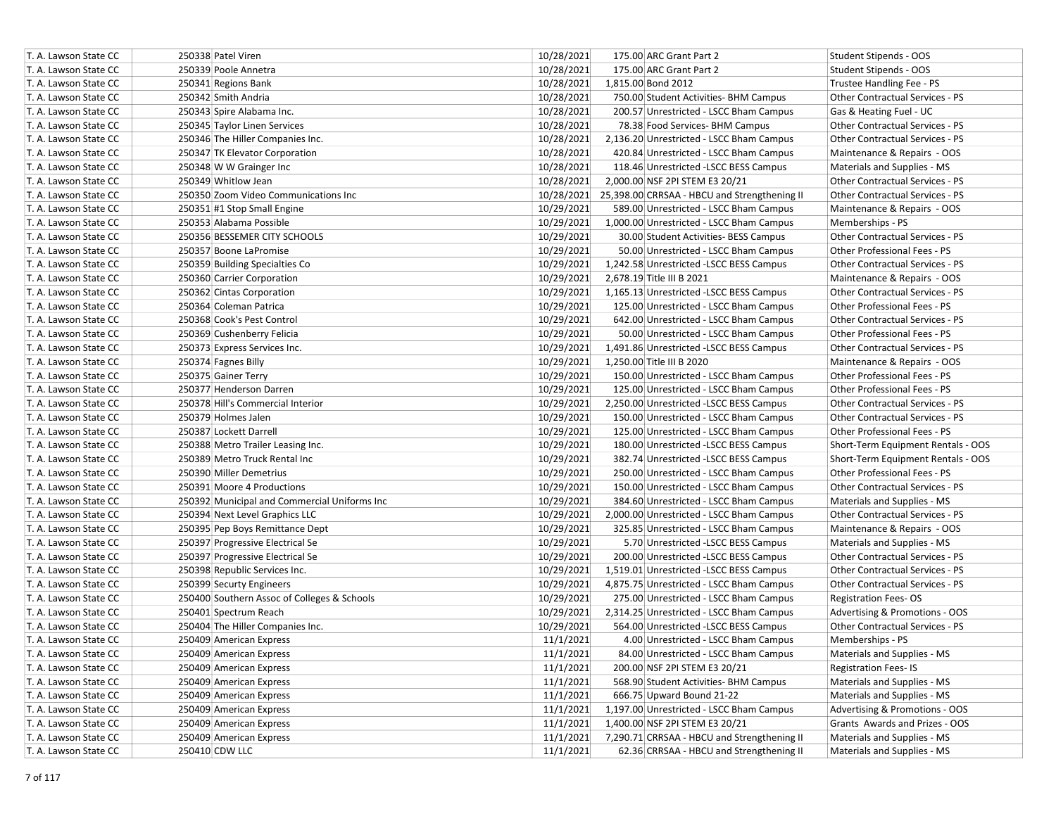| T. A. Lawson State CC | 250338 Patel Viren                           | 10/28/2021 | 175.00 ARC Grant Part 2                      | Student Stipends - OOS                 |
|-----------------------|----------------------------------------------|------------|----------------------------------------------|----------------------------------------|
| T. A. Lawson State CC | 250339 Poole Annetra                         | 10/28/2021 | 175.00 ARC Grant Part 2                      | Student Stipends - OOS                 |
| T. A. Lawson State CC | 250341 Regions Bank                          | 10/28/2021 | 1,815.00 Bond 2012                           | Trustee Handling Fee - PS              |
| T. A. Lawson State CC | 250342 Smith Andria                          | 10/28/2021 | 750.00 Student Activities- BHM Campus        | Other Contractual Services - PS        |
| T. A. Lawson State CC | 250343 Spire Alabama Inc.                    | 10/28/2021 | 200.57 Unrestricted - LSCC Bham Campus       | Gas & Heating Fuel - UC                |
| T. A. Lawson State CC | 250345 Taylor Linen Services                 | 10/28/2021 | 78.38 Food Services- BHM Campus              | Other Contractual Services - PS        |
| T. A. Lawson State CC | 250346 The Hiller Companies Inc.             | 10/28/2021 | 2,136.20 Unrestricted - LSCC Bham Campus     | Other Contractual Services - PS        |
| T. A. Lawson State CC | 250347 TK Elevator Corporation               | 10/28/2021 | 420.84 Unrestricted - LSCC Bham Campus       | Maintenance & Repairs - OOS            |
| T. A. Lawson State CC | 250348 W W Grainger Inc                      | 10/28/2021 | 118.46 Unrestricted -LSCC BESS Campus        | Materials and Supplies - MS            |
| T. A. Lawson State CC | 250349 Whitlow Jean                          | 10/28/2021 | 2,000.00 NSF 2PI STEM E3 20/21               | Other Contractual Services - PS        |
| T. A. Lawson State CC | 250350 Zoom Video Communications Inc         | 10/28/2021 | 25,398.00 CRRSAA - HBCU and Strengthening II | <b>Other Contractual Services - PS</b> |
| T. A. Lawson State CC | 250351 #1 Stop Small Engine                  | 10/29/2021 | 589.00 Unrestricted - LSCC Bham Campus       | Maintenance & Repairs - OOS            |
| T. A. Lawson State CC | 250353 Alabama Possible                      | 10/29/2021 | 1,000.00 Unrestricted - LSCC Bham Campus     | Memberships - PS                       |
| T. A. Lawson State CC | 250356 BESSEMER CITY SCHOOLS                 | 10/29/2021 | 30.00 Student Activities- BESS Campus        | Other Contractual Services - PS        |
| T. A. Lawson State CC | 250357 Boone LaPromise                       | 10/29/2021 | 50.00 Unrestricted - LSCC Bham Campus        | Other Professional Fees - PS           |
| T. A. Lawson State CC | 250359 Building Specialties Co               | 10/29/2021 | 1,242.58 Unrestricted -LSCC BESS Campus      | Other Contractual Services - PS        |
| T. A. Lawson State CC | 250360 Carrier Corporation                   | 10/29/2021 | 2,678.19 Title III B 2021                    | Maintenance & Repairs - OOS            |
| T. A. Lawson State CC | 250362 Cintas Corporation                    | 10/29/2021 | 1,165.13 Unrestricted -LSCC BESS Campus      | Other Contractual Services - PS        |
| T. A. Lawson State CC | 250364 Coleman Patrica                       | 10/29/2021 | 125.00 Unrestricted - LSCC Bham Campus       | Other Professional Fees - PS           |
| T. A. Lawson State CC | 250368 Cook's Pest Control                   | 10/29/2021 | 642.00 Unrestricted - LSCC Bham Campus       | <b>Other Contractual Services - PS</b> |
| T. A. Lawson State CC | 250369 Cushenberry Felicia                   | 10/29/2021 | 50.00 Unrestricted - LSCC Bham Campus        | Other Professional Fees - PS           |
| T. A. Lawson State CC | 250373 Express Services Inc.                 | 10/29/2021 | 1,491.86 Unrestricted -LSCC BESS Campus      | Other Contractual Services - PS        |
| T. A. Lawson State CC | 250374 Fagnes Billy                          | 10/29/2021 | 1,250.00 Title III B 2020                    | Maintenance & Repairs - OOS            |
| T. A. Lawson State CC | 250375 Gainer Terry                          | 10/29/2021 | 150.00 Unrestricted - LSCC Bham Campus       | Other Professional Fees - PS           |
| T. A. Lawson State CC | 250377 Henderson Darren                      | 10/29/2021 | 125.00 Unrestricted - LSCC Bham Campus       | Other Professional Fees - PS           |
| T. A. Lawson State CC | 250378 Hill's Commercial Interior            | 10/29/2021 | 2,250.00 Unrestricted -LSCC BESS Campus      | <b>Other Contractual Services - PS</b> |
| T. A. Lawson State CC | 250379 Holmes Jalen                          | 10/29/2021 | 150.00 Unrestricted - LSCC Bham Campus       | Other Contractual Services - PS        |
| T. A. Lawson State CC | 250387 Lockett Darrell                       | 10/29/2021 | 125.00 Unrestricted - LSCC Bham Campus       | Other Professional Fees - PS           |
| T. A. Lawson State CC | 250388 Metro Trailer Leasing Inc.            | 10/29/2021 | 180.00 Unrestricted -LSCC BESS Campus        | Short-Term Equipment Rentals - OOS     |
| T. A. Lawson State CC | 250389 Metro Truck Rental Inc                | 10/29/2021 | 382.74 Unrestricted -LSCC BESS Campus        | Short-Term Equipment Rentals - OOS     |
| T. A. Lawson State CC | 250390 Miller Demetrius                      | 10/29/2021 | 250.00 Unrestricted - LSCC Bham Campus       | Other Professional Fees - PS           |
| T. A. Lawson State CC | 250391 Moore 4 Productions                   | 10/29/2021 | 150.00 Unrestricted - LSCC Bham Campus       | Other Contractual Services - PS        |
| T. A. Lawson State CC | 250392 Municipal and Commercial Uniforms Inc | 10/29/2021 | 384.60 Unrestricted - LSCC Bham Campus       | Materials and Supplies - MS            |
| T. A. Lawson State CC | 250394 Next Level Graphics LLC               | 10/29/2021 | 2,000.00 Unrestricted - LSCC Bham Campus     | Other Contractual Services - PS        |
| T. A. Lawson State CC | 250395 Pep Boys Remittance Dept              | 10/29/2021 | 325.85 Unrestricted - LSCC Bham Campus       | Maintenance & Repairs - OOS            |
| T. A. Lawson State CC | 250397 Progressive Electrical Se             | 10/29/2021 | 5.70 Unrestricted -LSCC BESS Campus          | Materials and Supplies - MS            |
| T. A. Lawson State CC | 250397 Progressive Electrical Se             | 10/29/2021 | 200.00 Unrestricted -LSCC BESS Campus        | Other Contractual Services - PS        |
| T. A. Lawson State CC | 250398 Republic Services Inc.                | 10/29/2021 | 1,519.01 Unrestricted -LSCC BESS Campus      | Other Contractual Services - PS        |
| T. A. Lawson State CC | 250399 Securty Engineers                     | 10/29/2021 | 4,875.75 Unrestricted - LSCC Bham Campus     | Other Contractual Services - PS        |
| T. A. Lawson State CC | 250400 Southern Assoc of Colleges & Schools  | 10/29/2021 | 275.00 Unrestricted - LSCC Bham Campus       | <b>Registration Fees-OS</b>            |
| T. A. Lawson State CC | 250401 Spectrum Reach                        | 10/29/2021 | 2,314.25 Unrestricted - LSCC Bham Campus     | Advertising & Promotions - OOS         |
| T. A. Lawson State CC | 250404 The Hiller Companies Inc.             | 10/29/2021 | 564.00 Unrestricted -LSCC BESS Campus        | Other Contractual Services - PS        |
| T. A. Lawson State CC | 250409 American Express                      | 11/1/2021  | 4.00 Unrestricted - LSCC Bham Campus         | Memberships - PS                       |
| T. A. Lawson State CC | 250409 American Express                      | 11/1/2021  | 84.00 Unrestricted - LSCC Bham Campus        | Materials and Supplies - MS            |
| T. A. Lawson State CC | 250409 American Express                      | 11/1/2021  | 200.00 NSF 2PI STEM E3 20/21                 | <b>Registration Fees-IS</b>            |
| T. A. Lawson State CC | 250409 American Express                      | 11/1/2021  | 568.90 Student Activities- BHM Campus        | Materials and Supplies - MS            |
| T. A. Lawson State CC | 250409 American Express                      | 11/1/2021  | 666.75 Upward Bound 21-22                    | Materials and Supplies - MS            |
| T. A. Lawson State CC | 250409 American Express                      | 11/1/2021  | 1,197.00 Unrestricted - LSCC Bham Campus     | Advertising & Promotions - OOS         |
| T. A. Lawson State CC | 250409 American Express                      | 11/1/2021  | 1,400.00 NSF 2PI STEM E3 20/21               | Grants Awards and Prizes - OOS         |
| T. A. Lawson State CC | 250409 American Express                      | 11/1/2021  | 7,290.71 CRRSAA - HBCU and Strengthening II  | Materials and Supplies - MS            |
| T. A. Lawson State CC | 250410 CDW LLC                               | 11/1/2021  | 62.36 CRRSAA - HBCU and Strengthening II     | Materials and Supplies - MS            |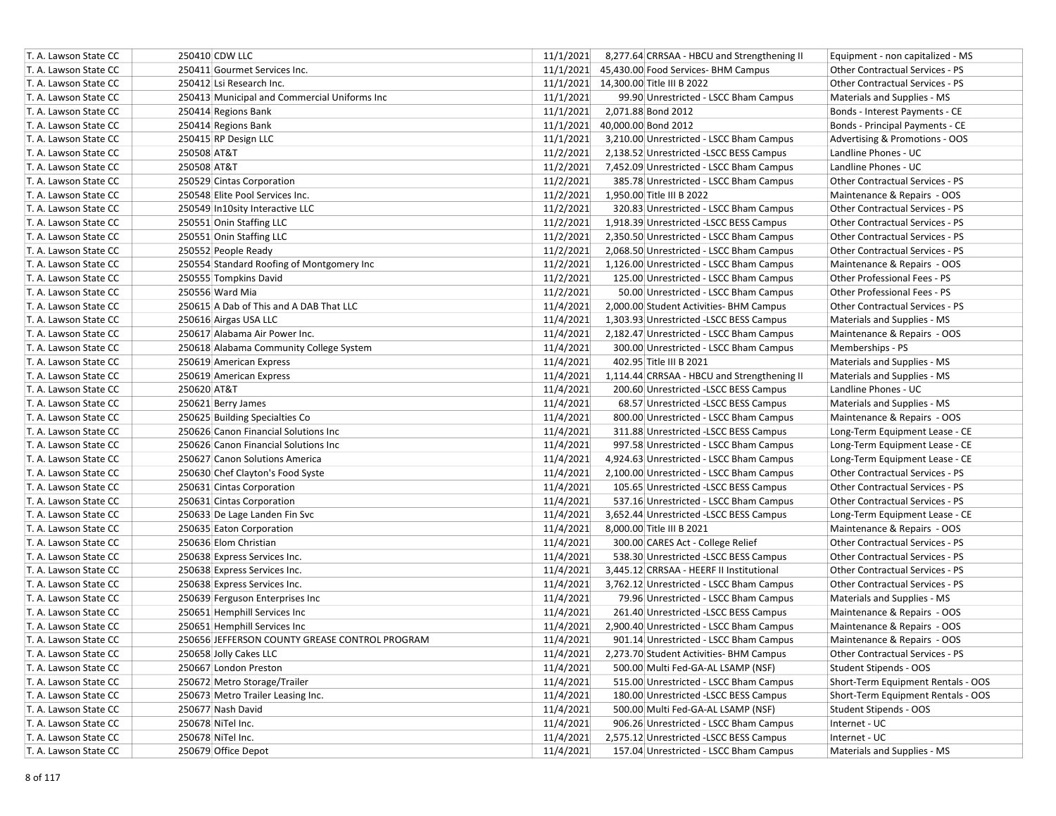| T. A. Lawson State CC | 250410 CDW LLC                                 | 11/1/2021<br>8,277.64 CRRSAA - HBCU and Strengthening II | Equipment - non capitalized - MS       |
|-----------------------|------------------------------------------------|----------------------------------------------------------|----------------------------------------|
| T. A. Lawson State CC | 250411 Gourmet Services Inc.                   | 11/1/2021<br>45,430.00 Food Services- BHM Campus         | Other Contractual Services - PS        |
| T. A. Lawson State CC | 250412 Lsi Research Inc.                       | 11/1/2021 14,300.00 Title III B 2022                     | <b>Other Contractual Services - PS</b> |
| T. A. Lawson State CC | 250413 Municipal and Commercial Uniforms Inc   | 11/1/2021<br>99.90 Unrestricted - LSCC Bham Campus       | Materials and Supplies - MS            |
| T. A. Lawson State CC | 250414 Regions Bank                            | 11/1/2021<br>2,071.88 Bond 2012                          | Bonds - Interest Payments - CE         |
| T. A. Lawson State CC | 250414 Regions Bank                            | 11/1/2021<br>40,000.00 Bond 2012                         | Bonds - Principal Payments - CE        |
| T. A. Lawson State CC | 250415 RP Design LLC                           | 11/1/2021<br>3,210.00 Unrestricted - LSCC Bham Campus    | Advertising & Promotions - OOS         |
| T. A. Lawson State CC | 250508 AT&T                                    | 11/2/2021<br>2,138.52 Unrestricted -LSCC BESS Campus     | Landline Phones - UC                   |
| T. A. Lawson State CC | 250508 AT&T                                    | 11/2/2021<br>7,452.09 Unrestricted - LSCC Bham Campus    | Landline Phones - UC                   |
| T. A. Lawson State CC | 250529 Cintas Corporation                      | 11/2/2021<br>385.78 Unrestricted - LSCC Bham Campus      | <b>Other Contractual Services - PS</b> |
| T. A. Lawson State CC | 250548 Elite Pool Services Inc.                | 11/2/2021<br>1,950.00 Title III B 2022                   | Maintenance & Repairs - OOS            |
| T. A. Lawson State CC | 250549 In10sity Interactive LLC                | 11/2/2021<br>320.83 Unrestricted - LSCC Bham Campus      | Other Contractual Services - PS        |
| T. A. Lawson State CC | 250551 Onin Staffing LLC                       | 11/2/2021<br>1,918.39 Unrestricted -LSCC BESS Campus     | Other Contractual Services - PS        |
| T. A. Lawson State CC | 250551 Onin Staffing LLC                       | 11/2/2021<br>2,350.50 Unrestricted - LSCC Bham Campus    | Other Contractual Services - PS        |
| T. A. Lawson State CC | 250552 People Ready                            | 11/2/2021<br>2,068.50 Unrestricted - LSCC Bham Campus    | Other Contractual Services - PS        |
| T. A. Lawson State CC | 250554 Standard Roofing of Montgomery Inc      | 11/2/2021<br>1,126.00 Unrestricted - LSCC Bham Campus    | Maintenance & Repairs - OOS            |
| T. A. Lawson State CC | 250555 Tompkins David                          | 11/2/2021<br>125.00 Unrestricted - LSCC Bham Campus      | Other Professional Fees - PS           |
| T. A. Lawson State CC | 250556 Ward Mia                                | 11/2/2021<br>50.00 Unrestricted - LSCC Bham Campus       | Other Professional Fees - PS           |
| T. A. Lawson State CC | 250615 A Dab of This and A DAB That LLC        | 11/4/2021<br>2,000.00 Student Activities- BHM Campus     | Other Contractual Services - PS        |
| T. A. Lawson State CC | 250616 Airgas USA LLC                          | 11/4/2021<br>1,303.93 Unrestricted -LSCC BESS Campus     | Materials and Supplies - MS            |
| T. A. Lawson State CC | 250617 Alabama Air Power Inc.                  | 11/4/2021<br>2,182.47 Unrestricted - LSCC Bham Campus    | Maintenance & Repairs - OOS            |
| T. A. Lawson State CC | 250618 Alabama Community College System        | 11/4/2021<br>300.00 Unrestricted - LSCC Bham Campus      | Memberships - PS                       |
| T. A. Lawson State CC | 250619 American Express                        | 11/4/2021<br>402.95 Title III B 2021                     | Materials and Supplies - MS            |
| T. A. Lawson State CC | 250619 American Express                        | 11/4/2021<br>1,114.44 CRRSAA - HBCU and Strengthening II | Materials and Supplies - MS            |
| T. A. Lawson State CC | 250620 AT&T                                    | 11/4/2021<br>200.60 Unrestricted -LSCC BESS Campus       | Landline Phones - UC                   |
| T. A. Lawson State CC | 250621 Berry James                             | 11/4/2021<br>68.57 Unrestricted -LSCC BESS Campus        | Materials and Supplies - MS            |
| T. A. Lawson State CC | 250625 Building Specialties Co                 | 11/4/2021<br>800.00 Unrestricted - LSCC Bham Campus      | Maintenance & Repairs - OOS            |
| T. A. Lawson State CC | 250626 Canon Financial Solutions Inc           | 11/4/2021<br>311.88 Unrestricted -LSCC BESS Campus       | Long-Term Equipment Lease - CE         |
| T. A. Lawson State CC | 250626 Canon Financial Solutions Inc           | 11/4/2021<br>997.58 Unrestricted - LSCC Bham Campus      | Long-Term Equipment Lease - CE         |
| T. A. Lawson State CC | 250627 Canon Solutions America                 | 11/4/2021<br>4,924.63 Unrestricted - LSCC Bham Campus    | Long-Term Equipment Lease - CE         |
| T. A. Lawson State CC | 250630 Chef Clayton's Food Syste               | 11/4/2021<br>2,100.00 Unrestricted - LSCC Bham Campus    | Other Contractual Services - PS        |
| T. A. Lawson State CC | 250631 Cintas Corporation                      | 11/4/2021<br>105.65 Unrestricted -LSCC BESS Campus       | Other Contractual Services - PS        |
| T. A. Lawson State CC | 250631 Cintas Corporation                      | 11/4/2021<br>537.16 Unrestricted - LSCC Bham Campus      | Other Contractual Services - PS        |
| T. A. Lawson State CC | 250633 De Lage Landen Fin Svc                  | 11/4/2021<br>3,652.44 Unrestricted -LSCC BESS Campus     | Long-Term Equipment Lease - CE         |
| T. A. Lawson State CC | 250635 Eaton Corporation                       | 11/4/2021<br>8,000.00 Title III B 2021                   | Maintenance & Repairs - OOS            |
| T. A. Lawson State CC | 250636 Elom Christian                          | 11/4/2021<br>300.00 CARES Act - College Relief           | <b>Other Contractual Services - PS</b> |
| T. A. Lawson State CC | 250638 Express Services Inc.                   | 11/4/2021<br>538.30 Unrestricted -LSCC BESS Campus       | Other Contractual Services - PS        |
| T. A. Lawson State CC | 250638 Express Services Inc.                   | 11/4/2021<br>3,445.12 CRRSAA - HEERF II Institutional    | <b>Other Contractual Services - PS</b> |
| T. A. Lawson State CC | 250638 Express Services Inc.                   | 11/4/2021<br>3,762.12 Unrestricted - LSCC Bham Campus    | Other Contractual Services - PS        |
| T. A. Lawson State CC | 250639 Ferguson Enterprises Inc                | 11/4/2021<br>79.96 Unrestricted - LSCC Bham Campus       | Materials and Supplies - MS            |
| T. A. Lawson State CC | 250651 Hemphill Services Inc                   | 11/4/2021<br>261.40 Unrestricted -LSCC BESS Campus       | Maintenance & Repairs - OOS            |
| T. A. Lawson State CC | 250651 Hemphill Services Inc                   | 11/4/2021<br>2,900.40 Unrestricted - LSCC Bham Campus    | Maintenance & Repairs - OOS            |
| T. A. Lawson State CC | 250656 JEFFERSON COUNTY GREASE CONTROL PROGRAM | 11/4/2021<br>901.14 Unrestricted - LSCC Bham Campus      | Maintenance & Repairs - OOS            |
| T. A. Lawson State CC | 250658 Jolly Cakes LLC                         | 11/4/2021<br>2,273.70 Student Activities- BHM Campus     | <b>Other Contractual Services - PS</b> |
| T. A. Lawson State CC | 250667 London Preston                          | 11/4/2021<br>500.00 Multi Fed-GA-AL LSAMP (NSF)          | Student Stipends - OOS                 |
| T. A. Lawson State CC | 250672 Metro Storage/Trailer                   | 11/4/2021<br>515.00 Unrestricted - LSCC Bham Campus      | Short-Term Equipment Rentals - OOS     |
| T. A. Lawson State CC | 250673 Metro Trailer Leasing Inc.              | 11/4/2021<br>180.00 Unrestricted -LSCC BESS Campus       | Short-Term Equipment Rentals - OOS     |
| T. A. Lawson State CC | 250677 Nash David                              | 11/4/2021<br>500.00 Multi Fed-GA-AL LSAMP (NSF)          | Student Stipends - OOS                 |
| T. A. Lawson State CC | 250678 NiTel Inc.                              | 11/4/2021<br>906.26 Unrestricted - LSCC Bham Campus      | Internet - UC                          |
| T. A. Lawson State CC | 250678 NiTel Inc.                              | 11/4/2021<br>2,575.12 Unrestricted -LSCC BESS Campus     | Internet - UC                          |
| T. A. Lawson State CC | 250679 Office Depot                            | 11/4/2021<br>157.04 Unrestricted - LSCC Bham Campus      | Materials and Supplies - MS            |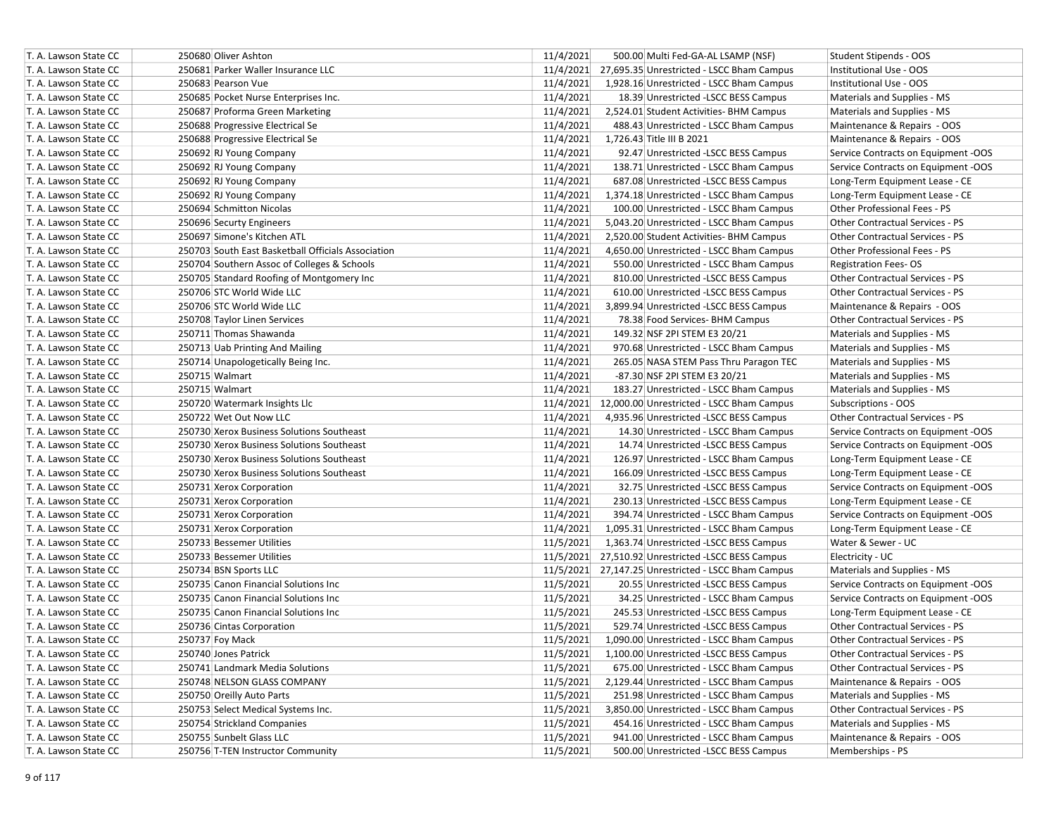| T. A. Lawson State CC | 250680 Oliver Ashton                               | 11/4/2021 |                           | 500.00 Multi Fed-GA-AL LSAMP (NSF)                  | Student Stipends - OOS                 |
|-----------------------|----------------------------------------------------|-----------|---------------------------|-----------------------------------------------------|----------------------------------------|
| T. A. Lawson State CC | 250681 Parker Waller Insurance LLC                 | 11/4/2021 |                           | 27,695.35 Unrestricted - LSCC Bham Campus           | Institutional Use - OOS                |
| T. A. Lawson State CC | 250683 Pearson Vue                                 | 11/4/2021 |                           | 1,928.16 Unrestricted - LSCC Bham Campus            | Institutional Use - OOS                |
| T. A. Lawson State CC | 250685 Pocket Nurse Enterprises Inc.               | 11/4/2021 |                           | 18.39 Unrestricted -LSCC BESS Campus                | Materials and Supplies - MS            |
| T. A. Lawson State CC | 250687 Proforma Green Marketing                    | 11/4/2021 |                           | 2,524.01 Student Activities- BHM Campus             | Materials and Supplies - MS            |
| T. A. Lawson State CC | 250688 Progressive Electrical Se                   | 11/4/2021 |                           | 488.43 Unrestricted - LSCC Bham Campus              | Maintenance & Repairs - OOS            |
| T. A. Lawson State CC | 250688 Progressive Electrical Se                   | 11/4/2021 | 1,726.43 Title III B 2021 |                                                     | Maintenance & Repairs - OOS            |
| T. A. Lawson State CC | 250692 RJ Young Company                            | 11/4/2021 |                           | 92.47 Unrestricted -LSCC BESS Campus                | Service Contracts on Equipment -OOS    |
| T. A. Lawson State CC | 250692 RJ Young Company                            | 11/4/2021 |                           | 138.71 Unrestricted - LSCC Bham Campus              | Service Contracts on Equipment -OOS    |
| T. A. Lawson State CC | 250692 RJ Young Company                            | 11/4/2021 |                           | 687.08 Unrestricted -LSCC BESS Campus               | Long-Term Equipment Lease - CE         |
| T. A. Lawson State CC | 250692 RJ Young Company                            | 11/4/2021 |                           | 1,374.18 Unrestricted - LSCC Bham Campus            | Long-Term Equipment Lease - CE         |
| T. A. Lawson State CC | 250694 Schmitton Nicolas                           | 11/4/2021 |                           | 100.00 Unrestricted - LSCC Bham Campus              | Other Professional Fees - PS           |
| T. A. Lawson State CC | 250696 Securty Engineers                           | 11/4/2021 |                           | 5,043.20 Unrestricted - LSCC Bham Campus            | Other Contractual Services - PS        |
| T. A. Lawson State CC | 250697 Simone's Kitchen ATL                        | 11/4/2021 |                           | 2,520.00 Student Activities- BHM Campus             | Other Contractual Services - PS        |
| T. A. Lawson State CC | 250703 South East Basketball Officials Association | 11/4/2021 |                           | 4,650.00 Unrestricted - LSCC Bham Campus            | Other Professional Fees - PS           |
| T. A. Lawson State CC | 250704 Southern Assoc of Colleges & Schools        | 11/4/2021 |                           | 550.00 Unrestricted - LSCC Bham Campus              | <b>Registration Fees-OS</b>            |
| T. A. Lawson State CC | 250705 Standard Roofing of Montgomery Inc          | 11/4/2021 |                           | 810.00 Unrestricted -LSCC BESS Campus               | Other Contractual Services - PS        |
| T. A. Lawson State CC | 250706 STC World Wide LLC                          | 11/4/2021 |                           | 610.00 Unrestricted -LSCC BESS Campus               | Other Contractual Services - PS        |
| T. A. Lawson State CC | 250706 STC World Wide LLC                          | 11/4/2021 |                           | 3,899.94 Unrestricted -LSCC BESS Campus             | Maintenance & Repairs - OOS            |
| T. A. Lawson State CC | 250708 Taylor Linen Services                       | 11/4/2021 |                           | 78.38 Food Services- BHM Campus                     | Other Contractual Services - PS        |
| T. A. Lawson State CC | 250711 Thomas Shawanda                             | 11/4/2021 |                           | 149.32 NSF 2PI STEM E3 20/21                        | Materials and Supplies - MS            |
| T. A. Lawson State CC | 250713 Uab Printing And Mailing                    | 11/4/2021 |                           | 970.68 Unrestricted - LSCC Bham Campus              | Materials and Supplies - MS            |
| T. A. Lawson State CC | 250714 Unapologetically Being Inc.                 | 11/4/2021 |                           | 265.05 NASA STEM Pass Thru Paragon TEC              | Materials and Supplies - MS            |
| T. A. Lawson State CC | 250715 Walmart                                     | 11/4/2021 |                           | -87.30 NSF 2PI STEM E3 20/21                        | Materials and Supplies - MS            |
| T. A. Lawson State CC | 250715 Walmart                                     | 11/4/2021 |                           | 183.27 Unrestricted - LSCC Bham Campus              | Materials and Supplies - MS            |
| T. A. Lawson State CC | 250720 Watermark Insights Llc                      | 11/4/2021 |                           | 12,000.00 Unrestricted - LSCC Bham Campus           | Subscriptions - OOS                    |
| T. A. Lawson State CC | 250722 Wet Out Now LLC                             | 11/4/2021 |                           | 4,935.96 Unrestricted -LSCC BESS Campus             | Other Contractual Services - PS        |
| T. A. Lawson State CC | 250730 Xerox Business Solutions Southeast          | 11/4/2021 |                           | 14.30 Unrestricted - LSCC Bham Campus               | Service Contracts on Equipment -OOS    |
| T. A. Lawson State CC | 250730 Xerox Business Solutions Southeast          | 11/4/2021 |                           | 14.74 Unrestricted -LSCC BESS Campus                | Service Contracts on Equipment -OOS    |
| T. A. Lawson State CC | 250730 Xerox Business Solutions Southeast          | 11/4/2021 |                           | 126.97 Unrestricted - LSCC Bham Campus              | Long-Term Equipment Lease - CE         |
| T. A. Lawson State CC | 250730 Xerox Business Solutions Southeast          | 11/4/2021 |                           | 166.09 Unrestricted -LSCC BESS Campus               | Long-Term Equipment Lease - CE         |
| T. A. Lawson State CC | 250731 Xerox Corporation                           | 11/4/2021 |                           | 32.75 Unrestricted -LSCC BESS Campus                | Service Contracts on Equipment -OOS    |
| T. A. Lawson State CC | 250731 Xerox Corporation                           | 11/4/2021 |                           | 230.13 Unrestricted -LSCC BESS Campus               | Long-Term Equipment Lease - CE         |
| T. A. Lawson State CC | 250731 Xerox Corporation                           | 11/4/2021 |                           | 394.74 Unrestricted - LSCC Bham Campus              | Service Contracts on Equipment -OOS    |
| T. A. Lawson State CC | 250731 Xerox Corporation                           | 11/4/2021 |                           | 1,095.31 Unrestricted - LSCC Bham Campus            | Long-Term Equipment Lease - CE         |
| T. A. Lawson State CC | 250733 Bessemer Utilities                          | 11/5/2021 |                           | 1,363.74 Unrestricted -LSCC BESS Campus             | Water & Sewer - UC                     |
| T. A. Lawson State CC | 250733 Bessemer Utilities                          | 11/5/2021 |                           | 27,510.92 Unrestricted -LSCC BESS Campus            | Electricity - UC                       |
| T. A. Lawson State CC | 250734 BSN Sports LLC                              |           |                           | 11/5/2021 27,147.25 Unrestricted - LSCC Bham Campus | Materials and Supplies - MS            |
| T. A. Lawson State CC | 250735 Canon Financial Solutions Inc               | 11/5/2021 |                           | 20.55 Unrestricted -LSCC BESS Campus                | Service Contracts on Equipment -OOS    |
| T. A. Lawson State CC | 250735 Canon Financial Solutions Inc               | 11/5/2021 |                           | 34.25 Unrestricted - LSCC Bham Campus               | Service Contracts on Equipment -OOS    |
| T. A. Lawson State CC | 250735 Canon Financial Solutions Inc               | 11/5/2021 |                           | 245.53 Unrestricted -LSCC BESS Campus               | Long-Term Equipment Lease - CE         |
| T. A. Lawson State CC | 250736 Cintas Corporation                          | 11/5/2021 |                           | 529.74 Unrestricted -LSCC BESS Campus               | Other Contractual Services - PS        |
| T. A. Lawson State CC | 250737 Foy Mack                                    | 11/5/2021 |                           | 1,090.00 Unrestricted - LSCC Bham Campus            | <b>Other Contractual Services - PS</b> |
| T. A. Lawson State CC | 250740 Jones Patrick                               | 11/5/2021 |                           | 1,100.00 Unrestricted -LSCC BESS Campus             | Other Contractual Services - PS        |
| T. A. Lawson State CC | 250741 Landmark Media Solutions                    | 11/5/2021 |                           | 675.00 Unrestricted - LSCC Bham Campus              | Other Contractual Services - PS        |
| T. A. Lawson State CC | 250748 NELSON GLASS COMPANY                        | 11/5/2021 |                           | 2,129.44 Unrestricted - LSCC Bham Campus            | Maintenance & Repairs - OOS            |
| T. A. Lawson State CC | 250750 Oreilly Auto Parts                          | 11/5/2021 |                           | 251.98 Unrestricted - LSCC Bham Campus              | Materials and Supplies - MS            |
| T. A. Lawson State CC | 250753 Select Medical Systems Inc.                 | 11/5/2021 |                           | 3,850.00 Unrestricted - LSCC Bham Campus            | Other Contractual Services - PS        |
| T. A. Lawson State CC | 250754 Strickland Companies                        | 11/5/2021 |                           | 454.16 Unrestricted - LSCC Bham Campus              | Materials and Supplies - MS            |
| T. A. Lawson State CC | 250755 Sunbelt Glass LLC                           | 11/5/2021 |                           | 941.00 Unrestricted - LSCC Bham Campus              | Maintenance & Repairs - OOS            |
| T. A. Lawson State CC | 250756 T-TEN Instructor Community                  | 11/5/2021 |                           | 500.00 Unrestricted -LSCC BESS Campus               | Memberships - PS                       |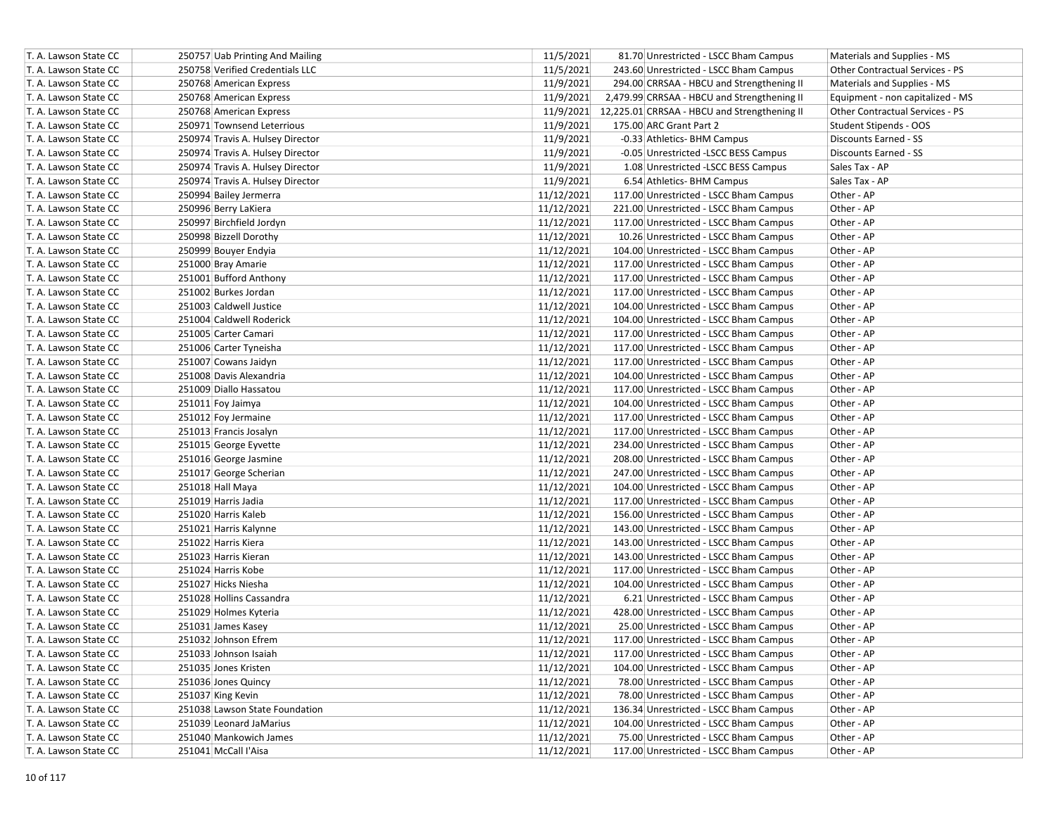| T. A. Lawson State CC | 250757 Uab Printing And Mailing  | 11/5/2021  | 81.70 Unrestricted - LSCC Bham Campus                  | Materials and Supplies - MS      |
|-----------------------|----------------------------------|------------|--------------------------------------------------------|----------------------------------|
| T. A. Lawson State CC | 250758 Verified Credentials LLC  | 11/5/2021  | 243.60 Unrestricted - LSCC Bham Campus                 | Other Contractual Services - PS  |
| T. A. Lawson State CC | 250768 American Express          | 11/9/2021  | 294.00 CRRSAA - HBCU and Strengthening II              | Materials and Supplies - MS      |
| T. A. Lawson State CC | 250768 American Express          | 11/9/2021  | 2,479.99 CRRSAA - HBCU and Strengthening II            | Equipment - non capitalized - MS |
| T. A. Lawson State CC | 250768 American Express          |            | 11/9/2021 12,225.01 CRRSAA - HBCU and Strengthening II | Other Contractual Services - PS  |
| T. A. Lawson State CC | 250971 Townsend Leterrious       | 11/9/2021  | 175.00 ARC Grant Part 2                                | Student Stipends - OOS           |
| T. A. Lawson State CC | 250974 Travis A. Hulsey Director | 11/9/2021  | -0.33 Athletics- BHM Campus                            | Discounts Earned - SS            |
| T. A. Lawson State CC | 250974 Travis A. Hulsey Director | 11/9/2021  | -0.05 Unrestricted -LSCC BESS Campus                   | Discounts Earned - SS            |
| T. A. Lawson State CC | 250974 Travis A. Hulsey Director | 11/9/2021  | 1.08 Unrestricted -LSCC BESS Campus                    | Sales Tax - AP                   |
| T. A. Lawson State CC | 250974 Travis A. Hulsey Director | 11/9/2021  | 6.54 Athletics- BHM Campus                             | Sales Tax - AP                   |
| T. A. Lawson State CC | 250994 Bailey Jermerra           | 11/12/2021 | 117.00 Unrestricted - LSCC Bham Campus                 | Other - AP                       |
| T. A. Lawson State CC | 250996 Berry LaKiera             | 11/12/2021 | 221.00 Unrestricted - LSCC Bham Campus                 | Other - AP                       |
| T. A. Lawson State CC | 250997 Birchfield Jordyn         | 11/12/2021 | 117.00 Unrestricted - LSCC Bham Campus                 | Other - AP                       |
| T. A. Lawson State CC | 250998 Bizzell Dorothy           | 11/12/2021 | 10.26 Unrestricted - LSCC Bham Campus                  | Other - AP                       |
| T. A. Lawson State CC | 250999 Bouyer Endyia             | 11/12/2021 | 104.00 Unrestricted - LSCC Bham Campus                 | Other - AP                       |
| T. A. Lawson State CC | 251000 Bray Amarie               | 11/12/2021 | 117.00 Unrestricted - LSCC Bham Campus                 | Other - AP                       |
| T. A. Lawson State CC | 251001 Bufford Anthony           | 11/12/2021 | 117.00 Unrestricted - LSCC Bham Campus                 | Other - AP                       |
| T. A. Lawson State CC | 251002 Burkes Jordan             | 11/12/2021 | 117.00 Unrestricted - LSCC Bham Campus                 | Other - AP                       |
| T. A. Lawson State CC | 251003 Caldwell Justice          | 11/12/2021 | 104.00 Unrestricted - LSCC Bham Campus                 | Other - AP                       |
| T. A. Lawson State CC | 251004 Caldwell Roderick         | 11/12/2021 | 104.00 Unrestricted - LSCC Bham Campus                 | Other - AP                       |
| T. A. Lawson State CC | 251005 Carter Camari             | 11/12/2021 | 117.00 Unrestricted - LSCC Bham Campus                 | Other - AP                       |
| T. A. Lawson State CC | 251006 Carter Tyneisha           | 11/12/2021 | 117.00 Unrestricted - LSCC Bham Campus                 | Other - AP                       |
| T. A. Lawson State CC | 251007 Cowans Jaidyn             | 11/12/2021 | 117.00 Unrestricted - LSCC Bham Campus                 | Other - AP                       |
| T. A. Lawson State CC | 251008 Davis Alexandria          | 11/12/2021 | 104.00 Unrestricted - LSCC Bham Campus                 | Other - AP                       |
| T. A. Lawson State CC | 251009 Diallo Hassatou           | 11/12/2021 | 117.00 Unrestricted - LSCC Bham Campus                 | Other - AP                       |
| T. A. Lawson State CC | 251011 Foy Jaimya                | 11/12/2021 | 104.00 Unrestricted - LSCC Bham Campus                 | Other - AP                       |
| T. A. Lawson State CC | 251012 Foy Jermaine              | 11/12/2021 | 117.00 Unrestricted - LSCC Bham Campus                 | Other - AP                       |
| T. A. Lawson State CC | 251013 Francis Josalyn           | 11/12/2021 | 117.00 Unrestricted - LSCC Bham Campus                 | Other - AP                       |
| T. A. Lawson State CC | 251015 George Eyvette            | 11/12/2021 | 234.00 Unrestricted - LSCC Bham Campus                 | Other - AP                       |
| T. A. Lawson State CC | 251016 George Jasmine            | 11/12/2021 | 208.00 Unrestricted - LSCC Bham Campus                 | Other - AP                       |
| T. A. Lawson State CC | 251017 George Scherian           | 11/12/2021 | 247.00 Unrestricted - LSCC Bham Campus                 | Other - AP                       |
| T. A. Lawson State CC | 251018 Hall Maya                 | 11/12/2021 | 104.00 Unrestricted - LSCC Bham Campus                 | Other - AP                       |
| T. A. Lawson State CC | 251019 Harris Jadia              | 11/12/2021 | 117.00 Unrestricted - LSCC Bham Campus                 | Other - AP                       |
| T. A. Lawson State CC | 251020 Harris Kaleb              | 11/12/2021 | 156.00 Unrestricted - LSCC Bham Campus                 | Other - AP                       |
| T. A. Lawson State CC | 251021 Harris Kalynne            | 11/12/2021 | 143.00 Unrestricted - LSCC Bham Campus                 | Other - AP                       |
| T. A. Lawson State CC | 251022 Harris Kiera              | 11/12/2021 | 143.00 Unrestricted - LSCC Bham Campus                 | Other - AP                       |
| T. A. Lawson State CC | 251023 Harris Kieran             | 11/12/2021 | 143.00 Unrestricted - LSCC Bham Campus                 | Other - AP                       |
| T. A. Lawson State CC | 251024 Harris Kobe               | 11/12/2021 | 117.00 Unrestricted - LSCC Bham Campus                 | Other - AP                       |
| T. A. Lawson State CC | 251027 Hicks Niesha              | 11/12/2021 | 104.00 Unrestricted - LSCC Bham Campus                 | Other - AP                       |
| T. A. Lawson State CC | 251028 Hollins Cassandra         | 11/12/2021 | 6.21 Unrestricted - LSCC Bham Campus                   | Other - AP                       |
| T. A. Lawson State CC | 251029 Holmes Kyteria            | 11/12/2021 | 428.00 Unrestricted - LSCC Bham Campus                 | Other - AP                       |
| T. A. Lawson State CC | 251031 James Kasey               | 11/12/2021 | 25.00 Unrestricted - LSCC Bham Campus                  | Other - AP                       |
| T. A. Lawson State CC | 251032 Johnson Efrem             | 11/12/2021 | 117.00 Unrestricted - LSCC Bham Campus                 | Other - AP                       |
| T. A. Lawson State CC | 251033 Johnson Isaiah            | 11/12/2021 | 117.00 Unrestricted - LSCC Bham Campus                 | Other - AP                       |
| T. A. Lawson State CC | 251035 Jones Kristen             | 11/12/2021 | 104.00 Unrestricted - LSCC Bham Campus                 | Other - AP                       |
| T. A. Lawson State CC | 251036 Jones Quincy              | 11/12/2021 | 78.00 Unrestricted - LSCC Bham Campus                  | Other - AP                       |
| T. A. Lawson State CC | 251037 King Kevin                | 11/12/2021 | 78.00 Unrestricted - LSCC Bham Campus                  | Other - AP                       |
| T. A. Lawson State CC | 251038 Lawson State Foundation   | 11/12/2021 | 136.34 Unrestricted - LSCC Bham Campus                 | Other - AP                       |
| T. A. Lawson State CC | 251039 Leonard JaMarius          | 11/12/2021 | 104.00 Unrestricted - LSCC Bham Campus                 | Other - AP                       |
| T. A. Lawson State CC | 251040 Mankowich James           | 11/12/2021 | 75.00 Unrestricted - LSCC Bham Campus                  | Other - AP                       |
| T. A. Lawson State CC | 251041 McCall I'Aisa             | 11/12/2021 | 117.00 Unrestricted - LSCC Bham Campus                 | Other - AP                       |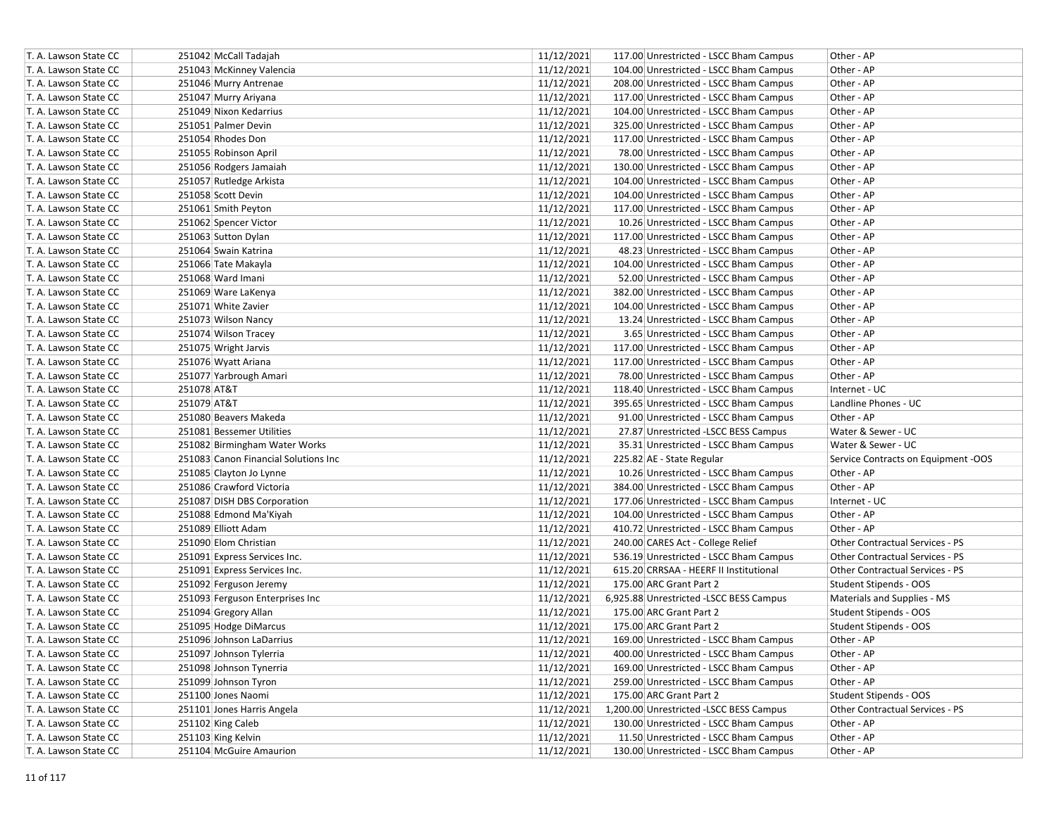| T. A. Lawson State CC | 251042 McCall Tadajah                | 11/12/2021 | 117.00 Unrestricted - LSCC Bham Campus  | Other - AP                          |
|-----------------------|--------------------------------------|------------|-----------------------------------------|-------------------------------------|
| T. A. Lawson State CC | 251043 McKinney Valencia             | 11/12/2021 | 104.00 Unrestricted - LSCC Bham Campus  | Other - AP                          |
| T. A. Lawson State CC | 251046 Murry Antrenae                | 11/12/2021 | 208.00 Unrestricted - LSCC Bham Campus  | Other - AP                          |
| T. A. Lawson State CC | 251047 Murry Ariyana                 | 11/12/2021 | 117.00 Unrestricted - LSCC Bham Campus  | Other - AP                          |
| T. A. Lawson State CC | 251049 Nixon Kedarrius               | 11/12/2021 | 104.00 Unrestricted - LSCC Bham Campus  | Other - AP                          |
| T. A. Lawson State CC | 251051 Palmer Devin                  | 11/12/2021 | 325.00 Unrestricted - LSCC Bham Campus  | Other - AP                          |
| T. A. Lawson State CC | 251054 Rhodes Don                    | 11/12/2021 | 117.00 Unrestricted - LSCC Bham Campus  | Other - AP                          |
| T. A. Lawson State CC | 251055 Robinson April                | 11/12/2021 | 78.00 Unrestricted - LSCC Bham Campus   | Other - AP                          |
| T. A. Lawson State CC | 251056 Rodgers Jamaiah               | 11/12/2021 | 130.00 Unrestricted - LSCC Bham Campus  | Other - AP                          |
| T. A. Lawson State CC | 251057 Rutledge Arkista              | 11/12/2021 | 104.00 Unrestricted - LSCC Bham Campus  | Other - AP                          |
| T. A. Lawson State CC | 251058 Scott Devin                   | 11/12/2021 | 104.00 Unrestricted - LSCC Bham Campus  | Other - AP                          |
| T. A. Lawson State CC | 251061 Smith Peyton                  | 11/12/2021 | 117.00 Unrestricted - LSCC Bham Campus  | Other - AP                          |
| T. A. Lawson State CC | 251062 Spencer Victor                | 11/12/2021 | 10.26 Unrestricted - LSCC Bham Campus   | Other - AP                          |
| T. A. Lawson State CC | 251063 Sutton Dylan                  | 11/12/2021 | 117.00 Unrestricted - LSCC Bham Campus  | Other - AP                          |
| T. A. Lawson State CC | 251064 Swain Katrina                 | 11/12/2021 | 48.23 Unrestricted - LSCC Bham Campus   | Other - AP                          |
| T. A. Lawson State CC | 251066 Tate Makayla                  | 11/12/2021 | 104.00 Unrestricted - LSCC Bham Campus  | Other - AP                          |
| T. A. Lawson State CC | 251068 Ward Imani                    | 11/12/2021 | 52.00 Unrestricted - LSCC Bham Campus   | Other - AP                          |
| T. A. Lawson State CC | 251069 Ware LaKenya                  | 11/12/2021 | 382.00 Unrestricted - LSCC Bham Campus  | Other - AP                          |
| T. A. Lawson State CC | 251071 White Zavier                  | 11/12/2021 | 104.00 Unrestricted - LSCC Bham Campus  | Other - AP                          |
| T. A. Lawson State CC | 251073 Wilson Nancy                  | 11/12/2021 | 13.24 Unrestricted - LSCC Bham Campus   | Other - AP                          |
| T. A. Lawson State CC | 251074 Wilson Tracey                 | 11/12/2021 | 3.65 Unrestricted - LSCC Bham Campus    | Other - AP                          |
| T. A. Lawson State CC | 251075 Wright Jarvis                 | 11/12/2021 | 117.00 Unrestricted - LSCC Bham Campus  | Other - AP                          |
| T. A. Lawson State CC | 251076 Wyatt Ariana                  | 11/12/2021 | 117.00 Unrestricted - LSCC Bham Campus  | Other - AP                          |
| T. A. Lawson State CC | 251077 Yarbrough Amari               | 11/12/2021 | 78.00 Unrestricted - LSCC Bham Campus   | Other - AP                          |
| T. A. Lawson State CC | 251078 AT&T                          | 11/12/2021 | 118.40 Unrestricted - LSCC Bham Campus  | Internet - UC                       |
| T. A. Lawson State CC | 251079 AT&T                          | 11/12/2021 | 395.65 Unrestricted - LSCC Bham Campus  | Landline Phones - UC                |
| T. A. Lawson State CC | 251080 Beavers Makeda                | 11/12/2021 | 91.00 Unrestricted - LSCC Bham Campus   | Other - AP                          |
| T. A. Lawson State CC | 251081 Bessemer Utilities            | 11/12/2021 | 27.87 Unrestricted -LSCC BESS Campus    | Water & Sewer - UC                  |
| T. A. Lawson State CC | 251082 Birmingham Water Works        | 11/12/2021 | 35.31 Unrestricted - LSCC Bham Campus   | Water & Sewer - UC                  |
| T. A. Lawson State CC | 251083 Canon Financial Solutions Inc | 11/12/2021 | 225.82 AE - State Regular               | Service Contracts on Equipment -OOS |
| T. A. Lawson State CC | 251085 Clayton Jo Lynne              | 11/12/2021 | 10.26 Unrestricted - LSCC Bham Campus   | Other - AP                          |
| T. A. Lawson State CC | 251086 Crawford Victoria             | 11/12/2021 | 384.00 Unrestricted - LSCC Bham Campus  | Other - AP                          |
| T. A. Lawson State CC | 251087 DISH DBS Corporation          | 11/12/2021 | 177.06 Unrestricted - LSCC Bham Campus  | Internet - UC                       |
| T. A. Lawson State CC | 251088 Edmond Ma'Kiyah               | 11/12/2021 | 104.00 Unrestricted - LSCC Bham Campus  | Other - AP                          |
| T. A. Lawson State CC | 251089 Elliott Adam                  | 11/12/2021 | 410.72 Unrestricted - LSCC Bham Campus  | Other - AP                          |
| T. A. Lawson State CC | 251090 Elom Christian                | 11/12/2021 | 240.00 CARES Act - College Relief       | Other Contractual Services - PS     |
| T. A. Lawson State CC | 251091 Express Services Inc.         | 11/12/2021 | 536.19 Unrestricted - LSCC Bham Campus  | Other Contractual Services - PS     |
| T. A. Lawson State CC | 251091 Express Services Inc.         | 11/12/2021 | 615.20 CRRSAA - HEERF II Institutional  | Other Contractual Services - PS     |
| T. A. Lawson State CC | 251092 Ferguson Jeremy               | 11/12/2021 | 175.00 ARC Grant Part 2                 | Student Stipends - OOS              |
| T. A. Lawson State CC | 251093 Ferguson Enterprises Inc      | 11/12/2021 | 6,925.88 Unrestricted -LSCC BESS Campus | Materials and Supplies - MS         |
| T. A. Lawson State CC | 251094 Gregory Allan                 | 11/12/2021 | 175.00 ARC Grant Part 2                 | Student Stipends - OOS              |
| T. A. Lawson State CC | 251095 Hodge DiMarcus                | 11/12/2021 | 175.00 ARC Grant Part 2                 | Student Stipends - OOS              |
| T. A. Lawson State CC | 251096 Johnson LaDarrius             | 11/12/2021 | 169.00 Unrestricted - LSCC Bham Campus  | Other - AP                          |
| T. A. Lawson State CC | 251097 Johnson Tylerria              | 11/12/2021 | 400.00 Unrestricted - LSCC Bham Campus  | Other - AP                          |
| T. A. Lawson State CC | 251098 Johnson Tynerria              | 11/12/2021 | 169.00 Unrestricted - LSCC Bham Campus  | Other - AP                          |
| T. A. Lawson State CC | 251099 Johnson Tyron                 | 11/12/2021 | 259.00 Unrestricted - LSCC Bham Campus  | Other - AP                          |
| T. A. Lawson State CC | 251100 Jones Naomi                   | 11/12/2021 | 175.00 ARC Grant Part 2                 | Student Stipends - OOS              |
| T. A. Lawson State CC | 251101 Jones Harris Angela           | 11/12/2021 | 1,200.00 Unrestricted -LSCC BESS Campus | Other Contractual Services - PS     |
| T. A. Lawson State CC | 251102 King Caleb                    | 11/12/2021 | 130.00 Unrestricted - LSCC Bham Campus  | Other - AP                          |
| T. A. Lawson State CC | 251103 King Kelvin                   | 11/12/2021 | 11.50 Unrestricted - LSCC Bham Campus   | Other - AP                          |
| T. A. Lawson State CC | 251104 McGuire Amaurion              | 11/12/2021 | 130.00 Unrestricted - LSCC Bham Campus  | Other - AP                          |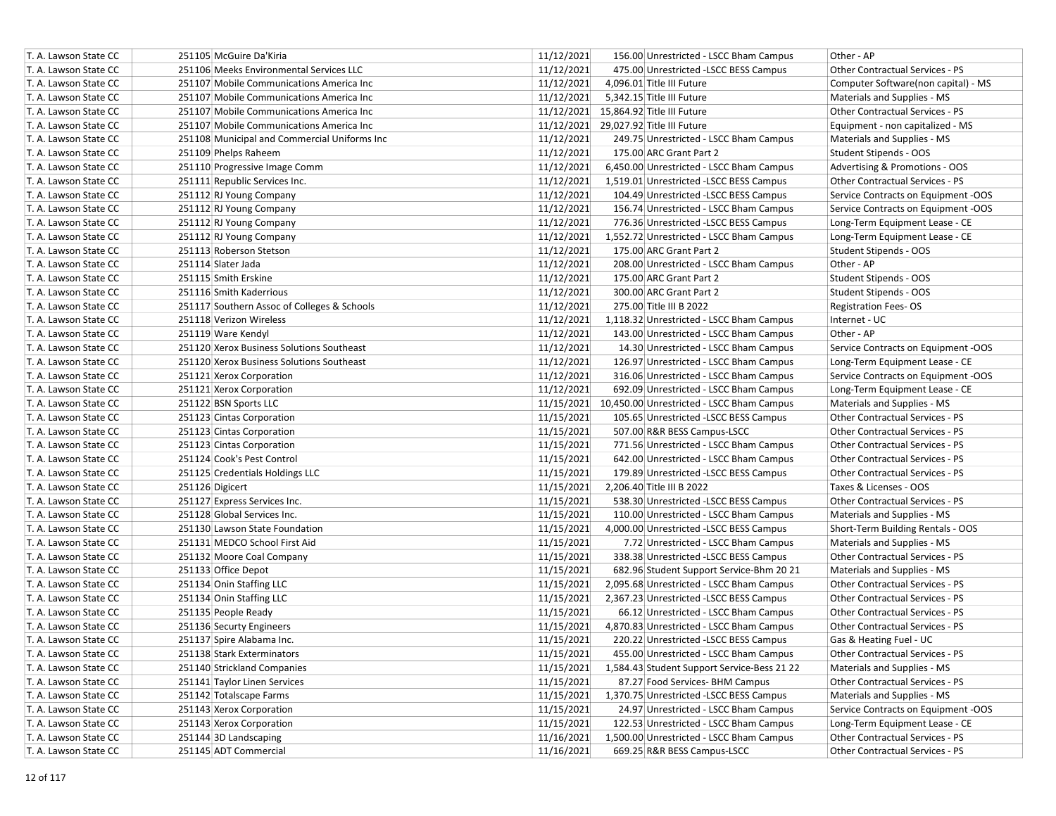| T. A. Lawson State CC | 251105 McGuire Da'Kiria                      | 11/12/2021 | 156.00 Unrestricted - LSCC Bham Campus      | Other - AP                             |
|-----------------------|----------------------------------------------|------------|---------------------------------------------|----------------------------------------|
| T. A. Lawson State CC | 251106 Meeks Environmental Services LLC      | 11/12/2021 | 475.00 Unrestricted -LSCC BESS Campus       | Other Contractual Services - PS        |
| T. A. Lawson State CC | 251107 Mobile Communications America Inc     | 11/12/2021 | 4,096.01 Title III Future                   | Computer Software(non capital) - MS    |
| T. A. Lawson State CC | 251107 Mobile Communications America Inc     | 11/12/2021 | 5,342.15 Title III Future                   | Materials and Supplies - MS            |
| T. A. Lawson State CC | 251107 Mobile Communications America Inc     |            | 11/12/2021 15,864.92 Title III Future       | <b>Other Contractual Services - PS</b> |
| T. A. Lawson State CC | 251107 Mobile Communications America Inc     | 11/12/2021 | 29,027.92 Title III Future                  | Equipment - non capitalized - MS       |
| T. A. Lawson State CC | 251108 Municipal and Commercial Uniforms Inc | 11/12/2021 | 249.75 Unrestricted - LSCC Bham Campus      | Materials and Supplies - MS            |
| T. A. Lawson State CC | 251109 Phelps Raheem                         | 11/12/2021 | 175.00 ARC Grant Part 2                     | Student Stipends - OOS                 |
| T. A. Lawson State CC | 251110 Progressive Image Comm                | 11/12/2021 | 6,450.00 Unrestricted - LSCC Bham Campus    | Advertising & Promotions - OOS         |
| T. A. Lawson State CC | 251111 Republic Services Inc.                | 11/12/2021 | 1,519.01 Unrestricted -LSCC BESS Campus     | Other Contractual Services - PS        |
| T. A. Lawson State CC | 251112 RJ Young Company                      | 11/12/2021 | 104.49 Unrestricted -LSCC BESS Campus       | Service Contracts on Equipment -OOS    |
| T. A. Lawson State CC | 251112 RJ Young Company                      | 11/12/2021 | 156.74 Unrestricted - LSCC Bham Campus      | Service Contracts on Equipment -OOS    |
| T. A. Lawson State CC | 251112 RJ Young Company                      | 11/12/2021 | 776.36 Unrestricted -LSCC BESS Campus       | Long-Term Equipment Lease - CE         |
| T. A. Lawson State CC | 251112 RJ Young Company                      | 11/12/2021 | 1,552.72 Unrestricted - LSCC Bham Campus    | Long-Term Equipment Lease - CE         |
| T. A. Lawson State CC | 251113 Roberson Stetson                      | 11/12/2021 | 175.00 ARC Grant Part 2                     | Student Stipends - OOS                 |
| T. A. Lawson State CC | 251114 Slater Jada                           | 11/12/2021 | 208.00 Unrestricted - LSCC Bham Campus      | Other - AP                             |
| T. A. Lawson State CC | 251115 Smith Erskine                         | 11/12/2021 | 175.00 ARC Grant Part 2                     | Student Stipends - OOS                 |
| T. A. Lawson State CC | 251116 Smith Kaderrious                      | 11/12/2021 | 300.00 ARC Grant Part 2                     | Student Stipends - OOS                 |
| T. A. Lawson State CC | 251117 Southern Assoc of Colleges & Schools  | 11/12/2021 | 275.00 Title III B 2022                     | <b>Registration Fees-OS</b>            |
| T. A. Lawson State CC | 251118 Verizon Wireless                      | 11/12/2021 | 1,118.32 Unrestricted - LSCC Bham Campus    | Internet - UC                          |
| T. A. Lawson State CC | 251119 Ware Kendyl                           | 11/12/2021 | 143.00 Unrestricted - LSCC Bham Campus      | Other - AP                             |
| T. A. Lawson State CC | 251120 Xerox Business Solutions Southeast    | 11/12/2021 | 14.30 Unrestricted - LSCC Bham Campus       | Service Contracts on Equipment -OOS    |
| T. A. Lawson State CC | 251120 Xerox Business Solutions Southeast    | 11/12/2021 | 126.97 Unrestricted - LSCC Bham Campus      | Long-Term Equipment Lease - CE         |
| T. A. Lawson State CC | 251121 Xerox Corporation                     | 11/12/2021 | 316.06 Unrestricted - LSCC Bham Campus      | Service Contracts on Equipment -OOS    |
| T. A. Lawson State CC | 251121 Xerox Corporation                     | 11/12/2021 | 692.09 Unrestricted - LSCC Bham Campus      | Long-Term Equipment Lease - CE         |
| T. A. Lawson State CC | 251122 BSN Sports LLC                        | 11/15/2021 | 10,450.00 Unrestricted - LSCC Bham Campus   | Materials and Supplies - MS            |
| T. A. Lawson State CC | 251123 Cintas Corporation                    | 11/15/2021 | 105.65 Unrestricted -LSCC BESS Campus       | Other Contractual Services - PS        |
| T. A. Lawson State CC | 251123 Cintas Corporation                    | 11/15/2021 | 507.00 R&R BESS Campus-LSCC                 | Other Contractual Services - PS        |
| T. A. Lawson State CC | 251123 Cintas Corporation                    | 11/15/2021 | 771.56 Unrestricted - LSCC Bham Campus      | Other Contractual Services - PS        |
| T. A. Lawson State CC | 251124 Cook's Pest Control                   | 11/15/2021 | 642.00 Unrestricted - LSCC Bham Campus      | Other Contractual Services - PS        |
| T. A. Lawson State CC | 251125 Credentials Holdings LLC              | 11/15/2021 | 179.89 Unrestricted -LSCC BESS Campus       | Other Contractual Services - PS        |
| T. A. Lawson State CC | 251126 Digicert                              | 11/15/2021 | 2,206.40 Title III B 2022                   | Taxes & Licenses - OOS                 |
| T. A. Lawson State CC | 251127 Express Services Inc.                 | 11/15/2021 | 538.30 Unrestricted -LSCC BESS Campus       | Other Contractual Services - PS        |
| T. A. Lawson State CC | 251128 Global Services Inc.                  | 11/15/2021 | 110.00 Unrestricted - LSCC Bham Campus      | Materials and Supplies - MS            |
| T. A. Lawson State CC | 251130 Lawson State Foundation               | 11/15/2021 | 4,000.00 Unrestricted -LSCC BESS Campus     | Short-Term Building Rentals - OOS      |
| T. A. Lawson State CC | 251131 MEDCO School First Aid                | 11/15/2021 | 7.72 Unrestricted - LSCC Bham Campus        | Materials and Supplies - MS            |
| T. A. Lawson State CC | 251132 Moore Coal Company                    | 11/15/2021 | 338.38 Unrestricted -LSCC BESS Campus       | Other Contractual Services - PS        |
| T. A. Lawson State CC | 251133 Office Depot                          | 11/15/2021 | 682.96 Student Support Service-Bhm 20 21    | Materials and Supplies - MS            |
| T. A. Lawson State CC | 251134 Onin Staffing LLC                     | 11/15/2021 | 2,095.68 Unrestricted - LSCC Bham Campus    | Other Contractual Services - PS        |
| T. A. Lawson State CC | 251134 Onin Staffing LLC                     | 11/15/2021 | 2,367.23 Unrestricted -LSCC BESS Campus     | Other Contractual Services - PS        |
| T. A. Lawson State CC | 251135 People Ready                          | 11/15/2021 | 66.12 Unrestricted - LSCC Bham Campus       | Other Contractual Services - PS        |
| T. A. Lawson State CC | 251136 Securty Engineers                     | 11/15/2021 | 4,870.83 Unrestricted - LSCC Bham Campus    | Other Contractual Services - PS        |
| T. A. Lawson State CC | 251137 Spire Alabama Inc.                    | 11/15/2021 | 220.22 Unrestricted -LSCC BESS Campus       | Gas & Heating Fuel - UC                |
| T. A. Lawson State CC | 251138 Stark Exterminators                   | 11/15/2021 | 455.00 Unrestricted - LSCC Bham Campus      | Other Contractual Services - PS        |
| T. A. Lawson State CC | 251140 Strickland Companies                  | 11/15/2021 | 1,584.43 Student Support Service-Bess 21 22 | Materials and Supplies - MS            |
| T. A. Lawson State CC | 251141 Taylor Linen Services                 | 11/15/2021 | 87.27 Food Services- BHM Campus             | Other Contractual Services - PS        |
| T. A. Lawson State CC | 251142 Totalscape Farms                      | 11/15/2021 | 1,370.75 Unrestricted -LSCC BESS Campus     | Materials and Supplies - MS            |
| T. A. Lawson State CC | 251143 Xerox Corporation                     | 11/15/2021 | 24.97 Unrestricted - LSCC Bham Campus       | Service Contracts on Equipment -OOS    |
| T. A. Lawson State CC | 251143 Xerox Corporation                     | 11/15/2021 | 122.53 Unrestricted - LSCC Bham Campus      | Long-Term Equipment Lease - CE         |
| T. A. Lawson State CC | 251144 3D Landscaping                        | 11/16/2021 | 1,500.00 Unrestricted - LSCC Bham Campus    | Other Contractual Services - PS        |
| T. A. Lawson State CC | 251145 ADT Commercial                        | 11/16/2021 | 669.25 R&R BESS Campus-LSCC                 | Other Contractual Services - PS        |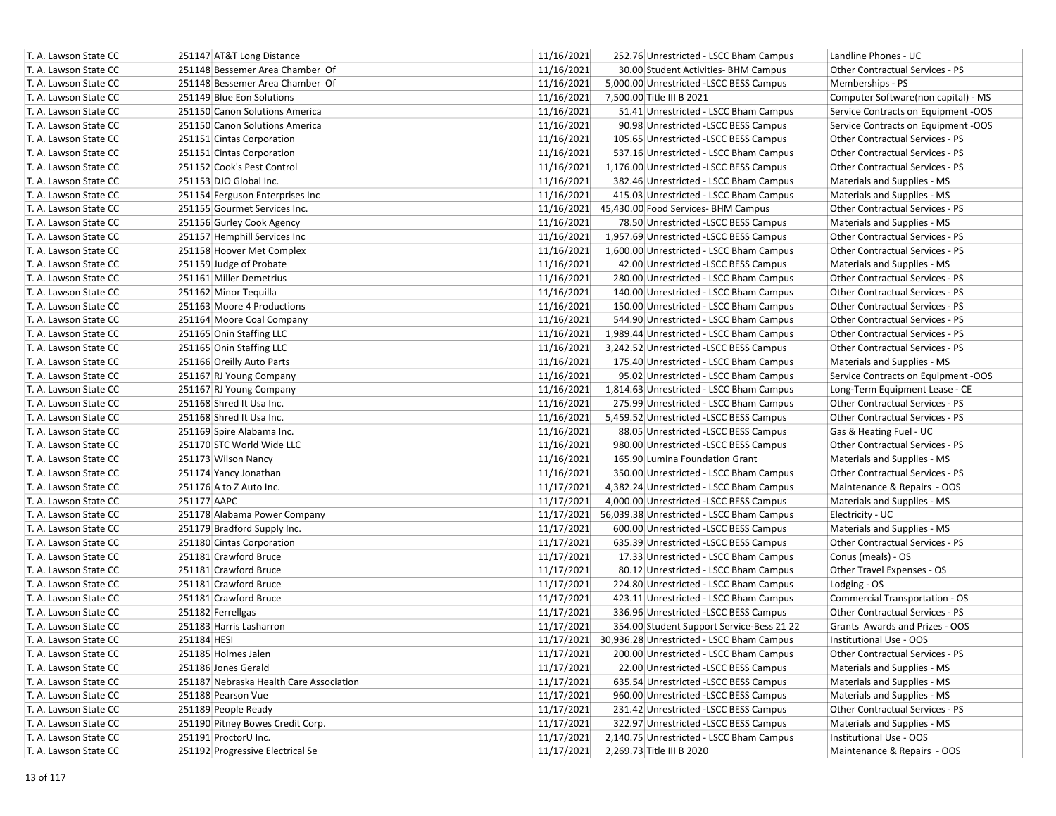| T. A. Lawson State CC                          | 251147 AT&T Long Distance                          | 11/16/2021               | 252.76 Unrestricted - LSCC Bham Campus                                                            | Landline Phones - UC                                      |
|------------------------------------------------|----------------------------------------------------|--------------------------|---------------------------------------------------------------------------------------------------|-----------------------------------------------------------|
| T. A. Lawson State CC                          | 251148 Bessemer Area Chamber Of                    | 11/16/2021               | 30.00 Student Activities- BHM Campus                                                              | Other Contractual Services - PS                           |
| T. A. Lawson State CC                          | 251148 Bessemer Area Chamber Of                    | 11/16/2021               | 5,000.00 Unrestricted -LSCC BESS Campus                                                           | Memberships - PS                                          |
| T. A. Lawson State CC                          | 251149 Blue Eon Solutions                          | 11/16/2021               | 7,500.00 Title III B 2021                                                                         | Computer Software(non capital) - MS                       |
| T. A. Lawson State CC                          | 251150 Canon Solutions America                     | 11/16/2021               | 51.41 Unrestricted - LSCC Bham Campus                                                             | Service Contracts on Equipment -OOS                       |
| T. A. Lawson State CC                          | 251150 Canon Solutions America                     | 11/16/2021               | 90.98 Unrestricted -LSCC BESS Campus                                                              | Service Contracts on Equipment -OOS                       |
| T. A. Lawson State CC                          | 251151 Cintas Corporation                          | 11/16/2021               | 105.65 Unrestricted -LSCC BESS Campus                                                             | Other Contractual Services - PS                           |
| T. A. Lawson State CC                          | 251151 Cintas Corporation                          | 11/16/2021               | 537.16 Unrestricted - LSCC Bham Campus                                                            | Other Contractual Services - PS                           |
| T. A. Lawson State CC                          | 251152 Cook's Pest Control                         | 11/16/2021               | 1,176.00 Unrestricted -LSCC BESS Campus                                                           | Other Contractual Services - PS                           |
| T. A. Lawson State CC                          | 251153 DJO Global Inc.                             | 11/16/2021               | 382.46 Unrestricted - LSCC Bham Campus                                                            | Materials and Supplies - MS                               |
| T. A. Lawson State CC                          | 251154 Ferguson Enterprises Inc                    | 11/16/2021               | 415.03 Unrestricted - LSCC Bham Campus                                                            | Materials and Supplies - MS                               |
| T. A. Lawson State CC                          | 251155 Gourmet Services Inc.                       |                          | 11/16/2021 45,430.00 Food Services- BHM Campus                                                    | Other Contractual Services - PS                           |
| T. A. Lawson State CC                          | 251156 Gurley Cook Agency                          | 11/16/2021               | 78.50 Unrestricted -LSCC BESS Campus                                                              | Materials and Supplies - MS                               |
| T. A. Lawson State CC                          | 251157 Hemphill Services Inc                       | 11/16/2021               | 1,957.69 Unrestricted -LSCC BESS Campus                                                           | Other Contractual Services - PS                           |
| T. A. Lawson State CC                          | 251158 Hoover Met Complex                          | 11/16/2021               | 1,600.00 Unrestricted - LSCC Bham Campus                                                          | Other Contractual Services - PS                           |
| T. A. Lawson State CC                          | 251159 Judge of Probate                            | 11/16/2021               | 42.00 Unrestricted -LSCC BESS Campus                                                              | Materials and Supplies - MS                               |
| T. A. Lawson State CC                          | 251161 Miller Demetrius                            | 11/16/2021               | 280.00 Unrestricted - LSCC Bham Campus                                                            | Other Contractual Services - PS                           |
| T. A. Lawson State CC                          | 251162 Minor Tequilla                              | 11/16/2021               | 140.00 Unrestricted - LSCC Bham Campus                                                            | Other Contractual Services - PS                           |
| T. A. Lawson State CC                          | 251163 Moore 4 Productions                         | 11/16/2021               | 150.00 Unrestricted - LSCC Bham Campus                                                            | <b>Other Contractual Services - PS</b>                    |
| T. A. Lawson State CC                          | 251164 Moore Coal Company                          | 11/16/2021               | 544.90 Unrestricted - LSCC Bham Campus                                                            | Other Contractual Services - PS                           |
| T. A. Lawson State CC                          | 251165 Onin Staffing LLC                           | 11/16/2021               | 1,989.44 Unrestricted - LSCC Bham Campus                                                          | Other Contractual Services - PS                           |
| T. A. Lawson State CC                          | 251165 Onin Staffing LLC                           | 11/16/2021               | 3,242.52 Unrestricted -LSCC BESS Campus                                                           | Other Contractual Services - PS                           |
| T. A. Lawson State CC                          | 251166 Oreilly Auto Parts                          | 11/16/2021               | 175.40 Unrestricted - LSCC Bham Campus                                                            | Materials and Supplies - MS                               |
| T. A. Lawson State CC                          | 251167 RJ Young Company                            | 11/16/2021               | 95.02 Unrestricted - LSCC Bham Campus                                                             | Service Contracts on Equipment -OOS                       |
| T. A. Lawson State CC                          | 251167 RJ Young Company                            | 11/16/2021               | 1,814.63 Unrestricted - LSCC Bham Campus                                                          | Long-Term Equipment Lease - CE                            |
| T. A. Lawson State CC                          | 251168 Shred It Usa Inc.                           | 11/16/2021               | 275.99 Unrestricted - LSCC Bham Campus                                                            | Other Contractual Services - PS                           |
| T. A. Lawson State CC                          | 251168 Shred It Usa Inc.                           | 11/16/2021               | 5,459.52 Unrestricted -LSCC BESS Campus                                                           | Other Contractual Services - PS                           |
| T. A. Lawson State CC                          | 251169 Spire Alabama Inc.                          | 11/16/2021               | 88.05 Unrestricted -LSCC BESS Campus                                                              | Gas & Heating Fuel - UC                                   |
| T. A. Lawson State CC                          | 251170 STC World Wide LLC                          | 11/16/2021               | 980.00 Unrestricted -LSCC BESS Campus                                                             | Other Contractual Services - PS                           |
| T. A. Lawson State CC                          | 251173 Wilson Nancy                                | 11/16/2021               | 165.90 Lumina Foundation Grant                                                                    | Materials and Supplies - MS                               |
| T. A. Lawson State CC                          | 251174 Yancy Jonathan                              | 11/16/2021               | 350.00 Unrestricted - LSCC Bham Campus                                                            | Other Contractual Services - PS                           |
| T. A. Lawson State CC                          | 251176 A to Z Auto Inc.                            | 11/17/2021               | 4,382.24 Unrestricted - LSCC Bham Campus                                                          | Maintenance & Repairs - OOS                               |
| T. A. Lawson State CC                          | 251177 AAPC                                        | 11/17/2021               | 4,000.00 Unrestricted -LSCC BESS Campus                                                           | Materials and Supplies - MS                               |
| T. A. Lawson State CC                          | 251178 Alabama Power Company                       |                          | 11/17/2021 56,039.38 Unrestricted - LSCC Bham Campus                                              | Electricity - UC                                          |
| T. A. Lawson State CC                          | 251179 Bradford Supply Inc.                        | 11/17/2021               | 600.00 Unrestricted -LSCC BESS Campus                                                             | Materials and Supplies - MS                               |
| T. A. Lawson State CC                          |                                                    | 11/17/2021               | 635.39 Unrestricted -LSCC BESS Campus                                                             | Other Contractual Services - PS                           |
|                                                | 251180 Cintas Corporation<br>251181 Crawford Bruce | 11/17/2021               |                                                                                                   |                                                           |
| T. A. Lawson State CC                          |                                                    |                          | 17.33 Unrestricted - LSCC Bham Campus                                                             | Conus (meals) - OS                                        |
| T. A. Lawson State CC<br>T. A. Lawson State CC | 251181 Crawford Bruce<br>251181 Crawford Bruce     | 11/17/2021               | 80.12 Unrestricted - LSCC Bham Campus<br>224.80 Unrestricted - LSCC Bham Campus                   | Other Travel Expenses - OS                                |
| T. A. Lawson State CC                          | 251181 Crawford Bruce                              | 11/17/2021<br>11/17/2021 |                                                                                                   | Lodging - OS<br><b>Commercial Transportation - OS</b>     |
| T. A. Lawson State CC                          | 251182 Ferrellgas                                  | 11/17/2021               | 423.11 Unrestricted - LSCC Bham Campus<br>336.96 Unrestricted -LSCC BESS Campus                   | Other Contractual Services - PS                           |
|                                                | 251183 Harris Lasharron                            | 11/17/2021               |                                                                                                   |                                                           |
| T. A. Lawson State CC<br>T. A. Lawson State CC | 251184 HESI                                        |                          | 354.00 Student Support Service-Bess 21 22<br>11/17/2021 30,936.28 Unrestricted - LSCC Bham Campus | Grants Awards and Prizes - OOS<br>Institutional Use - OOS |
|                                                |                                                    |                          |                                                                                                   |                                                           |
| T. A. Lawson State CC                          | 251185 Holmes Jalen                                | 11/17/2021               | 200.00 Unrestricted - LSCC Bham Campus                                                            | Other Contractual Services - PS                           |
| T. A. Lawson State CC                          | 251186 Jones Gerald                                | 11/17/2021               | 22.00 Unrestricted -LSCC BESS Campus                                                              | Materials and Supplies - MS                               |
| T. A. Lawson State CC                          | 251187 Nebraska Health Care Association            | 11/17/2021               | 635.54 Unrestricted -LSCC BESS Campus                                                             | Materials and Supplies - MS                               |
| T. A. Lawson State CC                          | 251188 Pearson Vue                                 | 11/17/2021               | 960.00 Unrestricted -LSCC BESS Campus                                                             | Materials and Supplies - MS                               |
| T. A. Lawson State CC                          | 251189 People Ready                                | 11/17/2021               | 231.42 Unrestricted -LSCC BESS Campus                                                             | Other Contractual Services - PS                           |
| T. A. Lawson State CC                          | 251190 Pitney Bowes Credit Corp.                   | 11/17/2021               | 322.97 Unrestricted -LSCC BESS Campus                                                             | Materials and Supplies - MS                               |
| T. A. Lawson State CC                          | 251191 ProctorU Inc.                               | 11/17/2021               | 2,140.75 Unrestricted - LSCC Bham Campus                                                          | Institutional Use - OOS                                   |
| T. A. Lawson State CC                          | 251192 Progressive Electrical Se                   | 11/17/2021               | 2,269.73 Title III B 2020                                                                         | Maintenance & Repairs - OOS                               |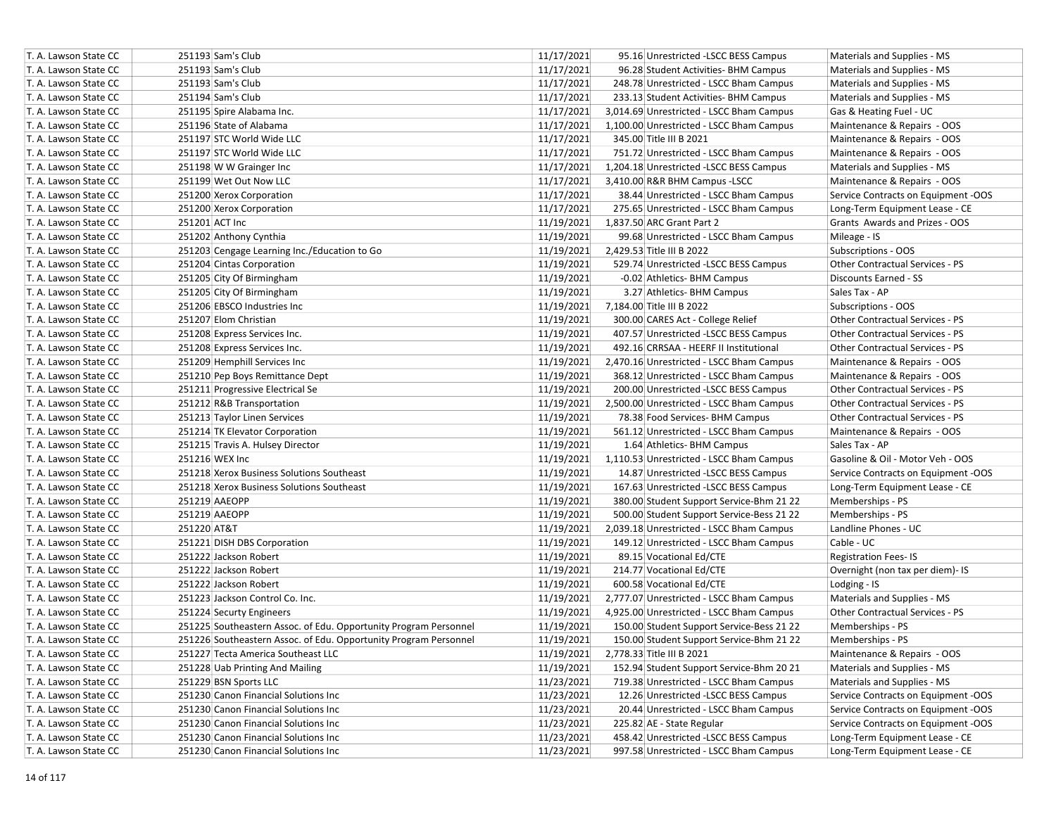| T. A. Lawson State CC | 251193 Sam's Club                                                | 11/17/2021 | 95.16 Unrestricted -LSCC BESS Campus      | Materials and Supplies - MS            |
|-----------------------|------------------------------------------------------------------|------------|-------------------------------------------|----------------------------------------|
| T. A. Lawson State CC | 251193 Sam's Club                                                | 11/17/2021 | 96.28 Student Activities- BHM Campus      | Materials and Supplies - MS            |
| T. A. Lawson State CC | 251193 Sam's Club                                                | 11/17/2021 | 248.78 Unrestricted - LSCC Bham Campus    | Materials and Supplies - MS            |
| T. A. Lawson State CC | 251194 Sam's Club                                                | 11/17/2021 | 233.13 Student Activities- BHM Campus     | Materials and Supplies - MS            |
| T. A. Lawson State CC | 251195 Spire Alabama Inc.                                        | 11/17/2021 | 3,014.69 Unrestricted - LSCC Bham Campus  | Gas & Heating Fuel - UC                |
| T. A. Lawson State CC | 251196 State of Alabama                                          | 11/17/2021 | 1,100.00 Unrestricted - LSCC Bham Campus  | Maintenance & Repairs - OOS            |
| T. A. Lawson State CC | 251197 STC World Wide LLC                                        | 11/17/2021 | 345.00 Title III B 2021                   | Maintenance & Repairs - OOS            |
| T. A. Lawson State CC | 251197 STC World Wide LLC                                        | 11/17/2021 | 751.72 Unrestricted - LSCC Bham Campus    | Maintenance & Repairs - OOS            |
| T. A. Lawson State CC | 251198 W W Grainger Inc                                          | 11/17/2021 | 1,204.18 Unrestricted -LSCC BESS Campus   | Materials and Supplies - MS            |
| T. A. Lawson State CC | 251199 Wet Out Now LLC                                           | 11/17/2021 | 3,410.00 R&R BHM Campus -LSCC             | Maintenance & Repairs - OOS            |
| T. A. Lawson State CC | 251200 Xerox Corporation                                         | 11/17/2021 | 38.44 Unrestricted - LSCC Bham Campus     | Service Contracts on Equipment -OOS    |
| T. A. Lawson State CC | 251200 Xerox Corporation                                         | 11/17/2021 | 275.65 Unrestricted - LSCC Bham Campus    | Long-Term Equipment Lease - CE         |
| T. A. Lawson State CC | 251201 ACT Inc                                                   | 11/19/2021 | 1,837.50 ARC Grant Part 2                 | Grants Awards and Prizes - OOS         |
| T. A. Lawson State CC | 251202 Anthony Cynthia                                           | 11/19/2021 | 99.68 Unrestricted - LSCC Bham Campus     | Mileage - IS                           |
| T. A. Lawson State CC | 251203 Cengage Learning Inc./Education to Go                     | 11/19/2021 | 2,429.53 Title III B 2022                 | Subscriptions - OOS                    |
| T. A. Lawson State CC | 251204 Cintas Corporation                                        | 11/19/2021 | 529.74 Unrestricted -LSCC BESS Campus     | Other Contractual Services - PS        |
| T. A. Lawson State CC | 251205 City Of Birmingham                                        | 11/19/2021 | -0.02 Athletics- BHM Campus               | <b>Discounts Earned - SS</b>           |
| T. A. Lawson State CC | 251205 City Of Birmingham                                        | 11/19/2021 | 3.27 Athletics- BHM Campus                | Sales Tax - AP                         |
| T. A. Lawson State CC | 251206 EBSCO Industries Inc                                      | 11/19/2021 | 7,184.00 Title III B 2022                 | Subscriptions - OOS                    |
| T. A. Lawson State CC | 251207 Elom Christian                                            | 11/19/2021 | 300.00 CARES Act - College Relief         | Other Contractual Services - PS        |
| T. A. Lawson State CC | 251208 Express Services Inc.                                     | 11/19/2021 | 407.57 Unrestricted -LSCC BESS Campus     | Other Contractual Services - PS        |
| T. A. Lawson State CC | 251208 Express Services Inc.                                     | 11/19/2021 | 492.16 CRRSAA - HEERF II Institutional    | Other Contractual Services - PS        |
| T. A. Lawson State CC | 251209 Hemphill Services Inc                                     | 11/19/2021 | 2,470.16 Unrestricted - LSCC Bham Campus  | Maintenance & Repairs - OOS            |
| T. A. Lawson State CC | 251210 Pep Boys Remittance Dept                                  | 11/19/2021 | 368.12 Unrestricted - LSCC Bham Campus    | Maintenance & Repairs - OOS            |
| T. A. Lawson State CC | 251211 Progressive Electrical Se                                 | 11/19/2021 | 200.00 Unrestricted -LSCC BESS Campus     | Other Contractual Services - PS        |
| T. A. Lawson State CC | 251212 R&B Transportation                                        | 11/19/2021 | 2,500.00 Unrestricted - LSCC Bham Campus  | <b>Other Contractual Services - PS</b> |
| T. A. Lawson State CC | 251213 Taylor Linen Services                                     | 11/19/2021 | 78.38 Food Services- BHM Campus           | Other Contractual Services - PS        |
| T. A. Lawson State CC | 251214 TK Elevator Corporation                                   | 11/19/2021 | 561.12 Unrestricted - LSCC Bham Campus    | Maintenance & Repairs - OOS            |
| T. A. Lawson State CC | 251215 Travis A. Hulsey Director                                 | 11/19/2021 | 1.64 Athletics- BHM Campus                | Sales Tax - AP                         |
| T. A. Lawson State CC | 251216 WEX Inc                                                   | 11/19/2021 | 1,110.53 Unrestricted - LSCC Bham Campus  | Gasoline & Oil - Motor Veh - OOS       |
| T. A. Lawson State CC | 251218 Xerox Business Solutions Southeast                        | 11/19/2021 | 14.87 Unrestricted -LSCC BESS Campus      | Service Contracts on Equipment -OOS    |
| T. A. Lawson State CC | 251218 Xerox Business Solutions Southeast                        | 11/19/2021 | 167.63 Unrestricted -LSCC BESS Campus     | Long-Term Equipment Lease - CE         |
| T. A. Lawson State CC | 251219 AAEOPP                                                    | 11/19/2021 | 380.00 Student Support Service-Bhm 21 22  | Memberships - PS                       |
| T. A. Lawson State CC | 251219 AAEOPP                                                    | 11/19/2021 | 500.00 Student Support Service-Bess 21 22 | Memberships - PS                       |
| T. A. Lawson State CC | 251220 AT&T                                                      | 11/19/2021 | 2,039.18 Unrestricted - LSCC Bham Campus  | Landline Phones - UC                   |
| T. A. Lawson State CC | 251221 DISH DBS Corporation                                      | 11/19/2021 | 149.12 Unrestricted - LSCC Bham Campus    | Cable - UC                             |
| T. A. Lawson State CC | 251222 Jackson Robert                                            | 11/19/2021 | 89.15 Vocational Ed/CTE                   | <b>Registration Fees-IS</b>            |
| T. A. Lawson State CC | 251222 Jackson Robert                                            | 11/19/2021 | 214.77 Vocational Ed/CTE                  | Overnight (non tax per diem)- IS       |
| T. A. Lawson State CC | 251222 Jackson Robert                                            | 11/19/2021 | 600.58 Vocational Ed/CTE                  | Lodging - IS                           |
| T. A. Lawson State CC | 251223 Jackson Control Co. Inc.                                  | 11/19/2021 | 2,777.07 Unrestricted - LSCC Bham Campus  | Materials and Supplies - MS            |
| T. A. Lawson State CC | 251224 Securty Engineers                                         | 11/19/2021 | 4,925.00 Unrestricted - LSCC Bham Campus  | Other Contractual Services - PS        |
| T. A. Lawson State CC | 251225 Southeastern Assoc. of Edu. Opportunity Program Personnel | 11/19/2021 | 150.00 Student Support Service-Bess 21 22 | Memberships - PS                       |
| T. A. Lawson State CC | 251226 Southeastern Assoc. of Edu. Opportunity Program Personnel | 11/19/2021 | 150.00 Student Support Service-Bhm 21 22  | Memberships - PS                       |
| T. A. Lawson State CC | 251227 Tecta America Southeast LLC                               | 11/19/2021 | 2,778.33 Title III B 2021                 | Maintenance & Repairs - OOS            |
| T. A. Lawson State CC | 251228 Uab Printing And Mailing                                  | 11/19/2021 | 152.94 Student Support Service-Bhm 20 21  | Materials and Supplies - MS            |
| T. A. Lawson State CC | 251229 BSN Sports LLC                                            | 11/23/2021 | 719.38 Unrestricted - LSCC Bham Campus    | Materials and Supplies - MS            |
| T. A. Lawson State CC | 251230 Canon Financial Solutions Inc                             | 11/23/2021 | 12.26 Unrestricted -LSCC BESS Campus      | Service Contracts on Equipment -OOS    |
| T. A. Lawson State CC | 251230 Canon Financial Solutions Inc                             | 11/23/2021 | 20.44 Unrestricted - LSCC Bham Campus     | Service Contracts on Equipment -OOS    |
| T. A. Lawson State CC | 251230 Canon Financial Solutions Inc                             | 11/23/2021 | 225.82 AE - State Regular                 | Service Contracts on Equipment -OOS    |
| T. A. Lawson State CC | 251230 Canon Financial Solutions Inc                             | 11/23/2021 | 458.42 Unrestricted -LSCC BESS Campus     | Long-Term Equipment Lease - CE         |
| T. A. Lawson State CC | 251230 Canon Financial Solutions Inc                             | 11/23/2021 | 997.58 Unrestricted - LSCC Bham Campus    | Long-Term Equipment Lease - CE         |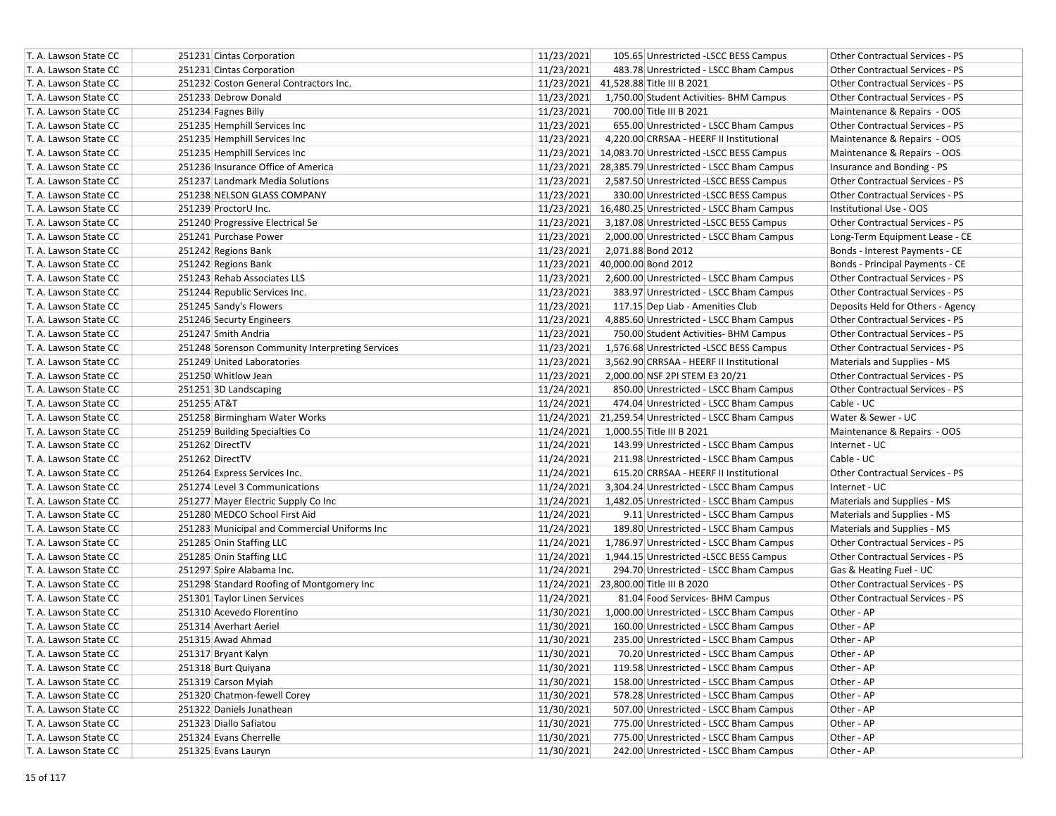| T. A. Lawson State CC | 251231 Cintas Corporation                       | 11/23/2021<br>105.65 Unrestricted -LSCC BESS Campus<br>Other Contractual Services - PS          |  |
|-----------------------|-------------------------------------------------|-------------------------------------------------------------------------------------------------|--|
| T. A. Lawson State CC | 251231 Cintas Corporation                       | 11/23/2021<br>483.78 Unrestricted - LSCC Bham Campus<br><b>Other Contractual Services - PS</b>  |  |
| T. A. Lawson State CC | 251232 Coston General Contractors Inc.          | 11/23/2021<br>41,528.88 Title III B 2021<br><b>Other Contractual Services - PS</b>              |  |
| T. A. Lawson State CC | 251233 Debrow Donald                            | 11/23/2021<br>1,750.00 Student Activities- BHM Campus<br><b>Other Contractual Services - PS</b> |  |
| T. A. Lawson State CC | 251234 Fagnes Billy                             | 11/23/2021<br>700.00 Title III B 2021<br>Maintenance & Repairs - OOS                            |  |
| T. A. Lawson State CC | 251235 Hemphill Services Inc                    | 11/23/2021<br>Other Contractual Services - PS<br>655.00 Unrestricted - LSCC Bham Campus         |  |
| T. A. Lawson State CC | 251235 Hemphill Services Inc                    | 11/23/2021<br>4,220.00 CRRSAA - HEERF II Institutional<br>Maintenance & Repairs - OOS           |  |
| T. A. Lawson State CC | 251235 Hemphill Services Inc                    | 11/23/2021 14,083.70 Unrestricted -LSCC BESS Campus<br>Maintenance & Repairs - OOS              |  |
| T. A. Lawson State CC | 251236 Insurance Office of America              | 11/23/2021<br>28,385.79 Unrestricted - LSCC Bham Campus<br>Insurance and Bonding - PS           |  |
| T. A. Lawson State CC | 251237 Landmark Media Solutions                 | 11/23/2021<br>2,587.50 Unrestricted -LSCC BESS Campus<br>Other Contractual Services - PS        |  |
| T. A. Lawson State CC | 251238 NELSON GLASS COMPANY                     | 11/23/2021<br>Other Contractual Services - PS<br>330.00 Unrestricted -LSCC BESS Campus          |  |
| T. A. Lawson State CC | 251239 ProctorU Inc.                            | 11/23/2021<br>Institutional Use - OOS<br>16,480.25 Unrestricted - LSCC Bham Campus              |  |
| T. A. Lawson State CC | 251240 Progressive Electrical Se                | 11/23/2021<br>3,187.08 Unrestricted -LSCC BESS Campus<br><b>Other Contractual Services - PS</b> |  |
| T. A. Lawson State CC | 251241 Purchase Power                           | 11/23/2021<br>Long-Term Equipment Lease - CE<br>2,000.00 Unrestricted - LSCC Bham Campus        |  |
| T. A. Lawson State CC | 251242 Regions Bank                             | 11/23/2021<br>2,071.88 Bond 2012<br>Bonds - Interest Payments - CE                              |  |
| T. A. Lawson State CC | 251242 Regions Bank                             | 11/23/2021<br>40,000.00 Bond 2012<br>Bonds - Principal Payments - CE                            |  |
| T. A. Lawson State CC | 251243 Rehab Associates LLS                     | 11/23/2021<br>2,600.00 Unrestricted - LSCC Bham Campus<br>Other Contractual Services - PS       |  |
| T. A. Lawson State CC | 251244 Republic Services Inc.                   | 11/23/2021<br>383.97 Unrestricted - LSCC Bham Campus<br><b>Other Contractual Services - PS</b>  |  |
| T. A. Lawson State CC | 251245 Sandy's Flowers                          | 11/23/2021<br>117.15 Dep Liab - Amenities Club<br>Deposits Held for Others - Agency             |  |
| T. A. Lawson State CC | 251246 Securty Engineers                        | 11/23/2021<br>4,885.60 Unrestricted - LSCC Bham Campus<br>Other Contractual Services - PS       |  |
| T. A. Lawson State CC | 251247 Smith Andria                             | 11/23/2021<br>Other Contractual Services - PS<br>750.00 Student Activities- BHM Campus          |  |
| T. A. Lawson State CC | 251248 Sorenson Community Interpreting Services | 11/23/2021<br>1,576.68 Unrestricted -LSCC BESS Campus<br>Other Contractual Services - PS        |  |
| T. A. Lawson State CC | 251249 United Laboratories                      | 11/23/2021<br>3,562.90 CRRSAA - HEERF II Institutional<br>Materials and Supplies - MS           |  |
| T. A. Lawson State CC | 251250 Whitlow Jean                             | 11/23/2021<br>2,000.00 NSF 2PI STEM E3 20/21<br><b>Other Contractual Services - PS</b>          |  |
| T. A. Lawson State CC | 251251 3D Landscaping                           | 11/24/2021<br>850.00 Unrestricted - LSCC Bham Campus<br><b>Other Contractual Services - PS</b>  |  |
| T. A. Lawson State CC | 251255 AT&T                                     | 11/24/2021<br>Cable - UC<br>474.04 Unrestricted - LSCC Bham Campus                              |  |
| T. A. Lawson State CC | 251258 Birmingham Water Works                   | 11/24/2021<br>Water & Sewer - UC<br>21,259.54 Unrestricted - LSCC Bham Campus                   |  |
| T. A. Lawson State CC | 251259 Building Specialties Co                  | 11/24/2021<br>Maintenance & Repairs - OOS<br>1,000.55 Title III B 2021                          |  |
| T. A. Lawson State CC | 251262 DirectTV                                 | 11/24/2021<br>143.99 Unrestricted - LSCC Bham Campus<br>Internet - UC                           |  |
| T. A. Lawson State CC | 251262 DirectTV                                 | 11/24/2021<br>Cable - UC<br>211.98 Unrestricted - LSCC Bham Campus                              |  |
| T. A. Lawson State CC | 251264 Express Services Inc.                    | 11/24/2021<br>Other Contractual Services - PS<br>615.20 CRRSAA - HEERF II Institutional         |  |
| T. A. Lawson State CC | 251274 Level 3 Communications                   | 11/24/2021<br>3,304.24 Unrestricted - LSCC Bham Campus<br>Internet - UC                         |  |
| T. A. Lawson State CC | 251277 Mayer Electric Supply Co Inc             | 11/24/2021<br>1,482.05 Unrestricted - LSCC Bham Campus<br>Materials and Supplies - MS           |  |
| T. A. Lawson State CC | 251280 MEDCO School First Aid                   | 11/24/2021<br>9.11 Unrestricted - LSCC Bham Campus<br>Materials and Supplies - MS               |  |
| T. A. Lawson State CC | 251283 Municipal and Commercial Uniforms Inc    | 11/24/2021<br>189.80 Unrestricted - LSCC Bham Campus<br>Materials and Supplies - MS             |  |
| T. A. Lawson State CC | 251285 Onin Staffing LLC                        | 11/24/2021<br>Other Contractual Services - PS<br>1,786.97 Unrestricted - LSCC Bham Campus       |  |
| T. A. Lawson State CC | 251285 Onin Staffing LLC                        | 11/24/2021<br>Other Contractual Services - PS<br>1,944.15 Unrestricted -LSCC BESS Campus        |  |
| T. A. Lawson State CC | 251297 Spire Alabama Inc.                       | 11/24/2021<br>294.70 Unrestricted - LSCC Bham Campus<br>Gas & Heating Fuel - UC                 |  |
| T. A. Lawson State CC | 251298 Standard Roofing of Montgomery Inc       | 11/24/2021 23,800.00 Title III B 2020<br>Other Contractual Services - PS                        |  |
| T. A. Lawson State CC | 251301 Taylor Linen Services                    | 11/24/2021<br>Other Contractual Services - PS<br>81.04 Food Services- BHM Campus                |  |
| T. A. Lawson State CC | 251310 Acevedo Florentino                       | 11/30/2021<br>1,000.00 Unrestricted - LSCC Bham Campus<br>Other - AP                            |  |
| T. A. Lawson State CC | 251314 Averhart Aeriel                          | 11/30/2021<br>Other - AP<br>160.00 Unrestricted - LSCC Bham Campus                              |  |
| T. A. Lawson State CC | 251315 Awad Ahmad                               | 11/30/2021<br>Other - AP<br>235.00 Unrestricted - LSCC Bham Campus                              |  |
| T. A. Lawson State CC | 251317 Bryant Kalyn                             | 11/30/2021<br>Other - AP<br>70.20 Unrestricted - LSCC Bham Campus                               |  |
| T. A. Lawson State CC | 251318 Burt Quiyana                             | 11/30/2021<br>119.58 Unrestricted - LSCC Bham Campus<br>Other - AP                              |  |
| T. A. Lawson State CC | 251319 Carson Myiah                             | 11/30/2021<br>158.00 Unrestricted - LSCC Bham Campus<br>Other - AP                              |  |
| T. A. Lawson State CC | 251320 Chatmon-fewell Corey                     | 11/30/2021<br>578.28 Unrestricted - LSCC Bham Campus<br>Other - AP                              |  |
| T. A. Lawson State CC | 251322 Daniels Junathean                        | 11/30/2021<br>507.00 Unrestricted - LSCC Bham Campus<br>Other - AP                              |  |
| T. A. Lawson State CC | 251323 Diallo Safiatou                          | 11/30/2021<br>775.00 Unrestricted - LSCC Bham Campus<br>Other - AP                              |  |
| T. A. Lawson State CC | 251324 Evans Cherrelle                          | 11/30/2021<br>775.00 Unrestricted - LSCC Bham Campus<br>Other - AP                              |  |
| T. A. Lawson State CC | 251325 Evans Lauryn                             | 11/30/2021<br>242.00 Unrestricted - LSCC Bham Campus<br>Other - AP                              |  |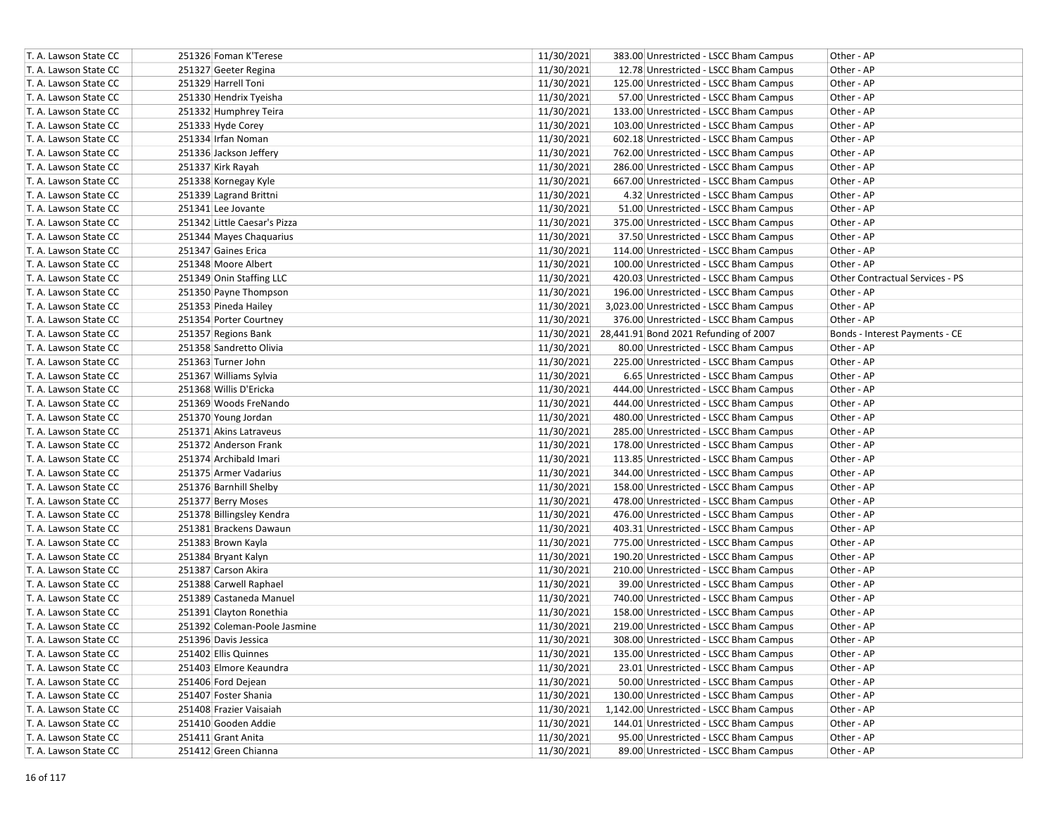| T. A. Lawson State CC | 251326 Foman K'Terese        | 11/30/2021 | 383.00 Unrestricted - LSCC Bham Campus           | Other - AP                      |
|-----------------------|------------------------------|------------|--------------------------------------------------|---------------------------------|
| T. A. Lawson State CC | 251327 Geeter Regina         | 11/30/2021 | 12.78 Unrestricted - LSCC Bham Campus            | Other - AP                      |
| T. A. Lawson State CC | 251329 Harrell Toni          | 11/30/2021 | 125.00 Unrestricted - LSCC Bham Campus           | Other - AP                      |
| T. A. Lawson State CC | 251330 Hendrix Tyeisha       | 11/30/2021 | 57.00 Unrestricted - LSCC Bham Campus            | Other - AP                      |
| T. A. Lawson State CC | 251332 Humphrey Teira        | 11/30/2021 | 133.00 Unrestricted - LSCC Bham Campus           | Other - AP                      |
| T. A. Lawson State CC | 251333 Hyde Corey            | 11/30/2021 | 103.00 Unrestricted - LSCC Bham Campus           | Other - AP                      |
| T. A. Lawson State CC | 251334 Irfan Noman           | 11/30/2021 | 602.18 Unrestricted - LSCC Bham Campus           | Other - AP                      |
| T. A. Lawson State CC | 251336 Jackson Jeffery       | 11/30/2021 | 762.00 Unrestricted - LSCC Bham Campus           | Other - AP                      |
| T. A. Lawson State CC | 251337 Kirk Rayah            | 11/30/2021 | 286.00 Unrestricted - LSCC Bham Campus           | Other - AP                      |
| T. A. Lawson State CC | 251338 Kornegay Kyle         | 11/30/2021 | 667.00 Unrestricted - LSCC Bham Campus           | Other - AP                      |
| T. A. Lawson State CC | 251339 Lagrand Brittni       | 11/30/2021 | 4.32 Unrestricted - LSCC Bham Campus             | Other - AP                      |
| T. A. Lawson State CC | 251341 Lee Jovante           | 11/30/2021 | 51.00 Unrestricted - LSCC Bham Campus            | Other - AP                      |
| T. A. Lawson State CC | 251342 Little Caesar's Pizza | 11/30/2021 | 375.00 Unrestricted - LSCC Bham Campus           | Other - AP                      |
| T. A. Lawson State CC | 251344 Mayes Chaquarius      | 11/30/2021 | 37.50 Unrestricted - LSCC Bham Campus            | Other - AP                      |
| T. A. Lawson State CC | 251347 Gaines Erica          | 11/30/2021 | 114.00 Unrestricted - LSCC Bham Campus           | Other - AP                      |
| T. A. Lawson State CC | 251348 Moore Albert          | 11/30/2021 | 100.00 Unrestricted - LSCC Bham Campus           | Other - AP                      |
| T. A. Lawson State CC | 251349 Onin Staffing LLC     | 11/30/2021 | 420.03 Unrestricted - LSCC Bham Campus           | Other Contractual Services - PS |
| T. A. Lawson State CC | 251350 Payne Thompson        | 11/30/2021 | 196.00 Unrestricted - LSCC Bham Campus           | Other - AP                      |
| T. A. Lawson State CC | 251353 Pineda Hailey         | 11/30/2021 | 3,023.00 Unrestricted - LSCC Bham Campus         | Other - AP                      |
| T. A. Lawson State CC | 251354 Porter Courtney       | 11/30/2021 | 376.00 Unrestricted - LSCC Bham Campus           | Other - AP                      |
| T. A. Lawson State CC | 251357 Regions Bank          |            | 11/30/2021 28,441.91 Bond 2021 Refunding of 2007 | Bonds - Interest Payments - CE  |
| T. A. Lawson State CC | 251358 Sandretto Olivia      | 11/30/2021 | 80.00 Unrestricted - LSCC Bham Campus            | Other - AP                      |
| T. A. Lawson State CC | 251363 Turner John           | 11/30/2021 | 225.00 Unrestricted - LSCC Bham Campus           | Other - AP                      |
| T. A. Lawson State CC | 251367 Williams Sylvia       | 11/30/2021 | 6.65 Unrestricted - LSCC Bham Campus             | Other - AP                      |
| T. A. Lawson State CC | 251368 Willis D'Ericka       | 11/30/2021 | 444.00 Unrestricted - LSCC Bham Campus           | Other - AP                      |
| T. A. Lawson State CC | 251369 Woods FreNando        | 11/30/2021 | 444.00 Unrestricted - LSCC Bham Campus           | Other - AP                      |
| T. A. Lawson State CC | 251370 Young Jordan          | 11/30/2021 | 480.00 Unrestricted - LSCC Bham Campus           | Other - AP                      |
| T. A. Lawson State CC | 251371 Akins Latraveus       | 11/30/2021 | 285.00 Unrestricted - LSCC Bham Campus           | Other - AP                      |
| T. A. Lawson State CC | 251372 Anderson Frank        | 11/30/2021 | 178.00 Unrestricted - LSCC Bham Campus           | Other - AP                      |
| T. A. Lawson State CC | 251374 Archibald Imari       | 11/30/2021 | 113.85 Unrestricted - LSCC Bham Campus           | Other - AP                      |
| T. A. Lawson State CC | 251375 Armer Vadarius        | 11/30/2021 | 344.00 Unrestricted - LSCC Bham Campus           | Other - AP                      |
| T. A. Lawson State CC | 251376 Barnhill Shelby       | 11/30/2021 | 158.00 Unrestricted - LSCC Bham Campus           | Other - AP                      |
| T. A. Lawson State CC | 251377 Berry Moses           | 11/30/2021 | 478.00 Unrestricted - LSCC Bham Campus           | Other - AP                      |
| T. A. Lawson State CC | 251378 Billingsley Kendra    | 11/30/2021 | 476.00 Unrestricted - LSCC Bham Campus           | Other - AP                      |
| T. A. Lawson State CC | 251381 Brackens Dawaun       | 11/30/2021 | 403.31 Unrestricted - LSCC Bham Campus           | Other - AP                      |
| T. A. Lawson State CC | 251383 Brown Kayla           | 11/30/2021 | 775.00 Unrestricted - LSCC Bham Campus           | Other - AP                      |
| T. A. Lawson State CC | 251384 Bryant Kalyn          | 11/30/2021 | 190.20 Unrestricted - LSCC Bham Campus           | Other - AP                      |
| T. A. Lawson State CC | 251387 Carson Akira          | 11/30/2021 | 210.00 Unrestricted - LSCC Bham Campus           | Other - AP                      |
| T. A. Lawson State CC | 251388 Carwell Raphael       | 11/30/2021 | 39.00 Unrestricted - LSCC Bham Campus            | Other - AP                      |
| T. A. Lawson State CC | 251389 Castaneda Manuel      | 11/30/2021 | 740.00 Unrestricted - LSCC Bham Campus           | Other - AP                      |
| T. A. Lawson State CC | 251391 Clayton Ronethia      | 11/30/2021 | 158.00 Unrestricted - LSCC Bham Campus           | Other - AP                      |
| T. A. Lawson State CC | 251392 Coleman-Poole Jasmine | 11/30/2021 | 219.00 Unrestricted - LSCC Bham Campus           | Other - AP                      |
| T. A. Lawson State CC | 251396 Davis Jessica         | 11/30/2021 | 308.00 Unrestricted - LSCC Bham Campus           | Other - AP                      |
| T. A. Lawson State CC | 251402 Ellis Quinnes         | 11/30/2021 | 135.00 Unrestricted - LSCC Bham Campus           | Other - AP                      |
| T. A. Lawson State CC | 251403 Elmore Keaundra       | 11/30/2021 | 23.01 Unrestricted - LSCC Bham Campus            | Other - AP                      |
| T. A. Lawson State CC | 251406 Ford Dejean           | 11/30/2021 | 50.00 Unrestricted - LSCC Bham Campus            | Other - AP                      |
| T. A. Lawson State CC | 251407 Foster Shania         | 11/30/2021 | 130.00 Unrestricted - LSCC Bham Campus           | Other - AP                      |
| T. A. Lawson State CC | 251408 Frazier Vaisaiah      | 11/30/2021 | 1,142.00 Unrestricted - LSCC Bham Campus         | Other - AP                      |
| T. A. Lawson State CC | 251410 Gooden Addie          | 11/30/2021 | 144.01 Unrestricted - LSCC Bham Campus           | Other - AP                      |
| T. A. Lawson State CC | 251411 Grant Anita           | 11/30/2021 | 95.00 Unrestricted - LSCC Bham Campus            | Other - AP                      |
| T. A. Lawson State CC | 251412 Green Chianna         | 11/30/2021 | 89.00 Unrestricted - LSCC Bham Campus            | Other - AP                      |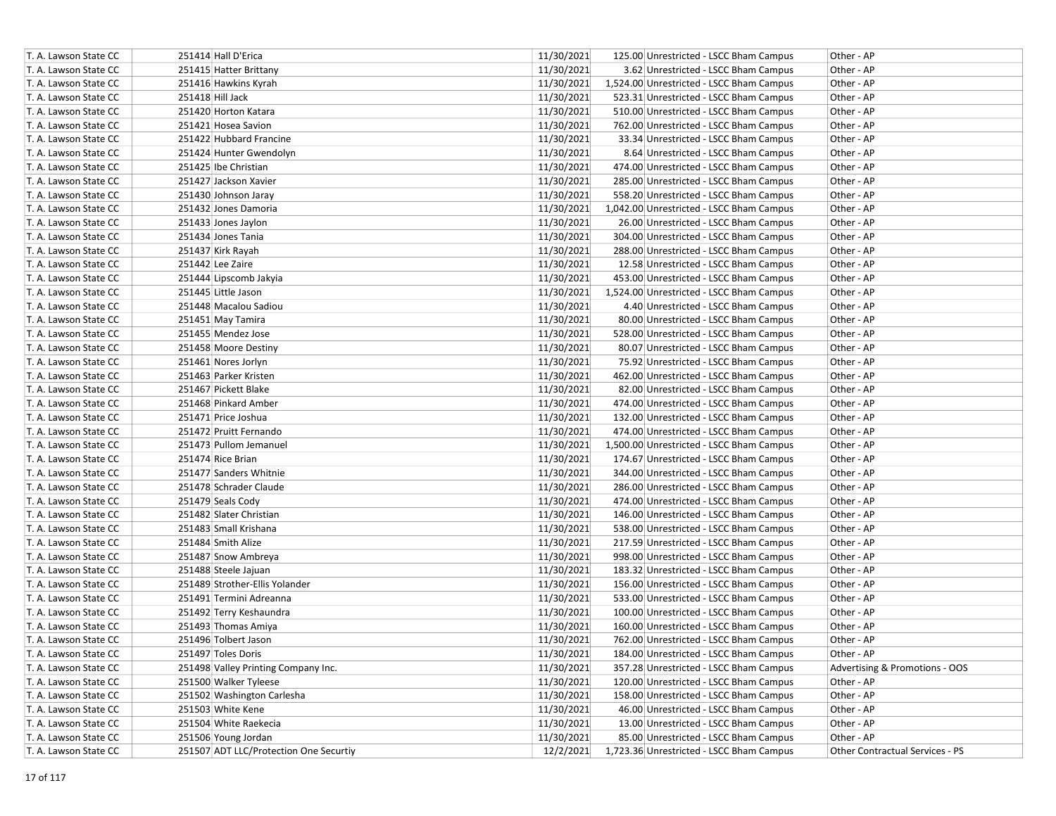| T. A. Lawson State CC | 251414 Hall D'Erica                    | 11/30/2021<br>Other - AP<br>125.00 Unrestricted - LSCC Bham Campus                       |
|-----------------------|----------------------------------------|------------------------------------------------------------------------------------------|
| T. A. Lawson State CC | 251415 Hatter Brittany                 | 11/30/2021<br>3.62 Unrestricted - LSCC Bham Campus<br>Other - AP                         |
| T. A. Lawson State CC | 251416 Hawkins Kyrah                   | 11/30/2021<br>1,524.00 Unrestricted - LSCC Bham Campus<br>Other - AP                     |
| T. A. Lawson State CC | 251418 Hill Jack                       | 11/30/2021<br>523.31 Unrestricted - LSCC Bham Campus<br>Other - AP                       |
| T. A. Lawson State CC | 251420 Horton Katara                   | 11/30/2021<br>510.00 Unrestricted - LSCC Bham Campus<br>Other - AP                       |
| T. A. Lawson State CC | 251421 Hosea Savion                    | 11/30/2021<br>762.00 Unrestricted - LSCC Bham Campus<br>Other - AP                       |
| T. A. Lawson State CC | 251422 Hubbard Francine                | 11/30/2021<br>33.34 Unrestricted - LSCC Bham Campus<br>Other - AP                        |
| T. A. Lawson State CC | 251424 Hunter Gwendolyn                | 11/30/2021<br>8.64 Unrestricted - LSCC Bham Campus<br>Other - AP                         |
| T. A. Lawson State CC | 251425 Ibe Christian                   | 11/30/2021<br>474.00 Unrestricted - LSCC Bham Campus<br>Other - AP                       |
| T. A. Lawson State CC | 251427 Jackson Xavier                  | 11/30/2021<br>285.00 Unrestricted - LSCC Bham Campus<br>Other - AP                       |
| T. A. Lawson State CC | 251430 Johnson Jaray                   | 11/30/2021<br>558.20 Unrestricted - LSCC Bham Campus<br>Other - AP                       |
| T. A. Lawson State CC | 251432 Jones Damoria                   | 11/30/2021<br>1,042.00 Unrestricted - LSCC Bham Campus<br>Other - AP                     |
| T. A. Lawson State CC | 251433 Jones Jaylon                    | 11/30/2021<br>26.00 Unrestricted - LSCC Bham Campus<br>Other - AP                        |
| T. A. Lawson State CC | 251434 Jones Tania                     | 11/30/2021<br>304.00 Unrestricted - LSCC Bham Campus<br>Other - AP                       |
| T. A. Lawson State CC | 251437 Kirk Rayah                      | 11/30/2021<br>288.00 Unrestricted - LSCC Bham Campus<br>Other - AP                       |
| T. A. Lawson State CC | 251442 Lee Zaire                       | 11/30/2021<br>12.58 Unrestricted - LSCC Bham Campus<br>Other - AP                        |
| T. A. Lawson State CC | 251444 Lipscomb Jakyia                 | 11/30/2021<br>453.00 Unrestricted - LSCC Bham Campus<br>Other - AP                       |
| T. A. Lawson State CC | 251445 Little Jason                    | 11/30/2021<br>1,524.00 Unrestricted - LSCC Bham Campus<br>Other - AP                     |
| T. A. Lawson State CC | 251448 Macalou Sadiou                  | 11/30/2021<br>4.40 Unrestricted - LSCC Bham Campus<br>Other - AP                         |
| T. A. Lawson State CC | 251451 May Tamira                      | 11/30/2021<br>80.00 Unrestricted - LSCC Bham Campus<br>Other - AP                        |
| T. A. Lawson State CC | 251455 Mendez Jose                     | 11/30/2021<br>528.00 Unrestricted - LSCC Bham Campus<br>Other - AP                       |
| T. A. Lawson State CC | 251458 Moore Destiny                   | 11/30/2021<br>80.07 Unrestricted - LSCC Bham Campus<br>Other - AP                        |
| T. A. Lawson State CC | 251461 Nores Jorlyn                    | 11/30/2021<br>75.92 Unrestricted - LSCC Bham Campus<br>Other - AP                        |
| T. A. Lawson State CC | 251463 Parker Kristen                  | 11/30/2021<br>462.00 Unrestricted - LSCC Bham Campus<br>Other - AP                       |
| T. A. Lawson State CC | 251467 Pickett Blake                   | 11/30/2021<br>82.00 Unrestricted - LSCC Bham Campus<br>Other - AP                        |
| T. A. Lawson State CC | 251468 Pinkard Amber                   | 11/30/2021<br>474.00 Unrestricted - LSCC Bham Campus<br>Other - AP                       |
| T. A. Lawson State CC | 251471 Price Joshua                    | 11/30/2021<br>132.00 Unrestricted - LSCC Bham Campus<br>Other - AP                       |
| T. A. Lawson State CC | 251472 Pruitt Fernando                 | 11/30/2021<br>474.00 Unrestricted - LSCC Bham Campus<br>Other - AP                       |
| T. A. Lawson State CC | 251473 Pullom Jemanuel                 | 11/30/2021<br>1,500.00 Unrestricted - LSCC Bham Campus<br>Other - AP                     |
| T. A. Lawson State CC | 251474 Rice Brian                      | 11/30/2021<br>174.67 Unrestricted - LSCC Bham Campus<br>Other - AP                       |
| T. A. Lawson State CC | 251477 Sanders Whitnie                 | 11/30/2021<br>344.00 Unrestricted - LSCC Bham Campus<br>Other - AP                       |
| T. A. Lawson State CC | 251478 Schrader Claude                 | 11/30/2021<br>286.00 Unrestricted - LSCC Bham Campus<br>Other - AP                       |
| T. A. Lawson State CC | 251479 Seals Cody                      | 11/30/2021<br>474.00 Unrestricted - LSCC Bham Campus<br>Other - AP                       |
| T. A. Lawson State CC | 251482 Slater Christian                | 11/30/2021<br>146.00 Unrestricted - LSCC Bham Campus<br>Other - AP                       |
| T. A. Lawson State CC | 251483 Small Krishana                  | 11/30/2021<br>538.00 Unrestricted - LSCC Bham Campus<br>Other - AP                       |
| T. A. Lawson State CC | 251484 Smith Alize                     | 11/30/2021<br>217.59 Unrestricted - LSCC Bham Campus<br>Other - AP                       |
| T. A. Lawson State CC | 251487 Snow Ambreya                    | 11/30/2021<br>998.00 Unrestricted - LSCC Bham Campus<br>Other - AP                       |
| T. A. Lawson State CC | 251488 Steele Jajuan                   | 11/30/2021<br>183.32 Unrestricted - LSCC Bham Campus<br>Other - AP                       |
| T. A. Lawson State CC | 251489 Strother-Ellis Yolander         | 11/30/2021<br>156.00 Unrestricted - LSCC Bham Campus<br>Other - AP                       |
| T. A. Lawson State CC | 251491 Termini Adreanna                | 11/30/2021<br>533.00 Unrestricted - LSCC Bham Campus<br>Other - AP                       |
| T. A. Lawson State CC | 251492 Terry Keshaundra                | 11/30/2021<br>100.00 Unrestricted - LSCC Bham Campus<br>Other - AP                       |
| T. A. Lawson State CC | 251493 Thomas Amiya                    | 11/30/2021<br>160.00 Unrestricted - LSCC Bham Campus<br>Other - AP                       |
| T. A. Lawson State CC | 251496 Tolbert Jason                   | 11/30/2021<br>762.00 Unrestricted - LSCC Bham Campus<br>Other - AP                       |
| T. A. Lawson State CC | 251497 Toles Doris                     | 11/30/2021<br>Other - AP<br>184.00 Unrestricted - LSCC Bham Campus                       |
| T. A. Lawson State CC | 251498 Valley Printing Company Inc.    | 11/30/2021<br>357.28 Unrestricted - LSCC Bham Campus<br>Advertising & Promotions - OOS   |
| T. A. Lawson State CC | 251500 Walker Tyleese                  | 11/30/2021<br>120.00 Unrestricted - LSCC Bham Campus<br>Other - AP                       |
| T. A. Lawson State CC | 251502 Washington Carlesha             | 11/30/2021<br>158.00 Unrestricted - LSCC Bham Campus<br>Other - AP                       |
| T. A. Lawson State CC | 251503 White Kene                      | 11/30/2021<br>46.00 Unrestricted - LSCC Bham Campus<br>Other - AP                        |
| T. A. Lawson State CC | 251504 White Raekecia                  | 11/30/2021<br>13.00 Unrestricted - LSCC Bham Campus<br>Other - AP                        |
| T. A. Lawson State CC | 251506 Young Jordan                    | 11/30/2021<br>85.00 Unrestricted - LSCC Bham Campus<br>Other - AP                        |
| T. A. Lawson State CC | 251507 ADT LLC/Protection One Securtiy | 12/2/2021<br>1,723.36 Unrestricted - LSCC Bham Campus<br>Other Contractual Services - PS |
|                       |                                        |                                                                                          |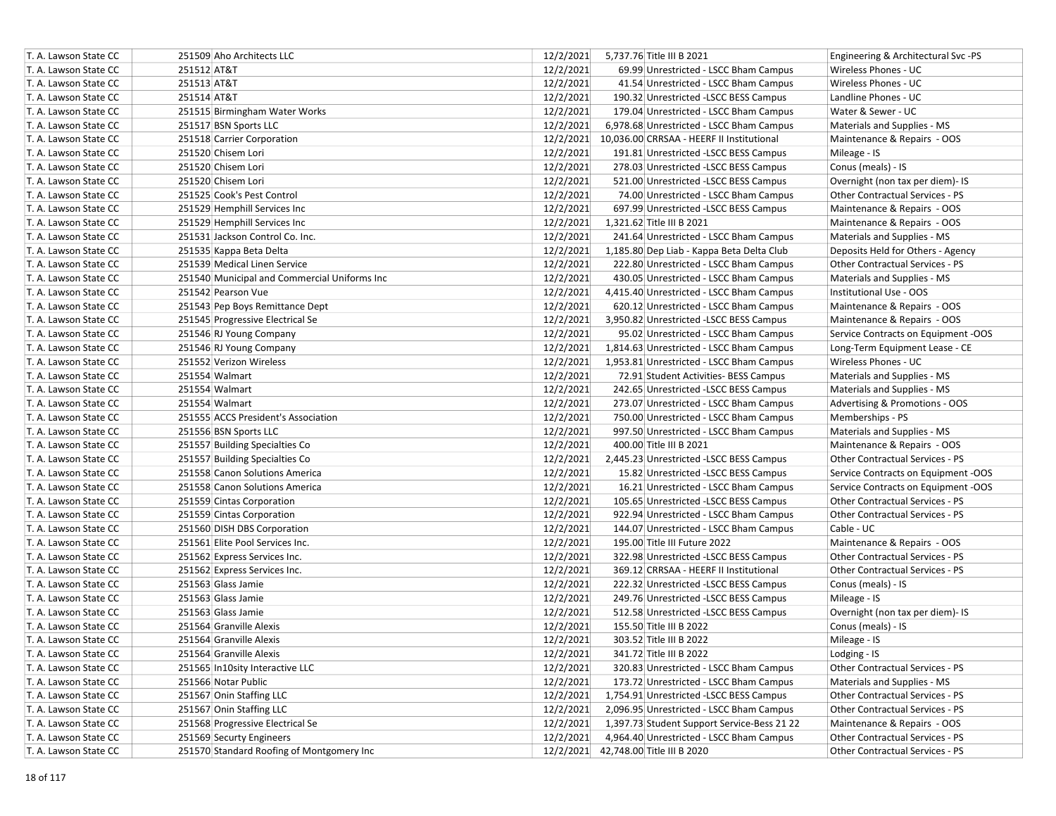| T. A. Lawson State CC | 251509 Aho Architects LLC                    |           | 12/2/2021 5,737.76 Title III B 2021                 | Engineering & Architectural Svc -PS |
|-----------------------|----------------------------------------------|-----------|-----------------------------------------------------|-------------------------------------|
| T. A. Lawson State CC | 251512 AT&T                                  | 12/2/2021 | 69.99 Unrestricted - LSCC Bham Campus               | Wireless Phones - UC                |
| T. A. Lawson State CC | 251513 AT&T                                  | 12/2/2021 | 41.54 Unrestricted - LSCC Bham Campus               | Wireless Phones - UC                |
| T. A. Lawson State CC | 251514 AT&T                                  | 12/2/2021 | 190.32 Unrestricted -LSCC BESS Campus               | Landline Phones - UC                |
| T. A. Lawson State CC | 251515 Birmingham Water Works                | 12/2/2021 | 179.04 Unrestricted - LSCC Bham Campus              | Water & Sewer - UC                  |
| T. A. Lawson State CC | 251517 BSN Sports LLC                        | 12/2/2021 | 6,978.68 Unrestricted - LSCC Bham Campus            | Materials and Supplies - MS         |
| T. A. Lawson State CC | 251518 Carrier Corporation                   |           | 12/2/2021 10,036.00 CRRSAA - HEERF II Institutional | Maintenance & Repairs - OOS         |
| T. A. Lawson State CC | 251520 Chisem Lori                           | 12/2/2021 | 191.81 Unrestricted -LSCC BESS Campus               | Mileage - IS                        |
| T. A. Lawson State CC | 251520 Chisem Lori                           | 12/2/2021 | 278.03 Unrestricted -LSCC BESS Campus               | Conus (meals) - IS                  |
| T. A. Lawson State CC | 251520 Chisem Lori                           | 12/2/2021 | 521.00 Unrestricted -LSCC BESS Campus               | Overnight (non tax per diem)- IS    |
| T. A. Lawson State CC | 251525 Cook's Pest Control                   | 12/2/2021 | 74.00 Unrestricted - LSCC Bham Campus               | Other Contractual Services - PS     |
| T. A. Lawson State CC | 251529 Hemphill Services Inc                 | 12/2/2021 | 697.99 Unrestricted -LSCC BESS Campus               | Maintenance & Repairs - OOS         |
| T. A. Lawson State CC | 251529 Hemphill Services Inc                 | 12/2/2021 | 1,321.62 Title III B 2021                           | Maintenance & Repairs - OOS         |
| T. A. Lawson State CC | 251531 Jackson Control Co. Inc.              | 12/2/2021 | 241.64 Unrestricted - LSCC Bham Campus              | Materials and Supplies - MS         |
| T. A. Lawson State CC | 251535 Kappa Beta Delta                      | 12/2/2021 | 1,185.80 Dep Liab - Kappa Beta Delta Club           | Deposits Held for Others - Agency   |
| T. A. Lawson State CC | 251539 Medical Linen Service                 | 12/2/2021 | 222.80 Unrestricted - LSCC Bham Campus              | Other Contractual Services - PS     |
| T. A. Lawson State CC | 251540 Municipal and Commercial Uniforms Inc | 12/2/2021 | 430.05 Unrestricted - LSCC Bham Campus              | Materials and Supplies - MS         |
| T. A. Lawson State CC | 251542 Pearson Vue                           | 12/2/2021 | 4,415.40 Unrestricted - LSCC Bham Campus            | Institutional Use - OOS             |
| T. A. Lawson State CC | 251543 Pep Boys Remittance Dept              | 12/2/2021 | 620.12 Unrestricted - LSCC Bham Campus              | Maintenance & Repairs - OOS         |
| T. A. Lawson State CC | 251545 Progressive Electrical Se             | 12/2/2021 | 3,950.82 Unrestricted -LSCC BESS Campus             | Maintenance & Repairs - OOS         |
| T. A. Lawson State CC | 251546 RJ Young Company                      | 12/2/2021 | 95.02 Unrestricted - LSCC Bham Campus               | Service Contracts on Equipment -OOS |
| T. A. Lawson State CC | 251546 RJ Young Company                      | 12/2/2021 | 1,814.63 Unrestricted - LSCC Bham Campus            | Long-Term Equipment Lease - CE      |
| T. A. Lawson State CC | 251552 Verizon Wireless                      | 12/2/2021 | 1,953.81 Unrestricted - LSCC Bham Campus            | Wireless Phones - UC                |
| T. A. Lawson State CC | 251554 Walmart                               | 12/2/2021 | 72.91 Student Activities- BESS Campus               | Materials and Supplies - MS         |
| T. A. Lawson State CC | 251554 Walmart                               | 12/2/2021 | 242.65 Unrestricted -LSCC BESS Campus               | Materials and Supplies - MS         |
| T. A. Lawson State CC | 251554 Walmart                               | 12/2/2021 | 273.07 Unrestricted - LSCC Bham Campus              | Advertising & Promotions - OOS      |
| T. A. Lawson State CC | 251555 ACCS President's Association          | 12/2/2021 | 750.00 Unrestricted - LSCC Bham Campus              | Memberships - PS                    |
| T. A. Lawson State CC | 251556 BSN Sports LLC                        | 12/2/2021 | 997.50 Unrestricted - LSCC Bham Campus              | Materials and Supplies - MS         |
| T. A. Lawson State CC | 251557 Building Specialties Co               | 12/2/2021 | 400.00 Title III B 2021                             | Maintenance & Repairs - OOS         |
| T. A. Lawson State CC | 251557 Building Specialties Co               | 12/2/2021 | 2,445.23 Unrestricted -LSCC BESS Campus             | Other Contractual Services - PS     |
| T. A. Lawson State CC | 251558 Canon Solutions America               | 12/2/2021 | 15.82 Unrestricted -LSCC BESS Campus                | Service Contracts on Equipment -OOS |
| T. A. Lawson State CC | 251558 Canon Solutions America               | 12/2/2021 | 16.21 Unrestricted - LSCC Bham Campus               | Service Contracts on Equipment -OOS |
| T. A. Lawson State CC | 251559 Cintas Corporation                    | 12/2/2021 | 105.65 Unrestricted -LSCC BESS Campus               | Other Contractual Services - PS     |
| T. A. Lawson State CC | 251559 Cintas Corporation                    | 12/2/2021 | 922.94 Unrestricted - LSCC Bham Campus              | Other Contractual Services - PS     |
| T. A. Lawson State CC | 251560 DISH DBS Corporation                  | 12/2/2021 | 144.07 Unrestricted - LSCC Bham Campus              | Cable - UC                          |
| T. A. Lawson State CC | 251561 Elite Pool Services Inc.              | 12/2/2021 | 195.00 Title III Future 2022                        | Maintenance & Repairs - OOS         |
| T. A. Lawson State CC | 251562 Express Services Inc.                 | 12/2/2021 | 322.98 Unrestricted -LSCC BESS Campus               | Other Contractual Services - PS     |
| T. A. Lawson State CC | 251562 Express Services Inc.                 | 12/2/2021 | 369.12 CRRSAA - HEERF II Institutional              | Other Contractual Services - PS     |
| T. A. Lawson State CC | 251563 Glass Jamie                           | 12/2/2021 | 222.32 Unrestricted -LSCC BESS Campus               | Conus (meals) - IS                  |
| T. A. Lawson State CC | 251563 Glass Jamie                           | 12/2/2021 | 249.76 Unrestricted -LSCC BESS Campus               | Mileage - IS                        |
| T. A. Lawson State CC | 251563 Glass Jamie                           | 12/2/2021 | 512.58 Unrestricted -LSCC BESS Campus               | Overnight (non tax per diem)- IS    |
| T. A. Lawson State CC | 251564 Granville Alexis                      | 12/2/2021 | 155.50 Title III B 2022                             | Conus (meals) - IS                  |
| T. A. Lawson State CC | 251564 Granville Alexis                      | 12/2/2021 | 303.52 Title III B 2022                             | Mileage - IS                        |
| T. A. Lawson State CC | 251564 Granville Alexis                      | 12/2/2021 | 341.72 Title III B 2022                             | Lodging - IS                        |
| T. A. Lawson State CC | 251565 In10sity Interactive LLC              | 12/2/2021 | 320.83 Unrestricted - LSCC Bham Campus              | Other Contractual Services - PS     |
| T. A. Lawson State CC | 251566 Notar Public                          | 12/2/2021 | 173.72 Unrestricted - LSCC Bham Campus              | Materials and Supplies - MS         |
| T. A. Lawson State CC | 251567 Onin Staffing LLC                     | 12/2/2021 | 1,754.91 Unrestricted -LSCC BESS Campus             | Other Contractual Services - PS     |
| T. A. Lawson State CC | 251567 Onin Staffing LLC                     | 12/2/2021 | 2,096.95 Unrestricted - LSCC Bham Campus            | Other Contractual Services - PS     |
| T. A. Lawson State CC | 251568 Progressive Electrical Se             | 12/2/2021 | 1,397.73 Student Support Service-Bess 21 22         | Maintenance & Repairs - OOS         |
| T. A. Lawson State CC | 251569 Securty Engineers                     | 12/2/2021 | 4,964.40 Unrestricted - LSCC Bham Campus            | Other Contractual Services - PS     |
| T. A. Lawson State CC | 251570 Standard Roofing of Montgomery Inc    |           | 12/2/2021 42,748.00 Title III B 2020                | Other Contractual Services - PS     |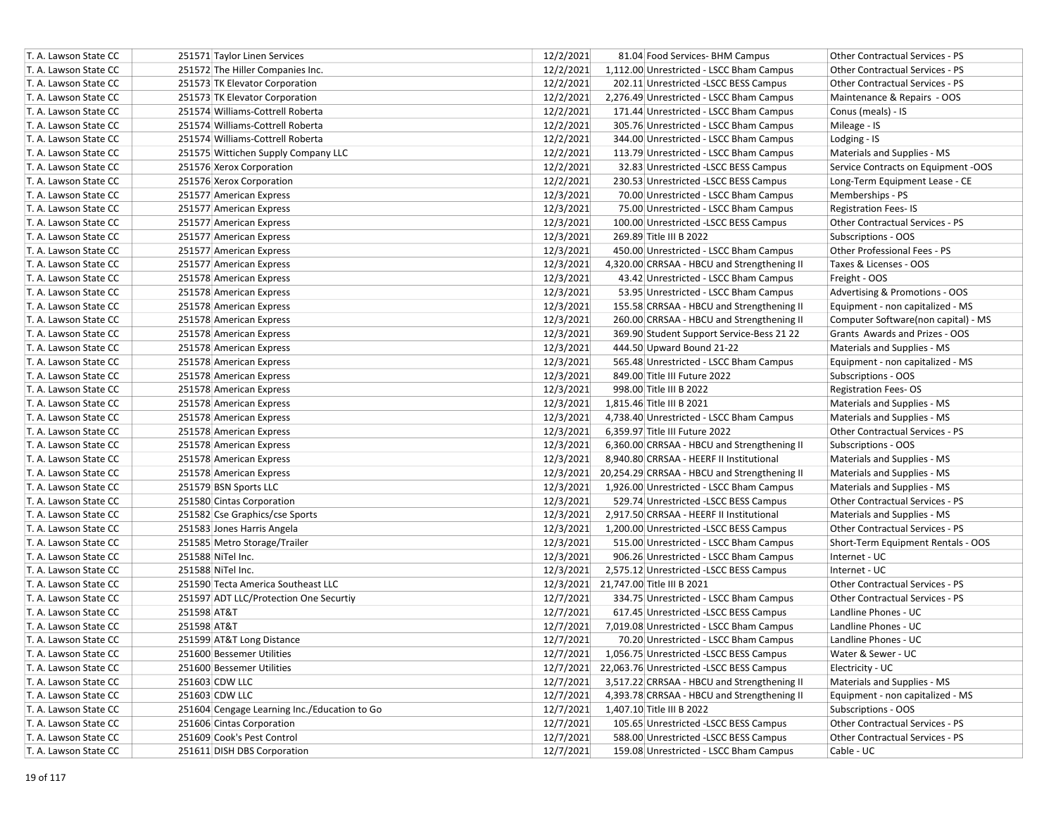| T. A. Lawson State CC | 251571 Taylor Linen Services                 | 12/2/2021 | 81.04 Food Services- BHM Campus                        | Other Contractual Services - PS        |
|-----------------------|----------------------------------------------|-----------|--------------------------------------------------------|----------------------------------------|
| T. A. Lawson State CC | 251572 The Hiller Companies Inc.             | 12/2/2021 | 1,112.00 Unrestricted - LSCC Bham Campus               | <b>Other Contractual Services - PS</b> |
| T. A. Lawson State CC | 251573 TK Elevator Corporation               | 12/2/2021 | 202.11 Unrestricted -LSCC BESS Campus                  | Other Contractual Services - PS        |
| T. A. Lawson State CC | 251573 TK Elevator Corporation               | 12/2/2021 | 2,276.49 Unrestricted - LSCC Bham Campus               | Maintenance & Repairs - OOS            |
| T. A. Lawson State CC | 251574 Williams-Cottrell Roberta             | 12/2/2021 | 171.44 Unrestricted - LSCC Bham Campus                 | Conus (meals) - IS                     |
| T. A. Lawson State CC | 251574 Williams-Cottrell Roberta             | 12/2/2021 | 305.76 Unrestricted - LSCC Bham Campus                 | Mileage - IS                           |
| T. A. Lawson State CC | 251574 Williams-Cottrell Roberta             | 12/2/2021 | 344.00 Unrestricted - LSCC Bham Campus                 | Lodging - IS                           |
| T. A. Lawson State CC | 251575 Wittichen Supply Company LLC          | 12/2/2021 | 113.79 Unrestricted - LSCC Bham Campus                 | Materials and Supplies - MS            |
| T. A. Lawson State CC | 251576 Xerox Corporation                     | 12/2/2021 | 32.83 Unrestricted -LSCC BESS Campus                   | Service Contracts on Equipment -OOS    |
| T. A. Lawson State CC | 251576 Xerox Corporation                     | 12/2/2021 | 230.53 Unrestricted -LSCC BESS Campus                  | Long-Term Equipment Lease - CE         |
| T. A. Lawson State CC | 251577 American Express                      | 12/3/2021 | 70.00 Unrestricted - LSCC Bham Campus                  | Memberships - PS                       |
| T. A. Lawson State CC | 251577 American Express                      | 12/3/2021 | 75.00 Unrestricted - LSCC Bham Campus                  | <b>Registration Fees-IS</b>            |
| T. A. Lawson State CC | 251577 American Express                      | 12/3/2021 | 100.00 Unrestricted -LSCC BESS Campus                  | Other Contractual Services - PS        |
| T. A. Lawson State CC | 251577 American Express                      | 12/3/2021 | 269.89 Title III B 2022                                | Subscriptions - OOS                    |
| T. A. Lawson State CC | 251577 American Express                      | 12/3/2021 | 450.00 Unrestricted - LSCC Bham Campus                 | Other Professional Fees - PS           |
| T. A. Lawson State CC | 251577 American Express                      | 12/3/2021 | 4,320.00 CRRSAA - HBCU and Strengthening II            | Taxes & Licenses - OOS                 |
| T. A. Lawson State CC | 251578 American Express                      | 12/3/2021 | 43.42 Unrestricted - LSCC Bham Campus                  | Freight - OOS                          |
| T. A. Lawson State CC | 251578 American Express                      | 12/3/2021 | 53.95 Unrestricted - LSCC Bham Campus                  | Advertising & Promotions - OOS         |
| T. A. Lawson State CC | 251578 American Express                      | 12/3/2021 | 155.58 CRRSAA - HBCU and Strengthening II              | Equipment - non capitalized - MS       |
| T. A. Lawson State CC | 251578 American Express                      | 12/3/2021 | 260.00 CRRSAA - HBCU and Strengthening II              | Computer Software(non capital) - MS    |
| T. A. Lawson State CC | 251578 American Express                      | 12/3/2021 | 369.90 Student Support Service-Bess 21 22              | Grants Awards and Prizes - OOS         |
| T. A. Lawson State CC | 251578 American Express                      | 12/3/2021 | 444.50 Upward Bound 21-22                              | Materials and Supplies - MS            |
| T. A. Lawson State CC | 251578 American Express                      | 12/3/2021 | 565.48 Unrestricted - LSCC Bham Campus                 | Equipment - non capitalized - MS       |
| T. A. Lawson State CC | 251578 American Express                      | 12/3/2021 | 849.00 Title III Future 2022                           | Subscriptions - OOS                    |
| T. A. Lawson State CC | 251578 American Express                      | 12/3/2021 | 998.00 Title III B 2022                                | <b>Registration Fees-OS</b>            |
| T. A. Lawson State CC | 251578 American Express                      | 12/3/2021 | 1,815.46 Title III B 2021                              | Materials and Supplies - MS            |
| T. A. Lawson State CC | 251578 American Express                      | 12/3/2021 | 4,738.40 Unrestricted - LSCC Bham Campus               | Materials and Supplies - MS            |
| T. A. Lawson State CC | 251578 American Express                      | 12/3/2021 | 6,359.97 Title III Future 2022                         | Other Contractual Services - PS        |
| T. A. Lawson State CC | 251578 American Express                      | 12/3/2021 | 6,360.00 CRRSAA - HBCU and Strengthening II            | Subscriptions - OOS                    |
| T. A. Lawson State CC | 251578 American Express                      | 12/3/2021 | 8,940.80 CRRSAA - HEERF II Institutional               | Materials and Supplies - MS            |
| T. A. Lawson State CC | 251578 American Express                      |           | 12/3/2021 20,254.29 CRRSAA - HBCU and Strengthening II | Materials and Supplies - MS            |
| T. A. Lawson State CC | 251579 BSN Sports LLC                        | 12/3/2021 | 1,926.00 Unrestricted - LSCC Bham Campus               | Materials and Supplies - MS            |
| T. A. Lawson State CC | 251580 Cintas Corporation                    | 12/3/2021 | 529.74 Unrestricted -LSCC BESS Campus                  | Other Contractual Services - PS        |
| T. A. Lawson State CC | 251582 Cse Graphics/cse Sports               | 12/3/2021 | 2,917.50 CRRSAA - HEERF II Institutional               | Materials and Supplies - MS            |
| T. A. Lawson State CC | 251583 Jones Harris Angela                   | 12/3/2021 | 1,200.00 Unrestricted -LSCC BESS Campus                | Other Contractual Services - PS        |
| T. A. Lawson State CC | 251585 Metro Storage/Trailer                 | 12/3/2021 | 515.00 Unrestricted - LSCC Bham Campus                 | Short-Term Equipment Rentals - OOS     |
| T. A. Lawson State CC | 251588 NiTel Inc.                            | 12/3/2021 | 906.26 Unrestricted - LSCC Bham Campus                 | Internet - UC                          |
| T. A. Lawson State CC | 251588 NiTel Inc.                            | 12/3/2021 | 2,575.12 Unrestricted -LSCC BESS Campus                | Internet - UC                          |
| T. A. Lawson State CC | 251590 Tecta America Southeast LLC           |           | 12/3/2021 21,747.00 Title III B 2021                   | Other Contractual Services - PS        |
| T. A. Lawson State CC | 251597 ADT LLC/Protection One Securtiy       | 12/7/2021 | 334.75 Unrestricted - LSCC Bham Campus                 | Other Contractual Services - PS        |
| T. A. Lawson State CC | 251598 AT&T                                  | 12/7/2021 | 617.45 Unrestricted -LSCC BESS Campus                  | Landline Phones - UC                   |
| T. A. Lawson State CC | 251598 AT&T                                  | 12/7/2021 | 7,019.08 Unrestricted - LSCC Bham Campus               | Landline Phones - UC                   |
| T. A. Lawson State CC | 251599 AT&T Long Distance                    | 12/7/2021 | 70.20 Unrestricted - LSCC Bham Campus                  | Landline Phones - UC                   |
| T. A. Lawson State CC | 251600 Bessemer Utilities                    | 12/7/2021 | 1,056.75 Unrestricted -LSCC BESS Campus                | Water & Sewer - UC                     |
| T. A. Lawson State CC | 251600 Bessemer Utilities                    |           | 12/7/2021 22,063.76 Unrestricted -LSCC BESS Campus     | Electricity - UC                       |
| T. A. Lawson State CC | 251603 CDW LLC                               | 12/7/2021 | 3,517.22 CRRSAA - HBCU and Strengthening II            | Materials and Supplies - MS            |
| T. A. Lawson State CC | 251603 CDW LLC                               | 12/7/2021 | 4,393.78 CRRSAA - HBCU and Strengthening II            | Equipment - non capitalized - MS       |
| T. A. Lawson State CC | 251604 Cengage Learning Inc./Education to Go | 12/7/2021 | 1,407.10 Title III B 2022                              | Subscriptions - OOS                    |
| T. A. Lawson State CC | 251606 Cintas Corporation                    | 12/7/2021 | 105.65 Unrestricted -LSCC BESS Campus                  | Other Contractual Services - PS        |
| T. A. Lawson State CC | 251609 Cook's Pest Control                   | 12/7/2021 | 588.00 Unrestricted -LSCC BESS Campus                  | Other Contractual Services - PS        |
| T. A. Lawson State CC | 251611 DISH DBS Corporation                  | 12/7/2021 | 159.08 Unrestricted - LSCC Bham Campus                 | Cable - UC                             |
|                       |                                              |           |                                                        |                                        |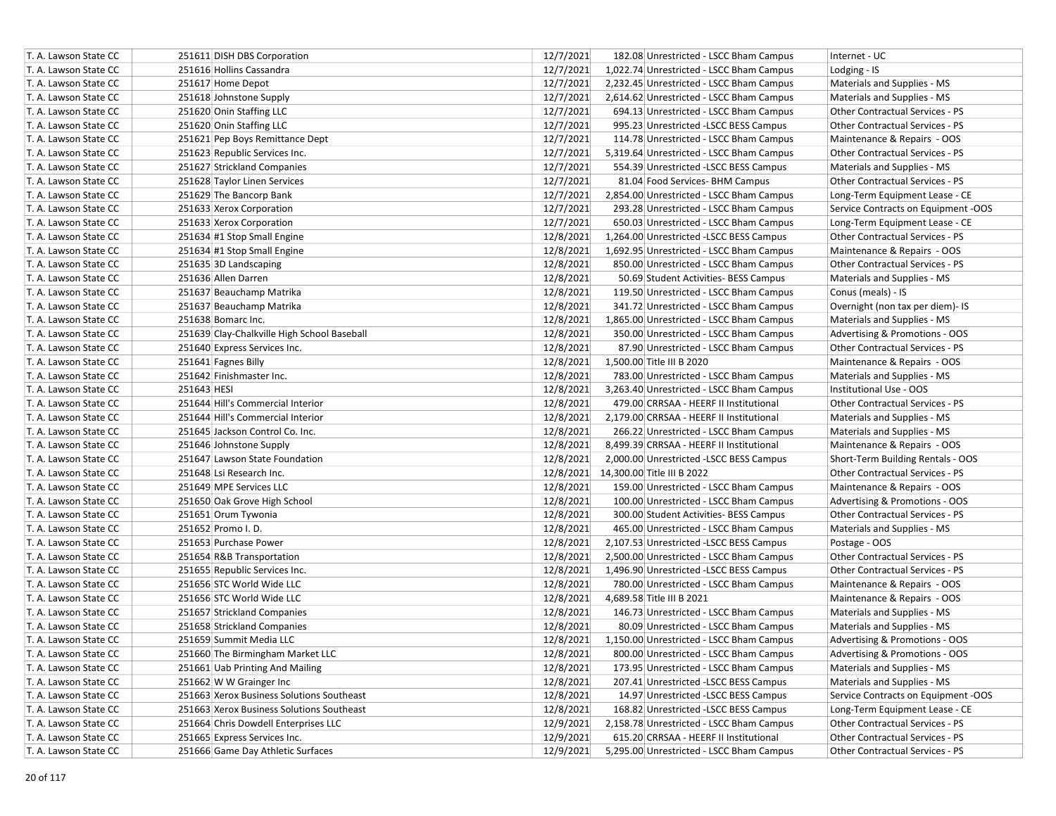| T. A. Lawson State CC | 251611 DISH DBS Corporation                 | 12/7/2021 | 182.08 Unrestricted - LSCC Bham Campus   | Internet - UC                       |
|-----------------------|---------------------------------------------|-----------|------------------------------------------|-------------------------------------|
| T. A. Lawson State CC | 251616 Hollins Cassandra                    | 12/7/2021 | 1,022.74 Unrestricted - LSCC Bham Campus | Lodging - IS                        |
| T. A. Lawson State CC | 251617 Home Depot                           | 12/7/2021 | 2,232.45 Unrestricted - LSCC Bham Campus | Materials and Supplies - MS         |
| T. A. Lawson State CC | 251618 Johnstone Supply                     | 12/7/2021 | 2,614.62 Unrestricted - LSCC Bham Campus | Materials and Supplies - MS         |
| T. A. Lawson State CC | 251620 Onin Staffing LLC                    | 12/7/2021 | 694.13 Unrestricted - LSCC Bham Campus   | Other Contractual Services - PS     |
| T. A. Lawson State CC | 251620 Onin Staffing LLC                    | 12/7/2021 | 995.23 Unrestricted -LSCC BESS Campus    | Other Contractual Services - PS     |
| T. A. Lawson State CC | 251621 Pep Boys Remittance Dept             | 12/7/2021 | 114.78 Unrestricted - LSCC Bham Campus   | Maintenance & Repairs - OOS         |
| T. A. Lawson State CC | 251623 Republic Services Inc.               | 12/7/2021 | 5,319.64 Unrestricted - LSCC Bham Campus | Other Contractual Services - PS     |
| T. A. Lawson State CC | 251627 Strickland Companies                 | 12/7/2021 | 554.39 Unrestricted -LSCC BESS Campus    | Materials and Supplies - MS         |
| T. A. Lawson State CC | 251628 Taylor Linen Services                | 12/7/2021 | 81.04 Food Services- BHM Campus          | Other Contractual Services - PS     |
| T. A. Lawson State CC | 251629 The Bancorp Bank                     | 12/7/2021 | 2,854.00 Unrestricted - LSCC Bham Campus | Long-Term Equipment Lease - CE      |
| T. A. Lawson State CC | 251633 Xerox Corporation                    | 12/7/2021 | 293.28 Unrestricted - LSCC Bham Campus   | Service Contracts on Equipment -OOS |
| T. A. Lawson State CC | 251633 Xerox Corporation                    | 12/7/2021 | 650.03 Unrestricted - LSCC Bham Campus   | Long-Term Equipment Lease - CE      |
| T. A. Lawson State CC | 251634 #1 Stop Small Engine                 | 12/8/2021 | 1,264.00 Unrestricted -LSCC BESS Campus  | Other Contractual Services - PS     |
| T. A. Lawson State CC | 251634 #1 Stop Small Engine                 | 12/8/2021 | 1,692.95 Unrestricted - LSCC Bham Campus | Maintenance & Repairs - OOS         |
| T. A. Lawson State CC | 251635 3D Landscaping                       | 12/8/2021 | 850.00 Unrestricted - LSCC Bham Campus   | Other Contractual Services - PS     |
| T. A. Lawson State CC | 251636 Allen Darren                         | 12/8/2021 | 50.69 Student Activities- BESS Campus    | Materials and Supplies - MS         |
| T. A. Lawson State CC | 251637 Beauchamp Matrika                    | 12/8/2021 | 119.50 Unrestricted - LSCC Bham Campus   | Conus (meals) - IS                  |
| T. A. Lawson State CC | 251637 Beauchamp Matrika                    | 12/8/2021 | 341.72 Unrestricted - LSCC Bham Campus   | Overnight (non tax per diem)- IS    |
| T. A. Lawson State CC | 251638 Bomarc Inc.                          | 12/8/2021 | 1,865.00 Unrestricted - LSCC Bham Campus | Materials and Supplies - MS         |
| T. A. Lawson State CC | 251639 Clay-Chalkville High School Baseball | 12/8/2021 | 350.00 Unrestricted - LSCC Bham Campus   | Advertising & Promotions - OOS      |
| T. A. Lawson State CC | 251640 Express Services Inc.                | 12/8/2021 | 87.90 Unrestricted - LSCC Bham Campus    | Other Contractual Services - PS     |
| T. A. Lawson State CC | 251641 Fagnes Billy                         | 12/8/2021 | 1,500.00 Title III B 2020                | Maintenance & Repairs - OOS         |
| T. A. Lawson State CC | 251642 Finishmaster Inc.                    | 12/8/2021 | 783.00 Unrestricted - LSCC Bham Campus   | Materials and Supplies - MS         |
| T. A. Lawson State CC | 251643 HESI                                 | 12/8/2021 | 3,263.40 Unrestricted - LSCC Bham Campus | Institutional Use - OOS             |
| T. A. Lawson State CC | 251644 Hill's Commercial Interior           | 12/8/2021 | 479.00 CRRSAA - HEERF II Institutional   | Other Contractual Services - PS     |
| T. A. Lawson State CC | 251644 Hill's Commercial Interior           | 12/8/2021 | 2,179.00 CRRSAA - HEERF II Institutional | Materials and Supplies - MS         |
| T. A. Lawson State CC | 251645 Jackson Control Co. Inc.             | 12/8/2021 | 266.22 Unrestricted - LSCC Bham Campus   | Materials and Supplies - MS         |
| T. A. Lawson State CC | 251646 Johnstone Supply                     | 12/8/2021 | 8,499.39 CRRSAA - HEERF II Institutional | Maintenance & Repairs - OOS         |
| T. A. Lawson State CC | 251647 Lawson State Foundation              | 12/8/2021 | 2,000.00 Unrestricted -LSCC BESS Campus  | Short-Term Building Rentals - OOS   |
| T. A. Lawson State CC | 251648 Lsi Research Inc.                    |           | 12/8/2021 14,300.00 Title III B 2022     | Other Contractual Services - PS     |
| T. A. Lawson State CC | 251649 MPE Services LLC                     | 12/8/2021 | 159.00 Unrestricted - LSCC Bham Campus   | Maintenance & Repairs - OOS         |
| T. A. Lawson State CC | 251650 Oak Grove High School                | 12/8/2021 | 100.00 Unrestricted - LSCC Bham Campus   | Advertising & Promotions - OOS      |
| T. A. Lawson State CC | 251651 Orum Tywonia                         | 12/8/2021 | 300.00 Student Activities- BESS Campus   | Other Contractual Services - PS     |
| T. A. Lawson State CC | 251652 Promo I.D.                           | 12/8/2021 | 465.00 Unrestricted - LSCC Bham Campus   | Materials and Supplies - MS         |
| T. A. Lawson State CC | 251653 Purchase Power                       | 12/8/2021 | 2,107.53 Unrestricted -LSCC BESS Campus  | Postage - OOS                       |
| T. A. Lawson State CC | 251654 R&B Transportation                   | 12/8/2021 | 2,500.00 Unrestricted - LSCC Bham Campus | Other Contractual Services - PS     |
| T. A. Lawson State CC | 251655 Republic Services Inc.               | 12/8/2021 | 1,496.90 Unrestricted -LSCC BESS Campus  | Other Contractual Services - PS     |
| T. A. Lawson State CC | 251656 STC World Wide LLC                   | 12/8/2021 | 780.00 Unrestricted - LSCC Bham Campus   | Maintenance & Repairs - OOS         |
| T. A. Lawson State CC | 251656 STC World Wide LLC                   | 12/8/2021 | 4,689.58 Title III B 2021                | Maintenance & Repairs - OOS         |
| T. A. Lawson State CC | 251657 Strickland Companies                 | 12/8/2021 | 146.73 Unrestricted - LSCC Bham Campus   | Materials and Supplies - MS         |
| T. A. Lawson State CC | 251658 Strickland Companies                 | 12/8/2021 | 80.09 Unrestricted - LSCC Bham Campus    | Materials and Supplies - MS         |
| T. A. Lawson State CC | 251659 Summit Media LLC                     | 12/8/2021 | 1,150.00 Unrestricted - LSCC Bham Campus | Advertising & Promotions - OOS      |
| T. A. Lawson State CC | 251660 The Birmingham Market LLC            | 12/8/2021 | 800.00 Unrestricted - LSCC Bham Campus   | Advertising & Promotions - OOS      |
| T. A. Lawson State CC | 251661 Uab Printing And Mailing             | 12/8/2021 | 173.95 Unrestricted - LSCC Bham Campus   | Materials and Supplies - MS         |
| T. A. Lawson State CC | 251662 W W Grainger Inc                     | 12/8/2021 | 207.41 Unrestricted -LSCC BESS Campus    | Materials and Supplies - MS         |
| T. A. Lawson State CC | 251663 Xerox Business Solutions Southeast   | 12/8/2021 | 14.97 Unrestricted -LSCC BESS Campus     | Service Contracts on Equipment -OOS |
| T. A. Lawson State CC | 251663 Xerox Business Solutions Southeast   | 12/8/2021 | 168.82 Unrestricted -LSCC BESS Campus    | Long-Term Equipment Lease - CE      |
| T. A. Lawson State CC | 251664 Chris Dowdell Enterprises LLC        | 12/9/2021 | 2,158.78 Unrestricted - LSCC Bham Campus | Other Contractual Services - PS     |
| T. A. Lawson State CC | 251665 Express Services Inc.                | 12/9/2021 | 615.20 CRRSAA - HEERF II Institutional   | Other Contractual Services - PS     |
| T. A. Lawson State CC | 251666 Game Day Athletic Surfaces           | 12/9/2021 | 5,295.00 Unrestricted - LSCC Bham Campus | Other Contractual Services - PS     |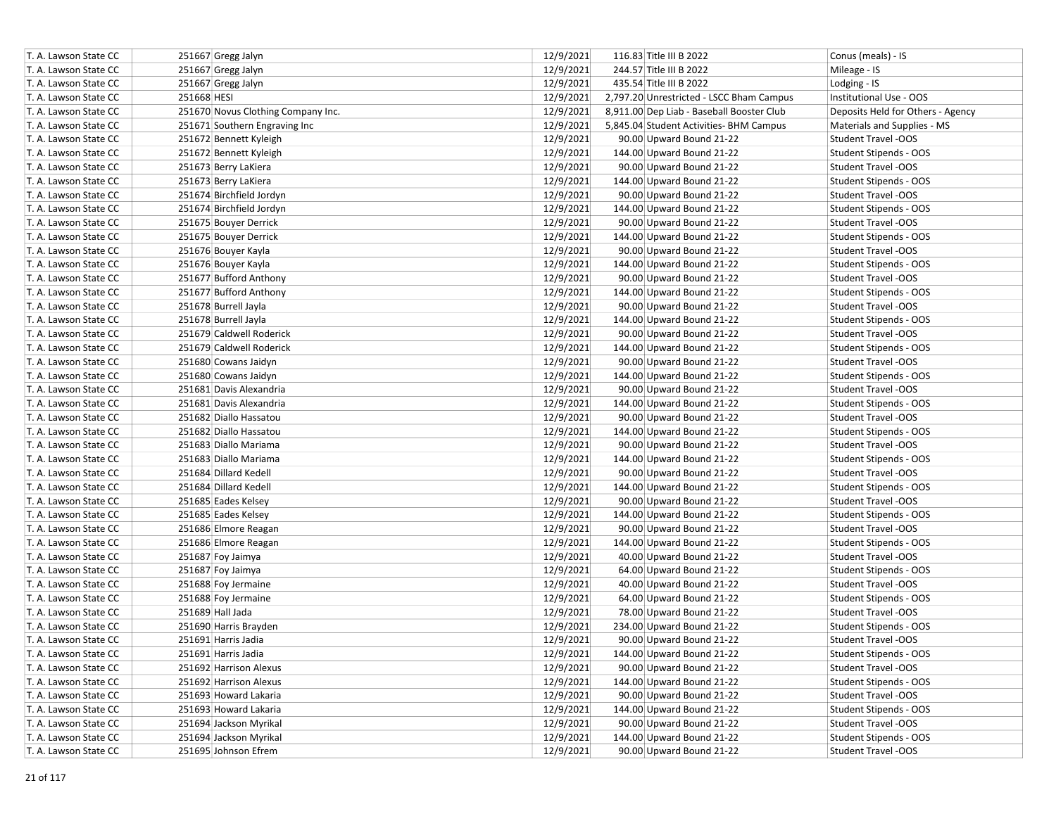| T. A. Lawson State CC |             | 251667 Gregg Jalyn                 | 12/9/2021 | 116.83 Title III B 2022                   | Conus (meals) - IS                |
|-----------------------|-------------|------------------------------------|-----------|-------------------------------------------|-----------------------------------|
| T. A. Lawson State CC |             | 251667 Gregg Jalyn                 | 12/9/2021 | 244.57 Title III B 2022                   | Mileage - IS                      |
| T. A. Lawson State CC |             | 251667 Gregg Jalyn                 | 12/9/2021 | 435.54 Title III B 2022                   | Lodging - IS                      |
| T. A. Lawson State CC | 251668 HESI |                                    | 12/9/2021 | 2,797.20 Unrestricted - LSCC Bham Campus  | Institutional Use - OOS           |
| T. A. Lawson State CC |             | 251670 Novus Clothing Company Inc. | 12/9/2021 | 8,911.00 Dep Liab - Baseball Booster Club | Deposits Held for Others - Agency |
| T. A. Lawson State CC |             | 251671 Southern Engraving Inc      | 12/9/2021 | 5,845.04 Student Activities- BHM Campus   | Materials and Supplies - MS       |
| T. A. Lawson State CC |             | 251672 Bennett Kyleigh             | 12/9/2021 | 90.00 Upward Bound 21-22                  | <b>Student Travel -OOS</b>        |
| T. A. Lawson State CC |             | 251672 Bennett Kyleigh             | 12/9/2021 | 144.00 Upward Bound 21-22                 | Student Stipends - OOS            |
| T. A. Lawson State CC |             | 251673 Berry LaKiera               | 12/9/2021 | 90.00 Upward Bound 21-22                  | Student Travel -OOS               |
| T. A. Lawson State CC |             | 251673 Berry LaKiera               | 12/9/2021 | 144.00 Upward Bound 21-22                 | Student Stipends - OOS            |
| T. A. Lawson State CC |             | 251674 Birchfield Jordyn           | 12/9/2021 | 90.00 Upward Bound 21-22                  | <b>Student Travel -OOS</b>        |
| T. A. Lawson State CC |             | 251674 Birchfield Jordyn           | 12/9/2021 | 144.00 Upward Bound 21-22                 | Student Stipends - OOS            |
| T. A. Lawson State CC |             | 251675 Bouyer Derrick              | 12/9/2021 | 90.00 Upward Bound 21-22                  | <b>Student Travel -OOS</b>        |
| T. A. Lawson State CC |             | 251675 Bouyer Derrick              | 12/9/2021 | 144.00 Upward Bound 21-22                 | Student Stipends - OOS            |
| T. A. Lawson State CC |             | 251676 Bouyer Kayla                | 12/9/2021 | 90.00 Upward Bound 21-22                  | Student Travel -OOS               |
| T. A. Lawson State CC |             | 251676 Bouyer Kayla                | 12/9/2021 | 144.00 Upward Bound 21-22                 | Student Stipends - OOS            |
| T. A. Lawson State CC |             | 251677 Bufford Anthony             | 12/9/2021 | 90.00 Upward Bound 21-22                  | <b>Student Travel -OOS</b>        |
| T. A. Lawson State CC |             | 251677 Bufford Anthony             | 12/9/2021 | 144.00 Upward Bound 21-22                 | Student Stipends - OOS            |
| T. A. Lawson State CC |             | 251678 Burrell Jayla               | 12/9/2021 | 90.00 Upward Bound 21-22                  | <b>Student Travel -OOS</b>        |
| T. A. Lawson State CC |             | 251678 Burrell Jayla               | 12/9/2021 | 144.00 Upward Bound 21-22                 | Student Stipends - OOS            |
| T. A. Lawson State CC |             | 251679 Caldwell Roderick           | 12/9/2021 | 90.00 Upward Bound 21-22                  | <b>Student Travel -OOS</b>        |
| T. A. Lawson State CC |             | 251679 Caldwell Roderick           | 12/9/2021 | 144.00 Upward Bound 21-22                 | Student Stipends - OOS            |
| T. A. Lawson State CC |             | 251680 Cowans Jaidyn               | 12/9/2021 | 90.00 Upward Bound 21-22                  | Student Travel -OOS               |
| T. A. Lawson State CC |             | 251680 Cowans Jaidyn               | 12/9/2021 | 144.00 Upward Bound 21-22                 | Student Stipends - OOS            |
| T. A. Lawson State CC |             | 251681 Davis Alexandria            | 12/9/2021 | 90.00 Upward Bound 21-22                  | <b>Student Travel -OOS</b>        |
| T. A. Lawson State CC |             | 251681 Davis Alexandria            | 12/9/2021 | 144.00 Upward Bound 21-22                 | Student Stipends - OOS            |
| T. A. Lawson State CC |             | 251682 Diallo Hassatou             | 12/9/2021 | 90.00 Upward Bound 21-22                  | <b>Student Travel -OOS</b>        |
| T. A. Lawson State CC |             | 251682 Diallo Hassatou             | 12/9/2021 | 144.00 Upward Bound 21-22                 | Student Stipends - OOS            |
| T. A. Lawson State CC |             | 251683 Diallo Mariama              | 12/9/2021 | 90.00 Upward Bound 21-22                  | Student Travel -OOS               |
| T. A. Lawson State CC |             | 251683 Diallo Mariama              | 12/9/2021 | 144.00 Upward Bound 21-22                 | Student Stipends - OOS            |
| T. A. Lawson State CC |             | 251684 Dillard Kedell              | 12/9/2021 | 90.00 Upward Bound 21-22                  | Student Travel -OOS               |
| T. A. Lawson State CC |             | 251684 Dillard Kedell              | 12/9/2021 | 144.00 Upward Bound 21-22                 | Student Stipends - OOS            |
| T. A. Lawson State CC |             | 251685 Eades Kelsey                | 12/9/2021 | 90.00 Upward Bound 21-22                  | <b>Student Travel -OOS</b>        |
| T. A. Lawson State CC |             | 251685 Eades Kelsey                | 12/9/2021 | 144.00 Upward Bound 21-22                 | Student Stipends - OOS            |
| T. A. Lawson State CC |             | 251686 Elmore Reagan               | 12/9/2021 | 90.00 Upward Bound 21-22                  | <b>Student Travel -OOS</b>        |
| T. A. Lawson State CC |             | 251686 Elmore Reagan               | 12/9/2021 | 144.00 Upward Bound 21-22                 | Student Stipends - OOS            |
| T. A. Lawson State CC |             | 251687 Foy Jaimya                  | 12/9/2021 | 40.00 Upward Bound 21-22                  | <b>Student Travel -OOS</b>        |
| T. A. Lawson State CC |             | 251687 Foy Jaimya                  | 12/9/2021 | 64.00 Upward Bound 21-22                  | Student Stipends - OOS            |
| T. A. Lawson State CC |             | 251688 Foy Jermaine                | 12/9/2021 | 40.00 Upward Bound 21-22                  | Student Travel -OOS               |
| T. A. Lawson State CC |             | 251688 Foy Jermaine                | 12/9/2021 | 64.00 Upward Bound 21-22                  | Student Stipends - OOS            |
| T. A. Lawson State CC |             | 251689 Hall Jada                   | 12/9/2021 | 78.00 Upward Bound 21-22                  | <b>Student Travel -OOS</b>        |
| T. A. Lawson State CC |             | 251690 Harris Brayden              | 12/9/2021 | 234.00 Upward Bound 21-22                 | Student Stipends - OOS            |
| T. A. Lawson State CC |             | 251691 Harris Jadia                | 12/9/2021 | 90.00 Upward Bound 21-22                  | Student Travel -OOS               |
| T. A. Lawson State CC |             | 251691 Harris Jadia                | 12/9/2021 | 144.00 Upward Bound 21-22                 | Student Stipends - OOS            |
| T. A. Lawson State CC |             | 251692 Harrison Alexus             | 12/9/2021 | 90.00 Upward Bound 21-22                  | Student Travel -OOS               |
| T. A. Lawson State CC |             | 251692 Harrison Alexus             | 12/9/2021 | 144.00 Upward Bound 21-22                 | Student Stipends - OOS            |
| T. A. Lawson State CC |             | 251693 Howard Lakaria              | 12/9/2021 | 90.00 Upward Bound 21-22                  | Student Travel -OOS               |
| T. A. Lawson State CC |             | 251693 Howard Lakaria              | 12/9/2021 | 144.00 Upward Bound 21-22                 | Student Stipends - OOS            |
| T. A. Lawson State CC |             | 251694 Jackson Myrikal             | 12/9/2021 | 90.00 Upward Bound 21-22                  | Student Travel -OOS               |
| T. A. Lawson State CC |             | 251694 Jackson Myrikal             | 12/9/2021 | 144.00 Upward Bound 21-22                 | Student Stipends - OOS            |
| T. A. Lawson State CC |             | 251695 Johnson Efrem               | 12/9/2021 | 90.00 Upward Bound 21-22                  | <b>Student Travel -OOS</b>        |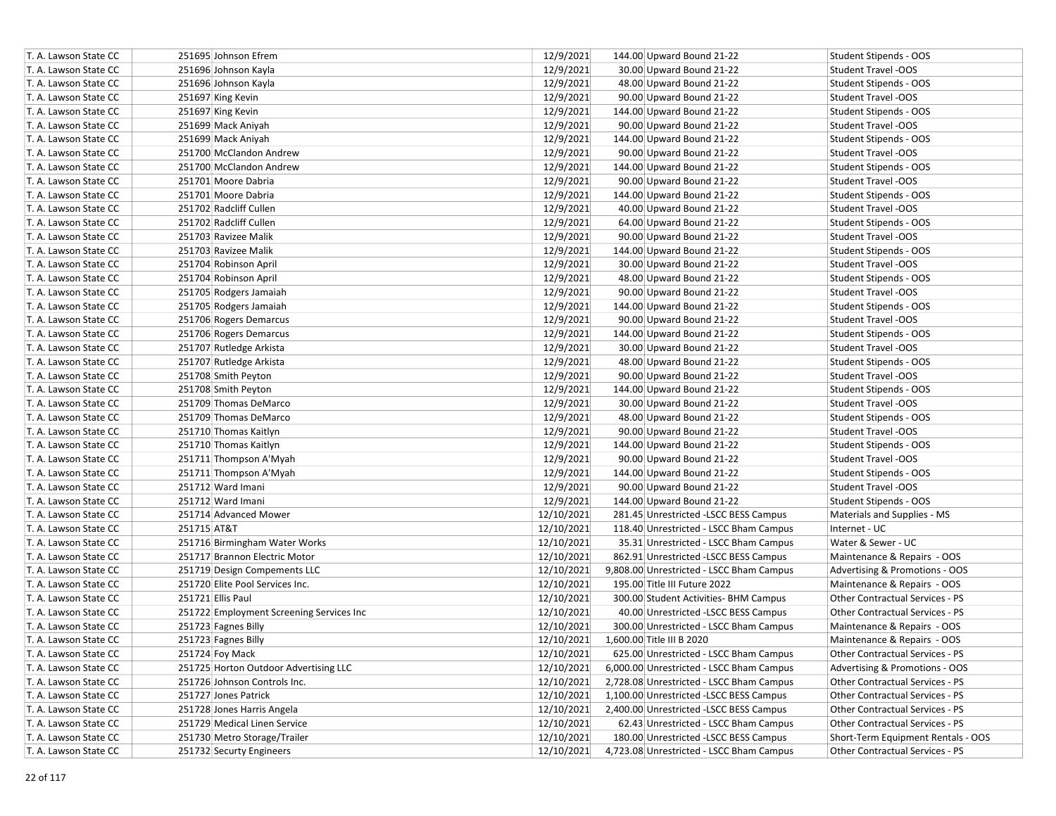| T. A. Lawson State CC |             | 251695 Johnson Efrem                     | 12/9/2021  | 144.00 Upward Bound 21-22                | Student Stipends - OOS             |
|-----------------------|-------------|------------------------------------------|------------|------------------------------------------|------------------------------------|
| T. A. Lawson State CC |             | 251696 Johnson Kayla                     | 12/9/2021  | 30.00 Upward Bound 21-22                 | Student Travel -OOS                |
| T. A. Lawson State CC |             | 251696 Johnson Kayla                     | 12/9/2021  | 48.00 Upward Bound 21-22                 | Student Stipends - OOS             |
| T. A. Lawson State CC |             | 251697 King Kevin                        | 12/9/2021  | 90.00 Upward Bound 21-22                 | Student Travel -OOS                |
| T. A. Lawson State CC |             | 251697 King Kevin                        | 12/9/2021  | 144.00 Upward Bound 21-22                | Student Stipends - OOS             |
| T. A. Lawson State CC |             | 251699 Mack Aniyah                       | 12/9/2021  | 90.00 Upward Bound 21-22                 | Student Travel -OOS                |
| T. A. Lawson State CC |             | 251699 Mack Aniyah                       | 12/9/2021  | 144.00 Upward Bound 21-22                | Student Stipends - OOS             |
| T. A. Lawson State CC |             | 251700 McClandon Andrew                  | 12/9/2021  | 90.00 Upward Bound 21-22                 | Student Travel -OOS                |
| T. A. Lawson State CC |             | 251700 McClandon Andrew                  | 12/9/2021  | 144.00 Upward Bound 21-22                | Student Stipends - OOS             |
| T. A. Lawson State CC |             | 251701 Moore Dabria                      | 12/9/2021  | 90.00 Upward Bound 21-22                 | Student Travel -OOS                |
| T. A. Lawson State CC |             | 251701 Moore Dabria                      | 12/9/2021  | 144.00 Upward Bound 21-22                | Student Stipends - OOS             |
| T. A. Lawson State CC |             | 251702 Radcliff Cullen                   | 12/9/2021  | 40.00 Upward Bound 21-22                 | <b>Student Travel -OOS</b>         |
| T. A. Lawson State CC |             | 251702 Radcliff Cullen                   | 12/9/2021  | 64.00 Upward Bound 21-22                 | Student Stipends - OOS             |
| T. A. Lawson State CC |             | 251703 Ravizee Malik                     | 12/9/2021  | 90.00 Upward Bound 21-22                 | Student Travel -OOS                |
| T. A. Lawson State CC |             | 251703 Ravizee Malik                     | 12/9/2021  | 144.00 Upward Bound 21-22                | Student Stipends - OOS             |
| T. A. Lawson State CC |             | 251704 Robinson April                    | 12/9/2021  | 30.00 Upward Bound 21-22                 | Student Travel -OOS                |
| T. A. Lawson State CC |             | 251704 Robinson April                    | 12/9/2021  | 48.00 Upward Bound 21-22                 | Student Stipends - OOS             |
| T. A. Lawson State CC |             | 251705 Rodgers Jamaiah                   | 12/9/2021  | 90.00 Upward Bound 21-22                 | Student Travel -OOS                |
| T. A. Lawson State CC |             | 251705 Rodgers Jamaiah                   | 12/9/2021  | 144.00 Upward Bound 21-22                | Student Stipends - OOS             |
| T. A. Lawson State CC |             | 251706 Rogers Demarcus                   | 12/9/2021  | 90.00 Upward Bound 21-22                 | Student Travel -OOS                |
| T. A. Lawson State CC |             | 251706 Rogers Demarcus                   | 12/9/2021  | 144.00 Upward Bound 21-22                | Student Stipends - OOS             |
| T. A. Lawson State CC |             | 251707 Rutledge Arkista                  | 12/9/2021  | 30.00 Upward Bound 21-22                 | Student Travel -OOS                |
| T. A. Lawson State CC |             | 251707 Rutledge Arkista                  | 12/9/2021  | 48.00 Upward Bound 21-22                 | Student Stipends - OOS             |
| T. A. Lawson State CC |             | 251708 Smith Peyton                      | 12/9/2021  | 90.00 Upward Bound 21-22                 | Student Travel -OOS                |
| T. A. Lawson State CC |             | 251708 Smith Peyton                      | 12/9/2021  | 144.00 Upward Bound 21-22                | Student Stipends - OOS             |
| T. A. Lawson State CC |             | 251709 Thomas DeMarco                    | 12/9/2021  | 30.00 Upward Bound 21-22                 | <b>Student Travel -OOS</b>         |
| T. A. Lawson State CC |             | 251709 Thomas DeMarco                    | 12/9/2021  | 48.00 Upward Bound 21-22                 | Student Stipends - OOS             |
| T. A. Lawson State CC |             | 251710 Thomas Kaitlyn                    | 12/9/2021  | 90.00 Upward Bound 21-22                 | Student Travel -OOS                |
| T. A. Lawson State CC |             | 251710 Thomas Kaitlyn                    | 12/9/2021  | 144.00 Upward Bound 21-22                | Student Stipends - OOS             |
| T. A. Lawson State CC |             | 251711 Thompson A'Myah                   | 12/9/2021  | 90.00 Upward Bound 21-22                 | Student Travel -OOS                |
| T. A. Lawson State CC |             | 251711 Thompson A'Myah                   | 12/9/2021  | 144.00 Upward Bound 21-22                | Student Stipends - OOS             |
| T. A. Lawson State CC |             | 251712 Ward Imani                        | 12/9/2021  | 90.00 Upward Bound 21-22                 | Student Travel -OOS                |
| T. A. Lawson State CC |             | 251712 Ward Imani                        | 12/9/2021  | 144.00 Upward Bound 21-22                | Student Stipends - OOS             |
| T. A. Lawson State CC |             | 251714 Advanced Mower                    | 12/10/2021 | 281.45 Unrestricted -LSCC BESS Campus    | Materials and Supplies - MS        |
| T. A. Lawson State CC | 251715 AT&T |                                          | 12/10/2021 | 118.40 Unrestricted - LSCC Bham Campus   | Internet - UC                      |
| T. A. Lawson State CC |             | 251716 Birmingham Water Works            | 12/10/2021 | 35.31 Unrestricted - LSCC Bham Campus    | Water & Sewer - UC                 |
| T. A. Lawson State CC |             | 251717 Brannon Electric Motor            | 12/10/2021 | 862.91 Unrestricted -LSCC BESS Campus    | Maintenance & Repairs - OOS        |
| T. A. Lawson State CC |             | 251719 Design Compements LLC             | 12/10/2021 | 9,808.00 Unrestricted - LSCC Bham Campus | Advertising & Promotions - OOS     |
| T. A. Lawson State CC |             | 251720 Elite Pool Services Inc.          | 12/10/2021 | 195.00 Title III Future 2022             | Maintenance & Repairs - OOS        |
| T. A. Lawson State CC |             | 251721 Ellis Paul                        | 12/10/2021 | 300.00 Student Activities- BHM Campus    | Other Contractual Services - PS    |
| T. A. Lawson State CC |             | 251722 Employment Screening Services Inc | 12/10/2021 | 40.00 Unrestricted -LSCC BESS Campus     | Other Contractual Services - PS    |
| T. A. Lawson State CC |             | 251723 Fagnes Billy                      | 12/10/2021 | 300.00 Unrestricted - LSCC Bham Campus   | Maintenance & Repairs - OOS        |
| T. A. Lawson State CC |             | 251723 Fagnes Billy                      | 12/10/2021 | 1.600.00 Title III B 2020                | Maintenance & Repairs - OOS        |
| T. A. Lawson State CC |             | 251724 Foy Mack                          | 12/10/2021 | 625.00 Unrestricted - LSCC Bham Campus   | Other Contractual Services - PS    |
| T. A. Lawson State CC |             | 251725 Horton Outdoor Advertising LLC    | 12/10/2021 | 6,000.00 Unrestricted - LSCC Bham Campus | Advertising & Promotions - OOS     |
| T. A. Lawson State CC |             | 251726 Johnson Controls Inc.             | 12/10/2021 | 2,728.08 Unrestricted - LSCC Bham Campus | Other Contractual Services - PS    |
| T. A. Lawson State CC |             | 251727 Jones Patrick                     | 12/10/2021 | 1,100.00 Unrestricted -LSCC BESS Campus  | Other Contractual Services - PS    |
| T. A. Lawson State CC |             | 251728 Jones Harris Angela               | 12/10/2021 | 2,400.00 Unrestricted -LSCC BESS Campus  | Other Contractual Services - PS    |
| T. A. Lawson State CC |             | 251729 Medical Linen Service             | 12/10/2021 | 62.43 Unrestricted - LSCC Bham Campus    | Other Contractual Services - PS    |
| T. A. Lawson State CC |             | 251730 Metro Storage/Trailer             | 12/10/2021 | 180.00 Unrestricted -LSCC BESS Campus    | Short-Term Equipment Rentals - OOS |
| T. A. Lawson State CC |             | 251732 Securty Engineers                 | 12/10/2021 | 4,723.08 Unrestricted - LSCC Bham Campus | Other Contractual Services - PS    |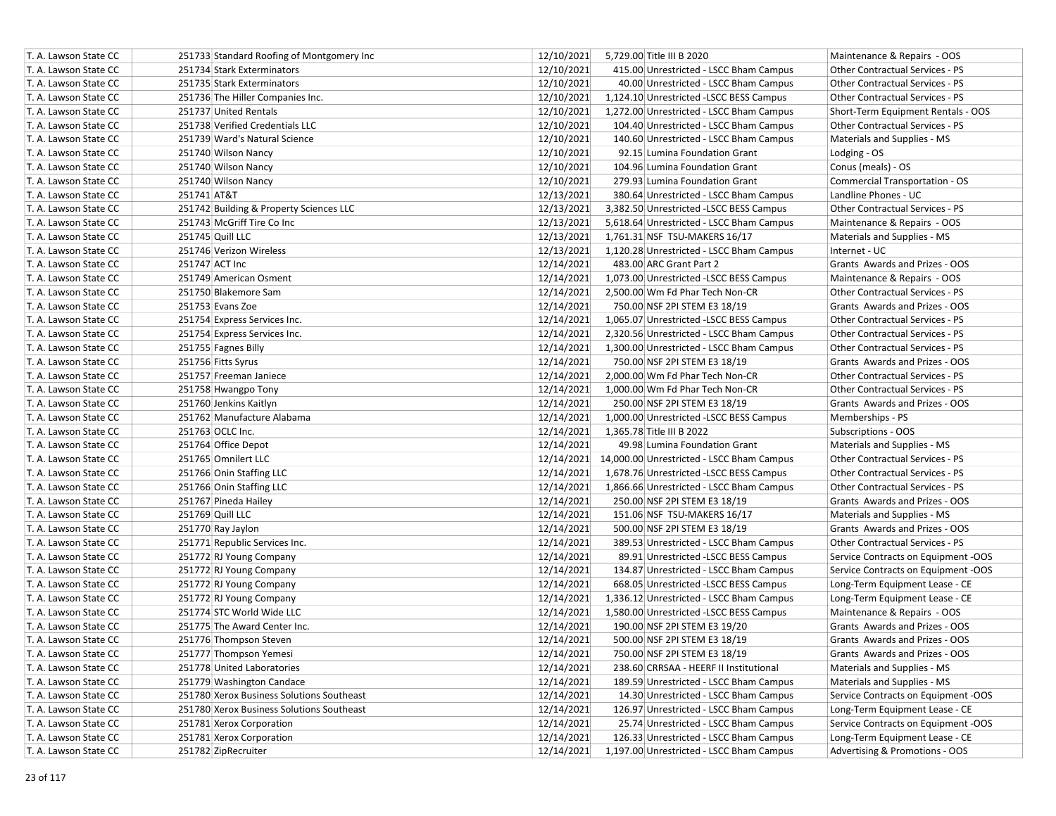| T. A. Lawson State CC | 251733 Standard Roofing of Montgomery Inc | 12/10/2021 | 5,729.00 Title III B 2020                            | Maintenance & Repairs - OOS            |
|-----------------------|-------------------------------------------|------------|------------------------------------------------------|----------------------------------------|
| T. A. Lawson State CC | 251734 Stark Exterminators                | 12/10/2021 | 415.00 Unrestricted - LSCC Bham Campus               | Other Contractual Services - PS        |
| T. A. Lawson State CC | 251735 Stark Exterminators                | 12/10/2021 | 40.00 Unrestricted - LSCC Bham Campus                | Other Contractual Services - PS        |
| T. A. Lawson State CC | 251736 The Hiller Companies Inc.          | 12/10/2021 | 1,124.10 Unrestricted -LSCC BESS Campus              | <b>Other Contractual Services - PS</b> |
| T. A. Lawson State CC | 251737 United Rentals                     | 12/10/2021 | 1,272.00 Unrestricted - LSCC Bham Campus             | Short-Term Equipment Rentals - OOS     |
| T. A. Lawson State CC | 251738 Verified Credentials LLC           | 12/10/2021 | 104.40 Unrestricted - LSCC Bham Campus               | Other Contractual Services - PS        |
| T. A. Lawson State CC | 251739 Ward's Natural Science             | 12/10/2021 | 140.60 Unrestricted - LSCC Bham Campus               | Materials and Supplies - MS            |
| T. A. Lawson State CC | 251740 Wilson Nancy                       | 12/10/2021 | 92.15 Lumina Foundation Grant                        | Lodging - OS                           |
| T. A. Lawson State CC | 251740 Wilson Nancy                       | 12/10/2021 | 104.96 Lumina Foundation Grant                       | Conus (meals) - OS                     |
| T. A. Lawson State CC | 251740 Wilson Nancy                       | 12/10/2021 | 279.93 Lumina Foundation Grant                       | <b>Commercial Transportation - OS</b>  |
| T. A. Lawson State CC | 251741 AT&T                               | 12/13/2021 | 380.64 Unrestricted - LSCC Bham Campus               | Landline Phones - UC                   |
| T. A. Lawson State CC | 251742 Building & Property Sciences LLC   | 12/13/2021 | 3,382.50 Unrestricted - LSCC BESS Campus             | <b>Other Contractual Services - PS</b> |
| T. A. Lawson State CC | 251743 McGriff Tire Co Inc                | 12/13/2021 | 5,618.64 Unrestricted - LSCC Bham Campus             | Maintenance & Repairs - OOS            |
| T. A. Lawson State CC | 251745 Quill LLC                          | 12/13/2021 | 1,761.31 NSF TSU-MAKERS 16/17                        | Materials and Supplies - MS            |
| T. A. Lawson State CC | 251746 Verizon Wireless                   | 12/13/2021 | 1,120.28 Unrestricted - LSCC Bham Campus             | Internet - UC                          |
| T. A. Lawson State CC | 251747 ACT Inc                            | 12/14/2021 | 483.00 ARC Grant Part 2                              | Grants Awards and Prizes - OOS         |
| T. A. Lawson State CC | 251749 American Osment                    | 12/14/2021 | 1,073.00 Unrestricted -LSCC BESS Campus              | Maintenance & Repairs - OOS            |
| T. A. Lawson State CC | 251750 Blakemore Sam                      | 12/14/2021 | 2,500.00 Wm Fd Phar Tech Non-CR                      | Other Contractual Services - PS        |
| T. A. Lawson State CC | 251753 Evans Zoe                          | 12/14/2021 | 750.00 NSF 2PI STEM E3 18/19                         | Grants Awards and Prizes - OOS         |
| T. A. Lawson State CC | 251754 Express Services Inc.              | 12/14/2021 | 1,065.07 Unrestricted -LSCC BESS Campus              | Other Contractual Services - PS        |
| T. A. Lawson State CC | 251754 Express Services Inc.              | 12/14/2021 | 2,320.56 Unrestricted - LSCC Bham Campus             | <b>Other Contractual Services - PS</b> |
| T. A. Lawson State CC | 251755 Fagnes Billy                       | 12/14/2021 | 1,300.00 Unrestricted - LSCC Bham Campus             | Other Contractual Services - PS        |
| T. A. Lawson State CC | 251756 Fitts Syrus                        | 12/14/2021 | 750.00 NSF 2PI STEM E3 18/19                         | Grants Awards and Prizes - OOS         |
| T. A. Lawson State CC | 251757 Freeman Janiece                    | 12/14/2021 | 2,000.00 Wm Fd Phar Tech Non-CR                      | Other Contractual Services - PS        |
| T. A. Lawson State CC | 251758 Hwangpo Tony                       | 12/14/2021 | 1,000.00 Wm Fd Phar Tech Non-CR                      | Other Contractual Services - PS        |
| T. A. Lawson State CC | 251760 Jenkins Kaitlyn                    | 12/14/2021 | 250.00 NSF 2PI STEM E3 18/19                         | Grants Awards and Prizes - OOS         |
| T. A. Lawson State CC | 251762 Manufacture Alabama                | 12/14/2021 | 1,000.00 Unrestricted -LSCC BESS Campus              | Memberships - PS                       |
| T. A. Lawson State CC | 251763 OCLC Inc.                          | 12/14/2021 | 1,365.78 Title III B 2022                            | Subscriptions - OOS                    |
| T. A. Lawson State CC | 251764 Office Depot                       | 12/14/2021 | 49.98 Lumina Foundation Grant                        | Materials and Supplies - MS            |
| T. A. Lawson State CC | 251765 Omnilert LLC                       |            | 12/14/2021 14,000.00 Unrestricted - LSCC Bham Campus | Other Contractual Services - PS        |
| T. A. Lawson State CC | 251766 Onin Staffing LLC                  | 12/14/2021 | 1,678.76 Unrestricted -LSCC BESS Campus              | Other Contractual Services - PS        |
| T. A. Lawson State CC | 251766 Onin Staffing LLC                  | 12/14/2021 | 1,866.66 Unrestricted - LSCC Bham Campus             | <b>Other Contractual Services - PS</b> |
| T. A. Lawson State CC | 251767 Pineda Hailey                      | 12/14/2021 | 250.00 NSF 2PI STEM E3 18/19                         | Grants Awards and Prizes - OOS         |
| T. A. Lawson State CC | 251769 Quill LLC                          | 12/14/2021 | 151.06 NSF TSU-MAKERS 16/17                          | Materials and Supplies - MS            |
| T. A. Lawson State CC | 251770 Ray Jaylon                         | 12/14/2021 | 500.00 NSF 2PI STEM E3 18/19                         | Grants Awards and Prizes - OOS         |
| T. A. Lawson State CC | 251771 Republic Services Inc.             | 12/14/2021 | 389.53 Unrestricted - LSCC Bham Campus               | Other Contractual Services - PS        |
| T. A. Lawson State CC | 251772 RJ Young Company                   | 12/14/2021 | 89.91 Unrestricted -LSCC BESS Campus                 | Service Contracts on Equipment -OOS    |
| T. A. Lawson State CC | 251772 RJ Young Company                   | 12/14/2021 | 134.87 Unrestricted - LSCC Bham Campus               | Service Contracts on Equipment -OOS    |
| T. A. Lawson State CC | 251772 RJ Young Company                   | 12/14/2021 | 668.05 Unrestricted -LSCC BESS Campus                | Long-Term Equipment Lease - CE         |
| T. A. Lawson State CC | 251772 RJ Young Company                   | 12/14/2021 | 1,336.12 Unrestricted - LSCC Bham Campus             | Long-Term Equipment Lease - CE         |
| T. A. Lawson State CC | 251774 STC World Wide LLC                 | 12/14/2021 | 1,580.00 Unrestricted -LSCC BESS Campus              | Maintenance & Repairs - OOS            |
| T. A. Lawson State CC | 251775 The Award Center Inc.              | 12/14/2021 | 190.00 NSF 2PI STEM E3 19/20                         | Grants Awards and Prizes - OOS         |
| T. A. Lawson State CC | 251776 Thompson Steven                    | 12/14/2021 | 500.00 NSF 2PI STEM E3 18/19                         | Grants Awards and Prizes - OOS         |
| T. A. Lawson State CC | 251777 Thompson Yemesi                    | 12/14/2021 | 750.00 NSF 2PI STEM E3 18/19                         | Grants Awards and Prizes - OOS         |
| T. A. Lawson State CC | 251778 United Laboratories                | 12/14/2021 | 238.60 CRRSAA - HEERF II Institutional               | Materials and Supplies - MS            |
| T. A. Lawson State CC | 251779 Washington Candace                 | 12/14/2021 | 189.59 Unrestricted - LSCC Bham Campus               | Materials and Supplies - MS            |
| T. A. Lawson State CC | 251780 Xerox Business Solutions Southeast | 12/14/2021 | 14.30 Unrestricted - LSCC Bham Campus                | Service Contracts on Equipment -OOS    |
| T. A. Lawson State CC | 251780 Xerox Business Solutions Southeast | 12/14/2021 | 126.97 Unrestricted - LSCC Bham Campus               | Long-Term Equipment Lease - CE         |
| T. A. Lawson State CC | 251781 Xerox Corporation                  | 12/14/2021 | 25.74 Unrestricted - LSCC Bham Campus                | Service Contracts on Equipment -OOS    |
| T. A. Lawson State CC | 251781 Xerox Corporation                  | 12/14/2021 | 126.33 Unrestricted - LSCC Bham Campus               | Long-Term Equipment Lease - CE         |
| T. A. Lawson State CC | 251782 ZipRecruiter                       | 12/14/2021 | 1,197.00 Unrestricted - LSCC Bham Campus             | Advertising & Promotions - OOS         |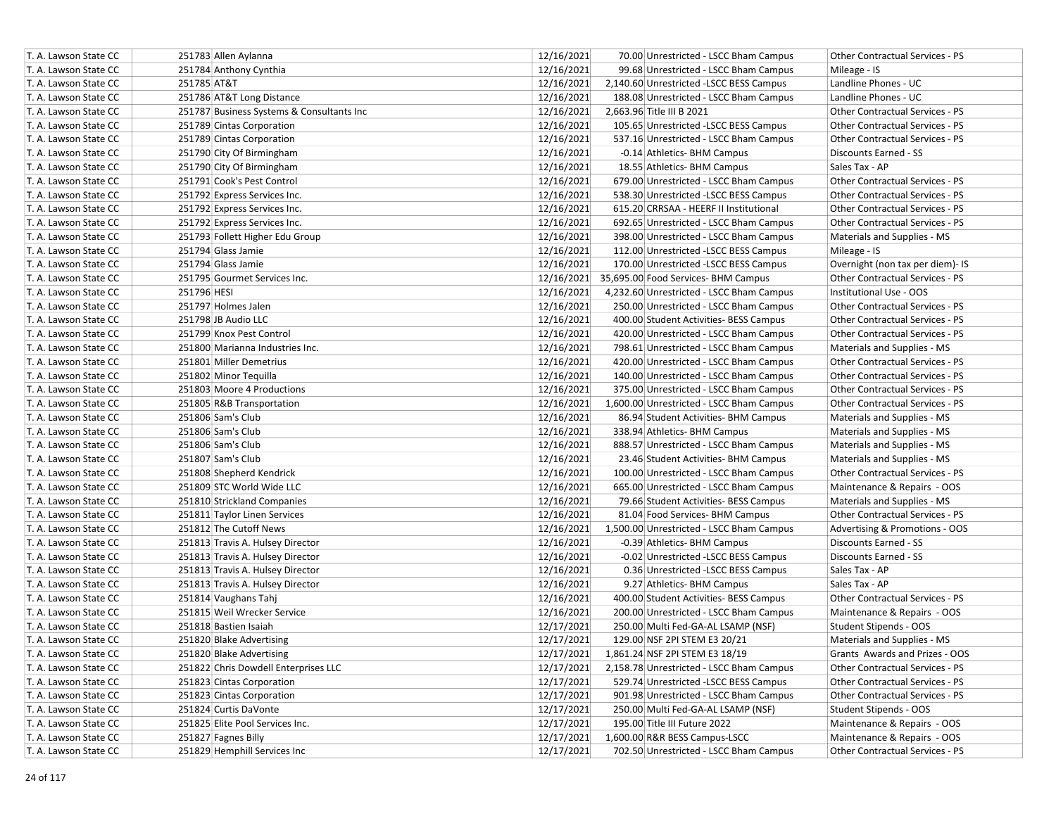| T. A. Lawson State CC | 251783 Allen Aylanna                      | 12/16/2021 | 70.00 Unrestricted - LSCC Bham Campus          | Other Contractual Services - PS        |
|-----------------------|-------------------------------------------|------------|------------------------------------------------|----------------------------------------|
| T. A. Lawson State CC | 251784 Anthony Cynthia                    | 12/16/2021 | 99.68 Unrestricted - LSCC Bham Campus          | Mileage - IS                           |
| T. A. Lawson State CC | 251785 AT&T                               | 12/16/2021 | 2,140.60 Unrestricted - LSCC BESS Campus       | Landline Phones - UC                   |
| T. A. Lawson State CC | 251786 AT&T Long Distance                 | 12/16/2021 | 188.08 Unrestricted - LSCC Bham Campus         | Landline Phones - UC                   |
| T. A. Lawson State CC | 251787 Business Systems & Consultants Inc | 12/16/2021 | 2,663.96 Title III B 2021                      | Other Contractual Services - PS        |
| T. A. Lawson State CC | 251789 Cintas Corporation                 | 12/16/2021 | 105.65 Unrestricted -LSCC BESS Campus          | Other Contractual Services - PS        |
| T. A. Lawson State CC | 251789 Cintas Corporation                 | 12/16/2021 | 537.16 Unrestricted - LSCC Bham Campus         | <b>Other Contractual Services - PS</b> |
| T. A. Lawson State CC | 251790 City Of Birmingham                 | 12/16/2021 | -0.14 Athletics- BHM Campus                    | <b>Discounts Earned - SS</b>           |
| T. A. Lawson State CC | 251790 City Of Birmingham                 | 12/16/2021 | 18.55 Athletics- BHM Campus                    | Sales Tax - AP                         |
| T. A. Lawson State CC | 251791 Cook's Pest Control                | 12/16/2021 | 679.00 Unrestricted - LSCC Bham Campus         | Other Contractual Services - PS        |
| T. A. Lawson State CC | 251792 Express Services Inc.              | 12/16/2021 | 538.30 Unrestricted -LSCC BESS Campus          | Other Contractual Services - PS        |
| T. A. Lawson State CC | 251792 Express Services Inc.              | 12/16/2021 | 615.20 CRRSAA - HEERF II Institutional         | <b>Other Contractual Services - PS</b> |
| T. A. Lawson State CC | 251792 Express Services Inc.              | 12/16/2021 | 692.65 Unrestricted - LSCC Bham Campus         | Other Contractual Services - PS        |
| T. A. Lawson State CC | 251793 Follett Higher Edu Group           | 12/16/2021 | 398.00 Unrestricted - LSCC Bham Campus         | Materials and Supplies - MS            |
| T. A. Lawson State CC | 251794 Glass Jamie                        | 12/16/2021 | 112.00 Unrestricted -LSCC BESS Campus          | Mileage - IS                           |
| T. A. Lawson State CC | 251794 Glass Jamie                        | 12/16/2021 | 170.00 Unrestricted -LSCC BESS Campus          | Overnight (non tax per diem)- IS       |
| T. A. Lawson State CC | 251795 Gourmet Services Inc.              |            | 12/16/2021 35,695.00 Food Services- BHM Campus | Other Contractual Services - PS        |
| T. A. Lawson State CC | 251796 HESI                               | 12/16/2021 | 4,232.60 Unrestricted - LSCC Bham Campus       | Institutional Use - OOS                |
| T. A. Lawson State CC | 251797 Holmes Jalen                       | 12/16/2021 | 250.00 Unrestricted - LSCC Bham Campus         | Other Contractual Services - PS        |
| T. A. Lawson State CC | 251798 JB Audio LLC                       | 12/16/2021 | 400.00 Student Activities- BESS Campus         | Other Contractual Services - PS        |
| T. A. Lawson State CC | 251799 Knox Pest Control                  | 12/16/2021 | 420.00 Unrestricted - LSCC Bham Campus         | Other Contractual Services - PS        |
| T. A. Lawson State CC | 251800 Marianna Industries Inc.           | 12/16/2021 | 798.61 Unrestricted - LSCC Bham Campus         | Materials and Supplies - MS            |
| T. A. Lawson State CC | 251801 Miller Demetrius                   | 12/16/2021 | 420.00 Unrestricted - LSCC Bham Campus         | Other Contractual Services - PS        |
| T. A. Lawson State CC | 251802 Minor Tequilla                     | 12/16/2021 | 140.00 Unrestricted - LSCC Bham Campus         | Other Contractual Services - PS        |
| T. A. Lawson State CC | 251803 Moore 4 Productions                | 12/16/2021 | 375.00 Unrestricted - LSCC Bham Campus         | <b>Other Contractual Services - PS</b> |
| T. A. Lawson State CC | 251805 R&B Transportation                 | 12/16/2021 | 1,600.00 Unrestricted - LSCC Bham Campus       | <b>Other Contractual Services - PS</b> |
| T. A. Lawson State CC | 251806 Sam's Club                         | 12/16/2021 | 86.94 Student Activities- BHM Campus           | Materials and Supplies - MS            |
| T. A. Lawson State CC | 251806 Sam's Club                         | 12/16/2021 | 338.94 Athletics- BHM Campus                   | Materials and Supplies - MS            |
| T. A. Lawson State CC | 251806 Sam's Club                         | 12/16/2021 | 888.57 Unrestricted - LSCC Bham Campus         | Materials and Supplies - MS            |
| T. A. Lawson State CC | 251807 Sam's Club                         | 12/16/2021 | 23.46 Student Activities- BHM Campus           | Materials and Supplies - MS            |
| T. A. Lawson State CC | 251808 Shepherd Kendrick                  | 12/16/2021 | 100.00 Unrestricted - LSCC Bham Campus         | <b>Other Contractual Services - PS</b> |
| T. A. Lawson State CC | 251809 STC World Wide LLC                 | 12/16/2021 | 665.00 Unrestricted - LSCC Bham Campus         | Maintenance & Repairs - OOS            |
| T. A. Lawson State CC | 251810 Strickland Companies               | 12/16/2021 | 79.66 Student Activities- BESS Campus          | Materials and Supplies - MS            |
| T. A. Lawson State CC | 251811 Taylor Linen Services              | 12/16/2021 | 81.04 Food Services- BHM Campus                | Other Contractual Services - PS        |
| T. A. Lawson State CC | 251812 The Cutoff News                    | 12/16/2021 | 1,500.00 Unrestricted - LSCC Bham Campus       | Advertising & Promotions - OOS         |
| T. A. Lawson State CC | 251813 Travis A. Hulsey Director          | 12/16/2021 | -0.39 Athletics- BHM Campus                    | Discounts Earned - SS                  |
| T. A. Lawson State CC | 251813 Travis A. Hulsey Director          | 12/16/2021 | -0.02 Unrestricted -LSCC BESS Campus           | Discounts Earned - SS                  |
| T. A. Lawson State CC | 251813 Travis A. Hulsey Director          | 12/16/2021 | 0.36 Unrestricted -LSCC BESS Campus            | Sales Tax - AP                         |
| T. A. Lawson State CC | 251813 Travis A. Hulsey Director          | 12/16/2021 | 9.27 Athletics- BHM Campus                     | Sales Tax - AP                         |
| T. A. Lawson State CC | 251814 Vaughans Tahj                      | 12/16/2021 | 400.00 Student Activities- BESS Campus         | Other Contractual Services - PS        |
| T. A. Lawson State CC | 251815 Weil Wrecker Service               | 12/16/2021 | 200.00 Unrestricted - LSCC Bham Campus         | Maintenance & Repairs - OOS            |
| T. A. Lawson State CC | 251818 Bastien Isaiah                     | 12/17/2021 | 250.00 Multi Fed-GA-AL LSAMP (NSF)             | Student Stipends - OOS                 |
| T. A. Lawson State CC | 251820 Blake Advertising                  | 12/17/2021 | 129.00 NSF 2PI STEM E3 20/21                   | <b>Materials and Supplies - MS</b>     |
| T. A. Lawson State CC | 251820 Blake Advertising                  | 12/17/2021 | 1,861.24 NSF 2PI STEM E3 18/19                 | Grants Awards and Prizes - OOS         |
| T. A. Lawson State CC | 251822 Chris Dowdell Enterprises LLC      | 12/17/2021 | 2,158.78 Unrestricted - LSCC Bham Campus       | Other Contractual Services - PS        |
| T. A. Lawson State CC | 251823 Cintas Corporation                 | 12/17/2021 | 529.74 Unrestricted -LSCC BESS Campus          | Other Contractual Services - PS        |
| T. A. Lawson State CC | 251823 Cintas Corporation                 | 12/17/2021 | 901.98 Unrestricted - LSCC Bham Campus         | Other Contractual Services - PS        |
| T. A. Lawson State CC | 251824 Curtis DaVonte                     | 12/17/2021 | 250.00 Multi Fed-GA-AL LSAMP (NSF)             | Student Stipends - OOS                 |
| T. A. Lawson State CC | 251825 Elite Pool Services Inc.           | 12/17/2021 | 195.00 Title III Future 2022                   | Maintenance & Repairs - OOS            |
| T. A. Lawson State CC | 251827 Fagnes Billy                       | 12/17/2021 | 1,600.00 R&R BESS Campus-LSCC                  | Maintenance & Repairs - OOS            |
| T. A. Lawson State CC | 251829 Hemphill Services Inc              | 12/17/2021 | 702.50 Unrestricted - LSCC Bham Campus         | Other Contractual Services - PS        |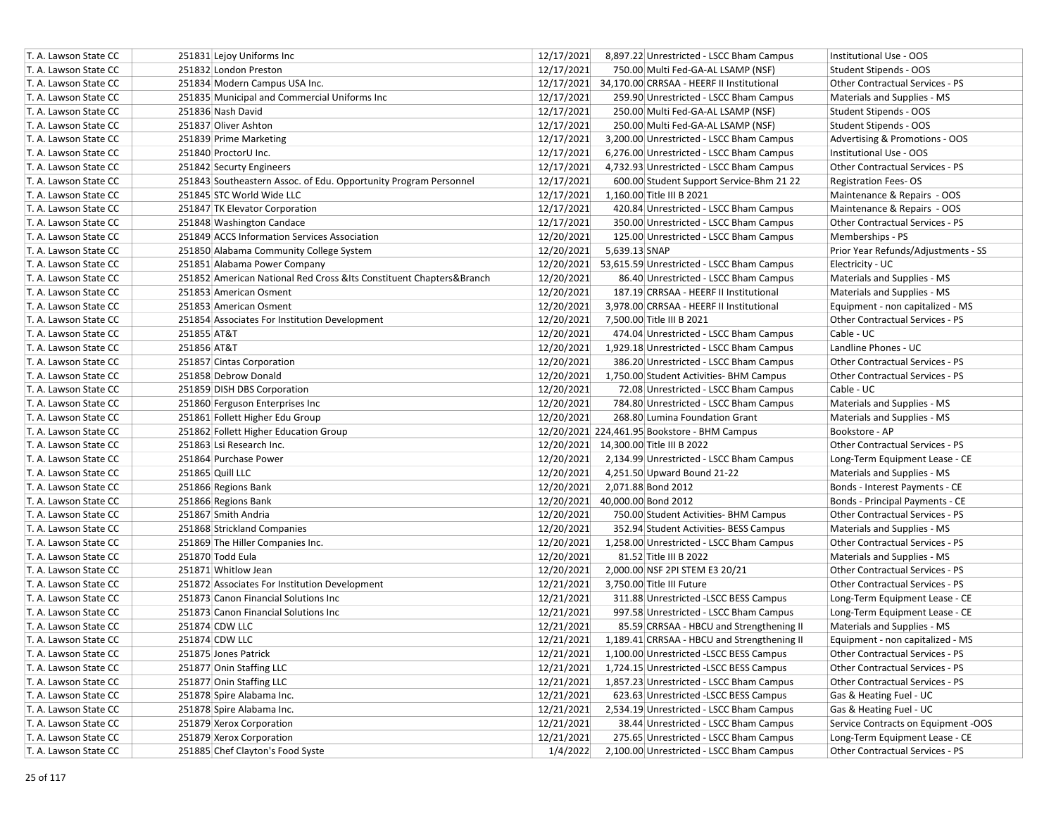| T. A. Lawson State CC | 251831 Lejoy Uniforms Inc                                              | 12/17/2021<br>8,897.22 Unrestricted - LSCC Bham Campus    | Institutional Use - OOS                |
|-----------------------|------------------------------------------------------------------------|-----------------------------------------------------------|----------------------------------------|
| T. A. Lawson State CC | 251832 London Preston                                                  | 12/17/2021<br>750.00 Multi Fed-GA-AL LSAMP (NSF)          | Student Stipends - OOS                 |
| T. A. Lawson State CC | 251834 Modern Campus USA Inc.                                          | 12/17/2021 34,170.00 CRRSAA - HEERF II Institutional      | <b>Other Contractual Services - PS</b> |
| T. A. Lawson State CC | 251835 Municipal and Commercial Uniforms Inc                           | 12/17/2021<br>259.90 Unrestricted - LSCC Bham Campus      | Materials and Supplies - MS            |
| T. A. Lawson State CC | 251836 Nash David                                                      | 12/17/2021<br>250.00 Multi Fed-GA-AL LSAMP (NSF)          | Student Stipends - OOS                 |
| T. A. Lawson State CC | 251837 Oliver Ashton                                                   | 12/17/2021<br>250.00 Multi Fed-GA-AL LSAMP (NSF)          | Student Stipends - OOS                 |
| T. A. Lawson State CC | 251839 Prime Marketing                                                 | 12/17/2021<br>3,200.00 Unrestricted - LSCC Bham Campus    | Advertising & Promotions - OOS         |
| T. A. Lawson State CC | 251840 ProctorU Inc.                                                   | 12/17/2021<br>6,276.00 Unrestricted - LSCC Bham Campus    | Institutional Use - OOS                |
| T. A. Lawson State CC | 251842 Securty Engineers                                               | 12/17/2021<br>4,732.93 Unrestricted - LSCC Bham Campus    | Other Contractual Services - PS        |
| T. A. Lawson State CC | 251843 Southeastern Assoc. of Edu. Opportunity Program Personnel       | 12/17/2021<br>600.00 Student Support Service-Bhm 21 22    | <b>Registration Fees-OS</b>            |
| T. A. Lawson State CC | 251845 STC World Wide LLC                                              | 12/17/2021<br>1,160.00 Title III B 2021                   | Maintenance & Repairs - OOS            |
| T. A. Lawson State CC | 251847 TK Elevator Corporation                                         | 12/17/2021<br>420.84 Unrestricted - LSCC Bham Campus      | Maintenance & Repairs - OOS            |
| T. A. Lawson State CC | 251848 Washington Candace                                              | 12/17/2021<br>350.00 Unrestricted - LSCC Bham Campus      | <b>Other Contractual Services - PS</b> |
| T. A. Lawson State CC | 251849 ACCS Information Services Association                           | 12/20/2021<br>125.00 Unrestricted - LSCC Bham Campus      | Memberships - PS                       |
| T. A. Lawson State CC | 251850 Alabama Community College System                                | 12/20/2021<br>5,639.13 SNAP                               | Prior Year Refunds/Adjustments - SS    |
| T. A. Lawson State CC | 251851 Alabama Power Company                                           | 12/20/2021 53,615.59 Unrestricted - LSCC Bham Campus      | Electricity - UC                       |
| T. A. Lawson State CC | 251852 American National Red Cross & Its Constituent Chapters & Branch | 12/20/2021<br>86.40 Unrestricted - LSCC Bham Campus       | Materials and Supplies - MS            |
| T. A. Lawson State CC | 251853 American Osment                                                 | 12/20/2021<br>187.19 CRRSAA - HEERF II Institutional      | Materials and Supplies - MS            |
| T. A. Lawson State CC | 251853 American Osment                                                 | 12/20/2021<br>3,978.00 CRRSAA - HEERF II Institutional    | Equipment - non capitalized - MS       |
| T. A. Lawson State CC | 251854 Associates For Institution Development                          | 12/20/2021<br>7,500.00 Title III B 2021                   | <b>Other Contractual Services - PS</b> |
| T. A. Lawson State CC | 251855 AT&T                                                            | 12/20/2021<br>474.04 Unrestricted - LSCC Bham Campus      | Cable - UC                             |
| T. A. Lawson State CC | 251856 AT&T                                                            | 12/20/2021<br>1,929.18 Unrestricted - LSCC Bham Campus    | Landline Phones - UC                   |
| T. A. Lawson State CC | 251857 Cintas Corporation                                              | 12/20/2021<br>386.20 Unrestricted - LSCC Bham Campus      | Other Contractual Services - PS        |
| T. A. Lawson State CC | 251858 Debrow Donald                                                   | 12/20/2021<br>1,750.00 Student Activities- BHM Campus     | Other Contractual Services - PS        |
| T. A. Lawson State CC | 251859 DISH DBS Corporation                                            | 12/20/2021<br>72.08 Unrestricted - LSCC Bham Campus       | Cable - UC                             |
| T. A. Lawson State CC | 251860 Ferguson Enterprises Inc                                        | 12/20/2021<br>784.80 Unrestricted - LSCC Bham Campus      | Materials and Supplies - MS            |
| T. A. Lawson State CC | 251861 Follett Higher Edu Group                                        | 12/20/2021<br>268.80 Lumina Foundation Grant              | Materials and Supplies - MS            |
| T. A. Lawson State CC | 251862 Follett Higher Education Group                                  | 12/20/2021 224,461.95 Bookstore - BHM Campus              | Bookstore - AP                         |
| T. A. Lawson State CC | 251863 Lsi Research Inc.                                               | 12/20/2021 14,300.00 Title III B 2022                     | Other Contractual Services - PS        |
| T. A. Lawson State CC | 251864 Purchase Power                                                  | 12/20/2021<br>2,134.99 Unrestricted - LSCC Bham Campus    | Long-Term Equipment Lease - CE         |
| T. A. Lawson State CC | 251865 Quill LLC                                                       | 12/20/2021<br>4,251.50 Upward Bound 21-22                 | Materials and Supplies - MS            |
| T. A. Lawson State CC | 251866 Regions Bank                                                    | 12/20/2021<br>2,071.88 Bond 2012                          | Bonds - Interest Payments - CE         |
| T. A. Lawson State CC | 251866 Regions Bank                                                    | 12/20/2021<br>40,000.00 Bond 2012                         | Bonds - Principal Payments - CE        |
| T. A. Lawson State CC | 251867 Smith Andria                                                    | 12/20/2021<br>750.00 Student Activities- BHM Campus       | Other Contractual Services - PS        |
| T. A. Lawson State CC | 251868 Strickland Companies                                            | 12/20/2021<br>352.94 Student Activities- BESS Campus      | Materials and Supplies - MS            |
| T. A. Lawson State CC | 251869 The Hiller Companies Inc.                                       | 12/20/2021<br>1,258.00 Unrestricted - LSCC Bham Campus    | Other Contractual Services - PS        |
| T. A. Lawson State CC | 251870 Todd Eula                                                       | 12/20/2021<br>81.52 Title III B 2022                      | Materials and Supplies - MS            |
| T. A. Lawson State CC | 251871 Whitlow Jean                                                    | 12/20/2021<br>2,000.00 NSF 2PI STEM E3 20/21              | <b>Other Contractual Services - PS</b> |
| T. A. Lawson State CC | 251872 Associates For Institution Development                          | 12/21/2021<br>3,750.00 Title III Future                   | Other Contractual Services - PS        |
| T. A. Lawson State CC | 251873 Canon Financial Solutions Inc                                   | 12/21/2021<br>311.88 Unrestricted -LSCC BESS Campus       | Long-Term Equipment Lease - CE         |
| T. A. Lawson State CC | 251873 Canon Financial Solutions Inc                                   | 12/21/2021<br>997.58 Unrestricted - LSCC Bham Campus      | Long-Term Equipment Lease - CE         |
| T. A. Lawson State CC | 251874 CDW LLC                                                         | 12/21/2021<br>85.59 CRRSAA - HBCU and Strengthening II    | Materials and Supplies - MS            |
| T. A. Lawson State CC | 251874 CDW LLC                                                         | 12/21/2021<br>1,189.41 CRRSAA - HBCU and Strengthening II | Equipment - non capitalized - MS       |
| T. A. Lawson State CC | 251875 Jones Patrick                                                   | 12/21/2021<br>1,100.00 Unrestricted -LSCC BESS Campus     | Other Contractual Services - PS        |
| T. A. Lawson State CC | 251877 Onin Staffing LLC                                               | 12/21/2021<br>1,724.15 Unrestricted -LSCC BESS Campus     | Other Contractual Services - PS        |
| T. A. Lawson State CC | 251877 Onin Staffing LLC                                               | 12/21/2021<br>1,857.23 Unrestricted - LSCC Bham Campus    | Other Contractual Services - PS        |
| T. A. Lawson State CC | 251878 Spire Alabama Inc.                                              | 12/21/2021<br>623.63 Unrestricted -LSCC BESS Campus       | Gas & Heating Fuel - UC                |
| T. A. Lawson State CC | 251878 Spire Alabama Inc.                                              | 12/21/2021<br>2,534.19 Unrestricted - LSCC Bham Campus    | Gas & Heating Fuel - UC                |
| T. A. Lawson State CC | 251879 Xerox Corporation                                               | 12/21/2021<br>38.44 Unrestricted - LSCC Bham Campus       | Service Contracts on Equipment -OOS    |
| T. A. Lawson State CC | 251879 Xerox Corporation                                               | 12/21/2021<br>275.65 Unrestricted - LSCC Bham Campus      | Long-Term Equipment Lease - CE         |
| T. A. Lawson State CC | 251885 Chef Clayton's Food Syste                                       | 1/4/2022<br>2,100.00 Unrestricted - LSCC Bham Campus      | Other Contractual Services - PS        |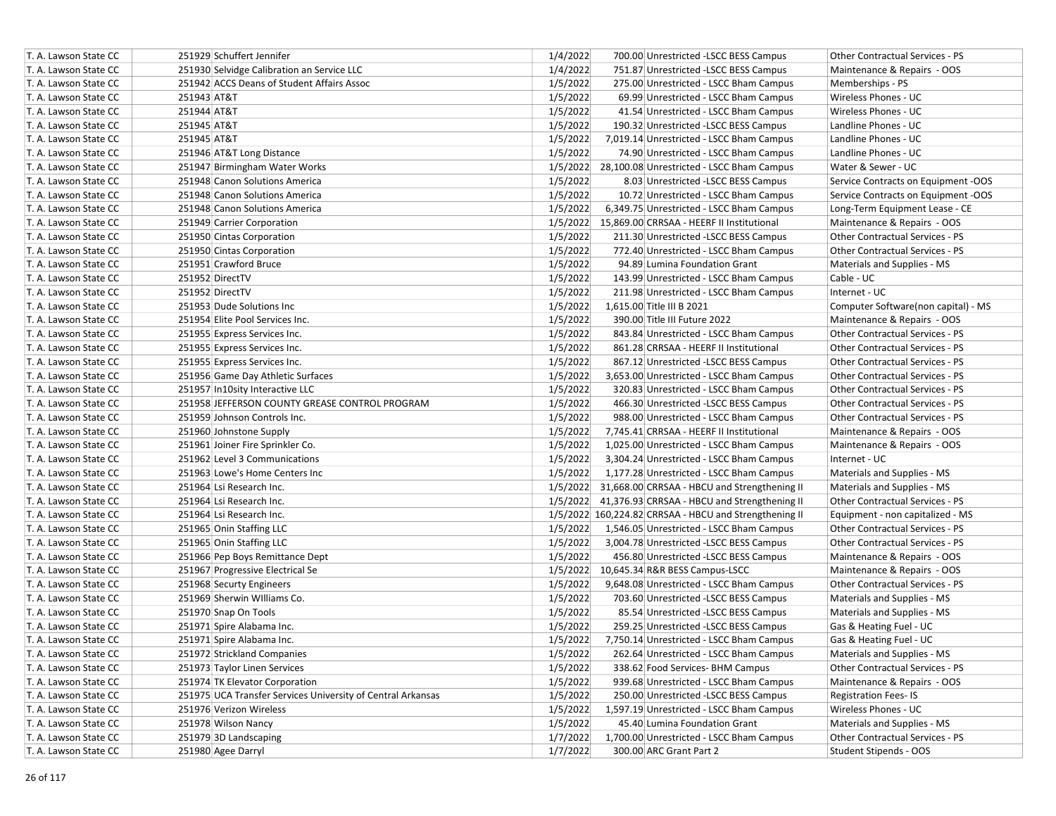| T. A. Lawson State CC | 251929 Schuffert Jennifer                                   | 1/4/2022<br>700.00 Unrestricted -LSCC BESS Campus      | Other Contractual Services - PS        |
|-----------------------|-------------------------------------------------------------|--------------------------------------------------------|----------------------------------------|
| T. A. Lawson State CC | 251930 Selvidge Calibration an Service LLC                  | 1/4/2022<br>751.87 Unrestricted -LSCC BESS Campus      | Maintenance & Repairs - OOS            |
| T. A. Lawson State CC | 251942 ACCS Deans of Student Affairs Assoc                  | 1/5/2022<br>275.00 Unrestricted - LSCC Bham Campus     | Memberships - PS                       |
| T. A. Lawson State CC | 251943 AT&T                                                 | 1/5/2022<br>69.99 Unrestricted - LSCC Bham Campus      | Wireless Phones - UC                   |
| T. A. Lawson State CC | 251944 AT&T                                                 | 1/5/2022<br>41.54 Unrestricted - LSCC Bham Campus      | Wireless Phones - UC                   |
| T. A. Lawson State CC | 251945 AT&T                                                 | 1/5/2022<br>190.32 Unrestricted -LSCC BESS Campus      | Landline Phones - UC                   |
| T. A. Lawson State CC | 251945 AT&T                                                 | 1/5/2022<br>7,019.14 Unrestricted - LSCC Bham Campus   | Landline Phones - UC                   |
| T. A. Lawson State CC | 251946 AT&T Long Distance                                   | 1/5/2022<br>74.90 Unrestricted - LSCC Bham Campus      | Landline Phones - UC                   |
| T. A. Lawson State CC | 251947 Birmingham Water Works                               | 1/5/2022 28,100.08 Unrestricted - LSCC Bham Campus     | Water & Sewer - UC                     |
| T. A. Lawson State CC | 251948 Canon Solutions America                              | 1/5/2022<br>8.03 Unrestricted -LSCC BESS Campus        | Service Contracts on Equipment -OOS    |
| T. A. Lawson State CC | 251948 Canon Solutions America                              | 1/5/2022<br>10.72 Unrestricted - LSCC Bham Campus      | Service Contracts on Equipment -OOS    |
| T. A. Lawson State CC | 251948 Canon Solutions America                              | 1/5/2022<br>6,349.75 Unrestricted - LSCC Bham Campus   | Long-Term Equipment Lease - CE         |
| T. A. Lawson State CC | 251949 Carrier Corporation                                  | 1/5/2022 15,869.00 CRRSAA - HEERF II Institutional     | Maintenance & Repairs - OOS            |
| T. A. Lawson State CC | 251950 Cintas Corporation                                   | 1/5/2022<br>211.30 Unrestricted -LSCC BESS Campus      | Other Contractual Services - PS        |
| T. A. Lawson State CC | 251950 Cintas Corporation                                   | 1/5/2022<br>772.40 Unrestricted - LSCC Bham Campus     | <b>Other Contractual Services - PS</b> |
| T. A. Lawson State CC | 251951 Crawford Bruce                                       | 1/5/2022<br>94.89 Lumina Foundation Grant              | Materials and Supplies - MS            |
| T. A. Lawson State CC | 251952 DirectTV                                             | 1/5/2022<br>143.99 Unrestricted - LSCC Bham Campus     | Cable - UC                             |
| T. A. Lawson State CC | 251952 DirectTV                                             | 1/5/2022<br>211.98 Unrestricted - LSCC Bham Campus     | Internet - UC                          |
| T. A. Lawson State CC | 251953 Dude Solutions Inc                                   | 1/5/2022<br>1,615.00 Title III B 2021                  | Computer Software(non capital) - MS    |
| T. A. Lawson State CC | 251954 Elite Pool Services Inc.                             | 1/5/2022<br>390.00 Title III Future 2022               | Maintenance & Repairs - OOS            |
| T. A. Lawson State CC | 251955 Express Services Inc.                                | 1/5/2022<br>843.84 Unrestricted - LSCC Bham Campus     | <b>Other Contractual Services - PS</b> |
| T. A. Lawson State CC | 251955 Express Services Inc.                                | 1/5/2022<br>861.28 CRRSAA - HEERF II Institutional     | Other Contractual Services - PS        |
| T. A. Lawson State CC | 251955 Express Services Inc.                                | 1/5/2022<br>867.12 Unrestricted -LSCC BESS Campus      | <b>Other Contractual Services - PS</b> |
| T. A. Lawson State CC | 251956 Game Day Athletic Surfaces                           | 1/5/2022<br>3,653.00 Unrestricted - LSCC Bham Campus   | Other Contractual Services - PS        |
| T. A. Lawson State CC | 251957 In10sity Interactive LLC                             | 1/5/2022<br>320.83 Unrestricted - LSCC Bham Campus     | <b>Other Contractual Services - PS</b> |
| T. A. Lawson State CC | 251958 JEFFERSON COUNTY GREASE CONTROL PROGRAM              | 1/5/2022<br>466.30 Unrestricted -LSCC BESS Campus      | Other Contractual Services - PS        |
| T. A. Lawson State CC | 251959 Johnson Controls Inc.                                | 1/5/2022<br>988.00 Unrestricted - LSCC Bham Campus     | Other Contractual Services - PS        |
| T. A. Lawson State CC | 251960 Johnstone Supply                                     | 1/5/2022<br>7,745.41 CRRSAA - HEERF II Institutional   | Maintenance & Repairs - OOS            |
| T. A. Lawson State CC | 251961 Joiner Fire Sprinkler Co.                            | 1/5/2022<br>1,025.00 Unrestricted - LSCC Bham Campus   | Maintenance & Repairs - OOS            |
| T. A. Lawson State CC | 251962 Level 3 Communications                               | 1/5/2022<br>3,304.24 Unrestricted - LSCC Bham Campus   | Internet - UC                          |
| T. A. Lawson State CC | 251963 Lowe's Home Centers Inc                              | 1/5/2022<br>1,177.28 Unrestricted - LSCC Bham Campus   | Materials and Supplies - MS            |
| T. A. Lawson State CC | 251964 Lsi Research Inc.                                    | 1/5/2022 31,668.00 CRRSAA - HBCU and Strengthening II  | Materials and Supplies - MS            |
| T. A. Lawson State CC | 251964 Lsi Research Inc.                                    | 1/5/2022 41,376.93 CRRSAA - HBCU and Strengthening II  | Other Contractual Services - PS        |
| T. A. Lawson State CC | 251964 Lsi Research Inc.                                    | 1/5/2022 160,224.82 CRRSAA - HBCU and Strengthening II | Equipment - non capitalized - MS       |
| T. A. Lawson State CC | 251965 Onin Staffing LLC                                    | 1/5/2022<br>1,546.05 Unrestricted - LSCC Bham Campus   | Other Contractual Services - PS        |
| T. A. Lawson State CC | 251965 Onin Staffing LLC                                    | 1/5/2022<br>3,004.78 Unrestricted -LSCC BESS Campus    | <b>Other Contractual Services - PS</b> |
| T. A. Lawson State CC | 251966 Pep Boys Remittance Dept                             | 1/5/2022<br>456.80 Unrestricted -LSCC BESS Campus      | Maintenance & Repairs - OOS            |
| T. A. Lawson State CC | 251967 Progressive Electrical Se                            | 1/5/2022 10,645.34 R&R BESS Campus-LSCC                | Maintenance & Repairs - OOS            |
| T. A. Lawson State CC | 251968 Securty Engineers                                    | 9,648.08 Unrestricted - LSCC Bham Campus<br>1/5/2022   | Other Contractual Services - PS        |
| T. A. Lawson State CC | 251969 Sherwin Williams Co.                                 | 1/5/2022<br>703.60 Unrestricted -LSCC BESS Campus      | Materials and Supplies - MS            |
| T. A. Lawson State CC | 251970 Snap On Tools                                        | 1/5/2022<br>85.54 Unrestricted -LSCC BESS Campus       | Materials and Supplies - MS            |
| T. A. Lawson State CC | 251971 Spire Alabama Inc.                                   | 1/5/2022<br>259.25 Unrestricted -LSCC BESS Campus      | Gas & Heating Fuel - UC                |
| T. A. Lawson State CC | 251971 Spire Alabama Inc.                                   | 1/5/2022<br>7.750.14 Unrestricted - LSCC Bham Campus   | Gas & Heating Fuel - UC                |
| T. A. Lawson State CC | 251972 Strickland Companies                                 | 1/5/2022<br>262.64 Unrestricted - LSCC Bham Campus     | Materials and Supplies - MS            |
| T. A. Lawson State CC | 251973 Taylor Linen Services                                | 1/5/2022<br>338.62 Food Services- BHM Campus           | Other Contractual Services - PS        |
| T. A. Lawson State CC | 251974 TK Elevator Corporation                              | 1/5/2022<br>939.68 Unrestricted - LSCC Bham Campus     | Maintenance & Repairs - OOS            |
| T. A. Lawson State CC | 251975 UCA Transfer Services University of Central Arkansas | 1/5/2022<br>250.00 Unrestricted -LSCC BESS Campus      | <b>Registration Fees-IS</b>            |
| T. A. Lawson State CC | 251976 Verizon Wireless                                     | 1/5/2022<br>1,597.19 Unrestricted - LSCC Bham Campus   | Wireless Phones - UC                   |
| T. A. Lawson State CC | 251978 Wilson Nancy                                         | 1/5/2022<br>45.40 Lumina Foundation Grant              | Materials and Supplies - MS            |
| T. A. Lawson State CC | 251979 3D Landscaping                                       | 1/7/2022<br>1,700.00 Unrestricted - LSCC Bham Campus   | Other Contractual Services - PS        |
| T. A. Lawson State CC | 251980 Agee Darryl                                          | 1/7/2022<br>300.00 ARC Grant Part 2                    | Student Stipends - OOS                 |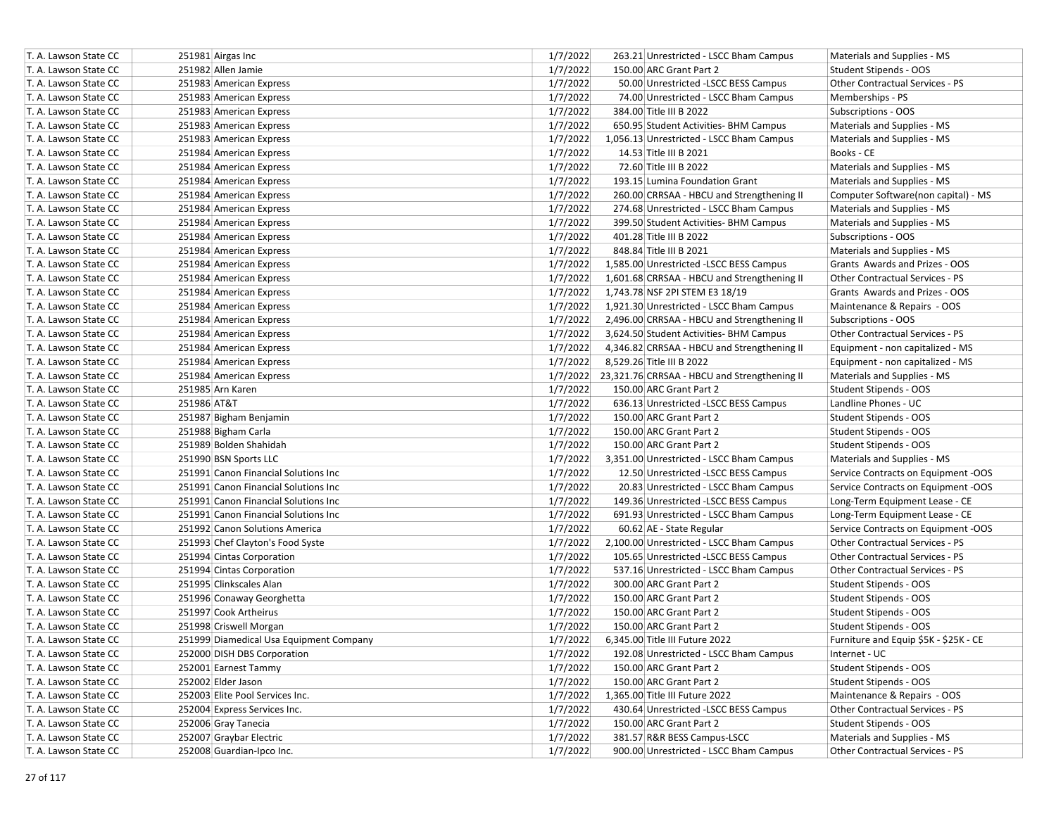| T. A. Lawson State CC |             | 251981 Airgas Inc                       | 1/7/2022 | 263.21 Unrestricted - LSCC Bham Campus                | Materials and Supplies - MS            |
|-----------------------|-------------|-----------------------------------------|----------|-------------------------------------------------------|----------------------------------------|
| T. A. Lawson State CC |             | 251982 Allen Jamie                      | 1/7/2022 | 150.00 ARC Grant Part 2                               | Student Stipends - OOS                 |
| T. A. Lawson State CC |             | 251983 American Express                 | 1/7/2022 | 50.00 Unrestricted -LSCC BESS Campus                  | <b>Other Contractual Services - PS</b> |
| T. A. Lawson State CC |             | 251983 American Express                 | 1/7/2022 | 74.00 Unrestricted - LSCC Bham Campus                 | Memberships - PS                       |
| T. A. Lawson State CC |             | 251983 American Express                 | 1/7/2022 | 384.00 Title III B 2022                               | Subscriptions - OOS                    |
| T. A. Lawson State CC |             | 251983 American Express                 | 1/7/2022 | 650.95 Student Activities- BHM Campus                 | Materials and Supplies - MS            |
| T. A. Lawson State CC |             | 251983 American Express                 | 1/7/2022 | 1,056.13 Unrestricted - LSCC Bham Campus              | Materials and Supplies - MS            |
| T. A. Lawson State CC |             | 251984 American Express                 | 1/7/2022 | 14.53 Title III B 2021                                | Books - CE                             |
| T. A. Lawson State CC |             | 251984 American Express                 | 1/7/2022 | 72.60 Title III B 2022                                | Materials and Supplies - MS            |
| T. A. Lawson State CC |             | 251984 American Express                 | 1/7/2022 | 193.15 Lumina Foundation Grant                        | Materials and Supplies - MS            |
| T. A. Lawson State CC |             | 251984 American Express                 | 1/7/2022 | 260.00 CRRSAA - HBCU and Strengthening II             | Computer Software(non capital) - MS    |
| T. A. Lawson State CC |             | 251984 American Express                 | 1/7/2022 | 274.68 Unrestricted - LSCC Bham Campus                | Materials and Supplies - MS            |
| T. A. Lawson State CC |             | 251984 American Express                 | 1/7/2022 | 399.50 Student Activities- BHM Campus                 | Materials and Supplies - MS            |
| T. A. Lawson State CC |             | 251984 American Express                 | 1/7/2022 | 401.28 Title III B 2022                               | Subscriptions - OOS                    |
| T. A. Lawson State CC |             | 251984 American Express                 | 1/7/2022 | 848.84 Title III B 2021                               | Materials and Supplies - MS            |
| T. A. Lawson State CC |             | 251984 American Express                 | 1/7/2022 | 1,585.00 Unrestricted -LSCC BESS Campus               | Grants Awards and Prizes - OOS         |
| T. A. Lawson State CC |             | 251984 American Express                 | 1/7/2022 | 1,601.68 CRRSAA - HBCU and Strengthening II           | Other Contractual Services - PS        |
| T. A. Lawson State CC |             | 251984 American Express                 | 1/7/2022 | 1,743.78 NSF 2PI STEM E3 18/19                        | Grants Awards and Prizes - OOS         |
| T. A. Lawson State CC |             | 251984 American Express                 | 1/7/2022 | 1,921.30 Unrestricted - LSCC Bham Campus              | Maintenance & Repairs - OOS            |
| T. A. Lawson State CC |             | 251984 American Express                 | 1/7/2022 | 2,496.00 CRRSAA - HBCU and Strengthening II           | Subscriptions - OOS                    |
| T. A. Lawson State CC |             | 251984 American Express                 | 1/7/2022 | 3,624.50 Student Activities- BHM Campus               | Other Contractual Services - PS        |
| T. A. Lawson State CC |             | 251984 American Express                 | 1/7/2022 | 4,346.82 CRRSAA - HBCU and Strengthening II           | Equipment - non capitalized - MS       |
| T. A. Lawson State CC |             | 251984 American Express                 | 1/7/2022 | 8,529.26 Title III B 2022                             | Equipment - non capitalized - MS       |
| T. A. Lawson State CC |             | 251984 American Express                 |          | 1/7/2022 23,321.76 CRRSAA - HBCU and Strengthening II | Materials and Supplies - MS            |
| T. A. Lawson State CC |             | 251985 Arn Karen                        | 1/7/2022 | 150.00 ARC Grant Part 2                               | Student Stipends - OOS                 |
| T. A. Lawson State CC | 251986 AT&T |                                         | 1/7/2022 | 636.13 Unrestricted -LSCC BESS Campus                 | Landline Phones - UC                   |
| T. A. Lawson State CC |             | 251987 Bigham Benjamin                  | 1/7/2022 | 150.00 ARC Grant Part 2                               | Student Stipends - OOS                 |
| T. A. Lawson State CC |             | 251988 Bigham Carla                     | 1/7/2022 | 150.00 ARC Grant Part 2                               | Student Stipends - OOS                 |
| T. A. Lawson State CC |             | 251989 Bolden Shahidah                  | 1/7/2022 | 150.00 ARC Grant Part 2                               | Student Stipends - OOS                 |
| T. A. Lawson State CC |             | 251990 BSN Sports LLC                   | 1/7/2022 | 3,351.00 Unrestricted - LSCC Bham Campus              | Materials and Supplies - MS            |
| T. A. Lawson State CC |             | 251991 Canon Financial Solutions Inc    | 1/7/2022 | 12.50 Unrestricted -LSCC BESS Campus                  | Service Contracts on Equipment -OOS    |
| T. A. Lawson State CC |             | 251991 Canon Financial Solutions Inc    | 1/7/2022 | 20.83 Unrestricted - LSCC Bham Campus                 | Service Contracts on Equipment -OOS    |
| T. A. Lawson State CC |             | 251991 Canon Financial Solutions Inc    | 1/7/2022 | 149.36 Unrestricted -LSCC BESS Campus                 | Long-Term Equipment Lease - CE         |
| T. A. Lawson State CC |             | 251991 Canon Financial Solutions Inc    | 1/7/2022 | 691.93 Unrestricted - LSCC Bham Campus                | Long-Term Equipment Lease - CE         |
| T. A. Lawson State CC |             | 251992 Canon Solutions America          | 1/7/2022 | 60.62 AE - State Regular                              | Service Contracts on Equipment -OOS    |
| T. A. Lawson State CC |             | 251993 Chef Clayton's Food Syste        | 1/7/2022 | 2,100.00 Unrestricted - LSCC Bham Campus              | Other Contractual Services - PS        |
| T. A. Lawson State CC |             | 251994 Cintas Corporation               | 1/7/2022 | 105.65 Unrestricted -LSCC BESS Campus                 | Other Contractual Services - PS        |
| T. A. Lawson State CC |             | 251994 Cintas Corporation               | 1/7/2022 | 537.16 Unrestricted - LSCC Bham Campus                | <b>Other Contractual Services - PS</b> |
| T. A. Lawson State CC |             | 251995 Clinkscales Alan                 | 1/7/2022 | 300.00 ARC Grant Part 2                               | Student Stipends - OOS                 |
| T. A. Lawson State CC |             | 251996 Conaway Georghetta               | 1/7/2022 | 150.00 ARC Grant Part 2                               | Student Stipends - OOS                 |
| T. A. Lawson State CC |             | 251997 Cook Artheirus                   | 1/7/2022 | 150.00 ARC Grant Part 2                               | Student Stipends - OOS                 |
| T. A. Lawson State CC |             | 251998 Criswell Morgan                  | 1/7/2022 | 150.00 ARC Grant Part 2                               | Student Stipends - OOS                 |
| T. A. Lawson State CC |             | 251999 Diamedical Usa Equipment Company | 1/7/2022 | 6,345.00 Title III Future 2022                        | Furniture and Equip \$5K - \$25K - CE  |
| T. A. Lawson State CC |             | 252000 DISH DBS Corporation             | 1/7/2022 | 192.08 Unrestricted - LSCC Bham Campus                | Internet - UC                          |
| T. A. Lawson State CC |             | 252001 Earnest Tammy                    | 1/7/2022 | 150.00 ARC Grant Part 2                               | Student Stipends - OOS                 |
| T. A. Lawson State CC |             | 252002 Elder Jason                      | 1/7/2022 | 150.00 ARC Grant Part 2                               | Student Stipends - OOS                 |
| T. A. Lawson State CC |             | 252003 Elite Pool Services Inc.         | 1/7/2022 | 1,365.00 Title III Future 2022                        | Maintenance & Repairs - OOS            |
| T. A. Lawson State CC |             | 252004 Express Services Inc.            | 1/7/2022 | 430.64 Unrestricted -LSCC BESS Campus                 | Other Contractual Services - PS        |
| T. A. Lawson State CC |             | 252006 Gray Tanecia                     | 1/7/2022 | 150.00 ARC Grant Part 2                               | Student Stipends - OOS                 |
| T. A. Lawson State CC |             | 252007 Graybar Electric                 | 1/7/2022 | 381.57 R&R BESS Campus-LSCC                           | Materials and Supplies - MS            |
| T. A. Lawson State CC |             | 252008 Guardian-Ipco Inc.               | 1/7/2022 | 900.00 Unrestricted - LSCC Bham Campus                | Other Contractual Services - PS        |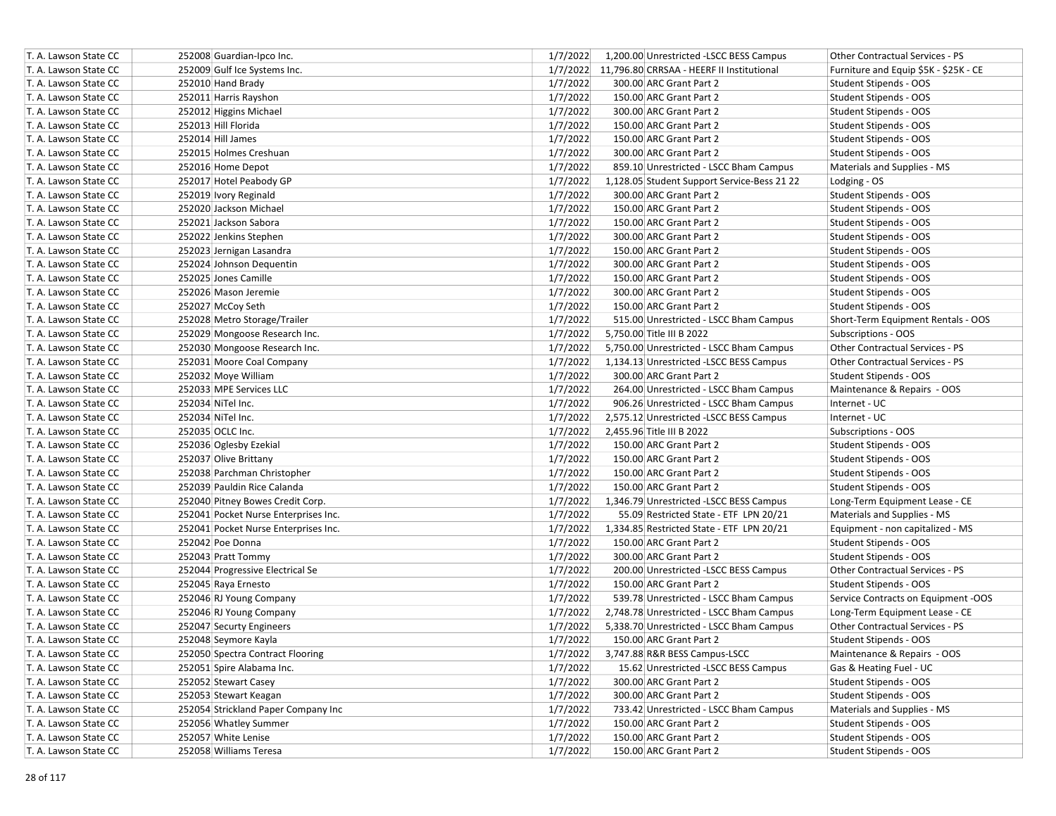| T. A. Lawson State CC | 252008 Guardian-Ipco Inc.            | 1/7/2022 | 1,200.00 Unrestricted -LSCC BESS Campus            | Other Contractual Services - PS       |
|-----------------------|--------------------------------------|----------|----------------------------------------------------|---------------------------------------|
| T. A. Lawson State CC | 252009 Gulf Ice Systems Inc.         |          | 1/7/2022 11,796.80 CRRSAA - HEERF II Institutional | Furniture and Equip \$5K - \$25K - CE |
| T. A. Lawson State CC | 252010 Hand Brady                    | 1/7/2022 | 300.00 ARC Grant Part 2                            | Student Stipends - OOS                |
| T. A. Lawson State CC | 252011 Harris Rayshon                | 1/7/2022 | 150.00 ARC Grant Part 2                            | Student Stipends - OOS                |
| T. A. Lawson State CC | 252012 Higgins Michael               | 1/7/2022 | 300.00 ARC Grant Part 2                            | Student Stipends - OOS                |
| T. A. Lawson State CC | 252013 Hill Florida                  | 1/7/2022 | 150.00 ARC Grant Part 2                            | Student Stipends - OOS                |
| T. A. Lawson State CC | 252014 Hill James                    | 1/7/2022 | 150.00 ARC Grant Part 2                            | Student Stipends - OOS                |
| T. A. Lawson State CC | 252015 Holmes Creshuan               | 1/7/2022 | 300.00 ARC Grant Part 2                            | Student Stipends - OOS                |
| T. A. Lawson State CC | 252016 Home Depot                    | 1/7/2022 | 859.10 Unrestricted - LSCC Bham Campus             | Materials and Supplies - MS           |
| T. A. Lawson State CC | 252017 Hotel Peabody GP              | 1/7/2022 | 1,128.05 Student Support Service-Bess 21 22        | Lodging - OS                          |
| T. A. Lawson State CC | 252019 Ivory Reginald                | 1/7/2022 | 300.00 ARC Grant Part 2                            | Student Stipends - OOS                |
| T. A. Lawson State CC | 252020 Jackson Michael               | 1/7/2022 | 150.00 ARC Grant Part 2                            | Student Stipends - OOS                |
| T. A. Lawson State CC | 252021 Jackson Sabora                | 1/7/2022 | 150.00 ARC Grant Part 2                            | Student Stipends - OOS                |
| T. A. Lawson State CC | 252022 Jenkins Stephen               | 1/7/2022 | 300.00 ARC Grant Part 2                            | Student Stipends - OOS                |
| T. A. Lawson State CC | 252023 Jernigan Lasandra             | 1/7/2022 | 150.00 ARC Grant Part 2                            | Student Stipends - OOS                |
| T. A. Lawson State CC | 252024 Johnson Dequentin             | 1/7/2022 | 300.00 ARC Grant Part 2                            | Student Stipends - OOS                |
| T. A. Lawson State CC | 252025 Jones Camille                 | 1/7/2022 | 150.00 ARC Grant Part 2                            | Student Stipends - OOS                |
| T. A. Lawson State CC | 252026 Mason Jeremie                 | 1/7/2022 | 300.00 ARC Grant Part 2                            | Student Stipends - OOS                |
| T. A. Lawson State CC | 252027 McCoy Seth                    | 1/7/2022 | 150.00 ARC Grant Part 2                            | Student Stipends - OOS                |
| T. A. Lawson State CC | 252028 Metro Storage/Trailer         | 1/7/2022 | 515.00 Unrestricted - LSCC Bham Campus             | Short-Term Equipment Rentals - OOS    |
| T. A. Lawson State CC | 252029 Mongoose Research Inc.        | 1/7/2022 | 5,750.00 Title III B 2022                          | Subscriptions - OOS                   |
| T. A. Lawson State CC | 252030 Mongoose Research Inc.        | 1/7/2022 | 5,750.00 Unrestricted - LSCC Bham Campus           | Other Contractual Services - PS       |
| T. A. Lawson State CC | 252031 Moore Coal Company            | 1/7/2022 | 1,134.13 Unrestricted -LSCC BESS Campus            | Other Contractual Services - PS       |
| T. A. Lawson State CC | 252032 Moye William                  | 1/7/2022 | 300.00 ARC Grant Part 2                            | Student Stipends - OOS                |
| T. A. Lawson State CC | 252033 MPE Services LLC              | 1/7/2022 | 264.00 Unrestricted - LSCC Bham Campus             | Maintenance & Repairs - OOS           |
| T. A. Lawson State CC | 252034 NiTel Inc.                    | 1/7/2022 | 906.26 Unrestricted - LSCC Bham Campus             | Internet - UC                         |
| T. A. Lawson State CC | 252034 NiTel Inc.                    | 1/7/2022 | 2,575.12 Unrestricted -LSCC BESS Campus            | Internet - UC                         |
| T. A. Lawson State CC | 252035 OCLC Inc.                     | 1/7/2022 | 2,455.96 Title III B 2022                          | Subscriptions - OOS                   |
| T. A. Lawson State CC | 252036 Oglesby Ezekial               | 1/7/2022 | 150.00 ARC Grant Part 2                            | Student Stipends - OOS                |
| T. A. Lawson State CC | 252037 Olive Brittany                | 1/7/2022 | 150.00 ARC Grant Part 2                            | Student Stipends - OOS                |
| T. A. Lawson State CC | 252038 Parchman Christopher          | 1/7/2022 | 150.00 ARC Grant Part 2                            | Student Stipends - OOS                |
| T. A. Lawson State CC | 252039 Pauldin Rice Calanda          | 1/7/2022 | 150.00 ARC Grant Part 2                            | Student Stipends - OOS                |
| T. A. Lawson State CC | 252040 Pitney Bowes Credit Corp.     | 1/7/2022 | 1,346.79 Unrestricted -LSCC BESS Campus            | Long-Term Equipment Lease - CE        |
| T. A. Lawson State CC | 252041 Pocket Nurse Enterprises Inc. | 1/7/2022 | 55.09 Restricted State - ETF LPN 20/21             | Materials and Supplies - MS           |
| T. A. Lawson State CC | 252041 Pocket Nurse Enterprises Inc. | 1/7/2022 | 1,334.85 Restricted State - ETF LPN 20/21          | Equipment - non capitalized - MS      |
| T. A. Lawson State CC | 252042 Poe Donna                     | 1/7/2022 | 150.00 ARC Grant Part 2                            | Student Stipends - OOS                |
| T. A. Lawson State CC | 252043 Pratt Tommy                   | 1/7/2022 | 300.00 ARC Grant Part 2                            | Student Stipends - OOS                |
| T. A. Lawson State CC | 252044 Progressive Electrical Se     | 1/7/2022 | 200.00 Unrestricted -LSCC BESS Campus              | Other Contractual Services - PS       |
| T. A. Lawson State CC | 252045 Raya Ernesto                  | 1/7/2022 | 150.00 ARC Grant Part 2                            | Student Stipends - OOS                |
| T. A. Lawson State CC | 252046 RJ Young Company              | 1/7/2022 | 539.78 Unrestricted - LSCC Bham Campus             | Service Contracts on Equipment -OOS   |
| T. A. Lawson State CC | 252046 RJ Young Company              | 1/7/2022 | 2,748.78 Unrestricted - LSCC Bham Campus           | Long-Term Equipment Lease - CE        |
| T. A. Lawson State CC | 252047 Securty Engineers             | 1/7/2022 | 5,338.70 Unrestricted - LSCC Bham Campus           | Other Contractual Services - PS       |
| T. A. Lawson State CC | 252048 Seymore Kayla                 | 1/7/2022 | 150.00 ARC Grant Part 2                            | Student Stipends - OOS                |
| T. A. Lawson State CC | 252050 Spectra Contract Flooring     | 1/7/2022 | 3,747.88 R&R BESS Campus-LSCC                      | Maintenance & Repairs - OOS           |
| T. A. Lawson State CC | 252051 Spire Alabama Inc.            | 1/7/2022 | 15.62 Unrestricted -LSCC BESS Campus               | Gas & Heating Fuel - UC               |
| T. A. Lawson State CC | 252052 Stewart Casey                 | 1/7/2022 | 300.00 ARC Grant Part 2                            | Student Stipends - OOS                |
| T. A. Lawson State CC | 252053 Stewart Keagan                | 1/7/2022 | 300.00 ARC Grant Part 2                            | Student Stipends - OOS                |
| T. A. Lawson State CC | 252054 Strickland Paper Company Inc  | 1/7/2022 | 733.42 Unrestricted - LSCC Bham Campus             | Materials and Supplies - MS           |
| T. A. Lawson State CC | 252056 Whatley Summer                | 1/7/2022 | 150.00 ARC Grant Part 2                            | Student Stipends - OOS                |
| T. A. Lawson State CC | 252057 White Lenise                  | 1/7/2022 | 150.00 ARC Grant Part 2                            | <b>Student Stipends - OOS</b>         |
| T. A. Lawson State CC | 252058 Williams Teresa               | 1/7/2022 | 150.00 ARC Grant Part 2                            | <b>Student Stipends - OOS</b>         |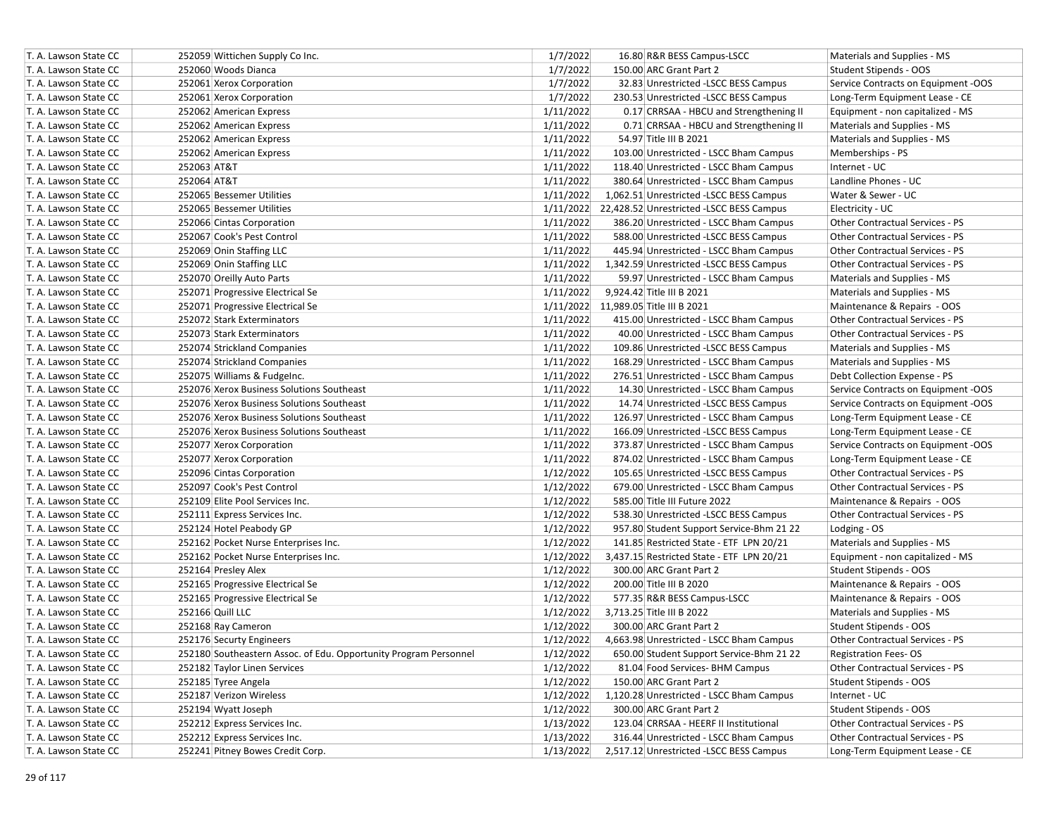| T. A. Lawson State CC | 252059 Wittichen Supply Co Inc.                                  | 1/7/2022  | 16.80 R&R BESS Campus-LSCC                         | Materials and Supplies - MS            |
|-----------------------|------------------------------------------------------------------|-----------|----------------------------------------------------|----------------------------------------|
| T. A. Lawson State CC | 252060 Woods Dianca                                              | 1/7/2022  | 150.00 ARC Grant Part 2                            | Student Stipends - OOS                 |
| T. A. Lawson State CC | 252061 Xerox Corporation                                         | 1/7/2022  | 32.83 Unrestricted -LSCC BESS Campus               | Service Contracts on Equipment -OOS    |
| T. A. Lawson State CC | 252061 Xerox Corporation                                         | 1/7/2022  | 230.53 Unrestricted -LSCC BESS Campus              | Long-Term Equipment Lease - CE         |
| T. A. Lawson State CC | 252062 American Express                                          | 1/11/2022 | 0.17 CRRSAA - HBCU and Strengthening II            | Equipment - non capitalized - MS       |
| T. A. Lawson State CC | 252062 American Express                                          | 1/11/2022 | 0.71 CRRSAA - HBCU and Strengthening II            | Materials and Supplies - MS            |
| T. A. Lawson State CC | 252062 American Express                                          | 1/11/2022 | 54.97 Title III B 2021                             | Materials and Supplies - MS            |
| T. A. Lawson State CC | 252062 American Express                                          | 1/11/2022 | 103.00 Unrestricted - LSCC Bham Campus             | Memberships - PS                       |
| T. A. Lawson State CC | 252063 AT&T                                                      | 1/11/2022 | 118.40 Unrestricted - LSCC Bham Campus             | Internet - UC                          |
| T. A. Lawson State CC | 252064 AT&T                                                      | 1/11/2022 | 380.64 Unrestricted - LSCC Bham Campus             | Landline Phones - UC                   |
| T. A. Lawson State CC | 252065 Bessemer Utilities                                        | 1/11/2022 | 1,062.51 Unrestricted -LSCC BESS Campus            | Water & Sewer - UC                     |
| T. A. Lawson State CC | 252065 Bessemer Utilities                                        |           | 1/11/2022 22,428.52 Unrestricted -LSCC BESS Campus | Electricity - UC                       |
| T. A. Lawson State CC | 252066 Cintas Corporation                                        | 1/11/2022 | 386.20 Unrestricted - LSCC Bham Campus             | Other Contractual Services - PS        |
| T. A. Lawson State CC | 252067 Cook's Pest Control                                       | 1/11/2022 | 588.00 Unrestricted -LSCC BESS Campus              | Other Contractual Services - PS        |
| T. A. Lawson State CC | 252069 Onin Staffing LLC                                         | 1/11/2022 | 445.94 Unrestricted - LSCC Bham Campus             | Other Contractual Services - PS        |
| T. A. Lawson State CC | 252069 Onin Staffing LLC                                         | 1/11/2022 | 1,342.59 Unrestricted -LSCC BESS Campus            | Other Contractual Services - PS        |
| T. A. Lawson State CC | 252070 Oreilly Auto Parts                                        | 1/11/2022 | 59.97 Unrestricted - LSCC Bham Campus              | Materials and Supplies - MS            |
| T. A. Lawson State CC | 252071 Progressive Electrical Se                                 | 1/11/2022 | 9,924.42 Title III B 2021                          | Materials and Supplies - MS            |
| T. A. Lawson State CC | 252071 Progressive Electrical Se                                 |           | 1/11/2022 11,989.05 Title III B 2021               | Maintenance & Repairs - OOS            |
| T. A. Lawson State CC | 252072 Stark Exterminators                                       | 1/11/2022 | 415.00 Unrestricted - LSCC Bham Campus             | Other Contractual Services - PS        |
| T. A. Lawson State CC | 252073 Stark Exterminators                                       | 1/11/2022 | 40.00 Unrestricted - LSCC Bham Campus              | Other Contractual Services - PS        |
| T. A. Lawson State CC | 252074 Strickland Companies                                      | 1/11/2022 | 109.86 Unrestricted -LSCC BESS Campus              | Materials and Supplies - MS            |
| T. A. Lawson State CC | 252074 Strickland Companies                                      | 1/11/2022 | 168.29 Unrestricted - LSCC Bham Campus             | Materials and Supplies - MS            |
| T. A. Lawson State CC | 252075 Williams & Fudgelnc.                                      | 1/11/2022 | 276.51 Unrestricted - LSCC Bham Campus             | Debt Collection Expense - PS           |
| T. A. Lawson State CC | 252076 Xerox Business Solutions Southeast                        | 1/11/2022 | 14.30 Unrestricted - LSCC Bham Campus              | Service Contracts on Equipment -OOS    |
| T. A. Lawson State CC | 252076 Xerox Business Solutions Southeast                        | 1/11/2022 | 14.74 Unrestricted -LSCC BESS Campus               | Service Contracts on Equipment -OOS    |
| T. A. Lawson State CC | 252076 Xerox Business Solutions Southeast                        | 1/11/2022 | 126.97 Unrestricted - LSCC Bham Campus             | Long-Term Equipment Lease - CE         |
| T. A. Lawson State CC | 252076 Xerox Business Solutions Southeast                        | 1/11/2022 | 166.09 Unrestricted -LSCC BESS Campus              | Long-Term Equipment Lease - CE         |
| T. A. Lawson State CC | 252077 Xerox Corporation                                         | 1/11/2022 | 373.87 Unrestricted - LSCC Bham Campus             | Service Contracts on Equipment -OOS    |
| T. A. Lawson State CC | 252077 Xerox Corporation                                         | 1/11/2022 | 874.02 Unrestricted - LSCC Bham Campus             | Long-Term Equipment Lease - CE         |
| T. A. Lawson State CC | 252096 Cintas Corporation                                        | 1/12/2022 | 105.65 Unrestricted -LSCC BESS Campus              | Other Contractual Services - PS        |
| T. A. Lawson State CC | 252097 Cook's Pest Control                                       | 1/12/2022 | 679.00 Unrestricted - LSCC Bham Campus             | Other Contractual Services - PS        |
| T. A. Lawson State CC | 252109 Elite Pool Services Inc.                                  | 1/12/2022 | 585.00 Title III Future 2022                       | Maintenance & Repairs - OOS            |
| T. A. Lawson State CC | 252111 Express Services Inc.                                     | 1/12/2022 | 538.30 Unrestricted -LSCC BESS Campus              | Other Contractual Services - PS        |
| T. A. Lawson State CC | 252124 Hotel Peabody GP                                          | 1/12/2022 | 957.80 Student Support Service-Bhm 21 22           | Lodging - OS                           |
| T. A. Lawson State CC | 252162 Pocket Nurse Enterprises Inc.                             | 1/12/2022 | 141.85 Restricted State - ETF LPN 20/21            | Materials and Supplies - MS            |
| T. A. Lawson State CC | 252162 Pocket Nurse Enterprises Inc.                             | 1/12/2022 | 3,437.15 Restricted State - ETF LPN 20/21          | Equipment - non capitalized - MS       |
| T. A. Lawson State CC | 252164 Presley Alex                                              | 1/12/2022 | 300.00 ARC Grant Part 2                            | Student Stipends - OOS                 |
| T. A. Lawson State CC | 252165 Progressive Electrical Se                                 | 1/12/2022 | 200.00 Title III B 2020                            | Maintenance & Repairs - OOS            |
| T. A. Lawson State CC | 252165 Progressive Electrical Se                                 | 1/12/2022 | 577.35 R&R BESS Campus-LSCC                        | Maintenance & Repairs - OOS            |
| T. A. Lawson State CC | 252166 Quill LLC                                                 | 1/12/2022 | 3,713.25 Title III B 2022                          | Materials and Supplies - MS            |
| T. A. Lawson State CC | 252168 Ray Cameron                                               | 1/12/2022 | 300.00 ARC Grant Part 2                            | Student Stipends - OOS                 |
| T. A. Lawson State CC | 252176 Securty Engineers                                         | 1/12/2022 | 4.663.98 Unrestricted - LSCC Bham Campus           | <b>Other Contractual Services - PS</b> |
| T. A. Lawson State CC | 252180 Southeastern Assoc. of Edu. Opportunity Program Personnel | 1/12/2022 | 650.00 Student Support Service-Bhm 21 22           | <b>Registration Fees-OS</b>            |
| T. A. Lawson State CC | 252182 Taylor Linen Services                                     | 1/12/2022 | 81.04 Food Services- BHM Campus                    | Other Contractual Services - PS        |
| T. A. Lawson State CC | 252185 Tyree Angela                                              | 1/12/2022 | 150.00 ARC Grant Part 2                            | Student Stipends - OOS                 |
| T. A. Lawson State CC | 252187 Verizon Wireless                                          | 1/12/2022 | 1,120.28 Unrestricted - LSCC Bham Campus           | Internet - UC                          |
| T. A. Lawson State CC | 252194 Wyatt Joseph                                              | 1/12/2022 | 300.00 ARC Grant Part 2                            | Student Stipends - OOS                 |
| T. A. Lawson State CC | 252212 Express Services Inc.                                     | 1/13/2022 | 123.04 CRRSAA - HEERF II Institutional             | Other Contractual Services - PS        |
| T. A. Lawson State CC | 252212 Express Services Inc.                                     | 1/13/2022 | 316.44 Unrestricted - LSCC Bham Campus             | Other Contractual Services - PS        |
| T. A. Lawson State CC | 252241 Pitney Bowes Credit Corp.                                 | 1/13/2022 | 2,517.12 Unrestricted -LSCC BESS Campus            | Long-Term Equipment Lease - CE         |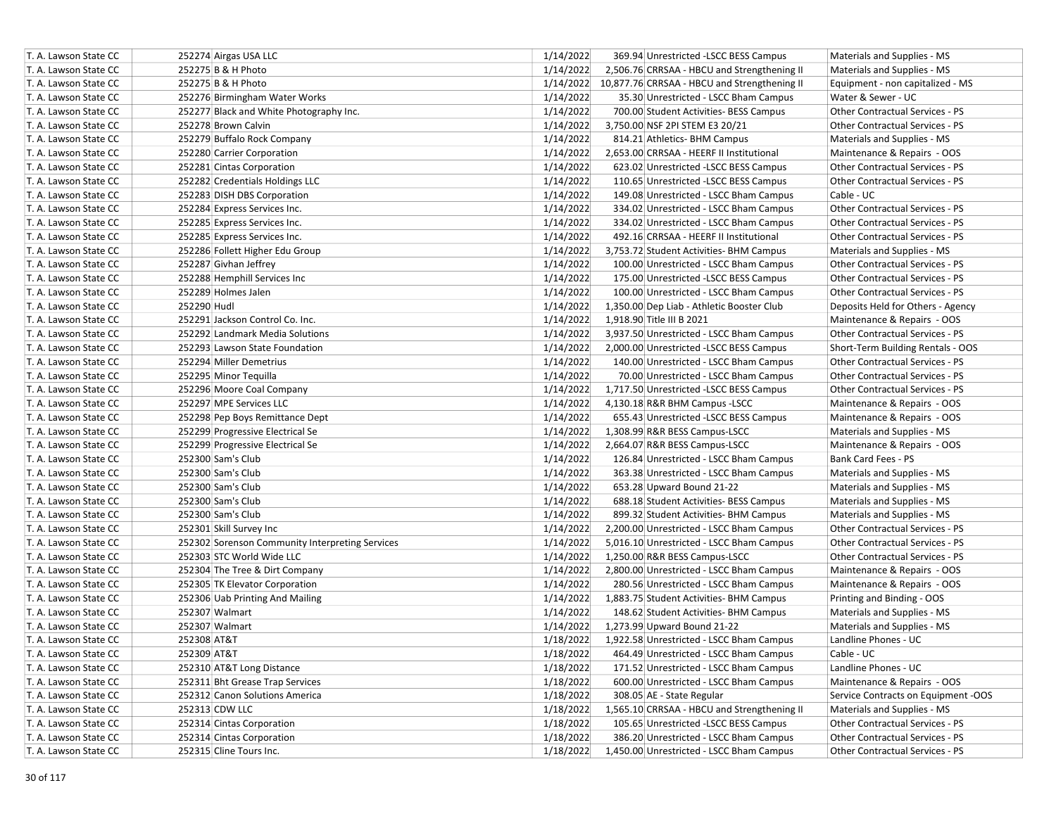| T. A. Lawson State CC                          | 252274 Airgas USA LLC                           | 1/14/2022 | 369.94 Unrestricted -LSCC BESS Campus                  | Materials and Supplies - MS                                    |
|------------------------------------------------|-------------------------------------------------|-----------|--------------------------------------------------------|----------------------------------------------------------------|
| T. A. Lawson State CC                          | 252275 B & H Photo                              | 1/14/2022 | 2,506.76 CRRSAA - HBCU and Strengthening II            | Materials and Supplies - MS                                    |
| T. A. Lawson State CC                          | 252275 B & H Photo                              |           | 1/14/2022 10,877.76 CRRSAA - HBCU and Strengthening II | Equipment - non capitalized - MS                               |
| T. A. Lawson State CC                          | 252276 Birmingham Water Works                   | 1/14/2022 | 35.30 Unrestricted - LSCC Bham Campus                  | Water & Sewer - UC                                             |
| T. A. Lawson State CC                          | 252277 Black and White Photography Inc.         | 1/14/2022 | 700.00 Student Activities- BESS Campus                 | <b>Other Contractual Services - PS</b>                         |
| T. A. Lawson State CC                          | 252278 Brown Calvin                             | 1/14/2022 | 3,750.00 NSF 2PI STEM E3 20/21                         | Other Contractual Services - PS                                |
| T. A. Lawson State CC                          | 252279 Buffalo Rock Company                     | 1/14/2022 | 814.21 Athletics- BHM Campus                           | Materials and Supplies - MS                                    |
| T. A. Lawson State CC                          | 252280 Carrier Corporation                      | 1/14/2022 | 2,653.00 CRRSAA - HEERF II Institutional               | Maintenance & Repairs - OOS                                    |
| T. A. Lawson State CC                          | 252281 Cintas Corporation                       | 1/14/2022 | 623.02 Unrestricted -LSCC BESS Campus                  | Other Contractual Services - PS                                |
| T. A. Lawson State CC                          | 252282 Credentials Holdings LLC                 | 1/14/2022 | 110.65 Unrestricted -LSCC BESS Campus                  | <b>Other Contractual Services - PS</b>                         |
| T. A. Lawson State CC                          | 252283 DISH DBS Corporation                     | 1/14/2022 | 149.08 Unrestricted - LSCC Bham Campus                 | Cable - UC                                                     |
| T. A. Lawson State CC                          | 252284 Express Services Inc.                    | 1/14/2022 | 334.02 Unrestricted - LSCC Bham Campus                 | Other Contractual Services - PS                                |
| T. A. Lawson State CC                          | 252285 Express Services Inc.                    | 1/14/2022 | 334.02 Unrestricted - LSCC Bham Campus                 | Other Contractual Services - PS                                |
| T. A. Lawson State CC                          | 252285 Express Services Inc.                    | 1/14/2022 | 492.16 CRRSAA - HEERF II Institutional                 | Other Contractual Services - PS                                |
| T. A. Lawson State CC                          | 252286 Follett Higher Edu Group                 | 1/14/2022 | 3,753.72 Student Activities- BHM Campus                | Materials and Supplies - MS                                    |
| T. A. Lawson State CC                          | 252287 Givhan Jeffrey                           | 1/14/2022 | 100.00 Unrestricted - LSCC Bham Campus                 | Other Contractual Services - PS                                |
| T. A. Lawson State CC                          | 252288 Hemphill Services Inc                    | 1/14/2022 | 175.00 Unrestricted -LSCC BESS Campus                  | Other Contractual Services - PS                                |
| T. A. Lawson State CC                          | 252289 Holmes Jalen                             | 1/14/2022 | 100.00 Unrestricted - LSCC Bham Campus                 | Other Contractual Services - PS                                |
| T. A. Lawson State CC                          | 252290 Hudl                                     | 1/14/2022 | 1,350.00 Dep Liab - Athletic Booster Club              | Deposits Held for Others - Agency                              |
| T. A. Lawson State CC                          | 252291 Jackson Control Co. Inc.                 | 1/14/2022 | 1,918.90 Title III B 2021                              | Maintenance & Repairs - OOS                                    |
| T. A. Lawson State CC                          | 252292 Landmark Media Solutions                 | 1/14/2022 | 3,937.50 Unrestricted - LSCC Bham Campus               | Other Contractual Services - PS                                |
| T. A. Lawson State CC                          | 252293 Lawson State Foundation                  | 1/14/2022 | 2,000.00 Unrestricted -LSCC BESS Campus                | Short-Term Building Rentals - OOS                              |
| T. A. Lawson State CC                          | 252294 Miller Demetrius                         | 1/14/2022 | 140.00 Unrestricted - LSCC Bham Campus                 | Other Contractual Services - PS                                |
| T. A. Lawson State CC                          | 252295 Minor Tequilla                           | 1/14/2022 | 70.00 Unrestricted - LSCC Bham Campus                  | Other Contractual Services - PS                                |
| T. A. Lawson State CC                          | 252296 Moore Coal Company                       | 1/14/2022 |                                                        |                                                                |
|                                                | 252297 MPE Services LLC                         | 1/14/2022 | 1,717.50 Unrestricted -LSCC BESS Campus                | Other Contractual Services - PS<br>Maintenance & Repairs - OOS |
| T. A. Lawson State CC<br>T. A. Lawson State CC |                                                 |           | 4,130.18 R&R BHM Campus - LSCC                         |                                                                |
| T. A. Lawson State CC                          | 252298 Pep Boys Remittance Dept                 | 1/14/2022 | 655.43 Unrestricted -LSCC BESS Campus                  | Maintenance & Repairs - OOS                                    |
|                                                | 252299 Progressive Electrical Se                | 1/14/2022 | 1,308.99 R&R BESS Campus-LSCC                          | Materials and Supplies - MS                                    |
| T. A. Lawson State CC                          | 252299 Progressive Electrical Se                | 1/14/2022 | 2,664.07 R&R BESS Campus-LSCC                          | Maintenance & Repairs - OOS                                    |
| T. A. Lawson State CC                          | 252300 Sam's Club                               | 1/14/2022 | 126.84 Unrestricted - LSCC Bham Campus                 | Bank Card Fees - PS                                            |
| T. A. Lawson State CC                          | 252300 Sam's Club                               | 1/14/2022 | 363.38 Unrestricted - LSCC Bham Campus                 | Materials and Supplies - MS                                    |
| T. A. Lawson State CC                          | 252300 Sam's Club                               | 1/14/2022 | 653.28 Upward Bound 21-22                              | Materials and Supplies - MS                                    |
| T. A. Lawson State CC                          | 252300 Sam's Club                               | 1/14/2022 | 688.18 Student Activities- BESS Campus                 | Materials and Supplies - MS                                    |
| T. A. Lawson State CC                          | 252300 Sam's Club                               | 1/14/2022 | 899.32 Student Activities- BHM Campus                  | Materials and Supplies - MS                                    |
| T. A. Lawson State CC                          | 252301 Skill Survey Inc                         | 1/14/2022 | 2,200.00 Unrestricted - LSCC Bham Campus               | Other Contractual Services - PS                                |
| T. A. Lawson State CC                          | 252302 Sorenson Community Interpreting Services | 1/14/2022 | 5,016.10 Unrestricted - LSCC Bham Campus               | Other Contractual Services - PS                                |
| T. A. Lawson State CC                          | 252303 STC World Wide LLC                       | 1/14/2022 | 1,250.00 R&R BESS Campus-LSCC                          | Other Contractual Services - PS                                |
| T. A. Lawson State CC                          | 252304 The Tree & Dirt Company                  | 1/14/2022 | 2,800.00 Unrestricted - LSCC Bham Campus               | Maintenance & Repairs - OOS                                    |
| T. A. Lawson State CC                          | 252305 TK Elevator Corporation                  | 1/14/2022 | 280.56 Unrestricted - LSCC Bham Campus                 | Maintenance & Repairs - OOS                                    |
| T. A. Lawson State CC                          | 252306 Uab Printing And Mailing                 | 1/14/2022 | 1,883.75 Student Activities- BHM Campus                | Printing and Binding - OOS                                     |
| T. A. Lawson State CC                          | 252307 Walmart                                  | 1/14/2022 | 148.62 Student Activities- BHM Campus                  | Materials and Supplies - MS                                    |
| T. A. Lawson State CC                          | 252307 Walmart                                  | 1/14/2022 | 1,273.99 Upward Bound 21-22                            | Materials and Supplies - MS                                    |
| T. A. Lawson State CC                          | 252308 AT&T                                     | 1/18/2022 | 1,922.58 Unrestricted - LSCC Bham Campus               | Landline Phones - UC                                           |
| T. A. Lawson State CC                          | 252309 AT&T                                     | 1/18/2022 | 464.49 Unrestricted - LSCC Bham Campus                 | Cable - UC                                                     |
| T. A. Lawson State CC                          | 252310 AT&T Long Distance                       | 1/18/2022 | 171.52 Unrestricted - LSCC Bham Campus                 | Landline Phones - UC                                           |
| T. A. Lawson State CC                          | 252311 Bht Grease Trap Services                 | 1/18/2022 | 600.00 Unrestricted - LSCC Bham Campus                 | Maintenance & Repairs - OOS                                    |
| T. A. Lawson State CC                          | 252312 Canon Solutions America                  | 1/18/2022 | 308.05 AE - State Regular                              | Service Contracts on Equipment -OOS                            |
| T. A. Lawson State CC                          | 252313 CDW LLC                                  | 1/18/2022 | 1,565.10 CRRSAA - HBCU and Strengthening II            | Materials and Supplies - MS                                    |
| T. A. Lawson State CC                          | 252314 Cintas Corporation                       | 1/18/2022 | 105.65 Unrestricted -LSCC BESS Campus                  | Other Contractual Services - PS                                |
| T. A. Lawson State CC                          | 252314 Cintas Corporation                       | 1/18/2022 | 386.20 Unrestricted - LSCC Bham Campus                 | Other Contractual Services - PS                                |
| T. A. Lawson State CC                          | 252315 Cline Tours Inc.                         | 1/18/2022 | 1,450.00 Unrestricted - LSCC Bham Campus               | Other Contractual Services - PS                                |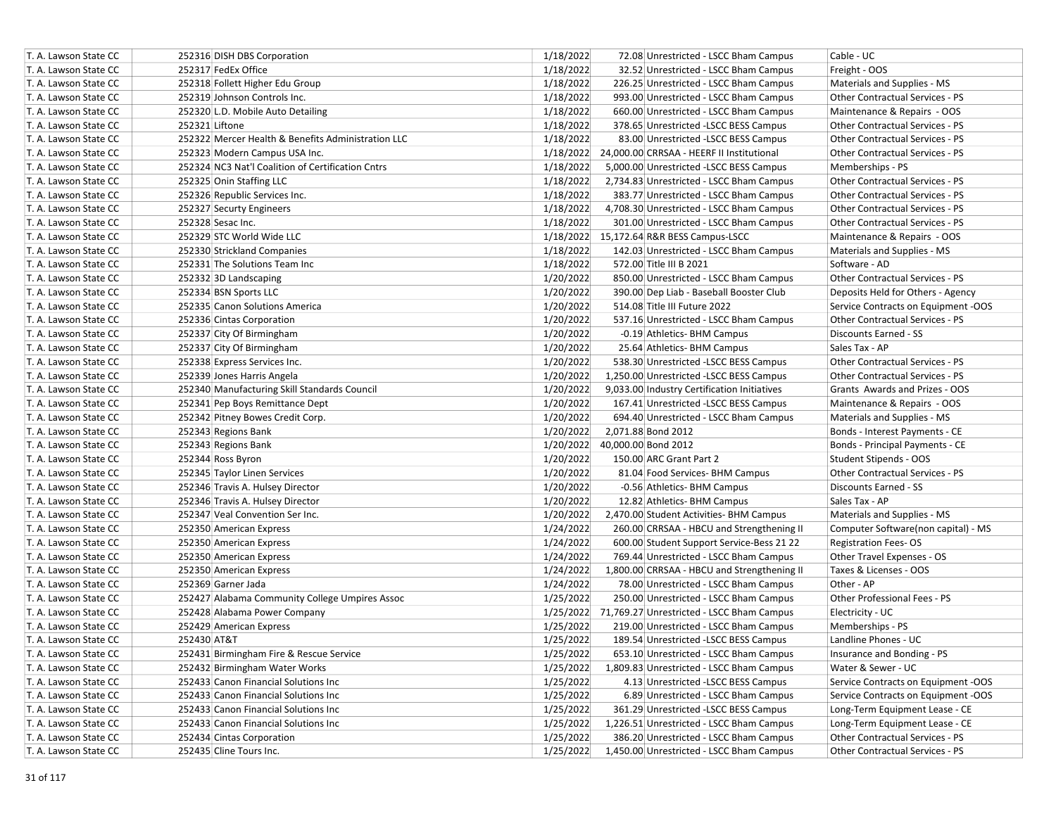| T. A. Lawson State CC | 252316 DISH DBS Corporation                        | 1/18/2022<br>Cable - UC<br>72.08 Unrestricted - LSCC Bham Campus                                |
|-----------------------|----------------------------------------------------|-------------------------------------------------------------------------------------------------|
| T. A. Lawson State CC | 252317 FedEx Office                                | 1/18/2022<br>Freight - OOS<br>32.52 Unrestricted - LSCC Bham Campus                             |
| T. A. Lawson State CC | 252318 Follett Higher Edu Group                    | 1/18/2022<br>226.25 Unrestricted - LSCC Bham Campus<br>Materials and Supplies - MS              |
| T. A. Lawson State CC | 252319 Johnson Controls Inc.                       | 1/18/2022<br>993.00 Unrestricted - LSCC Bham Campus<br>Other Contractual Services - PS          |
| T. A. Lawson State CC | 252320 L.D. Mobile Auto Detailing                  | 1/18/2022<br>Maintenance & Repairs - OOS<br>660.00 Unrestricted - LSCC Bham Campus              |
| T. A. Lawson State CC | 252321 Liftone                                     | 1/18/2022<br>378.65 Unrestricted -LSCC BESS Campus<br>Other Contractual Services - PS           |
| T. A. Lawson State CC | 252322 Mercer Health & Benefits Administration LLC | 1/18/2022<br>Other Contractual Services - PS<br>83.00 Unrestricted -LSCC BESS Campus            |
| T. A. Lawson State CC | 252323 Modern Campus USA Inc.                      | 1/18/2022 24,000.00 CRRSAA - HEERF II Institutional<br>Other Contractual Services - PS          |
| T. A. Lawson State CC | 252324 NC3 Nat'l Coalition of Certification Cntrs  | 1/18/2022<br>5,000.00 Unrestricted -LSCC BESS Campus<br>Memberships - PS                        |
| T. A. Lawson State CC | 252325 Onin Staffing LLC                           | 1/18/2022<br>2,734.83 Unrestricted - LSCC Bham Campus<br>Other Contractual Services - PS        |
| T. A. Lawson State CC | 252326 Republic Services Inc.                      | 1/18/2022<br>383.77 Unrestricted - LSCC Bham Campus<br><b>Other Contractual Services - PS</b>   |
| T. A. Lawson State CC | 252327 Securty Engineers                           | 1/18/2022<br>4,708.30 Unrestricted - LSCC Bham Campus<br><b>Other Contractual Services - PS</b> |
| T. A. Lawson State CC | 252328 Sesac Inc.                                  | 1/18/2022<br>301.00 Unrestricted - LSCC Bham Campus<br><b>Other Contractual Services - PS</b>   |
| T. A. Lawson State CC | 252329 STC World Wide LLC                          | 1/18/2022 15,172.64 R&R BESS Campus-LSCC<br>Maintenance & Repairs - OOS                         |
| T. A. Lawson State CC | 252330 Strickland Companies                        | 1/18/2022<br>142.03 Unrestricted - LSCC Bham Campus<br>Materials and Supplies - MS              |
| T. A. Lawson State CC | 252331 The Solutions Team Inc                      | 1/18/2022<br>572.00 Title III B 2021<br>Software - AD                                           |
| T. A. Lawson State CC | 252332 3D Landscaping                              | 1/20/2022<br>850.00 Unrestricted - LSCC Bham Campus<br>Other Contractual Services - PS          |
| T. A. Lawson State CC | 252334 BSN Sports LLC                              | 1/20/2022<br>390.00 Dep Liab - Baseball Booster Club<br>Deposits Held for Others - Agency       |
| T. A. Lawson State CC | 252335 Canon Solutions America                     | 1/20/2022<br>514.08 Title III Future 2022<br>Service Contracts on Equipment -OOS                |
| T. A. Lawson State CC | 252336 Cintas Corporation                          | 1/20/2022<br>537.16 Unrestricted - LSCC Bham Campus<br><b>Other Contractual Services - PS</b>   |
| T. A. Lawson State CC | 252337 City Of Birmingham                          | 1/20/2022<br>-0.19 Athletics- BHM Campus<br>Discounts Earned - SS                               |
| T. A. Lawson State CC | 252337 City Of Birmingham                          | 1/20/2022<br>25.64 Athletics- BHM Campus<br>Sales Tax - AP                                      |
| T. A. Lawson State CC | 252338 Express Services Inc.                       | 1/20/2022<br>Other Contractual Services - PS<br>538.30 Unrestricted -LSCC BESS Campus           |
| T. A. Lawson State CC | 252339 Jones Harris Angela                         | 1/20/2022<br>Other Contractual Services - PS<br>1,250.00 Unrestricted -LSCC BESS Campus         |
| T. A. Lawson State CC | 252340 Manufacturing Skill Standards Council       | 1/20/2022<br>9,033.00 Industry Certification Initiatives<br>Grants Awards and Prizes - OOS      |
| T. A. Lawson State CC | 252341 Pep Boys Remittance Dept                    | 1/20/2022<br>Maintenance & Repairs - OOS<br>167.41 Unrestricted -LSCC BESS Campus               |
| T. A. Lawson State CC | 252342 Pitney Bowes Credit Corp.                   | 1/20/2022<br>694.40 Unrestricted - LSCC Bham Campus<br>Materials and Supplies - MS              |
| T. A. Lawson State CC | 252343 Regions Bank                                | 1/20/2022<br>2,071.88 Bond 2012<br>Bonds - Interest Payments - CE                               |
| T. A. Lawson State CC | 252343 Regions Bank                                | 1/20/2022 40,000.00 Bond 2012<br>Bonds - Principal Payments - CE                                |
| T. A. Lawson State CC | 252344 Ross Byron                                  | 1/20/2022<br>150.00 ARC Grant Part 2<br>Student Stipends - OOS                                  |
| T. A. Lawson State CC | 252345 Taylor Linen Services                       | 1/20/2022<br>81.04 Food Services- BHM Campus<br><b>Other Contractual Services - PS</b>          |
| T. A. Lawson State CC | 252346 Travis A. Hulsey Director                   | 1/20/2022<br>-0.56 Athletics- BHM Campus<br>Discounts Earned - SS                               |
| T. A. Lawson State CC | 252346 Travis A. Hulsey Director                   | 1/20/2022<br>Sales Tax - AP<br>12.82 Athletics- BHM Campus                                      |
| T. A. Lawson State CC | 252347 Veal Convention Ser Inc.                    | 1/20/2022<br>2,470.00 Student Activities- BHM Campus<br>Materials and Supplies - MS             |
| T. A. Lawson State CC | 252350 American Express                            | 1/24/2022<br>260.00 CRRSAA - HBCU and Strengthening II<br>Computer Software(non capital) - MS   |
| T. A. Lawson State CC | 252350 American Express                            | 1/24/2022<br>600.00 Student Support Service-Bess 21 22<br><b>Registration Fees-OS</b>           |
| T. A. Lawson State CC | 252350 American Express                            | 1/24/2022<br>769.44 Unrestricted - LSCC Bham Campus<br>Other Travel Expenses - OS               |
| T. A. Lawson State CC | 252350 American Express                            | 1/24/2022<br>Taxes & Licenses - OOS<br>1,800.00 CRRSAA - HBCU and Strengthening II              |
| T. A. Lawson State CC | 252369 Garner Jada                                 | 1/24/2022<br>Other - AP<br>78.00 Unrestricted - LSCC Bham Campus                                |
| T. A. Lawson State CC | 252427 Alabama Community College Umpires Assoc     | 1/25/2022<br>Other Professional Fees - PS<br>250.00 Unrestricted - LSCC Bham Campus             |
| T. A. Lawson State CC | 252428 Alabama Power Company                       | 1/25/2022 71,769.27 Unrestricted - LSCC Bham Campus<br>Electricity - UC                         |
|                       |                                                    |                                                                                                 |
| T. A. Lawson State CC | 252429 American Express                            | 1/25/2022<br>219.00 Unrestricted - LSCC Bham Campus<br>Memberships - PS                         |
| T. A. Lawson State CC | 252430 AT&T                                        | 1/25/2022<br>Landline Phones - UC<br>189.54 Unrestricted -LSCC BESS Campus                      |
| T. A. Lawson State CC | 252431 Birmingham Fire & Rescue Service            | 1/25/2022<br>653.10 Unrestricted - LSCC Bham Campus<br>Insurance and Bonding - PS               |
| T. A. Lawson State CC | 252432 Birmingham Water Works                      | 1/25/2022<br>1,809.83 Unrestricted - LSCC Bham Campus<br>Water & Sewer - UC                     |
| T. A. Lawson State CC | 252433 Canon Financial Solutions Inc               | 1/25/2022<br>4.13 Unrestricted -LSCC BESS Campus<br>Service Contracts on Equipment -OOS         |
| T. A. Lawson State CC | 252433 Canon Financial Solutions Inc               | 1/25/2022<br>Service Contracts on Equipment -OOS<br>6.89 Unrestricted - LSCC Bham Campus        |
| T. A. Lawson State CC | 252433 Canon Financial Solutions Inc               | 1/25/2022<br>361.29 Unrestricted -LSCC BESS Campus<br>Long-Term Equipment Lease - CE            |
| T. A. Lawson State CC | 252433 Canon Financial Solutions Inc               | 1/25/2022<br>1,226.51 Unrestricted - LSCC Bham Campus<br>Long-Term Equipment Lease - CE         |
| T. A. Lawson State CC | 252434 Cintas Corporation                          | 1/25/2022<br>Other Contractual Services - PS<br>386.20 Unrestricted - LSCC Bham Campus          |
| T. A. Lawson State CC | 252435 Cline Tours Inc.                            | 1/25/2022<br>1,450.00 Unrestricted - LSCC Bham Campus<br>Other Contractual Services - PS        |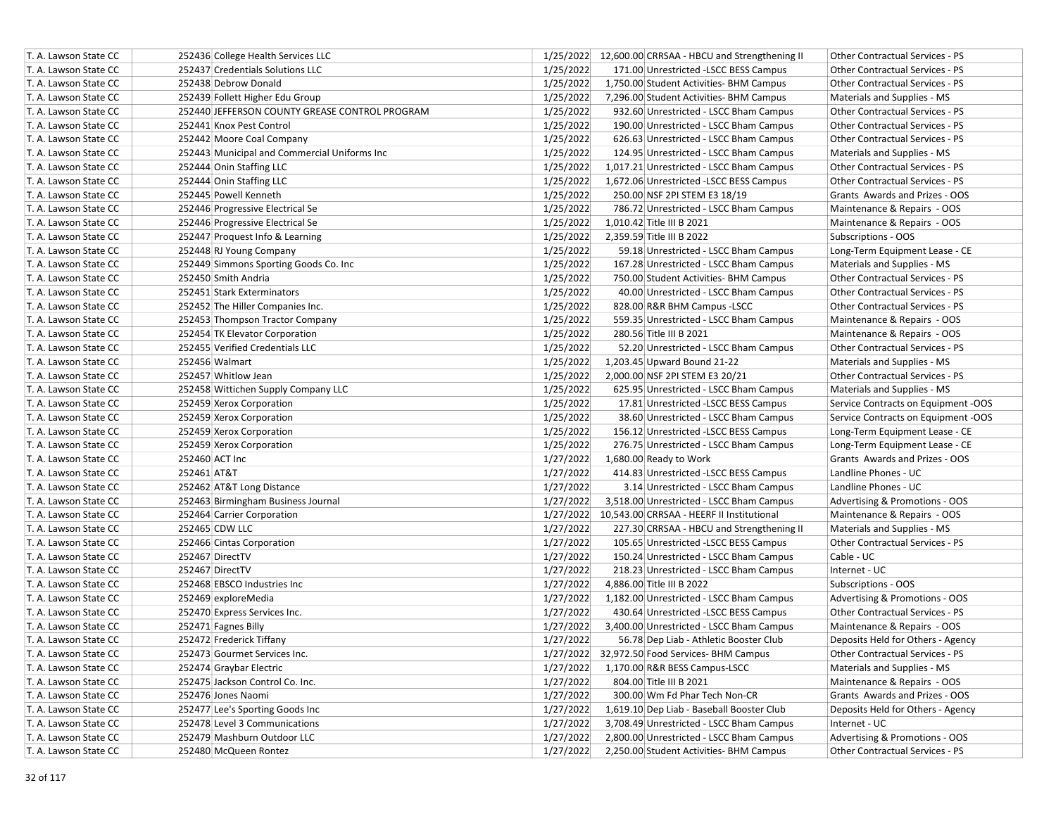| T. A. Lawson State CC | 252436 College Health Services LLC             |           | 1/25/2022 12,600.00 CRRSAA - HBCU and Strengthening II | Other Contractual Services - PS        |
|-----------------------|------------------------------------------------|-----------|--------------------------------------------------------|----------------------------------------|
| T. A. Lawson State CC | 252437 Credentials Solutions LLC               | 1/25/2022 | 171.00 Unrestricted -LSCC BESS Campus                  | <b>Other Contractual Services - PS</b> |
| T. A. Lawson State CC | 252438 Debrow Donald                           | 1/25/2022 | 1,750.00 Student Activities- BHM Campus                | Other Contractual Services - PS        |
| T. A. Lawson State CC | 252439 Follett Higher Edu Group                | 1/25/2022 | 7,296.00 Student Activities- BHM Campus                | Materials and Supplies - MS            |
| T. A. Lawson State CC | 252440 JEFFERSON COUNTY GREASE CONTROL PROGRAM | 1/25/2022 | 932.60 Unrestricted - LSCC Bham Campus                 | Other Contractual Services - PS        |
| T. A. Lawson State CC | 252441 Knox Pest Control                       | 1/25/2022 | 190.00 Unrestricted - LSCC Bham Campus                 | Other Contractual Services - PS        |
| T. A. Lawson State CC | 252442 Moore Coal Company                      | 1/25/2022 | 626.63 Unrestricted - LSCC Bham Campus                 | Other Contractual Services - PS        |
| T. A. Lawson State CC | 252443 Municipal and Commercial Uniforms Inc   | 1/25/2022 | 124.95 Unrestricted - LSCC Bham Campus                 | Materials and Supplies - MS            |
| T. A. Lawson State CC | 252444 Onin Staffing LLC                       | 1/25/2022 | 1,017.21 Unrestricted - LSCC Bham Campus               | Other Contractual Services - PS        |
| T. A. Lawson State CC | 252444 Onin Staffing LLC                       | 1/25/2022 | 1,672.06 Unrestricted -LSCC BESS Campus                | Other Contractual Services - PS        |
| T. A. Lawson State CC | 252445 Powell Kenneth                          | 1/25/2022 | 250.00 NSF 2PI STEM E3 18/19                           | Grants Awards and Prizes - OOS         |
| T. A. Lawson State CC | 252446 Progressive Electrical Se               | 1/25/2022 | 786.72 Unrestricted - LSCC Bham Campus                 | Maintenance & Repairs - OOS            |
| T. A. Lawson State CC | 252446 Progressive Electrical Se               | 1/25/2022 | 1,010.42 Title III B 2021                              | Maintenance & Repairs - OOS            |
| T. A. Lawson State CC | 252447 Proquest Info & Learning                | 1/25/2022 | 2,359.59 Title III B 2022                              | Subscriptions - OOS                    |
| T. A. Lawson State CC | 252448 RJ Young Company                        | 1/25/2022 | 59.18 Unrestricted - LSCC Bham Campus                  | Long-Term Equipment Lease - CE         |
| T. A. Lawson State CC | 252449 Simmons Sporting Goods Co. Inc          | 1/25/2022 | 167.28 Unrestricted - LSCC Bham Campus                 | Materials and Supplies - MS            |
| T. A. Lawson State CC | 252450 Smith Andria                            | 1/25/2022 | 750.00 Student Activities- BHM Campus                  | Other Contractual Services - PS        |
| T. A. Lawson State CC | 252451 Stark Exterminators                     | 1/25/2022 | 40.00 Unrestricted - LSCC Bham Campus                  | <b>Other Contractual Services - PS</b> |
| T. A. Lawson State CC | 252452 The Hiller Companies Inc.               | 1/25/2022 | 828.00 R&R BHM Campus -LSCC                            | Other Contractual Services - PS        |
| T. A. Lawson State CC | 252453 Thompson Tractor Company                | 1/25/2022 | 559.35 Unrestricted - LSCC Bham Campus                 | Maintenance & Repairs - OOS            |
| T. A. Lawson State CC | 252454 TK Elevator Corporation                 | 1/25/2022 | 280.56 Title III B 2021                                | Maintenance & Repairs - OOS            |
| T. A. Lawson State CC | 252455 Verified Credentials LLC                | 1/25/2022 | 52.20 Unrestricted - LSCC Bham Campus                  | Other Contractual Services - PS        |
| T. A. Lawson State CC | 252456 Walmart                                 | 1/25/2022 | 1,203.45 Upward Bound 21-22                            | Materials and Supplies - MS            |
| T. A. Lawson State CC | 252457 Whitlow Jean                            | 1/25/2022 | 2,000.00 NSF 2PI STEM E3 20/21                         | Other Contractual Services - PS        |
| T. A. Lawson State CC | 252458 Wittichen Supply Company LLC            | 1/25/2022 | 625.95 Unrestricted - LSCC Bham Campus                 | Materials and Supplies - MS            |
| T. A. Lawson State CC | 252459 Xerox Corporation                       | 1/25/2022 | 17.81 Unrestricted -LSCC BESS Campus                   | Service Contracts on Equipment -OOS    |
| T. A. Lawson State CC | 252459 Xerox Corporation                       | 1/25/2022 | 38.60 Unrestricted - LSCC Bham Campus                  | Service Contracts on Equipment -OOS    |
| T. A. Lawson State CC | 252459 Xerox Corporation                       | 1/25/2022 | 156.12 Unrestricted -LSCC BESS Campus                  | Long-Term Equipment Lease - CE         |
| T. A. Lawson State CC | 252459 Xerox Corporation                       | 1/25/2022 | 276.75 Unrestricted - LSCC Bham Campus                 | Long-Term Equipment Lease - CE         |
| T. A. Lawson State CC | 252460 ACT Inc                                 | 1/27/2022 | 1,680.00 Ready to Work                                 | Grants Awards and Prizes - OOS         |
| T. A. Lawson State CC | 252461 AT&T                                    | 1/27/2022 | 414.83 Unrestricted -LSCC BESS Campus                  | Landline Phones - UC                   |
| T. A. Lawson State CC | 252462 AT&T Long Distance                      | 1/27/2022 | 3.14 Unrestricted - LSCC Bham Campus                   | Landline Phones - UC                   |
| T. A. Lawson State CC | 252463 Birmingham Business Journal             | 1/27/2022 | 3,518.00 Unrestricted - LSCC Bham Campus               | Advertising & Promotions - OOS         |
| T. A. Lawson State CC | 252464 Carrier Corporation                     | 1/27/2022 | 10,543.00 CRRSAA - HEERF II Institutional              | Maintenance & Repairs - OOS            |
| T. A. Lawson State CC | 252465 CDW LLC                                 | 1/27/2022 | 227.30 CRRSAA - HBCU and Strengthening II              | Materials and Supplies - MS            |
| T. A. Lawson State CC | 252466 Cintas Corporation                      | 1/27/2022 | 105.65 Unrestricted -LSCC BESS Campus                  | <b>Other Contractual Services - PS</b> |
| T. A. Lawson State CC | 252467 DirectTV                                | 1/27/2022 | 150.24 Unrestricted - LSCC Bham Campus                 | Cable - UC                             |
| T. A. Lawson State CC | 252467 DirectTV                                | 1/27/2022 | 218.23 Unrestricted - LSCC Bham Campus                 | Internet - UC                          |
| T. A. Lawson State CC | 252468 EBSCO Industries Inc                    | 1/27/2022 | 4,886.00 Title III B 2022                              | Subscriptions - OOS                    |
| T. A. Lawson State CC | 252469 exploreMedia                            | 1/27/2022 | 1,182.00 Unrestricted - LSCC Bham Campus               | Advertising & Promotions - OOS         |
| T. A. Lawson State CC | 252470 Express Services Inc.                   | 1/27/2022 | 430.64 Unrestricted -LSCC BESS Campus                  | Other Contractual Services - PS        |
| T. A. Lawson State CC | 252471 Fagnes Billy                            | 1/27/2022 | 3,400.00 Unrestricted - LSCC Bham Campus               | Maintenance & Repairs - OOS            |
| T. A. Lawson State CC | 252472 Frederick Tiffany                       | 1/27/2022 | 56.78 Dep Liab - Athletic Booster Club                 | Deposits Held for Others - Agency      |
| T. A. Lawson State CC | 252473 Gourmet Services Inc.                   | 1/27/2022 | 32,972.50 Food Services- BHM Campus                    | Other Contractual Services - PS        |
| T. A. Lawson State CC | 252474 Graybar Electric                        | 1/27/2022 | 1,170.00 R&R BESS Campus-LSCC                          | Materials and Supplies - MS            |
| T. A. Lawson State CC | 252475 Jackson Control Co. Inc.                | 1/27/2022 | 804.00 Title III B 2021                                | Maintenance & Repairs - OOS            |
| T. A. Lawson State CC | 252476 Jones Naomi                             | 1/27/2022 | 300.00 Wm Fd Phar Tech Non-CR                          | Grants Awards and Prizes - OOS         |
| T. A. Lawson State CC | 252477 Lee's Sporting Goods Inc                | 1/27/2022 | 1,619.10 Dep Liab - Baseball Booster Club              | Deposits Held for Others - Agency      |
| T. A. Lawson State CC | 252478 Level 3 Communications                  | 1/27/2022 | 3,708.49 Unrestricted - LSCC Bham Campus               | Internet - UC                          |
| T. A. Lawson State CC | 252479 Mashburn Outdoor LLC                    | 1/27/2022 | 2,800.00 Unrestricted - LSCC Bham Campus               | Advertising & Promotions - OOS         |
| T. A. Lawson State CC | 252480 McQueen Rontez                          | 1/27/2022 | 2,250.00 Student Activities- BHM Campus                | Other Contractual Services - PS        |
|                       |                                                |           |                                                        |                                        |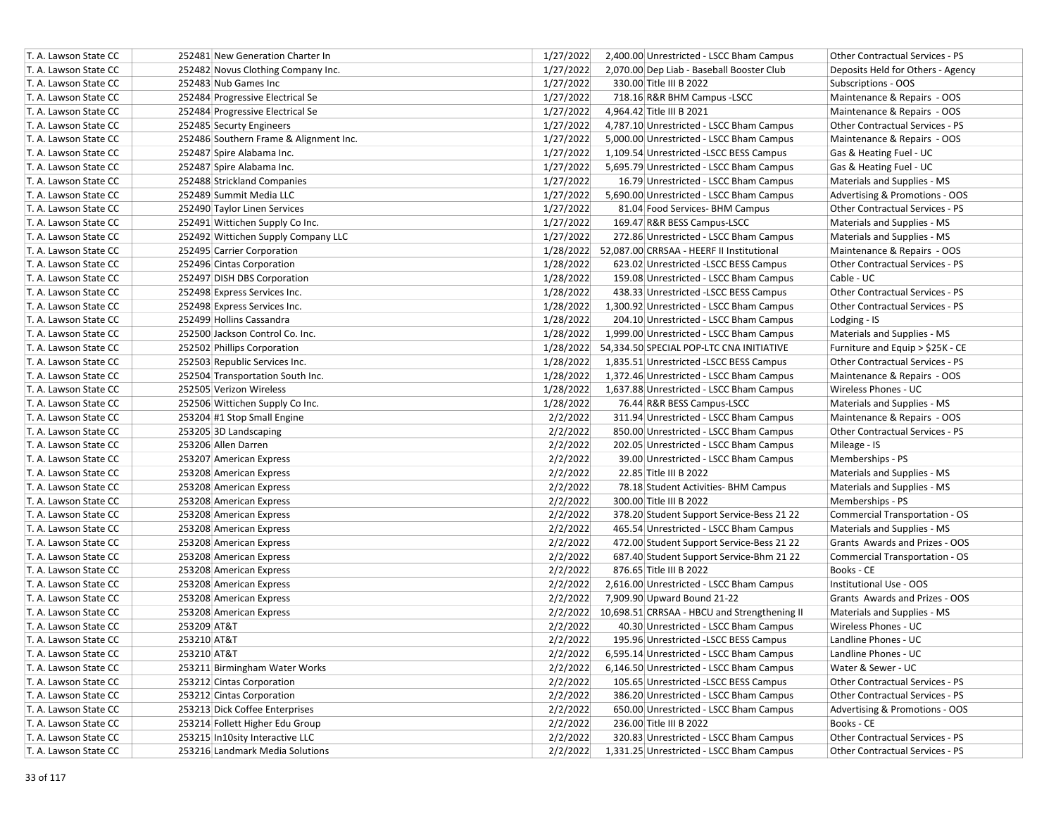| T. A. Lawson State CC | 252481 New Generation Charter In       | 1/27/2022<br>2,400.00 Unrestricted - LSCC Bham Campus<br>Other Contractual Services - PS     |
|-----------------------|----------------------------------------|----------------------------------------------------------------------------------------------|
| T. A. Lawson State CC | 252482 Novus Clothing Company Inc.     | 1/27/2022<br>2,070.00 Dep Liab - Baseball Booster Club<br>Deposits Held for Others - Agency  |
| T. A. Lawson State CC | 252483 Nub Games Inc                   | 1/27/2022<br>330.00 Title III B 2022<br>Subscriptions - OOS                                  |
| T. A. Lawson State CC | 252484 Progressive Electrical Se       | 1/27/2022<br>Maintenance & Repairs - OOS<br>718.16 R&R BHM Campus -LSCC                      |
| T. A. Lawson State CC | 252484 Progressive Electrical Se       | 1/27/2022<br>Maintenance & Repairs - OOS<br>4,964.42 Title III B 2021                        |
| T. A. Lawson State CC | 252485 Securty Engineers               | 1/27/2022<br>4,787.10 Unrestricted - LSCC Bham Campus<br>Other Contractual Services - PS     |
| T. A. Lawson State CC | 252486 Southern Frame & Alignment Inc. | 1/27/2022<br>Maintenance & Repairs - OOS<br>5,000.00 Unrestricted - LSCC Bham Campus         |
| T. A. Lawson State CC | 252487 Spire Alabama Inc.              | 1/27/2022<br>1,109.54 Unrestricted -LSCC BESS Campus<br>Gas & Heating Fuel - UC              |
| T. A. Lawson State CC | 252487 Spire Alabama Inc.              | 1/27/2022<br>Gas & Heating Fuel - UC<br>5,695.79 Unrestricted - LSCC Bham Campus             |
| T. A. Lawson State CC | 252488 Strickland Companies            | 1/27/2022<br>Materials and Supplies - MS<br>16.79 Unrestricted - LSCC Bham Campus            |
| T. A. Lawson State CC | 252489 Summit Media LLC                | 1/27/2022<br>5,690.00 Unrestricted - LSCC Bham Campus<br>Advertising & Promotions - OOS      |
| T. A. Lawson State CC | 252490 Taylor Linen Services           | 1/27/2022<br>Other Contractual Services - PS<br>81.04 Food Services- BHM Campus              |
| T. A. Lawson State CC | 252491 Wittichen Supply Co Inc.        | 1/27/2022<br>Materials and Supplies - MS<br>169.47 R&R BESS Campus-LSCC                      |
| T. A. Lawson State CC | 252492 Wittichen Supply Company LLC    | 1/27/2022<br>Materials and Supplies - MS<br>272.86 Unrestricted - LSCC Bham Campus           |
| T. A. Lawson State CC | 252495 Carrier Corporation             | 1/28/2022 52,087.00 CRRSAA - HEERF II Institutional<br>Maintenance & Repairs - OOS           |
| T. A. Lawson State CC | 252496 Cintas Corporation              | 1/28/2022<br>623.02 Unrestricted -LSCC BESS Campus<br>Other Contractual Services - PS        |
| T. A. Lawson State CC | 252497 DISH DBS Corporation            | 1/28/2022<br>Cable - UC<br>159.08 Unrestricted - LSCC Bham Campus                            |
| T. A. Lawson State CC | 252498 Express Services Inc.           | 1/28/2022<br>Other Contractual Services - PS<br>438.33 Unrestricted -LSCC BESS Campus        |
| T. A. Lawson State CC | 252498 Express Services Inc.           | Other Contractual Services - PS<br>1/28/2022<br>1,300.92 Unrestricted - LSCC Bham Campus     |
| T. A. Lawson State CC | 252499 Hollins Cassandra               | 1/28/2022<br>204.10 Unrestricted - LSCC Bham Campus<br>Lodging - IS                          |
| T. A. Lawson State CC | 252500 Jackson Control Co. Inc.        | 1/28/2022<br>Materials and Supplies - MS<br>1,999.00 Unrestricted - LSCC Bham Campus         |
| T. A. Lawson State CC | 252502 Phillips Corporation            | 1/28/2022 54,334.50 SPECIAL POP-LTC CNA INITIATIVE<br>Furniture and Equip > \$25K - CE       |
| T. A. Lawson State CC | 252503 Republic Services Inc.          | 1/28/2022<br>1,835.51 Unrestricted -LSCC BESS Campus<br>Other Contractual Services - PS      |
| T. A. Lawson State CC | 252504 Transportation South Inc.       | 1/28/2022<br>Maintenance & Repairs - OOS<br>1,372.46 Unrestricted - LSCC Bham Campus         |
| T. A. Lawson State CC | 252505 Verizon Wireless                | 1/28/2022<br>1,637.88 Unrestricted - LSCC Bham Campus<br>Wireless Phones - UC                |
| T. A. Lawson State CC | 252506 Wittichen Supply Co Inc.        | 1/28/2022<br>76.44 R&R BESS Campus-LSCC<br>Materials and Supplies - MS                       |
| T. A. Lawson State CC | 253204 #1 Stop Small Engine            | 2/2/2022<br>311.94 Unrestricted - LSCC Bham Campus<br>Maintenance & Repairs - OOS            |
| T. A. Lawson State CC | 253205 3D Landscaping                  | 2/2/2022<br>850.00 Unrestricted - LSCC Bham Campus<br><b>Other Contractual Services - PS</b> |
| T. A. Lawson State CC | 253206 Allen Darren                    | 2/2/2022<br>202.05 Unrestricted - LSCC Bham Campus<br>Mileage - IS                           |
| T. A. Lawson State CC | 253207 American Express                | 2/2/2022<br>39.00 Unrestricted - LSCC Bham Campus<br>Memberships - PS                        |
| T. A. Lawson State CC | 253208 American Express                | 2/2/2022<br>22.85 Title III B 2022<br>Materials and Supplies - MS                            |
| T. A. Lawson State CC | 253208 American Express                | 2/2/2022<br>78.18 Student Activities- BHM Campus<br>Materials and Supplies - MS              |
| T. A. Lawson State CC | 253208 American Express                | 2/2/2022<br>300.00 Title III B 2022<br>Memberships - PS                                      |
| T. A. Lawson State CC | 253208 American Express                | 2/2/2022<br>378.20 Student Support Service-Bess 21 22<br>Commercial Transportation - OS      |
| T. A. Lawson State CC | 253208 American Express                | 2/2/2022<br>465.54 Unrestricted - LSCC Bham Campus<br>Materials and Supplies - MS            |
| T. A. Lawson State CC | 253208 American Express                | 2/2/2022<br>Grants Awards and Prizes - OOS<br>472.00 Student Support Service-Bess 21 22      |
| T. A. Lawson State CC | 253208 American Express                | 2/2/2022<br>687.40 Student Support Service-Bhm 21 22<br>Commercial Transportation - OS       |
| T. A. Lawson State CC | 253208 American Express                | 2/2/2022<br>876.65 Title III B 2022<br>Books - CE                                            |
| T. A. Lawson State CC | 253208 American Express                | 2/2/2022<br>2,616.00 Unrestricted - LSCC Bham Campus<br>Institutional Use - OOS              |
| T. A. Lawson State CC | 253208 American Express                | 2/2/2022<br>Grants Awards and Prizes - OOS<br>7,909.90 Upward Bound 21-22                    |
| T. A. Lawson State CC | 253208 American Express                | 2/2/2022 10,698.51 CRRSAA - HBCU and Strengthening II<br>Materials and Supplies - MS         |
| T. A. Lawson State CC | 253209 AT&T                            | 2/2/2022<br>Wireless Phones - UC<br>40.30 Unrestricted - LSCC Bham Campus                    |
| T. A. Lawson State CC | 253210 AT&T                            | 2/2/2022<br>Landline Phones - UC<br>195.96 Unrestricted -LSCC BESS Campus                    |
| T. A. Lawson State CC | 253210 AT&T                            | 2/2/2022<br>6,595.14 Unrestricted - LSCC Bham Campus<br>Landline Phones - UC                 |
| T. A. Lawson State CC | 253211 Birmingham Water Works          | 2/2/2022<br>6,146.50 Unrestricted - LSCC Bham Campus<br>Water & Sewer - UC                   |
| T. A. Lawson State CC | 253212 Cintas Corporation              | 2/2/2022<br>105.65 Unrestricted -LSCC BESS Campus<br>Other Contractual Services - PS         |
| T. A. Lawson State CC | 253212 Cintas Corporation              | 2/2/2022<br>386.20 Unrestricted - LSCC Bham Campus<br>Other Contractual Services - PS        |
| T. A. Lawson State CC | 253213 Dick Coffee Enterprises         | 2/2/2022<br>650.00 Unrestricted - LSCC Bham Campus<br>Advertising & Promotions - OOS         |
| T. A. Lawson State CC | 253214 Follett Higher Edu Group        | 2/2/2022<br>Books - CE<br>236.00 Title III B 2022                                            |
| T. A. Lawson State CC | 253215 In10sity Interactive LLC        | 2/2/2022<br>320.83 Unrestricted - LSCC Bham Campus<br>Other Contractual Services - PS        |
| T. A. Lawson State CC | 253216 Landmark Media Solutions        | 2/2/2022<br>1,331.25 Unrestricted - LSCC Bham Campus<br>Other Contractual Services - PS      |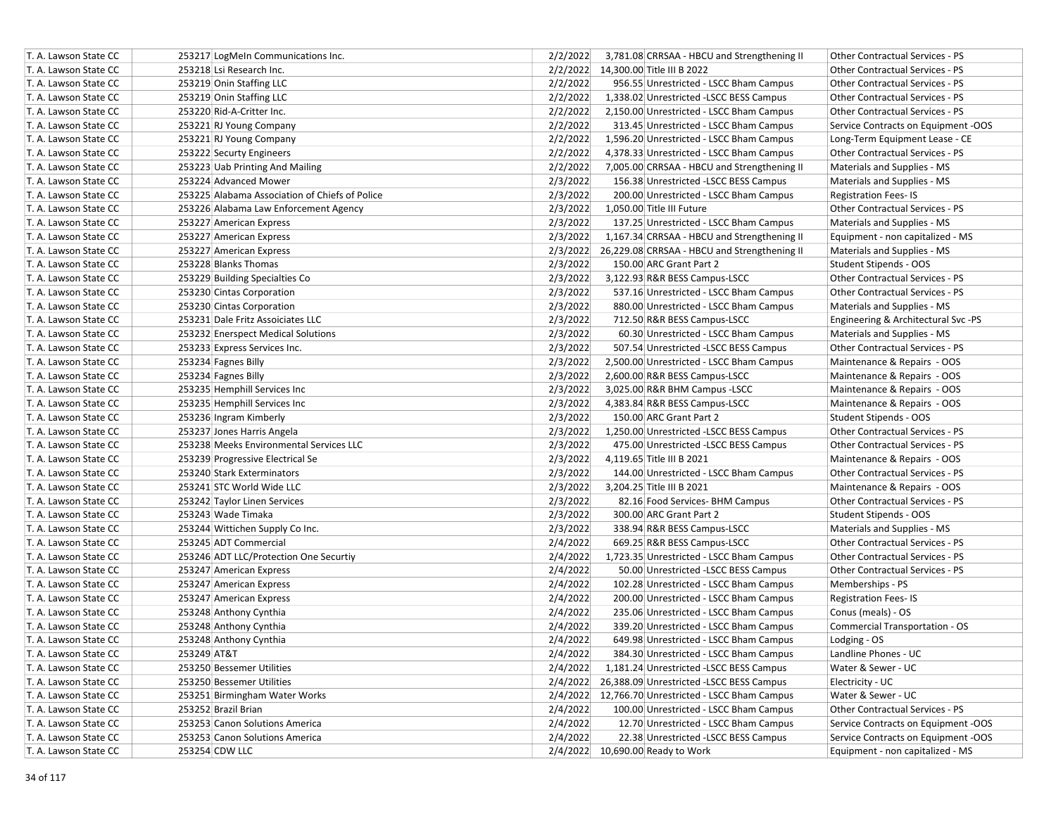| T. A. Lawson State CC | 253217 LogMeIn Communications Inc.             | 2/2/2022<br>3,781.08 CRRSAA - HBCU and Strengthening II<br>Other Contractual Services - PS                                      |
|-----------------------|------------------------------------------------|---------------------------------------------------------------------------------------------------------------------------------|
| T. A. Lawson State CC | 253218 Lsi Research Inc.                       | 2/2/2022 14,300.00 Title III B 2022<br><b>Other Contractual Services - PS</b>                                                   |
| T. A. Lawson State CC | 253219 Onin Staffing LLC                       | 2/2/2022<br>956.55 Unrestricted - LSCC Bham Campus<br><b>Other Contractual Services - PS</b>                                    |
| T. A. Lawson State CC | 253219 Onin Staffing LLC                       | 2/2/2022<br>1,338.02 Unrestricted -LSCC BESS Campus<br><b>Other Contractual Services - PS</b>                                   |
| T. A. Lawson State CC | 253220 Rid-A-Critter Inc.                      | 2/2/2022<br>2,150.00 Unrestricted - LSCC Bham Campus<br><b>Other Contractual Services - PS</b>                                  |
| T. A. Lawson State CC | 253221 RJ Young Company                        | 2/2/2022<br>313.45 Unrestricted - LSCC Bham Campus<br>Service Contracts on Equipment -OOS                                       |
| T. A. Lawson State CC | 253221 RJ Young Company                        | 2/2/2022<br>1,596.20 Unrestricted - LSCC Bham Campus<br>Long-Term Equipment Lease - CE                                          |
| T. A. Lawson State CC | 253222 Securty Engineers                       | 2/2/2022<br>4,378.33 Unrestricted - LSCC Bham Campus<br>Other Contractual Services - PS                                         |
| T. A. Lawson State CC | 253223 Uab Printing And Mailing                | 2/2/2022<br>7,005.00 CRRSAA - HBCU and Strengthening II<br>Materials and Supplies - MS                                          |
| T. A. Lawson State CC | 253224 Advanced Mower                          | 2/3/2022<br>156.38 Unrestricted -LSCC BESS Campus<br>Materials and Supplies - MS                                                |
| T. A. Lawson State CC | 253225 Alabama Association of Chiefs of Police | 2/3/2022<br>200.00 Unrestricted - LSCC Bham Campus<br><b>Registration Fees-IS</b>                                               |
| T. A. Lawson State CC | 253226 Alabama Law Enforcement Agency          | 2/3/2022<br>1,050.00 Title III Future<br>Other Contractual Services - PS                                                        |
| T. A. Lawson State CC | 253227 American Express                        | 2/3/2022<br>137.25 Unrestricted - LSCC Bham Campus<br>Materials and Supplies - MS                                               |
| T. A. Lawson State CC | 253227 American Express                        | 2/3/2022<br>1,167.34 CRRSAA - HBCU and Strengthening II<br>Equipment - non capitalized - MS                                     |
| T. A. Lawson State CC | 253227 American Express                        | $2/3/2022$ 26,229.08 CRRSAA - HBCU and Strengthening II<br>Materials and Supplies - MS                                          |
| T. A. Lawson State CC | 253228 Blanks Thomas                           | 2/3/2022<br>150.00 ARC Grant Part 2<br>Student Stipends - OOS                                                                   |
| T. A. Lawson State CC | 253229 Building Specialties Co                 | 2/3/2022<br>3,122.93 R&R BESS Campus-LSCC<br>Other Contractual Services - PS                                                    |
| T. A. Lawson State CC | 253230 Cintas Corporation                      | 2/3/2022<br>Other Contractual Services - PS<br>537.16 Unrestricted - LSCC Bham Campus                                           |
| T. A. Lawson State CC | 253230 Cintas Corporation                      | 2/3/2022<br>880.00 Unrestricted - LSCC Bham Campus<br>Materials and Supplies - MS                                               |
| T. A. Lawson State CC | 253231 Dale Fritz Assoiciates LLC              | 2/3/2022<br>712.50 R&R BESS Campus-LSCC<br>Engineering & Architectural Svc -PS                                                  |
|                       |                                                |                                                                                                                                 |
| T. A. Lawson State CC | 253232 Enerspect Medical Solutions             | 2/3/2022<br>60.30 Unrestricted - LSCC Bham Campus<br>Materials and Supplies - MS<br>2/3/2022<br>Other Contractual Services - PS |
| T. A. Lawson State CC | 253233 Express Services Inc.                   | 507.54 Unrestricted -LSCC BESS Campus<br>2,500.00 Unrestricted - LSCC Bham Campus                                               |
| T. A. Lawson State CC | 253234 Fagnes Billy                            | 2/3/2022<br>Maintenance & Repairs - OOS                                                                                         |
| T. A. Lawson State CC | 253234 Fagnes Billy                            | 2/3/2022<br>2,600.00 R&R BESS Campus-LSCC<br>Maintenance & Repairs - OOS                                                        |
| T. A. Lawson State CC | 253235 Hemphill Services Inc                   | 2/3/2022<br>3,025.00 R&R BHM Campus -LSCC<br>Maintenance & Repairs - OOS                                                        |
| T. A. Lawson State CC | 253235 Hemphill Services Inc                   | 2/3/2022<br>Maintenance & Repairs - OOS<br>4,383.84 R&R BESS Campus-LSCC                                                        |
| T. A. Lawson State CC | 253236 Ingram Kimberly                         | 2/3/2022<br>150.00 ARC Grant Part 2<br>Student Stipends - OOS                                                                   |
| T. A. Lawson State CC | 253237 Jones Harris Angela                     | 2/3/2022<br>1,250.00 Unrestricted -LSCC BESS Campus<br><b>Other Contractual Services - PS</b>                                   |
| T. A. Lawson State CC | 253238 Meeks Environmental Services LLC        | 2/3/2022<br>Other Contractual Services - PS<br>475.00 Unrestricted -LSCC BESS Campus                                            |
| T. A. Lawson State CC | 253239 Progressive Electrical Se               | 2/3/2022<br>Maintenance & Repairs - OOS<br>4,119.65 Title III B 2021                                                            |
| T. A. Lawson State CC | 253240 Stark Exterminators                     | 2/3/2022<br>144.00 Unrestricted - LSCC Bham Campus<br>Other Contractual Services - PS                                           |
| T. A. Lawson State CC | 253241 STC World Wide LLC                      | 2/3/2022<br>3,204.25 Title III B 2021<br>Maintenance & Repairs - OOS                                                            |
| T. A. Lawson State CC | 253242 Taylor Linen Services                   | 2/3/2022<br>82.16 Food Services- BHM Campus<br>Other Contractual Services - PS                                                  |
| T. A. Lawson State CC | 253243 Wade Timaka                             | 2/3/2022<br>300.00 ARC Grant Part 2<br>Student Stipends - OOS                                                                   |
| T. A. Lawson State CC | 253244 Wittichen Supply Co Inc.                | 2/3/2022<br>338.94 R&R BESS Campus-LSCC<br>Materials and Supplies - MS                                                          |
| T. A. Lawson State CC | 253245 ADT Commercial                          | 2/4/2022<br>669.25 R&R BESS Campus-LSCC<br><b>Other Contractual Services - PS</b>                                               |
| T. A. Lawson State CC | 253246 ADT LLC/Protection One Securtiy         | 2/4/2022<br>1,723.35 Unrestricted - LSCC Bham Campus<br>Other Contractual Services - PS                                         |
| T. A. Lawson State CC | 253247 American Express                        | 2/4/2022<br>50.00 Unrestricted -LSCC BESS Campus<br><b>Other Contractual Services - PS</b>                                      |
| T. A. Lawson State CC | 253247 American Express                        | 2/4/2022<br>102.28 Unrestricted - LSCC Bham Campus<br>Memberships - PS                                                          |
| T. A. Lawson State CC | 253247 American Express                        | 2/4/2022<br>200.00 Unrestricted - LSCC Bham Campus<br><b>Registration Fees-IS</b>                                               |
| T. A. Lawson State CC | 253248 Anthony Cynthia                         | 2/4/2022<br>235.06 Unrestricted - LSCC Bham Campus<br>Conus (meals) - OS                                                        |
| T. A. Lawson State CC | 253248 Anthony Cynthia                         | 2/4/2022<br>339.20 Unrestricted - LSCC Bham Campus<br>Commercial Transportation - OS                                            |
| T. A. Lawson State CC | 253248 Anthony Cynthia                         | 2/4/2022<br>Lodging - OS<br>649.98 Unrestricted - LSCC Bham Campus                                                              |
| T. A. Lawson State CC | 253249 AT&T                                    | 2/4/2022<br>384.30 Unrestricted - LSCC Bham Campus<br>Landline Phones - UC                                                      |
| T. A. Lawson State CC | 253250 Bessemer Utilities                      | 2/4/2022<br>1,181.24 Unrestricted -LSCC BESS Campus<br>Water & Sewer - UC                                                       |
| T. A. Lawson State CC | 253250 Bessemer Utilities                      | 2/4/2022 26,388.09 Unrestricted -LSCC BESS Campus<br>Electricity - UC                                                           |
| T. A. Lawson State CC | 253251 Birmingham Water Works                  | Water & Sewer - UC<br>2/4/2022 12,766.70 Unrestricted - LSCC Bham Campus                                                        |
| T. A. Lawson State CC | 253252 Brazil Brian                            | 2/4/2022<br>100.00 Unrestricted - LSCC Bham Campus<br>Other Contractual Services - PS                                           |
| T. A. Lawson State CC | 253253 Canon Solutions America                 | 2/4/2022<br>12.70 Unrestricted - LSCC Bham Campus<br>Service Contracts on Equipment -OOS                                        |
| T. A. Lawson State CC | 253253 Canon Solutions America                 | 2/4/2022<br>22.38 Unrestricted -LSCC BESS Campus<br>Service Contracts on Equipment -OOS                                         |
| T. A. Lawson State CC | 253254 CDW LLC                                 | 2/4/2022 10,690.00 Ready to Work<br>Equipment - non capitalized - MS                                                            |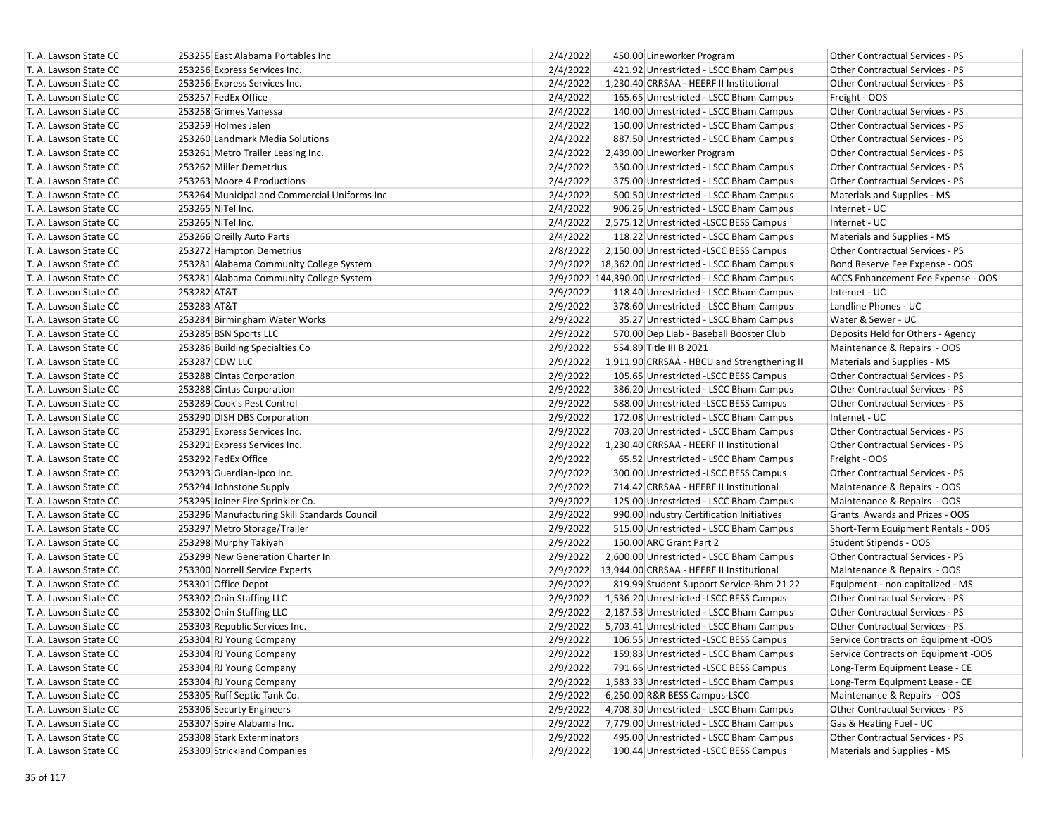| T. A. Lawson State CC | 253255 East Alabama Portables Inc            | 2/4/2022 | 450.00 Lineworker Program                           | Other Contractual Services - PS        |
|-----------------------|----------------------------------------------|----------|-----------------------------------------------------|----------------------------------------|
| T. A. Lawson State CC | 253256 Express Services Inc.                 | 2/4/2022 | 421.92 Unrestricted - LSCC Bham Campus              | <b>Other Contractual Services - PS</b> |
| T. A. Lawson State CC | 253256 Express Services Inc.                 | 2/4/2022 | 1,230.40 CRRSAA - HEERF II Institutional            | <b>Other Contractual Services - PS</b> |
| T. A. Lawson State CC | 253257 FedEx Office                          | 2/4/2022 | 165.65 Unrestricted - LSCC Bham Campus              | Freight - OOS                          |
| T. A. Lawson State CC | 253258 Grimes Vanessa                        | 2/4/2022 | 140.00 Unrestricted - LSCC Bham Campus              | Other Contractual Services - PS        |
| T. A. Lawson State CC | 253259 Holmes Jalen                          | 2/4/2022 | 150.00 Unrestricted - LSCC Bham Campus              | Other Contractual Services - PS        |
| T. A. Lawson State CC | 253260 Landmark Media Solutions              | 2/4/2022 | 887.50 Unrestricted - LSCC Bham Campus              | Other Contractual Services - PS        |
| T. A. Lawson State CC | 253261 Metro Trailer Leasing Inc.            | 2/4/2022 | 2,439.00 Lineworker Program                         | Other Contractual Services - PS        |
| T. A. Lawson State CC | 253262 Miller Demetrius                      | 2/4/2022 | 350.00 Unrestricted - LSCC Bham Campus              | Other Contractual Services - PS        |
| T. A. Lawson State CC | 253263 Moore 4 Productions                   | 2/4/2022 | 375.00 Unrestricted - LSCC Bham Campus              | Other Contractual Services - PS        |
| T. A. Lawson State CC | 253264 Municipal and Commercial Uniforms Inc | 2/4/2022 | 500.50 Unrestricted - LSCC Bham Campus              | Materials and Supplies - MS            |
| T. A. Lawson State CC | 253265 NiTel Inc.                            | 2/4/2022 | 906.26 Unrestricted - LSCC Bham Campus              | Internet - UC                          |
| T. A. Lawson State CC | 253265 NiTel Inc.                            | 2/4/2022 | 2,575.12 Unrestricted -LSCC BESS Campus             | Internet - UC                          |
| T. A. Lawson State CC | 253266 Oreilly Auto Parts                    | 2/4/2022 | 118.22 Unrestricted - LSCC Bham Campus              | Materials and Supplies - MS            |
| T. A. Lawson State CC | 253272 Hampton Demetrius                     | 2/8/2022 | 2,150.00 Unrestricted -LSCC BESS Campus             | Other Contractual Services - PS        |
| T. A. Lawson State CC | 253281 Alabama Community College System      |          | 2/9/2022 18,362.00 Unrestricted - LSCC Bham Campus  | Bond Reserve Fee Expense - OOS         |
| T. A. Lawson State CC | 253281 Alabama Community College System      |          | 2/9/2022 144,390.00 Unrestricted - LSCC Bham Campus | ACCS Enhancement Fee Expense - OOS     |
| T. A. Lawson State CC | 253282 AT&T                                  | 2/9/2022 | 118.40 Unrestricted - LSCC Bham Campus              | Internet - UC                          |
| T. A. Lawson State CC | 253283 AT&T                                  | 2/9/2022 | 378.60 Unrestricted - LSCC Bham Campus              | Landline Phones - UC                   |
| T. A. Lawson State CC | 253284 Birmingham Water Works                | 2/9/2022 | 35.27 Unrestricted - LSCC Bham Campus               | Water & Sewer - UC                     |
| T. A. Lawson State CC | 253285 BSN Sports LLC                        | 2/9/2022 | 570.00 Dep Liab - Baseball Booster Club             | Deposits Held for Others - Agency      |
| T. A. Lawson State CC | 253286 Building Specialties Co               | 2/9/2022 | 554.89 Title III B 2021                             | Maintenance & Repairs - OOS            |
| T. A. Lawson State CC | 253287 CDW LLC                               | 2/9/2022 | 1,911.90 CRRSAA - HBCU and Strengthening II         | Materials and Supplies - MS            |
| T. A. Lawson State CC | 253288 Cintas Corporation                    | 2/9/2022 | 105.65 Unrestricted -LSCC BESS Campus               | Other Contractual Services - PS        |
| T. A. Lawson State CC | 253288 Cintas Corporation                    | 2/9/2022 | 386.20 Unrestricted - LSCC Bham Campus              | <b>Other Contractual Services - PS</b> |
| T. A. Lawson State CC | 253289 Cook's Pest Control                   | 2/9/2022 | 588.00 Unrestricted -LSCC BESS Campus               | Other Contractual Services - PS        |
| T. A. Lawson State CC | 253290 DISH DBS Corporation                  | 2/9/2022 | 172.08 Unrestricted - LSCC Bham Campus              | Internet - UC                          |
| T. A. Lawson State CC | 253291 Express Services Inc.                 | 2/9/2022 | 703.20 Unrestricted - LSCC Bham Campus              | Other Contractual Services - PS        |
| T. A. Lawson State CC | 253291 Express Services Inc.                 | 2/9/2022 | 1,230.40 CRRSAA - HEERF II Institutional            | Other Contractual Services - PS        |
| T. A. Lawson State CC | 253292 FedEx Office                          | 2/9/2022 | 65.52 Unrestricted - LSCC Bham Campus               | Freight - OOS                          |
| T. A. Lawson State CC | 253293 Guardian-Ipco Inc.                    | 2/9/2022 | 300.00 Unrestricted -LSCC BESS Campus               | Other Contractual Services - PS        |
| T. A. Lawson State CC | 253294 Johnstone Supply                      | 2/9/2022 | 714.42 CRRSAA - HEERF II Institutional              | Maintenance & Repairs - OOS            |
| T. A. Lawson State CC | 253295 Joiner Fire Sprinkler Co.             | 2/9/2022 | 125.00 Unrestricted - LSCC Bham Campus              | Maintenance & Repairs - OOS            |
| T. A. Lawson State CC | 253296 Manufacturing Skill Standards Council | 2/9/2022 | 990.00 Industry Certification Initiatives           | Grants Awards and Prizes - OOS         |
| T. A. Lawson State CC | 253297 Metro Storage/Trailer                 | 2/9/2022 | 515.00 Unrestricted - LSCC Bham Campus              | Short-Term Equipment Rentals - OOS     |
| T. A. Lawson State CC | 253298 Murphy Takiyah                        | 2/9/2022 | 150.00 ARC Grant Part 2                             | Student Stipends - OOS                 |
| T. A. Lawson State CC | 253299 New Generation Charter In             | 2/9/2022 | 2,600.00 Unrestricted - LSCC Bham Campus            | Other Contractual Services - PS        |
| T. A. Lawson State CC | 253300 Norrell Service Experts               |          | 2/9/2022 13,944.00 CRRSAA - HEERF II Institutional  | Maintenance & Repairs - OOS            |
| T. A. Lawson State CC | 253301 Office Depot                          | 2/9/2022 | 819.99 Student Support Service-Bhm 21 22            | Equipment - non capitalized - MS       |
| T. A. Lawson State CC | 253302 Onin Staffing LLC                     | 2/9/2022 | 1,536.20 Unrestricted -LSCC BESS Campus             | Other Contractual Services - PS        |
| T. A. Lawson State CC | 253302 Onin Staffing LLC                     | 2/9/2022 | 2,187.53 Unrestricted - LSCC Bham Campus            | Other Contractual Services - PS        |
| T. A. Lawson State CC | 253303 Republic Services Inc.                | 2/9/2022 | 5,703.41 Unrestricted - LSCC Bham Campus            | Other Contractual Services - PS        |
| T. A. Lawson State CC | 253304 RJ Young Company                      | 2/9/2022 | 106.55 Unrestricted -LSCC BESS Campus               | Service Contracts on Equipment -OOS    |
| T. A. Lawson State CC | 253304 RJ Young Company                      | 2/9/2022 | 159.83 Unrestricted - LSCC Bham Campus              | Service Contracts on Equipment -OOS    |
| T. A. Lawson State CC | 253304 RJ Young Company                      | 2/9/2022 | 791.66 Unrestricted -LSCC BESS Campus               | Long-Term Equipment Lease - CE         |
| T. A. Lawson State CC | 253304 RJ Young Company                      | 2/9/2022 | 1,583.33 Unrestricted - LSCC Bham Campus            | Long-Term Equipment Lease - CE         |
| T. A. Lawson State CC | 253305 Ruff Septic Tank Co.                  | 2/9/2022 | 6,250.00 R&R BESS Campus-LSCC                       | Maintenance & Repairs - OOS            |
| T. A. Lawson State CC | 253306 Securty Engineers                     | 2/9/2022 | 4,708.30 Unrestricted - LSCC Bham Campus            | Other Contractual Services - PS        |
| T. A. Lawson State CC | 253307 Spire Alabama Inc.                    | 2/9/2022 | 7,779.00 Unrestricted - LSCC Bham Campus            | Gas & Heating Fuel - UC                |
| T. A. Lawson State CC | 253308 Stark Exterminators                   | 2/9/2022 | 495.00 Unrestricted - LSCC Bham Campus              | Other Contractual Services - PS        |
| T. A. Lawson State CC | 253309 Strickland Companies                  | 2/9/2022 | 190.44 Unrestricted -LSCC BESS Campus               | Materials and Supplies - MS            |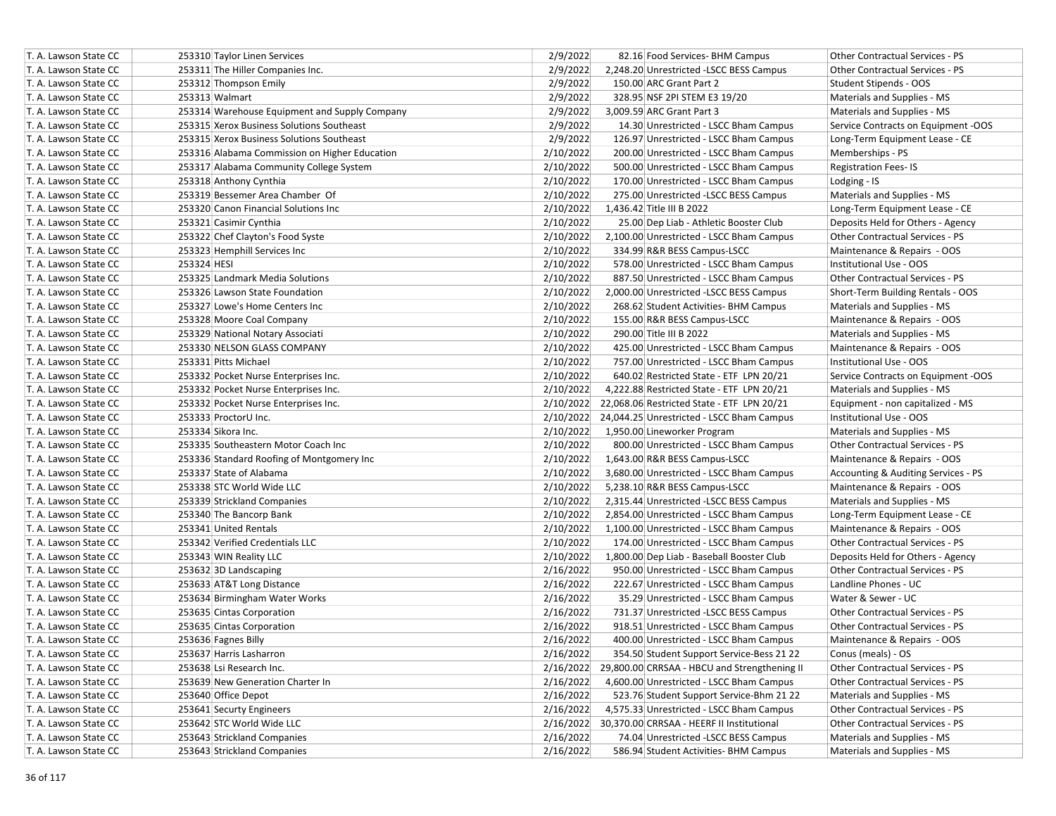| T. A. Lawson State CC | 253310 Taylor Linen Services                  | 2/9/2022  | 82.16 Food Services- BHM Campus                     | Other Contractual Services - PS        |
|-----------------------|-----------------------------------------------|-----------|-----------------------------------------------------|----------------------------------------|
| T. A. Lawson State CC | 253311 The Hiller Companies Inc.              | 2/9/2022  | 2,248.20 Unrestricted -LSCC BESS Campus             | <b>Other Contractual Services - PS</b> |
| T. A. Lawson State CC | 253312 Thompson Emily                         | 2/9/2022  | 150.00 ARC Grant Part 2                             | Student Stipends - OOS                 |
| T. A. Lawson State CC | 253313 Walmart                                | 2/9/2022  | 328.95 NSF 2PI STEM E3 19/20                        | Materials and Supplies - MS            |
| T. A. Lawson State CC | 253314 Warehouse Equipment and Supply Company | 2/9/2022  | 3,009.59 ARC Grant Part 3                           | Materials and Supplies - MS            |
| T. A. Lawson State CC | 253315 Xerox Business Solutions Southeast     | 2/9/2022  | 14.30 Unrestricted - LSCC Bham Campus               | Service Contracts on Equipment -OOS    |
| T. A. Lawson State CC | 253315 Xerox Business Solutions Southeast     | 2/9/2022  | 126.97 Unrestricted - LSCC Bham Campus              | Long-Term Equipment Lease - CE         |
| T. A. Lawson State CC | 253316 Alabama Commission on Higher Education | 2/10/2022 | 200.00 Unrestricted - LSCC Bham Campus              | Memberships - PS                       |
| T. A. Lawson State CC | 253317 Alabama Community College System       | 2/10/2022 | 500.00 Unrestricted - LSCC Bham Campus              | <b>Registration Fees-IS</b>            |
| T. A. Lawson State CC | 253318 Anthony Cynthia                        | 2/10/2022 | 170.00 Unrestricted - LSCC Bham Campus              | Lodging - IS                           |
| T. A. Lawson State CC | 253319 Bessemer Area Chamber Of               | 2/10/2022 | 275.00 Unrestricted -LSCC BESS Campus               | Materials and Supplies - MS            |
| T. A. Lawson State CC | 253320 Canon Financial Solutions Inc          | 2/10/2022 | 1,436.42 Title III B 2022                           | Long-Term Equipment Lease - CE         |
| T. A. Lawson State CC | 253321 Casimir Cynthia                        | 2/10/2022 | 25.00 Dep Liab - Athletic Booster Club              | Deposits Held for Others - Agency      |
| T. A. Lawson State CC | 253322 Chef Clayton's Food Syste              | 2/10/2022 | 2,100.00 Unrestricted - LSCC Bham Campus            | <b>Other Contractual Services - PS</b> |
| T. A. Lawson State CC | 253323 Hemphill Services Inc                  | 2/10/2022 | 334.99 R&R BESS Campus-LSCC                         | Maintenance & Repairs - OOS            |
| T. A. Lawson State CC | 253324 HESI                                   | 2/10/2022 | 578.00 Unrestricted - LSCC Bham Campus              | Institutional Use - OOS                |
| T. A. Lawson State CC | 253325 Landmark Media Solutions               | 2/10/2022 | 887.50 Unrestricted - LSCC Bham Campus              | Other Contractual Services - PS        |
| T. A. Lawson State CC | 253326 Lawson State Foundation                | 2/10/2022 | 2,000.00 Unrestricted -LSCC BESS Campus             | Short-Term Building Rentals - OOS      |
| T. A. Lawson State CC | 253327 Lowe's Home Centers Inc                | 2/10/2022 | 268.62 Student Activities- BHM Campus               | Materials and Supplies - MS            |
| T. A. Lawson State CC | 253328 Moore Coal Company                     | 2/10/2022 | 155.00 R&R BESS Campus-LSCC                         | Maintenance & Repairs - OOS            |
| T. A. Lawson State CC | 253329 National Notary Associati              | 2/10/2022 | 290.00 Title III B 2022                             | Materials and Supplies - MS            |
| T. A. Lawson State CC | 253330 NELSON GLASS COMPANY                   | 2/10/2022 | 425.00 Unrestricted - LSCC Bham Campus              | Maintenance & Repairs - OOS            |
| T. A. Lawson State CC | 253331 Pitts Michael                          | 2/10/2022 | 757.00 Unrestricted - LSCC Bham Campus              | Institutional Use - OOS                |
| T. A. Lawson State CC | 253332 Pocket Nurse Enterprises Inc.          | 2/10/2022 | 640.02 Restricted State - ETF LPN 20/21             | Service Contracts on Equipment -OOS    |
| T. A. Lawson State CC | 253332 Pocket Nurse Enterprises Inc.          | 2/10/2022 | 4,222.88 Restricted State - ETF LPN 20/21           | Materials and Supplies - MS            |
| T. A. Lawson State CC | 253332 Pocket Nurse Enterprises Inc.          | 2/10/2022 | 22,068.06 Restricted State - ETF LPN 20/21          | Equipment - non capitalized - MS       |
| T. A. Lawson State CC | 253333 ProctorU Inc.                          | 2/10/2022 | 24,044.25 Unrestricted - LSCC Bham Campus           | Institutional Use - OOS                |
| T. A. Lawson State CC | 253334 Sikora Inc.                            | 2/10/2022 | 1,950.00 Lineworker Program                         | Materials and Supplies - MS            |
| T. A. Lawson State CC | 253335 Southeastern Motor Coach Inc           | 2/10/2022 | 800.00 Unrestricted - LSCC Bham Campus              | Other Contractual Services - PS        |
| T. A. Lawson State CC | 253336 Standard Roofing of Montgomery Inc     | 2/10/2022 | 1,643.00 R&R BESS Campus-LSCC                       | Maintenance & Repairs - OOS            |
| T. A. Lawson State CC | 253337 State of Alabama                       | 2/10/2022 | 3,680.00 Unrestricted - LSCC Bham Campus            | Accounting & Auditing Services - PS    |
| T. A. Lawson State CC | 253338 STC World Wide LLC                     | 2/10/2022 | 5,238.10 R&R BESS Campus-LSCC                       | Maintenance & Repairs - OOS            |
| T. A. Lawson State CC | 253339 Strickland Companies                   | 2/10/2022 | 2,315.44 Unrestricted -LSCC BESS Campus             | Materials and Supplies - MS            |
| T. A. Lawson State CC | 253340 The Bancorp Bank                       | 2/10/2022 | 2,854.00 Unrestricted - LSCC Bham Campus            | Long-Term Equipment Lease - CE         |
| T. A. Lawson State CC | 253341 United Rentals                         | 2/10/2022 | 1,100.00 Unrestricted - LSCC Bham Campus            | Maintenance & Repairs - OOS            |
| T. A. Lawson State CC | 253342 Verified Credentials LLC               | 2/10/2022 | 174.00 Unrestricted - LSCC Bham Campus              | Other Contractual Services - PS        |
| T. A. Lawson State CC | 253343 WIN Reality LLC                        | 2/10/2022 | 1,800.00 Dep Liab - Baseball Booster Club           | Deposits Held for Others - Agency      |
| T. A. Lawson State CC | 253632 3D Landscaping                         | 2/16/2022 | 950.00 Unrestricted - LSCC Bham Campus              | <b>Other Contractual Services - PS</b> |
| T. A. Lawson State CC | 253633 AT&T Long Distance                     | 2/16/2022 | 222.67 Unrestricted - LSCC Bham Campus              | Landline Phones - UC                   |
| T. A. Lawson State CC | 253634 Birmingham Water Works                 | 2/16/2022 | 35.29 Unrestricted - LSCC Bham Campus               | Water & Sewer - UC                     |
| T. A. Lawson State CC | 253635 Cintas Corporation                     | 2/16/2022 | 731.37 Unrestricted -LSCC BESS Campus               | Other Contractual Services - PS        |
| T. A. Lawson State CC | 253635 Cintas Corporation                     | 2/16/2022 | 918.51 Unrestricted - LSCC Bham Campus              | Other Contractual Services - PS        |
| T. A. Lawson State CC | 253636 Fagnes Billy                           | 2/16/2022 | 400.00 Unrestricted - LSCC Bham Campus              | Maintenance & Repairs - OOS            |
| T. A. Lawson State CC | 253637 Harris Lasharron                       | 2/16/2022 | 354.50 Student Support Service-Bess 21 22           | Conus (meals) - OS                     |
| T. A. Lawson State CC | 253638 Lsi Research Inc.                      | 2/16/2022 | 29,800.00 CRRSAA - HBCU and Strengthening II        | Other Contractual Services - PS        |
| T. A. Lawson State CC | 253639 New Generation Charter In              | 2/16/2022 | 4,600.00 Unrestricted - LSCC Bham Campus            | Other Contractual Services - PS        |
| T. A. Lawson State CC | 253640 Office Depot                           | 2/16/2022 | 523.76 Student Support Service-Bhm 21 22            | Materials and Supplies - MS            |
| T. A. Lawson State CC | 253641 Securty Engineers                      | 2/16/2022 | 4,575.33 Unrestricted - LSCC Bham Campus            | Other Contractual Services - PS        |
| T. A. Lawson State CC | 253642 STC World Wide LLC                     |           | 2/16/2022 30,370.00 CRRSAA - HEERF II Institutional | Other Contractual Services - PS        |
| T. A. Lawson State CC | 253643 Strickland Companies                   | 2/16/2022 | 74.04 Unrestricted -LSCC BESS Campus                | Materials and Supplies - MS            |
| T. A. Lawson State CC | 253643 Strickland Companies                   | 2/16/2022 | 586.94 Student Activities- BHM Campus               | Materials and Supplies - MS            |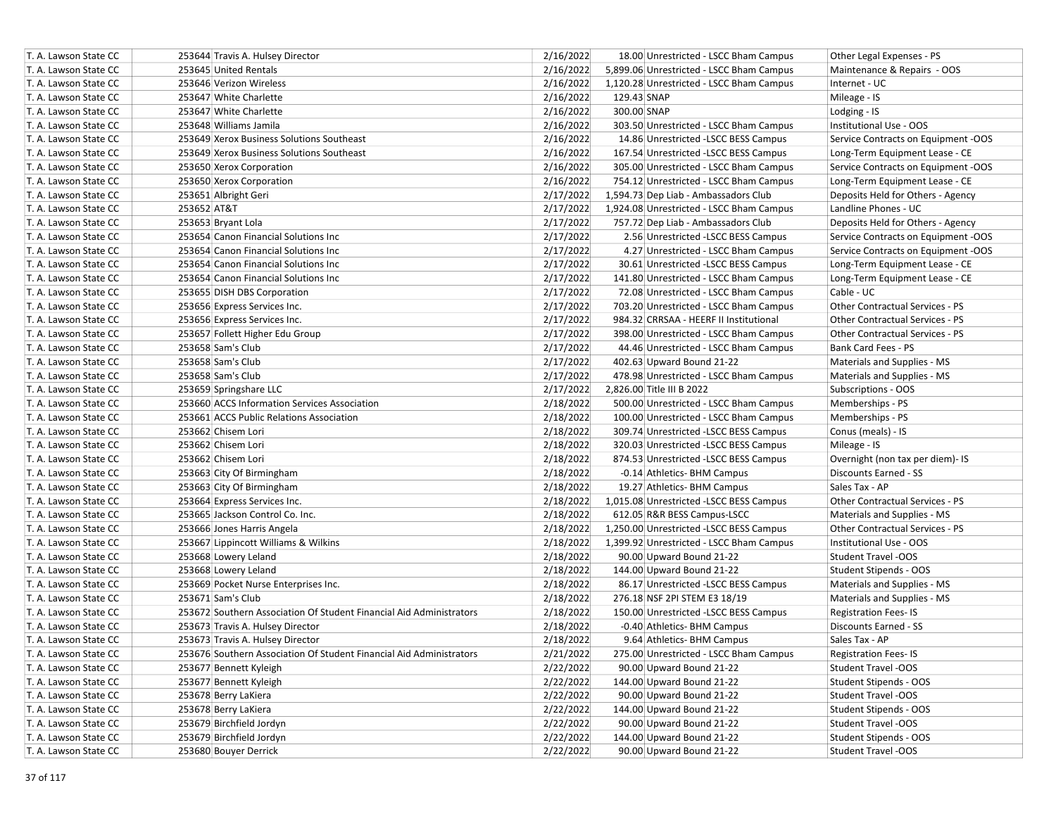| T. A. Lawson State CC |             | 253644 Travis A. Hulsey Director                                    | 2/16/2022 | 18.00 Unrestricted - LSCC Bham Campus    | Other Legal Expenses - PS              |
|-----------------------|-------------|---------------------------------------------------------------------|-----------|------------------------------------------|----------------------------------------|
| T. A. Lawson State CC |             | 253645 United Rentals                                               | 2/16/2022 | 5,899.06 Unrestricted - LSCC Bham Campus | Maintenance & Repairs - OOS            |
| T. A. Lawson State CC |             | 253646 Verizon Wireless                                             | 2/16/2022 | 1,120.28 Unrestricted - LSCC Bham Campus | Internet - UC                          |
| T. A. Lawson State CC |             | 253647 White Charlette                                              | 2/16/2022 | 129.43 SNAP                              | Mileage - IS                           |
| T. A. Lawson State CC |             | 253647 White Charlette                                              | 2/16/2022 | 300.00 SNAP                              | Lodging - IS                           |
| T. A. Lawson State CC |             | 253648 Williams Jamila                                              | 2/16/2022 | 303.50 Unrestricted - LSCC Bham Campus   | Institutional Use - OOS                |
| T. A. Lawson State CC |             | 253649 Xerox Business Solutions Southeast                           | 2/16/2022 | 14.86 Unrestricted -LSCC BESS Campus     | Service Contracts on Equipment -OOS    |
| T. A. Lawson State CC |             | 253649 Xerox Business Solutions Southeast                           | 2/16/2022 | 167.54 Unrestricted -LSCC BESS Campus    | Long-Term Equipment Lease - CE         |
| T. A. Lawson State CC |             | 253650 Xerox Corporation                                            | 2/16/2022 | 305.00 Unrestricted - LSCC Bham Campus   | Service Contracts on Equipment -OOS    |
| T. A. Lawson State CC |             | 253650 Xerox Corporation                                            | 2/16/2022 | 754.12 Unrestricted - LSCC Bham Campus   | Long-Term Equipment Lease - CE         |
| T. A. Lawson State CC |             | 253651 Albright Geri                                                | 2/17/2022 | 1,594.73 Dep Liab - Ambassadors Club     | Deposits Held for Others - Agency      |
| T. A. Lawson State CC | 253652 AT&T |                                                                     | 2/17/2022 | 1,924.08 Unrestricted - LSCC Bham Campus | Landline Phones - UC                   |
| T. A. Lawson State CC |             | 253653 Bryant Lola                                                  | 2/17/2022 | 757.72 Dep Liab - Ambassadors Club       | Deposits Held for Others - Agency      |
| T. A. Lawson State CC |             | 253654 Canon Financial Solutions Inc                                | 2/17/2022 | 2.56 Unrestricted -LSCC BESS Campus      | Service Contracts on Equipment -OOS    |
| T. A. Lawson State CC |             | 253654 Canon Financial Solutions Inc                                | 2/17/2022 | 4.27 Unrestricted - LSCC Bham Campus     | Service Contracts on Equipment -OOS    |
| T. A. Lawson State CC |             | 253654 Canon Financial Solutions Inc                                | 2/17/2022 | 30.61 Unrestricted -LSCC BESS Campus     | Long-Term Equipment Lease - CE         |
| T. A. Lawson State CC |             | 253654 Canon Financial Solutions Inc                                | 2/17/2022 | 141.80 Unrestricted - LSCC Bham Campus   | Long-Term Equipment Lease - CE         |
| T. A. Lawson State CC |             | 253655 DISH DBS Corporation                                         | 2/17/2022 | 72.08 Unrestricted - LSCC Bham Campus    | Cable - UC                             |
| T. A. Lawson State CC |             | 253656 Express Services Inc.                                        | 2/17/2022 | 703.20 Unrestricted - LSCC Bham Campus   | Other Contractual Services - PS        |
| T. A. Lawson State CC |             | 253656 Express Services Inc.                                        | 2/17/2022 | 984.32 CRRSAA - HEERF II Institutional   | Other Contractual Services - PS        |
| T. A. Lawson State CC |             | 253657 Follett Higher Edu Group                                     | 2/17/2022 | 398.00 Unrestricted - LSCC Bham Campus   | Other Contractual Services - PS        |
| T. A. Lawson State CC |             | 253658 Sam's Club                                                   | 2/17/2022 | 44.46 Unrestricted - LSCC Bham Campus    | Bank Card Fees - PS                    |
| T. A. Lawson State CC |             | 253658 Sam's Club                                                   | 2/17/2022 | 402.63 Upward Bound 21-22                | Materials and Supplies - MS            |
| T. A. Lawson State CC |             | 253658 Sam's Club                                                   | 2/17/2022 | 478.98 Unrestricted - LSCC Bham Campus   | Materials and Supplies - MS            |
| T. A. Lawson State CC |             | 253659 Springshare LLC                                              | 2/17/2022 | 2,826.00 Title III B 2022                | Subscriptions - OOS                    |
| T. A. Lawson State CC |             | 253660 ACCS Information Services Association                        | 2/18/2022 | 500.00 Unrestricted - LSCC Bham Campus   | Memberships - PS                       |
| T. A. Lawson State CC |             | 253661 ACCS Public Relations Association                            | 2/18/2022 | 100.00 Unrestricted - LSCC Bham Campus   | Memberships - PS                       |
| T. A. Lawson State CC |             | 253662 Chisem Lori                                                  | 2/18/2022 | 309.74 Unrestricted -LSCC BESS Campus    | Conus (meals) - IS                     |
| T. A. Lawson State CC |             | 253662 Chisem Lori                                                  | 2/18/2022 | 320.03 Unrestricted -LSCC BESS Campus    | Mileage - IS                           |
| T. A. Lawson State CC |             | 253662 Chisem Lori                                                  | 2/18/2022 | 874.53 Unrestricted -LSCC BESS Campus    | Overnight (non tax per diem)- IS       |
| T. A. Lawson State CC |             | 253663 City Of Birmingham                                           | 2/18/2022 | -0.14 Athletics- BHM Campus              | Discounts Earned - SS                  |
| T. A. Lawson State CC |             | 253663 City Of Birmingham                                           | 2/18/2022 | 19.27 Athletics- BHM Campus              | Sales Tax - AP                         |
| T. A. Lawson State CC |             | 253664 Express Services Inc.                                        | 2/18/2022 | 1,015.08 Unrestricted -LSCC BESS Campus  | Other Contractual Services - PS        |
| T. A. Lawson State CC |             | 253665 Jackson Control Co. Inc.                                     | 2/18/2022 | 612.05 R&R BESS Campus-LSCC              | Materials and Supplies - MS            |
| T. A. Lawson State CC |             | 253666 Jones Harris Angela                                          | 2/18/2022 | 1,250.00 Unrestricted -LSCC BESS Campus  | <b>Other Contractual Services - PS</b> |
| T. A. Lawson State CC |             | 253667 Lippincott Williams & Wilkins                                | 2/18/2022 | 1,399.92 Unrestricted - LSCC Bham Campus | Institutional Use - OOS                |
| T. A. Lawson State CC |             | 253668 Lowery Leland                                                | 2/18/2022 | 90.00 Upward Bound 21-22                 | <b>Student Travel -OOS</b>             |
| T. A. Lawson State CC |             | 253668 Lowery Leland                                                | 2/18/2022 | 144.00 Upward Bound 21-22                | Student Stipends - OOS                 |
| T. A. Lawson State CC |             | 253669 Pocket Nurse Enterprises Inc.                                | 2/18/2022 | 86.17 Unrestricted -LSCC BESS Campus     | Materials and Supplies - MS            |
| T. A. Lawson State CC |             | 253671 Sam's Club                                                   | 2/18/2022 | 276.18 NSF 2PI STEM E3 18/19             | Materials and Supplies - MS            |
| T. A. Lawson State CC |             | 253672 Southern Association Of Student Financial Aid Administrators | 2/18/2022 | 150.00 Unrestricted -LSCC BESS Campus    | <b>Registration Fees-IS</b>            |
| T. A. Lawson State CC |             | 253673 Travis A. Hulsey Director                                    | 2/18/2022 | -0.40 Athletics- BHM Campus              | <b>Discounts Earned - SS</b>           |
| T. A. Lawson State CC |             | 253673 Travis A. Hulsey Director                                    | 2/18/2022 | 9.64 Athletics- BHM Campus               | Sales Tax - AP                         |
| T. A. Lawson State CC |             | 253676 Southern Association Of Student Financial Aid Administrators | 2/21/2022 | 275.00 Unrestricted - LSCC Bham Campus   | <b>Registration Fees-IS</b>            |
| T. A. Lawson State CC |             | 253677 Bennett Kyleigh                                              | 2/22/2022 | 90.00 Upward Bound 21-22                 | Student Travel -OOS                    |
| T. A. Lawson State CC |             | 253677 Bennett Kyleigh                                              | 2/22/2022 | 144.00 Upward Bound 21-22                | Student Stipends - OOS                 |
| T. A. Lawson State CC |             | 253678 Berry LaKiera                                                | 2/22/2022 | 90.00 Upward Bound 21-22                 | Student Travel -OOS                    |
| T. A. Lawson State CC |             | 253678 Berry LaKiera                                                | 2/22/2022 | 144.00 Upward Bound 21-22                | Student Stipends - OOS                 |
| T. A. Lawson State CC |             | 253679 Birchfield Jordyn                                            | 2/22/2022 | 90.00 Upward Bound 21-22                 | Student Travel -OOS                    |
| T. A. Lawson State CC |             | 253679 Birchfield Jordyn                                            | 2/22/2022 | 144.00 Upward Bound 21-22                | Student Stipends - OOS                 |
| T. A. Lawson State CC |             | 253680 Bouyer Derrick                                               | 2/22/2022 | 90.00 Upward Bound 21-22                 | Student Travel -OOS                    |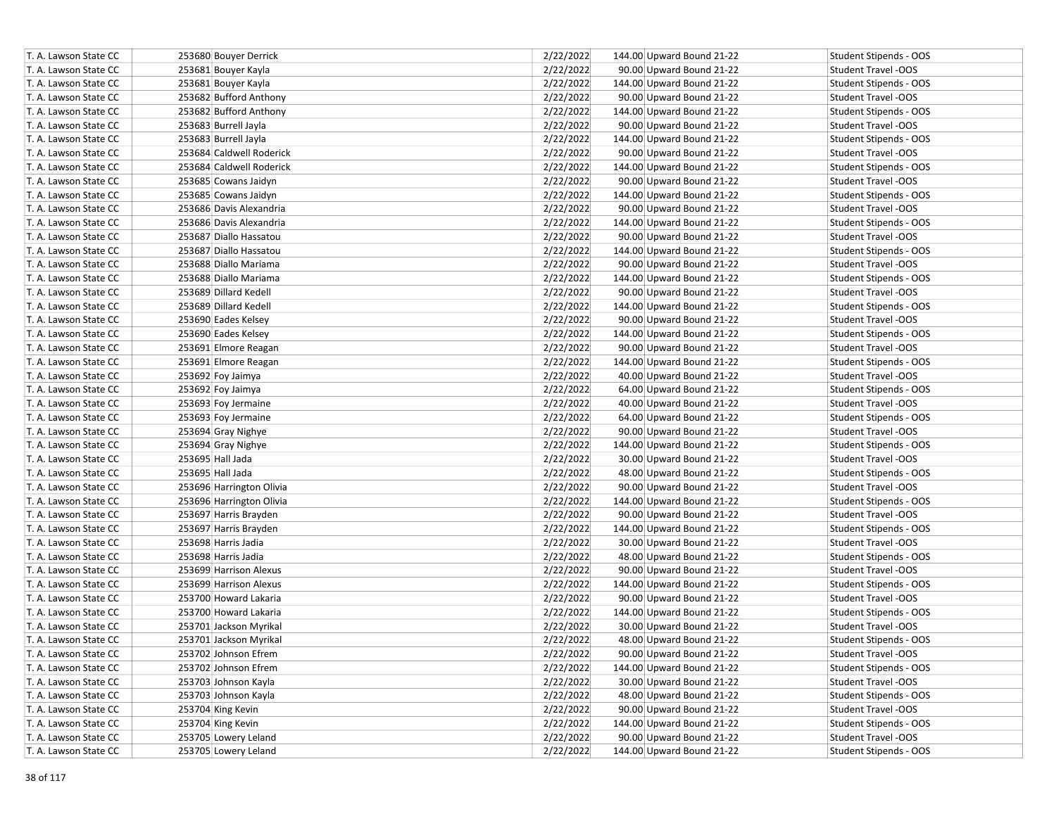| T. A. Lawson State CC | 253680 Bouyer Derrick    | 2/22/2022 | 144.00 Upward Bound 21-22 | Student Stipends - OOS        |
|-----------------------|--------------------------|-----------|---------------------------|-------------------------------|
| T. A. Lawson State CC | 253681 Bouyer Kayla      | 2/22/2022 | 90.00 Upward Bound 21-22  | <b>Student Travel -OOS</b>    |
| T. A. Lawson State CC | 253681 Bouyer Kayla      | 2/22/2022 | 144.00 Upward Bound 21-22 | Student Stipends - OOS        |
| T. A. Lawson State CC | 253682 Bufford Anthony   | 2/22/2022 | 90.00 Upward Bound 21-22  | <b>Student Travel -OOS</b>    |
| T. A. Lawson State CC | 253682 Bufford Anthony   | 2/22/2022 | 144.00 Upward Bound 21-22 | Student Stipends - OOS        |
| T. A. Lawson State CC | 253683 Burrell Jayla     | 2/22/2022 | 90.00 Upward Bound 21-22  | <b>Student Travel -OOS</b>    |
| T. A. Lawson State CC | 253683 Burrell Jayla     | 2/22/2022 | 144.00 Upward Bound 21-22 | Student Stipends - OOS        |
| T. A. Lawson State CC | 253684 Caldwell Roderick | 2/22/2022 | 90.00 Upward Bound 21-22  | <b>Student Travel -OOS</b>    |
| T. A. Lawson State CC | 253684 Caldwell Roderick | 2/22/2022 | 144.00 Upward Bound 21-22 | Student Stipends - OOS        |
| T. A. Lawson State CC | 253685 Cowans Jaidyn     | 2/22/2022 | 90.00 Upward Bound 21-22  | Student Travel -OOS           |
| T. A. Lawson State CC | 253685 Cowans Jaidyn     | 2/22/2022 | 144.00 Upward Bound 21-22 | Student Stipends - OOS        |
| T. A. Lawson State CC | 253686 Davis Alexandria  | 2/22/2022 | 90.00 Upward Bound 21-22  | <b>Student Travel -OOS</b>    |
| T. A. Lawson State CC | 253686 Davis Alexandria  | 2/22/2022 | 144.00 Upward Bound 21-22 | Student Stipends - OOS        |
| T. A. Lawson State CC | 253687 Diallo Hassatou   | 2/22/2022 | 90.00 Upward Bound 21-22  | <b>Student Travel -OOS</b>    |
| T. A. Lawson State CC | 253687 Diallo Hassatou   | 2/22/2022 | 144.00 Upward Bound 21-22 | Student Stipends - OOS        |
| T. A. Lawson State CC | 253688 Diallo Mariama    | 2/22/2022 | 90.00 Upward Bound 21-22  | Student Travel -OOS           |
| T. A. Lawson State CC | 253688 Diallo Mariama    | 2/22/2022 | 144.00 Upward Bound 21-22 | Student Stipends - OOS        |
| T. A. Lawson State CC | 253689 Dillard Kedell    | 2/22/2022 | 90.00 Upward Bound 21-22  | <b>Student Travel -OOS</b>    |
| T. A. Lawson State CC | 253689 Dillard Kedell    | 2/22/2022 | 144.00 Upward Bound 21-22 | Student Stipends - OOS        |
| T. A. Lawson State CC | 253690 Eades Kelsey      | 2/22/2022 | 90.00 Upward Bound 21-22  | <b>Student Travel -OOS</b>    |
| T. A. Lawson State CC | 253690 Eades Kelsey      | 2/22/2022 | 144.00 Upward Bound 21-22 | Student Stipends - OOS        |
| T. A. Lawson State CC | 253691 Elmore Reagan     | 2/22/2022 | 90.00 Upward Bound 21-22  | Student Travel -OOS           |
| T. A. Lawson State CC | 253691 Elmore Reagan     | 2/22/2022 | 144.00 Upward Bound 21-22 | Student Stipends - OOS        |
| T. A. Lawson State CC | 253692 Foy Jaimya        | 2/22/2022 | 40.00 Upward Bound 21-22  | <b>Student Travel -OOS</b>    |
| T. A. Lawson State CC | 253692 Foy Jaimya        | 2/22/2022 | 64.00 Upward Bound 21-22  | Student Stipends - OOS        |
| T. A. Lawson State CC | 253693 Foy Jermaine      | 2/22/2022 | 40.00 Upward Bound 21-22  | Student Travel -OOS           |
| T. A. Lawson State CC | 253693 Foy Jermaine      | 2/22/2022 | 64.00 Upward Bound 21-22  | Student Stipends - OOS        |
| T. A. Lawson State CC | 253694 Gray Nighye       | 2/22/2022 | 90.00 Upward Bound 21-22  | <b>Student Travel -OOS</b>    |
| T. A. Lawson State CC | 253694 Gray Nighye       | 2/22/2022 | 144.00 Upward Bound 21-22 | Student Stipends - OOS        |
| T. A. Lawson State CC | 253695 Hall Jada         | 2/22/2022 | 30.00 Upward Bound 21-22  | Student Travel -OOS           |
| T. A. Lawson State CC | 253695 Hall Jada         | 2/22/2022 | 48.00 Upward Bound 21-22  | Student Stipends - OOS        |
| T. A. Lawson State CC | 253696 Harrington Olivia | 2/22/2022 | 90.00 Upward Bound 21-22  | Student Travel -OOS           |
| T. A. Lawson State CC | 253696 Harrington Olivia | 2/22/2022 | 144.00 Upward Bound 21-22 | Student Stipends - OOS        |
| T. A. Lawson State CC | 253697 Harris Brayden    | 2/22/2022 | 90.00 Upward Bound 21-22  | <b>Student Travel -OOS</b>    |
| T. A. Lawson State CC | 253697 Harris Brayden    | 2/22/2022 | 144.00 Upward Bound 21-22 | Student Stipends - OOS        |
| T. A. Lawson State CC | 253698 Harris Jadia      | 2/22/2022 | 30.00 Upward Bound 21-22  | <b>Student Travel -OOS</b>    |
| T. A. Lawson State CC | 253698 Harris Jadia      | 2/22/2022 | 48.00 Upward Bound 21-22  | Student Stipends - OOS        |
| T. A. Lawson State CC | 253699 Harrison Alexus   | 2/22/2022 | 90.00 Upward Bound 21-22  | Student Travel -OOS           |
| T. A. Lawson State CC | 253699 Harrison Alexus   | 2/22/2022 | 144.00 Upward Bound 21-22 | Student Stipends - OOS        |
| T. A. Lawson State CC | 253700 Howard Lakaria    | 2/22/2022 | 90.00 Upward Bound 21-22  | Student Travel -OOS           |
| T. A. Lawson State CC | 253700 Howard Lakaria    | 2/22/2022 | 144.00 Upward Bound 21-22 | Student Stipends - OOS        |
| T. A. Lawson State CC | 253701 Jackson Myrikal   | 2/22/2022 | 30.00 Upward Bound 21-22  | <b>Student Travel -OOS</b>    |
| T. A. Lawson State CC | 253701 Jackson Myrikal   | 2/22/2022 | 48.00 Upward Bound 21-22  | Student Stipends - OOS        |
| T. A. Lawson State CC | 253702 Johnson Efrem     | 2/22/2022 | 90.00 Upward Bound 21-22  | Student Travel -OOS           |
| T. A. Lawson State CC | 253702 Johnson Efrem     | 2/22/2022 | 144.00 Upward Bound 21-22 | Student Stipends - OOS        |
| T. A. Lawson State CC | 253703 Johnson Kayla     | 2/22/2022 | 30.00 Upward Bound 21-22  | Student Travel -OOS           |
| T. A. Lawson State CC | 253703 Johnson Kayla     | 2/22/2022 | 48.00 Upward Bound 21-22  | Student Stipends - OOS        |
| T. A. Lawson State CC | 253704 King Kevin        | 2/22/2022 | 90.00 Upward Bound 21-22  | Student Travel -OOS           |
| T. A. Lawson State CC | 253704 King Kevin        | 2/22/2022 | 144.00 Upward Bound 21-22 | Student Stipends - OOS        |
| T. A. Lawson State CC | 253705 Lowery Leland     | 2/22/2022 | 90.00 Upward Bound 21-22  | Student Travel -OOS           |
| T. A. Lawson State CC | 253705 Lowery Leland     | 2/22/2022 | 144.00 Upward Bound 21-22 | <b>Student Stipends - OOS</b> |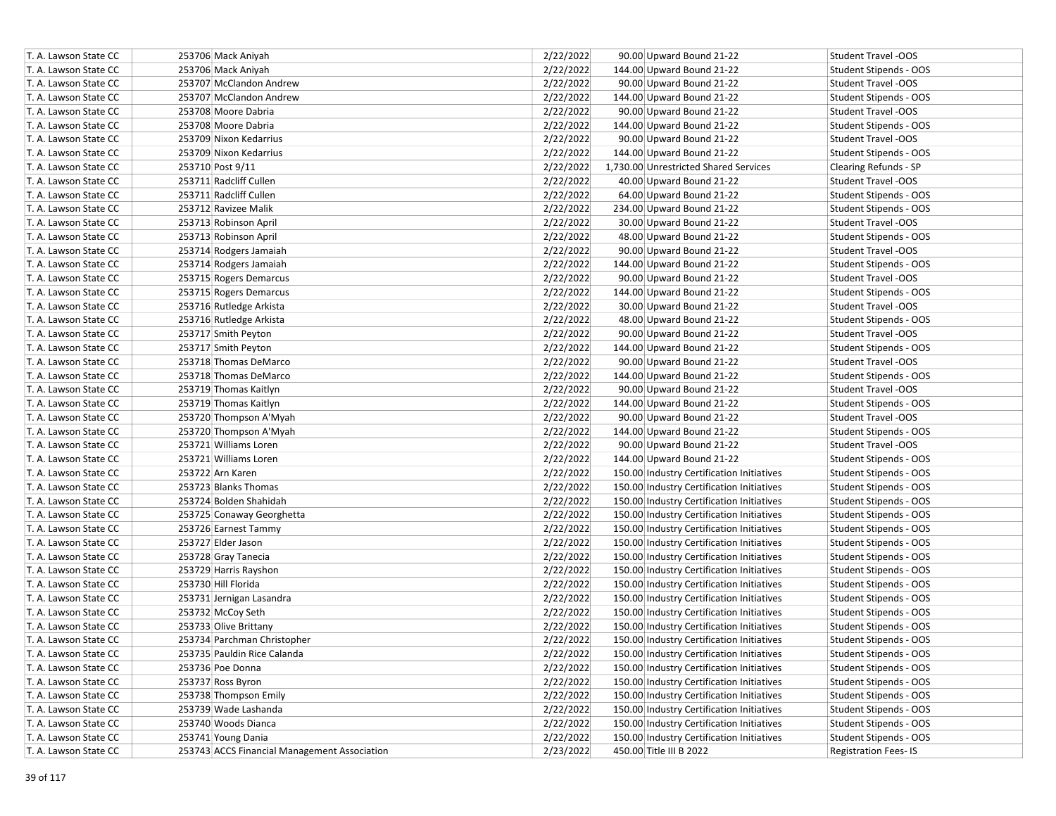| T. A. Lawson State CC | 253706 Mack Aniyah                           | 2/22/2022 | 90.00 Upward Bound 21-22                  | <b>Student Travel -OOS</b>    |
|-----------------------|----------------------------------------------|-----------|-------------------------------------------|-------------------------------|
| T. A. Lawson State CC | 253706 Mack Aniyah                           | 2/22/2022 | 144.00 Upward Bound 21-22                 | Student Stipends - OOS        |
| T. A. Lawson State CC | 253707 McClandon Andrew                      | 2/22/2022 | 90.00 Upward Bound 21-22                  | <b>Student Travel -OOS</b>    |
| T. A. Lawson State CC | 253707 McClandon Andrew                      | 2/22/2022 | 144.00 Upward Bound 21-22                 | Student Stipends - OOS        |
| T. A. Lawson State CC | 253708 Moore Dabria                          | 2/22/2022 | 90.00 Upward Bound 21-22                  | <b>Student Travel -OOS</b>    |
| T. A. Lawson State CC | 253708 Moore Dabria                          | 2/22/2022 | 144.00 Upward Bound 21-22                 | Student Stipends - OOS        |
| T. A. Lawson State CC | 253709 Nixon Kedarrius                       | 2/22/2022 | 90.00 Upward Bound 21-22                  | <b>Student Travel -OOS</b>    |
| T. A. Lawson State CC | 253709 Nixon Kedarrius                       | 2/22/2022 | 144.00 Upward Bound 21-22                 | Student Stipends - OOS        |
| T. A. Lawson State CC | 253710 Post 9/11                             | 2/22/2022 | 1,730.00 Unrestricted Shared Services     | Clearing Refunds - SP         |
| T. A. Lawson State CC | 253711 Radcliff Cullen                       | 2/22/2022 | 40.00 Upward Bound 21-22                  | Student Travel -OOS           |
| T. A. Lawson State CC | 253711 Radcliff Cullen                       | 2/22/2022 | 64.00 Upward Bound 21-22                  | Student Stipends - OOS        |
| T. A. Lawson State CC | 253712 Ravizee Malik                         | 2/22/2022 | 234.00 Upward Bound 21-22                 | Student Stipends - OOS        |
| T. A. Lawson State CC | 253713 Robinson April                        | 2/22/2022 | 30.00 Upward Bound 21-22                  | <b>Student Travel -OOS</b>    |
| T. A. Lawson State CC | 253713 Robinson April                        | 2/22/2022 | 48.00 Upward Bound 21-22                  | Student Stipends - OOS        |
| T. A. Lawson State CC | 253714 Rodgers Jamaiah                       | 2/22/2022 | 90.00 Upward Bound 21-22                  | <b>Student Travel -OOS</b>    |
| T. A. Lawson State CC | 253714 Rodgers Jamaiah                       | 2/22/2022 | 144.00 Upward Bound 21-22                 | Student Stipends - OOS        |
| T. A. Lawson State CC | 253715 Rogers Demarcus                       | 2/22/2022 | 90.00 Upward Bound 21-22                  | <b>Student Travel -OOS</b>    |
| T. A. Lawson State CC | 253715 Rogers Demarcus                       | 2/22/2022 | 144.00 Upward Bound 21-22                 | Student Stipends - OOS        |
| T. A. Lawson State CC | 253716 Rutledge Arkista                      | 2/22/2022 | 30.00 Upward Bound 21-22                  | <b>Student Travel -OOS</b>    |
| T. A. Lawson State CC | 253716 Rutledge Arkista                      | 2/22/2022 | 48.00 Upward Bound 21-22                  | Student Stipends - OOS        |
| T. A. Lawson State CC | 253717 Smith Peyton                          | 2/22/2022 | 90.00 Upward Bound 21-22                  | <b>Student Travel -OOS</b>    |
| T. A. Lawson State CC | 253717 Smith Peyton                          | 2/22/2022 | 144.00 Upward Bound 21-22                 | Student Stipends - OOS        |
| T. A. Lawson State CC | 253718 Thomas DeMarco                        | 2/22/2022 | 90.00 Upward Bound 21-22                  | Student Travel -OOS           |
| T. A. Lawson State CC | 253718 Thomas DeMarco                        | 2/22/2022 | 144.00 Upward Bound 21-22                 | Student Stipends - OOS        |
| T. A. Lawson State CC | 253719 Thomas Kaitlyn                        | 2/22/2022 | 90.00 Upward Bound 21-22                  | <b>Student Travel -OOS</b>    |
| T. A. Lawson State CC | 253719 Thomas Kaitlyn                        | 2/22/2022 | 144.00 Upward Bound 21-22                 | Student Stipends - OOS        |
| T. A. Lawson State CC | 253720 Thompson A'Myah                       | 2/22/2022 | 90.00 Upward Bound 21-22                  | <b>Student Travel -OOS</b>    |
| T. A. Lawson State CC | 253720 Thompson A'Myah                       | 2/22/2022 | 144.00 Upward Bound 21-22                 | Student Stipends - OOS        |
| T. A. Lawson State CC | 253721 Williams Loren                        | 2/22/2022 | 90.00 Upward Bound 21-22                  | <b>Student Travel -OOS</b>    |
| T. A. Lawson State CC | 253721 Williams Loren                        | 2/22/2022 | 144.00 Upward Bound 21-22                 | Student Stipends - OOS        |
| T. A. Lawson State CC | 253722 Arn Karen                             | 2/22/2022 | 150.00 Industry Certification Initiatives | Student Stipends - OOS        |
| T. A. Lawson State CC | 253723 Blanks Thomas                         | 2/22/2022 | 150.00 Industry Certification Initiatives | Student Stipends - OOS        |
| T. A. Lawson State CC | 253724 Bolden Shahidah                       | 2/22/2022 | 150.00 Industry Certification Initiatives | Student Stipends - OOS        |
| T. A. Lawson State CC | 253725 Conaway Georghetta                    | 2/22/2022 | 150.00 Industry Certification Initiatives | Student Stipends - OOS        |
| T. A. Lawson State CC | 253726 Earnest Tammy                         | 2/22/2022 | 150.00 Industry Certification Initiatives | Student Stipends - OOS        |
| T. A. Lawson State CC | 253727 Elder Jason                           | 2/22/2022 | 150.00 Industry Certification Initiatives | Student Stipends - OOS        |
| T. A. Lawson State CC | 253728 Gray Tanecia                          | 2/22/2022 | 150.00 Industry Certification Initiatives | Student Stipends - OOS        |
| T. A. Lawson State CC | 253729 Harris Rayshon                        | 2/22/2022 | 150.00 Industry Certification Initiatives | Student Stipends - OOS        |
| T. A. Lawson State CC | 253730 Hill Florida                          | 2/22/2022 | 150.00 Industry Certification Initiatives | Student Stipends - OOS        |
| T. A. Lawson State CC | 253731 Jernigan Lasandra                     | 2/22/2022 | 150.00 Industry Certification Initiatives | Student Stipends - OOS        |
| T. A. Lawson State CC | 253732 McCoy Seth                            | 2/22/2022 | 150.00 Industry Certification Initiatives | Student Stipends - OOS        |
| T. A. Lawson State CC | 253733 Olive Brittany                        | 2/22/2022 | 150.00 Industry Certification Initiatives | Student Stipends - OOS        |
| T. A. Lawson State CC | 253734 Parchman Christopher                  | 2/22/2022 | 150.00 Industry Certification Initiatives | Student Stipends - OOS        |
| T. A. Lawson State CC | 253735 Pauldin Rice Calanda                  | 2/22/2022 | 150.00 Industry Certification Initiatives | <b>Student Stipends - OOS</b> |
| T. A. Lawson State CC | 253736 Poe Donna                             | 2/22/2022 | 150.00 Industry Certification Initiatives | <b>Student Stipends - OOS</b> |
| T. A. Lawson State CC | 253737 Ross Byron                            | 2/22/2022 | 150.00 Industry Certification Initiatives | Student Stipends - OOS        |
| T. A. Lawson State CC | 253738 Thompson Emily                        | 2/22/2022 | 150.00 Industry Certification Initiatives | Student Stipends - OOS        |
| T. A. Lawson State CC | 253739 Wade Lashanda                         | 2/22/2022 | 150.00 Industry Certification Initiatives | Student Stipends - OOS        |
| T. A. Lawson State CC | 253740 Woods Dianca                          | 2/22/2022 | 150.00 Industry Certification Initiatives | Student Stipends - OOS        |
| T. A. Lawson State CC | 253741 Young Dania                           | 2/22/2022 | 150.00 Industry Certification Initiatives | Student Stipends - OOS        |
| T. A. Lawson State CC | 253743 ACCS Financial Management Association | 2/23/2022 | 450.00 Title III B 2022                   | <b>Registration Fees-IS</b>   |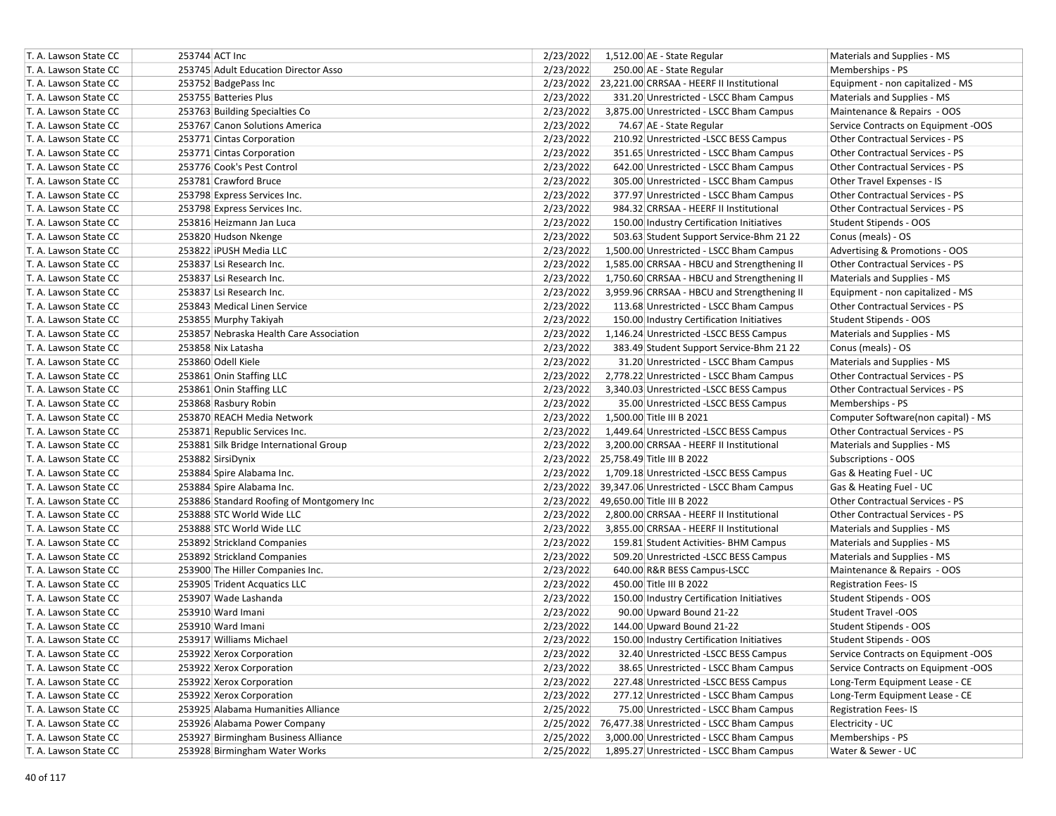| T. A. Lawson State CC | 253744 ACT Inc                            | 2/23/2022<br>1,512.00 AE - State Regular<br>Materials and Supplies - MS                        |
|-----------------------|-------------------------------------------|------------------------------------------------------------------------------------------------|
| T. A. Lawson State CC | 253745 Adult Education Director Asso      | 2/23/2022<br>250.00 AE - State Regular<br>Memberships - PS                                     |
| T. A. Lawson State CC | 253752 BadgePass Inc                      | 2/23/2022 23,221.00 CRRSAA - HEERF II Institutional<br>Equipment - non capitalized - MS        |
| T. A. Lawson State CC | 253755 Batteries Plus                     | 2/23/2022<br>331.20 Unrestricted - LSCC Bham Campus<br>Materials and Supplies - MS             |
| T. A. Lawson State CC | 253763 Building Specialties Co            | 2/23/2022<br>3,875.00 Unrestricted - LSCC Bham Campus<br>Maintenance & Repairs - OOS           |
| T. A. Lawson State CC | 253767 Canon Solutions America            | 2/23/2022<br>74.67 AE - State Regular<br>Service Contracts on Equipment -OOS                   |
| T. A. Lawson State CC | 253771 Cintas Corporation                 | 2/23/2022<br>210.92 Unrestricted -LSCC BESS Campus<br>Other Contractual Services - PS          |
| T. A. Lawson State CC | 253771 Cintas Corporation                 | 2/23/2022<br>Other Contractual Services - PS<br>351.65 Unrestricted - LSCC Bham Campus         |
| T. A. Lawson State CC | 253776 Cook's Pest Control                | 2/23/2022<br>642.00 Unrestricted - LSCC Bham Campus<br><b>Other Contractual Services - PS</b>  |
| T. A. Lawson State CC | 253781 Crawford Bruce                     | 2/23/2022<br>305.00 Unrestricted - LSCC Bham Campus<br>Other Travel Expenses - IS              |
| T. A. Lawson State CC | 253798 Express Services Inc.              | 2/23/2022<br>377.97 Unrestricted - LSCC Bham Campus<br>Other Contractual Services - PS         |
| T. A. Lawson State CC | 253798 Express Services Inc.              | 2/23/2022<br>Other Contractual Services - PS<br>984.32 CRRSAA - HEERF II Institutional         |
| T. A. Lawson State CC | 253816 Heizmann Jan Luca                  | 2/23/2022<br>150.00 Industry Certification Initiatives<br>Student Stipends - OOS               |
| T. A. Lawson State CC | 253820 Hudson Nkenge                      | 2/23/2022<br>503.63 Student Support Service-Bhm 21 22<br>Conus (meals) - OS                    |
| T. A. Lawson State CC | 253822 iPUSH Media LLC                    | 2/23/2022<br>1,500.00 Unrestricted - LSCC Bham Campus<br>Advertising & Promotions - OOS        |
| T. A. Lawson State CC | 253837 Lsi Research Inc.                  | 2/23/2022<br>1,585.00 CRRSAA - HBCU and Strengthening II<br>Other Contractual Services - PS    |
| T. A. Lawson State CC | 253837 Lsi Research Inc.                  | 2/23/2022<br>1,750.60 CRRSAA - HBCU and Strengthening II<br>Materials and Supplies - MS        |
| T. A. Lawson State CC | 253837 Lsi Research Inc.                  | 2/23/2022<br>3,959.96 CRRSAA - HBCU and Strengthening II<br>Equipment - non capitalized - MS   |
| T. A. Lawson State CC | 253843 Medical Linen Service              | 2/23/2022<br>Other Contractual Services - PS<br>113.68 Unrestricted - LSCC Bham Campus         |
| T. A. Lawson State CC | 253855 Murphy Takiyah                     | 2/23/2022<br>150.00 Industry Certification Initiatives<br>Student Stipends - OOS               |
| T. A. Lawson State CC | 253857 Nebraska Health Care Association   | 2/23/2022<br>1,146.24 Unrestricted -LSCC BESS Campus<br>Materials and Supplies - MS            |
| T. A. Lawson State CC | 253858 Nix Latasha                        | 2/23/2022<br>383.49 Student Support Service-Bhm 21 22<br>Conus (meals) - OS                    |
| T. A. Lawson State CC | 253860 Odell Kiele                        | 2/23/2022<br>31.20 Unrestricted - LSCC Bham Campus<br>Materials and Supplies - MS              |
| T. A. Lawson State CC | 253861 Onin Staffing LLC                  | 2/23/2022<br>2,778.22 Unrestricted - LSCC Bham Campus<br>Other Contractual Services - PS       |
| T. A. Lawson State CC | 253861 Onin Staffing LLC                  | 2/23/2022<br>3,340.03 Unrestricted -LSCC BESS Campus<br>Other Contractual Services - PS        |
| T. A. Lawson State CC | 253868 Rasbury Robin                      | 2/23/2022<br>35.00 Unrestricted -LSCC BESS Campus<br>Memberships - PS                          |
| T. A. Lawson State CC | 253870 REACH Media Network                | 2/23/2022<br>1,500.00 Title III B 2021<br>Computer Software(non capital) - MS                  |
| T. A. Lawson State CC | 253871 Republic Services Inc.             | 2/23/2022<br>1,449.64 Unrestricted -LSCC BESS Campus<br><b>Other Contractual Services - PS</b> |
| T. A. Lawson State CC | 253881 Silk Bridge International Group    | 2/23/2022<br>3,200.00 CRRSAA - HEERF II Institutional<br>Materials and Supplies - MS           |
| T. A. Lawson State CC | 253882 SirsiDynix                         | 2/23/2022 25,758.49 Title III B 2022<br>Subscriptions - OOS                                    |
| T. A. Lawson State CC | 253884 Spire Alabama Inc.                 | 2/23/2022<br>1,709.18 Unrestricted -LSCC BESS Campus<br>Gas & Heating Fuel - UC                |
| T. A. Lawson State CC | 253884 Spire Alabama Inc.                 | 2/23/2022 39,347.06 Unrestricted - LSCC Bham Campus<br>Gas & Heating Fuel - UC                 |
| T. A. Lawson State CC | 253886 Standard Roofing of Montgomery Inc | 2/23/2022<br>49,650.00 Title III B 2022<br>Other Contractual Services - PS                     |
| T. A. Lawson State CC | 253888 STC World Wide LLC                 | 2/23/2022<br>Other Contractual Services - PS<br>2,800.00 CRRSAA - HEERF II Institutional       |
| T. A. Lawson State CC | 253888 STC World Wide LLC                 | 2/23/2022<br>3,855.00 CRRSAA - HEERF II Institutional<br>Materials and Supplies - MS           |
| T. A. Lawson State CC | 253892 Strickland Companies               | 2/23/2022<br>159.81 Student Activities- BHM Campus<br>Materials and Supplies - MS              |
| T. A. Lawson State CC | 253892 Strickland Companies               | 2/23/2022<br>509.20 Unrestricted -LSCC BESS Campus<br>Materials and Supplies - MS              |
| T. A. Lawson State CC | 253900 The Hiller Companies Inc.          | 2/23/2022<br>640.00 R&R BESS Campus-LSCC<br>Maintenance & Repairs - OOS                        |
| T. A. Lawson State CC | 253905 Trident Acquatics LLC              | 2/23/2022<br>450.00 Title III B 2022<br><b>Registration Fees-IS</b>                            |
| T. A. Lawson State CC | 253907 Wade Lashanda                      | 2/23/2022<br>150.00 Industry Certification Initiatives<br>Student Stipends - OOS               |
| T. A. Lawson State CC | 253910 Ward Imani                         | 2/23/2022<br>90.00 Upward Bound 21-22<br><b>Student Travel -OOS</b>                            |
| T. A. Lawson State CC | 253910 Ward Imani                         | 2/23/2022<br>144.00 Upward Bound 21-22<br>Student Stipends - OOS                               |
| T. A. Lawson State CC | 253917 Williams Michael                   | 2/23/2022<br>150.00 Industry Certification Initiatives<br>Student Stipends - OOS               |
| T. A. Lawson State CC | 253922 Xerox Corporation                  | 2/23/2022<br>32.40 Unrestricted -LSCC BESS Campus<br>Service Contracts on Equipment -OOS       |
| T. A. Lawson State CC | 253922 Xerox Corporation                  | 2/23/2022<br>38.65 Unrestricted - LSCC Bham Campus<br>Service Contracts on Equipment -OOS      |
| T. A. Lawson State CC | 253922 Xerox Corporation                  | 2/23/2022<br>227.48 Unrestricted -LSCC BESS Campus<br>Long-Term Equipment Lease - CE           |
| T. A. Lawson State CC | 253922 Xerox Corporation                  | 2/23/2022<br>Long-Term Equipment Lease - CE<br>277.12 Unrestricted - LSCC Bham Campus          |
| T. A. Lawson State CC | 253925 Alabama Humanities Alliance        | 2/25/2022<br>75.00 Unrestricted - LSCC Bham Campus<br><b>Registration Fees-IS</b>              |
| T. A. Lawson State CC | 253926 Alabama Power Company              | 2/25/2022 76,477.38 Unrestricted - LSCC Bham Campus<br>Electricity - UC                        |
| T. A. Lawson State CC | 253927 Birmingham Business Alliance       | 3,000.00 Unrestricted - LSCC Bham Campus<br>2/25/2022<br>Memberships - PS                      |
| T. A. Lawson State CC | 253928 Birmingham Water Works             | 2/25/2022<br>1,895.27 Unrestricted - LSCC Bham Campus<br>Water & Sewer - UC                    |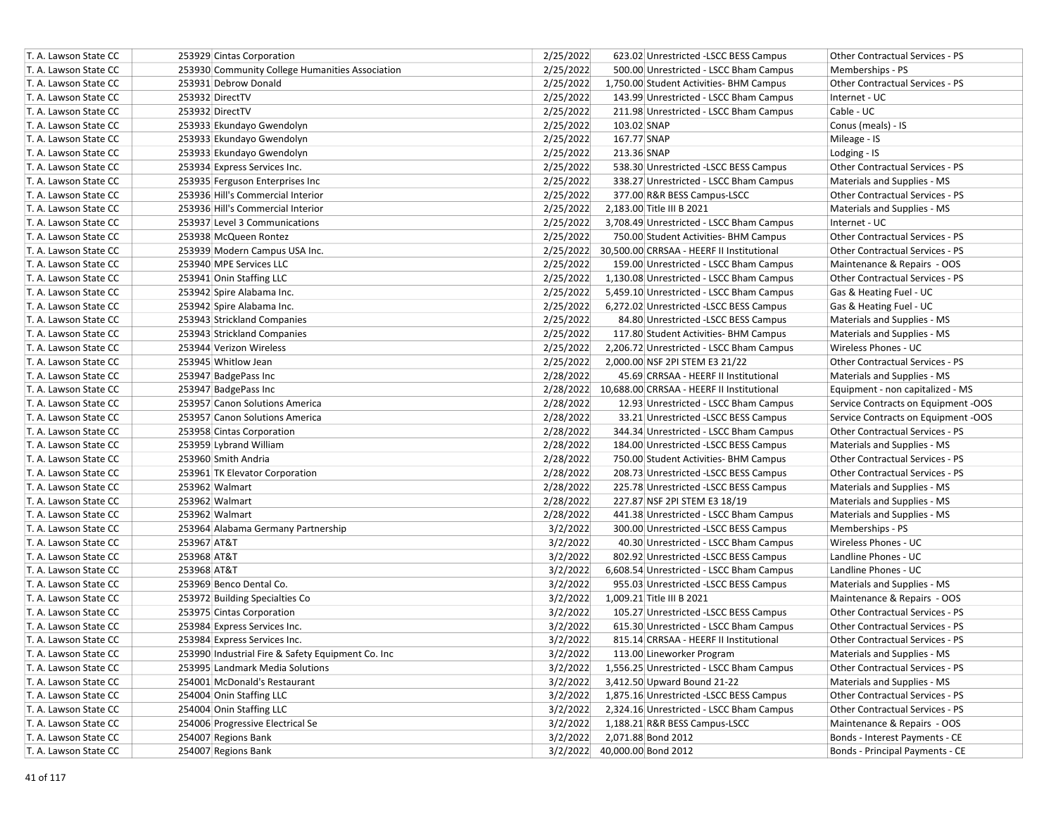| T. A. Lawson State CC                          | 253929 Cintas Corporation                                    | 2/25/2022<br>623.02 Unrestricted -LSCC BESS Campus<br>Other Contractual Services - PS                                                                                                 |
|------------------------------------------------|--------------------------------------------------------------|---------------------------------------------------------------------------------------------------------------------------------------------------------------------------------------|
| T. A. Lawson State CC                          | 253930 Community College Humanities Association              | 2/25/2022<br>500.00 Unrestricted - LSCC Bham Campus<br>Memberships - PS                                                                                                               |
| T. A. Lawson State CC                          | 253931 Debrow Donald                                         | 2/25/2022<br>1,750.00 Student Activities- BHM Campus<br>Other Contractual Services - PS                                                                                               |
| T. A. Lawson State CC                          | 253932 DirectTV                                              | 2/25/2022<br>143.99 Unrestricted - LSCC Bham Campus<br>Internet - UC                                                                                                                  |
| T. A. Lawson State CC                          | 253932 DirectTV                                              | 2/25/2022<br>Cable - UC<br>211.98 Unrestricted - LSCC Bham Campus                                                                                                                     |
| T. A. Lawson State CC                          | 253933 Ekundayo Gwendolyn                                    | 2/25/2022<br>103.02 SNAP<br>Conus (meals) - IS                                                                                                                                        |
| T. A. Lawson State CC                          | 253933 Ekundayo Gwendolyn                                    | 2/25/2022<br>167.77 SNAP<br>Mileage - IS                                                                                                                                              |
| T. A. Lawson State CC                          | 253933 Ekundayo Gwendolyn                                    | 2/25/2022<br>213.36 SNAP<br>Lodging - IS                                                                                                                                              |
| T. A. Lawson State CC                          | 253934 Express Services Inc.                                 | 2/25/2022<br>538.30 Unrestricted -LSCC BESS Campus<br>Other Contractual Services - PS                                                                                                 |
| T. A. Lawson State CC                          | 253935 Ferguson Enterprises Inc                              | 2/25/2022<br>338.27 Unrestricted - LSCC Bham Campus<br>Materials and Supplies - MS                                                                                                    |
| T. A. Lawson State CC                          | 253936 Hill's Commercial Interior                            | 2/25/2022<br>377.00 R&R BESS Campus-LSCC<br><b>Other Contractual Services - PS</b>                                                                                                    |
| T. A. Lawson State CC                          | 253936 Hill's Commercial Interior                            | 2/25/2022<br>2,183.00 Title III B 2021<br>Materials and Supplies - MS                                                                                                                 |
| T. A. Lawson State CC                          | 253937 Level 3 Communications                                | 2/25/2022<br>3,708.49 Unrestricted - LSCC Bham Campus<br>Internet - UC                                                                                                                |
| T. A. Lawson State CC                          | 253938 McQueen Rontez                                        | 2/25/2022<br>Other Contractual Services - PS<br>750.00 Student Activities- BHM Campus                                                                                                 |
| T. A. Lawson State CC                          | 253939 Modern Campus USA Inc.                                | Other Contractual Services - PS<br>2/25/2022 30,500.00 CRRSAA - HEERF II Institutional                                                                                                |
| T. A. Lawson State CC                          | 253940 MPE Services LLC                                      | 2/25/2022<br>Maintenance & Repairs - OOS<br>159.00 Unrestricted - LSCC Bham Campus                                                                                                    |
| T. A. Lawson State CC                          | 253941 Onin Staffing LLC                                     | 2/25/2022<br>Other Contractual Services - PS<br>1,130.08 Unrestricted - LSCC Bham Campus                                                                                              |
| T. A. Lawson State CC                          | 253942 Spire Alabama Inc.                                    | 2/25/2022<br>5,459.10 Unrestricted - LSCC Bham Campus<br>Gas & Heating Fuel - UC                                                                                                      |
| T. A. Lawson State CC                          | 253942 Spire Alabama Inc.                                    | 2/25/2022<br>6,272.02 Unrestricted -LSCC BESS Campus<br>Gas & Heating Fuel - UC                                                                                                       |
| T. A. Lawson State CC                          | 253943 Strickland Companies                                  | 2/25/2022<br>84.80 Unrestricted -LSCC BESS Campus<br>Materials and Supplies - MS                                                                                                      |
| T. A. Lawson State CC                          | 253943 Strickland Companies                                  | 2/25/2022<br>117.80 Student Activities- BHM Campus<br>Materials and Supplies - MS                                                                                                     |
| T. A. Lawson State CC                          | 253944 Verizon Wireless                                      | 2/25/2022<br>2,206.72 Unrestricted - LSCC Bham Campus<br>Wireless Phones - UC                                                                                                         |
| T. A. Lawson State CC                          | 253945 Whitlow Jean                                          | 2/25/2022<br>2,000.00 NSF 2PI STEM E3 21/22<br>Other Contractual Services - PS                                                                                                        |
| T. A. Lawson State CC                          | 253947 BadgePass Inc                                         | 2/28/2022<br>45.69 CRRSAA - HEERF II Institutional<br>Materials and Supplies - MS                                                                                                     |
| T. A. Lawson State CC                          | 253947 BadgePass Inc                                         | 10,688.00 CRRSAA - HEERF II Institutional<br>2/28/2022<br>Equipment - non capitalized - MS                                                                                            |
| T. A. Lawson State CC                          | 253957 Canon Solutions America                               | 2/28/2022<br>12.93 Unrestricted - LSCC Bham Campus                                                                                                                                    |
| T. A. Lawson State CC                          | 253957 Canon Solutions America                               | Service Contracts on Equipment -OOS<br>2/28/2022<br>33.21 Unrestricted -LSCC BESS Campus<br>Service Contracts on Equipment -OOS                                                       |
| T. A. Lawson State CC                          | 253958 Cintas Corporation                                    | 2/28/2022<br>344.34 Unrestricted - LSCC Bham Campus<br>Other Contractual Services - PS                                                                                                |
| T. A. Lawson State CC                          | 253959 Lybrand William                                       | 2/28/2022<br>184.00 Unrestricted -LSCC BESS Campus<br>Materials and Supplies - MS                                                                                                     |
| T. A. Lawson State CC                          | 253960 Smith Andria                                          | 2/28/2022<br>750.00 Student Activities- BHM Campus<br>Other Contractual Services - PS                                                                                                 |
| T. A. Lawson State CC                          | 253961 TK Elevator Corporation                               | 2/28/2022<br>Other Contractual Services - PS                                                                                                                                          |
| T. A. Lawson State CC                          | 253962 Walmart                                               | 208.73 Unrestricted -LSCC BESS Campus<br>2/28/2022                                                                                                                                    |
| T. A. Lawson State CC                          | 253962 Walmart                                               | 225.78 Unrestricted -LSCC BESS Campus<br>Materials and Supplies - MS<br>2/28/2022<br>227.87 NSF 2PI STEM E3 18/19                                                                     |
| T. A. Lawson State CC                          | 253962 Walmart                                               | Materials and Supplies - MS<br>2/28/2022                                                                                                                                              |
| T. A. Lawson State CC                          | 253964 Alabama Germany Partnership                           | 441.38 Unrestricted - LSCC Bham Campus<br>Materials and Supplies - MS<br>3/2/2022<br>300.00 Unrestricted -LSCC BESS Campus<br>Memberships - PS                                        |
| T. A. Lawson State CC                          | 253967 AT&T                                                  | 3/2/2022<br>40.30 Unrestricted - LSCC Bham Campus<br>Wireless Phones - UC                                                                                                             |
|                                                | 253968 AT&T                                                  | 3/2/2022                                                                                                                                                                              |
| T. A. Lawson State CC<br>T. A. Lawson State CC | 253968 AT&T                                                  | 802.92 Unrestricted -LSCC BESS Campus<br>Landline Phones - UC<br>3/2/2022<br>Landline Phones - UC                                                                                     |
|                                                | 253969 Benco Dental Co.                                      | 6,608.54 Unrestricted - LSCC Bham Campus                                                                                                                                              |
| T. A. Lawson State CC<br>T. A. Lawson State CC | 253972 Building Specialties Co                               | 3/2/2022<br>955.03 Unrestricted -LSCC BESS Campus<br>Materials and Supplies - MS<br>3/2/2022<br>1,009.21 Title III B 2021                                                             |
| T. A. Lawson State CC                          |                                                              | Maintenance & Repairs - OOS<br>3/2/2022<br>105.27 Unrestricted -LSCC BESS Campus<br>Other Contractual Services - PS                                                                   |
|                                                | 253975 Cintas Corporation                                    |                                                                                                                                                                                       |
| T. A. Lawson State CC<br>T. A. Lawson State CC | 253984 Express Services Inc.<br>253984 Express Services Inc. | 3/2/2022<br>615.30 Unrestricted - LSCC Bham Campus<br>Other Contractual Services - PS<br>3/2/2022<br>815.14 CRRSAA - HEERF II Institutional<br><b>Other Contractual Services - PS</b> |
|                                                |                                                              |                                                                                                                                                                                       |
| T. A. Lawson State CC                          | 253990 Industrial Fire & Safety Equipment Co. Inc            | 3/2/2022<br>113.00 Lineworker Program<br>Materials and Supplies - MS                                                                                                                  |
| T. A. Lawson State CC                          | 253995 Landmark Media Solutions                              | 3/2/2022<br>1,556.25 Unrestricted - LSCC Bham Campus<br>Other Contractual Services - PS                                                                                               |
| T. A. Lawson State CC                          | 254001 McDonald's Restaurant                                 | 3/2/2022<br>3,412.50 Upward Bound 21-22<br>Materials and Supplies - MS                                                                                                                |
| T. A. Lawson State CC                          | 254004 Onin Staffing LLC                                     | 3/2/2022<br>1,875.16 Unrestricted -LSCC BESS Campus<br>Other Contractual Services - PS                                                                                                |
| T. A. Lawson State CC                          | 254004 Onin Staffing LLC                                     | 3/2/2022<br>2,324.16 Unrestricted - LSCC Bham Campus<br>Other Contractual Services - PS                                                                                               |
| T. A. Lawson State CC                          | 254006 Progressive Electrical Se                             | 3/2/2022<br>Maintenance & Repairs - OOS<br>1,188.21 R&R BESS Campus-LSCC                                                                                                              |
| T. A. Lawson State CC                          | 254007 Regions Bank                                          | 2,071.88 Bond 2012<br>Bonds - Interest Payments - CE<br>3/2/2022                                                                                                                      |
| T. A. Lawson State CC                          | 254007 Regions Bank                                          | 3/2/2022 40,000.00 Bond 2012<br>Bonds - Principal Payments - CE                                                                                                                       |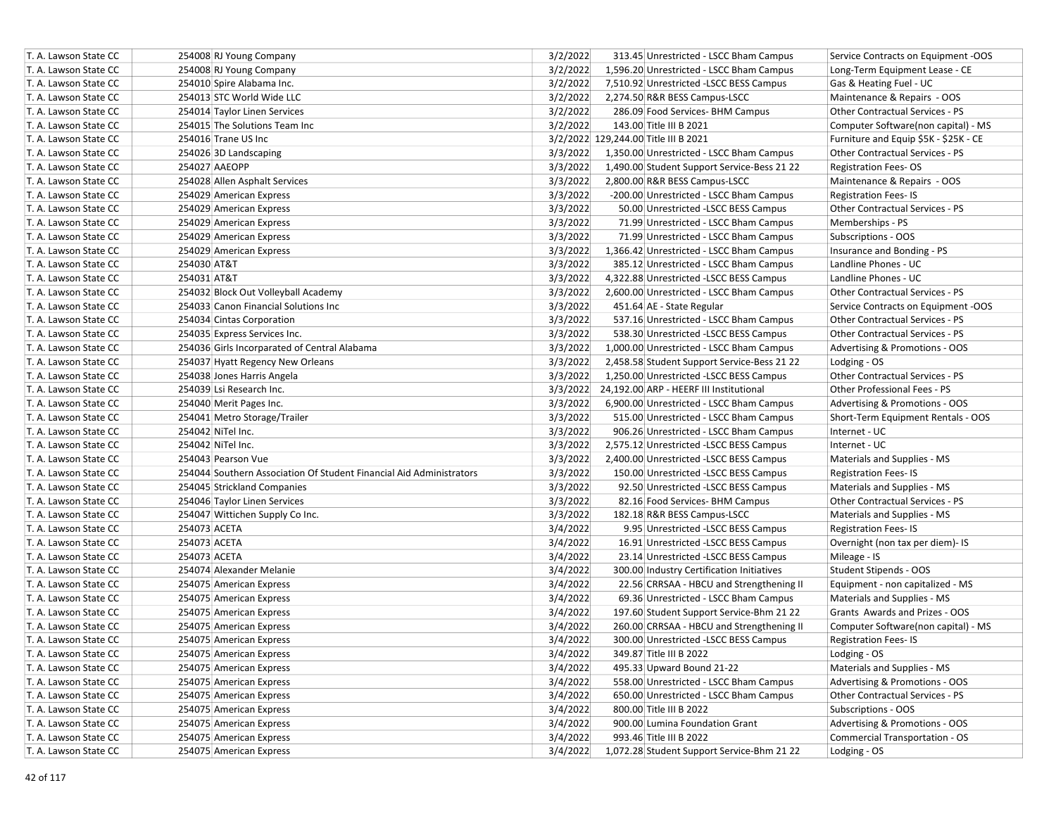| T. A. Lawson State CC | 254008 RJ Young Company                                             | 3/2/2022 | 313.45 Unrestricted - LSCC Bham Campus           | Service Contracts on Equipment -OOS    |
|-----------------------|---------------------------------------------------------------------|----------|--------------------------------------------------|----------------------------------------|
| T. A. Lawson State CC | 254008 RJ Young Company                                             | 3/2/2022 | 1,596.20 Unrestricted - LSCC Bham Campus         | Long-Term Equipment Lease - CE         |
| T. A. Lawson State CC | 254010 Spire Alabama Inc.                                           | 3/2/2022 | 7,510.92 Unrestricted -LSCC BESS Campus          | Gas & Heating Fuel - UC                |
| T. A. Lawson State CC | 254013 STC World Wide LLC                                           | 3/2/2022 | 2,274.50 R&R BESS Campus-LSCC                    | Maintenance & Repairs - OOS            |
| T. A. Lawson State CC | 254014 Taylor Linen Services                                        | 3/2/2022 | 286.09 Food Services- BHM Campus                 | <b>Other Contractual Services - PS</b> |
| T. A. Lawson State CC | 254015 The Solutions Team Inc                                       | 3/2/2022 | 143.00 Title III B 2021                          | Computer Software(non capital) - MS    |
| T. A. Lawson State CC | 254016 Trane US Inc                                                 |          | 3/2/2022 129,244.00 Title III B 2021             | Furniture and Equip \$5K - \$25K - CE  |
| T. A. Lawson State CC | 254026 3D Landscaping                                               | 3/3/2022 | 1,350.00 Unrestricted - LSCC Bham Campus         | Other Contractual Services - PS        |
| T. A. Lawson State CC | 254027 AAEOPP                                                       | 3/3/2022 | 1,490.00 Student Support Service-Bess 21 22      | <b>Registration Fees-OS</b>            |
| T. A. Lawson State CC | 254028 Allen Asphalt Services                                       | 3/3/2022 | 2,800.00 R&R BESS Campus-LSCC                    | Maintenance & Repairs - OOS            |
| T. A. Lawson State CC | 254029 American Express                                             | 3/3/2022 | -200.00 Unrestricted - LSCC Bham Campus          | <b>Registration Fees-IS</b>            |
| T. A. Lawson State CC | 254029 American Express                                             | 3/3/2022 | 50.00 Unrestricted -LSCC BESS Campus             | Other Contractual Services - PS        |
| T. A. Lawson State CC | 254029 American Express                                             | 3/3/2022 | 71.99 Unrestricted - LSCC Bham Campus            | Memberships - PS                       |
| T. A. Lawson State CC | 254029 American Express                                             | 3/3/2022 | 71.99 Unrestricted - LSCC Bham Campus            | Subscriptions - OOS                    |
| T. A. Lawson State CC | 254029 American Express                                             | 3/3/2022 | 1,366.42 Unrestricted - LSCC Bham Campus         | Insurance and Bonding - PS             |
| T. A. Lawson State CC | 254030 AT&T                                                         | 3/3/2022 | 385.12 Unrestricted - LSCC Bham Campus           | Landline Phones - UC                   |
| T. A. Lawson State CC | 254031 AT&T                                                         | 3/3/2022 | 4,322.88 Unrestricted -LSCC BESS Campus          | Landline Phones - UC                   |
| T. A. Lawson State CC | 254032 Block Out Volleyball Academy                                 | 3/3/2022 | 2,600.00 Unrestricted - LSCC Bham Campus         | Other Contractual Services - PS        |
| T. A. Lawson State CC | 254033 Canon Financial Solutions Inc                                | 3/3/2022 | 451.64 AE - State Regular                        | Service Contracts on Equipment -OOS    |
| T. A. Lawson State CC | 254034 Cintas Corporation                                           | 3/3/2022 | 537.16 Unrestricted - LSCC Bham Campus           | Other Contractual Services - PS        |
| T. A. Lawson State CC | 254035 Express Services Inc.                                        | 3/3/2022 | 538.30 Unrestricted -LSCC BESS Campus            | <b>Other Contractual Services - PS</b> |
| T. A. Lawson State CC | 254036 Girls Incorparated of Central Alabama                        | 3/3/2022 | 1,000.00 Unrestricted - LSCC Bham Campus         | Advertising & Promotions - OOS         |
| T. A. Lawson State CC | 254037 Hyatt Regency New Orleans                                    | 3/3/2022 | 2,458.58 Student Support Service-Bess 21 22      | Lodging - OS                           |
| T. A. Lawson State CC | 254038 Jones Harris Angela                                          | 3/3/2022 | 1,250.00 Unrestricted -LSCC BESS Campus          | Other Contractual Services - PS        |
| T. A. Lawson State CC | 254039 Lsi Research Inc.                                            |          | 3/3/2022 24,192.00 ARP - HEERF III Institutional | Other Professional Fees - PS           |
| T. A. Lawson State CC | 254040 Merit Pages Inc.                                             | 3/3/2022 | 6,900.00 Unrestricted - LSCC Bham Campus         | Advertising & Promotions - OOS         |
| T. A. Lawson State CC | 254041 Metro Storage/Trailer                                        | 3/3/2022 | 515.00 Unrestricted - LSCC Bham Campus           | Short-Term Equipment Rentals - OOS     |
| T. A. Lawson State CC | 254042 NiTel Inc.                                                   | 3/3/2022 | 906.26 Unrestricted - LSCC Bham Campus           | Internet - UC                          |
| T. A. Lawson State CC | 254042 NiTel Inc.                                                   | 3/3/2022 | 2,575.12 Unrestricted -LSCC BESS Campus          | Internet - UC                          |
| T. A. Lawson State CC | 254043 Pearson Vue                                                  | 3/3/2022 | 2,400.00 Unrestricted -LSCC BESS Campus          | Materials and Supplies - MS            |
| T. A. Lawson State CC | 254044 Southern Association Of Student Financial Aid Administrators | 3/3/2022 | 150.00 Unrestricted -LSCC BESS Campus            | <b>Registration Fees-IS</b>            |
| T. A. Lawson State CC | 254045 Strickland Companies                                         | 3/3/2022 | 92.50 Unrestricted -LSCC BESS Campus             | Materials and Supplies - MS            |
| T. A. Lawson State CC | 254046 Taylor Linen Services                                        | 3/3/2022 | 82.16 Food Services- BHM Campus                  | Other Contractual Services - PS        |
| T. A. Lawson State CC | 254047 Wittichen Supply Co Inc.                                     | 3/3/2022 | 182.18 R&R BESS Campus-LSCC                      | Materials and Supplies - MS            |
| T. A. Lawson State CC | 254073 ACETA                                                        | 3/4/2022 | 9.95 Unrestricted - LSCC BESS Campus             | <b>Registration Fees-IS</b>            |
| T. A. Lawson State CC | 254073 ACETA                                                        | 3/4/2022 | 16.91 Unrestricted -LSCC BESS Campus             | Overnight (non tax per diem)- IS       |
| T. A. Lawson State CC | 254073 ACETA                                                        | 3/4/2022 | 23.14 Unrestricted -LSCC BESS Campus             | Mileage - IS                           |
| T. A. Lawson State CC | 254074 Alexander Melanie                                            | 3/4/2022 | 300.00 Industry Certification Initiatives        | Student Stipends - OOS                 |
| T. A. Lawson State CC | 254075 American Express                                             | 3/4/2022 | 22.56 CRRSAA - HBCU and Strengthening II         | Equipment - non capitalized - MS       |
| T. A. Lawson State CC | 254075 American Express                                             | 3/4/2022 | 69.36 Unrestricted - LSCC Bham Campus            | Materials and Supplies - MS            |
| T. A. Lawson State CC | 254075 American Express                                             | 3/4/2022 | 197.60 Student Support Service-Bhm 21 22         | Grants Awards and Prizes - OOS         |
| T. A. Lawson State CC | 254075 American Express                                             | 3/4/2022 | 260.00 CRRSAA - HBCU and Strengthening II        | Computer Software(non capital) - MS    |
| T. A. Lawson State CC | 254075 American Express                                             | 3/4/2022 | 300.00 Unrestricted -LSCC BESS Campus            | <b>Registration Fees-IS</b>            |
| T. A. Lawson State CC | 254075 American Express                                             | 3/4/2022 | 349.87 Title III B 2022                          | Lodging - OS                           |
| T. A. Lawson State CC | 254075 American Express                                             | 3/4/2022 | 495.33 Upward Bound 21-22                        | Materials and Supplies - MS            |
| T. A. Lawson State CC | 254075 American Express                                             | 3/4/2022 | 558.00 Unrestricted - LSCC Bham Campus           | Advertising & Promotions - OOS         |
| T. A. Lawson State CC | 254075 American Express                                             | 3/4/2022 | 650.00 Unrestricted - LSCC Bham Campus           | Other Contractual Services - PS        |
| T. A. Lawson State CC | 254075 American Express                                             | 3/4/2022 | 800.00 Title III B 2022                          | Subscriptions - OOS                    |
| T. A. Lawson State CC | 254075 American Express                                             | 3/4/2022 | 900.00 Lumina Foundation Grant                   | Advertising & Promotions - OOS         |
| T. A. Lawson State CC | 254075 American Express                                             | 3/4/2022 | 993.46 Title III B 2022                          | Commercial Transportation - OS         |
| T. A. Lawson State CC | 254075 American Express                                             | 3/4/2022 | 1,072.28 Student Support Service-Bhm 21 22       | Lodging - OS                           |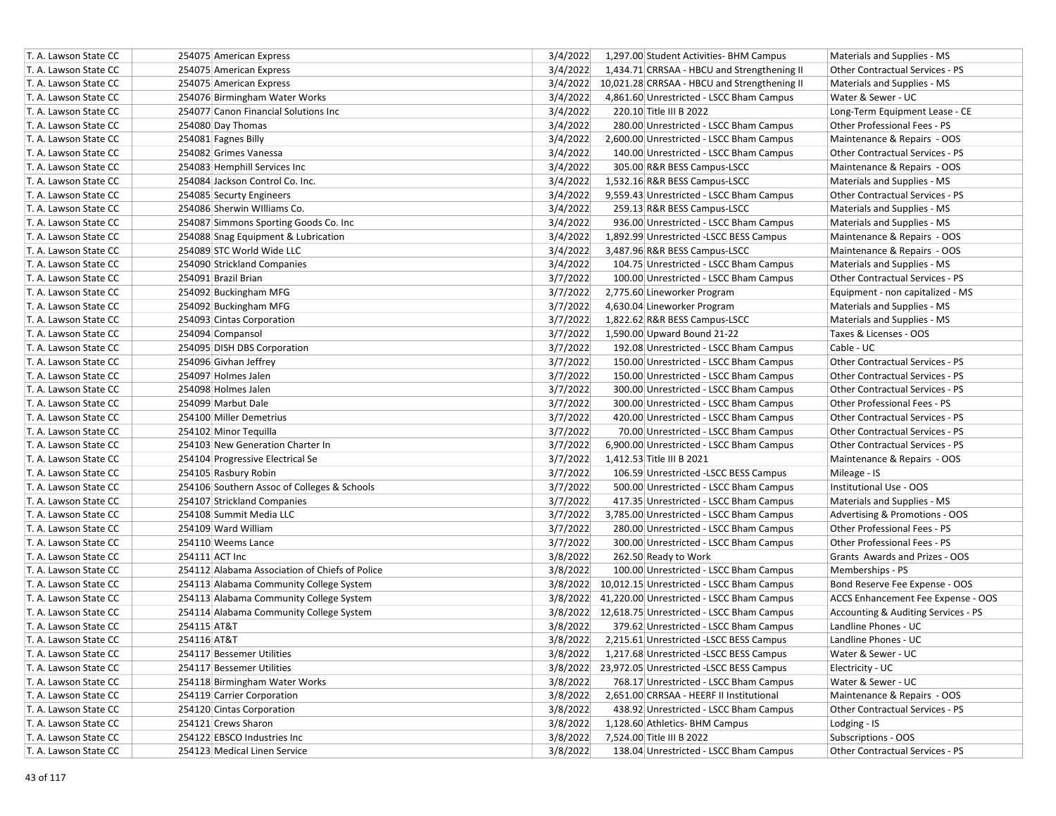| T. A. Lawson State CC | 254075 American Express                        | 3/4/2022<br>1,297.00 Student Activities- BHM Campus<br>Materials and Supplies - MS             |
|-----------------------|------------------------------------------------|------------------------------------------------------------------------------------------------|
| T. A. Lawson State CC | 254075 American Express                        | 3/4/2022<br>1,434.71 CRRSAA - HBCU and Strengthening II<br>Other Contractual Services - PS     |
| T. A. Lawson State CC | 254075 American Express                        | 3/4/2022 10,021.28 CRRSAA - HBCU and Strengthening II<br>Materials and Supplies - MS           |
| T. A. Lawson State CC | 254076 Birmingham Water Works                  | 3/4/2022<br>4,861.60 Unrestricted - LSCC Bham Campus<br>Water & Sewer - UC                     |
| T. A. Lawson State CC | 254077 Canon Financial Solutions Inc           | 3/4/2022<br>220.10 Title III B 2022<br>Long-Term Equipment Lease - CE                          |
| T. A. Lawson State CC | 254080 Day Thomas                              | 3/4/2022<br>280.00 Unrestricted - LSCC Bham Campus<br>Other Professional Fees - PS             |
| T. A. Lawson State CC | 254081 Fagnes Billy                            | 3/4/2022<br>Maintenance & Repairs - OOS<br>2,600.00 Unrestricted - LSCC Bham Campus            |
| T. A. Lawson State CC | 254082 Grimes Vanessa                          | 3/4/2022<br>Other Contractual Services - PS<br>140.00 Unrestricted - LSCC Bham Campus          |
| T. A. Lawson State CC | 254083 Hemphill Services Inc                   | 3/4/2022<br>Maintenance & Repairs - OOS<br>305.00 R&R BESS Campus-LSCC                         |
| T. A. Lawson State CC | 254084 Jackson Control Co. Inc.                | 3/4/2022<br>1,532.16 R&R BESS Campus-LSCC<br>Materials and Supplies - MS                       |
| T. A. Lawson State CC | 254085 Securty Engineers                       | 3/4/2022<br>9,559.43 Unrestricted - LSCC Bham Campus<br><b>Other Contractual Services - PS</b> |
| T. A. Lawson State CC | 254086 Sherwin Williams Co.                    | 3/4/2022<br>259.13 R&R BESS Campus-LSCC<br>Materials and Supplies - MS                         |
| T. A. Lawson State CC | 254087 Simmons Sporting Goods Co. Inc          | 3/4/2022<br>936.00 Unrestricted - LSCC Bham Campus<br>Materials and Supplies - MS              |
| T. A. Lawson State CC | 254088 Snag Equipment & Lubrication            | 3/4/2022<br>Maintenance & Repairs - OOS<br>1,892.99 Unrestricted -LSCC BESS Campus             |
| T. A. Lawson State CC | 254089 STC World Wide LLC                      | 3/4/2022<br>3,487.96 R&R BESS Campus-LSCC<br>Maintenance & Repairs - OOS                       |
| T. A. Lawson State CC | 254090 Strickland Companies                    | 3/4/2022<br>104.75 Unrestricted - LSCC Bham Campus<br>Materials and Supplies - MS              |
| T. A. Lawson State CC | 254091 Brazil Brian                            | 3/7/2022<br>Other Contractual Services - PS<br>100.00 Unrestricted - LSCC Bham Campus          |
| T. A. Lawson State CC | 254092 Buckingham MFG                          | 3/7/2022<br>2,775.60 Lineworker Program<br>Equipment - non capitalized - MS                    |
| T. A. Lawson State CC | 254092 Buckingham MFG                          | 3/7/2022<br>4,630.04 Lineworker Program<br>Materials and Supplies - MS                         |
| T. A. Lawson State CC | 254093 Cintas Corporation                      | 3/7/2022<br>1,822.62 R&R BESS Campus-LSCC<br>Materials and Supplies - MS                       |
| T. A. Lawson State CC | 254094 Compansol                               | 3/7/2022<br>1,590.00 Upward Bound 21-22<br>Taxes & Licenses - OOS                              |
| T. A. Lawson State CC | 254095 DISH DBS Corporation                    | 3/7/2022<br>192.08 Unrestricted - LSCC Bham Campus<br>Cable - UC                               |
| T. A. Lawson State CC | 254096 Givhan Jeffrey                          | 3/7/2022<br>150.00 Unrestricted - LSCC Bham Campus<br>Other Contractual Services - PS          |
| T. A. Lawson State CC | 254097 Holmes Jalen                            | 3/7/2022<br>Other Contractual Services - PS<br>150.00 Unrestricted - LSCC Bham Campus          |
| T. A. Lawson State CC | 254098 Holmes Jalen                            | 3/7/2022<br>Other Contractual Services - PS<br>300.00 Unrestricted - LSCC Bham Campus          |
| T. A. Lawson State CC | 254099 Marbut Dale                             | 3/7/2022<br>Other Professional Fees - PS<br>300.00 Unrestricted - LSCC Bham Campus             |
| T. A. Lawson State CC | 254100 Miller Demetrius                        | 3/7/2022<br><b>Other Contractual Services - PS</b><br>420.00 Unrestricted - LSCC Bham Campus   |
| T. A. Lawson State CC | 254102 Minor Tequilla                          | 3/7/2022<br>70.00 Unrestricted - LSCC Bham Campus<br><b>Other Contractual Services - PS</b>    |
| T. A. Lawson State CC | 254103 New Generation Charter In               | 3/7/2022<br>Other Contractual Services - PS<br>6,900.00 Unrestricted - LSCC Bham Campus        |
| T. A. Lawson State CC | 254104 Progressive Electrical Se               | 3/7/2022<br>1,412.53 Title III B 2021<br>Maintenance & Repairs - OOS                           |
| T. A. Lawson State CC | 254105 Rasbury Robin                           | 3/7/2022<br>106.59 Unrestricted -LSCC BESS Campus<br>Mileage - IS                              |
| T. A. Lawson State CC | 254106 Southern Assoc of Colleges & Schools    | 3/7/2022<br>500.00 Unrestricted - LSCC Bham Campus<br>Institutional Use - OOS                  |
| T. A. Lawson State CC | 254107 Strickland Companies                    | 3/7/2022<br>417.35 Unrestricted - LSCC Bham Campus<br>Materials and Supplies - MS              |
| T. A. Lawson State CC | 254108 Summit Media LLC                        | 3/7/2022<br>3,785.00 Unrestricted - LSCC Bham Campus<br>Advertising & Promotions - OOS         |
| T. A. Lawson State CC | 254109 Ward William                            | 3/7/2022<br>Other Professional Fees - PS<br>280.00 Unrestricted - LSCC Bham Campus             |
| T. A. Lawson State CC | 254110 Weems Lance                             | 3/7/2022<br>Other Professional Fees - PS<br>300.00 Unrestricted - LSCC Bham Campus             |
| T. A. Lawson State CC | 254111 ACT Inc                                 | 3/8/2022<br>Grants Awards and Prizes - OOS<br>262.50 Ready to Work                             |
| T. A. Lawson State CC | 254112 Alabama Association of Chiefs of Police | 3/8/2022<br>100.00 Unrestricted - LSCC Bham Campus<br>Memberships - PS                         |
| T. A. Lawson State CC | 254113 Alabama Community College System        | 3/8/2022 10,012.15 Unrestricted - LSCC Bham Campus<br>Bond Reserve Fee Expense - OOS           |
| T. A. Lawson State CC | 254113 Alabama Community College System        | 3/8/2022 41,220.00 Unrestricted - LSCC Bham Campus<br>ACCS Enhancement Fee Expense - OOS       |
| T. A. Lawson State CC | 254114 Alabama Community College System        | 3/8/2022 12,618.75 Unrestricted - LSCC Bham Campus<br>Accounting & Auditing Services - PS      |
| T. A. Lawson State CC | 254115 AT&T                                    | 3/8/2022<br>Landline Phones - UC<br>379.62 Unrestricted - LSCC Bham Campus                     |
| T. A. Lawson State CC | 254116 AT&T                                    | 3/8/2022<br>2,215.61 Unrestricted -LSCC BESS Campus<br>Landline Phones - UC                    |
| T. A. Lawson State CC | 254117 Bessemer Utilities                      | 3/8/2022<br>1,217.68 Unrestricted -LSCC BESS Campus<br>Water & Sewer - UC                      |
| T. A. Lawson State CC | 254117 Bessemer Utilities                      | Electricity - UC<br>3/8/2022 23,972.05 Unrestricted -LSCC BESS Campus                          |
| T. A. Lawson State CC | 254118 Birmingham Water Works                  | 3/8/2022<br>Water & Sewer - UC<br>768.17 Unrestricted - LSCC Bham Campus                       |
| T. A. Lawson State CC | 254119 Carrier Corporation                     | 3/8/2022<br>Maintenance & Repairs - OOS<br>2,651.00 CRRSAA - HEERF II Institutional            |
| T. A. Lawson State CC | 254120 Cintas Corporation                      | Other Contractual Services - PS<br>3/8/2022<br>438.92 Unrestricted - LSCC Bham Campus          |
| T. A. Lawson State CC | 254121 Crews Sharon                            | 3/8/2022<br>1,128.60 Athletics- BHM Campus<br>Lodging - IS                                     |
| T. A. Lawson State CC | 254122 EBSCO Industries Inc                    | 7,524.00 Title III B 2022<br>Subscriptions - OOS<br>3/8/2022                                   |
| T. A. Lawson State CC | 254123 Medical Linen Service                   | 3/8/2022<br>138.04 Unrestricted - LSCC Bham Campus<br>Other Contractual Services - PS          |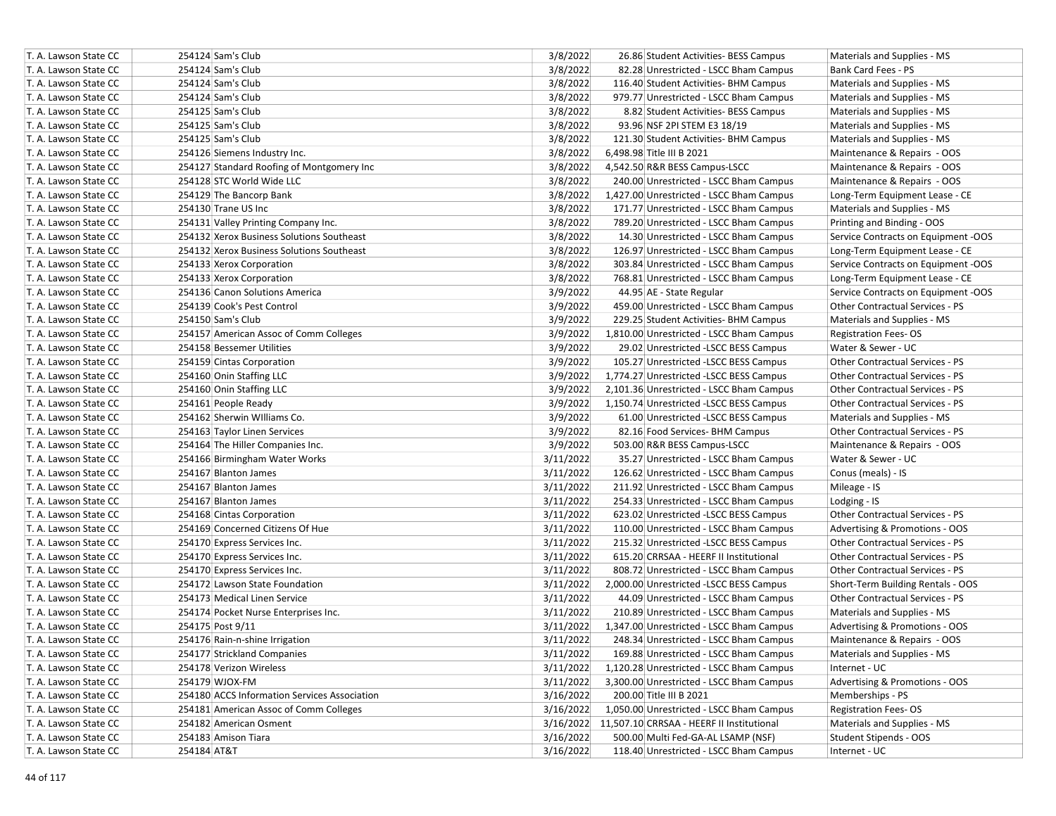| T. A. Lawson State CC | 254124 Sam's Club                            | 3/8/2022<br>26.86 Student Activities- BESS Campus     | Materials and Supplies - MS            |
|-----------------------|----------------------------------------------|-------------------------------------------------------|----------------------------------------|
| T. A. Lawson State CC | 254124 Sam's Club                            | 3/8/2022<br>82.28 Unrestricted - LSCC Bham Campus     | Bank Card Fees - PS                    |
| T. A. Lawson State CC | 254124 Sam's Club                            | 3/8/2022<br>116.40 Student Activities- BHM Campus     | Materials and Supplies - MS            |
| T. A. Lawson State CC | 254124 Sam's Club                            | 3/8/2022<br>979.77 Unrestricted - LSCC Bham Campus    | Materials and Supplies - MS            |
| T. A. Lawson State CC | 254125 Sam's Club                            | 3/8/2022<br>8.82 Student Activities- BESS Campus      | Materials and Supplies - MS            |
| T. A. Lawson State CC | 254125 Sam's Club                            | 3/8/2022<br>93.96 NSF 2PI STEM E3 18/19               | Materials and Supplies - MS            |
| T. A. Lawson State CC | 254125 Sam's Club                            | 3/8/2022<br>121.30 Student Activities- BHM Campus     | Materials and Supplies - MS            |
| T. A. Lawson State CC | 254126 Siemens Industry Inc.                 | 3/8/2022<br>6,498.98 Title III B 2021                 | Maintenance & Repairs - OOS            |
| T. A. Lawson State CC | 254127 Standard Roofing of Montgomery Inc    | 3/8/2022<br>4,542.50 R&R BESS Campus-LSCC             | Maintenance & Repairs - OOS            |
| T. A. Lawson State CC | 254128 STC World Wide LLC                    | 3/8/2022<br>240.00 Unrestricted - LSCC Bham Campus    | Maintenance & Repairs - OOS            |
| T. A. Lawson State CC | 254129 The Bancorp Bank                      | 3/8/2022<br>1,427.00 Unrestricted - LSCC Bham Campus  | Long-Term Equipment Lease - CE         |
| T. A. Lawson State CC | 254130 Trane US Inc                          | 3/8/2022<br>171.77 Unrestricted - LSCC Bham Campus    | Materials and Supplies - MS            |
| T. A. Lawson State CC | 254131 Valley Printing Company Inc.          | 3/8/2022<br>789.20 Unrestricted - LSCC Bham Campus    | Printing and Binding - OOS             |
| T. A. Lawson State CC | 254132 Xerox Business Solutions Southeast    | 3/8/2022<br>14.30 Unrestricted - LSCC Bham Campus     | Service Contracts on Equipment -OOS    |
| T. A. Lawson State CC | 254132 Xerox Business Solutions Southeast    | 3/8/2022<br>126.97 Unrestricted - LSCC Bham Campus    | Long-Term Equipment Lease - CE         |
| T. A. Lawson State CC | 254133 Xerox Corporation                     | 3/8/2022<br>303.84 Unrestricted - LSCC Bham Campus    | Service Contracts on Equipment -OOS    |
| T. A. Lawson State CC | 254133 Xerox Corporation                     | 3/8/2022<br>768.81 Unrestricted - LSCC Bham Campus    | Long-Term Equipment Lease - CE         |
| T. A. Lawson State CC | 254136 Canon Solutions America               | 3/9/2022<br>44.95 AE - State Regular                  | Service Contracts on Equipment -OOS    |
| T. A. Lawson State CC | 254139 Cook's Pest Control                   | 3/9/2022<br>459.00 Unrestricted - LSCC Bham Campus    | <b>Other Contractual Services - PS</b> |
| T. A. Lawson State CC | 254150 Sam's Club                            | 3/9/2022<br>229.25 Student Activities- BHM Campus     | Materials and Supplies - MS            |
| T. A. Lawson State CC | 254157 American Assoc of Comm Colleges       | 3/9/2022<br>1,810.00 Unrestricted - LSCC Bham Campus  | <b>Registration Fees-OS</b>            |
| T. A. Lawson State CC | 254158 Bessemer Utilities                    | 3/9/2022<br>29.02 Unrestricted -LSCC BESS Campus      | Water & Sewer - UC                     |
| T. A. Lawson State CC | 254159 Cintas Corporation                    | 3/9/2022<br>105.27 Unrestricted -LSCC BESS Campus     | Other Contractual Services - PS        |
| T. A. Lawson State CC | 254160 Onin Staffing LLC                     | 3/9/2022<br>1,774.27 Unrestricted -LSCC BESS Campus   | Other Contractual Services - PS        |
| T. A. Lawson State CC | 254160 Onin Staffing LLC                     | 3/9/2022<br>2,101.36 Unrestricted - LSCC Bham Campus  | <b>Other Contractual Services - PS</b> |
| T. A. Lawson State CC | 254161 People Ready                          | 3/9/2022<br>1,150.74 Unrestricted -LSCC BESS Campus   | Other Contractual Services - PS        |
| T. A. Lawson State CC | 254162 Sherwin Williams Co.                  | 3/9/2022<br>61.00 Unrestricted -LSCC BESS Campus      | Materials and Supplies - MS            |
| T. A. Lawson State CC | 254163 Taylor Linen Services                 | 3/9/2022<br>82.16 Food Services- BHM Campus           | <b>Other Contractual Services - PS</b> |
| T. A. Lawson State CC | 254164 The Hiller Companies Inc.             | 3/9/2022<br>503.00 R&R BESS Campus-LSCC               | Maintenance & Repairs - OOS            |
| T. A. Lawson State CC | 254166 Birmingham Water Works                | 3/11/2022<br>35.27 Unrestricted - LSCC Bham Campus    | Water & Sewer - UC                     |
| T. A. Lawson State CC | 254167 Blanton James                         | 3/11/2022<br>126.62 Unrestricted - LSCC Bham Campus   | Conus (meals) - IS                     |
| T. A. Lawson State CC | 254167 Blanton James                         | 3/11/2022<br>211.92 Unrestricted - LSCC Bham Campus   | Mileage - IS                           |
| T. A. Lawson State CC | 254167 Blanton James                         | 3/11/2022<br>254.33 Unrestricted - LSCC Bham Campus   | Lodging - IS                           |
| T. A. Lawson State CC | 254168 Cintas Corporation                    | 3/11/2022<br>623.02 Unrestricted -LSCC BESS Campus    | Other Contractual Services - PS        |
| T. A. Lawson State CC | 254169 Concerned Citizens Of Hue             | 3/11/2022<br>110.00 Unrestricted - LSCC Bham Campus   | Advertising & Promotions - OOS         |
| T. A. Lawson State CC | 254170 Express Services Inc.                 | 3/11/2022<br>215.32 Unrestricted -LSCC BESS Campus    | Other Contractual Services - PS        |
| T. A. Lawson State CC | 254170 Express Services Inc.                 | 3/11/2022<br>615.20 CRRSAA - HEERF II Institutional   | Other Contractual Services - PS        |
| T. A. Lawson State CC | 254170 Express Services Inc.                 | 3/11/2022<br>808.72 Unrestricted - LSCC Bham Campus   | <b>Other Contractual Services - PS</b> |
| T. A. Lawson State CC | 254172 Lawson State Foundation               | 3/11/2022<br>2,000.00 Unrestricted -LSCC BESS Campus  | Short-Term Building Rentals - OOS      |
| T. A. Lawson State CC | 254173 Medical Linen Service                 | 3/11/2022<br>44.09 Unrestricted - LSCC Bham Campus    | Other Contractual Services - PS        |
| T. A. Lawson State CC | 254174 Pocket Nurse Enterprises Inc.         | 3/11/2022<br>210.89 Unrestricted - LSCC Bham Campus   | Materials and Supplies - MS            |
| T. A. Lawson State CC | 254175 Post 9/11                             | 3/11/2022<br>1,347.00 Unrestricted - LSCC Bham Campus | Advertising & Promotions - OOS         |
| T. A. Lawson State CC | 254176 Rain-n-shine Irrigation               | 3/11/2022<br>248.34 Unrestricted - LSCC Bham Campus   | Maintenance & Repairs - OOS            |
| T. A. Lawson State CC | 254177 Strickland Companies                  | 3/11/2022<br>169.88 Unrestricted - LSCC Bham Campus   | Materials and Supplies - MS            |
| T. A. Lawson State CC | 254178 Verizon Wireless                      | 3/11/2022<br>1,120.28 Unrestricted - LSCC Bham Campus | Internet - UC                          |
| T. A. Lawson State CC |                                              |                                                       |                                        |
|                       | 254179 WJOX-FM                               | 3/11/2022<br>3,300.00 Unrestricted - LSCC Bham Campus | Advertising & Promotions - OOS         |
| T. A. Lawson State CC | 254180 ACCS Information Services Association | 3/16/2022<br>200.00 Title III B 2021                  | Memberships - PS                       |
| T. A. Lawson State CC | 254181 American Assoc of Comm Colleges       | 1,050.00 Unrestricted - LSCC Bham Campus<br>3/16/2022 | <b>Registration Fees-OS</b>            |
| T. A. Lawson State CC | 254182 American Osment                       | 3/16/2022 11,507.10 CRRSAA - HEERF II Institutional   | Materials and Supplies - MS            |
| T. A. Lawson State CC | 254183 Amison Tiara                          | 3/16/2022<br>500.00 Multi Fed-GA-AL LSAMP (NSF)       | Student Stipends - OOS                 |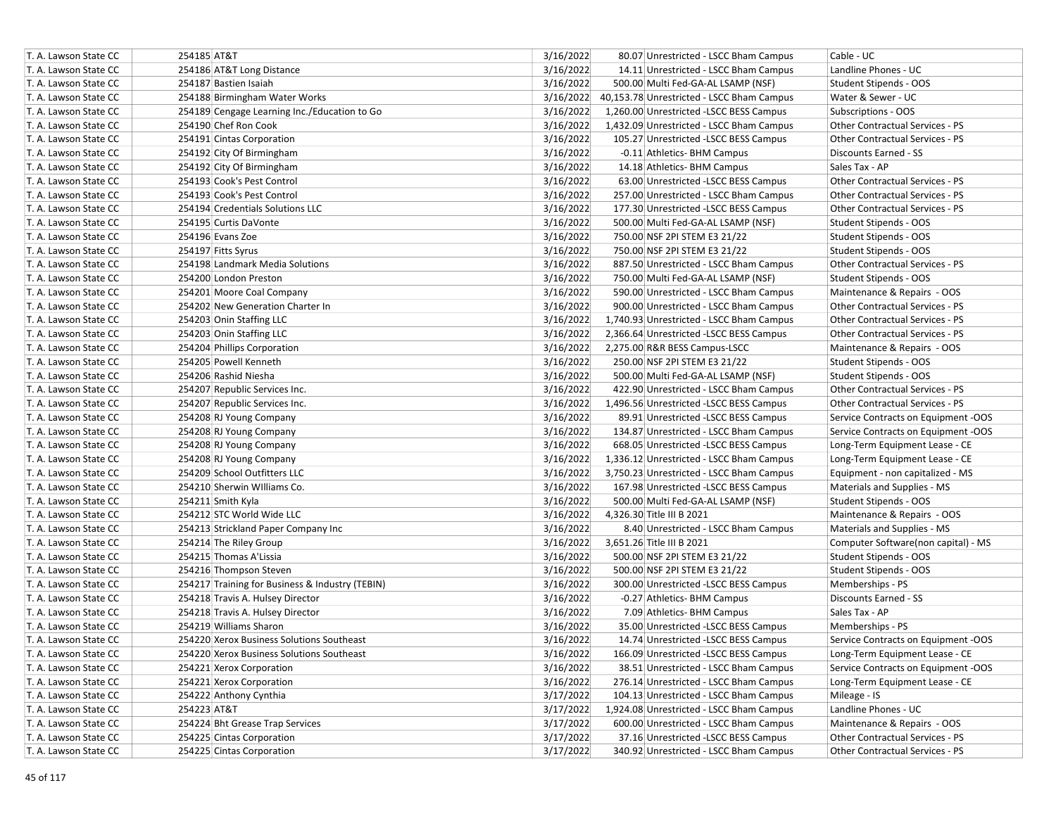| T. A. Lawson State CC | 254185 AT&T                                     | 3/16/2022 | 80.07 Unrestricted - LSCC Bham Campus     | Cable - UC                             |
|-----------------------|-------------------------------------------------|-----------|-------------------------------------------|----------------------------------------|
| T. A. Lawson State CC | 254186 AT&T Long Distance                       | 3/16/2022 | 14.11 Unrestricted - LSCC Bham Campus     | Landline Phones - UC                   |
| T. A. Lawson State CC | 254187 Bastien Isaiah                           | 3/16/2022 | 500.00 Multi Fed-GA-AL LSAMP (NSF)        | Student Stipends - OOS                 |
| T. A. Lawson State CC | 254188 Birmingham Water Works                   | 3/16/2022 | 40,153.78 Unrestricted - LSCC Bham Campus | Water & Sewer - UC                     |
| T. A. Lawson State CC | 254189 Cengage Learning Inc./Education to Go    | 3/16/2022 | 1,260.00 Unrestricted -LSCC BESS Campus   | Subscriptions - OOS                    |
| T. A. Lawson State CC | 254190 Chef Ron Cook                            | 3/16/2022 | 1,432.09 Unrestricted - LSCC Bham Campus  | <b>Other Contractual Services - PS</b> |
| T. A. Lawson State CC | 254191 Cintas Corporation                       | 3/16/2022 | 105.27 Unrestricted -LSCC BESS Campus     | Other Contractual Services - PS        |
| T. A. Lawson State CC | 254192 City Of Birmingham                       | 3/16/2022 | -0.11 Athletics- BHM Campus               | Discounts Earned - SS                  |
| T. A. Lawson State CC | 254192 City Of Birmingham                       | 3/16/2022 | 14.18 Athletics- BHM Campus               | Sales Tax - AP                         |
| T. A. Lawson State CC | 254193 Cook's Pest Control                      | 3/16/2022 | 63.00 Unrestricted -LSCC BESS Campus      | Other Contractual Services - PS        |
| T. A. Lawson State CC | 254193 Cook's Pest Control                      | 3/16/2022 | 257.00 Unrestricted - LSCC Bham Campus    | <b>Other Contractual Services - PS</b> |
| T. A. Lawson State CC | 254194 Credentials Solutions LLC                | 3/16/2022 | 177.30 Unrestricted -LSCC BESS Campus     | <b>Other Contractual Services - PS</b> |
| T. A. Lawson State CC | 254195 Curtis DaVonte                           | 3/16/2022 | 500.00 Multi Fed-GA-AL LSAMP (NSF)        | Student Stipends - OOS                 |
| T. A. Lawson State CC | 254196 Evans Zoe                                | 3/16/2022 | 750.00 NSF 2PI STEM E3 21/22              | Student Stipends - OOS                 |
| T. A. Lawson State CC | 254197 Fitts Syrus                              | 3/16/2022 | 750.00 NSF 2PI STEM E3 21/22              | Student Stipends - OOS                 |
| T. A. Lawson State CC | 254198 Landmark Media Solutions                 | 3/16/2022 | 887.50 Unrestricted - LSCC Bham Campus    | Other Contractual Services - PS        |
| T. A. Lawson State CC | 254200 London Preston                           | 3/16/2022 | 750.00 Multi Fed-GA-AL LSAMP (NSF)        | Student Stipends - OOS                 |
| T. A. Lawson State CC | 254201 Moore Coal Company                       | 3/16/2022 | 590.00 Unrestricted - LSCC Bham Campus    | Maintenance & Repairs - OOS            |
| T. A. Lawson State CC | 254202 New Generation Charter In                | 3/16/2022 | 900.00 Unrestricted - LSCC Bham Campus    | <b>Other Contractual Services - PS</b> |
| T. A. Lawson State CC | 254203 Onin Staffing LLC                        | 3/16/2022 | 1,740.93 Unrestricted - LSCC Bham Campus  | <b>Other Contractual Services - PS</b> |
| T. A. Lawson State CC | 254203 Onin Staffing LLC                        | 3/16/2022 | 2,366.64 Unrestricted -LSCC BESS Campus   | <b>Other Contractual Services - PS</b> |
| T. A. Lawson State CC | 254204 Phillips Corporation                     | 3/16/2022 | 2,275.00 R&R BESS Campus-LSCC             | Maintenance & Repairs - OOS            |
| T. A. Lawson State CC | 254205 Powell Kenneth                           | 3/16/2022 | 250.00 NSF 2PI STEM E3 21/22              | Student Stipends - OOS                 |
| T. A. Lawson State CC | 254206 Rashid Niesha                            | 3/16/2022 | 500.00 Multi Fed-GA-AL LSAMP (NSF)        | Student Stipends - OOS                 |
| T. A. Lawson State CC | 254207 Republic Services Inc.                   | 3/16/2022 | 422.90 Unrestricted - LSCC Bham Campus    | <b>Other Contractual Services - PS</b> |
| T. A. Lawson State CC | 254207 Republic Services Inc.                   | 3/16/2022 | 1,496.56 Unrestricted -LSCC BESS Campus   | <b>Other Contractual Services - PS</b> |
| T. A. Lawson State CC | 254208 RJ Young Company                         | 3/16/2022 | 89.91 Unrestricted -LSCC BESS Campus      | Service Contracts on Equipment -OOS    |
| T. A. Lawson State CC | 254208 RJ Young Company                         | 3/16/2022 | 134.87 Unrestricted - LSCC Bham Campus    | Service Contracts on Equipment -OOS    |
| T. A. Lawson State CC | 254208 RJ Young Company                         | 3/16/2022 | 668.05 Unrestricted -LSCC BESS Campus     | Long-Term Equipment Lease - CE         |
| T. A. Lawson State CC | 254208 RJ Young Company                         | 3/16/2022 | 1,336.12 Unrestricted - LSCC Bham Campus  | Long-Term Equipment Lease - CE         |
| T. A. Lawson State CC | 254209 School Outfitters LLC                    | 3/16/2022 | 3,750.23 Unrestricted - LSCC Bham Campus  | Equipment - non capitalized - MS       |
| T. A. Lawson State CC | 254210 Sherwin Williams Co.                     | 3/16/2022 | 167.98 Unrestricted -LSCC BESS Campus     | Materials and Supplies - MS            |
| T. A. Lawson State CC | 254211 Smith Kyla                               | 3/16/2022 | 500.00 Multi Fed-GA-AL LSAMP (NSF)        | Student Stipends - OOS                 |
| T. A. Lawson State CC | 254212 STC World Wide LLC                       | 3/16/2022 | 4,326.30 Title III B 2021                 | Maintenance & Repairs - OOS            |
| T. A. Lawson State CC | 254213 Strickland Paper Company Inc             | 3/16/2022 | 8.40 Unrestricted - LSCC Bham Campus      | Materials and Supplies - MS            |
| T. A. Lawson State CC | 254214 The Riley Group                          | 3/16/2022 | 3,651.26 Title III B 2021                 | Computer Software(non capital) - MS    |
| T. A. Lawson State CC | 254215 Thomas A'Lissia                          | 3/16/2022 | 500.00 NSF 2PI STEM E3 21/22              | Student Stipends - OOS                 |
| T. A. Lawson State CC | 254216 Thompson Steven                          | 3/16/2022 | 500.00 NSF 2PI STEM E3 21/22              | Student Stipends - OOS                 |
| T. A. Lawson State CC | 254217 Training for Business & Industry (TEBIN) | 3/16/2022 | 300.00 Unrestricted -LSCC BESS Campus     | Memberships - PS                       |
| T. A. Lawson State CC | 254218 Travis A. Hulsey Director                | 3/16/2022 | -0.27 Athletics- BHM Campus               | Discounts Earned - SS                  |
| T. A. Lawson State CC | 254218 Travis A. Hulsey Director                | 3/16/2022 | 7.09 Athletics- BHM Campus                | Sales Tax - AP                         |
| T. A. Lawson State CC | 254219 Williams Sharon                          | 3/16/2022 | 35.00 Unrestricted -LSCC BESS Campus      | Memberships - PS                       |
| T. A. Lawson State CC | 254220 Xerox Business Solutions Southeast       | 3/16/2022 | 14.74 Unrestricted -LSCC BESS Campus      | Service Contracts on Equipment -OOS    |
| T. A. Lawson State CC | 254220 Xerox Business Solutions Southeast       | 3/16/2022 | 166.09 Unrestricted -LSCC BESS Campus     | Long-Term Equipment Lease - CE         |
| T. A. Lawson State CC | 254221 Xerox Corporation                        | 3/16/2022 | 38.51 Unrestricted - LSCC Bham Campus     | Service Contracts on Equipment -OOS    |
| T. A. Lawson State CC | 254221 Xerox Corporation                        | 3/16/2022 | 276.14 Unrestricted - LSCC Bham Campus    | Long-Term Equipment Lease - CE         |
| T. A. Lawson State CC | 254222 Anthony Cynthia                          | 3/17/2022 | 104.13 Unrestricted - LSCC Bham Campus    | Mileage - IS                           |
| T. A. Lawson State CC | 254223 AT&T                                     | 3/17/2022 | 1,924.08 Unrestricted - LSCC Bham Campus  | Landline Phones - UC                   |
| T. A. Lawson State CC | 254224 Bht Grease Trap Services                 | 3/17/2022 | 600.00 Unrestricted - LSCC Bham Campus    | Maintenance & Repairs - OOS            |
| T. A. Lawson State CC | 254225 Cintas Corporation                       | 3/17/2022 | 37.16 Unrestricted -LSCC BESS Campus      | Other Contractual Services - PS        |
| T. A. Lawson State CC | 254225 Cintas Corporation                       | 3/17/2022 | 340.92 Unrestricted - LSCC Bham Campus    | Other Contractual Services - PS        |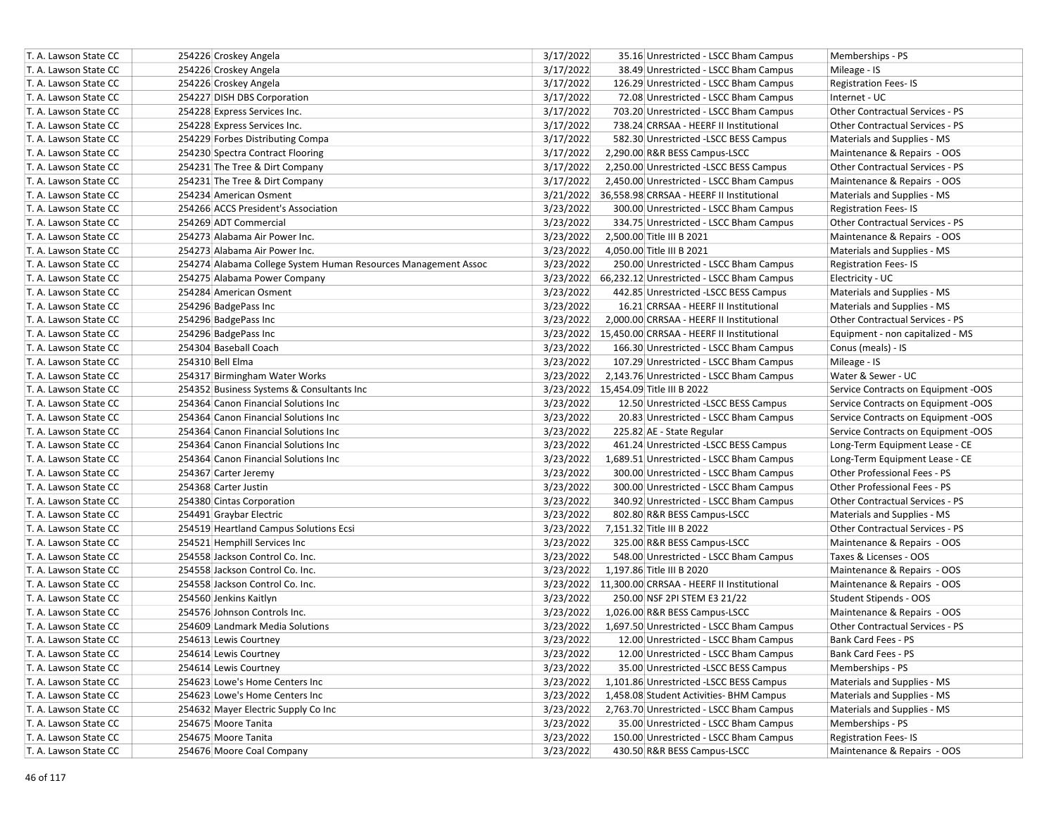| T. A. Lawson State CC | 254226 Croskey Angela                                          | 3/17/2022<br>35.16 Unrestricted - LSCC Bham Campus    | Memberships - PS                       |
|-----------------------|----------------------------------------------------------------|-------------------------------------------------------|----------------------------------------|
| T. A. Lawson State CC | 254226 Croskey Angela                                          | 3/17/2022<br>38.49 Unrestricted - LSCC Bham Campus    | Mileage - IS                           |
| T. A. Lawson State CC | 254226 Croskey Angela                                          | 3/17/2022<br>126.29 Unrestricted - LSCC Bham Campus   | <b>Registration Fees-IS</b>            |
| T. A. Lawson State CC | 254227 DISH DBS Corporation                                    | 3/17/2022<br>72.08 Unrestricted - LSCC Bham Campus    | Internet - UC                          |
| T. A. Lawson State CC | 254228 Express Services Inc.                                   | 3/17/2022<br>703.20 Unrestricted - LSCC Bham Campus   | Other Contractual Services - PS        |
| T. A. Lawson State CC | 254228 Express Services Inc.                                   | 3/17/2022<br>738.24 CRRSAA - HEERF II Institutional   | <b>Other Contractual Services - PS</b> |
| T. A. Lawson State CC | 254229 Forbes Distributing Compa                               | 3/17/2022<br>582.30 Unrestricted -LSCC BESS Campus    | Materials and Supplies - MS            |
| T. A. Lawson State CC | 254230 Spectra Contract Flooring                               | 3/17/2022<br>2,290.00 R&R BESS Campus-LSCC            | Maintenance & Repairs - OOS            |
| T. A. Lawson State CC | 254231 The Tree & Dirt Company                                 | 3/17/2022<br>2,250.00 Unrestricted -LSCC BESS Campus  | Other Contractual Services - PS        |
| T. A. Lawson State CC | 254231 The Tree & Dirt Company                                 | 3/17/2022<br>2,450.00 Unrestricted - LSCC Bham Campus | Maintenance & Repairs - OOS            |
| T. A. Lawson State CC | 254234 American Osment                                         | 3/21/2022 36,558.98 CRRSAA - HEERF II Institutional   | Materials and Supplies - MS            |
| T. A. Lawson State CC | 254266 ACCS President's Association                            | 3/23/2022<br>300.00 Unrestricted - LSCC Bham Campus   | <b>Registration Fees-IS</b>            |
| T. A. Lawson State CC | 254269 ADT Commercial                                          | 3/23/2022<br>334.75 Unrestricted - LSCC Bham Campus   | <b>Other Contractual Services - PS</b> |
| T. A. Lawson State CC | 254273 Alabama Air Power Inc.                                  | 3/23/2022<br>2,500.00 Title III B 2021                | Maintenance & Repairs - OOS            |
| T. A. Lawson State CC | 254273 Alabama Air Power Inc.                                  | 3/23/2022<br>4,050.00 Title III B 2021                | Materials and Supplies - MS            |
| T. A. Lawson State CC | 254274 Alabama College System Human Resources Management Assoc | 3/23/2022<br>250.00 Unrestricted - LSCC Bham Campus   | <b>Registration Fees-IS</b>            |
| T. A. Lawson State CC | 254275 Alabama Power Company                                   | 3/23/2022 66,232.12 Unrestricted - LSCC Bham Campus   | Electricity - UC                       |
| T. A. Lawson State CC | 254284 American Osment                                         | 3/23/2022<br>442.85 Unrestricted -LSCC BESS Campus    | Materials and Supplies - MS            |
| T. A. Lawson State CC | 254296 BadgePass Inc                                           | 3/23/2022<br>16.21 CRRSAA - HEERF II Institutional    | Materials and Supplies - MS            |
| T. A. Lawson State CC | 254296 BadgePass Inc                                           | 3/23/2022<br>2,000.00 CRRSAA - HEERF II Institutional | Other Contractual Services - PS        |
| T. A. Lawson State CC | 254296 BadgePass Inc                                           | 3/23/2022 15,450.00 CRRSAA - HEERF II Institutional   | Equipment - non capitalized - MS       |
| T. A. Lawson State CC | 254304 Baseball Coach                                          | 3/23/2022<br>166.30 Unrestricted - LSCC Bham Campus   | Conus (meals) - IS                     |
| T. A. Lawson State CC | 254310 Bell Elma                                               | 3/23/2022<br>107.29 Unrestricted - LSCC Bham Campus   | Mileage - IS                           |
| T. A. Lawson State CC | 254317 Birmingham Water Works                                  | 3/23/2022<br>2,143.76 Unrestricted - LSCC Bham Campus | Water & Sewer - UC                     |
| T. A. Lawson State CC | 254352 Business Systems & Consultants Inc                      | 3/23/2022 15,454.09 Title III B 2022                  | Service Contracts on Equipment -OOS    |
| T. A. Lawson State CC | 254364 Canon Financial Solutions Inc                           | 3/23/2022<br>12.50 Unrestricted -LSCC BESS Campus     | Service Contracts on Equipment -OOS    |
| T. A. Lawson State CC | 254364 Canon Financial Solutions Inc                           | 3/23/2022<br>20.83 Unrestricted - LSCC Bham Campus    | Service Contracts on Equipment -OOS    |
| T. A. Lawson State CC | 254364 Canon Financial Solutions Inc                           | 3/23/2022<br>225.82 AE - State Regular                | Service Contracts on Equipment -OOS    |
| T. A. Lawson State CC | 254364 Canon Financial Solutions Inc                           | 3/23/2022<br>461.24 Unrestricted -LSCC BESS Campus    | Long-Term Equipment Lease - CE         |
| T. A. Lawson State CC | 254364 Canon Financial Solutions Inc                           | 3/23/2022<br>1,689.51 Unrestricted - LSCC Bham Campus | Long-Term Equipment Lease - CE         |
| T. A. Lawson State CC | 254367 Carter Jeremy                                           | 3/23/2022<br>300.00 Unrestricted - LSCC Bham Campus   | Other Professional Fees - PS           |
| T. A. Lawson State CC | 254368 Carter Justin                                           | 3/23/2022<br>300.00 Unrestricted - LSCC Bham Campus   | Other Professional Fees - PS           |
| T. A. Lawson State CC | 254380 Cintas Corporation                                      | 3/23/2022<br>340.92 Unrestricted - LSCC Bham Campus   | Other Contractual Services - PS        |
| T. A. Lawson State CC | 254491 Graybar Electric                                        | 3/23/2022<br>802.80 R&R BESS Campus-LSCC              | Materials and Supplies - MS            |
| T. A. Lawson State CC | 254519 Heartland Campus Solutions Ecsi                         | 3/23/2022<br>7,151.32 Title III B 2022                | Other Contractual Services - PS        |
| T. A. Lawson State CC | 254521 Hemphill Services Inc                                   | 3/23/2022<br>325.00 R&R BESS Campus-LSCC              | Maintenance & Repairs - OOS            |
| T. A. Lawson State CC | 254558 Jackson Control Co. Inc.                                | 3/23/2022<br>548.00 Unrestricted - LSCC Bham Campus   | Taxes & Licenses - OOS                 |
| T. A. Lawson State CC | 254558 Jackson Control Co. Inc.                                | 3/23/2022<br>1,197.86 Title III B 2020                | Maintenance & Repairs - OOS            |
| T. A. Lawson State CC | 254558 Jackson Control Co. Inc.                                | 3/23/2022 11,300.00 CRRSAA - HEERF II Institutional   | Maintenance & Repairs - OOS            |
| T. A. Lawson State CC | 254560 Jenkins Kaitlyn                                         | 3/23/2022<br>250.00 NSF 2PI STEM E3 21/22             | Student Stipends - OOS                 |
| T. A. Lawson State CC | 254576 Johnson Controls Inc.                                   | 3/23/2022<br>1,026.00 R&R BESS Campus-LSCC            | Maintenance & Repairs - OOS            |
| T. A. Lawson State CC | 254609 Landmark Media Solutions                                | 3/23/2022<br>1,697.50 Unrestricted - LSCC Bham Campus | <b>Other Contractual Services - PS</b> |
| T. A. Lawson State CC | 254613 Lewis Courtney                                          | 3/23/2022<br>12.00 Unrestricted - LSCC Bham Campus    | Bank Card Fees - PS                    |
| T. A. Lawson State CC | 254614 Lewis Courtney                                          | 3/23/2022<br>12.00 Unrestricted - LSCC Bham Campus    | Bank Card Fees - PS                    |
| T. A. Lawson State CC | 254614 Lewis Courtney                                          | 3/23/2022<br>35.00 Unrestricted -LSCC BESS Campus     | Memberships - PS                       |
| T. A. Lawson State CC | 254623 Lowe's Home Centers Inc                                 | 3/23/2022<br>1,101.86 Unrestricted -LSCC BESS Campus  | Materials and Supplies - MS            |
| T. A. Lawson State CC | 254623 Lowe's Home Centers Inc                                 | 3/23/2022<br>1,458.08 Student Activities- BHM Campus  | Materials and Supplies - MS            |
| T. A. Lawson State CC | 254632 Mayer Electric Supply Co Inc                            | 3/23/2022<br>2,763.70 Unrestricted - LSCC Bham Campus | Materials and Supplies - MS            |
| T. A. Lawson State CC | 254675 Moore Tanita                                            | 3/23/2022<br>35.00 Unrestricted - LSCC Bham Campus    | Memberships - PS                       |
| T. A. Lawson State CC | 254675 Moore Tanita                                            | 3/23/2022<br>150.00 Unrestricted - LSCC Bham Campus   | <b>Registration Fees-IS</b>            |
| T. A. Lawson State CC | 254676 Moore Coal Company                                      | 3/23/2022<br>430.50 R&R BESS Campus-LSCC              | Maintenance & Repairs - OOS            |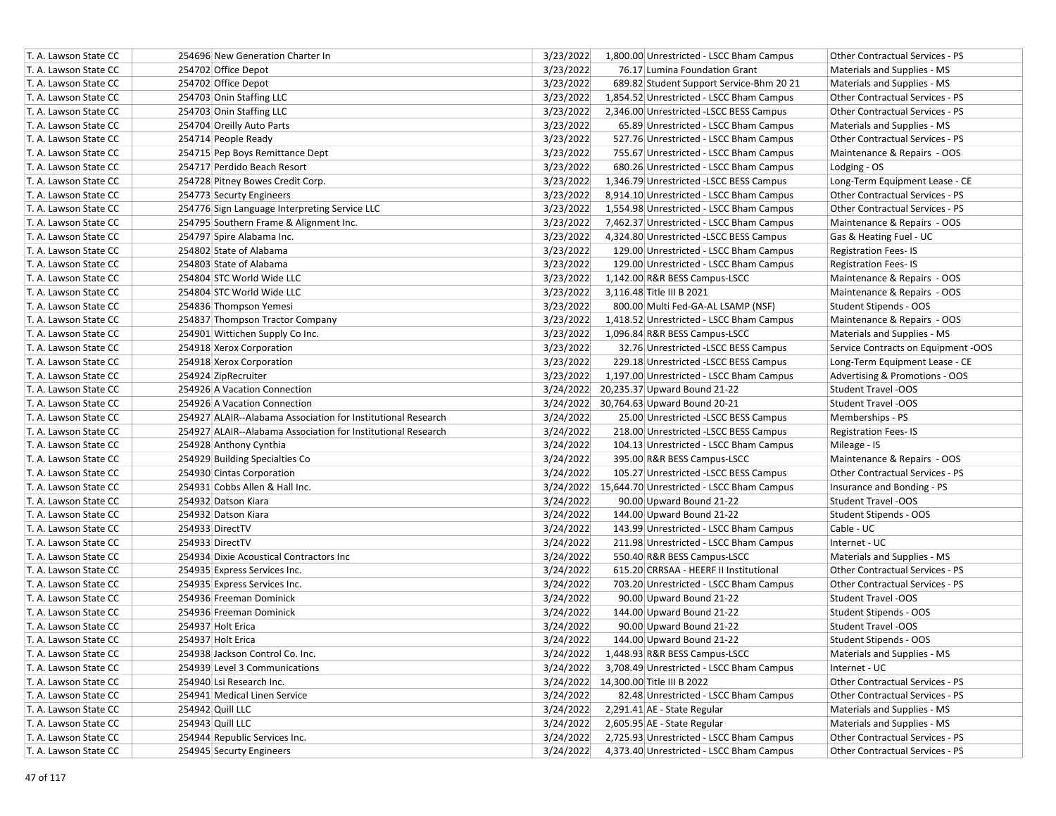| T. A. Lawson State CC | 254696 New Generation Charter In                             | 3/23/2022<br>1,800.00 Unrestricted - LSCC Bham Campus | Other Contractual Services - PS        |
|-----------------------|--------------------------------------------------------------|-------------------------------------------------------|----------------------------------------|
| T. A. Lawson State CC | 254702 Office Depot                                          | 3/23/2022<br>76.17 Lumina Foundation Grant            | Materials and Supplies - MS            |
| T. A. Lawson State CC | 254702 Office Depot                                          | 3/23/2022<br>689.82 Student Support Service-Bhm 20 21 | Materials and Supplies - MS            |
| T. A. Lawson State CC | 254703 Onin Staffing LLC                                     | 3/23/2022<br>1,854.52 Unrestricted - LSCC Bham Campus | <b>Other Contractual Services - PS</b> |
| T. A. Lawson State CC | 254703 Onin Staffing LLC                                     | 3/23/2022<br>2,346.00 Unrestricted -LSCC BESS Campus  | <b>Other Contractual Services - PS</b> |
| T. A. Lawson State CC | 254704 Oreilly Auto Parts                                    | 3/23/2022<br>65.89 Unrestricted - LSCC Bham Campus    | Materials and Supplies - MS            |
| T. A. Lawson State CC | 254714 People Ready                                          | 3/23/2022<br>527.76 Unrestricted - LSCC Bham Campus   | <b>Other Contractual Services - PS</b> |
| T. A. Lawson State CC | 254715 Pep Boys Remittance Dept                              | 3/23/2022<br>755.67 Unrestricted - LSCC Bham Campus   | Maintenance & Repairs - OOS            |
| T. A. Lawson State CC | 254717 Perdido Beach Resort                                  | 3/23/2022<br>680.26 Unrestricted - LSCC Bham Campus   | Lodging - OS                           |
| T. A. Lawson State CC | 254728 Pitney Bowes Credit Corp.                             | 3/23/2022<br>1,346.79 Unrestricted -LSCC BESS Campus  | Long-Term Equipment Lease - CE         |
| T. A. Lawson State CC | 254773 Securty Engineers                                     | 3/23/2022<br>8,914.10 Unrestricted - LSCC Bham Campus | Other Contractual Services - PS        |
| T. A. Lawson State CC | 254776 Sign Language Interpreting Service LLC                | 3/23/2022<br>1,554.98 Unrestricted - LSCC Bham Campus | Other Contractual Services - PS        |
| T. A. Lawson State CC | 254795 Southern Frame & Alignment Inc.                       | 3/23/2022<br>7,462.37 Unrestricted - LSCC Bham Campus | Maintenance & Repairs - OOS            |
| T. A. Lawson State CC | 254797 Spire Alabama Inc.                                    | 3/23/2022<br>4,324.80 Unrestricted -LSCC BESS Campus  | Gas & Heating Fuel - UC                |
| T. A. Lawson State CC | 254802 State of Alabama                                      | 3/23/2022<br>129.00 Unrestricted - LSCC Bham Campus   | <b>Registration Fees-IS</b>            |
| T. A. Lawson State CC | 254803 State of Alabama                                      | 3/23/2022<br>129.00 Unrestricted - LSCC Bham Campus   | <b>Registration Fees-IS</b>            |
| T. A. Lawson State CC | 254804 STC World Wide LLC                                    | 3/23/2022<br>1,142.00 R&R BESS Campus-LSCC            | Maintenance & Repairs - OOS            |
| T. A. Lawson State CC | 254804 STC World Wide LLC                                    | 3/23/2022<br>3,116.48 Title III B 2021                | Maintenance & Repairs - OOS            |
| T. A. Lawson State CC | 254836 Thompson Yemesi                                       | 3/23/2022<br>800.00 Multi Fed-GA-AL LSAMP (NSF)       | Student Stipends - OOS                 |
| T. A. Lawson State CC | 254837 Thompson Tractor Company                              | 3/23/2022<br>1,418.52 Unrestricted - LSCC Bham Campus | Maintenance & Repairs - OOS            |
| T. A. Lawson State CC | 254901 Wittichen Supply Co Inc.                              | 3/23/2022<br>1,096.84 R&R BESS Campus-LSCC            | Materials and Supplies - MS            |
| T. A. Lawson State CC | 254918 Xerox Corporation                                     | 3/23/2022<br>32.76 Unrestricted -LSCC BESS Campus     | Service Contracts on Equipment -OOS    |
| T. A. Lawson State CC | 254918 Xerox Corporation                                     | 3/23/2022<br>229.18 Unrestricted -LSCC BESS Campus    | Long-Term Equipment Lease - CE         |
| T. A. Lawson State CC | 254924 ZipRecruiter                                          | 3/23/2022<br>1,197.00 Unrestricted - LSCC Bham Campus | Advertising & Promotions - OOS         |
| T. A. Lawson State CC | 254926 A Vacation Connection                                 | 3/24/2022 20,235.37 Upward Bound 21-22                | Student Travel -OOS                    |
| T. A. Lawson State CC | 254926 A Vacation Connection                                 | 3/24/2022 30,764.63 Upward Bound 20-21                | <b>Student Travel -OOS</b>             |
| T. A. Lawson State CC | 254927 ALAIR--Alabama Association for Institutional Research | 3/24/2022<br>25.00 Unrestricted -LSCC BESS Campus     | Memberships - PS                       |
| T. A. Lawson State CC | 254927 ALAIR--Alabama Association for Institutional Research | 3/24/2022<br>218.00 Unrestricted -LSCC BESS Campus    | <b>Registration Fees-IS</b>            |
| T. A. Lawson State CC | 254928 Anthony Cynthia                                       | 3/24/2022<br>104.13 Unrestricted - LSCC Bham Campus   | Mileage - IS                           |
| T. A. Lawson State CC | 254929 Building Specialties Co                               | 3/24/2022<br>395.00 R&R BESS Campus-LSCC              | Maintenance & Repairs - OOS            |
| T. A. Lawson State CC | 254930 Cintas Corporation                                    | 3/24/2022<br>105.27 Unrestricted -LSCC BESS Campus    | Other Contractual Services - PS        |
| T. A. Lawson State CC | 254931 Cobbs Allen & Hall Inc.                               | 3/24/2022 15,644.70 Unrestricted - LSCC Bham Campus   | Insurance and Bonding - PS             |
| T. A. Lawson State CC | 254932 Datson Kiara                                          | 3/24/2022<br>90.00 Upward Bound 21-22                 | Student Travel -OOS                    |
| T. A. Lawson State CC | 254932 Datson Kiara                                          | 3/24/2022<br>144.00 Upward Bound 21-22                | Student Stipends - OOS                 |
| T. A. Lawson State CC | 254933 DirectTV                                              | 3/24/2022<br>143.99 Unrestricted - LSCC Bham Campus   | Cable - UC                             |
| T. A. Lawson State CC | 254933 DirectTV                                              | 3/24/2022<br>211.98 Unrestricted - LSCC Bham Campus   | Internet - UC                          |
| T. A. Lawson State CC | 254934 Dixie Acoustical Contractors Inc                      | 3/24/2022<br>550.40 R&R BESS Campus-LSCC              | Materials and Supplies - MS            |
| T. A. Lawson State CC | 254935 Express Services Inc.                                 | 3/24/2022<br>615.20 CRRSAA - HEERF II Institutional   | <b>Other Contractual Services - PS</b> |
| T. A. Lawson State CC | 254935 Express Services Inc.                                 | 3/24/2022<br>703.20 Unrestricted - LSCC Bham Campus   | <b>Other Contractual Services - PS</b> |
| T. A. Lawson State CC | 254936 Freeman Dominick                                      | 3/24/2022<br>90.00 Upward Bound 21-22                 | Student Travel -OOS                    |
| T. A. Lawson State CC | 254936 Freeman Dominick                                      | 3/24/2022<br>144.00 Upward Bound 21-22                | Student Stipends - OOS                 |
| T. A. Lawson State CC | 254937 Holt Erica                                            | 90.00 Upward Bound 21-22<br>3/24/2022                 | <b>Student Travel -OOS</b>             |
| T. A. Lawson State CC | 254937 Holt Erica                                            | 3/24/2022<br>144.00 Upward Bound 21-22                | Student Stipends - OOS                 |
| T. A. Lawson State CC | 254938 Jackson Control Co. Inc.                              | 3/24/2022<br>1,448.93 R&R BESS Campus-LSCC            | Materials and Supplies - MS            |
| T. A. Lawson State CC | 254939 Level 3 Communications                                | 3/24/2022<br>3,708.49 Unrestricted - LSCC Bham Campus | Internet - UC                          |
| T. A. Lawson State CC | 254940 Lsi Research Inc.                                     | 3/24/2022 14,300.00 Title III B 2022                  | Other Contractual Services - PS        |
| T. A. Lawson State CC | 254941 Medical Linen Service                                 | 3/24/2022<br>82.48 Unrestricted - LSCC Bham Campus    | Other Contractual Services - PS        |
| T. A. Lawson State CC | 254942 Quill LLC                                             | 3/24/2022<br>2,291.41 AE - State Regular              | Materials and Supplies - MS            |
| T. A. Lawson State CC | 254943 Quill LLC                                             | 2,605.95 AE - State Regular<br>3/24/2022              | Materials and Supplies - MS            |
| T. A. Lawson State CC | 254944 Republic Services Inc.                                | 3/24/2022<br>2,725.93 Unrestricted - LSCC Bham Campus | Other Contractual Services - PS        |
| T. A. Lawson State CC | 254945 Securty Engineers                                     | 3/24/2022<br>4,373.40 Unrestricted - LSCC Bham Campus | Other Contractual Services - PS        |
|                       |                                                              |                                                       |                                        |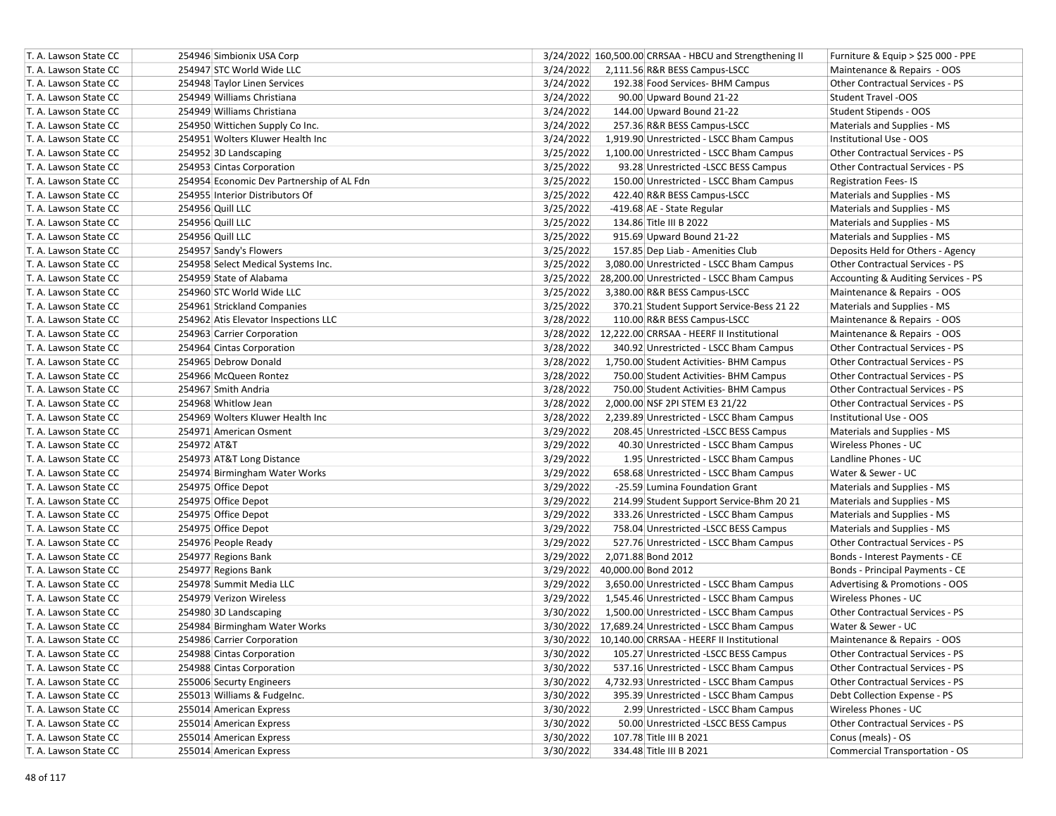| T. A. Lawson State CC | 254946 Simbionix USA Corp                 | 3/24/2022 160,500.00 CRRSAA - HBCU and Strengthening II<br>Furniture & Equip $>$ \$25 000 - PPE |
|-----------------------|-------------------------------------------|-------------------------------------------------------------------------------------------------|
| T. A. Lawson State CC | 254947 STC World Wide LLC                 | 3/24/2022<br>2,111.56 R&R BESS Campus-LSCC<br>Maintenance & Repairs - OOS                       |
| T. A. Lawson State CC | 254948 Taylor Linen Services              | 3/24/2022<br>192.38 Food Services- BHM Campus<br><b>Other Contractual Services - PS</b>         |
| T. A. Lawson State CC | 254949 Williams Christiana                | 3/24/2022<br>90.00 Upward Bound 21-22<br><b>Student Travel -OOS</b>                             |
| T. A. Lawson State CC | 254949 Williams Christiana                | 3/24/2022<br>144.00 Upward Bound 21-22<br>Student Stipends - OOS                                |
| T. A. Lawson State CC | 254950 Wittichen Supply Co Inc.           | 3/24/2022<br>257.36 R&R BESS Campus-LSCC<br>Materials and Supplies - MS                         |
| T. A. Lawson State CC | 254951 Wolters Kluwer Health Inc          | 3/24/2022<br>1,919.90 Unrestricted - LSCC Bham Campus<br>Institutional Use - OOS                |
| T. A. Lawson State CC | 254952 3D Landscaping                     | 3/25/2022<br>1,100.00 Unrestricted - LSCC Bham Campus<br>Other Contractual Services - PS        |
| T. A. Lawson State CC | 254953 Cintas Corporation                 | 3/25/2022<br>93.28 Unrestricted -LSCC BESS Campus<br>Other Contractual Services - PS            |
| T. A. Lawson State CC | 254954 Economic Dev Partnership of AL Fdn | 3/25/2022<br>150.00 Unrestricted - LSCC Bham Campus<br><b>Registration Fees-IS</b>              |
| T. A. Lawson State CC | 254955 Interior Distributors Of           | 3/25/2022<br>422.40 R&R BESS Campus-LSCC<br>Materials and Supplies - MS                         |
| T. A. Lawson State CC | 254956 Quill LLC                          | 3/25/2022<br>-419.68 AE - State Regular<br>Materials and Supplies - MS                          |
| T. A. Lawson State CC | 254956 Quill LLC                          | 3/25/2022<br>134.86 Title III B 2022<br>Materials and Supplies - MS                             |
| T. A. Lawson State CC | 254956 Quill LLC                          | 3/25/2022<br>915.69 Upward Bound 21-22<br>Materials and Supplies - MS                           |
| T. A. Lawson State CC | 254957 Sandy's Flowers                    | 3/25/2022<br>157.85 Dep Liab - Amenities Club<br>Deposits Held for Others - Agency              |
| T. A. Lawson State CC | 254958 Select Medical Systems Inc.        | 3/25/2022<br>3,080.00 Unrestricted - LSCC Bham Campus<br><b>Other Contractual Services - PS</b> |
| T. A. Lawson State CC | 254959 State of Alabama                   | 3/25/2022<br>28,200.00 Unrestricted - LSCC Bham Campus<br>Accounting & Auditing Services - PS   |
| T. A. Lawson State CC | 254960 STC World Wide LLC                 | 3/25/2022<br>3,380.00 R&R BESS Campus-LSCC<br>Maintenance & Repairs - OOS                       |
| T. A. Lawson State CC | 254961 Strickland Companies               | 3/25/2022<br>370.21 Student Support Service-Bess 21 22<br>Materials and Supplies - MS           |
| T. A. Lawson State CC | 254962 Atis Elevator Inspections LLC      | 3/28/2022<br>110.00 R&R BESS Campus-LSCC<br>Maintenance & Repairs - OOS                         |
| T. A. Lawson State CC | 254963 Carrier Corporation                | 3/28/2022 12,222.00 CRRSAA - HEERF II Institutional<br>Maintenance & Repairs - OOS              |
| T. A. Lawson State CC | 254964 Cintas Corporation                 | 3/28/2022<br>340.92 Unrestricted - LSCC Bham Campus<br>Other Contractual Services - PS          |
| T. A. Lawson State CC | 254965 Debrow Donald                      | 3/28/2022<br>Other Contractual Services - PS<br>1,750.00 Student Activities- BHM Campus         |
| T. A. Lawson State CC | 254966 McQueen Rontez                     | 3/28/2022<br>750.00 Student Activities- BHM Campus<br><b>Other Contractual Services - PS</b>    |
| T. A. Lawson State CC | 254967 Smith Andria                       | 3/28/2022<br><b>Other Contractual Services - PS</b><br>750.00 Student Activities- BHM Campus    |
| T. A. Lawson State CC | 254968 Whitlow Jean                       | 3/28/2022<br>2,000.00 NSF 2PI STEM E3 21/22<br><b>Other Contractual Services - PS</b>           |
| T. A. Lawson State CC | 254969 Wolters Kluwer Health Inc          | 3/28/2022<br>2,239.89 Unrestricted - LSCC Bham Campus<br>Institutional Use - OOS                |
| T. A. Lawson State CC | 254971 American Osment                    | 3/29/2022<br>208.45 Unrestricted -LSCC BESS Campus<br>Materials and Supplies - MS               |
| T. A. Lawson State CC | 254972 AT&T                               | 3/29/2022<br>40.30 Unrestricted - LSCC Bham Campus<br>Wireless Phones - UC                      |
| T. A. Lawson State CC | 254973 AT&T Long Distance                 | 3/29/2022<br>Landline Phones - UC<br>1.95 Unrestricted - LSCC Bham Campus                       |
| T. A. Lawson State CC | 254974 Birmingham Water Works             | 3/29/2022<br>658.68 Unrestricted - LSCC Bham Campus<br>Water & Sewer - UC                       |
| T. A. Lawson State CC | 254975 Office Depot                       | 3/29/2022<br>-25.59 Lumina Foundation Grant<br>Materials and Supplies - MS                      |
| T. A. Lawson State CC | 254975 Office Depot                       | 3/29/2022<br>214.99 Student Support Service-Bhm 20 21<br>Materials and Supplies - MS            |
| T. A. Lawson State CC | 254975 Office Depot                       | 3/29/2022<br>333.26 Unrestricted - LSCC Bham Campus<br>Materials and Supplies - MS              |
| T. A. Lawson State CC | 254975 Office Depot                       | 3/29/2022<br>758.04 Unrestricted -LSCC BESS Campus<br>Materials and Supplies - MS               |
| T. A. Lawson State CC | 254976 People Ready                       | 3/29/2022<br>Other Contractual Services - PS<br>527.76 Unrestricted - LSCC Bham Campus          |
| T. A. Lawson State CC | 254977 Regions Bank                       | 3/29/2022<br>2,071.88 Bond 2012<br>Bonds - Interest Payments - CE                               |
| T. A. Lawson State CC | 254977 Regions Bank                       | 3/29/2022<br>40,000.00 Bond 2012<br>Bonds - Principal Payments - CE                             |
| T. A. Lawson State CC | 254978 Summit Media LLC                   | 3/29/2022<br>3,650.00 Unrestricted - LSCC Bham Campus<br>Advertising & Promotions - OOS         |
| T. A. Lawson State CC | 254979 Verizon Wireless                   | 3/29/2022<br>Wireless Phones - UC<br>1,545.46 Unrestricted - LSCC Bham Campus                   |
| T. A. Lawson State CC | 254980 3D Landscaping                     | Other Contractual Services - PS<br>3/30/2022<br>1,500.00 Unrestricted - LSCC Bham Campus        |
| T. A. Lawson State CC | 254984 Birmingham Water Works             | Water & Sewer - UC<br>3/30/2022 17,689.24 Unrestricted - LSCC Bham Campus                       |
| T. A. Lawson State CC | 254986 Carrier Corporation                | 3/30/2022 10,140.00 CRRSAA - HEERF II Institutional<br>Maintenance & Repairs - OOS              |
| T. A. Lawson State CC | 254988 Cintas Corporation                 | 3/30/2022<br>105.27 Unrestricted -LSCC BESS Campus<br>Other Contractual Services - PS           |
| T. A. Lawson State CC | 254988 Cintas Corporation                 | 3/30/2022<br>537.16 Unrestricted - LSCC Bham Campus<br>Other Contractual Services - PS          |
| T. A. Lawson State CC | 255006 Securty Engineers                  | 3/30/2022<br>4,732.93 Unrestricted - LSCC Bham Campus<br>Other Contractual Services - PS        |
| T. A. Lawson State CC | 255013 Williams & FudgeInc.               | 3/30/2022<br>395.39 Unrestricted - LSCC Bham Campus<br>Debt Collection Expense - PS             |
| T. A. Lawson State CC | 255014 American Express                   | 3/30/2022<br>Wireless Phones - UC<br>2.99 Unrestricted - LSCC Bham Campus                       |
| T. A. Lawson State CC | 255014 American Express                   | 3/30/2022<br>50.00 Unrestricted -LSCC BESS Campus<br>Other Contractual Services - PS            |
| T. A. Lawson State CC | 255014 American Express                   | 107.78 Title III B 2021<br>3/30/2022<br>Conus (meals) - OS                                      |
| T. A. Lawson State CC | 255014 American Express                   | 3/30/2022<br>334.48 Title III B 2021<br><b>Commercial Transportation - OS</b>                   |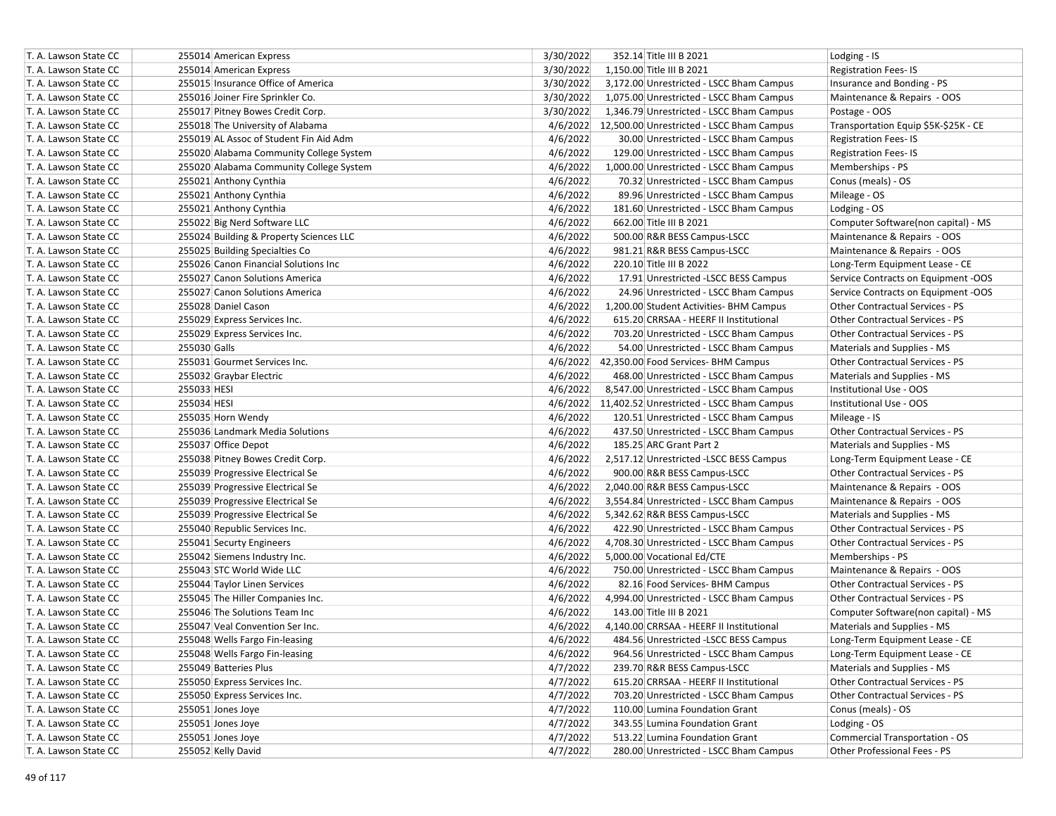| T. A. Lawson State CC |              | 255014 American Express                 | 3/30/2022 | 352.14 Title III B 2021                            | Lodging - IS                           |
|-----------------------|--------------|-----------------------------------------|-----------|----------------------------------------------------|----------------------------------------|
| T. A. Lawson State CC |              | 255014 American Express                 | 3/30/2022 | 1.150.00 Title III B 2021                          | <b>Registration Fees-IS</b>            |
| T. A. Lawson State CC |              | 255015 Insurance Office of America      | 3/30/2022 | 3,172.00 Unrestricted - LSCC Bham Campus           | Insurance and Bonding - PS             |
| T. A. Lawson State CC |              | 255016 Joiner Fire Sprinkler Co.        | 3/30/2022 | 1,075.00 Unrestricted - LSCC Bham Campus           | Maintenance & Repairs - OOS            |
| T. A. Lawson State CC |              | 255017 Pitney Bowes Credit Corp.        | 3/30/2022 | 1,346.79 Unrestricted - LSCC Bham Campus           | Postage - OOS                          |
| T. A. Lawson State CC |              | 255018 The University of Alabama        |           | 4/6/2022 12,500.00 Unrestricted - LSCC Bham Campus | Transportation Equip \$5K-\$25K - CE   |
| T. A. Lawson State CC |              | 255019 AL Assoc of Student Fin Aid Adm  | 4/6/2022  | 30.00 Unrestricted - LSCC Bham Campus              | <b>Registration Fees-IS</b>            |
| T. A. Lawson State CC |              | 255020 Alabama Community College System | 4/6/2022  | 129.00 Unrestricted - LSCC Bham Campus             | <b>Registration Fees-IS</b>            |
| T. A. Lawson State CC |              | 255020 Alabama Community College System | 4/6/2022  | 1,000.00 Unrestricted - LSCC Bham Campus           | Memberships - PS                       |
| T. A. Lawson State CC |              | 255021 Anthony Cynthia                  | 4/6/2022  | 70.32 Unrestricted - LSCC Bham Campus              | Conus (meals) - OS                     |
| T. A. Lawson State CC |              | 255021 Anthony Cynthia                  | 4/6/2022  | 89.96 Unrestricted - LSCC Bham Campus              | Mileage - OS                           |
| T. A. Lawson State CC |              | 255021 Anthony Cynthia                  | 4/6/2022  | 181.60 Unrestricted - LSCC Bham Campus             | Lodging - OS                           |
| T. A. Lawson State CC |              | 255022 Big Nerd Software LLC            | 4/6/2022  | 662.00 Title III B 2021                            | Computer Software(non capital) - MS    |
| T. A. Lawson State CC |              | 255024 Building & Property Sciences LLC | 4/6/2022  | 500.00 R&R BESS Campus-LSCC                        | Maintenance & Repairs - OOS            |
| T. A. Lawson State CC |              | 255025 Building Specialties Co          | 4/6/2022  | 981.21 R&R BESS Campus-LSCC                        | Maintenance & Repairs - OOS            |
| T. A. Lawson State CC |              | 255026 Canon Financial Solutions Inc    | 4/6/2022  | 220.10 Title III B 2022                            | Long-Term Equipment Lease - CE         |
| T. A. Lawson State CC |              | 255027 Canon Solutions America          | 4/6/2022  | 17.91 Unrestricted -LSCC BESS Campus               | Service Contracts on Equipment -OOS    |
| T. A. Lawson State CC |              | 255027 Canon Solutions America          | 4/6/2022  | 24.96 Unrestricted - LSCC Bham Campus              | Service Contracts on Equipment -OOS    |
| T. A. Lawson State CC |              | 255028 Daniel Cason                     | 4/6/2022  | 1,200.00 Student Activities- BHM Campus            | Other Contractual Services - PS        |
| T. A. Lawson State CC |              | 255029 Express Services Inc.            | 4/6/2022  | 615.20 CRRSAA - HEERF II Institutional             | Other Contractual Services - PS        |
| T. A. Lawson State CC |              | 255029 Express Services Inc.            | 4/6/2022  | 703.20 Unrestricted - LSCC Bham Campus             | Other Contractual Services - PS        |
| T. A. Lawson State CC | 255030 Galls |                                         | 4/6/2022  | 54.00 Unrestricted - LSCC Bham Campus              | Materials and Supplies - MS            |
| T. A. Lawson State CC |              | 255031 Gourmet Services Inc.            |           | 4/6/2022 42,350.00 Food Services- BHM Campus       | Other Contractual Services - PS        |
| T. A. Lawson State CC |              | 255032 Graybar Electric                 | 4/6/2022  | 468.00 Unrestricted - LSCC Bham Campus             | Materials and Supplies - MS            |
| T. A. Lawson State CC | 255033 HESI  |                                         | 4/6/2022  | 8,547.00 Unrestricted - LSCC Bham Campus           | Institutional Use - OOS                |
| T. A. Lawson State CC | 255034 HESI  |                                         |           | 4/6/2022 11,402.52 Unrestricted - LSCC Bham Campus | Institutional Use - OOS                |
| T. A. Lawson State CC |              | 255035 Horn Wendy                       | 4/6/2022  | 120.51 Unrestricted - LSCC Bham Campus             | Mileage - IS                           |
| T. A. Lawson State CC |              | 255036 Landmark Media Solutions         | 4/6/2022  | 437.50 Unrestricted - LSCC Bham Campus             | Other Contractual Services - PS        |
| T. A. Lawson State CC |              | 255037 Office Depot                     | 4/6/2022  | 185.25 ARC Grant Part 2                            | Materials and Supplies - MS            |
| T. A. Lawson State CC |              | 255038 Pitney Bowes Credit Corp.        | 4/6/2022  | 2,517.12 Unrestricted -LSCC BESS Campus            | Long-Term Equipment Lease - CE         |
| T. A. Lawson State CC |              | 255039 Progressive Electrical Se        | 4/6/2022  | 900.00 R&R BESS Campus-LSCC                        | Other Contractual Services - PS        |
| T. A. Lawson State CC |              | 255039 Progressive Electrical Se        | 4/6/2022  | 2,040.00 R&R BESS Campus-LSCC                      | Maintenance & Repairs - OOS            |
| T. A. Lawson State CC |              | 255039 Progressive Electrical Se        | 4/6/2022  | 3,554.84 Unrestricted - LSCC Bham Campus           | Maintenance & Repairs - OOS            |
| T. A. Lawson State CC |              | 255039 Progressive Electrical Se        | 4/6/2022  | 5,342.62 R&R BESS Campus-LSCC                      | Materials and Supplies - MS            |
| T. A. Lawson State CC |              | 255040 Republic Services Inc.           | 4/6/2022  | 422.90 Unrestricted - LSCC Bham Campus             | Other Contractual Services - PS        |
| T. A. Lawson State CC |              | 255041 Securty Engineers                | 4/6/2022  | 4,708.30 Unrestricted - LSCC Bham Campus           | <b>Other Contractual Services - PS</b> |
| T. A. Lawson State CC |              | 255042 Siemens Industry Inc.            | 4/6/2022  | 5,000.00 Vocational Ed/CTE                         | Memberships - PS                       |
| T. A. Lawson State CC |              | 255043 STC World Wide LLC               | 4/6/2022  | 750.00 Unrestricted - LSCC Bham Campus             | Maintenance & Repairs - OOS            |
| T. A. Lawson State CC |              | 255044 Taylor Linen Services            | 4/6/2022  | 82.16 Food Services- BHM Campus                    | Other Contractual Services - PS        |
| T. A. Lawson State CC |              | 255045 The Hiller Companies Inc.        | 4/6/2022  | 4,994.00 Unrestricted - LSCC Bham Campus           | Other Contractual Services - PS        |
| T. A. Lawson State CC |              | 255046 The Solutions Team Inc           | 4/6/2022  | 143.00 Title III B 2021                            | Computer Software(non capital) - MS    |
| T. A. Lawson State CC |              | 255047 Veal Convention Ser Inc.         | 4/6/2022  | 4,140.00 CRRSAA - HEERF II Institutional           | Materials and Supplies - MS            |
| T. A. Lawson State CC |              | 255048 Wells Fargo Fin-leasing          | 4/6/2022  | 484.56 Unrestricted -LSCC BESS Campus              | Long-Term Equipment Lease - CE         |
| T. A. Lawson State CC |              | 255048 Wells Fargo Fin-leasing          | 4/6/2022  | 964.56 Unrestricted - LSCC Bham Campus             | Long-Term Equipment Lease - CE         |
| T. A. Lawson State CC |              | 255049 Batteries Plus                   | 4/7/2022  | 239.70 R&R BESS Campus-LSCC                        | Materials and Supplies - MS            |
| T. A. Lawson State CC |              | 255050 Express Services Inc.            | 4/7/2022  | 615.20 CRRSAA - HEERF II Institutional             | Other Contractual Services - PS        |
| T. A. Lawson State CC |              | 255050 Express Services Inc.            | 4/7/2022  | 703.20 Unrestricted - LSCC Bham Campus             | Other Contractual Services - PS        |
| T. A. Lawson State CC |              | 255051 Jones Joye                       | 4/7/2022  | 110.00 Lumina Foundation Grant                     | Conus (meals) - OS                     |
| T. A. Lawson State CC |              | 255051 Jones Joye                       | 4/7/2022  | 343.55 Lumina Foundation Grant                     | Lodging - OS                           |
| T. A. Lawson State CC |              | 255051 Jones Joye                       | 4/7/2022  | 513.22 Lumina Foundation Grant                     | <b>Commercial Transportation - OS</b>  |
| T. A. Lawson State CC |              | 255052 Kelly David                      | 4/7/2022  | 280.00 Unrestricted - LSCC Bham Campus             | Other Professional Fees - PS           |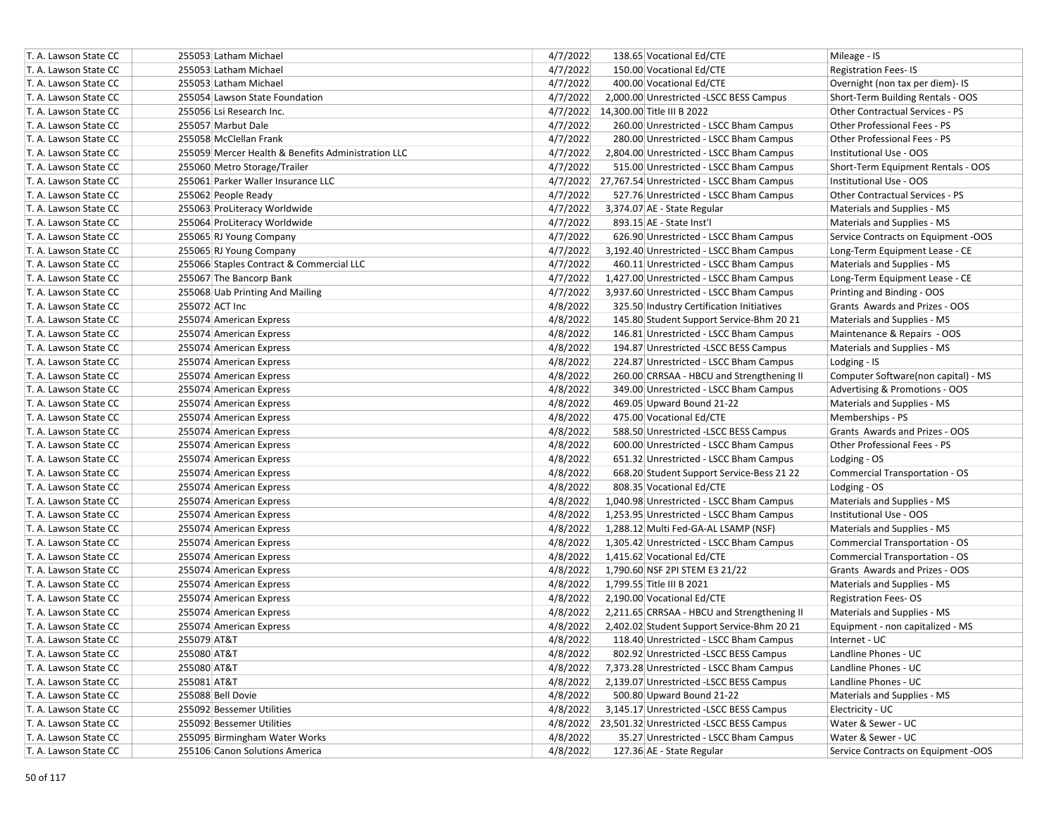| T. A. Lawson State CC |             | 255053 Latham Michael                              | 4/7/2022 | 138.65 Vocational Ed/CTE                           | Mileage - IS                        |
|-----------------------|-------------|----------------------------------------------------|----------|----------------------------------------------------|-------------------------------------|
| T. A. Lawson State CC |             | 255053 Latham Michael                              | 4/7/2022 | 150.00 Vocational Ed/CTE                           | <b>Registration Fees-IS</b>         |
| T. A. Lawson State CC |             | 255053 Latham Michael                              | 4/7/2022 | 400.00 Vocational Ed/CTE                           | Overnight (non tax per diem)- IS    |
| T. A. Lawson State CC |             | 255054 Lawson State Foundation                     | 4/7/2022 | 2,000.00 Unrestricted -LSCC BESS Campus            | Short-Term Building Rentals - OOS   |
| T. A. Lawson State CC |             | 255056 Lsi Research Inc.                           |          | 4/7/2022 14,300.00 Title III B 2022                | Other Contractual Services - PS     |
| T. A. Lawson State CC |             | 255057 Marbut Dale                                 | 4/7/2022 | 260.00 Unrestricted - LSCC Bham Campus             | Other Professional Fees - PS        |
| T. A. Lawson State CC |             | 255058 McClellan Frank                             | 4/7/2022 | 280.00 Unrestricted - LSCC Bham Campus             | Other Professional Fees - PS        |
| T. A. Lawson State CC |             | 255059 Mercer Health & Benefits Administration LLC | 4/7/2022 | 2,804.00 Unrestricted - LSCC Bham Campus           | Institutional Use - OOS             |
| T. A. Lawson State CC |             | 255060 Metro Storage/Trailer                       | 4/7/2022 | 515.00 Unrestricted - LSCC Bham Campus             | Short-Term Equipment Rentals - OOS  |
| T. A. Lawson State CC |             | 255061 Parker Waller Insurance LLC                 |          | 4/7/2022 27,767.54 Unrestricted - LSCC Bham Campus | Institutional Use - OOS             |
| T. A. Lawson State CC |             | 255062 People Ready                                | 4/7/2022 | 527.76 Unrestricted - LSCC Bham Campus             | Other Contractual Services - PS     |
| T. A. Lawson State CC |             | 255063 ProLiteracy Worldwide                       | 4/7/2022 | 3,374.07 AE - State Regular                        | Materials and Supplies - MS         |
| T. A. Lawson State CC |             | 255064 ProLiteracy Worldwide                       | 4/7/2022 | 893.15 AE - State Inst'l                           | Materials and Supplies - MS         |
| T. A. Lawson State CC |             | 255065 RJ Young Company                            | 4/7/2022 | 626.90 Unrestricted - LSCC Bham Campus             | Service Contracts on Equipment -OOS |
| T. A. Lawson State CC |             | 255065 RJ Young Company                            | 4/7/2022 | 3,192.40 Unrestricted - LSCC Bham Campus           | Long-Term Equipment Lease - CE      |
| T. A. Lawson State CC |             | 255066 Staples Contract & Commercial LLC           | 4/7/2022 | 460.11 Unrestricted - LSCC Bham Campus             | Materials and Supplies - MS         |
| T. A. Lawson State CC |             | 255067 The Bancorp Bank                            | 4/7/2022 | 1,427.00 Unrestricted - LSCC Bham Campus           | Long-Term Equipment Lease - CE      |
| T. A. Lawson State CC |             | 255068 Uab Printing And Mailing                    | 4/7/2022 | 3,937.60 Unrestricted - LSCC Bham Campus           | Printing and Binding - OOS          |
| T. A. Lawson State CC |             | 255072 ACT Inc                                     | 4/8/2022 | 325.50 Industry Certification Initiatives          | Grants Awards and Prizes - OOS      |
| T. A. Lawson State CC |             | 255074 American Express                            | 4/8/2022 | 145.80 Student Support Service-Bhm 20 21           | Materials and Supplies - MS         |
| T. A. Lawson State CC |             | 255074 American Express                            | 4/8/2022 | 146.81 Unrestricted - LSCC Bham Campus             | Maintenance & Repairs - OOS         |
| T. A. Lawson State CC |             | 255074 American Express                            | 4/8/2022 | 194.87 Unrestricted -LSCC BESS Campus              | Materials and Supplies - MS         |
| T. A. Lawson State CC |             | 255074 American Express                            | 4/8/2022 | 224.87 Unrestricted - LSCC Bham Campus             | Lodging - IS                        |
| T. A. Lawson State CC |             | 255074 American Express                            | 4/8/2022 | 260.00 CRRSAA - HBCU and Strengthening II          | Computer Software(non capital) - MS |
| T. A. Lawson State CC |             | 255074 American Express                            | 4/8/2022 | 349.00 Unrestricted - LSCC Bham Campus             | Advertising & Promotions - OOS      |
| T. A. Lawson State CC |             | 255074 American Express                            | 4/8/2022 | 469.05 Upward Bound 21-22                          | Materials and Supplies - MS         |
| T. A. Lawson State CC |             | 255074 American Express                            | 4/8/2022 | 475.00 Vocational Ed/CTE                           | Memberships - PS                    |
| T. A. Lawson State CC |             | 255074 American Express                            | 4/8/2022 | 588.50 Unrestricted -LSCC BESS Campus              | Grants Awards and Prizes - OOS      |
| T. A. Lawson State CC |             | 255074 American Express                            | 4/8/2022 | 600.00 Unrestricted - LSCC Bham Campus             | Other Professional Fees - PS        |
| T. A. Lawson State CC |             | 255074 American Express                            | 4/8/2022 | 651.32 Unrestricted - LSCC Bham Campus             | Lodging - OS                        |
| T. A. Lawson State CC |             | 255074 American Express                            | 4/8/2022 | 668.20 Student Support Service-Bess 21 22          | Commercial Transportation - OS      |
| T. A. Lawson State CC |             | 255074 American Express                            | 4/8/2022 | 808.35 Vocational Ed/CTE                           | Lodging - OS                        |
| T. A. Lawson State CC |             | 255074 American Express                            | 4/8/2022 | 1,040.98 Unrestricted - LSCC Bham Campus           | Materials and Supplies - MS         |
| T. A. Lawson State CC |             | 255074 American Express                            | 4/8/2022 | 1,253.95 Unrestricted - LSCC Bham Campus           | Institutional Use - OOS             |
| T. A. Lawson State CC |             | 255074 American Express                            | 4/8/2022 | 1,288.12 Multi Fed-GA-AL LSAMP (NSF)               | Materials and Supplies - MS         |
| T. A. Lawson State CC |             | 255074 American Express                            | 4/8/2022 | 1,305.42 Unrestricted - LSCC Bham Campus           | Commercial Transportation - OS      |
| T. A. Lawson State CC |             | 255074 American Express                            | 4/8/2022 | 1,415.62 Vocational Ed/CTE                         | Commercial Transportation - OS      |
| T. A. Lawson State CC |             | 255074 American Express                            | 4/8/2022 | 1,790.60 NSF 2PI STEM E3 21/22                     | Grants Awards and Prizes - OOS      |
| T. A. Lawson State CC |             | 255074 American Express                            | 4/8/2022 | 1,799.55 Title III B 2021                          | Materials and Supplies - MS         |
| T. A. Lawson State CC |             | 255074 American Express                            | 4/8/2022 | 2,190.00 Vocational Ed/CTE                         | <b>Registration Fees-OS</b>         |
| T. A. Lawson State CC |             | 255074 American Express                            | 4/8/2022 | 2,211.65 CRRSAA - HBCU and Strengthening II        | Materials and Supplies - MS         |
| T. A. Lawson State CC |             | 255074 American Express                            | 4/8/2022 | 2,402.02 Student Support Service-Bhm 20 21         | Equipment - non capitalized - MS    |
| T. A. Lawson State CC | 255079 AT&T |                                                    | 4/8/2022 | 118.40 Unrestricted - LSCC Bham Campus             | Internet - UC                       |
| T. A. Lawson State CC | 255080 AT&T |                                                    | 4/8/2022 | 802.92 Unrestricted -LSCC BESS Campus              | Landline Phones - UC                |
| T. A. Lawson State CC | 255080 AT&T |                                                    | 4/8/2022 | 7,373.28 Unrestricted - LSCC Bham Campus           | Landline Phones - UC                |
| T. A. Lawson State CC | 255081 AT&T |                                                    | 4/8/2022 | 2,139.07 Unrestricted -LSCC BESS Campus            | Landline Phones - UC                |
| T. A. Lawson State CC |             | 255088 Bell Dovie                                  | 4/8/2022 | 500.80 Upward Bound 21-22                          | Materials and Supplies - MS         |
| T. A. Lawson State CC |             | 255092 Bessemer Utilities                          | 4/8/2022 | 3,145.17 Unrestricted -LSCC BESS Campus            | Electricity - UC                    |
| T. A. Lawson State CC |             | 255092 Bessemer Utilities                          |          | 4/8/2022 23,501.32 Unrestricted -LSCC BESS Campus  | Water & Sewer - UC                  |
| T. A. Lawson State CC |             | 255095 Birmingham Water Works                      | 4/8/2022 | 35.27 Unrestricted - LSCC Bham Campus              | Water & Sewer - UC                  |
|                       |             |                                                    |          |                                                    |                                     |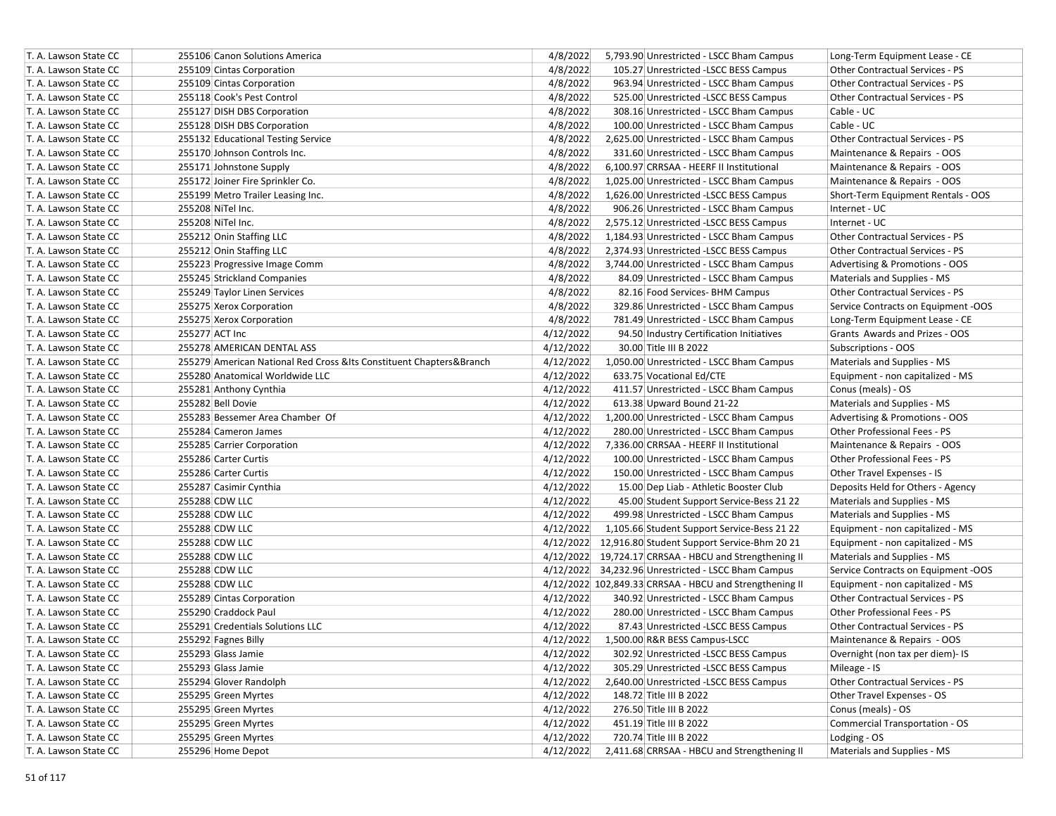| T. A. Lawson State CC | 255106 Canon Solutions America                                         | 4/8/2022  | 5,793.90 Unrestricted - LSCC Bham Campus                | Long-Term Equipment Lease - CE         |
|-----------------------|------------------------------------------------------------------------|-----------|---------------------------------------------------------|----------------------------------------|
| T. A. Lawson State CC | 255109 Cintas Corporation                                              | 4/8/2022  | 105.27 Unrestricted -LSCC BESS Campus                   | <b>Other Contractual Services - PS</b> |
| T. A. Lawson State CC | 255109 Cintas Corporation                                              | 4/8/2022  | 963.94 Unrestricted - LSCC Bham Campus                  | <b>Other Contractual Services - PS</b> |
| T. A. Lawson State CC | 255118 Cook's Pest Control                                             | 4/8/2022  | 525.00 Unrestricted -LSCC BESS Campus                   | <b>Other Contractual Services - PS</b> |
| T. A. Lawson State CC | 255127 DISH DBS Corporation                                            | 4/8/2022  | 308.16 Unrestricted - LSCC Bham Campus                  | Cable - UC                             |
| T. A. Lawson State CC | 255128 DISH DBS Corporation                                            | 4/8/2022  | 100.00 Unrestricted - LSCC Bham Campus                  | Cable - UC                             |
| T. A. Lawson State CC | 255132 Educational Testing Service                                     | 4/8/2022  | 2,625.00 Unrestricted - LSCC Bham Campus                | Other Contractual Services - PS        |
| T. A. Lawson State CC | 255170 Johnson Controls Inc.                                           | 4/8/2022  | 331.60 Unrestricted - LSCC Bham Campus                  | Maintenance & Repairs - OOS            |
| T. A. Lawson State CC | 255171 Johnstone Supply                                                | 4/8/2022  | 6,100.97 CRRSAA - HEERF II Institutional                | Maintenance & Repairs - OOS            |
| T. A. Lawson State CC | 255172 Joiner Fire Sprinkler Co.                                       | 4/8/2022  | 1,025.00 Unrestricted - LSCC Bham Campus                | Maintenance & Repairs - OOS            |
| T. A. Lawson State CC | 255199 Metro Trailer Leasing Inc.                                      | 4/8/2022  | 1,626.00 Unrestricted -LSCC BESS Campus                 | Short-Term Equipment Rentals - OOS     |
| T. A. Lawson State CC | 255208 NiTel Inc.                                                      | 4/8/2022  | 906.26 Unrestricted - LSCC Bham Campus                  | Internet - UC                          |
| T. A. Lawson State CC | 255208 NiTel Inc.                                                      | 4/8/2022  | 2,575.12 Unrestricted -LSCC BESS Campus                 | Internet - UC                          |
| T. A. Lawson State CC | 255212 Onin Staffing LLC                                               | 4/8/2022  | 1,184.93 Unrestricted - LSCC Bham Campus                | Other Contractual Services - PS        |
| T. A. Lawson State CC | 255212 Onin Staffing LLC                                               | 4/8/2022  | 2,374.93 Unrestricted -LSCC BESS Campus                 | Other Contractual Services - PS        |
| T. A. Lawson State CC | 255223 Progressive Image Comm                                          | 4/8/2022  | 3,744.00 Unrestricted - LSCC Bham Campus                | Advertising & Promotions - OOS         |
| T. A. Lawson State CC | 255245 Strickland Companies                                            | 4/8/2022  | 84.09 Unrestricted - LSCC Bham Campus                   | Materials and Supplies - MS            |
| T. A. Lawson State CC | 255249 Taylor Linen Services                                           | 4/8/2022  | 82.16 Food Services- BHM Campus                         | Other Contractual Services - PS        |
| T. A. Lawson State CC | 255275 Xerox Corporation                                               | 4/8/2022  | 329.86 Unrestricted - LSCC Bham Campus                  | Service Contracts on Equipment -OOS    |
| T. A. Lawson State CC | 255275 Xerox Corporation                                               | 4/8/2022  | 781.49 Unrestricted - LSCC Bham Campus                  | Long-Term Equipment Lease - CE         |
| T. A. Lawson State CC | 255277 ACT Inc                                                         | 4/12/2022 | 94.50 Industry Certification Initiatives                | Grants Awards and Prizes - OOS         |
| T. A. Lawson State CC | 255278 AMERICAN DENTAL ASS                                             | 4/12/2022 | 30.00 Title III B 2022                                  | Subscriptions - OOS                    |
| T. A. Lawson State CC | 255279 American National Red Cross & Its Constituent Chapters & Branch | 4/12/2022 | 1,050.00 Unrestricted - LSCC Bham Campus                | Materials and Supplies - MS            |
| T. A. Lawson State CC | 255280 Anatomical Worldwide LLC                                        | 4/12/2022 | 633.75 Vocational Ed/CTE                                | Equipment - non capitalized - MS       |
| T. A. Lawson State CC | 255281 Anthony Cynthia                                                 | 4/12/2022 | 411.57 Unrestricted - LSCC Bham Campus                  | Conus (meals) - OS                     |
| T. A. Lawson State CC | 255282 Bell Dovie                                                      | 4/12/2022 | 613.38 Upward Bound 21-22                               | Materials and Supplies - MS            |
| T. A. Lawson State CC | 255283 Bessemer Area Chamber Of                                        | 4/12/2022 | 1,200.00 Unrestricted - LSCC Bham Campus                | Advertising & Promotions - OOS         |
| T. A. Lawson State CC | 255284 Cameron James                                                   | 4/12/2022 | 280.00 Unrestricted - LSCC Bham Campus                  | <b>Other Professional Fees - PS</b>    |
| T. A. Lawson State CC | 255285 Carrier Corporation                                             | 4/12/2022 | 7,336.00 CRRSAA - HEERF II Institutional                | Maintenance & Repairs - OOS            |
| T. A. Lawson State CC | 255286 Carter Curtis                                                   | 4/12/2022 | 100.00 Unrestricted - LSCC Bham Campus                  | Other Professional Fees - PS           |
| T. A. Lawson State CC | 255286 Carter Curtis                                                   | 4/12/2022 | 150.00 Unrestricted - LSCC Bham Campus                  | Other Travel Expenses - IS             |
| T. A. Lawson State CC | 255287 Casimir Cynthia                                                 | 4/12/2022 | 15.00 Dep Liab - Athletic Booster Club                  | Deposits Held for Others - Agency      |
| T. A. Lawson State CC | 255288 CDW LLC                                                         | 4/12/2022 | 45.00 Student Support Service-Bess 21 22                | Materials and Supplies - MS            |
| T. A. Lawson State CC | 255288 CDW LLC                                                         | 4/12/2022 | 499.98 Unrestricted - LSCC Bham Campus                  | Materials and Supplies - MS            |
| T. A. Lawson State CC | 255288 CDW LLC                                                         | 4/12/2022 | 1,105.66 Student Support Service-Bess 21 22             | Equipment - non capitalized - MS       |
| T. A. Lawson State CC | 255288 CDW LLC                                                         |           | 4/12/2022 12,916.80 Student Support Service-Bhm 20 21   | Equipment - non capitalized - MS       |
| T. A. Lawson State CC | 255288 CDW LLC                                                         |           | 4/12/2022 19,724.17 CRRSAA - HBCU and Strengthening II  | Materials and Supplies - MS            |
| T. A. Lawson State CC | 255288 CDW LLC                                                         |           | 4/12/2022 34,232.96 Unrestricted - LSCC Bham Campus     | Service Contracts on Equipment -OOS    |
| T. A. Lawson State CC | 255288 CDW LLC                                                         |           | 4/12/2022 102,849.33 CRRSAA - HBCU and Strengthening II | Equipment - non capitalized - MS       |
| T. A. Lawson State CC | 255289 Cintas Corporation                                              | 4/12/2022 | 340.92 Unrestricted - LSCC Bham Campus                  | Other Contractual Services - PS        |
| T. A. Lawson State CC | 255290 Craddock Paul                                                   | 4/12/2022 | 280.00 Unrestricted - LSCC Bham Campus                  | Other Professional Fees - PS           |
| T. A. Lawson State CC | 255291 Credentials Solutions LLC                                       | 4/12/2022 | 87.43 Unrestricted -LSCC BESS Campus                    | Other Contractual Services - PS        |
| T. A. Lawson State CC | 255292 Fagnes Billy                                                    | 4/12/2022 | 1,500.00 R&R BESS Campus-LSCC                           | Maintenance & Repairs - OOS            |
| T. A. Lawson State CC | 255293 Glass Jamie                                                     | 4/12/2022 | 302.92 Unrestricted -LSCC BESS Campus                   | Overnight (non tax per diem)- IS       |
| T. A. Lawson State CC | 255293 Glass Jamie                                                     | 4/12/2022 | 305.29 Unrestricted -LSCC BESS Campus                   | Mileage - IS                           |
| T. A. Lawson State CC | 255294 Glover Randolph                                                 | 4/12/2022 | 2,640.00 Unrestricted -LSCC BESS Campus                 | Other Contractual Services - PS        |
| T. A. Lawson State CC | 255295 Green Myrtes                                                    | 4/12/2022 | 148.72 Title III B 2022                                 | Other Travel Expenses - OS             |
| T. A. Lawson State CC | 255295 Green Myrtes                                                    | 4/12/2022 | 276.50 Title III B 2022                                 | Conus (meals) - OS                     |
| T. A. Lawson State CC | 255295 Green Myrtes                                                    | 4/12/2022 | 451.19 Title III B 2022                                 | <b>Commercial Transportation - OS</b>  |
| T. A. Lawson State CC | 255295 Green Myrtes                                                    | 4/12/2022 | 720.74 Title III B 2022                                 | Lodging - OS                           |
| T. A. Lawson State CC | 255296 Home Depot                                                      | 4/12/2022 | 2,411.68 CRRSAA - HBCU and Strengthening II             | Materials and Supplies - MS            |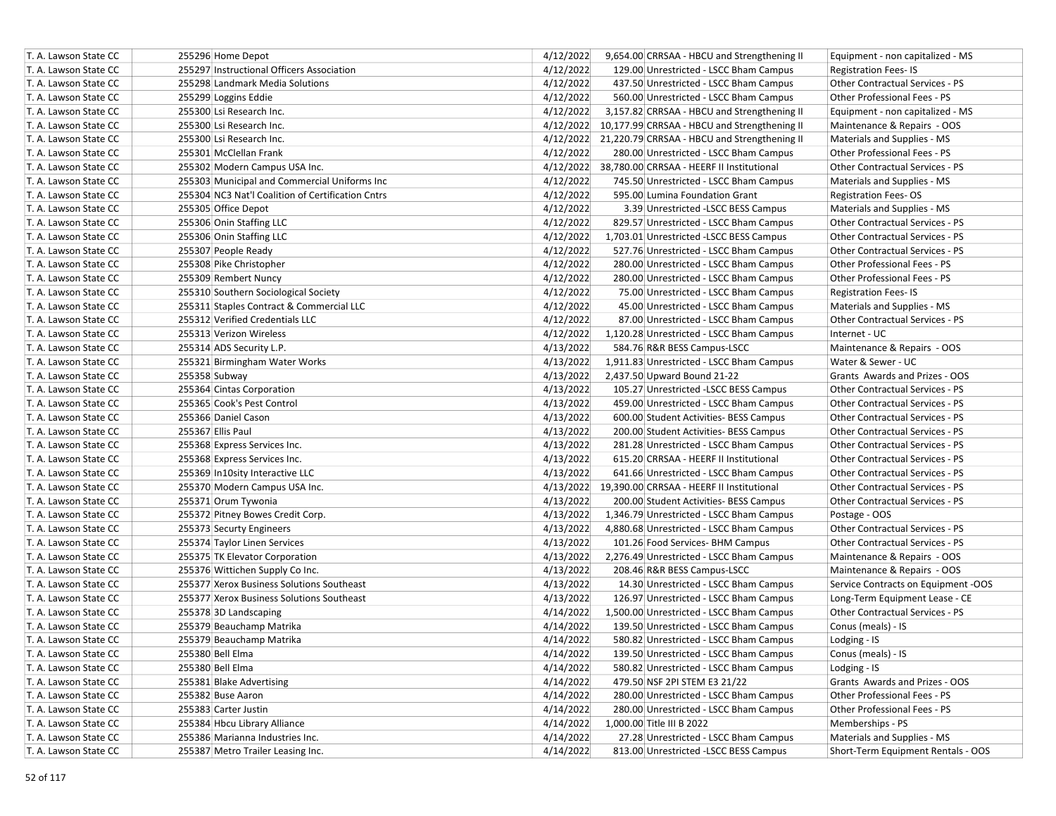| T. A. Lawson State CC                          | 255296 Home Depot                                                                      | 4/12/2022<br>9,654.00 CRRSAA - HBCU and Strengthening II<br>Equipment - non capitalized - MS               |
|------------------------------------------------|----------------------------------------------------------------------------------------|------------------------------------------------------------------------------------------------------------|
| T. A. Lawson State CC                          | 255297 Instructional Officers Association                                              | 4/12/2022<br>129.00 Unrestricted - LSCC Bham Campus<br><b>Registration Fees-IS</b>                         |
| T. A. Lawson State CC                          | 255298 Landmark Media Solutions                                                        | 4/12/2022<br>437.50 Unrestricted - LSCC Bham Campus<br>Other Contractual Services - PS                     |
| T. A. Lawson State CC                          | 255299 Loggins Eddie                                                                   | 4/12/2022<br>Other Professional Fees - PS<br>560.00 Unrestricted - LSCC Bham Campus                        |
| T. A. Lawson State CC                          | 255300 Lsi Research Inc.                                                               | 4/12/2022<br>3,157.82 CRRSAA - HBCU and Strengthening II<br>Equipment - non capitalized - MS               |
| T. A. Lawson State CC                          | 255300 Lsi Research Inc.                                                               | 4/12/2022 10,177.99 CRRSAA - HBCU and Strengthening II<br>Maintenance & Repairs - OOS                      |
| T. A. Lawson State CC                          | 255300 Lsi Research Inc.                                                               | 4/12/2022 21,220.79 CRRSAA - HBCU and Strengthening II<br>Materials and Supplies - MS                      |
| T. A. Lawson State CC                          | 255301 McClellan Frank                                                                 | 4/12/2022<br>Other Professional Fees - PS<br>280.00 Unrestricted - LSCC Bham Campus                        |
| T. A. Lawson State CC                          | 255302 Modern Campus USA Inc.                                                          | 4/12/2022 38,780.00 CRRSAA - HEERF II Institutional<br>Other Contractual Services - PS                     |
| T. A. Lawson State CC                          | 255303 Municipal and Commercial Uniforms Inc                                           | 4/12/2022<br>745.50 Unrestricted - LSCC Bham Campus<br>Materials and Supplies - MS                         |
| T. A. Lawson State CC                          | 255304 NC3 Nat'l Coalition of Certification Cntrs                                      | 4/12/2022<br>595.00 Lumina Foundation Grant<br><b>Registration Fees-OS</b>                                 |
| T. A. Lawson State CC                          | 255305 Office Depot                                                                    | 4/12/2022<br>3.39 Unrestricted -LSCC BESS Campus<br>Materials and Supplies - MS                            |
| T. A. Lawson State CC                          | 255306 Onin Staffing LLC                                                               | 4/12/2022<br>829.57 Unrestricted - LSCC Bham Campus<br><b>Other Contractual Services - PS</b>              |
| T. A. Lawson State CC                          | 255306 Onin Staffing LLC                                                               | 4/12/2022<br><b>Other Contractual Services - PS</b><br>1,703.01 Unrestricted -LSCC BESS Campus             |
| T. A. Lawson State CC                          | 255307 People Ready                                                                    | 4/12/2022<br>527.76 Unrestricted - LSCC Bham Campus<br><b>Other Contractual Services - PS</b>              |
| T. A. Lawson State CC                          | 255308 Pike Christopher                                                                | 4/12/2022<br>280.00 Unrestricted - LSCC Bham Campus<br>Other Professional Fees - PS                        |
| T. A. Lawson State CC                          | 255309 Rembert Nuncy                                                                   | 4/12/2022<br>Other Professional Fees - PS<br>280.00 Unrestricted - LSCC Bham Campus                        |
| T. A. Lawson State CC                          | 255310 Southern Sociological Society                                                   | 4/12/2022<br>75.00 Unrestricted - LSCC Bham Campus<br><b>Registration Fees-IS</b>                          |
| T. A. Lawson State CC                          | 255311 Staples Contract & Commercial LLC                                               | 4/12/2022<br>45.00 Unrestricted - LSCC Bham Campus<br>Materials and Supplies - MS                          |
| T. A. Lawson State CC                          | 255312 Verified Credentials LLC                                                        | 4/12/2022<br>87.00 Unrestricted - LSCC Bham Campus<br>Other Contractual Services - PS                      |
| T. A. Lawson State CC                          | 255313 Verizon Wireless                                                                | 4/12/2022<br>Internet - UC<br>1,120.28 Unrestricted - LSCC Bham Campus                                     |
| T. A. Lawson State CC                          | 255314 ADS Security L.P.                                                               | 4/13/2022<br>Maintenance & Repairs - OOS<br>584.76 R&R BESS Campus-LSCC                                    |
| T. A. Lawson State CC                          | 255321 Birmingham Water Works                                                          | 4/13/2022<br>1,911.83 Unrestricted - LSCC Bham Campus<br>Water & Sewer - UC                                |
| T. A. Lawson State CC                          | 255358 Subway                                                                          | 4/13/2022<br>2,437.50 Upward Bound 21-22<br>Grants Awards and Prizes - OOS                                 |
| T. A. Lawson State CC                          | 255364 Cintas Corporation                                                              | 4/13/2022<br><b>Other Contractual Services - PS</b>                                                        |
| T. A. Lawson State CC                          | 255365 Cook's Pest Control                                                             | 105.27 Unrestricted -LSCC BESS Campus<br>4/13/2022<br><b>Other Contractual Services - PS</b>               |
|                                                |                                                                                        | 459.00 Unrestricted - LSCC Bham Campus<br>600.00 Student Activities- BESS Campus                           |
| T. A. Lawson State CC<br>T. A. Lawson State CC | 255366 Daniel Cason<br>255367 Ellis Paul                                               | 4/13/2022<br><b>Other Contractual Services - PS</b><br>4/13/2022<br><b>Other Contractual Services - PS</b> |
|                                                |                                                                                        | 200.00 Student Activities- BESS Campus<br>4/13/2022                                                        |
| T. A. Lawson State CC                          | 255368 Express Services Inc.                                                           | 281.28 Unrestricted - LSCC Bham Campus<br>Other Contractual Services - PS                                  |
| T. A. Lawson State CC                          | 255368 Express Services Inc.                                                           | 4/13/2022<br>615.20 CRRSAA - HEERF II Institutional<br><b>Other Contractual Services - PS</b>              |
| T. A. Lawson State CC                          | 255369 In10sity Interactive LLC                                                        | 4/13/2022<br>641.66 Unrestricted - LSCC Bham Campus<br><b>Other Contractual Services - PS</b>              |
| T. A. Lawson State CC                          | 255370 Modern Campus USA Inc.                                                          | 4/13/2022 19,390.00 CRRSAA - HEERF II Institutional<br><b>Other Contractual Services - PS</b>              |
| T. A. Lawson State CC                          | 255371 Orum Tywonia                                                                    | 4/13/2022<br>200.00 Student Activities- BESS Campus<br>Other Contractual Services - PS                     |
| T. A. Lawson State CC                          | 255372 Pitney Bowes Credit Corp.                                                       | 4/13/2022<br>1,346.79 Unrestricted - LSCC Bham Campus<br>Postage - OOS                                     |
| T. A. Lawson State CC                          | 255373 Securty Engineers                                                               | 4/13/2022<br>4,880.68 Unrestricted - LSCC Bham Campus<br>Other Contractual Services - PS                   |
| T. A. Lawson State CC                          | 255374 Taylor Linen Services                                                           | 4/13/2022<br><b>Other Contractual Services - PS</b><br>101.26 Food Services- BHM Campus                    |
| T. A. Lawson State CC                          | 255375 TK Elevator Corporation                                                         | 4/13/2022<br>Maintenance & Repairs - OOS<br>2,276.49 Unrestricted - LSCC Bham Campus                       |
| T. A. Lawson State CC                          | 255376 Wittichen Supply Co Inc.                                                        | 4/13/2022<br>208.46 R&R BESS Campus-LSCC<br>Maintenance & Repairs - OOS                                    |
| T. A. Lawson State CC                          | 255377 Xerox Business Solutions Southeast<br>255377 Xerox Business Solutions Southeast | 4/13/2022<br>14.30 Unrestricted - LSCC Bham Campus<br>Service Contracts on Equipment -OOS<br>4/13/2022     |
| T. A. Lawson State CC                          |                                                                                        | 126.97 Unrestricted - LSCC Bham Campus<br>Long-Term Equipment Lease - CE                                   |
| T. A. Lawson State CC                          | 255378 3D Landscaping                                                                  | 4/14/2022<br>Other Contractual Services - PS<br>1,500.00 Unrestricted - LSCC Bham Campus                   |
| T. A. Lawson State CC                          | 255379 Beauchamp Matrika                                                               | 4/14/2022<br>139.50 Unrestricted - LSCC Bham Campus<br>Conus (meals) - IS                                  |
| T. A. Lawson State CC                          | 255379 Beauchamp Matrika                                                               | 4/14/2022<br>580.82 Unrestricted - LSCC Bham Campus<br>Lodging - IS                                        |
| T. A. Lawson State CC                          | 255380 Bell Elma                                                                       | 4/14/2022<br>139.50 Unrestricted - LSCC Bham Campus<br>Conus (meals) - IS                                  |
| T. A. Lawson State CC                          | 255380 Bell Elma                                                                       | 4/14/2022<br>580.82 Unrestricted - LSCC Bham Campus<br>Lodging - IS                                        |
| T. A. Lawson State CC                          | 255381 Blake Advertising                                                               | 4/14/2022<br>Grants Awards and Prizes - OOS<br>479.50 NSF 2PI STEM E3 21/22                                |
| T. A. Lawson State CC                          | 255382 Buse Aaron                                                                      | 4/14/2022<br>280.00 Unrestricted - LSCC Bham Campus<br>Other Professional Fees - PS                        |
| T. A. Lawson State CC                          | 255383 Carter Justin                                                                   | 4/14/2022<br>280.00 Unrestricted - LSCC Bham Campus<br>Other Professional Fees - PS                        |
| T. A. Lawson State CC                          | 255384 Hbcu Library Alliance                                                           | 4/14/2022<br>1,000.00 Title III B 2022<br>Memberships - PS                                                 |
| T. A. Lawson State CC                          | 255386 Marianna Industries Inc.                                                        | 27.28 Unrestricted - LSCC Bham Campus<br>Materials and Supplies - MS<br>4/14/2022                          |
| T. A. Lawson State CC                          | 255387 Metro Trailer Leasing Inc.                                                      | 4/14/2022<br>813.00 Unrestricted -LSCC BESS Campus<br>Short-Term Equipment Rentals - OOS                   |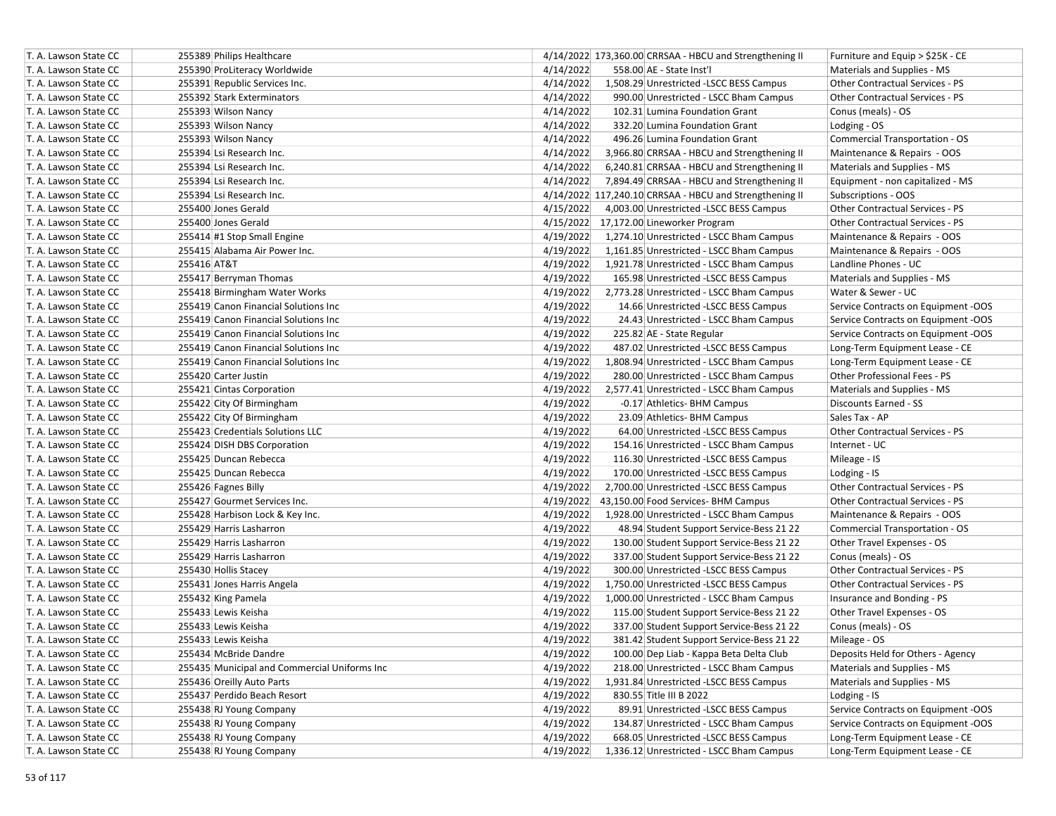| T. A. Lawson State CC | 255389 Philips Healthcare                    | 4/14/2022 173,360.00 CRRSAA - HBCU and Strengthening II<br>Furniture and Equip > \$25K - CE   |  |
|-----------------------|----------------------------------------------|-----------------------------------------------------------------------------------------------|--|
| T. A. Lawson State CC | 255390 ProLiteracy Worldwide                 | 4/14/2022<br>558.00 AE - State Inst'l<br>Materials and Supplies - MS                          |  |
| T. A. Lawson State CC | 255391 Republic Services Inc.                | 4/14/2022<br>1,508.29 Unrestricted -LSCC BESS Campus<br>Other Contractual Services - PS       |  |
| T. A. Lawson State CC | 255392 Stark Exterminators                   | 4/14/2022<br>990.00 Unrestricted - LSCC Bham Campus<br><b>Other Contractual Services - PS</b> |  |
| T. A. Lawson State CC | 255393 Wilson Nancy                          | 4/14/2022<br>102.31 Lumina Foundation Grant<br>Conus (meals) - OS                             |  |
| T. A. Lawson State CC | 255393 Wilson Nancy                          | 4/14/2022<br>332.20 Lumina Foundation Grant<br>Lodging - OS                                   |  |
| T. A. Lawson State CC | 255393 Wilson Nancy                          | 4/14/2022<br>496.26 Lumina Foundation Grant<br><b>Commercial Transportation - OS</b>          |  |
| T. A. Lawson State CC | 255394 Lsi Research Inc.                     | 4/14/2022<br>3,966.80 CRRSAA - HBCU and Strengthening II<br>Maintenance & Repairs - OOS       |  |
| T. A. Lawson State CC | 255394 Lsi Research Inc.                     | 4/14/2022<br>6,240.81 CRRSAA - HBCU and Strengthening II<br>Materials and Supplies - MS       |  |
| T. A. Lawson State CC | 255394 Lsi Research Inc.                     | 4/14/2022<br>7,894.49 CRRSAA - HBCU and Strengthening II<br>Equipment - non capitalized - MS  |  |
| T. A. Lawson State CC | 255394 Lsi Research Inc.                     | 4/14/2022 117,240.10 CRRSAA - HBCU and Strengthening II<br>Subscriptions - OOS                |  |
| T. A. Lawson State CC | 255400 Jones Gerald                          | 4/15/2022<br>4,003.00 Unrestricted -LSCC BESS Campus<br>Other Contractual Services - PS       |  |
| T. A. Lawson State CC | 255400 Jones Gerald                          | 4/15/2022 17,172.00 Lineworker Program<br>Other Contractual Services - PS                     |  |
| T. A. Lawson State CC | 255414 #1 Stop Small Engine                  | 4/19/2022<br>1,274.10 Unrestricted - LSCC Bham Campus<br>Maintenance & Repairs - OOS          |  |
| T. A. Lawson State CC | 255415 Alabama Air Power Inc.                | 4/19/2022<br>1,161.85 Unrestricted - LSCC Bham Campus<br>Maintenance & Repairs - OOS          |  |
| T. A. Lawson State CC | 255416 AT&T                                  | 4/19/2022<br>1,921.78 Unrestricted - LSCC Bham Campus<br>Landline Phones - UC                 |  |
| T. A. Lawson State CC | 255417 Berryman Thomas                       | 4/19/2022<br>165.98 Unrestricted -LSCC BESS Campus<br>Materials and Supplies - MS             |  |
| T. A. Lawson State CC | 255418 Birmingham Water Works                | 4/19/2022<br>Water & Sewer - UC<br>2,773.28 Unrestricted - LSCC Bham Campus                   |  |
| T. A. Lawson State CC | 255419 Canon Financial Solutions Inc         | 4/19/2022<br>14.66 Unrestricted -LSCC BESS Campus<br>Service Contracts on Equipment -OOS      |  |
| T. A. Lawson State CC | 255419 Canon Financial Solutions Inc         | 4/19/2022<br>Service Contracts on Equipment -OOS<br>24.43 Unrestricted - LSCC Bham Campus     |  |
| T. A. Lawson State CC | 255419 Canon Financial Solutions Inc         | 4/19/2022<br>Service Contracts on Equipment -OOS<br>225.82 AE - State Regular                 |  |
| T. A. Lawson State CC | 255419 Canon Financial Solutions Inc         | 4/19/2022<br>487.02 Unrestricted -LSCC BESS Campus<br>Long-Term Equipment Lease - CE          |  |
| T. A. Lawson State CC | 255419 Canon Financial Solutions Inc         | 4/19/2022<br>1,808.94 Unrestricted - LSCC Bham Campus<br>Long-Term Equipment Lease - CE       |  |
| T. A. Lawson State CC | 255420 Carter Justin                         | 4/19/2022<br>280.00 Unrestricted - LSCC Bham Campus<br>Other Professional Fees - PS           |  |
| T. A. Lawson State CC | 255421 Cintas Corporation                    | 4/19/2022<br>2,577.41 Unrestricted - LSCC Bham Campus<br>Materials and Supplies - MS          |  |
| T. A. Lawson State CC | 255422 City Of Birmingham                    | 4/19/2022<br>-0.17 Athletics- BHM Campus<br><b>Discounts Earned - SS</b>                      |  |
| T. A. Lawson State CC | 255422 City Of Birmingham                    | 4/19/2022<br>23.09 Athletics- BHM Campus<br>Sales Tax - AP                                    |  |
| T. A. Lawson State CC | 255423 Credentials Solutions LLC             | 4/19/2022<br>64.00 Unrestricted -LSCC BESS Campus<br>Other Contractual Services - PS          |  |
| T. A. Lawson State CC | 255424 DISH DBS Corporation                  | 4/19/2022<br>154.16 Unrestricted - LSCC Bham Campus<br>Internet - UC                          |  |
| T. A. Lawson State CC | 255425 Duncan Rebecca                        | 4/19/2022<br>116.30 Unrestricted -LSCC BESS Campus<br>Mileage - IS                            |  |
| T. A. Lawson State CC | 255425 Duncan Rebecca                        | 4/19/2022<br>170.00 Unrestricted -LSCC BESS Campus<br>Lodging - IS                            |  |
| T. A. Lawson State CC | 255426 Fagnes Billy                          | 4/19/2022<br>2,700.00 Unrestricted -LSCC BESS Campus<br>Other Contractual Services - PS       |  |
| T. A. Lawson State CC | 255427 Gourmet Services Inc.                 | 4/19/2022<br>Other Contractual Services - PS<br>43,150.00 Food Services- BHM Campus           |  |
| T. A. Lawson State CC | 255428 Harbison Lock & Key Inc.              | 4/19/2022<br>1,928.00 Unrestricted - LSCC Bham Campus<br>Maintenance & Repairs - OOS          |  |
| T. A. Lawson State CC | 255429 Harris Lasharron                      | 4/19/2022<br>48.94 Student Support Service-Bess 21 22<br>Commercial Transportation - OS       |  |
| T. A. Lawson State CC | 255429 Harris Lasharron                      | 4/19/2022<br>130.00 Student Support Service-Bess 21 22<br>Other Travel Expenses - OS          |  |
| T. A. Lawson State CC | 255429 Harris Lasharron                      | 4/19/2022<br>337.00 Student Support Service-Bess 21 22<br>Conus (meals) - OS                  |  |
| T. A. Lawson State CC | 255430 Hollis Stacey                         | 4/19/2022<br>300.00 Unrestricted -LSCC BESS Campus<br><b>Other Contractual Services - PS</b>  |  |
| T. A. Lawson State CC | 255431 Jones Harris Angela                   | 4/19/2022<br>1,750.00 Unrestricted -LSCC BESS Campus<br>Other Contractual Services - PS       |  |
| T. A. Lawson State CC | 255432 King Pamela                           | 4/19/2022<br>1,000.00 Unrestricted - LSCC Bham Campus<br>Insurance and Bonding - PS           |  |
| T. A. Lawson State CC | 255433 Lewis Keisha                          | 4/19/2022<br>Other Travel Expenses - OS<br>115.00 Student Support Service-Bess 21 22          |  |
| T. A. Lawson State CC | 255433 Lewis Keisha                          | 4/19/2022<br>337.00 Student Support Service-Bess 21 22<br>Conus (meals) - OS                  |  |
| T. A. Lawson State CC | 255433 Lewis Keisha                          | 4/19/2022<br>381.42 Student Support Service-Bess 21 22<br>Mileage - OS                        |  |
| T. A. Lawson State CC | 255434 McBride Dandre                        | 4/19/2022<br>100.00 Dep Liab - Kappa Beta Delta Club<br>Deposits Held for Others - Agency     |  |
| T. A. Lawson State CC | 255435 Municipal and Commercial Uniforms Inc | 4/19/2022<br>218.00 Unrestricted - LSCC Bham Campus<br>Materials and Supplies - MS            |  |
| T. A. Lawson State CC | 255436 Oreilly Auto Parts                    | 4/19/2022<br>1,931.84 Unrestricted -LSCC BESS Campus<br>Materials and Supplies - MS           |  |
| T. A. Lawson State CC | 255437 Perdido Beach Resort                  | 4/19/2022<br>830.55 Title III B 2022<br>Lodging - IS                                          |  |
| T. A. Lawson State CC | 255438 RJ Young Company                      | Service Contracts on Equipment -OOS<br>4/19/2022<br>89.91 Unrestricted -LSCC BESS Campus      |  |
| T. A. Lawson State CC | 255438 RJ Young Company                      | Service Contracts on Equipment -OOS<br>4/19/2022<br>134.87 Unrestricted - LSCC Bham Campus    |  |
| T. A. Lawson State CC | 255438 RJ Young Company                      | Long-Term Equipment Lease - CE<br>4/19/2022<br>668.05 Unrestricted -LSCC BESS Campus          |  |
| T. A. Lawson State CC | 255438 RJ Young Company                      | 4/19/2022<br>1,336.12 Unrestricted - LSCC Bham Campus<br>Long-Term Equipment Lease - CE       |  |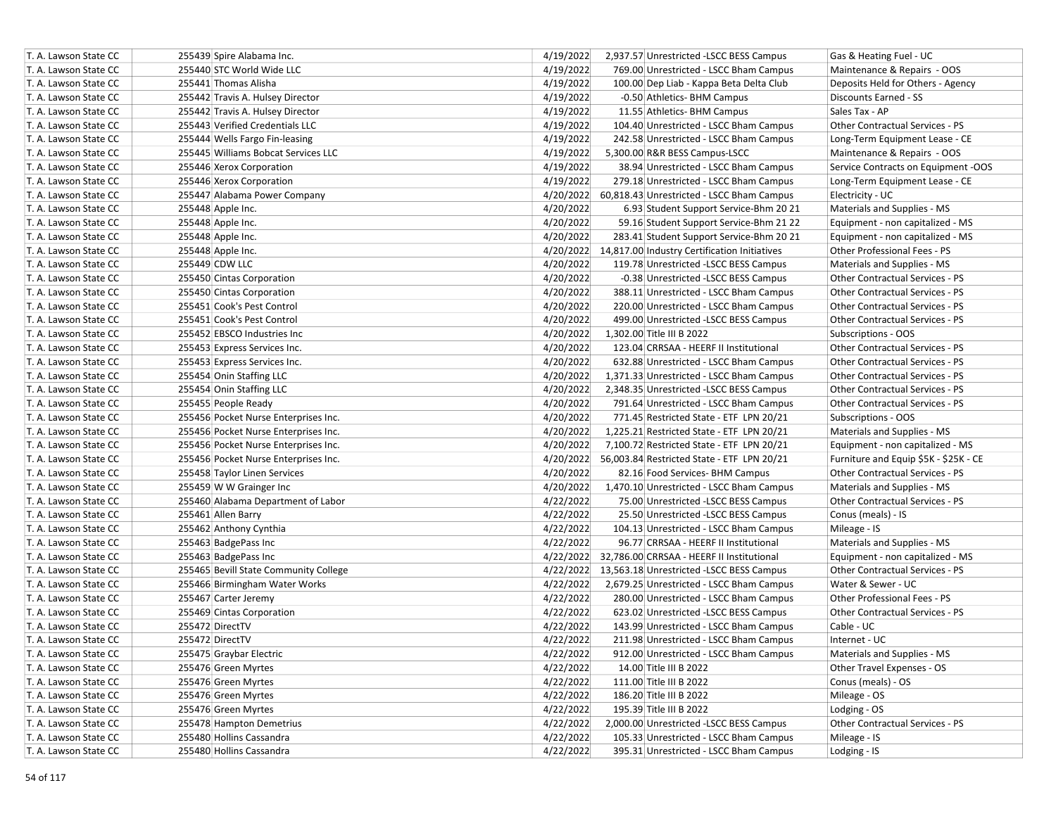| T. A. Lawson State CC | 255439 Spire Alabama Inc.             | 4/19/2022<br>2,937.57 Unrestricted -LSCC BESS Campus   | Gas & Heating Fuel - UC                |
|-----------------------|---------------------------------------|--------------------------------------------------------|----------------------------------------|
| T. A. Lawson State CC | 255440 STC World Wide LLC             | 4/19/2022<br>769.00 Unrestricted - LSCC Bham Campus    | Maintenance & Repairs - OOS            |
| T. A. Lawson State CC | 255441 Thomas Alisha                  | 4/19/2022<br>100.00 Dep Liab - Kappa Beta Delta Club   | Deposits Held for Others - Agency      |
| T. A. Lawson State CC | 255442 Travis A. Hulsey Director      | 4/19/2022<br>-0.50 Athletics- BHM Campus               | Discounts Earned - SS                  |
| T. A. Lawson State CC | 255442 Travis A. Hulsey Director      | 4/19/2022<br>11.55 Athletics- BHM Campus               | Sales Tax - AP                         |
| T. A. Lawson State CC | 255443 Verified Credentials LLC       | 4/19/2022<br>104.40 Unrestricted - LSCC Bham Campus    | Other Contractual Services - PS        |
| T. A. Lawson State CC | 255444 Wells Fargo Fin-leasing        | 4/19/2022<br>242.58 Unrestricted - LSCC Bham Campus    | Long-Term Equipment Lease - CE         |
| T. A. Lawson State CC | 255445 Williams Bobcat Services LLC   | 4/19/2022<br>5,300.00 R&R BESS Campus-LSCC             | Maintenance & Repairs - OOS            |
| T. A. Lawson State CC | 255446 Xerox Corporation              | 4/19/2022<br>38.94 Unrestricted - LSCC Bham Campus     | Service Contracts on Equipment -OOS    |
| T. A. Lawson State CC | 255446 Xerox Corporation              | 4/19/2022<br>279.18 Unrestricted - LSCC Bham Campus    | Long-Term Equipment Lease - CE         |
| T. A. Lawson State CC | 255447 Alabama Power Company          | 4/20/2022 60,818.43 Unrestricted - LSCC Bham Campus    | Electricity - UC                       |
| T. A. Lawson State CC | 255448 Apple Inc.                     | 4/20/2022<br>6.93 Student Support Service-Bhm 20 21    | Materials and Supplies - MS            |
| T. A. Lawson State CC | 255448 Apple Inc.                     | 4/20/2022<br>59.16 Student Support Service-Bhm 21 22   | Equipment - non capitalized - MS       |
| T. A. Lawson State CC | 255448 Apple Inc.                     | 4/20/2022<br>283.41 Student Support Service-Bhm 20 21  | Equipment - non capitalized - MS       |
| T. A. Lawson State CC | 255448 Apple Inc.                     | 4/20/2022 14,817.00 Industry Certification Initiatives | Other Professional Fees - PS           |
| T. A. Lawson State CC | 255449 CDW LLC                        | 4/20/2022<br>119.78 Unrestricted -LSCC BESS Campus     | Materials and Supplies - MS            |
| T. A. Lawson State CC | 255450 Cintas Corporation             | 4/20/2022<br>-0.38 Unrestricted -LSCC BESS Campus      | Other Contractual Services - PS        |
| T. A. Lawson State CC | 255450 Cintas Corporation             | 4/20/2022<br>388.11 Unrestricted - LSCC Bham Campus    | Other Contractual Services - PS        |
| T. A. Lawson State CC | 255451 Cook's Pest Control            | 4/20/2022<br>220.00 Unrestricted - LSCC Bham Campus    | <b>Other Contractual Services - PS</b> |
| T. A. Lawson State CC | 255451 Cook's Pest Control            | 4/20/2022<br>499.00 Unrestricted -LSCC BESS Campus     | <b>Other Contractual Services - PS</b> |
| T. A. Lawson State CC | 255452 EBSCO Industries Inc           | 4/20/2022<br>1,302.00 Title III B 2022                 | Subscriptions - OOS                    |
| T. A. Lawson State CC | 255453 Express Services Inc.          | 4/20/2022<br>123.04 CRRSAA - HEERF II Institutional    | Other Contractual Services - PS        |
| T. A. Lawson State CC | 255453 Express Services Inc.          | 4/20/2022<br>632.88 Unrestricted - LSCC Bham Campus    | <b>Other Contractual Services - PS</b> |
| T. A. Lawson State CC | 255454 Onin Staffing LLC              | 4/20/2022<br>1,371.33 Unrestricted - LSCC Bham Campus  | <b>Other Contractual Services - PS</b> |
| T. A. Lawson State CC | 255454 Onin Staffing LLC              | 4/20/2022<br>2,348.35 Unrestricted -LSCC BESS Campus   | Other Contractual Services - PS        |
| T. A. Lawson State CC | 255455 People Ready                   | 4/20/2022<br>791.64 Unrestricted - LSCC Bham Campus    | <b>Other Contractual Services - PS</b> |
| T. A. Lawson State CC | 255456 Pocket Nurse Enterprises Inc.  | 4/20/2022<br>771.45 Restricted State - ETF LPN 20/21   | Subscriptions - OOS                    |
| T. A. Lawson State CC | 255456 Pocket Nurse Enterprises Inc.  | 4/20/2022<br>1,225.21 Restricted State - ETF LPN 20/21 | Materials and Supplies - MS            |
| T. A. Lawson State CC | 255456 Pocket Nurse Enterprises Inc.  | 4/20/2022<br>7,100.72 Restricted State - ETF LPN 20/21 | Equipment - non capitalized - MS       |
| T. A. Lawson State CC | 255456 Pocket Nurse Enterprises Inc.  | 4/20/2022 56,003.84 Restricted State - ETF LPN 20/21   | Furniture and Equip \$5K - \$25K - CE  |
| T. A. Lawson State CC | 255458 Taylor Linen Services          | 4/20/2022<br>82.16 Food Services- BHM Campus           | Other Contractual Services - PS        |
| T. A. Lawson State CC | 255459 W W Grainger Inc               | 4/20/2022<br>1,470.10 Unrestricted - LSCC Bham Campus  | Materials and Supplies - MS            |
| T. A. Lawson State CC | 255460 Alabama Department of Labor    | 4/22/2022<br>75.00 Unrestricted -LSCC BESS Campus      | Other Contractual Services - PS        |
| T. A. Lawson State CC | 255461 Allen Barry                    | 4/22/2022<br>25.50 Unrestricted -LSCC BESS Campus      | Conus (meals) - IS                     |
| T. A. Lawson State CC | 255462 Anthony Cynthia                | 4/22/2022<br>104.13 Unrestricted - LSCC Bham Campus    | Mileage - IS                           |
| T. A. Lawson State CC | 255463 BadgePass Inc                  | 4/22/2022<br>96.77 CRRSAA - HEERF II Institutional     | Materials and Supplies - MS            |
| T. A. Lawson State CC | 255463 BadgePass Inc                  | 4/22/2022 32,786.00 CRRSAA - HEERF II Institutional    | Equipment - non capitalized - MS       |
| T. A. Lawson State CC | 255465 Bevill State Community College | 4/22/2022 13.563.18 Unrestricted -LSCC BESS Campus     | <b>Other Contractual Services - PS</b> |
| T. A. Lawson State CC | 255466 Birmingham Water Works         | 4/22/2022<br>2,679.25 Unrestricted - LSCC Bham Campus  | Water & Sewer - UC                     |
| T. A. Lawson State CC | 255467 Carter Jeremy                  | 4/22/2022<br>280.00 Unrestricted - LSCC Bham Campus    | Other Professional Fees - PS           |
| T. A. Lawson State CC | 255469 Cintas Corporation             | 4/22/2022<br>623.02 Unrestricted -LSCC BESS Campus     | Other Contractual Services - PS        |
| T. A. Lawson State CC | 255472 DirectTV                       | 4/22/2022<br>143.99 Unrestricted - LSCC Bham Campus    | Cable - UC                             |
| T. A. Lawson State CC | 255472 DirectTV                       | 4/22/2022<br>211.98 Unrestricted - LSCC Bham Campus    | Internet - UC                          |
| T. A. Lawson State CC | 255475 Graybar Electric               | 4/22/2022<br>912.00 Unrestricted - LSCC Bham Campus    | Materials and Supplies - MS            |
| T. A. Lawson State CC | 255476 Green Myrtes                   | 4/22/2022<br>14.00 Title III B 2022                    | Other Travel Expenses - OS             |
| T. A. Lawson State CC | 255476 Green Myrtes                   | 4/22/2022<br>111.00 Title III B 2022                   | Conus (meals) - OS                     |
| T. A. Lawson State CC | 255476 Green Myrtes                   | 4/22/2022<br>186.20 Title III B 2022                   | Mileage - OS                           |
| T. A. Lawson State CC | 255476 Green Myrtes                   | 4/22/2022<br>195.39 Title III B 2022                   | Lodging - OS                           |
| T. A. Lawson State CC | 255478 Hampton Demetrius              | 4/22/2022<br>2,000.00 Unrestricted -LSCC BESS Campus   | Other Contractual Services - PS        |
| T. A. Lawson State CC | 255480 Hollins Cassandra              | 4/22/2022<br>105.33 Unrestricted - LSCC Bham Campus    | Mileage - IS                           |
| T. A. Lawson State CC | 255480 Hollins Cassandra              | 4/22/2022<br>395.31 Unrestricted - LSCC Bham Campus    | Lodging - IS                           |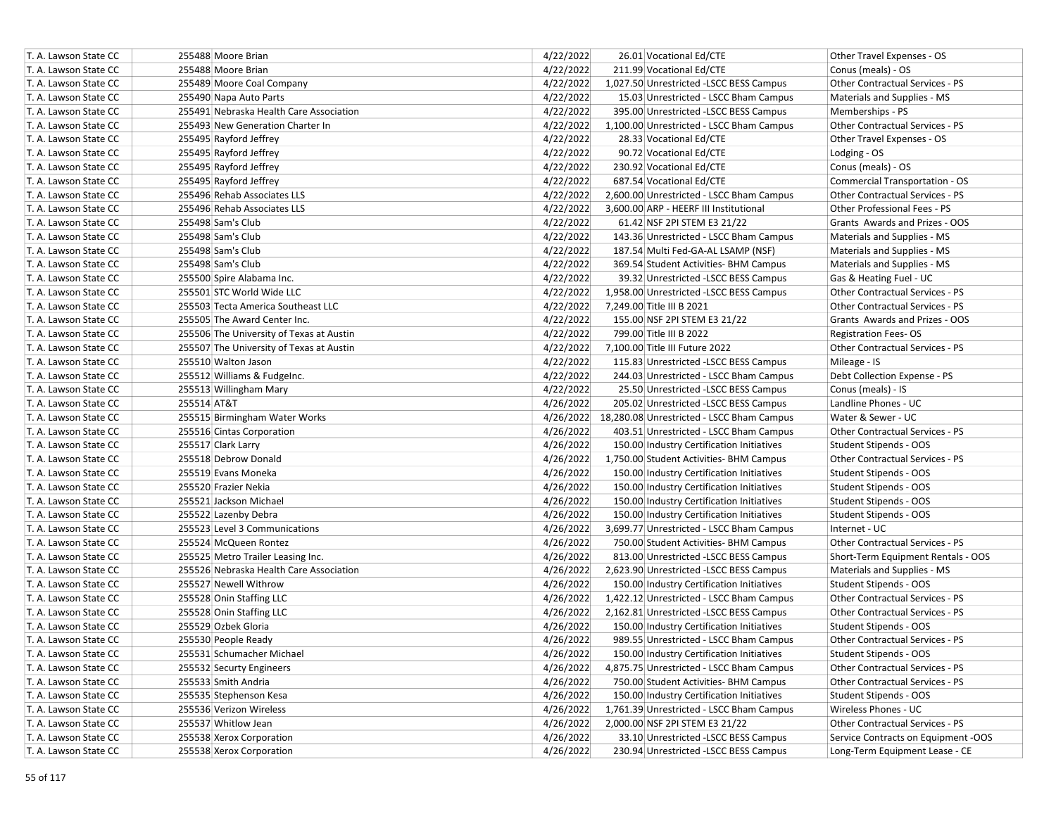| T. A. Lawson State CC | 255488 Moore Brian                       | 4/22/2022 | 26.01 Vocational Ed/CTE                             | Other Travel Expenses - OS             |
|-----------------------|------------------------------------------|-----------|-----------------------------------------------------|----------------------------------------|
| T. A. Lawson State CC | 255488 Moore Brian                       | 4/22/2022 | 211.99 Vocational Ed/CTE                            | Conus (meals) - OS                     |
| T. A. Lawson State CC | 255489 Moore Coal Company                | 4/22/2022 | 1,027.50 Unrestricted -LSCC BESS Campus             | Other Contractual Services - PS        |
| T. A. Lawson State CC | 255490 Napa Auto Parts                   | 4/22/2022 | 15.03 Unrestricted - LSCC Bham Campus               | Materials and Supplies - MS            |
| T. A. Lawson State CC | 255491 Nebraska Health Care Association  | 4/22/2022 | 395.00 Unrestricted -LSCC BESS Campus               | Memberships - PS                       |
| T. A. Lawson State CC | 255493 New Generation Charter In         | 4/22/2022 | 1,100.00 Unrestricted - LSCC Bham Campus            | Other Contractual Services - PS        |
| T. A. Lawson State CC | 255495 Rayford Jeffrey                   | 4/22/2022 | 28.33 Vocational Ed/CTE                             | Other Travel Expenses - OS             |
| T. A. Lawson State CC | 255495 Rayford Jeffrey                   | 4/22/2022 | 90.72 Vocational Ed/CTE                             | Lodging - OS                           |
| T. A. Lawson State CC | 255495 Rayford Jeffrey                   | 4/22/2022 | 230.92 Vocational Ed/CTE                            | Conus (meals) - OS                     |
| T. A. Lawson State CC | 255495 Rayford Jeffrey                   | 4/22/2022 | 687.54 Vocational Ed/CTE                            | Commercial Transportation - OS         |
| T. A. Lawson State CC | 255496 Rehab Associates LLS              | 4/22/2022 | 2,600.00 Unrestricted - LSCC Bham Campus            | Other Contractual Services - PS        |
| T. A. Lawson State CC | 255496 Rehab Associates LLS              | 4/22/2022 | 3,600.00 ARP - HEERF III Institutional              | Other Professional Fees - PS           |
| T. A. Lawson State CC | 255498 Sam's Club                        | 4/22/2022 | 61.42 NSF 2PI STEM E3 21/22                         | Grants Awards and Prizes - OOS         |
| T. A. Lawson State CC | 255498 Sam's Club                        | 4/22/2022 | 143.36 Unrestricted - LSCC Bham Campus              | Materials and Supplies - MS            |
| T. A. Lawson State CC | 255498 Sam's Club                        | 4/22/2022 | 187.54 Multi Fed-GA-AL LSAMP (NSF)                  | Materials and Supplies - MS            |
| T. A. Lawson State CC | 255498 Sam's Club                        | 4/22/2022 | 369.54 Student Activities- BHM Campus               | Materials and Supplies - MS            |
| T. A. Lawson State CC | 255500 Spire Alabama Inc.                | 4/22/2022 | 39.32 Unrestricted -LSCC BESS Campus                | Gas & Heating Fuel - UC                |
| T. A. Lawson State CC | 255501 STC World Wide LLC                | 4/22/2022 | 1,958.00 Unrestricted -LSCC BESS Campus             | Other Contractual Services - PS        |
| T. A. Lawson State CC | 255503 Tecta America Southeast LLC       | 4/22/2022 | 7,249.00 Title III B 2021                           | Other Contractual Services - PS        |
| T. A. Lawson State CC | 255505 The Award Center Inc.             | 4/22/2022 | 155.00 NSF 2PI STEM E3 21/22                        | Grants Awards and Prizes - OOS         |
| T. A. Lawson State CC | 255506 The University of Texas at Austin | 4/22/2022 | 799.00 Title III B 2022                             | <b>Registration Fees-OS</b>            |
| T. A. Lawson State CC | 255507 The University of Texas at Austin | 4/22/2022 | 7,100.00 Title III Future 2022                      | Other Contractual Services - PS        |
| T. A. Lawson State CC | 255510 Walton Jason                      | 4/22/2022 | 115.83 Unrestricted -LSCC BESS Campus               | Mileage - IS                           |
| T. A. Lawson State CC | 255512 Williams & Fudgelnc.              | 4/22/2022 | 244.03 Unrestricted - LSCC Bham Campus              | Debt Collection Expense - PS           |
| T. A. Lawson State CC | 255513 Willingham Mary                   | 4/22/2022 | 25.50 Unrestricted -LSCC BESS Campus                | Conus (meals) - IS                     |
| T. A. Lawson State CC | 255514 AT&T                              | 4/26/2022 | 205.02 Unrestricted -LSCC BESS Campus               | Landline Phones - UC                   |
| T. A. Lawson State CC | 255515 Birmingham Water Works            |           | 4/26/2022 18,280.08 Unrestricted - LSCC Bham Campus | Water & Sewer - UC                     |
| T. A. Lawson State CC | 255516 Cintas Corporation                | 4/26/2022 | 403.51 Unrestricted - LSCC Bham Campus              | Other Contractual Services - PS        |
| T. A. Lawson State CC | 255517 Clark Larry                       | 4/26/2022 | 150.00 Industry Certification Initiatives           | Student Stipends - OOS                 |
| T. A. Lawson State CC | 255518 Debrow Donald                     | 4/26/2022 | 1,750.00 Student Activities- BHM Campus             | Other Contractual Services - PS        |
| T. A. Lawson State CC | 255519 Evans Moneka                      | 4/26/2022 | 150.00 Industry Certification Initiatives           | Student Stipends - OOS                 |
| T. A. Lawson State CC | 255520 Frazier Nekia                     | 4/26/2022 | 150.00 Industry Certification Initiatives           | Student Stipends - OOS                 |
| T. A. Lawson State CC | 255521 Jackson Michael                   | 4/26/2022 | 150.00 Industry Certification Initiatives           | Student Stipends - OOS                 |
| T. A. Lawson State CC | 255522 Lazenby Debra                     | 4/26/2022 | 150.00 Industry Certification Initiatives           | Student Stipends - OOS                 |
| T. A. Lawson State CC | 255523 Level 3 Communications            | 4/26/2022 | 3,699.77 Unrestricted - LSCC Bham Campus            | Internet - UC                          |
| T. A. Lawson State CC | 255524 McQueen Rontez                    | 4/26/2022 | 750.00 Student Activities- BHM Campus               | Other Contractual Services - PS        |
| T. A. Lawson State CC | 255525 Metro Trailer Leasing Inc.        | 4/26/2022 | 813.00 Unrestricted -LSCC BESS Campus               | Short-Term Equipment Rentals - OOS     |
| T. A. Lawson State CC | 255526 Nebraska Health Care Association  | 4/26/2022 | 2,623.90 Unrestricted -LSCC BESS Campus             | Materials and Supplies - MS            |
| T. A. Lawson State CC | 255527 Newell Withrow                    | 4/26/2022 | 150.00 Industry Certification Initiatives           | Student Stipends - OOS                 |
| T. A. Lawson State CC | 255528 Onin Staffing LLC                 | 4/26/2022 | 1,422.12 Unrestricted - LSCC Bham Campus            | <b>Other Contractual Services - PS</b> |
| T. A. Lawson State CC | 255528 Onin Staffing LLC                 | 4/26/2022 | 2,162.81 Unrestricted -LSCC BESS Campus             | Other Contractual Services - PS        |
| T. A. Lawson State CC | 255529 Ozbek Gloria                      | 4/26/2022 | 150.00 Industry Certification Initiatives           | Student Stipends - OOS                 |
| T. A. Lawson State CC | 255530 People Ready                      | 4/26/2022 | 989.55 Unrestricted - LSCC Bham Campus              | <b>Other Contractual Services - PS</b> |
| T. A. Lawson State CC | 255531 Schumacher Michael                | 4/26/2022 | 150.00 Industry Certification Initiatives           | <b>Student Stipends - OOS</b>          |
| T. A. Lawson State CC | 255532 Securty Engineers                 | 4/26/2022 | 4,875.75 Unrestricted - LSCC Bham Campus            | Other Contractual Services - PS        |
| T. A. Lawson State CC | 255533 Smith Andria                      | 4/26/2022 | 750.00 Student Activities- BHM Campus               | Other Contractual Services - PS        |
| T. A. Lawson State CC | 255535 Stephenson Kesa                   | 4/26/2022 | 150.00 Industry Certification Initiatives           | Student Stipends - OOS                 |
| T. A. Lawson State CC | 255536 Verizon Wireless                  | 4/26/2022 | 1,761.39 Unrestricted - LSCC Bham Campus            | Wireless Phones - UC                   |
| T. A. Lawson State CC | 255537 Whitlow Jean                      | 4/26/2022 | 2,000.00 NSF 2PI STEM E3 21/22                      | Other Contractual Services - PS        |
| T. A. Lawson State CC | 255538 Xerox Corporation                 | 4/26/2022 | 33.10 Unrestricted -LSCC BESS Campus                | Service Contracts on Equipment -OOS    |
| T. A. Lawson State CC | 255538 Xerox Corporation                 | 4/26/2022 | 230.94 Unrestricted -LSCC BESS Campus               | Long-Term Equipment Lease - CE         |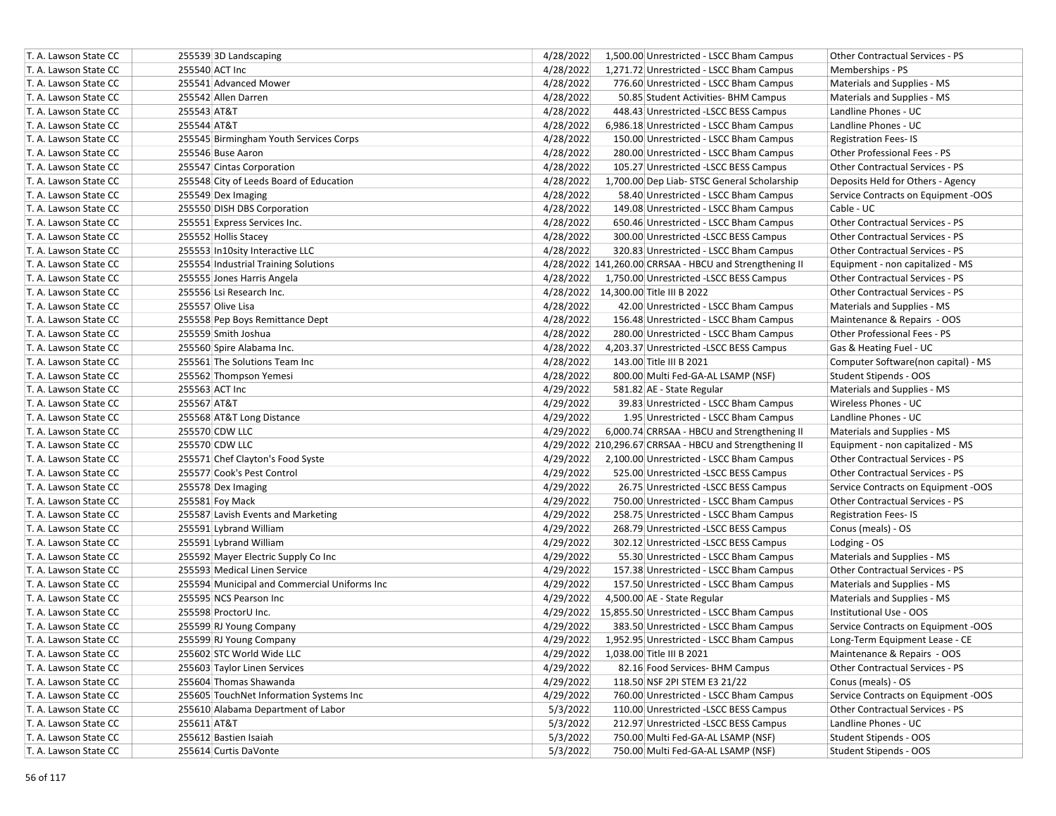| T. A. Lawson State CC | 255539 3D Landscaping                        | 4/28/2022<br>1,500.00 Unrestricted - LSCC Bham Campus<br><b>Other Contractual Services - PS</b> |
|-----------------------|----------------------------------------------|-------------------------------------------------------------------------------------------------|
| T. A. Lawson State CC | 255540 ACT Inc                               | 4/28/2022<br>1,271.72 Unrestricted - LSCC Bham Campus<br>Memberships - PS                       |
| T. A. Lawson State CC | 255541 Advanced Mower                        | 4/28/2022<br>776.60 Unrestricted - LSCC Bham Campus<br>Materials and Supplies - MS              |
| T. A. Lawson State CC | 255542 Allen Darren                          | 4/28/2022<br>50.85 Student Activities- BHM Campus<br>Materials and Supplies - MS                |
| T. A. Lawson State CC | 255543 AT&T                                  | 4/28/2022<br>448.43 Unrestricted -LSCC BESS Campus<br>Landline Phones - UC                      |
| T. A. Lawson State CC | 255544 AT&T                                  | 4/28/2022<br>6,986.18 Unrestricted - LSCC Bham Campus<br>Landline Phones - UC                   |
| T. A. Lawson State CC | 255545 Birmingham Youth Services Corps       | 4/28/2022<br>150.00 Unrestricted - LSCC Bham Campus<br><b>Registration Fees-IS</b>              |
| T. A. Lawson State CC | 255546 Buse Aaron                            | 4/28/2022<br>280.00 Unrestricted - LSCC Bham Campus<br>Other Professional Fees - PS             |
| T. A. Lawson State CC | 255547 Cintas Corporation                    | 4/28/2022<br>105.27 Unrestricted -LSCC BESS Campus<br>Other Contractual Services - PS           |
| T. A. Lawson State CC | 255548 City of Leeds Board of Education      | 4/28/2022<br>1,700.00 Dep Liab- STSC General Scholarship<br>Deposits Held for Others - Agency   |
| T. A. Lawson State CC | 255549 Dex Imaging                           | 4/28/2022<br>58.40 Unrestricted - LSCC Bham Campus<br>Service Contracts on Equipment -OOS       |
| T. A. Lawson State CC | 255550 DISH DBS Corporation                  | 4/28/2022<br>149.08 Unrestricted - LSCC Bham Campus<br>Cable - UC                               |
| T. A. Lawson State CC | 255551 Express Services Inc.                 | 4/28/2022<br>650.46 Unrestricted - LSCC Bham Campus<br>Other Contractual Services - PS          |
| T. A. Lawson State CC | 255552 Hollis Stacey                         | Other Contractual Services - PS<br>4/28/2022<br>300.00 Unrestricted -LSCC BESS Campus           |
| T. A. Lawson State CC | 255553 In10sity Interactive LLC              | 4/28/2022<br>320.83 Unrestricted - LSCC Bham Campus<br>Other Contractual Services - PS          |
| T. A. Lawson State CC | 255554 Industrial Training Solutions         | 4/28/2022 141,260.00 CRRSAA - HBCU and Strengthening II<br>Equipment - non capitalized - MS     |
| T. A. Lawson State CC | 255555 Jones Harris Angela                   | 4/28/2022<br>1,750.00 Unrestricted -LSCC BESS Campus<br>Other Contractual Services - PS         |
| T. A. Lawson State CC | 255556 Lsi Research Inc.                     | 4/28/2022 14,300.00 Title III B 2022<br>Other Contractual Services - PS                         |
| T. A. Lawson State CC | 255557 Olive Lisa                            | 4/28/2022<br>42.00 Unrestricted - LSCC Bham Campus<br>Materials and Supplies - MS               |
| T. A. Lawson State CC | 255558 Pep Boys Remittance Dept              | 4/28/2022<br>156.48 Unrestricted - LSCC Bham Campus<br>Maintenance & Repairs - OOS              |
| T. A. Lawson State CC | 255559 Smith Joshua                          | 4/28/2022<br>Other Professional Fees - PS<br>280.00 Unrestricted - LSCC Bham Campus             |
| T. A. Lawson State CC | 255560 Spire Alabama Inc.                    | 4/28/2022<br>4,203.37 Unrestricted -LSCC BESS Campus<br>Gas & Heating Fuel - UC                 |
| T. A. Lawson State CC | 255561 The Solutions Team Inc                | 4/28/2022<br>143.00 Title III B 2021<br>Computer Software(non capital) - MS                     |
| T. A. Lawson State CC | 255562 Thompson Yemesi                       | 4/28/2022<br>800.00 Multi Fed-GA-AL LSAMP (NSF)<br>Student Stipends - OOS                       |
| T. A. Lawson State CC | 255563 ACT Inc                               | 4/29/2022<br>581.82 AE - State Regular<br>Materials and Supplies - MS                           |
| T. A. Lawson State CC | 255567 AT&T                                  | 4/29/2022<br>Wireless Phones - UC<br>39.83 Unrestricted - LSCC Bham Campus                      |
| T. A. Lawson State CC | 255568 AT&T Long Distance                    | 4/29/2022<br>1.95 Unrestricted - LSCC Bham Campus<br>Landline Phones - UC                       |
| T. A. Lawson State CC | 255570 CDW LLC                               | 4/29/2022<br>6,000.74 CRRSAA - HBCU and Strengthening II<br>Materials and Supplies - MS         |
| T. A. Lawson State CC | 255570 CDW LLC                               | 4/29/2022 210,296.67 CRRSAA - HBCU and Strengthening II<br>Equipment - non capitalized - MS     |
| T. A. Lawson State CC | 255571 Chef Clayton's Food Syste             | 4/29/2022<br>2,100.00 Unrestricted - LSCC Bham Campus<br>Other Contractual Services - PS        |
| T. A. Lawson State CC | 255577 Cook's Pest Control                   | Other Contractual Services - PS<br>4/29/2022<br>525.00 Unrestricted -LSCC BESS Campus           |
| T. A. Lawson State CC | 255578 Dex Imaging                           | 4/29/2022<br>26.75 Unrestricted -LSCC BESS Campus<br>Service Contracts on Equipment -OOS        |
| T. A. Lawson State CC | 255581 Foy Mack                              | 4/29/2022<br>750.00 Unrestricted - LSCC Bham Campus<br><b>Other Contractual Services - PS</b>   |
| T. A. Lawson State CC | 255587 Lavish Events and Marketing           | 4/29/2022<br>258.75 Unrestricted - LSCC Bham Campus<br><b>Registration Fees-IS</b>              |
| T. A. Lawson State CC | 255591 Lybrand William                       | 4/29/2022<br>268.79 Unrestricted -LSCC BESS Campus<br>Conus (meals) - OS                        |
| T. A. Lawson State CC | 255591 Lybrand William                       | 4/29/2022<br>302.12 Unrestricted -LSCC BESS Campus<br>Lodging - OS                              |
| T. A. Lawson State CC | 255592 Mayer Electric Supply Co Inc          | 4/29/2022<br>55.30 Unrestricted - LSCC Bham Campus<br>Materials and Supplies - MS               |
| T. A. Lawson State CC | 255593 Medical Linen Service                 | 4/29/2022<br>157.38 Unrestricted - LSCC Bham Campus<br><b>Other Contractual Services - PS</b>   |
| T. A. Lawson State CC | 255594 Municipal and Commercial Uniforms Inc | 4/29/2022<br>157.50 Unrestricted - LSCC Bham Campus<br>Materials and Supplies - MS              |
| T. A. Lawson State CC | 255595 NCS Pearson Inc                       | 4/29/2022<br>4,500.00 AE - State Regular<br>Materials and Supplies - MS                         |
| T. A. Lawson State CC | 255598 ProctorU Inc.                         | 4/29/2022 15,855.50 Unrestricted - LSCC Bham Campus<br>Institutional Use - OOS                  |
| T. A. Lawson State CC | 255599 RJ Young Company                      | 4/29/2022<br>383.50 Unrestricted - LSCC Bham Campus<br>Service Contracts on Equipment -OOS      |
| T. A. Lawson State CC | 255599 RJ Young Company                      | 4/29/2022<br>1,952.95 Unrestricted - LSCC Bham Campus<br>Long-Term Equipment Lease - CE         |
| T. A. Lawson State CC | 255602 STC World Wide LLC                    | 1,038.00 Title III B 2021<br>Maintenance & Repairs - OOS<br>4/29/2022                           |
| T. A. Lawson State CC | 255603 Taylor Linen Services                 | 4/29/2022<br>82.16 Food Services- BHM Campus<br>Other Contractual Services - PS                 |
| T. A. Lawson State CC | 255604 Thomas Shawanda                       | 4/29/2022<br>118.50 NSF 2PI STEM E3 21/22<br>Conus (meals) - OS                                 |
| T. A. Lawson State CC | 255605 TouchNet Information Systems Inc      | 4/29/2022<br>Service Contracts on Equipment -OOS<br>760.00 Unrestricted - LSCC Bham Campus      |
| T. A. Lawson State CC | 255610 Alabama Department of Labor           | 5/3/2022<br>Other Contractual Services - PS<br>110.00 Unrestricted -LSCC BESS Campus            |
| T. A. Lawson State CC | 255611 AT&T                                  | 5/3/2022<br>Landline Phones - UC<br>212.97 Unrestricted -LSCC BESS Campus                       |
| T. A. Lawson State CC | 255612 Bastien Isaiah                        | 5/3/2022<br><b>Student Stipends - OOS</b><br>750.00 Multi Fed-GA-AL LSAMP (NSF)                 |
| T. A. Lawson State CC | 255614 Curtis DaVonte                        | 5/3/2022<br>750.00 Multi Fed-GA-AL LSAMP (NSF)<br>Student Stipends - OOS                        |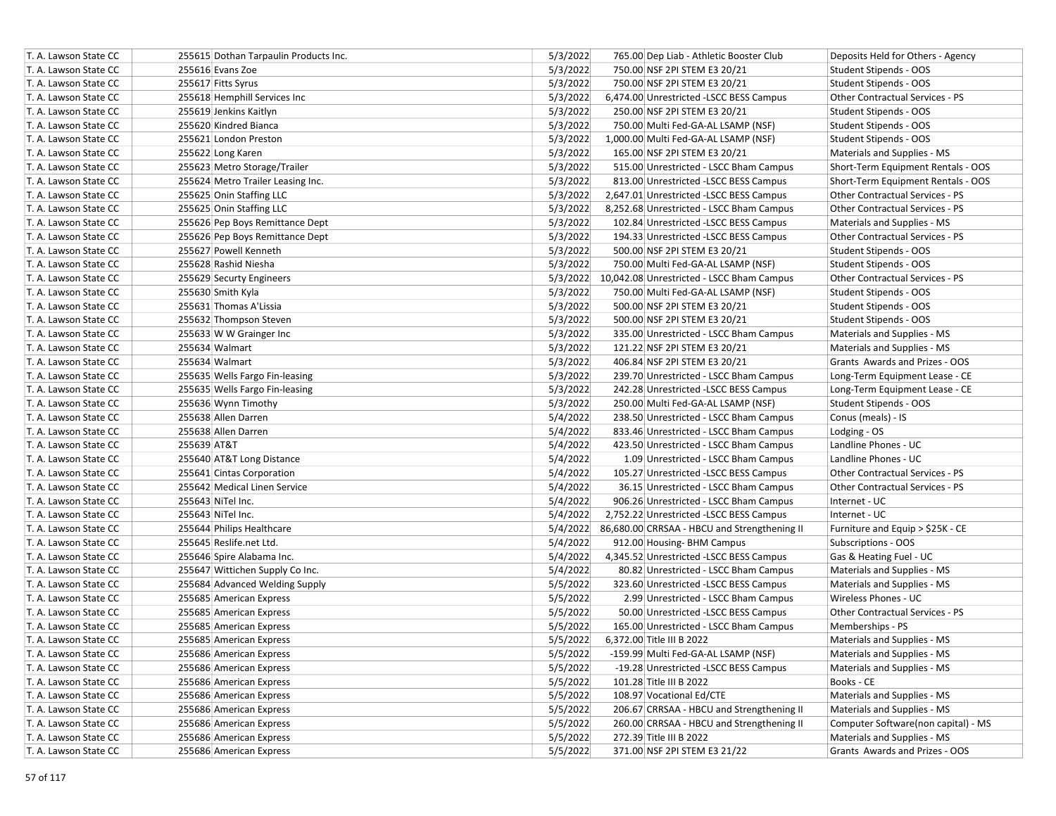| T. A. Lawson State CC | 255615 Dothan Tarpaulin Products Inc. | 5/3/2022 | 765.00 Dep Liab - Athletic Booster Club               | Deposits Held for Others - Agency   |
|-----------------------|---------------------------------------|----------|-------------------------------------------------------|-------------------------------------|
| T. A. Lawson State CC | 255616 Evans Zoe                      | 5/3/2022 | 750.00 NSF 2PI STEM E3 20/21                          | Student Stipends - OOS              |
| T. A. Lawson State CC | 255617 Fitts Syrus                    | 5/3/2022 | 750.00 NSF 2PI STEM E3 20/21                          | Student Stipends - OOS              |
| T. A. Lawson State CC | 255618 Hemphill Services Inc          | 5/3/2022 | 6,474.00 Unrestricted -LSCC BESS Campus               | Other Contractual Services - PS     |
| T. A. Lawson State CC | 255619 Jenkins Kaitlyn                | 5/3/2022 | 250.00 NSF 2PI STEM E3 20/21                          | Student Stipends - OOS              |
| T. A. Lawson State CC | 255620 Kindred Bianca                 | 5/3/2022 | 750.00 Multi Fed-GA-AL LSAMP (NSF)                    | Student Stipends - OOS              |
| T. A. Lawson State CC | 255621 London Preston                 | 5/3/2022 | 1,000.00 Multi Fed-GA-AL LSAMP (NSF)                  | Student Stipends - OOS              |
| T. A. Lawson State CC | 255622 Long Karen                     | 5/3/2022 | 165.00 NSF 2PI STEM E3 20/21                          | Materials and Supplies - MS         |
| T. A. Lawson State CC | 255623 Metro Storage/Trailer          | 5/3/2022 | 515.00 Unrestricted - LSCC Bham Campus                | Short-Term Equipment Rentals - OOS  |
| T. A. Lawson State CC | 255624 Metro Trailer Leasing Inc.     | 5/3/2022 | 813.00 Unrestricted -LSCC BESS Campus                 | Short-Term Equipment Rentals - OOS  |
| T. A. Lawson State CC | 255625 Onin Staffing LLC              | 5/3/2022 | 2,647.01 Unrestricted -LSCC BESS Campus               | Other Contractual Services - PS     |
| T. A. Lawson State CC | 255625 Onin Staffing LLC              | 5/3/2022 | 8,252.68 Unrestricted - LSCC Bham Campus              | Other Contractual Services - PS     |
| T. A. Lawson State CC | 255626 Pep Boys Remittance Dept       | 5/3/2022 | 102.84 Unrestricted -LSCC BESS Campus                 | Materials and Supplies - MS         |
| T. A. Lawson State CC | 255626 Pep Boys Remittance Dept       | 5/3/2022 | 194.33 Unrestricted -LSCC BESS Campus                 | Other Contractual Services - PS     |
| T. A. Lawson State CC | 255627 Powell Kenneth                 | 5/3/2022 | 500.00 NSF 2PI STEM E3 20/21                          | Student Stipends - OOS              |
| T. A. Lawson State CC | 255628 Rashid Niesha                  | 5/3/2022 | 750.00 Multi Fed-GA-AL LSAMP (NSF)                    | Student Stipends - OOS              |
| T. A. Lawson State CC | 255629 Securty Engineers              |          | 5/3/2022 10,042.08 Unrestricted - LSCC Bham Campus    | Other Contractual Services - PS     |
| T. A. Lawson State CC | 255630 Smith Kyla                     | 5/3/2022 | 750.00 Multi Fed-GA-AL LSAMP (NSF)                    | Student Stipends - OOS              |
| T. A. Lawson State CC | 255631 Thomas A'Lissia                | 5/3/2022 | 500.00 NSF 2PI STEM E3 20/21                          | Student Stipends - OOS              |
| T. A. Lawson State CC | 255632 Thompson Steven                | 5/3/2022 | 500.00 NSF 2PI STEM E3 20/21                          | Student Stipends - OOS              |
| T. A. Lawson State CC | 255633 W W Grainger Inc               | 5/3/2022 | 335.00 Unrestricted - LSCC Bham Campus                | Materials and Supplies - MS         |
| T. A. Lawson State CC | 255634 Walmart                        | 5/3/2022 | 121.22 NSF 2PI STEM E3 20/21                          | Materials and Supplies - MS         |
| T. A. Lawson State CC | 255634 Walmart                        | 5/3/2022 | 406.84 NSF 2PI STEM E3 20/21                          | Grants Awards and Prizes - OOS      |
| T. A. Lawson State CC | 255635 Wells Fargo Fin-leasing        | 5/3/2022 | 239.70 Unrestricted - LSCC Bham Campus                | Long-Term Equipment Lease - CE      |
| T. A. Lawson State CC | 255635 Wells Fargo Fin-leasing        | 5/3/2022 | 242.28 Unrestricted -LSCC BESS Campus                 | Long-Term Equipment Lease - CE      |
| T. A. Lawson State CC | 255636 Wynn Timothy                   | 5/3/2022 | 250.00 Multi Fed-GA-AL LSAMP (NSF)                    | Student Stipends - OOS              |
| T. A. Lawson State CC | 255638 Allen Darren                   | 5/4/2022 | 238.50 Unrestricted - LSCC Bham Campus                | Conus (meals) - IS                  |
| T. A. Lawson State CC | 255638 Allen Darren                   | 5/4/2022 | 833.46 Unrestricted - LSCC Bham Campus                | Lodging - OS                        |
| T. A. Lawson State CC | 255639 AT&T                           | 5/4/2022 | 423.50 Unrestricted - LSCC Bham Campus                | Landline Phones - UC                |
| T. A. Lawson State CC | 255640 AT&T Long Distance             | 5/4/2022 | 1.09 Unrestricted - LSCC Bham Campus                  | Landline Phones - UC                |
| T. A. Lawson State CC | 255641 Cintas Corporation             | 5/4/2022 | 105.27 Unrestricted -LSCC BESS Campus                 | Other Contractual Services - PS     |
| T. A. Lawson State CC | 255642 Medical Linen Service          | 5/4/2022 | 36.15 Unrestricted - LSCC Bham Campus                 | Other Contractual Services - PS     |
| T. A. Lawson State CC | 255643 NiTel Inc.                     | 5/4/2022 | 906.26 Unrestricted - LSCC Bham Campus                | Internet - UC                       |
| T. A. Lawson State CC | 255643 NiTel Inc.                     | 5/4/2022 | 2,752.22 Unrestricted -LSCC BESS Campus               | Internet - UC                       |
| T. A. Lawson State CC | 255644 Philips Healthcare             |          | 5/4/2022 86,680.00 CRRSAA - HBCU and Strengthening II | Furniture and Equip > \$25K - CE    |
| T. A. Lawson State CC | 255645 Reslife.net Ltd.               | 5/4/2022 | 912.00 Housing- BHM Campus                            | Subscriptions - OOS                 |
| T. A. Lawson State CC | 255646 Spire Alabama Inc.             | 5/4/2022 | 4,345.52 Unrestricted -LSCC BESS Campus               | Gas & Heating Fuel - UC             |
| T. A. Lawson State CC | 255647 Wittichen Supply Co Inc.       | 5/4/2022 | 80.82 Unrestricted - LSCC Bham Campus                 | Materials and Supplies - MS         |
| T. A. Lawson State CC | 255684 Advanced Welding Supply        | 5/5/2022 | 323.60 Unrestricted -LSCC BESS Campus                 | Materials and Supplies - MS         |
| T. A. Lawson State CC | 255685 American Express               | 5/5/2022 | 2.99 Unrestricted - LSCC Bham Campus                  | Wireless Phones - UC                |
| T. A. Lawson State CC | 255685 American Express               | 5/5/2022 | 50.00 Unrestricted -LSCC BESS Campus                  | Other Contractual Services - PS     |
| T. A. Lawson State CC | 255685 American Express               | 5/5/2022 | 165.00 Unrestricted - LSCC Bham Campus                | Memberships - PS                    |
| T. A. Lawson State CC | 255685 American Express               | 5/5/2022 | 6.372.00 Title III B 2022                             | Materials and Supplies - MS         |
| T. A. Lawson State CC | 255686 American Express               | 5/5/2022 | -159.99 Multi Fed-GA-AL LSAMP (NSF)                   | Materials and Supplies - MS         |
| T. A. Lawson State CC | 255686 American Express               | 5/5/2022 | -19.28 Unrestricted -LSCC BESS Campus                 | Materials and Supplies - MS         |
| T. A. Lawson State CC | 255686 American Express               | 5/5/2022 | 101.28 Title III B 2022                               | Books - CE                          |
| T. A. Lawson State CC | 255686 American Express               | 5/5/2022 | 108.97 Vocational Ed/CTE                              | Materials and Supplies - MS         |
| T. A. Lawson State CC | 255686 American Express               | 5/5/2022 | 206.67 CRRSAA - HBCU and Strengthening II             | Materials and Supplies - MS         |
| T. A. Lawson State CC | 255686 American Express               | 5/5/2022 | 260.00 CRRSAA - HBCU and Strengthening II             | Computer Software(non capital) - MS |
| T. A. Lawson State CC | 255686 American Express               | 5/5/2022 | 272.39 Title III B 2022                               | Materials and Supplies - MS         |
| T. A. Lawson State CC | 255686 American Express               | 5/5/2022 | 371.00 NSF 2PI STEM E3 21/22                          | Grants Awards and Prizes - OOS      |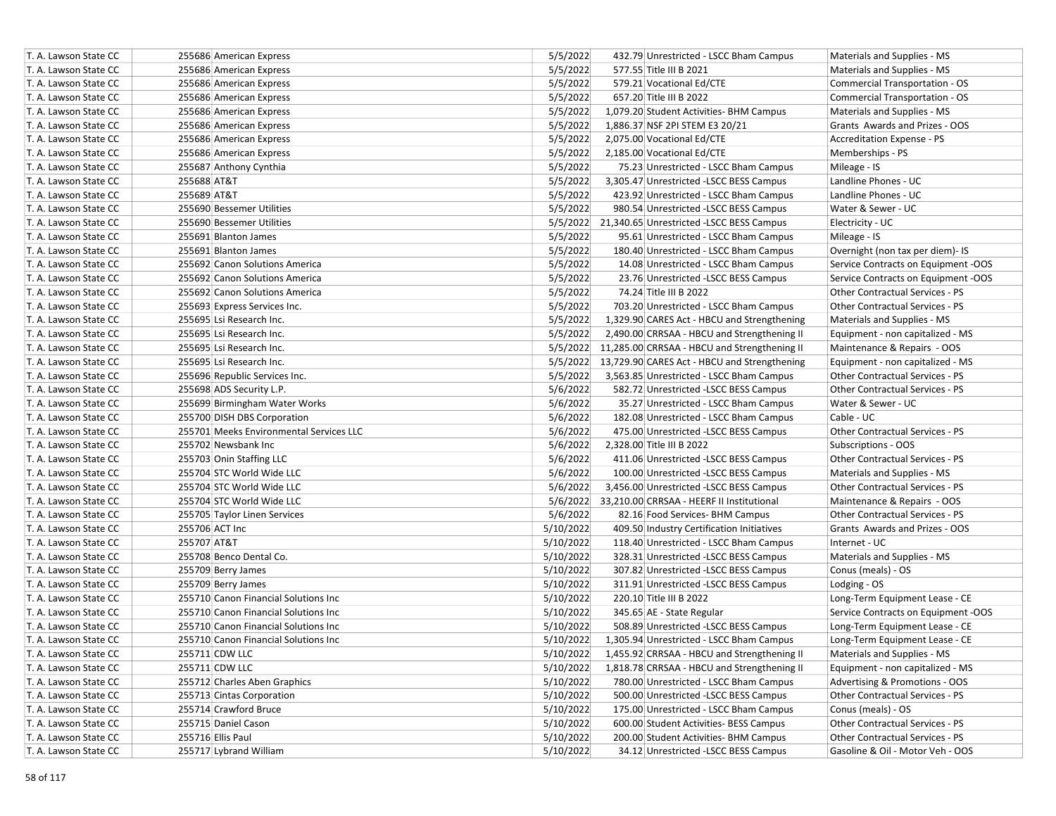| T. A. Lawson State CC | 255686 American Express                 | 5/5/2022  | 432.79 Unrestricted - LSCC Bham Campus                | Materials and Supplies - MS            |
|-----------------------|-----------------------------------------|-----------|-------------------------------------------------------|----------------------------------------|
| T. A. Lawson State CC | 255686 American Express                 | 5/5/2022  | 577.55 Title III B 2021                               | Materials and Supplies - MS            |
| T. A. Lawson State CC | 255686 American Express                 | 5/5/2022  | 579.21 Vocational Ed/CTE                              | Commercial Transportation - OS         |
| T. A. Lawson State CC | 255686 American Express                 | 5/5/2022  | 657.20 Title III B 2022                               | Commercial Transportation - OS         |
| T. A. Lawson State CC | 255686 American Express                 | 5/5/2022  | 1,079.20 Student Activities- BHM Campus               | Materials and Supplies - MS            |
| T. A. Lawson State CC | 255686 American Express                 | 5/5/2022  | 1,886.37 NSF 2PI STEM E3 20/21                        | Grants Awards and Prizes - OOS         |
| T. A. Lawson State CC | 255686 American Express                 | 5/5/2022  | 2,075.00 Vocational Ed/CTE                            | Accreditation Expense - PS             |
| T. A. Lawson State CC | 255686 American Express                 | 5/5/2022  | 2,185.00 Vocational Ed/CTE                            | Memberships - PS                       |
| T. A. Lawson State CC | 255687 Anthony Cynthia                  | 5/5/2022  | 75.23 Unrestricted - LSCC Bham Campus                 | Mileage - IS                           |
| T. A. Lawson State CC | 255688 AT&T                             | 5/5/2022  | 3,305.47 Unrestricted -LSCC BESS Campus               | Landline Phones - UC                   |
| T. A. Lawson State CC | 255689 AT&T                             | 5/5/2022  | 423.92 Unrestricted - LSCC Bham Campus                | Landline Phones - UC                   |
| T. A. Lawson State CC | 255690 Bessemer Utilities               | 5/5/2022  | 980.54 Unrestricted -LSCC BESS Campus                 | Water & Sewer - UC                     |
| T. A. Lawson State CC | 255690 Bessemer Utilities               |           | 5/5/2022 21,340.65 Unrestricted -LSCC BESS Campus     | Electricity - UC                       |
| T. A. Lawson State CC | 255691 Blanton James                    | 5/5/2022  | 95.61 Unrestricted - LSCC Bham Campus                 | Mileage - IS                           |
| T. A. Lawson State CC | 255691 Blanton James                    | 5/5/2022  | 180.40 Unrestricted - LSCC Bham Campus                | Overnight (non tax per diem)- IS       |
| T. A. Lawson State CC | 255692 Canon Solutions America          | 5/5/2022  | 14.08 Unrestricted - LSCC Bham Campus                 | Service Contracts on Equipment -OOS    |
| T. A. Lawson State CC | 255692 Canon Solutions America          | 5/5/2022  | 23.76 Unrestricted -LSCC BESS Campus                  | Service Contracts on Equipment -OOS    |
| T. A. Lawson State CC | 255692 Canon Solutions America          | 5/5/2022  | 74.24 Title III B 2022                                | Other Contractual Services - PS        |
| T. A. Lawson State CC | 255693 Express Services Inc.            | 5/5/2022  | 703.20 Unrestricted - LSCC Bham Campus                | Other Contractual Services - PS        |
| T. A. Lawson State CC | 255695 Lsi Research Inc.                | 5/5/2022  | 1,329.90 CARES Act - HBCU and Strengthening           | Materials and Supplies - MS            |
| T. A. Lawson State CC | 255695 Lsi Research Inc.                | 5/5/2022  | 2,490.00 CRRSAA - HBCU and Strengthening II           | Equipment - non capitalized - MS       |
| T. A. Lawson State CC | 255695 Lsi Research Inc.                |           | 5/5/2022 11,285.00 CRRSAA - HBCU and Strengthening II | Maintenance & Repairs - OOS            |
| T. A. Lawson State CC | 255695 Lsi Research Inc.                |           | 5/5/2022 13,729.90 CARES Act - HBCU and Strengthening | Equipment - non capitalized - MS       |
| T. A. Lawson State CC | 255696 Republic Services Inc.           | 5/5/2022  | 3,563.85 Unrestricted - LSCC Bham Campus              | Other Contractual Services - PS        |
| T. A. Lawson State CC | 255698 ADS Security L.P.                | 5/6/2022  | 582.72 Unrestricted -LSCC BESS Campus                 | <b>Other Contractual Services - PS</b> |
| T. A. Lawson State CC | 255699 Birmingham Water Works           | 5/6/2022  | 35.27 Unrestricted - LSCC Bham Campus                 | Water & Sewer - UC                     |
| T. A. Lawson State CC | 255700 DISH DBS Corporation             | 5/6/2022  | 182.08 Unrestricted - LSCC Bham Campus                | Cable - UC                             |
| T. A. Lawson State CC | 255701 Meeks Environmental Services LLC | 5/6/2022  | 475.00 Unrestricted -LSCC BESS Campus                 | <b>Other Contractual Services - PS</b> |
| T. A. Lawson State CC | 255702 Newsbank Inc                     | 5/6/2022  | 2,328.00 Title III B 2022                             | Subscriptions - OOS                    |
| T. A. Lawson State CC | 255703 Onin Staffing LLC                | 5/6/2022  | 411.06 Unrestricted -LSCC BESS Campus                 | Other Contractual Services - PS        |
| T. A. Lawson State CC | 255704 STC World Wide LLC               | 5/6/2022  | 100.00 Unrestricted -LSCC BESS Campus                 | Materials and Supplies - MS            |
| T. A. Lawson State CC | 255704 STC World Wide LLC               | 5/6/2022  | 3,456.00 Unrestricted -LSCC BESS Campus               | Other Contractual Services - PS        |
| T. A. Lawson State CC | 255704 STC World Wide LLC               | 5/6/2022  | 33,210.00 CRRSAA - HEERF II Institutional             | Maintenance & Repairs - OOS            |
| T. A. Lawson State CC | 255705 Taylor Linen Services            | 5/6/2022  | 82.16 Food Services- BHM Campus                       | Other Contractual Services - PS        |
| T. A. Lawson State CC | 255706 ACT Inc                          | 5/10/2022 | 409.50 Industry Certification Initiatives             | Grants Awards and Prizes - OOS         |
| T. A. Lawson State CC | 255707 AT&T                             | 5/10/2022 | 118.40 Unrestricted - LSCC Bham Campus                | Internet - UC                          |
| T. A. Lawson State CC | 255708 Benco Dental Co.                 | 5/10/2022 | 328.31 Unrestricted -LSCC BESS Campus                 | Materials and Supplies - MS            |
| T. A. Lawson State CC | 255709 Berry James                      | 5/10/2022 | 307.82 Unrestricted -LSCC BESS Campus                 | Conus (meals) - OS                     |
| T. A. Lawson State CC | 255709 Berry James                      | 5/10/2022 | 311.91 Unrestricted -LSCC BESS Campus                 | Lodging - OS                           |
| T. A. Lawson State CC | 255710 Canon Financial Solutions Inc    | 5/10/2022 | 220.10 Title III B 2022                               | Long-Term Equipment Lease - CE         |
| T. A. Lawson State CC | 255710 Canon Financial Solutions Inc    | 5/10/2022 | 345.65 AE - State Regular                             | Service Contracts on Equipment -OOS    |
| T. A. Lawson State CC | 255710 Canon Financial Solutions Inc    | 5/10/2022 | 508.89 Unrestricted -LSCC BESS Campus                 | Long-Term Equipment Lease - CE         |
| T. A. Lawson State CC | 255710 Canon Financial Solutions Inc    | 5/10/2022 | 1,305.94 Unrestricted - LSCC Bham Campus              | Long-Term Equipment Lease - CE         |
| T. A. Lawson State CC | 255711 CDW LLC                          | 5/10/2022 | 1,455.92 CRRSAA - HBCU and Strengthening II           | Materials and Supplies - MS            |
| T. A. Lawson State CC | 255711 CDW LLC                          | 5/10/2022 | 1,818.78 CRRSAA - HBCU and Strengthening II           | Equipment - non capitalized - MS       |
| T. A. Lawson State CC | 255712 Charles Aben Graphics            | 5/10/2022 | 780.00 Unrestricted - LSCC Bham Campus                | Advertising & Promotions - OOS         |
| T. A. Lawson State CC | 255713 Cintas Corporation               | 5/10/2022 | 500.00 Unrestricted -LSCC BESS Campus                 | Other Contractual Services - PS        |
| T. A. Lawson State CC | 255714 Crawford Bruce                   | 5/10/2022 | 175.00 Unrestricted - LSCC Bham Campus                | Conus (meals) - OS                     |
| T. A. Lawson State CC | 255715 Daniel Cason                     | 5/10/2022 | 600.00 Student Activities- BESS Campus                | Other Contractual Services - PS        |
| T. A. Lawson State CC | 255716 Ellis Paul                       | 5/10/2022 | 200.00 Student Activities- BHM Campus                 | Other Contractual Services - PS        |
| T. A. Lawson State CC | 255717 Lybrand William                  | 5/10/2022 | 34.12 Unrestricted -LSCC BESS Campus                  | Gasoline & Oil - Motor Veh - OOS       |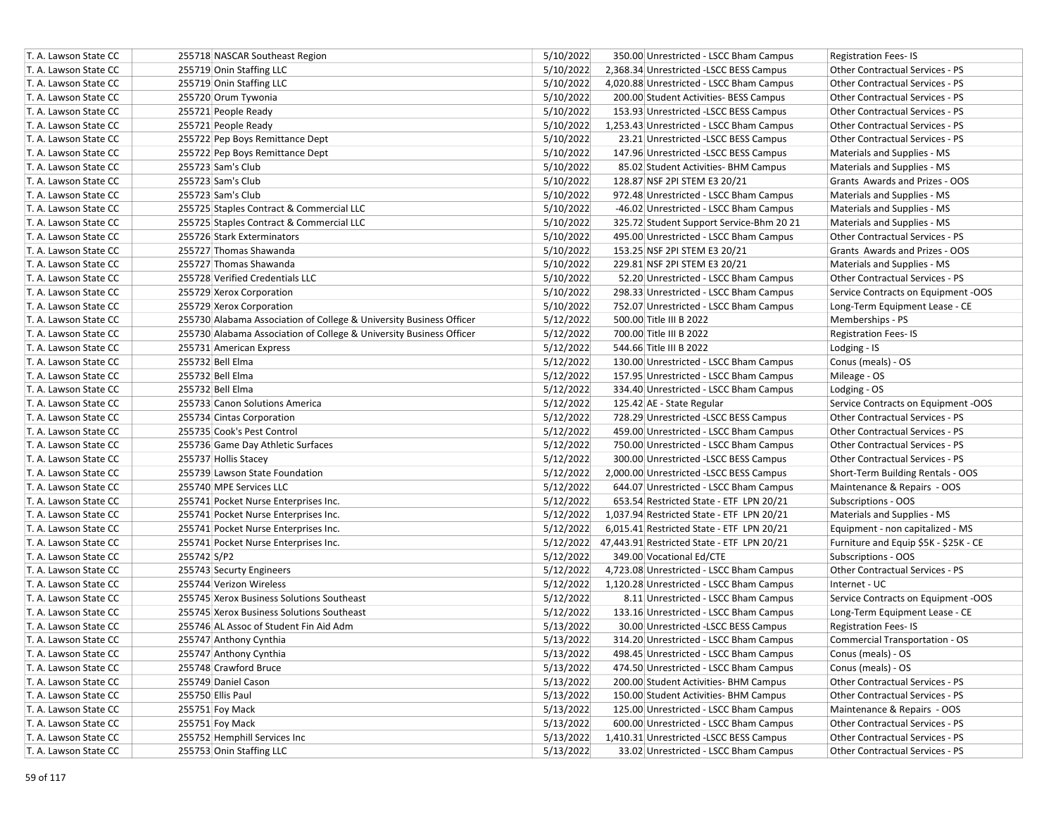| T. A. Lawson State CC | 255718 NASCAR Southeast Region                                      | 5/10/2022 | 350.00 Unrestricted - LSCC Bham Campus               | <b>Registration Fees-IS</b>            |
|-----------------------|---------------------------------------------------------------------|-----------|------------------------------------------------------|----------------------------------------|
| T. A. Lawson State CC | 255719 Onin Staffing LLC                                            | 5/10/2022 | 2,368.34 Unrestricted -LSCC BESS Campus              | Other Contractual Services - PS        |
| T. A. Lawson State CC | 255719 Onin Staffing LLC                                            | 5/10/2022 | 4,020.88 Unrestricted - LSCC Bham Campus             | <b>Other Contractual Services - PS</b> |
| T. A. Lawson State CC | 255720 Orum Tywonia                                                 | 5/10/2022 | 200.00 Student Activities- BESS Campus               | Other Contractual Services - PS        |
| T. A. Lawson State CC | 255721 People Ready                                                 | 5/10/2022 | 153.93 Unrestricted -LSCC BESS Campus                | <b>Other Contractual Services - PS</b> |
| T. A. Lawson State CC | 255721 People Ready                                                 | 5/10/2022 | 1,253.43 Unrestricted - LSCC Bham Campus             | <b>Other Contractual Services - PS</b> |
| T. A. Lawson State CC | 255722 Pep Boys Remittance Dept                                     | 5/10/2022 | 23.21 Unrestricted -LSCC BESS Campus                 | <b>Other Contractual Services - PS</b> |
| T. A. Lawson State CC | 255722 Pep Boys Remittance Dept                                     | 5/10/2022 | 147.96 Unrestricted -LSCC BESS Campus                | Materials and Supplies - MS            |
| T. A. Lawson State CC | 255723 Sam's Club                                                   | 5/10/2022 | 85.02 Student Activities- BHM Campus                 | Materials and Supplies - MS            |
| T. A. Lawson State CC | 255723 Sam's Club                                                   | 5/10/2022 | 128.87 NSF 2PI STEM E3 20/21                         | Grants Awards and Prizes - OOS         |
| T. A. Lawson State CC | 255723 Sam's Club                                                   | 5/10/2022 | 972.48 Unrestricted - LSCC Bham Campus               | Materials and Supplies - MS            |
| T. A. Lawson State CC | 255725 Staples Contract & Commercial LLC                            | 5/10/2022 | -46.02 Unrestricted - LSCC Bham Campus               | Materials and Supplies - MS            |
| T. A. Lawson State CC | 255725 Staples Contract & Commercial LLC                            | 5/10/2022 | 325.72 Student Support Service-Bhm 20 21             | Materials and Supplies - MS            |
| T. A. Lawson State CC | 255726 Stark Exterminators                                          | 5/10/2022 | 495.00 Unrestricted - LSCC Bham Campus               | Other Contractual Services - PS        |
| T. A. Lawson State CC | 255727 Thomas Shawanda                                              | 5/10/2022 | 153.25 NSF 2PI STEM E3 20/21                         | Grants Awards and Prizes - OOS         |
| T. A. Lawson State CC | 255727 Thomas Shawanda                                              | 5/10/2022 | 229.81 NSF 2PI STEM E3 20/21                         | Materials and Supplies - MS            |
| T. A. Lawson State CC | 255728 Verified Credentials LLC                                     | 5/10/2022 | 52.20 Unrestricted - LSCC Bham Campus                | Other Contractual Services - PS        |
| T. A. Lawson State CC | 255729 Xerox Corporation                                            | 5/10/2022 | 298.33 Unrestricted - LSCC Bham Campus               | Service Contracts on Equipment -OOS    |
| T. A. Lawson State CC | 255729 Xerox Corporation                                            | 5/10/2022 | 752.07 Unrestricted - LSCC Bham Campus               | Long-Term Equipment Lease - CE         |
| T. A. Lawson State CC | 255730 Alabama Association of College & University Business Officer | 5/12/2022 | 500.00 Title III B 2022                              | Memberships - PS                       |
| T. A. Lawson State CC | 255730 Alabama Association of College & University Business Officer | 5/12/2022 | 700.00 Title III B 2022                              | <b>Registration Fees-IS</b>            |
| T. A. Lawson State CC | 255731 American Express                                             | 5/12/2022 | 544.66 Title III B 2022                              | Lodging - IS                           |
| T. A. Lawson State CC | 255732 Bell Elma                                                    | 5/12/2022 | 130.00 Unrestricted - LSCC Bham Campus               | Conus (meals) - OS                     |
| T. A. Lawson State CC | 255732 Bell Elma                                                    | 5/12/2022 | 157.95 Unrestricted - LSCC Bham Campus               | Mileage - OS                           |
| T. A. Lawson State CC | 255732 Bell Elma                                                    | 5/12/2022 | 334.40 Unrestricted - LSCC Bham Campus               | Lodging - OS                           |
| T. A. Lawson State CC | 255733 Canon Solutions America                                      | 5/12/2022 | 125.42 AE - State Regular                            | Service Contracts on Equipment -OOS    |
| T. A. Lawson State CC | 255734 Cintas Corporation                                           | 5/12/2022 | 728.29 Unrestricted -LSCC BESS Campus                | <b>Other Contractual Services - PS</b> |
| T. A. Lawson State CC | 255735 Cook's Pest Control                                          | 5/12/2022 | 459.00 Unrestricted - LSCC Bham Campus               | <b>Other Contractual Services - PS</b> |
| T. A. Lawson State CC | 255736 Game Day Athletic Surfaces                                   | 5/12/2022 | 750.00 Unrestricted - LSCC Bham Campus               | Other Contractual Services - PS        |
| T. A. Lawson State CC | 255737 Hollis Stacey                                                | 5/12/2022 | 300.00 Unrestricted -LSCC BESS Campus                | Other Contractual Services - PS        |
| T. A. Lawson State CC | 255739 Lawson State Foundation                                      | 5/12/2022 | 2,000.00 Unrestricted -LSCC BESS Campus              | Short-Term Building Rentals - OOS      |
| T. A. Lawson State CC | 255740 MPE Services LLC                                             | 5/12/2022 | 644.07 Unrestricted - LSCC Bham Campus               | Maintenance & Repairs - OOS            |
| T. A. Lawson State CC | 255741 Pocket Nurse Enterprises Inc.                                | 5/12/2022 | 653.54 Restricted State - ETF LPN 20/21              | Subscriptions - OOS                    |
| T. A. Lawson State CC | 255741 Pocket Nurse Enterprises Inc.                                | 5/12/2022 | 1,037.94 Restricted State - ETF LPN 20/21            | Materials and Supplies - MS            |
| T. A. Lawson State CC | 255741 Pocket Nurse Enterprises Inc.                                | 5/12/2022 | 6,015.41 Restricted State - ETF LPN 20/21            | Equipment - non capitalized - MS       |
| T. A. Lawson State CC | 255741 Pocket Nurse Enterprises Inc.                                |           | 5/12/2022 47,443.91 Restricted State - ETF LPN 20/21 | Furniture and Equip \$5K - \$25K - CE  |
| T. A. Lawson State CC | 255742 S/P2                                                         | 5/12/2022 | 349.00 Vocational Ed/CTE                             | Subscriptions - OOS                    |
| T. A. Lawson State CC | 255743 Securty Engineers                                            | 5/12/2022 | 4,723.08 Unrestricted - LSCC Bham Campus             | <b>Other Contractual Services - PS</b> |
| T. A. Lawson State CC | 255744 Verizon Wireless                                             | 5/12/2022 | 1,120.28 Unrestricted - LSCC Bham Campus             | Internet - UC                          |
| T. A. Lawson State CC | 255745 Xerox Business Solutions Southeast                           | 5/12/2022 | 8.11 Unrestricted - LSCC Bham Campus                 | Service Contracts on Equipment -OOS    |
| T. A. Lawson State CC | 255745 Xerox Business Solutions Southeast                           | 5/12/2022 | 133.16 Unrestricted - LSCC Bham Campus               | Long-Term Equipment Lease - CE         |
| T. A. Lawson State CC | 255746 AL Assoc of Student Fin Aid Adm                              | 5/13/2022 | 30.00 Unrestricted -LSCC BESS Campus                 | <b>Registration Fees-IS</b>            |
| T. A. Lawson State CC | 255747 Anthony Cynthia                                              | 5/13/2022 | 314.20 Unrestricted - LSCC Bham Campus               | Commercial Transportation - OS         |
| T. A. Lawson State CC | 255747 Anthony Cynthia                                              | 5/13/2022 | 498.45 Unrestricted - LSCC Bham Campus               | Conus (meals) - OS                     |
| T. A. Lawson State CC | 255748 Crawford Bruce                                               | 5/13/2022 | 474.50 Unrestricted - LSCC Bham Campus               | Conus (meals) - OS                     |
| T. A. Lawson State CC | 255749 Daniel Cason                                                 | 5/13/2022 | 200.00 Student Activities- BHM Campus                | Other Contractual Services - PS        |
| T. A. Lawson State CC | 255750 Ellis Paul                                                   | 5/13/2022 | 150.00 Student Activities- BHM Campus                | Other Contractual Services - PS        |
| T. A. Lawson State CC | 255751 Foy Mack                                                     | 5/13/2022 | 125.00 Unrestricted - LSCC Bham Campus               | Maintenance & Repairs - OOS            |
| T. A. Lawson State CC | 255751 Foy Mack                                                     | 5/13/2022 | 600.00 Unrestricted - LSCC Bham Campus               | Other Contractual Services - PS        |
| T. A. Lawson State CC | 255752 Hemphill Services Inc                                        | 5/13/2022 | 1,410.31 Unrestricted -LSCC BESS Campus              | Other Contractual Services - PS        |
| T. A. Lawson State CC | 255753 Onin Staffing LLC                                            | 5/13/2022 | 33.02 Unrestricted - LSCC Bham Campus                | Other Contractual Services - PS        |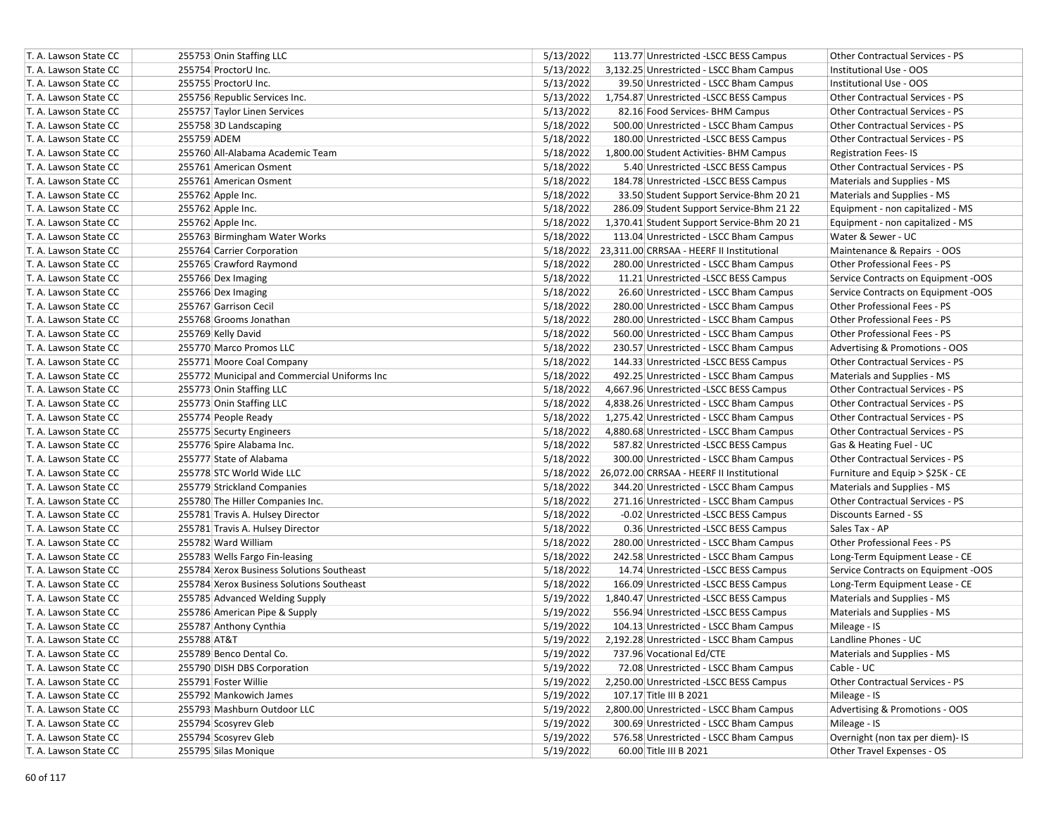| T. A. Lawson State CC | 255753 Onin Staffing LLC                     | 5/13/2022 | 113.77 Unrestricted -LSCC BESS Campus               | Other Contractual Services - PS        |
|-----------------------|----------------------------------------------|-----------|-----------------------------------------------------|----------------------------------------|
| T. A. Lawson State CC | 255754 ProctorU Inc.                         | 5/13/2022 | 3,132.25 Unrestricted - LSCC Bham Campus            | Institutional Use - OOS                |
| T. A. Lawson State CC | 255755 ProctorU Inc.                         | 5/13/2022 | 39.50 Unrestricted - LSCC Bham Campus               | Institutional Use - OOS                |
| T. A. Lawson State CC | 255756 Republic Services Inc.                | 5/13/2022 | 1,754.87 Unrestricted -LSCC BESS Campus             | Other Contractual Services - PS        |
| T. A. Lawson State CC | 255757 Taylor Linen Services                 | 5/13/2022 | 82.16 Food Services- BHM Campus                     | <b>Other Contractual Services - PS</b> |
| T. A. Lawson State CC | 255758 3D Landscaping                        | 5/18/2022 | 500.00 Unrestricted - LSCC Bham Campus              | <b>Other Contractual Services - PS</b> |
| T. A. Lawson State CC | 255759 ADEM                                  | 5/18/2022 | 180.00 Unrestricted -LSCC BESS Campus               | Other Contractual Services - PS        |
| T. A. Lawson State CC | 255760 All-Alabama Academic Team             | 5/18/2022 | 1,800.00 Student Activities- BHM Campus             | <b>Registration Fees-IS</b>            |
| T. A. Lawson State CC | 255761 American Osment                       | 5/18/2022 | 5.40 Unrestricted -LSCC BESS Campus                 | Other Contractual Services - PS        |
| T. A. Lawson State CC | 255761 American Osment                       | 5/18/2022 | 184.78 Unrestricted -LSCC BESS Campus               | Materials and Supplies - MS            |
| T. A. Lawson State CC | 255762 Apple Inc.                            | 5/18/2022 | 33.50 Student Support Service-Bhm 20 21             | Materials and Supplies - MS            |
| T. A. Lawson State CC | 255762 Apple Inc.                            | 5/18/2022 | 286.09 Student Support Service-Bhm 21 22            | Equipment - non capitalized - MS       |
| T. A. Lawson State CC | 255762 Apple Inc.                            | 5/18/2022 | 1,370.41 Student Support Service-Bhm 20 21          | Equipment - non capitalized - MS       |
| T. A. Lawson State CC | 255763 Birmingham Water Works                | 5/18/2022 | 113.04 Unrestricted - LSCC Bham Campus              | Water & Sewer - UC                     |
| T. A. Lawson State CC | 255764 Carrier Corporation                   |           | 5/18/2022 23,311.00 CRRSAA - HEERF II Institutional | Maintenance & Repairs - OOS            |
| T. A. Lawson State CC | 255765 Crawford Raymond                      | 5/18/2022 | 280.00 Unrestricted - LSCC Bham Campus              | Other Professional Fees - PS           |
| T. A. Lawson State CC | 255766 Dex Imaging                           | 5/18/2022 | 11.21 Unrestricted -LSCC BESS Campus                | Service Contracts on Equipment -OOS    |
| T. A. Lawson State CC | 255766 Dex Imaging                           | 5/18/2022 | 26.60 Unrestricted - LSCC Bham Campus               | Service Contracts on Equipment -OOS    |
| T. A. Lawson State CC | 255767 Garrison Cecil                        | 5/18/2022 | 280.00 Unrestricted - LSCC Bham Campus              | Other Professional Fees - PS           |
| T. A. Lawson State CC | 255768 Grooms Jonathan                       | 5/18/2022 | 280.00 Unrestricted - LSCC Bham Campus              | Other Professional Fees - PS           |
| T. A. Lawson State CC | 255769 Kelly David                           | 5/18/2022 | 560.00 Unrestricted - LSCC Bham Campus              | Other Professional Fees - PS           |
| T. A. Lawson State CC | 255770 Marco Promos LLC                      | 5/18/2022 | 230.57 Unrestricted - LSCC Bham Campus              | Advertising & Promotions - OOS         |
| T. A. Lawson State CC | 255771 Moore Coal Company                    | 5/18/2022 | 144.33 Unrestricted -LSCC BESS Campus               | Other Contractual Services - PS        |
| T. A. Lawson State CC | 255772 Municipal and Commercial Uniforms Inc | 5/18/2022 | 492.25 Unrestricted - LSCC Bham Campus              | Materials and Supplies - MS            |
| T. A. Lawson State CC | 255773 Onin Staffing LLC                     | 5/18/2022 | 4,667.96 Unrestricted -LSCC BESS Campus             | Other Contractual Services - PS        |
| T. A. Lawson State CC | 255773 Onin Staffing LLC                     | 5/18/2022 | 4,838.26 Unrestricted - LSCC Bham Campus            | <b>Other Contractual Services - PS</b> |
| T. A. Lawson State CC | 255774 People Ready                          | 5/18/2022 | 1,275.42 Unrestricted - LSCC Bham Campus            | <b>Other Contractual Services - PS</b> |
| T. A. Lawson State CC | 255775 Securty Engineers                     | 5/18/2022 | 4,880.68 Unrestricted - LSCC Bham Campus            | Other Contractual Services - PS        |
| T. A. Lawson State CC | 255776 Spire Alabama Inc.                    | 5/18/2022 | 587.82 Unrestricted -LSCC BESS Campus               | Gas & Heating Fuel - UC                |
| T. A. Lawson State CC | 255777 State of Alabama                      | 5/18/2022 | 300.00 Unrestricted - LSCC Bham Campus              | <b>Other Contractual Services - PS</b> |
| T. A. Lawson State CC | 255778 STC World Wide LLC                    |           | 5/18/2022 26,072.00 CRRSAA - HEERF II Institutional | Furniture and Equip > \$25K - CE       |
| T. A. Lawson State CC | 255779 Strickland Companies                  | 5/18/2022 | 344.20 Unrestricted - LSCC Bham Campus              | Materials and Supplies - MS            |
| T. A. Lawson State CC | 255780 The Hiller Companies Inc.             | 5/18/2022 | 271.16 Unrestricted - LSCC Bham Campus              | Other Contractual Services - PS        |
| T. A. Lawson State CC | 255781 Travis A. Hulsey Director             | 5/18/2022 | -0.02 Unrestricted -LSCC BESS Campus                | Discounts Earned - SS                  |
| T. A. Lawson State CC | 255781 Travis A. Hulsey Director             | 5/18/2022 | 0.36 Unrestricted -LSCC BESS Campus                 | Sales Tax - AP                         |
| T. A. Lawson State CC | 255782 Ward William                          | 5/18/2022 | 280.00 Unrestricted - LSCC Bham Campus              | Other Professional Fees - PS           |
| T. A. Lawson State CC | 255783 Wells Fargo Fin-leasing               | 5/18/2022 | 242.58 Unrestricted - LSCC Bham Campus              | Long-Term Equipment Lease - CE         |
| T. A. Lawson State CC | 255784 Xerox Business Solutions Southeast    | 5/18/2022 | 14.74 Unrestricted -LSCC BESS Campus                | Service Contracts on Equipment -OOS    |
| T. A. Lawson State CC | 255784 Xerox Business Solutions Southeast    | 5/18/2022 | 166.09 Unrestricted -LSCC BESS Campus               | Long-Term Equipment Lease - CE         |
| T. A. Lawson State CC | 255785 Advanced Welding Supply               | 5/19/2022 | 1,840.47 Unrestricted -LSCC BESS Campus             | Materials and Supplies - MS            |
| T. A. Lawson State CC | 255786 American Pipe & Supply                | 5/19/2022 | 556.94 Unrestricted -LSCC BESS Campus               | Materials and Supplies - MS            |
| T. A. Lawson State CC | 255787 Anthony Cynthia                       | 5/19/2022 | 104.13 Unrestricted - LSCC Bham Campus              | Mileage - IS                           |
| T. A. Lawson State CC | 255788 AT&T                                  | 5/19/2022 | 2,192.28 Unrestricted - LSCC Bham Campus            | Landline Phones - UC                   |
| T. A. Lawson State CC | 255789 Benco Dental Co.                      | 5/19/2022 | 737.96 Vocational Ed/CTE                            | Materials and Supplies - MS            |
| T. A. Lawson State CC | 255790 DISH DBS Corporation                  | 5/19/2022 | 72.08 Unrestricted - LSCC Bham Campus               | Cable - UC                             |
| T. A. Lawson State CC | 255791 Foster Willie                         | 5/19/2022 | 2,250.00 Unrestricted -LSCC BESS Campus             | Other Contractual Services - PS        |
| T. A. Lawson State CC | 255792 Mankowich James                       | 5/19/2022 | 107.17 Title III B 2021                             | Mileage - IS                           |
| T. A. Lawson State CC | 255793 Mashburn Outdoor LLC                  | 5/19/2022 | 2,800.00 Unrestricted - LSCC Bham Campus            | Advertising & Promotions - OOS         |
| T. A. Lawson State CC | 255794 Scosyrev Gleb                         | 5/19/2022 | 300.69 Unrestricted - LSCC Bham Campus              | Mileage - IS                           |
| T. A. Lawson State CC | 255794 Scosyrev Gleb                         | 5/19/2022 | 576.58 Unrestricted - LSCC Bham Campus              | Overnight (non tax per diem)- IS       |
| T. A. Lawson State CC | 255795 Silas Monique                         | 5/19/2022 | 60.00 Title III B 2021                              | Other Travel Expenses - OS             |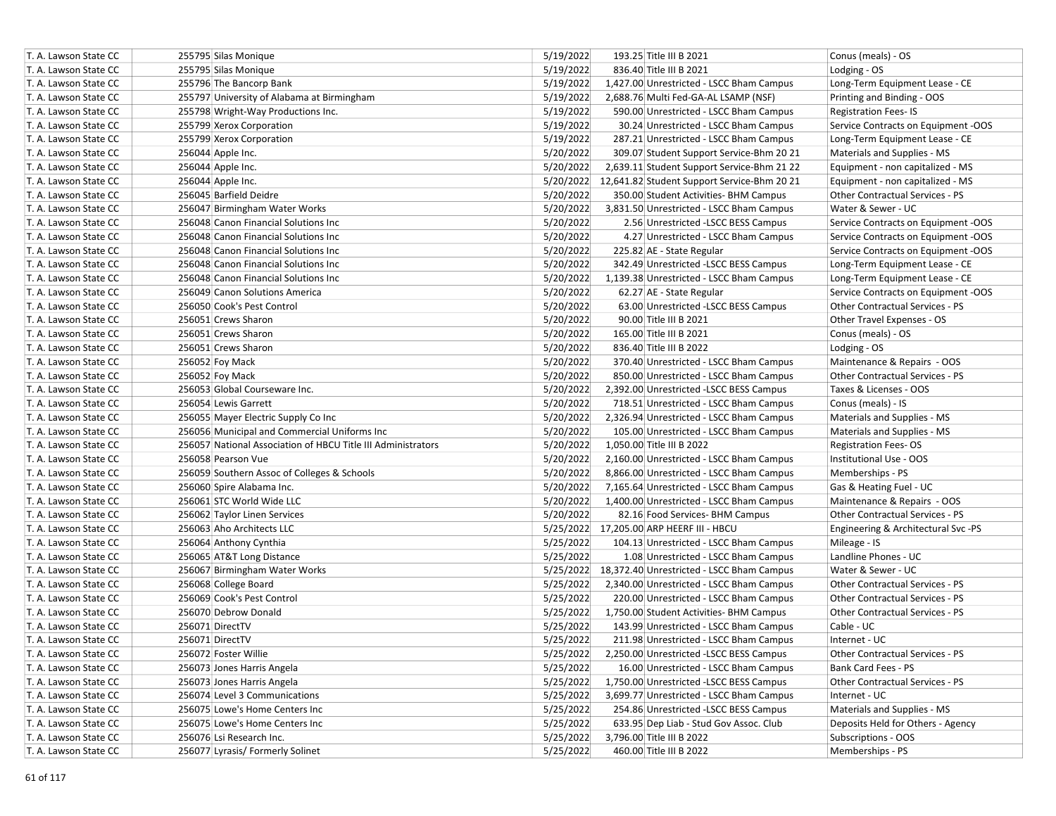| T. A. Lawson State CC | 255795 Silas Monique                                         | 5/19/2022 | 193.25 Title III B 2021                             | Conus (meals) - OS                  |
|-----------------------|--------------------------------------------------------------|-----------|-----------------------------------------------------|-------------------------------------|
| T. A. Lawson State CC | 255795 Silas Monique                                         | 5/19/2022 | 836.40 Title III B 2021                             | Lodging - OS                        |
| T. A. Lawson State CC | 255796 The Bancorp Bank                                      | 5/19/2022 | 1,427.00 Unrestricted - LSCC Bham Campus            | Long-Term Equipment Lease - CE      |
| T. A. Lawson State CC | 255797 University of Alabama at Birmingham                   | 5/19/2022 | 2,688.76 Multi Fed-GA-AL LSAMP (NSF)                | Printing and Binding - OOS          |
| T. A. Lawson State CC | 255798 Wright-Way Productions Inc.                           | 5/19/2022 | 590.00 Unrestricted - LSCC Bham Campus              | <b>Registration Fees-IS</b>         |
| T. A. Lawson State CC | 255799 Xerox Corporation                                     | 5/19/2022 | 30.24 Unrestricted - LSCC Bham Campus               | Service Contracts on Equipment -OOS |
| T. A. Lawson State CC | 255799 Xerox Corporation                                     | 5/19/2022 | 287.21 Unrestricted - LSCC Bham Campus              | Long-Term Equipment Lease - CE      |
| T. A. Lawson State CC | 256044 Apple Inc.                                            | 5/20/2022 | 309.07 Student Support Service-Bhm 20 21            | Materials and Supplies - MS         |
| T. A. Lawson State CC | 256044 Apple Inc.                                            | 5/20/2022 | 2,639.11 Student Support Service-Bhm 21 22          | Equipment - non capitalized - MS    |
| T. A. Lawson State CC | 256044 Apple Inc.                                            | 5/20/2022 | 12,641.82 Student Support Service-Bhm 20 21         | Equipment - non capitalized - MS    |
| T. A. Lawson State CC | 256045 Barfield Deidre                                       | 5/20/2022 | 350.00 Student Activities- BHM Campus               | Other Contractual Services - PS     |
| T. A. Lawson State CC | 256047 Birmingham Water Works                                | 5/20/2022 | 3,831.50 Unrestricted - LSCC Bham Campus            | Water & Sewer - UC                  |
| T. A. Lawson State CC | 256048 Canon Financial Solutions Inc                         | 5/20/2022 | 2.56 Unrestricted -LSCC BESS Campus                 | Service Contracts on Equipment -OOS |
| T. A. Lawson State CC | 256048 Canon Financial Solutions Inc                         | 5/20/2022 | 4.27 Unrestricted - LSCC Bham Campus                | Service Contracts on Equipment -OOS |
| T. A. Lawson State CC | 256048 Canon Financial Solutions Inc                         | 5/20/2022 | 225.82 AE - State Regular                           | Service Contracts on Equipment -OOS |
| T. A. Lawson State CC | 256048 Canon Financial Solutions Inc                         | 5/20/2022 | 342.49 Unrestricted -LSCC BESS Campus               | Long-Term Equipment Lease - CE      |
| T. A. Lawson State CC | 256048 Canon Financial Solutions Inc                         | 5/20/2022 | 1,139.38 Unrestricted - LSCC Bham Campus            | Long-Term Equipment Lease - CE      |
| T. A. Lawson State CC | 256049 Canon Solutions America                               | 5/20/2022 | 62.27 AE - State Regular                            | Service Contracts on Equipment -OOS |
| T. A. Lawson State CC | 256050 Cook's Pest Control                                   | 5/20/2022 | 63.00 Unrestricted -LSCC BESS Campus                | Other Contractual Services - PS     |
| T. A. Lawson State CC | 256051 Crews Sharon                                          | 5/20/2022 | 90.00 Title III B 2021                              | Other Travel Expenses - OS          |
| T. A. Lawson State CC | 256051 Crews Sharon                                          | 5/20/2022 | 165.00 Title III B 2021                             | Conus (meals) - OS                  |
| T. A. Lawson State CC | 256051 Crews Sharon                                          | 5/20/2022 | 836.40 Title III B 2022                             | Lodging - OS                        |
| T. A. Lawson State CC | 256052 Foy Mack                                              | 5/20/2022 | 370.40 Unrestricted - LSCC Bham Campus              | Maintenance & Repairs - OOS         |
| T. A. Lawson State CC | 256052 Foy Mack                                              | 5/20/2022 | 850.00 Unrestricted - LSCC Bham Campus              | Other Contractual Services - PS     |
| T. A. Lawson State CC | 256053 Global Courseware Inc.                                | 5/20/2022 | 2,392.00 Unrestricted -LSCC BESS Campus             | Taxes & Licenses - OOS              |
| T. A. Lawson State CC | 256054 Lewis Garrett                                         | 5/20/2022 | 718.51 Unrestricted - LSCC Bham Campus              | Conus (meals) - IS                  |
| T. A. Lawson State CC | 256055 Mayer Electric Supply Co Inc                          | 5/20/2022 | 2,326.94 Unrestricted - LSCC Bham Campus            | Materials and Supplies - MS         |
| T. A. Lawson State CC | 256056 Municipal and Commercial Uniforms Inc                 | 5/20/2022 | 105.00 Unrestricted - LSCC Bham Campus              | Materials and Supplies - MS         |
| T. A. Lawson State CC | 256057 National Association of HBCU Title III Administrators | 5/20/2022 | 1,050.00 Title III B 2022                           | <b>Registration Fees-OS</b>         |
| T. A. Lawson State CC | 256058 Pearson Vue                                           | 5/20/2022 | 2,160.00 Unrestricted - LSCC Bham Campus            | Institutional Use - OOS             |
| T. A. Lawson State CC | 256059 Southern Assoc of Colleges & Schools                  | 5/20/2022 | 8,866.00 Unrestricted - LSCC Bham Campus            | Memberships - PS                    |
| T. A. Lawson State CC | 256060 Spire Alabama Inc.                                    | 5/20/2022 | 7,165.64 Unrestricted - LSCC Bham Campus            | Gas & Heating Fuel - UC             |
| T. A. Lawson State CC | 256061 STC World Wide LLC                                    | 5/20/2022 | 1,400.00 Unrestricted - LSCC Bham Campus            | Maintenance & Repairs - OOS         |
| T. A. Lawson State CC | 256062 Taylor Linen Services                                 | 5/20/2022 | 82.16 Food Services- BHM Campus                     | Other Contractual Services - PS     |
| T. A. Lawson State CC | 256063 Aho Architects LLC                                    |           | 5/25/2022 17,205.00 ARP HEERF III - HBCU            | Engineering & Architectural Svc -PS |
| T. A. Lawson State CC | 256064 Anthony Cynthia                                       | 5/25/2022 | 104.13 Unrestricted - LSCC Bham Campus              | Mileage - IS                        |
| T. A. Lawson State CC | 256065 AT&T Long Distance                                    | 5/25/2022 | 1.08 Unrestricted - LSCC Bham Campus                | Landline Phones - UC                |
| T. A. Lawson State CC | 256067 Birmingham Water Works                                |           | 5/25/2022 18,372.40 Unrestricted - LSCC Bham Campus | Water & Sewer - UC                  |
| T. A. Lawson State CC | 256068 College Board                                         | 5/25/2022 | 2,340.00 Unrestricted - LSCC Bham Campus            | Other Contractual Services - PS     |
| T. A. Lawson State CC | 256069 Cook's Pest Control                                   | 5/25/2022 | 220.00 Unrestricted - LSCC Bham Campus              | Other Contractual Services - PS     |
| T. A. Lawson State CC | 256070 Debrow Donald                                         | 5/25/2022 | 1,750.00 Student Activities- BHM Campus             | Other Contractual Services - PS     |
| T. A. Lawson State CC | 256071 DirectTV                                              | 5/25/2022 | 143.99 Unrestricted - LSCC Bham Campus              | Cable - UC                          |
| T. A. Lawson State CC | 256071 DirectTV                                              | 5/25/2022 | 211.98 Unrestricted - LSCC Bham Campus              | Internet - UC                       |
| T. A. Lawson State CC | 256072 Foster Willie                                         | 5/25/2022 | 2,250.00 Unrestricted -LSCC BESS Campus             | Other Contractual Services - PS     |
| T. A. Lawson State CC | 256073 Jones Harris Angela                                   | 5/25/2022 | 16.00 Unrestricted - LSCC Bham Campus               | Bank Card Fees - PS                 |
| T. A. Lawson State CC | 256073 Jones Harris Angela                                   | 5/25/2022 | 1,750.00 Unrestricted -LSCC BESS Campus             | Other Contractual Services - PS     |
| T. A. Lawson State CC | 256074 Level 3 Communications                                | 5/25/2022 | 3,699.77 Unrestricted - LSCC Bham Campus            | Internet - UC                       |
| T. A. Lawson State CC | 256075 Lowe's Home Centers Inc                               | 5/25/2022 | 254.86 Unrestricted -LSCC BESS Campus               | Materials and Supplies - MS         |
| T. A. Lawson State CC | 256075 Lowe's Home Centers Inc                               | 5/25/2022 | 633.95 Dep Liab - Stud Gov Assoc. Club              | Deposits Held for Others - Agency   |
| T. A. Lawson State CC | 256076 Lsi Research Inc.                                     | 5/25/2022 | 3,796.00 Title III B 2022                           | Subscriptions - OOS                 |
| T. A. Lawson State CC | 256077 Lyrasis/ Formerly Solinet                             | 5/25/2022 | 460.00 Title III B 2022                             | Memberships - PS                    |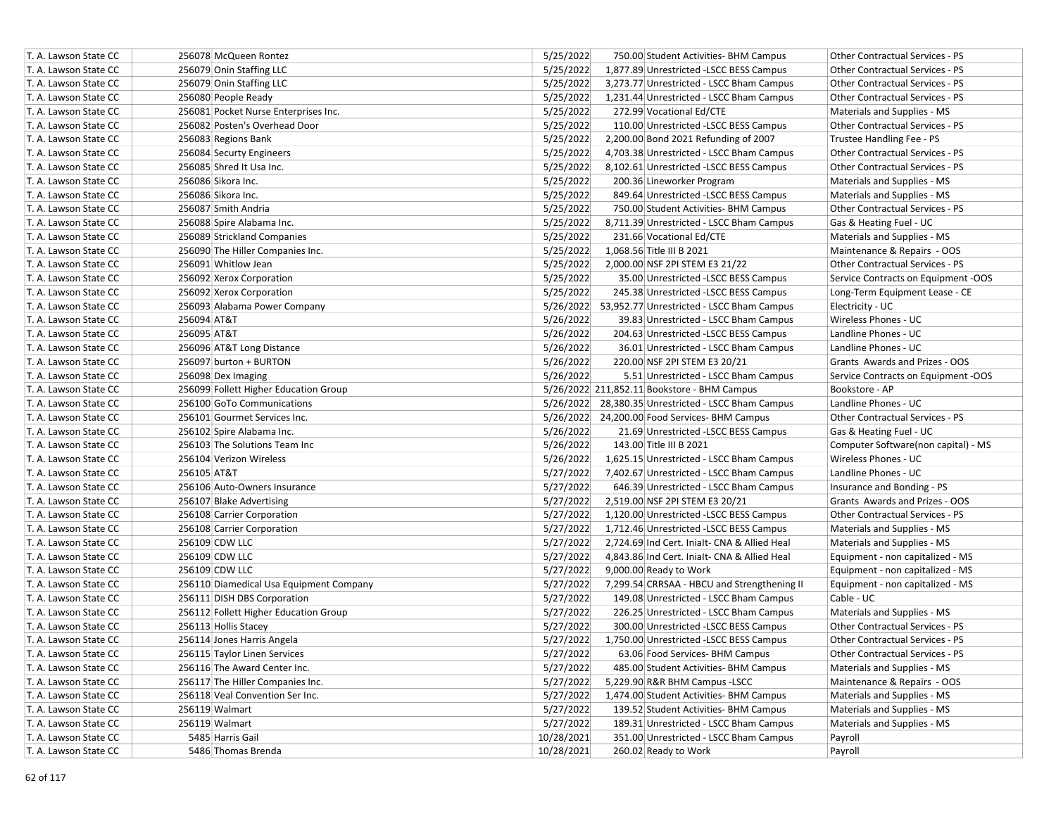| T. A. Lawson State CC | 256078 McQueen Rontez                   | 5/25/2022<br>750.00 Student Activities- BHM Campus<br><b>Other Contractual Services - PS</b>    |
|-----------------------|-----------------------------------------|-------------------------------------------------------------------------------------------------|
| T. A. Lawson State CC | 256079 Onin Staffing LLC                | 5/25/2022<br>1,877.89 Unrestricted -LSCC BESS Campus<br><b>Other Contractual Services - PS</b>  |
| T. A. Lawson State CC | 256079 Onin Staffing LLC                | 5/25/2022<br>3,273.77 Unrestricted - LSCC Bham Campus<br><b>Other Contractual Services - PS</b> |
| T. A. Lawson State CC | 256080 People Ready                     | 5/25/2022<br>1,231.44 Unrestricted - LSCC Bham Campus<br><b>Other Contractual Services - PS</b> |
| T. A. Lawson State CC | 256081 Pocket Nurse Enterprises Inc.    | 5/25/2022<br>272.99 Vocational Ed/CTE<br>Materials and Supplies - MS                            |
| T. A. Lawson State CC | 256082 Posten's Overhead Door           | 5/25/2022<br>110.00 Unrestricted -LSCC BESS Campus<br>Other Contractual Services - PS           |
| T. A. Lawson State CC | 256083 Regions Bank                     | 5/25/2022<br>2,200.00 Bond 2021 Refunding of 2007<br>Trustee Handling Fee - PS                  |
| T. A. Lawson State CC | 256084 Securty Engineers                | 5/25/2022<br>4,703.38 Unrestricted - LSCC Bham Campus<br><b>Other Contractual Services - PS</b> |
| T. A. Lawson State CC | 256085 Shred It Usa Inc.                | 5/25/2022<br>Other Contractual Services - PS<br>8,102.61 Unrestricted -LSCC BESS Campus         |
| T. A. Lawson State CC | 256086 Sikora Inc.                      | 5/25/2022<br>200.36 Lineworker Program<br>Materials and Supplies - MS                           |
| T. A. Lawson State CC | 256086 Sikora Inc.                      | 5/25/2022<br>849.64 Unrestricted -LSCC BESS Campus<br>Materials and Supplies - MS               |
| T. A. Lawson State CC | 256087 Smith Andria                     | 5/25/2022<br><b>Other Contractual Services - PS</b><br>750.00 Student Activities- BHM Campus    |
| T. A. Lawson State CC | 256088 Spire Alabama Inc.               | 5/25/2022<br>Gas & Heating Fuel - UC<br>8,711.39 Unrestricted - LSCC Bham Campus                |
| T. A. Lawson State CC | 256089 Strickland Companies             | 5/25/2022<br>Materials and Supplies - MS<br>231.66 Vocational Ed/CTE                            |
| T. A. Lawson State CC | 256090 The Hiller Companies Inc.        | 5/25/2022<br>1,068.56 Title III B 2021<br>Maintenance & Repairs - OOS                           |
| T. A. Lawson State CC | 256091 Whitlow Jean                     | 5/25/2022<br>Other Contractual Services - PS<br>2,000.00 NSF 2PI STEM E3 21/22                  |
| T. A. Lawson State CC | 256092 Xerox Corporation                | 5/25/2022<br>35.00 Unrestricted -LSCC BESS Campus<br>Service Contracts on Equipment -OOS        |
| T. A. Lawson State CC | 256092 Xerox Corporation                | 5/25/2022<br>245.38 Unrestricted -LSCC BESS Campus<br>Long-Term Equipment Lease - CE            |
| T. A. Lawson State CC | 256093 Alabama Power Company            | 5/26/2022 53,952.77 Unrestricted - LSCC Bham Campus<br>Electricity - UC                         |
| T. A. Lawson State CC | 256094 AT&T                             | 5/26/2022<br>Wireless Phones - UC<br>39.83 Unrestricted - LSCC Bham Campus                      |
| T. A. Lawson State CC | 256095 AT&T                             | 5/26/2022<br>Landline Phones - UC<br>204.63 Unrestricted -LSCC BESS Campus                      |
| T. A. Lawson State CC | 256096 AT&T Long Distance               | 5/26/2022<br>36.01 Unrestricted - LSCC Bham Campus<br>Landline Phones - UC                      |
| T. A. Lawson State CC | 256097 burton + BURTON                  | 5/26/2022<br>220.00 NSF 2PI STEM E3 20/21<br>Grants Awards and Prizes - OOS                     |
| T. A. Lawson State CC | 256098 Dex Imaging                      | 5/26/2022<br>5.51 Unrestricted - LSCC Bham Campus<br>Service Contracts on Equipment -OOS        |
| T. A. Lawson State CC | 256099 Follett Higher Education Group   | 5/26/2022 211,852.11 Bookstore - BHM Campus<br>Bookstore - AP                                   |
| T. A. Lawson State CC | 256100 GoTo Communications              | Landline Phones - UC<br>5/26/2022 28,380.35 Unrestricted - LSCC Bham Campus                     |
| T. A. Lawson State CC | 256101 Gourmet Services Inc.            | <b>Other Contractual Services - PS</b><br>5/26/2022 24,200.00 Food Services- BHM Campus         |
| T. A. Lawson State CC | 256102 Spire Alabama Inc.               | 5/26/2022<br>21.69 Unrestricted -LSCC BESS Campus<br>Gas & Heating Fuel - UC                    |
| T. A. Lawson State CC | 256103 The Solutions Team Inc           | 5/26/2022<br>143.00 Title III B 2021<br>Computer Software(non capital) - MS                     |
| T. A. Lawson State CC | 256104 Verizon Wireless                 | 5/26/2022<br>Wireless Phones - UC<br>1,625.15 Unrestricted - LSCC Bham Campus                   |
| T. A. Lawson State CC | 256105 AT&T                             | 5/27/2022<br>Landline Phones - UC<br>7,402.67 Unrestricted - LSCC Bham Campus                   |
| T. A. Lawson State CC | 256106 Auto-Owners Insurance            | 5/27/2022<br>646.39 Unrestricted - LSCC Bham Campus<br>Insurance and Bonding - PS               |
| T. A. Lawson State CC | 256107 Blake Advertising                | 5/27/2022<br>2,519.00 NSF 2PI STEM E3 20/21<br>Grants Awards and Prizes - OOS                   |
| T. A. Lawson State CC | 256108 Carrier Corporation              | 5/27/2022<br>Other Contractual Services - PS<br>1,120.00 Unrestricted -LSCC BESS Campus         |
| T. A. Lawson State CC | 256108 Carrier Corporation              | 5/27/2022<br>1,712.46 Unrestricted -LSCC BESS Campus<br>Materials and Supplies - MS             |
| T. A. Lawson State CC | 256109 CDW LLC                          | 5/27/2022<br>2,724.69 Ind Cert. Inialt- CNA & Allied Heal<br>Materials and Supplies - MS        |
| T. A. Lawson State CC | 256109 CDW LLC                          | 5/27/2022<br>4,843.86 Ind Cert. Inialt- CNA & Allied Heal<br>Equipment - non capitalized - MS   |
| T. A. Lawson State CC | 256109 CDW LLC                          | 5/27/2022<br>9,000.00 Ready to Work<br>Equipment - non capitalized - MS                         |
| T. A. Lawson State CC | 256110 Diamedical Usa Equipment Company | 5/27/2022<br>7,299.54 CRRSAA - HBCU and Strengthening II<br>Equipment - non capitalized - MS    |
| T. A. Lawson State CC | 256111 DISH DBS Corporation             | 5/27/2022<br>Cable - UC<br>149.08 Unrestricted - LSCC Bham Campus                               |
| T. A. Lawson State CC | 256112 Follett Higher Education Group   | 5/27/2022<br>226.25 Unrestricted - LSCC Bham Campus<br>Materials and Supplies - MS              |
| T. A. Lawson State CC | 256113 Hollis Stacey                    | 5/27/2022<br>Other Contractual Services - PS<br>300.00 Unrestricted -LSCC BESS Campus           |
| T. A. Lawson State CC | 256114 Jones Harris Angela              | 5/27/2022<br>1,750.00 Unrestricted -LSCC BESS Campus<br><b>Other Contractual Services - PS</b>  |
| T. A. Lawson State CC | 256115 Taylor Linen Services            | 5/27/2022<br>63.06 Food Services- BHM Campus<br>Other Contractual Services - PS                 |
| T. A. Lawson State CC | 256116 The Award Center Inc.            | 5/27/2022<br>485.00 Student Activities- BHM Campus<br>Materials and Supplies - MS               |
| T. A. Lawson State CC | 256117 The Hiller Companies Inc.        | 5,229.90 R&R BHM Campus - LSCC<br>Maintenance & Repairs - OOS<br>5/27/2022                      |
| T. A. Lawson State CC | 256118 Veal Convention Ser Inc.         | 5/27/2022<br>1,474.00 Student Activities- BHM Campus<br>Materials and Supplies - MS             |
| T. A. Lawson State CC | 256119 Walmart                          | 5/27/2022<br>139.52 Student Activities- BHM Campus<br>Materials and Supplies - MS               |
| T. A. Lawson State CC | 256119 Walmart                          | 5/27/2022<br>189.31 Unrestricted - LSCC Bham Campus<br>Materials and Supplies - MS              |
| T. A. Lawson State CC | 5485 Harris Gail                        | 10/28/2021<br>351.00 Unrestricted - LSCC Bham Campus<br>Payroll                                 |
| T. A. Lawson State CC | 5486 Thomas Brenda                      | 10/28/2021<br>260.02 Ready to Work<br>Payroll                                                   |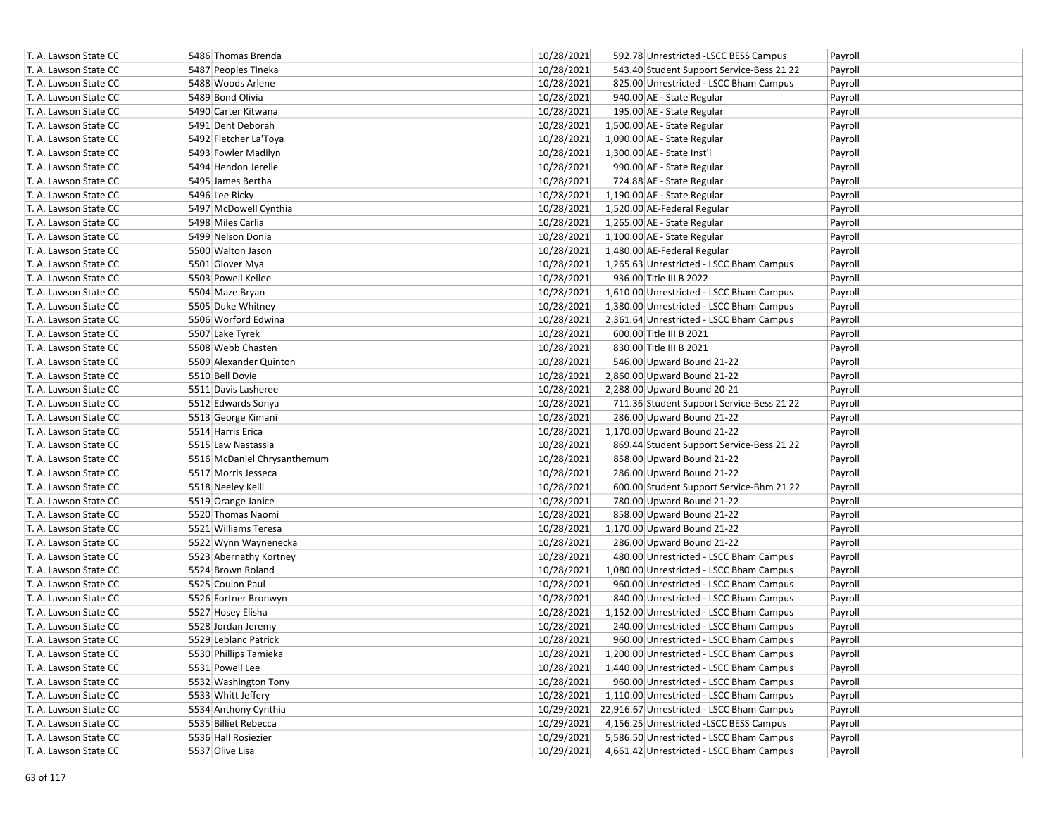| T. A. Lawson State CC | 5486 Thomas Brenda          | 10/28/2021 | 592.78 Unrestricted -LSCC BESS Campus     | Payroll |
|-----------------------|-----------------------------|------------|-------------------------------------------|---------|
| T. A. Lawson State CC | 5487 Peoples Tineka         | 10/28/2021 | 543.40 Student Support Service-Bess 21 22 | Payroll |
| T. A. Lawson State CC | 5488 Woods Arlene           | 10/28/2021 | 825.00 Unrestricted - LSCC Bham Campus    | Payroll |
| T. A. Lawson State CC | 5489 Bond Olivia            | 10/28/2021 | 940.00 AE - State Regular                 | Payroll |
| T. A. Lawson State CC | 5490 Carter Kitwana         | 10/28/2021 | 195.00 AE - State Regular                 | Payroll |
| T. A. Lawson State CC | 5491 Dent Deborah           | 10/28/2021 | 1,500.00 AE - State Regular               | Payroll |
| T. A. Lawson State CC | 5492 Fletcher La'Toya       | 10/28/2021 | 1,090.00 AE - State Regular               | Payroll |
| T. A. Lawson State CC | 5493 Fowler Madilyn         | 10/28/2021 | 1,300.00 AE - State Inst'l                | Payroll |
| T. A. Lawson State CC | 5494 Hendon Jerelle         | 10/28/2021 | 990.00 AE - State Regular                 | Payroll |
| T. A. Lawson State CC | 5495 James Bertha           | 10/28/2021 | 724.88 AE - State Regular                 | Payroll |
| T. A. Lawson State CC | 5496 Lee Ricky              | 10/28/2021 | 1,190.00 AE - State Regular               | Payroll |
| T. A. Lawson State CC | 5497 McDowell Cynthia       | 10/28/2021 | 1,520.00 AE-Federal Regular               | Payroll |
| T. A. Lawson State CC | 5498 Miles Carlia           | 10/28/2021 | 1,265.00 AE - State Regular               | Payroll |
| T. A. Lawson State CC | 5499 Nelson Donia           | 10/28/2021 | 1,100.00 AE - State Regular               | Payroll |
| T. A. Lawson State CC | 5500 Walton Jason           | 10/28/2021 | 1,480.00 AE-Federal Regular               | Payroll |
| T. A. Lawson State CC | 5501 Glover Mya             | 10/28/2021 | 1,265.63 Unrestricted - LSCC Bham Campus  | Payroll |
| T. A. Lawson State CC | 5503 Powell Kellee          | 10/28/2021 | 936.00 Title III B 2022                   | Payroll |
| T. A. Lawson State CC | 5504 Maze Bryan             | 10/28/2021 | 1,610.00 Unrestricted - LSCC Bham Campus  | Payroll |
| T. A. Lawson State CC | 5505 Duke Whitney           | 10/28/2021 | 1,380.00 Unrestricted - LSCC Bham Campus  | Payroll |
| T. A. Lawson State CC | 5506 Worford Edwina         | 10/28/2021 | 2,361.64 Unrestricted - LSCC Bham Campus  | Payroll |
| T. A. Lawson State CC | 5507 Lake Tyrek             | 10/28/2021 | 600.00 Title III B 2021                   | Payroll |
| T. A. Lawson State CC | 5508 Webb Chasten           | 10/28/2021 | 830.00 Title III B 2021                   | Payroll |
| T. A. Lawson State CC | 5509 Alexander Quinton      | 10/28/2021 | 546.00 Upward Bound 21-22                 | Payroll |
| T. A. Lawson State CC | 5510 Bell Dovie             | 10/28/2021 | 2,860.00 Upward Bound 21-22               | Payroll |
| T. A. Lawson State CC | 5511 Davis Lasheree         | 10/28/2021 | 2,288.00 Upward Bound 20-21               | Payroll |
| T. A. Lawson State CC | 5512 Edwards Sonya          | 10/28/2021 | 711.36 Student Support Service-Bess 21 22 | Payroll |
| T. A. Lawson State CC | 5513 George Kimani          | 10/28/2021 | 286.00 Upward Bound 21-22                 | Payroll |
| T. A. Lawson State CC | 5514 Harris Erica           | 10/28/2021 | 1,170.00 Upward Bound 21-22               | Payroll |
| T. A. Lawson State CC | 5515 Law Nastassia          | 10/28/2021 | 869.44 Student Support Service-Bess 21 22 | Payroll |
| T. A. Lawson State CC | 5516 McDaniel Chrysanthemum | 10/28/2021 | 858.00 Upward Bound 21-22                 | Payroll |
| T. A. Lawson State CC | 5517 Morris Jesseca         | 10/28/2021 | 286.00 Upward Bound 21-22                 | Payroll |
| T. A. Lawson State CC | 5518 Neeley Kelli           | 10/28/2021 | 600.00 Student Support Service-Bhm 21 22  | Payroll |
| T. A. Lawson State CC | 5519 Orange Janice          | 10/28/2021 | 780.00 Upward Bound 21-22                 | Payroll |
| T. A. Lawson State CC | 5520 Thomas Naomi           | 10/28/2021 | 858.00 Upward Bound 21-22                 | Payroll |
| T. A. Lawson State CC | 5521 Williams Teresa        | 10/28/2021 | 1,170.00 Upward Bound 21-22               | Payroll |
| T. A. Lawson State CC | 5522 Wynn Waynenecka        | 10/28/2021 | 286.00 Upward Bound 21-22                 | Payroll |
| T. A. Lawson State CC | 5523 Abernathy Kortney      | 10/28/2021 | 480.00 Unrestricted - LSCC Bham Campus    | Payroll |
| T. A. Lawson State CC | 5524 Brown Roland           | 10/28/2021 | 1,080.00 Unrestricted - LSCC Bham Campus  | Payroll |
| T. A. Lawson State CC | 5525 Coulon Paul            | 10/28/2021 | 960.00 Unrestricted - LSCC Bham Campus    | Payroll |
| T. A. Lawson State CC | 5526 Fortner Bronwyn        | 10/28/2021 | 840.00 Unrestricted - LSCC Bham Campus    | Payroll |
| T. A. Lawson State CC | 5527 Hosey Elisha           | 10/28/2021 | 1,152.00 Unrestricted - LSCC Bham Campus  | Payroll |
| T. A. Lawson State CC | 5528 Jordan Jeremy          | 10/28/2021 | 240.00 Unrestricted - LSCC Bham Campus    | Payroll |
| T. A. Lawson State CC | 5529 Leblanc Patrick        | 10/28/2021 | 960.00 Unrestricted - LSCC Bham Campus    | Payroll |
| T. A. Lawson State CC | 5530 Phillips Tamieka       | 10/28/2021 | 1,200.00 Unrestricted - LSCC Bham Campus  | Payroll |
| T. A. Lawson State CC | 5531 Powell Lee             | 10/28/2021 | 1,440.00 Unrestricted - LSCC Bham Campus  | Payroll |
| T. A. Lawson State CC | 5532 Washington Tony        | 10/28/2021 | 960.00 Unrestricted - LSCC Bham Campus    | Payroll |
| T. A. Lawson State CC | 5533 Whitt Jeffery          | 10/28/2021 | 1,110.00 Unrestricted - LSCC Bham Campus  | Payroll |
| T. A. Lawson State CC | 5534 Anthony Cynthia        | 10/29/2021 | 22,916.67 Unrestricted - LSCC Bham Campus | Payroll |
| T. A. Lawson State CC | 5535 Billiet Rebecca        | 10/29/2021 | 4,156.25 Unrestricted -LSCC BESS Campus   | Payroll |
| T. A. Lawson State CC | 5536 Hall Rosiezier         | 10/29/2021 | 5,586.50 Unrestricted - LSCC Bham Campus  | Payroll |
| T. A. Lawson State CC | 5537 Olive Lisa             | 10/29/2021 | 4,661.42 Unrestricted - LSCC Bham Campus  | Payroll |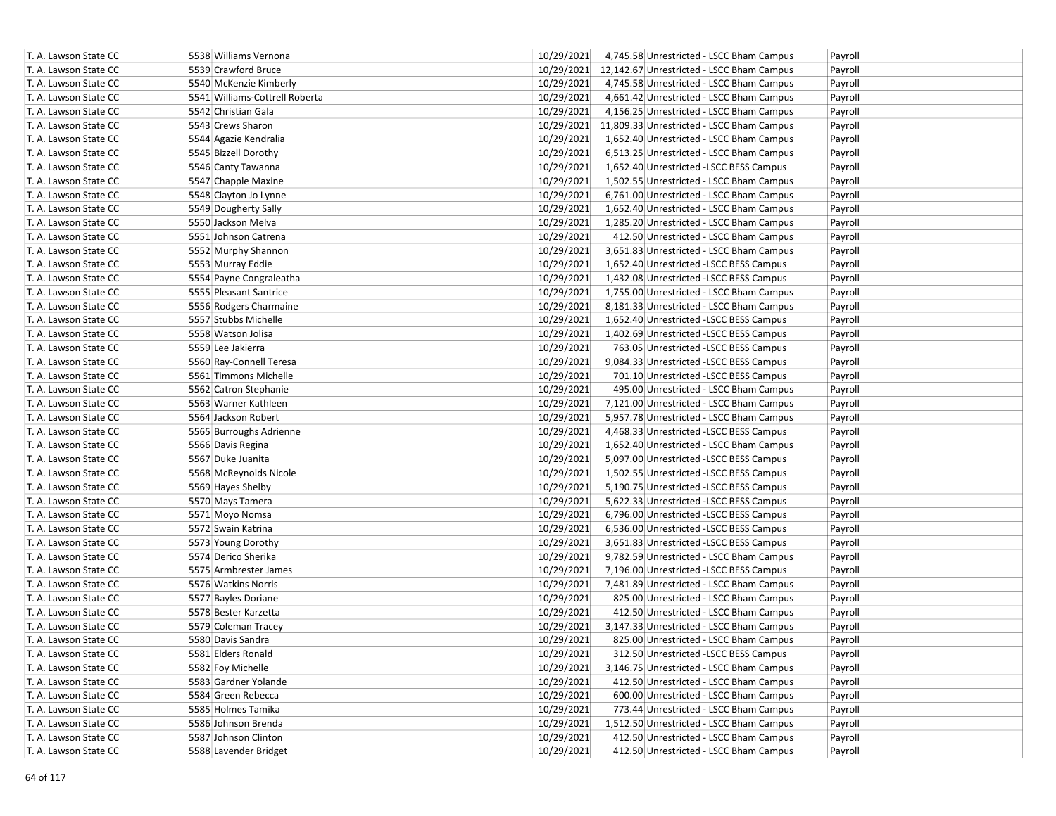| T. A. Lawson State CC | 5538 Williams Vernona          | 10/29/2021<br>Payroll<br>4,745.58 Unrestricted - LSCC Bham Campus |
|-----------------------|--------------------------------|-------------------------------------------------------------------|
| T. A. Lawson State CC | 5539 Crawford Bruce            | 10/29/2021 12,142.67 Unrestricted - LSCC Bham Campus<br>Payroll   |
| T. A. Lawson State CC | 5540 McKenzie Kimberly         | 10/29/2021<br>4,745.58 Unrestricted - LSCC Bham Campus<br>Payroll |
| T. A. Lawson State CC | 5541 Williams-Cottrell Roberta | 10/29/2021<br>4,661.42 Unrestricted - LSCC Bham Campus<br>Payroll |
| T. A. Lawson State CC | 5542 Christian Gala            | 10/29/2021<br>4,156.25 Unrestricted - LSCC Bham Campus<br>Payroll |
| T. A. Lawson State CC | 5543 Crews Sharon              | 10/29/2021 11,809.33 Unrestricted - LSCC Bham Campus<br>Payroll   |
| T. A. Lawson State CC | 5544 Agazie Kendralia          | 10/29/2021<br>1,652.40 Unrestricted - LSCC Bham Campus<br>Payroll |
| T. A. Lawson State CC | 5545 Bizzell Dorothy           | 10/29/2021<br>6,513.25 Unrestricted - LSCC Bham Campus<br>Payroll |
| T. A. Lawson State CC | 5546 Canty Tawanna             | 10/29/2021<br>1,652.40 Unrestricted -LSCC BESS Campus<br>Payroll  |
| T. A. Lawson State CC | 5547 Chapple Maxine            | 10/29/2021<br>1,502.55 Unrestricted - LSCC Bham Campus<br>Payroll |
| T. A. Lawson State CC | 5548 Clayton Jo Lynne          | 10/29/2021<br>6,761.00 Unrestricted - LSCC Bham Campus<br>Payroll |
| T. A. Lawson State CC | 5549 Dougherty Sally           | 10/29/2021<br>1,652.40 Unrestricted - LSCC Bham Campus<br>Payroll |
| T. A. Lawson State CC | 5550 Jackson Melva             | 10/29/2021<br>1,285.20 Unrestricted - LSCC Bham Campus<br>Payroll |
| T. A. Lawson State CC | 5551 Johnson Catrena           | 10/29/2021<br>412.50 Unrestricted - LSCC Bham Campus<br>Payroll   |
| T. A. Lawson State CC | 5552 Murphy Shannon            | 10/29/2021<br>3,651.83 Unrestricted - LSCC Bham Campus<br>Payroll |
| T. A. Lawson State CC | 5553 Murray Eddie              | 10/29/2021<br>1,652.40 Unrestricted -LSCC BESS Campus<br>Payroll  |
| T. A. Lawson State CC | 5554 Payne Congraleatha        | 10/29/2021<br>1,432.08 Unrestricted -LSCC BESS Campus<br>Payroll  |
| T. A. Lawson State CC | 5555 Pleasant Santrice         | 10/29/2021<br>1,755.00 Unrestricted - LSCC Bham Campus<br>Payroll |
| T. A. Lawson State CC | 5556 Rodgers Charmaine         | 10/29/2021<br>8,181.33 Unrestricted - LSCC Bham Campus<br>Payroll |
| T. A. Lawson State CC | 5557 Stubbs Michelle           | 10/29/2021<br>1,652.40 Unrestricted -LSCC BESS Campus<br>Payroll  |
| T. A. Lawson State CC | 5558 Watson Jolisa             | 10/29/2021<br>1,402.69 Unrestricted -LSCC BESS Campus<br>Payroll  |
| T. A. Lawson State CC | 5559 Lee Jakierra              | 10/29/2021<br>763.05 Unrestricted -LSCC BESS Campus<br>Payroll    |
| T. A. Lawson State CC | 5560 Ray-Connell Teresa        | 10/29/2021<br>9,084.33 Unrestricted -LSCC BESS Campus<br>Payroll  |
| T. A. Lawson State CC | 5561 Timmons Michelle          | 10/29/2021<br>701.10 Unrestricted -LSCC BESS Campus<br>Payroll    |
| T. A. Lawson State CC | 5562 Catron Stephanie          | 10/29/2021<br>Payroll<br>495.00 Unrestricted - LSCC Bham Campus   |
| T. A. Lawson State CC | 5563 Warner Kathleen           | 10/29/2021<br>7,121.00 Unrestricted - LSCC Bham Campus<br>Payroll |
| T. A. Lawson State CC | 5564 Jackson Robert            | 10/29/2021<br>5,957.78 Unrestricted - LSCC Bham Campus<br>Payroll |
| T. A. Lawson State CC | 5565 Burroughs Adrienne        | 10/29/2021<br>4,468.33 Unrestricted -LSCC BESS Campus<br>Payroll  |
| T. A. Lawson State CC | 5566 Davis Regina              | 10/29/2021<br>1,652.40 Unrestricted - LSCC Bham Campus<br>Payroll |
| T. A. Lawson State CC | 5567 Duke Juanita              | 10/29/2021<br>5,097.00 Unrestricted -LSCC BESS Campus<br>Payroll  |
| T. A. Lawson State CC | 5568 McReynolds Nicole         | 10/29/2021<br>1,502.55 Unrestricted -LSCC BESS Campus<br>Payroll  |
| T. A. Lawson State CC | 5569 Hayes Shelby              | 10/29/2021<br>5,190.75 Unrestricted -LSCC BESS Campus<br>Payroll  |
| T. A. Lawson State CC | 5570 Mays Tamera               | 10/29/2021<br>5,622.33 Unrestricted -LSCC BESS Campus<br>Payroll  |
| T. A. Lawson State CC | 5571 Moyo Nomsa                | 10/29/2021<br>6,796.00 Unrestricted -LSCC BESS Campus<br>Payroll  |
| T. A. Lawson State CC | 5572 Swain Katrina             | 10/29/2021<br>6,536.00 Unrestricted -LSCC BESS Campus<br>Payroll  |
| T. A. Lawson State CC | 5573 Young Dorothy             | 10/29/2021<br>3,651.83 Unrestricted -LSCC BESS Campus<br>Payroll  |
| T. A. Lawson State CC | 5574 Derico Sherika            | 10/29/2021<br>9,782.59 Unrestricted - LSCC Bham Campus<br>Payroll |
| T. A. Lawson State CC | 5575 Armbrester James          | 10/29/2021<br>7,196.00 Unrestricted -LSCC BESS Campus<br>Payroll  |
| T. A. Lawson State CC | 5576 Watkins Norris            | 10/29/2021<br>7,481.89 Unrestricted - LSCC Bham Campus<br>Payroll |
| T. A. Lawson State CC | 5577 Bayles Doriane            | 10/29/2021<br>825.00 Unrestricted - LSCC Bham Campus<br>Payroll   |
| T. A. Lawson State CC | 5578 Bester Karzetta           | 10/29/2021<br>412.50 Unrestricted - LSCC Bham Campus<br>Payroll   |
| T. A. Lawson State CC | 5579 Coleman Tracey            | 10/29/2021<br>3,147.33 Unrestricted - LSCC Bham Campus<br>Payroll |
| T. A. Lawson State CC | 5580 Davis Sandra              | 10/29/2021<br>825.00 Unrestricted - LSCC Bham Campus<br>Payroll   |
| T. A. Lawson State CC | 5581 Elders Ronald             | 10/29/2021<br>312.50 Unrestricted -LSCC BESS Campus<br>Payroll    |
| T. A. Lawson State CC | 5582 Foy Michelle              | 10/29/2021<br>3,146.75 Unrestricted - LSCC Bham Campus<br>Payroll |
| T. A. Lawson State CC | 5583 Gardner Yolande           | 10/29/2021<br>412.50 Unrestricted - LSCC Bham Campus<br>Payroll   |
| T. A. Lawson State CC | 5584 Green Rebecca             | 10/29/2021<br>600.00 Unrestricted - LSCC Bham Campus<br>Payroll   |
| T. A. Lawson State CC | 5585 Holmes Tamika             | 10/29/2021<br>773.44 Unrestricted - LSCC Bham Campus<br>Payroll   |
| T. A. Lawson State CC | 5586 Johnson Brenda            | 10/29/2021<br>1,512.50 Unrestricted - LSCC Bham Campus<br>Payroll |
| T. A. Lawson State CC | 5587 Johnson Clinton           | 10/29/2021<br>412.50 Unrestricted - LSCC Bham Campus<br>Payroll   |
| T. A. Lawson State CC | 5588 Lavender Bridget          | 10/29/2021<br>412.50 Unrestricted - LSCC Bham Campus<br>Payroll   |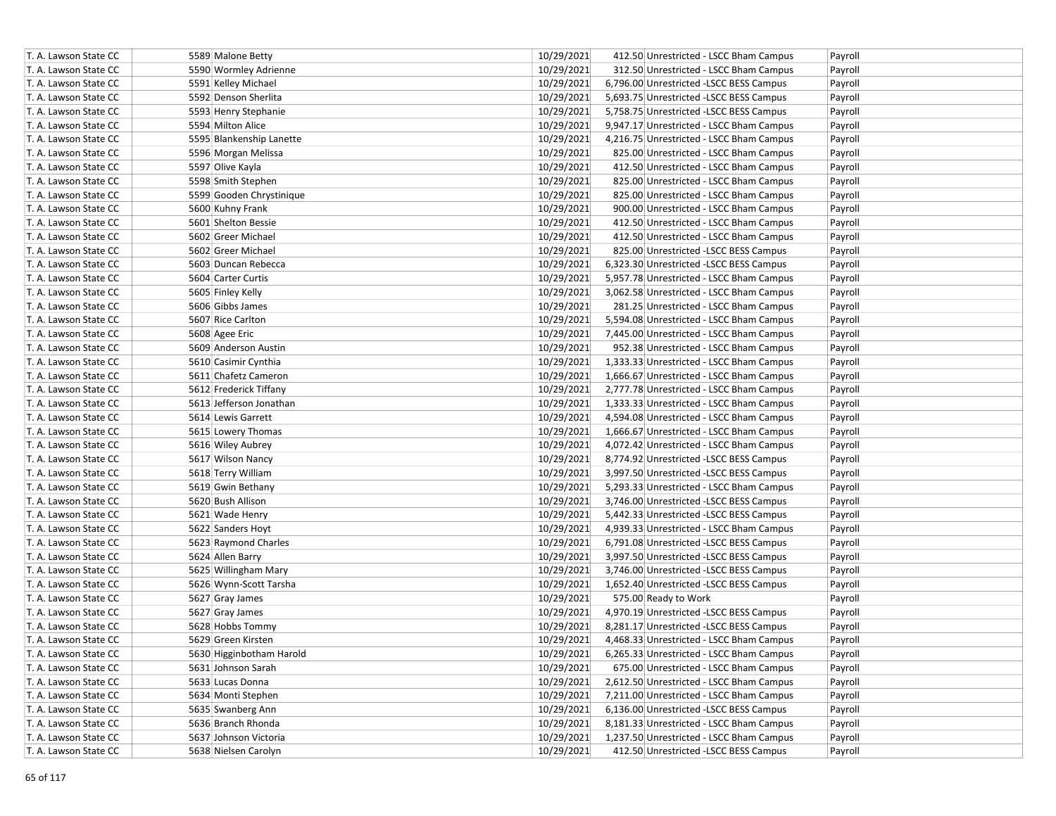| T. A. Lawson State CC | 5589 Malone Betty        | 10/29/2021 | 412.50 Unrestricted - LSCC Bham Campus   | Payroll |
|-----------------------|--------------------------|------------|------------------------------------------|---------|
| T. A. Lawson State CC | 5590 Wormley Adrienne    | 10/29/2021 | 312.50 Unrestricted - LSCC Bham Campus   | Payroll |
| T. A. Lawson State CC | 5591 Kelley Michael      | 10/29/2021 | 6,796.00 Unrestricted -LSCC BESS Campus  | Payroll |
| T. A. Lawson State CC | 5592 Denson Sherlita     | 10/29/2021 | 5,693.75 Unrestricted -LSCC BESS Campus  | Payroll |
| T. A. Lawson State CC | 5593 Henry Stephanie     | 10/29/2021 | 5,758.75 Unrestricted -LSCC BESS Campus  | Payroll |
| T. A. Lawson State CC | 5594 Milton Alice        | 10/29/2021 | 9,947.17 Unrestricted - LSCC Bham Campus | Payroll |
| T. A. Lawson State CC | 5595 Blankenship Lanette | 10/29/2021 | 4,216.75 Unrestricted - LSCC Bham Campus | Payroll |
| T. A. Lawson State CC | 5596 Morgan Melissa      | 10/29/2021 | 825.00 Unrestricted - LSCC Bham Campus   | Payroll |
| T. A. Lawson State CC | 5597 Olive Kayla         | 10/29/2021 | 412.50 Unrestricted - LSCC Bham Campus   | Payroll |
| T. A. Lawson State CC | 5598 Smith Stephen       | 10/29/2021 | 825.00 Unrestricted - LSCC Bham Campus   | Payroll |
| T. A. Lawson State CC | 5599 Gooden Chrystinique | 10/29/2021 | 825.00 Unrestricted - LSCC Bham Campus   | Payroll |
| T. A. Lawson State CC | 5600 Kuhny Frank         | 10/29/2021 | 900.00 Unrestricted - LSCC Bham Campus   | Payroll |
| T. A. Lawson State CC | 5601 Shelton Bessie      | 10/29/2021 | 412.50 Unrestricted - LSCC Bham Campus   | Payroll |
| T. A. Lawson State CC | 5602 Greer Michael       | 10/29/2021 | 412.50 Unrestricted - LSCC Bham Campus   | Payroll |
| T. A. Lawson State CC | 5602 Greer Michael       | 10/29/2021 | 825.00 Unrestricted -LSCC BESS Campus    | Payroll |
| T. A. Lawson State CC | 5603 Duncan Rebecca      | 10/29/2021 | 6,323.30 Unrestricted -LSCC BESS Campus  | Payroll |
| T. A. Lawson State CC | 5604 Carter Curtis       | 10/29/2021 | 5,957.78 Unrestricted - LSCC Bham Campus | Payroll |
| T. A. Lawson State CC | 5605 Finley Kelly        | 10/29/2021 | 3,062.58 Unrestricted - LSCC Bham Campus | Payroll |
| T. A. Lawson State CC | 5606 Gibbs James         | 10/29/2021 | 281.25 Unrestricted - LSCC Bham Campus   | Payroll |
| T. A. Lawson State CC | 5607 Rice Carlton        | 10/29/2021 | 5,594.08 Unrestricted - LSCC Bham Campus | Payroll |
| T. A. Lawson State CC | 5608 Agee Eric           | 10/29/2021 | 7,445.00 Unrestricted - LSCC Bham Campus | Payroll |
| T. A. Lawson State CC | 5609 Anderson Austin     | 10/29/2021 | 952.38 Unrestricted - LSCC Bham Campus   | Payroll |
| T. A. Lawson State CC | 5610 Casimir Cynthia     | 10/29/2021 | 1,333.33 Unrestricted - LSCC Bham Campus | Payroll |
| T. A. Lawson State CC | 5611 Chafetz Cameron     | 10/29/2021 | 1,666.67 Unrestricted - LSCC Bham Campus | Payroll |
| T. A. Lawson State CC | 5612 Frederick Tiffany   | 10/29/2021 | 2,777.78 Unrestricted - LSCC Bham Campus | Payroll |
| T. A. Lawson State CC | 5613 Jefferson Jonathan  | 10/29/2021 | 1,333.33 Unrestricted - LSCC Bham Campus | Payroll |
| T. A. Lawson State CC | 5614 Lewis Garrett       | 10/29/2021 | 4,594.08 Unrestricted - LSCC Bham Campus | Payroll |
| T. A. Lawson State CC | 5615 Lowery Thomas       | 10/29/2021 | 1,666.67 Unrestricted - LSCC Bham Campus | Payroll |
| T. A. Lawson State CC | 5616 Wiley Aubrey        | 10/29/2021 | 4,072.42 Unrestricted - LSCC Bham Campus | Payroll |
| T. A. Lawson State CC | 5617 Wilson Nancy        | 10/29/2021 | 8,774.92 Unrestricted -LSCC BESS Campus  | Payroll |
| T. A. Lawson State CC | 5618 Terry William       | 10/29/2021 | 3,997.50 Unrestricted -LSCC BESS Campus  | Payroll |
| T. A. Lawson State CC | 5619 Gwin Bethany        | 10/29/2021 | 5,293.33 Unrestricted - LSCC Bham Campus | Payroll |
| T. A. Lawson State CC | 5620 Bush Allison        | 10/29/2021 | 3,746.00 Unrestricted -LSCC BESS Campus  | Payroll |
| T. A. Lawson State CC | 5621 Wade Henry          | 10/29/2021 | 5,442.33 Unrestricted -LSCC BESS Campus  | Payroll |
| T. A. Lawson State CC | 5622 Sanders Hoyt        | 10/29/2021 | 4,939.33 Unrestricted - LSCC Bham Campus | Payroll |
| T. A. Lawson State CC | 5623 Raymond Charles     | 10/29/2021 | 6,791.08 Unrestricted -LSCC BESS Campus  | Payroll |
| T. A. Lawson State CC | 5624 Allen Barry         | 10/29/2021 | 3,997.50 Unrestricted -LSCC BESS Campus  | Payroll |
| T. A. Lawson State CC | 5625 Willingham Mary     | 10/29/2021 | 3,746.00 Unrestricted -LSCC BESS Campus  | Payroll |
| T. A. Lawson State CC | 5626 Wynn-Scott Tarsha   | 10/29/2021 | 1,652.40 Unrestricted -LSCC BESS Campus  | Payroll |
| T. A. Lawson State CC | 5627 Gray James          | 10/29/2021 | 575.00 Ready to Work                     | Payroll |
| T. A. Lawson State CC | 5627 Gray James          | 10/29/2021 | 4,970.19 Unrestricted -LSCC BESS Campus  | Payroll |
| T. A. Lawson State CC | 5628 Hobbs Tommy         | 10/29/2021 | 8,281.17 Unrestricted - LSCC BESS Campus | Payroll |
| T. A. Lawson State CC | 5629 Green Kirsten       | 10/29/2021 | 4,468.33 Unrestricted - LSCC Bham Campus | Payroll |
| T. A. Lawson State CC | 5630 Higginbotham Harold | 10/29/2021 | 6,265.33 Unrestricted - LSCC Bham Campus | Payroll |
| T. A. Lawson State CC | 5631 Johnson Sarah       | 10/29/2021 | 675.00 Unrestricted - LSCC Bham Campus   | Payroll |
| T. A. Lawson State CC | 5633 Lucas Donna         | 10/29/2021 | 2,612.50 Unrestricted - LSCC Bham Campus | Payroll |
| T. A. Lawson State CC | 5634 Monti Stephen       | 10/29/2021 | 7,211.00 Unrestricted - LSCC Bham Campus | Payroll |
| T. A. Lawson State CC | 5635 Swanberg Ann        | 10/29/2021 | 6,136.00 Unrestricted -LSCC BESS Campus  | Payroll |
| T. A. Lawson State CC | 5636 Branch Rhonda       | 10/29/2021 | 8,181.33 Unrestricted - LSCC Bham Campus | Payroll |
| T. A. Lawson State CC | 5637 Johnson Victoria    | 10/29/2021 | 1,237.50 Unrestricted - LSCC Bham Campus | Payroll |
| T. A. Lawson State CC | 5638 Nielsen Carolyn     | 10/29/2021 | 412.50 Unrestricted -LSCC BESS Campus    | Payroll |
|                       |                          |            |                                          |         |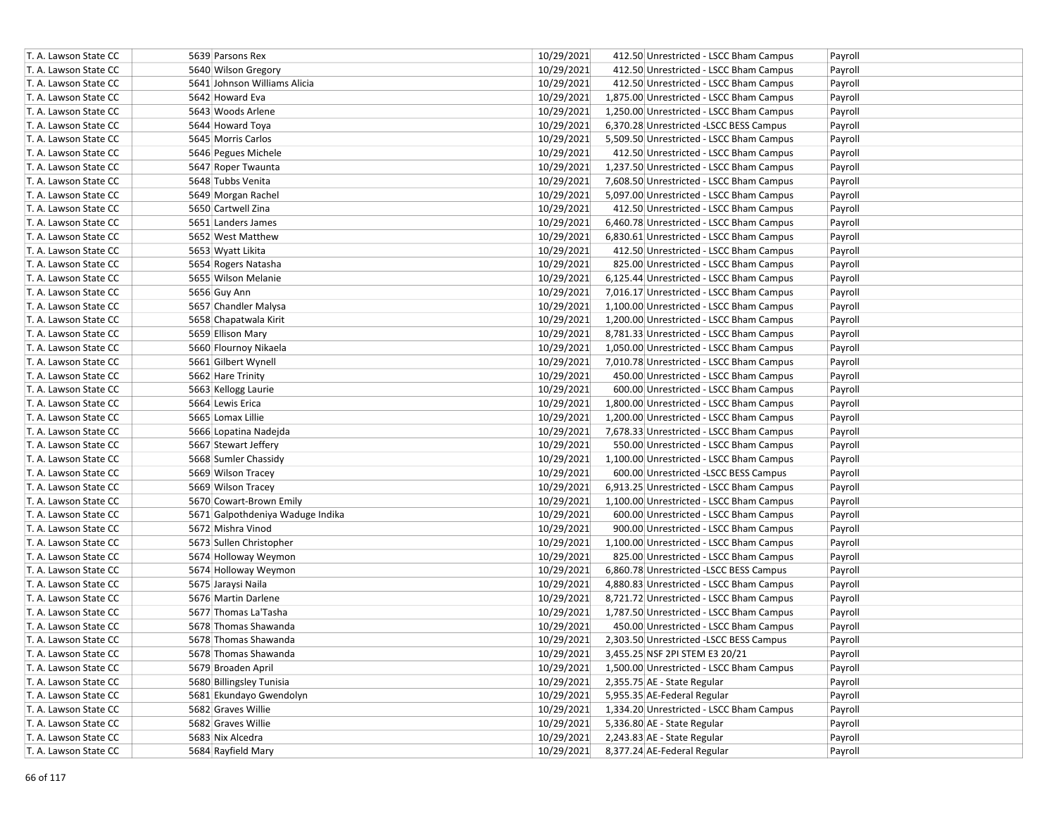| T. A. Lawson State CC | 5639 Parsons Rex                 | 10/29/2021 | 412.50 Unrestricted - LSCC Bham Campus   | Payroll |
|-----------------------|----------------------------------|------------|------------------------------------------|---------|
| T. A. Lawson State CC | 5640 Wilson Gregory              | 10/29/2021 | 412.50 Unrestricted - LSCC Bham Campus   | Payroll |
| T. A. Lawson State CC | 5641 Johnson Williams Alicia     | 10/29/2021 | 412.50 Unrestricted - LSCC Bham Campus   | Payroll |
| T. A. Lawson State CC | 5642 Howard Eva                  | 10/29/2021 | 1,875.00 Unrestricted - LSCC Bham Campus | Payroll |
| T. A. Lawson State CC | 5643 Woods Arlene                | 10/29/2021 | 1,250.00 Unrestricted - LSCC Bham Campus | Payroll |
| T. A. Lawson State CC | 5644 Howard Toya                 | 10/29/2021 | 6,370.28 Unrestricted -LSCC BESS Campus  | Payroll |
| T. A. Lawson State CC | 5645 Morris Carlos               | 10/29/2021 | 5,509.50 Unrestricted - LSCC Bham Campus | Payroll |
| T. A. Lawson State CC | 5646 Pegues Michele              | 10/29/2021 | 412.50 Unrestricted - LSCC Bham Campus   | Payroll |
| T. A. Lawson State CC | 5647 Roper Twaunta               | 10/29/2021 | 1,237.50 Unrestricted - LSCC Bham Campus | Payroll |
| T. A. Lawson State CC | 5648 Tubbs Venita                | 10/29/2021 | 7,608.50 Unrestricted - LSCC Bham Campus | Payroll |
| T. A. Lawson State CC | 5649 Morgan Rachel               | 10/29/2021 | 5,097.00 Unrestricted - LSCC Bham Campus | Payroll |
| T. A. Lawson State CC | 5650 Cartwell Zina               | 10/29/2021 | 412.50 Unrestricted - LSCC Bham Campus   | Payroll |
| T. A. Lawson State CC | 5651 Landers James               | 10/29/2021 | 6,460.78 Unrestricted - LSCC Bham Campus | Payroll |
| T. A. Lawson State CC | 5652 West Matthew                | 10/29/2021 | 6,830.61 Unrestricted - LSCC Bham Campus | Payroll |
| T. A. Lawson State CC | 5653 Wyatt Likita                | 10/29/2021 | 412.50 Unrestricted - LSCC Bham Campus   | Payroll |
| T. A. Lawson State CC | 5654 Rogers Natasha              | 10/29/2021 | 825.00 Unrestricted - LSCC Bham Campus   | Payroll |
| T. A. Lawson State CC | 5655 Wilson Melanie              | 10/29/2021 | 6,125.44 Unrestricted - LSCC Bham Campus | Payroll |
| T. A. Lawson State CC | 5656 Guy Ann                     | 10/29/2021 | 7,016.17 Unrestricted - LSCC Bham Campus | Payroll |
| T. A. Lawson State CC | 5657 Chandler Malysa             | 10/29/2021 | 1,100.00 Unrestricted - LSCC Bham Campus | Payroll |
| T. A. Lawson State CC | 5658 Chapatwala Kirit            | 10/29/2021 | 1,200.00 Unrestricted - LSCC Bham Campus | Payroll |
| T. A. Lawson State CC | 5659 Ellison Mary                | 10/29/2021 | 8,781.33 Unrestricted - LSCC Bham Campus | Payroll |
| T. A. Lawson State CC | 5660 Flournoy Nikaela            | 10/29/2021 | 1,050.00 Unrestricted - LSCC Bham Campus | Payroll |
| T. A. Lawson State CC | 5661 Gilbert Wynell              | 10/29/2021 | 7,010.78 Unrestricted - LSCC Bham Campus | Payroll |
| T. A. Lawson State CC | 5662 Hare Trinity                | 10/29/2021 | 450.00 Unrestricted - LSCC Bham Campus   | Payroll |
| T. A. Lawson State CC | 5663 Kellogg Laurie              | 10/29/2021 | 600.00 Unrestricted - LSCC Bham Campus   | Payroll |
| T. A. Lawson State CC | 5664 Lewis Erica                 | 10/29/2021 | 1,800.00 Unrestricted - LSCC Bham Campus | Payroll |
| T. A. Lawson State CC | 5665 Lomax Lillie                | 10/29/2021 | 1,200.00 Unrestricted - LSCC Bham Campus | Payroll |
| T. A. Lawson State CC | 5666 Lopatina Nadejda            | 10/29/2021 | 7,678.33 Unrestricted - LSCC Bham Campus | Payroll |
| T. A. Lawson State CC | 5667 Stewart Jeffery             | 10/29/2021 | 550.00 Unrestricted - LSCC Bham Campus   | Payroll |
| T. A. Lawson State CC | 5668 Sumler Chassidy             | 10/29/2021 | 1,100.00 Unrestricted - LSCC Bham Campus | Payroll |
| T. A. Lawson State CC | 5669 Wilson Tracey               | 10/29/2021 | 600.00 Unrestricted -LSCC BESS Campus    | Payroll |
| T. A. Lawson State CC | 5669 Wilson Tracey               | 10/29/2021 | 6,913.25 Unrestricted - LSCC Bham Campus | Payroll |
| T. A. Lawson State CC | 5670 Cowart-Brown Emily          | 10/29/2021 | 1,100.00 Unrestricted - LSCC Bham Campus | Payroll |
| T. A. Lawson State CC | 5671 Galpothdeniya Waduge Indika | 10/29/2021 | 600.00 Unrestricted - LSCC Bham Campus   | Payroll |
| T. A. Lawson State CC | 5672 Mishra Vinod                | 10/29/2021 | 900.00 Unrestricted - LSCC Bham Campus   | Payroll |
| T. A. Lawson State CC | 5673 Sullen Christopher          | 10/29/2021 | 1,100.00 Unrestricted - LSCC Bham Campus | Payroll |
| T. A. Lawson State CC | 5674 Holloway Weymon             | 10/29/2021 | 825.00 Unrestricted - LSCC Bham Campus   | Payroll |
| T. A. Lawson State CC | 5674 Holloway Weymon             | 10/29/2021 | 6,860.78 Unrestricted - LSCC BESS Campus | Payroll |
| T. A. Lawson State CC | 5675 Jaraysi Naila               | 10/29/2021 | 4,880.83 Unrestricted - LSCC Bham Campus | Payroll |
| T. A. Lawson State CC | 5676 Martin Darlene              | 10/29/2021 | 8,721.72 Unrestricted - LSCC Bham Campus | Payroll |
| T. A. Lawson State CC | 5677 Thomas La'Tasha             | 10/29/2021 | 1,787.50 Unrestricted - LSCC Bham Campus | Payroll |
| T. A. Lawson State CC | 5678 Thomas Shawanda             | 10/29/2021 | 450.00 Unrestricted - LSCC Bham Campus   | Payroll |
| T. A. Lawson State CC | 5678 Thomas Shawanda             | 10/29/2021 | 2,303.50 Unrestricted -LSCC BESS Campus  | Payroll |
| T. A. Lawson State CC | 5678 Thomas Shawanda             | 10/29/2021 | 3,455.25 NSF 2PI STEM E3 20/21           | Payroll |
| T. A. Lawson State CC | 5679 Broaden April               | 10/29/2021 | 1,500.00 Unrestricted - LSCC Bham Campus | Payroll |
| T. A. Lawson State CC | 5680 Billingsley Tunisia         | 10/29/2021 | 2,355.75 AE - State Regular              | Payroll |
| T. A. Lawson State CC | 5681 Ekundayo Gwendolyn          | 10/29/2021 | 5,955.35 AE-Federal Regular              | Payroll |
| T. A. Lawson State CC | 5682 Graves Willie               | 10/29/2021 | 1,334.20 Unrestricted - LSCC Bham Campus | Payroll |
| T. A. Lawson State CC | 5682 Graves Willie               | 10/29/2021 | 5,336.80 AE - State Regular              | Payroll |
| T. A. Lawson State CC | 5683 Nix Alcedra                 | 10/29/2021 | 2,243.83 AE - State Regular              | Payroll |
| T. A. Lawson State CC | 5684 Rayfield Mary               | 10/29/2021 | 8,377.24 AE-Federal Regular              |         |
|                       |                                  |            |                                          | Payroll |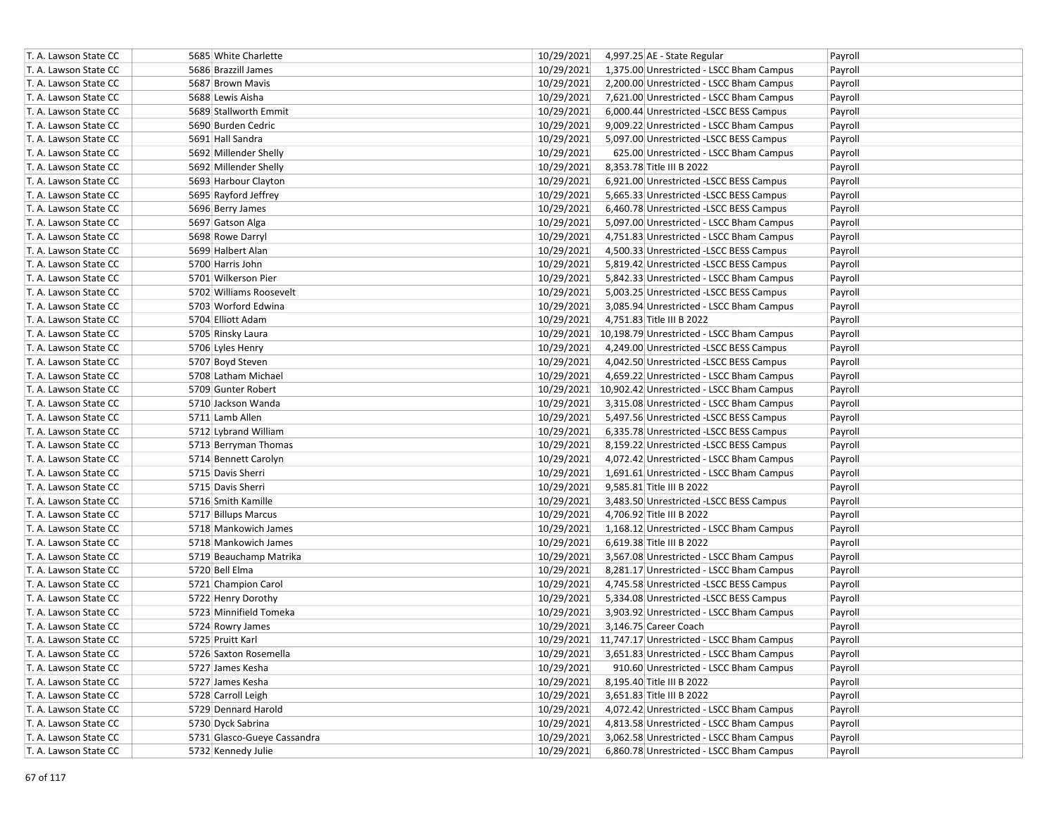| T. A. Lawson State CC | 5685 White Charlette        | 10/29/2021<br>4,997.25 AE - State Regular              | Payroll |
|-----------------------|-----------------------------|--------------------------------------------------------|---------|
| T. A. Lawson State CC | 5686 Brazzill James         | 10/29/2021<br>1,375.00 Unrestricted - LSCC Bham Campus | Payroll |
| T. A. Lawson State CC | 5687 Brown Mavis            | 10/29/2021<br>2,200.00 Unrestricted - LSCC Bham Campus | Payroll |
| T. A. Lawson State CC | 5688 Lewis Aisha            | 10/29/2021<br>7,621.00 Unrestricted - LSCC Bham Campus | Payroll |
| T. A. Lawson State CC | 5689 Stallworth Emmit       | 10/29/2021<br>6,000.44 Unrestricted -LSCC BESS Campus  | Payroll |
| T. A. Lawson State CC | 5690 Burden Cedric          | 10/29/2021<br>9,009.22 Unrestricted - LSCC Bham Campus | Payroll |
| T. A. Lawson State CC | 5691 Hall Sandra            | 10/29/2021<br>5,097.00 Unrestricted -LSCC BESS Campus  | Payroll |
| T. A. Lawson State CC | 5692 Millender Shelly       | 10/29/2021<br>625.00 Unrestricted - LSCC Bham Campus   | Payroll |
| T. A. Lawson State CC | 5692 Millender Shelly       | 10/29/2021<br>8,353.78 Title III B 2022                | Payroll |
| T. A. Lawson State CC | 5693 Harbour Clayton        | 10/29/2021<br>6,921.00 Unrestricted -LSCC BESS Campus  | Payroll |
| T. A. Lawson State CC | 5695 Rayford Jeffrey        | 10/29/2021<br>5,665.33 Unrestricted -LSCC BESS Campus  | Payroll |
| T. A. Lawson State CC | 5696 Berry James            | 10/29/2021<br>6,460.78 Unrestricted -LSCC BESS Campus  | Payroll |
| T. A. Lawson State CC | 5697 Gatson Alga            | 10/29/2021<br>5,097.00 Unrestricted - LSCC Bham Campus | Payroll |
| T. A. Lawson State CC | 5698 Rowe Darryl            | 10/29/2021<br>4,751.83 Unrestricted - LSCC Bham Campus | Payroll |
| T. A. Lawson State CC | 5699 Halbert Alan           | 10/29/2021<br>4,500.33 Unrestricted -LSCC BESS Campus  | Payroll |
| T. A. Lawson State CC | 5700 Harris John            | 10/29/2021<br>5,819.42 Unrestricted -LSCC BESS Campus  | Payroll |
| T. A. Lawson State CC | 5701 Wilkerson Pier         | 10/29/2021<br>5,842.33 Unrestricted - LSCC Bham Campus | Payroll |
| T. A. Lawson State CC | 5702 Williams Roosevelt     | 10/29/2021<br>5,003.25 Unrestricted -LSCC BESS Campus  | Payroll |
| T. A. Lawson State CC | 5703 Worford Edwina         | 10/29/2021<br>3,085.94 Unrestricted - LSCC Bham Campus | Payroll |
| T. A. Lawson State CC | 5704 Elliott Adam           | 10/29/2021<br>4,751.83 Title III B 2022                | Payroll |
| T. A. Lawson State CC | 5705 Rinsky Laura           | 10/29/2021 10,198.79 Unrestricted - LSCC Bham Campus   | Payroll |
| T. A. Lawson State CC | 5706 Lyles Henry            | 10/29/2021<br>4,249.00 Unrestricted -LSCC BESS Campus  | Payroll |
| T. A. Lawson State CC | 5707 Boyd Steven            | 10/29/2021<br>4,042.50 Unrestricted -LSCC BESS Campus  | Payroll |
| T. A. Lawson State CC | 5708 Latham Michael         | 10/29/2021<br>4,659.22 Unrestricted - LSCC Bham Campus | Payroll |
| T. A. Lawson State CC | 5709 Gunter Robert          | 10/29/2021 10.902.42 Unrestricted - LSCC Bham Campus   | Payroll |
| T. A. Lawson State CC | 5710 Jackson Wanda          | 10/29/2021<br>3,315.08 Unrestricted - LSCC Bham Campus | Payroll |
| T. A. Lawson State CC | 5711 Lamb Allen             | 10/29/2021<br>5,497.56 Unrestricted -LSCC BESS Campus  | Payroll |
| T. A. Lawson State CC | 5712 Lybrand William        | 10/29/2021<br>6,335.78 Unrestricted -LSCC BESS Campus  | Payroll |
| T. A. Lawson State CC | 5713 Berryman Thomas        | 10/29/2021<br>8,159.22 Unrestricted -LSCC BESS Campus  | Payroll |
| T. A. Lawson State CC | 5714 Bennett Carolyn        | 10/29/2021<br>4,072.42 Unrestricted - LSCC Bham Campus | Payroll |
| T. A. Lawson State CC | 5715 Davis Sherri           | 10/29/2021<br>1,691.61 Unrestricted - LSCC Bham Campus | Payroll |
| T. A. Lawson State CC | 5715 Davis Sherri           | 10/29/2021<br>9,585.81 Title III B 2022                | Payroll |
| T. A. Lawson State CC | 5716 Smith Kamille          | 10/29/2021<br>3,483.50 Unrestricted -LSCC BESS Campus  | Payroll |
| T. A. Lawson State CC | 5717 Billups Marcus         | 10/29/2021<br>4,706.92 Title III B 2022                | Payroll |
| T. A. Lawson State CC | 5718 Mankowich James        | 10/29/2021<br>1,168.12 Unrestricted - LSCC Bham Campus | Payroll |
| T. A. Lawson State CC | 5718 Mankowich James        | 10/29/2021<br>6,619.38 Title III B 2022                | Payroll |
| T. A. Lawson State CC | 5719 Beauchamp Matrika      | 10/29/2021<br>3,567.08 Unrestricted - LSCC Bham Campus | Payroll |
| T. A. Lawson State CC | 5720 Bell Elma              | 10/29/2021<br>8,281.17 Unrestricted - LSCC Bham Campus | Payroll |
| T. A. Lawson State CC | 5721 Champion Carol         | 10/29/2021<br>4,745.58 Unrestricted -LSCC BESS Campus  | Payroll |
| T. A. Lawson State CC | 5722 Henry Dorothy          | 10/29/2021<br>5,334.08 Unrestricted -LSCC BESS Campus  | Payroll |
| T. A. Lawson State CC | 5723 Minnifield Tomeka      | 10/29/2021<br>3,903.92 Unrestricted - LSCC Bham Campus | Payroll |
| T. A. Lawson State CC | 5724 Rowry James            | 10/29/2021<br>3,146.75 Career Coach                    | Payroll |
| T. A. Lawson State CC | 5725 Pruitt Karl            | 10/29/2021 11,747.17 Unrestricted - LSCC Bham Campus   | Payroll |
| T. A. Lawson State CC | 5726 Saxton Rosemella       | 10/29/2021<br>3,651.83 Unrestricted - LSCC Bham Campus | Payroll |
| T. A. Lawson State CC | 5727 James Kesha            | 10/29/2021<br>910.60 Unrestricted - LSCC Bham Campus   | Payroll |
| T. A. Lawson State CC | 5727 James Kesha            | 10/29/2021<br>8,195.40 Title III B 2022                | Payroll |
| T. A. Lawson State CC | 5728 Carroll Leigh          | 10/29/2021<br>3,651.83 Title III B 2022                | Payroll |
| T. A. Lawson State CC | 5729 Dennard Harold         | 10/29/2021<br>4,072.42 Unrestricted - LSCC Bham Campus | Payroll |
| T. A. Lawson State CC | 5730 Dyck Sabrina           | 10/29/2021<br>4,813.58 Unrestricted - LSCC Bham Campus | Payroll |
| T. A. Lawson State CC | 5731 Glasco-Gueye Cassandra | 10/29/2021<br>3,062.58 Unrestricted - LSCC Bham Campus | Payroll |
| T. A. Lawson State CC | 5732 Kennedy Julie          | 10/29/2021<br>6,860.78 Unrestricted - LSCC Bham Campus | Payroll |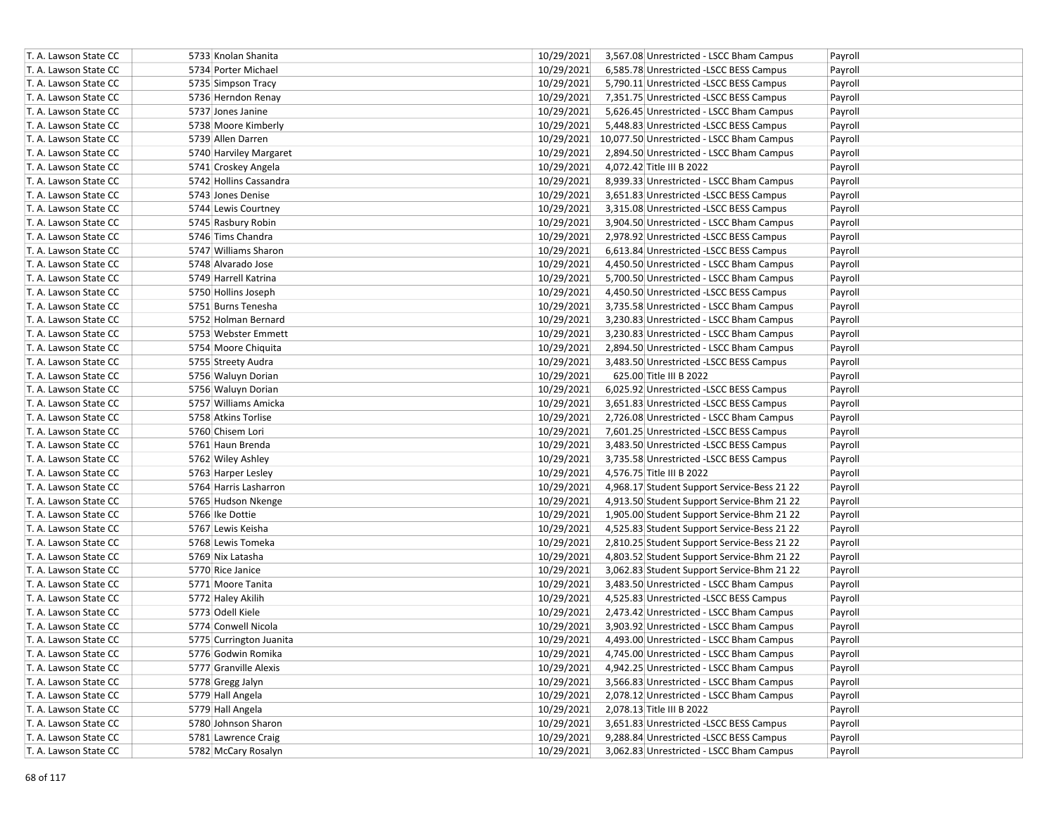| T. A. Lawson State CC | 5733 Knolan Shanita     | 10/29/2021<br>3,567.08 Unrestricted - LSCC Bham Campus<br>Payroll    |
|-----------------------|-------------------------|----------------------------------------------------------------------|
| T. A. Lawson State CC | 5734 Porter Michael     | 10/29/2021<br>6,585.78 Unrestricted -LSCC BESS Campus<br>Payroll     |
| T. A. Lawson State CC | 5735 Simpson Tracy      | 10/29/2021<br>5,790.11 Unrestricted -LSCC BESS Campus<br>Payroll     |
| T. A. Lawson State CC | 5736 Herndon Renay      | 10/29/2021<br>7,351.75 Unrestricted -LSCC BESS Campus<br>Payroll     |
| T. A. Lawson State CC | 5737 Jones Janine       | 10/29/2021<br>5,626.45 Unrestricted - LSCC Bham Campus<br>Payroll    |
| T. A. Lawson State CC | 5738 Moore Kimberly     | 10/29/2021<br>5,448.83 Unrestricted -LSCC BESS Campus<br>Payroll     |
| T. A. Lawson State CC | 5739 Allen Darren       | 10/29/2021 10,077.50 Unrestricted - LSCC Bham Campus<br>Payroll      |
| T. A. Lawson State CC | 5740 Harviley Margaret  | 10/29/2021<br>2,894.50 Unrestricted - LSCC Bham Campus<br>Payroll    |
| T. A. Lawson State CC | 5741 Croskey Angela     | 10/29/2021<br>4,072.42 Title III B 2022<br>Payroll                   |
| T. A. Lawson State CC | 5742 Hollins Cassandra  | 10/29/2021<br>8,939.33 Unrestricted - LSCC Bham Campus<br>Payroll    |
| T. A. Lawson State CC | 5743 Jones Denise       | 10/29/2021<br>3,651.83 Unrestricted -LSCC BESS Campus<br>Payroll     |
| T. A. Lawson State CC | 5744 Lewis Courtney     | 10/29/2021<br>3,315.08 Unrestricted -LSCC BESS Campus<br>Payroll     |
| T. A. Lawson State CC | 5745 Rasbury Robin      | 10/29/2021<br>3,904.50 Unrestricted - LSCC Bham Campus<br>Payroll    |
| T. A. Lawson State CC | 5746 Tims Chandra       | 10/29/2021<br>2,978.92 Unrestricted -LSCC BESS Campus<br>Payroll     |
| T. A. Lawson State CC | 5747 Williams Sharon    | 10/29/2021<br>6,613.84 Unrestricted -LSCC BESS Campus<br>Payroll     |
| T. A. Lawson State CC | 5748 Alvarado Jose      | 10/29/2021<br>4,450.50 Unrestricted - LSCC Bham Campus<br>Payroll    |
| T. A. Lawson State CC | 5749 Harrell Katrina    | 10/29/2021<br>5,700.50 Unrestricted - LSCC Bham Campus<br>Payroll    |
| T. A. Lawson State CC | 5750 Hollins Joseph     | 10/29/2021<br>4,450.50 Unrestricted -LSCC BESS Campus<br>Payroll     |
| T. A. Lawson State CC | 5751 Burns Tenesha      | 10/29/2021<br>3,735.58 Unrestricted - LSCC Bham Campus<br>Payroll    |
| T. A. Lawson State CC | 5752 Holman Bernard     | 10/29/2021<br>3,230.83 Unrestricted - LSCC Bham Campus<br>Payroll    |
| T. A. Lawson State CC | 5753 Webster Emmett     | 10/29/2021<br>3,230.83 Unrestricted - LSCC Bham Campus<br>Payroll    |
| T. A. Lawson State CC | 5754 Moore Chiquita     | 10/29/2021<br>2,894.50 Unrestricted - LSCC Bham Campus<br>Payroll    |
| T. A. Lawson State CC | 5755 Streety Audra      | 10/29/2021<br>3,483.50 Unrestricted - LSCC BESS Campus<br>Payroll    |
| T. A. Lawson State CC | 5756 Waluyn Dorian      | 10/29/2021<br>625.00 Title III B 2022<br>Payroll                     |
| T. A. Lawson State CC | 5756 Waluyn Dorian      | 10/29/2021<br>6,025.92 Unrestricted -LSCC BESS Campus<br>Payroll     |
| T. A. Lawson State CC | 5757 Williams Amicka    | 10/29/2021<br>3,651.83 Unrestricted -LSCC BESS Campus<br>Payroll     |
| T. A. Lawson State CC | 5758 Atkins Torlise     | 10/29/2021<br>2,726.08 Unrestricted - LSCC Bham Campus<br>Payroll    |
| T. A. Lawson State CC | 5760 Chisem Lori        | 10/29/2021<br>7,601.25 Unrestricted -LSCC BESS Campus<br>Payroll     |
| T. A. Lawson State CC | 5761 Haun Brenda        | 10/29/2021<br>3,483.50 Unrestricted -LSCC BESS Campus<br>Payroll     |
| T. A. Lawson State CC | 5762 Wiley Ashley       | 10/29/2021<br>3,735.58 Unrestricted -LSCC BESS Campus<br>Payroll     |
| T. A. Lawson State CC | 5763 Harper Lesley      | 10/29/2021<br>4,576.75 Title III B 2022<br>Payroll                   |
| T. A. Lawson State CC | 5764 Harris Lasharron   | 10/29/2021<br>4,968.17 Student Support Service-Bess 21 22<br>Payroll |
| T. A. Lawson State CC | 5765 Hudson Nkenge      | 10/29/2021<br>4,913.50 Student Support Service-Bhm 21 22<br>Payroll  |
| T. A. Lawson State CC | 5766 Ike Dottie         | 10/29/2021<br>1,905.00 Student Support Service-Bhm 21 22<br>Payroll  |
| T. A. Lawson State CC | 5767 Lewis Keisha       | 10/29/2021<br>4,525.83 Student Support Service-Bess 21 22<br>Payroll |
| T. A. Lawson State CC | 5768 Lewis Tomeka       | 10/29/2021<br>2,810.25 Student Support Service-Bess 21 22<br>Payroll |
| T. A. Lawson State CC | 5769 Nix Latasha        | 10/29/2021<br>4,803.52 Student Support Service-Bhm 21 22<br>Payroll  |
| T. A. Lawson State CC | 5770 Rice Janice        | 10/29/2021<br>3,062.83 Student Support Service-Bhm 21 22<br>Payroll  |
| T. A. Lawson State CC | 5771 Moore Tanita       | 10/29/2021<br>3,483.50 Unrestricted - LSCC Bham Campus<br>Payroll    |
| T. A. Lawson State CC | 5772 Haley Akilih       | 10/29/2021<br>4,525.83 Unrestricted -LSCC BESS Campus<br>Payroll     |
| T. A. Lawson State CC | 5773 Odell Kiele        | 10/29/2021<br>2,473.42 Unrestricted - LSCC Bham Campus<br>Payroll    |
| T. A. Lawson State CC | 5774 Conwell Nicola     | 10/29/2021<br>3,903.92 Unrestricted - LSCC Bham Campus<br>Payroll    |
| T. A. Lawson State CC | 5775 Currington Juanita | 10/29/2021<br>4,493.00 Unrestricted - LSCC Bham Campus<br>Payroll    |
| T. A. Lawson State CC | 5776 Godwin Romika      | 10/29/2021<br>4,745.00 Unrestricted - LSCC Bham Campus<br>Payroll    |
| T. A. Lawson State CC | 5777 Granville Alexis   | 10/29/2021<br>4,942.25 Unrestricted - LSCC Bham Campus<br>Payroll    |
| T. A. Lawson State CC | 5778 Gregg Jalyn        | 10/29/2021<br>3,566.83 Unrestricted - LSCC Bham Campus<br>Payroll    |
| T. A. Lawson State CC | 5779 Hall Angela        | 10/29/2021<br>2,078.12 Unrestricted - LSCC Bham Campus<br>Payroll    |
| T. A. Lawson State CC | 5779 Hall Angela        | 10/29/2021<br>2,078.13 Title III B 2022<br>Payroll                   |
| T. A. Lawson State CC | 5780 Johnson Sharon     | 10/29/2021<br>3,651.83 Unrestricted -LSCC BESS Campus<br>Payroll     |
| T. A. Lawson State CC | 5781 Lawrence Craig     | 10/29/2021<br>9,288.84 Unrestricted -LSCC BESS Campus<br>Payroll     |
| T. A. Lawson State CC | 5782 McCary Rosalyn     | 10/29/2021<br>3,062.83 Unrestricted - LSCC Bham Campus<br>Payroll    |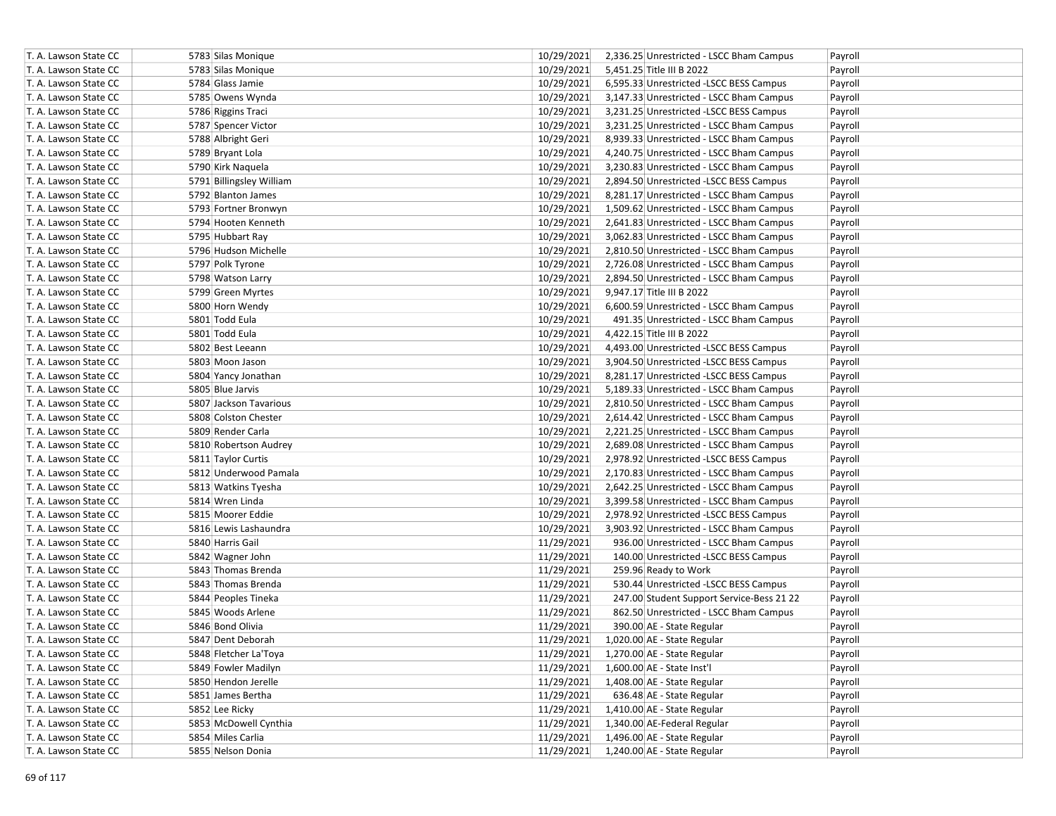| T. A. Lawson State CC | 5783 Silas Monique       | 10/29/2021 | 2,336.25 Unrestricted - LSCC Bham Campus  | Payroll |
|-----------------------|--------------------------|------------|-------------------------------------------|---------|
| T. A. Lawson State CC | 5783 Silas Monique       | 10/29/2021 | 5,451.25 Title III B 2022                 | Payroll |
| T. A. Lawson State CC | 5784 Glass Jamie         | 10/29/2021 | 6,595.33 Unrestricted -LSCC BESS Campus   | Payroll |
| T. A. Lawson State CC | 5785 Owens Wynda         | 10/29/2021 | 3,147.33 Unrestricted - LSCC Bham Campus  | Payroll |
| T. A. Lawson State CC | 5786 Riggins Traci       | 10/29/2021 | 3,231.25 Unrestricted -LSCC BESS Campus   | Payroll |
| T. A. Lawson State CC | 5787 Spencer Victor      | 10/29/2021 | 3,231.25 Unrestricted - LSCC Bham Campus  | Payroll |
| T. A. Lawson State CC | 5788 Albright Geri       | 10/29/2021 | 8,939.33 Unrestricted - LSCC Bham Campus  | Payroll |
| T. A. Lawson State CC | 5789 Bryant Lola         | 10/29/2021 | 4,240.75 Unrestricted - LSCC Bham Campus  | Payroll |
| T. A. Lawson State CC | 5790 Kirk Naquela        | 10/29/2021 | 3,230.83 Unrestricted - LSCC Bham Campus  | Payroll |
| T. A. Lawson State CC | 5791 Billingsley William | 10/29/2021 | 2,894.50 Unrestricted -LSCC BESS Campus   | Payroll |
| T. A. Lawson State CC | 5792 Blanton James       | 10/29/2021 | 8,281.17 Unrestricted - LSCC Bham Campus  | Payroll |
| T. A. Lawson State CC | 5793 Fortner Bronwyn     | 10/29/2021 | 1,509.62 Unrestricted - LSCC Bham Campus  | Payroll |
| T. A. Lawson State CC | 5794 Hooten Kenneth      | 10/29/2021 | 2,641.83 Unrestricted - LSCC Bham Campus  | Payroll |
| T. A. Lawson State CC | 5795 Hubbart Ray         | 10/29/2021 | 3,062.83 Unrestricted - LSCC Bham Campus  | Payroll |
| T. A. Lawson State CC | 5796 Hudson Michelle     | 10/29/2021 | 2,810.50 Unrestricted - LSCC Bham Campus  | Payroll |
| T. A. Lawson State CC | 5797 Polk Tyrone         | 10/29/2021 | 2,726.08 Unrestricted - LSCC Bham Campus  | Payroll |
| T. A. Lawson State CC | 5798 Watson Larry        | 10/29/2021 | 2,894.50 Unrestricted - LSCC Bham Campus  | Payroll |
| T. A. Lawson State CC | 5799 Green Myrtes        | 10/29/2021 | 9,947.17 Title III B 2022                 | Payroll |
| T. A. Lawson State CC | 5800 Horn Wendy          | 10/29/2021 | 6,600.59 Unrestricted - LSCC Bham Campus  | Payroll |
| T. A. Lawson State CC | 5801 Todd Eula           | 10/29/2021 | 491.35 Unrestricted - LSCC Bham Campus    | Payroll |
| T. A. Lawson State CC | 5801 Todd Eula           | 10/29/2021 | 4,422.15 Title III B 2022                 | Payroll |
| T. A. Lawson State CC | 5802 Best Leeann         | 10/29/2021 | 4,493.00 Unrestricted -LSCC BESS Campus   | Payroll |
| T. A. Lawson State CC | 5803 Moon Jason          | 10/29/2021 | 3,904.50 Unrestricted -LSCC BESS Campus   | Payroll |
| T. A. Lawson State CC | 5804 Yancy Jonathan      | 10/29/2021 | 8,281.17 Unrestricted -LSCC BESS Campus   | Payroll |
| T. A. Lawson State CC | 5805 Blue Jarvis         | 10/29/2021 | 5,189.33 Unrestricted - LSCC Bham Campus  | Payroll |
| T. A. Lawson State CC | 5807 Jackson Tavarious   | 10/29/2021 | 2,810.50 Unrestricted - LSCC Bham Campus  | Payroll |
| T. A. Lawson State CC | 5808 Colston Chester     | 10/29/2021 | 2,614.42 Unrestricted - LSCC Bham Campus  | Payroll |
| T. A. Lawson State CC | 5809 Render Carla        | 10/29/2021 | 2,221.25 Unrestricted - LSCC Bham Campus  | Payroll |
| T. A. Lawson State CC | 5810 Robertson Audrey    | 10/29/2021 | 2,689.08 Unrestricted - LSCC Bham Campus  | Payroll |
| T. A. Lawson State CC | 5811 Taylor Curtis       | 10/29/2021 | 2,978.92 Unrestricted -LSCC BESS Campus   | Payroll |
| T. A. Lawson State CC | 5812 Underwood Pamala    | 10/29/2021 | 2,170.83 Unrestricted - LSCC Bham Campus  | Payroll |
| T. A. Lawson State CC | 5813 Watkins Tyesha      | 10/29/2021 | 2,642.25 Unrestricted - LSCC Bham Campus  | Payroll |
| T. A. Lawson State CC | 5814 Wren Linda          | 10/29/2021 | 3,399.58 Unrestricted - LSCC Bham Campus  | Payroll |
| T. A. Lawson State CC | 5815 Moorer Eddie        | 10/29/2021 | 2,978.92 Unrestricted -LSCC BESS Campus   | Payroll |
| T. A. Lawson State CC | 5816 Lewis Lashaundra    | 10/29/2021 | 3,903.92 Unrestricted - LSCC Bham Campus  | Payroll |
| T. A. Lawson State CC | 5840 Harris Gail         | 11/29/2021 | 936.00 Unrestricted - LSCC Bham Campus    | Payroll |
| T. A. Lawson State CC | 5842 Wagner John         | 11/29/2021 | 140.00 Unrestricted -LSCC BESS Campus     | Payroll |
| T. A. Lawson State CC | 5843 Thomas Brenda       | 11/29/2021 | 259.96 Ready to Work                      | Payroll |
| T. A. Lawson State CC | 5843 Thomas Brenda       | 11/29/2021 | 530.44 Unrestricted -LSCC BESS Campus     | Payroll |
| T. A. Lawson State CC | 5844 Peoples Tineka      | 11/29/2021 | 247.00 Student Support Service-Bess 21 22 | Payroll |
| T. A. Lawson State CC | 5845 Woods Arlene        | 11/29/2021 | 862.50 Unrestricted - LSCC Bham Campus    | Payroll |
| T. A. Lawson State CC | 5846 Bond Olivia         | 11/29/2021 | 390.00 AE - State Regular                 | Payroll |
| T. A. Lawson State CC | 5847 Dent Deborah        | 11/29/2021 | 1,020.00 AE - State Regular               | Payroll |
| T. A. Lawson State CC | 5848 Fletcher La'Toya    | 11/29/2021 | 1,270.00 AE - State Regular               | Payroll |
| T. A. Lawson State CC | 5849 Fowler Madilyn      | 11/29/2021 | 1,600.00 AE - State Inst'l                | Payroll |
| T. A. Lawson State CC | 5850 Hendon Jerelle      | 11/29/2021 | 1,408.00 AE - State Regular               | Payroll |
| T. A. Lawson State CC | 5851 James Bertha        | 11/29/2021 | 636.48 AE - State Regular                 | Payroll |
| T. A. Lawson State CC | 5852 Lee Ricky           | 11/29/2021 | 1,410.00 AE - State Regular               | Payroll |
| T. A. Lawson State CC | 5853 McDowell Cynthia    | 11/29/2021 | 1,340.00 AE-Federal Regular               | Payroll |
| T. A. Lawson State CC | 5854 Miles Carlia        | 11/29/2021 | 1,496.00 AE - State Regular               | Payroll |
| T. A. Lawson State CC | 5855 Nelson Donia        | 11/29/2021 | 1,240.00 AE - State Regular               | Payroll |
|                       |                          |            |                                           |         |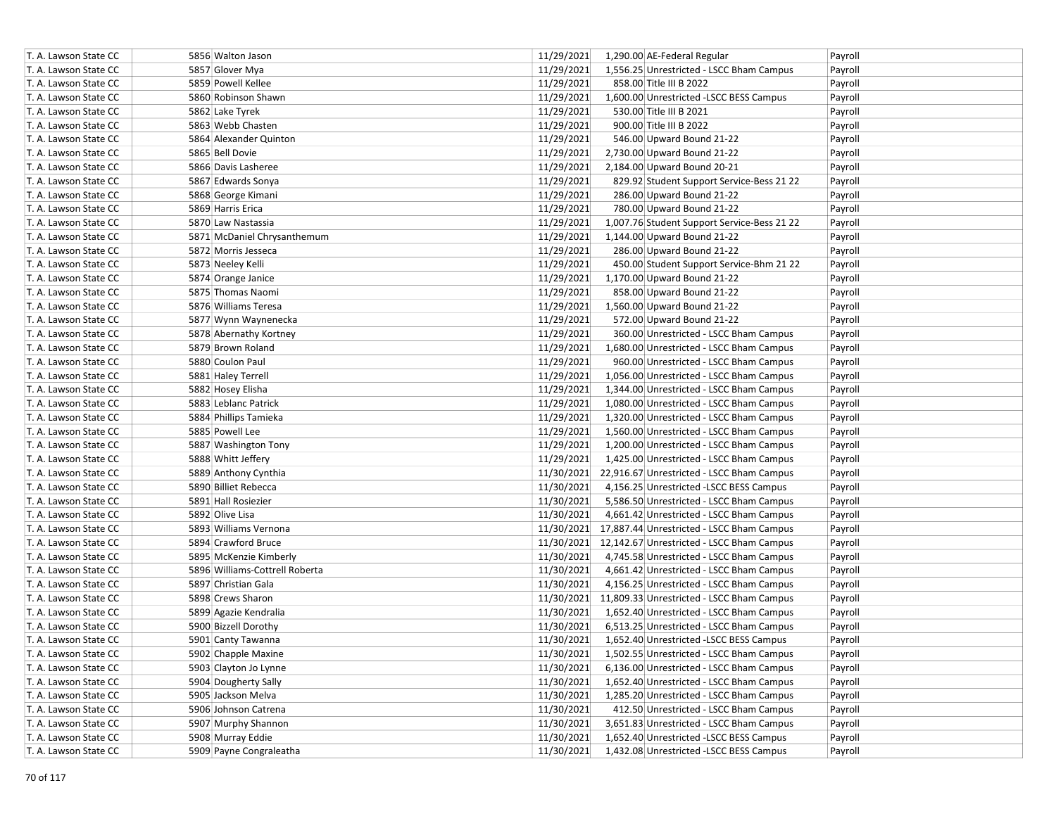| T. A. Lawson State CC | 5856 Walton Jason              | 11/29/2021<br>1,290.00 AE-Federal Regular                 | Payroll |
|-----------------------|--------------------------------|-----------------------------------------------------------|---------|
| T. A. Lawson State CC | 5857 Glover Mya                | 11/29/2021<br>1,556.25 Unrestricted - LSCC Bham Campus    | Payroll |
| T. A. Lawson State CC | 5859 Powell Kellee             | 11/29/2021<br>858.00 Title III B 2022                     | Payroll |
| T. A. Lawson State CC | 5860 Robinson Shawn            | 11/29/2021<br>1,600.00 Unrestricted -LSCC BESS Campus     | Payroll |
| T. A. Lawson State CC | 5862 Lake Tyrek                | 11/29/2021<br>530.00 Title III B 2021                     | Payroll |
| T. A. Lawson State CC | 5863 Webb Chasten              | 11/29/2021<br>900.00 Title III B 2022                     | Payroll |
| T. A. Lawson State CC | 5864 Alexander Quinton         | 11/29/2021<br>546.00 Upward Bound 21-22                   | Payroll |
| T. A. Lawson State CC | 5865 Bell Dovie                | 11/29/2021<br>2,730.00 Upward Bound 21-22                 | Payroll |
| T. A. Lawson State CC | 5866 Davis Lasheree            | 11/29/2021<br>2,184.00 Upward Bound 20-21                 | Payroll |
| T. A. Lawson State CC | 5867 Edwards Sonya             | 11/29/2021<br>829.92 Student Support Service-Bess 21 22   | Payroll |
| T. A. Lawson State CC | 5868 George Kimani             | 11/29/2021<br>286.00 Upward Bound 21-22                   | Payroll |
| T. A. Lawson State CC | 5869 Harris Erica              | 11/29/2021<br>780.00 Upward Bound 21-22                   | Payroll |
| T. A. Lawson State CC | 5870 Law Nastassia             | 11/29/2021<br>1,007.76 Student Support Service-Bess 21 22 | Payroll |
| T. A. Lawson State CC | 5871 McDaniel Chrysanthemum    | 11/29/2021<br>1,144.00 Upward Bound 21-22                 | Payroll |
| T. A. Lawson State CC | 5872 Morris Jesseca            | 11/29/2021<br>286.00 Upward Bound 21-22                   | Payroll |
| T. A. Lawson State CC | 5873 Neeley Kelli              | 11/29/2021<br>450.00 Student Support Service-Bhm 21 22    | Payroll |
| T. A. Lawson State CC | 5874 Orange Janice             | 11/29/2021<br>1,170.00 Upward Bound 21-22                 | Payroll |
| T. A. Lawson State CC | 5875 Thomas Naomi              | 11/29/2021<br>858.00 Upward Bound 21-22                   | Payroll |
| T. A. Lawson State CC | 5876 Williams Teresa           | 11/29/2021<br>1,560.00 Upward Bound 21-22                 | Payroll |
| T. A. Lawson State CC | 5877 Wynn Waynenecka           | 11/29/2021<br>572.00 Upward Bound 21-22                   | Payroll |
| T. A. Lawson State CC | 5878 Abernathy Kortney         | 11/29/2021<br>360.00 Unrestricted - LSCC Bham Campus      | Payroll |
| T. A. Lawson State CC | 5879 Brown Roland              | 11/29/2021<br>1,680.00 Unrestricted - LSCC Bham Campus    | Payroll |
| T. A. Lawson State CC | 5880 Coulon Paul               | 11/29/2021<br>960.00 Unrestricted - LSCC Bham Campus      | Payroll |
| T. A. Lawson State CC | 5881 Haley Terrell             | 11/29/2021<br>1,056.00 Unrestricted - LSCC Bham Campus    | Payroll |
| T. A. Lawson State CC | 5882 Hosey Elisha              | 11/29/2021<br>1,344.00 Unrestricted - LSCC Bham Campus    | Payroll |
| T. A. Lawson State CC | 5883 Leblanc Patrick           | 11/29/2021<br>1,080.00 Unrestricted - LSCC Bham Campus    | Payroll |
| T. A. Lawson State CC | 5884 Phillips Tamieka          | 11/29/2021<br>1,320.00 Unrestricted - LSCC Bham Campus    | Payroll |
| T. A. Lawson State CC | 5885 Powell Lee                | 11/29/2021<br>1,560.00 Unrestricted - LSCC Bham Campus    | Payroll |
| T. A. Lawson State CC | 5887 Washington Tony           | 11/29/2021<br>1,200.00 Unrestricted - LSCC Bham Campus    | Payroll |
| T. A. Lawson State CC | 5888 Whitt Jeffery             | 11/29/2021<br>1,425.00 Unrestricted - LSCC Bham Campus    | Payroll |
| T. A. Lawson State CC | 5889 Anthony Cynthia           | 11/30/2021 22,916.67 Unrestricted - LSCC Bham Campus      | Payroll |
| T. A. Lawson State CC | 5890 Billiet Rebecca           | 11/30/2021<br>4,156.25 Unrestricted -LSCC BESS Campus     | Payroll |
| T. A. Lawson State CC | 5891 Hall Rosiezier            | 11/30/2021<br>5,586.50 Unrestricted - LSCC Bham Campus    | Payroll |
| T. A. Lawson State CC | 5892 Olive Lisa                | 11/30/2021<br>4,661.42 Unrestricted - LSCC Bham Campus    | Payroll |
| T. A. Lawson State CC | 5893 Williams Vernona          | 11/30/2021 17,887.44 Unrestricted - LSCC Bham Campus      | Payroll |
| T. A. Lawson State CC | 5894 Crawford Bruce            | 11/30/2021 12,142.67 Unrestricted - LSCC Bham Campus      | Payroll |
| T. A. Lawson State CC | 5895 McKenzie Kimberly         | 11/30/2021<br>4,745.58 Unrestricted - LSCC Bham Campus    | Payroll |
| T. A. Lawson State CC | 5896 Williams-Cottrell Roberta | 11/30/2021<br>4,661.42 Unrestricted - LSCC Bham Campus    | Payroll |
| T. A. Lawson State CC | 5897 Christian Gala            | 11/30/2021<br>4,156.25 Unrestricted - LSCC Bham Campus    | Payroll |
| T. A. Lawson State CC | 5898 Crews Sharon              | 11/30/2021 11,809.33 Unrestricted - LSCC Bham Campus      | Payroll |
| T. A. Lawson State CC | 5899 Agazie Kendralia          | 11/30/2021<br>1,652.40 Unrestricted - LSCC Bham Campus    | Payroll |
| T. A. Lawson State CC | 5900 Bizzell Dorothy           | 11/30/2021<br>6,513.25 Unrestricted - LSCC Bham Campus    | Payroll |
| T. A. Lawson State CC | 5901 Canty Tawanna             | 11/30/2021<br>1,652.40 Unrestricted -LSCC BESS Campus     | Payroll |
| T. A. Lawson State CC | 5902 Chapple Maxine            | 11/30/2021<br>1,502.55 Unrestricted - LSCC Bham Campus    | Payroll |
| T. A. Lawson State CC | 5903 Clayton Jo Lynne          | 11/30/2021<br>6,136.00 Unrestricted - LSCC Bham Campus    | Payroll |
| T. A. Lawson State CC | 5904 Dougherty Sally           | 11/30/2021<br>1,652.40 Unrestricted - LSCC Bham Campus    | Payroll |
| T. A. Lawson State CC | 5905 Jackson Melva             | 11/30/2021<br>1,285.20 Unrestricted - LSCC Bham Campus    | Payroll |
| T. A. Lawson State CC | 5906 Johnson Catrena           | 11/30/2021<br>412.50 Unrestricted - LSCC Bham Campus      | Payroll |
| T. A. Lawson State CC | 5907 Murphy Shannon            | 11/30/2021<br>3,651.83 Unrestricted - LSCC Bham Campus    | Payroll |
| T. A. Lawson State CC | 5908 Murray Eddie              | 1,652.40 Unrestricted -LSCC BESS Campus<br>11/30/2021     | Payroll |
| T. A. Lawson State CC | 5909 Payne Congraleatha        | 11/30/2021<br>1,432.08 Unrestricted -LSCC BESS Campus     | Payroll |
|                       |                                |                                                           |         |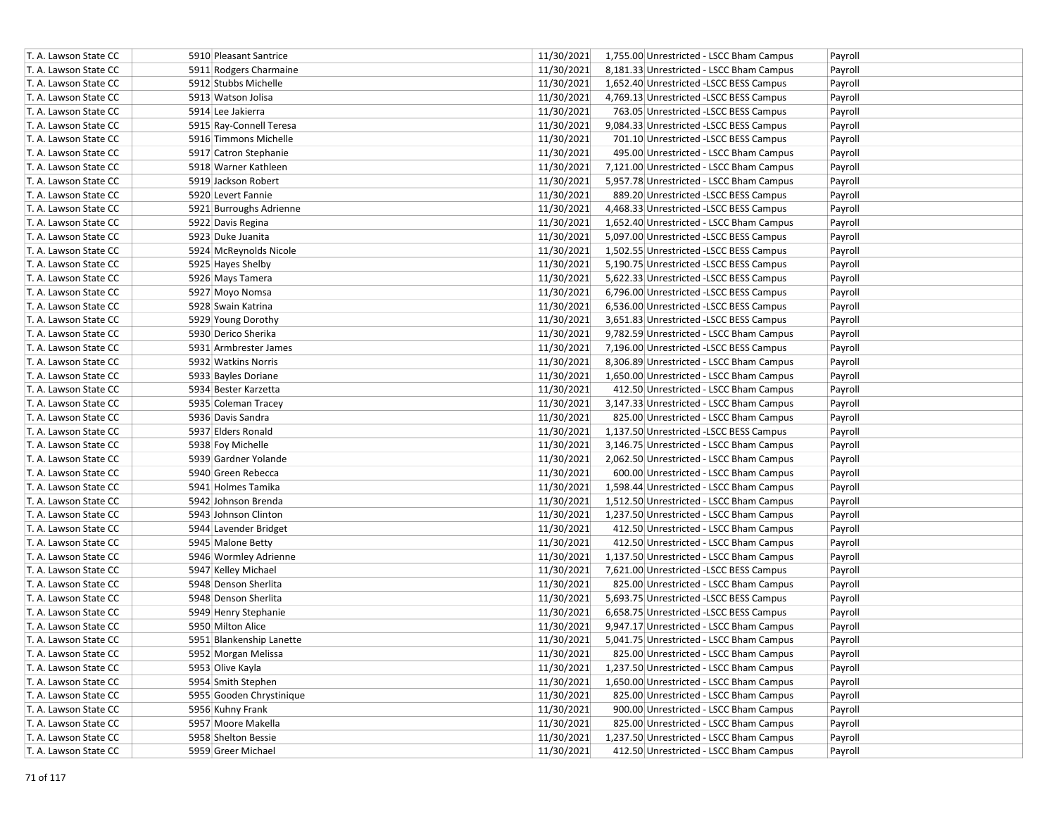| T. A. Lawson State CC | 5910 Pleasant Santrice   | 11/30/2021<br>1,755.00 Unrestricted - LSCC Bham Campus<br>Payroll |
|-----------------------|--------------------------|-------------------------------------------------------------------|
| T. A. Lawson State CC | 5911 Rodgers Charmaine   | 11/30/2021<br>8,181.33 Unrestricted - LSCC Bham Campus<br>Payroll |
| T. A. Lawson State CC | 5912 Stubbs Michelle     | 11/30/2021<br>1,652.40 Unrestricted -LSCC BESS Campus<br>Payroll  |
| T. A. Lawson State CC | 5913 Watson Jolisa       | 11/30/2021<br>4,769.13 Unrestricted -LSCC BESS Campus<br>Payroll  |
| T. A. Lawson State CC | 5914 Lee Jakierra        | 11/30/2021<br>763.05 Unrestricted -LSCC BESS Campus<br>Payroll    |
| T. A. Lawson State CC | 5915 Ray-Connell Teresa  | 11/30/2021<br>9,084.33 Unrestricted -LSCC BESS Campus<br>Payroll  |
| T. A. Lawson State CC | 5916 Timmons Michelle    | 11/30/2021<br>701.10 Unrestricted -LSCC BESS Campus<br>Payroll    |
| T. A. Lawson State CC | 5917 Catron Stephanie    | 11/30/2021<br>495.00 Unrestricted - LSCC Bham Campus<br>Payroll   |
| T. A. Lawson State CC | 5918 Warner Kathleen     | 11/30/2021<br>7,121.00 Unrestricted - LSCC Bham Campus<br>Payroll |
| T. A. Lawson State CC | 5919 Jackson Robert      | 11/30/2021<br>5,957.78 Unrestricted - LSCC Bham Campus<br>Payroll |
| T. A. Lawson State CC | 5920 Levert Fannie       | 11/30/2021<br>889.20 Unrestricted -LSCC BESS Campus<br>Payroll    |
| T. A. Lawson State CC | 5921 Burroughs Adrienne  | 11/30/2021<br>4,468.33 Unrestricted -LSCC BESS Campus<br>Payroll  |
| T. A. Lawson State CC | 5922 Davis Regina        | 11/30/2021<br>1,652.40 Unrestricted - LSCC Bham Campus<br>Payroll |
| T. A. Lawson State CC | 5923 Duke Juanita        | 11/30/2021<br>5,097.00 Unrestricted -LSCC BESS Campus<br>Payroll  |
| T. A. Lawson State CC | 5924 McReynolds Nicole   | 11/30/2021<br>1,502.55 Unrestricted -LSCC BESS Campus<br>Payroll  |
| T. A. Lawson State CC | 5925 Hayes Shelby        | 11/30/2021<br>5,190.75 Unrestricted -LSCC BESS Campus<br>Payroll  |
| T. A. Lawson State CC | 5926 Mays Tamera         | 11/30/2021<br>5,622.33 Unrestricted -LSCC BESS Campus<br>Payroll  |
| T. A. Lawson State CC | 5927 Moyo Nomsa          | 11/30/2021<br>6,796.00 Unrestricted -LSCC BESS Campus<br>Payroll  |
| T. A. Lawson State CC | 5928 Swain Katrina       | 11/30/2021<br>6,536.00 Unrestricted -LSCC BESS Campus<br>Payroll  |
| T. A. Lawson State CC | 5929 Young Dorothy       | 11/30/2021<br>3,651.83 Unrestricted -LSCC BESS Campus<br>Payroll  |
| T. A. Lawson State CC | 5930 Derico Sherika      | 11/30/2021<br>9,782.59 Unrestricted - LSCC Bham Campus<br>Payroll |
| T. A. Lawson State CC | 5931 Armbrester James    | 11/30/2021<br>7,196.00 Unrestricted -LSCC BESS Campus<br>Payroll  |
| T. A. Lawson State CC | 5932 Watkins Norris      | 11/30/2021<br>8,306.89 Unrestricted - LSCC Bham Campus<br>Payroll |
| T. A. Lawson State CC | 5933 Bayles Doriane      | 11/30/2021<br>1,650.00 Unrestricted - LSCC Bham Campus<br>Payroll |
| T. A. Lawson State CC | 5934 Bester Karzetta     | 11/30/2021<br>412.50 Unrestricted - LSCC Bham Campus<br>Payroll   |
| T. A. Lawson State CC | 5935 Coleman Tracey      | 11/30/2021<br>3,147.33 Unrestricted - LSCC Bham Campus<br>Payroll |
| T. A. Lawson State CC | 5936 Davis Sandra        | 11/30/2021<br>825.00 Unrestricted - LSCC Bham Campus<br>Payroll   |
| T. A. Lawson State CC | 5937 Elders Ronald       | 11/30/2021<br>1,137.50 Unrestricted -LSCC BESS Campus<br>Payroll  |
| T. A. Lawson State CC | 5938 Foy Michelle        | 11/30/2021<br>3,146.75 Unrestricted - LSCC Bham Campus<br>Payroll |
| T. A. Lawson State CC | 5939 Gardner Yolande     | 11/30/2021<br>2,062.50 Unrestricted - LSCC Bham Campus<br>Payroll |
| T. A. Lawson State CC | 5940 Green Rebecca       | 11/30/2021<br>600.00 Unrestricted - LSCC Bham Campus<br>Payroll   |
| T. A. Lawson State CC | 5941 Holmes Tamika       | 11/30/2021<br>1,598.44 Unrestricted - LSCC Bham Campus<br>Payroll |
| T. A. Lawson State CC | 5942 Johnson Brenda      | 11/30/2021<br>1,512.50 Unrestricted - LSCC Bham Campus<br>Payroll |
| T. A. Lawson State CC | 5943 Johnson Clinton     | 11/30/2021<br>1,237.50 Unrestricted - LSCC Bham Campus<br>Payroll |
| T. A. Lawson State CC | 5944 Lavender Bridget    | 11/30/2021<br>412.50 Unrestricted - LSCC Bham Campus<br>Payroll   |
| T. A. Lawson State CC | 5945 Malone Betty        | 11/30/2021<br>412.50 Unrestricted - LSCC Bham Campus<br>Payroll   |
| T. A. Lawson State CC | 5946 Wormley Adrienne    | 11/30/2021<br>1,137.50 Unrestricted - LSCC Bham Campus<br>Payroll |
| T. A. Lawson State CC | 5947 Kelley Michael      | 11/30/2021<br>7,621.00 Unrestricted -LSCC BESS Campus<br>Payroll  |
| T. A. Lawson State CC | 5948 Denson Sherlita     | 11/30/2021<br>825.00 Unrestricted - LSCC Bham Campus<br>Payroll   |
| T. A. Lawson State CC | 5948 Denson Sherlita     | 11/30/2021<br>5,693.75 Unrestricted -LSCC BESS Campus<br>Payroll  |
| T. A. Lawson State CC | 5949 Henry Stephanie     | 11/30/2021<br>6,658.75 Unrestricted -LSCC BESS Campus<br>Payroll  |
| T. A. Lawson State CC | 5950 Milton Alice        | 11/30/2021<br>9,947.17 Unrestricted - LSCC Bham Campus<br>Payroll |
| T. A. Lawson State CC | 5951 Blankenship Lanette | 11/30/2021<br>5,041.75 Unrestricted - LSCC Bham Campus<br>Payroll |
| T. A. Lawson State CC | 5952 Morgan Melissa      | 11/30/2021<br>825.00 Unrestricted - LSCC Bham Campus<br>Payroll   |
| T. A. Lawson State CC | 5953 Olive Kayla         | 11/30/2021<br>1,237.50 Unrestricted - LSCC Bham Campus<br>Payroll |
| T. A. Lawson State CC | 5954 Smith Stephen       | 11/30/2021<br>1,650.00 Unrestricted - LSCC Bham Campus<br>Payroll |
| T. A. Lawson State CC | 5955 Gooden Chrystinique | 11/30/2021<br>825.00 Unrestricted - LSCC Bham Campus<br>Payroll   |
| T. A. Lawson State CC | 5956 Kuhny Frank         | 11/30/2021<br>900.00 Unrestricted - LSCC Bham Campus<br>Payroll   |
| T. A. Lawson State CC | 5957 Moore Makella       | 11/30/2021<br>825.00 Unrestricted - LSCC Bham Campus<br>Payroll   |
| T. A. Lawson State CC | 5958 Shelton Bessie      | 11/30/2021<br>1,237.50 Unrestricted - LSCC Bham Campus<br>Payroll |
| T. A. Lawson State CC | 5959 Greer Michael       | 11/30/2021<br>412.50 Unrestricted - LSCC Bham Campus<br>Payroll   |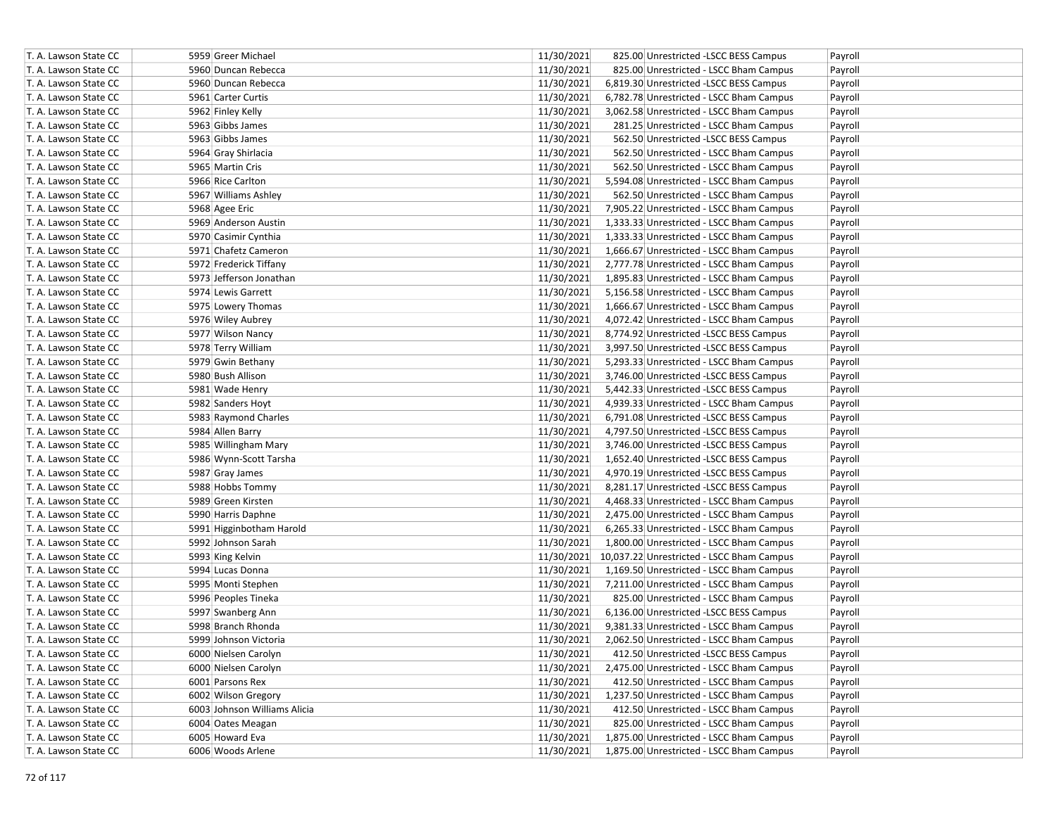| T. A. Lawson State CC | 5959 Greer Michael           | 11/30/2021<br>825.00 Unrestricted -LSCC BESS Campus<br>Payroll    |
|-----------------------|------------------------------|-------------------------------------------------------------------|
| T. A. Lawson State CC | 5960 Duncan Rebecca          | 11/30/2021<br>825.00 Unrestricted - LSCC Bham Campus<br>Payroll   |
| T. A. Lawson State CC | 5960 Duncan Rebecca          | 11/30/2021<br>6,819.30 Unrestricted -LSCC BESS Campus<br>Payroll  |
| T. A. Lawson State CC | 5961 Carter Curtis           | 11/30/2021<br>6,782.78 Unrestricted - LSCC Bham Campus<br>Payroll |
| T. A. Lawson State CC | 5962 Finley Kelly            | 11/30/2021<br>3,062.58 Unrestricted - LSCC Bham Campus<br>Payroll |
| T. A. Lawson State CC | 5963 Gibbs James             | 11/30/2021<br>281.25 Unrestricted - LSCC Bham Campus<br>Payroll   |
| T. A. Lawson State CC | 5963 Gibbs James             | 11/30/2021<br>562.50 Unrestricted -LSCC BESS Campus<br>Payroll    |
| T. A. Lawson State CC | 5964 Gray Shirlacia          | 11/30/2021<br>562.50 Unrestricted - LSCC Bham Campus<br>Payroll   |
| T. A. Lawson State CC | 5965 Martin Cris             | 11/30/2021<br>562.50 Unrestricted - LSCC Bham Campus<br>Payroll   |
| T. A. Lawson State CC | 5966 Rice Carlton            | 11/30/2021<br>5,594.08 Unrestricted - LSCC Bham Campus<br>Payroll |
| T. A. Lawson State CC | 5967 Williams Ashley         | 11/30/2021<br>562.50 Unrestricted - LSCC Bham Campus<br>Payroll   |
| T. A. Lawson State CC | 5968 Agee Eric               | 11/30/2021<br>7,905.22 Unrestricted - LSCC Bham Campus<br>Payroll |
| T. A. Lawson State CC | 5969 Anderson Austin         | 11/30/2021<br>1,333.33 Unrestricted - LSCC Bham Campus<br>Payroll |
| T. A. Lawson State CC | 5970 Casimir Cynthia         | 11/30/2021<br>1,333.33 Unrestricted - LSCC Bham Campus<br>Payroll |
| T. A. Lawson State CC | 5971 Chafetz Cameron         | 11/30/2021<br>1,666.67 Unrestricted - LSCC Bham Campus<br>Payroll |
| T. A. Lawson State CC | 5972 Frederick Tiffany       | 11/30/2021<br>2,777.78 Unrestricted - LSCC Bham Campus<br>Payroll |
| T. A. Lawson State CC | 5973 Jefferson Jonathan      | 11/30/2021<br>1,895.83 Unrestricted - LSCC Bham Campus<br>Payroll |
| T. A. Lawson State CC | 5974 Lewis Garrett           | 11/30/2021<br>5,156.58 Unrestricted - LSCC Bham Campus<br>Payroll |
| T. A. Lawson State CC | 5975 Lowery Thomas           | 11/30/2021<br>1,666.67 Unrestricted - LSCC Bham Campus<br>Payroll |
| T. A. Lawson State CC | 5976 Wiley Aubrey            | 11/30/2021<br>4,072.42 Unrestricted - LSCC Bham Campus<br>Payroll |
| T. A. Lawson State CC | 5977 Wilson Nancy            | 11/30/2021<br>8,774.92 Unrestricted -LSCC BESS Campus<br>Payroll  |
| T. A. Lawson State CC | 5978 Terry William           | 11/30/2021<br>3,997.50 Unrestricted -LSCC BESS Campus<br>Payroll  |
| T. A. Lawson State CC | 5979 Gwin Bethany            | 11/30/2021<br>5,293.33 Unrestricted - LSCC Bham Campus<br>Payroll |
| T. A. Lawson State CC | 5980 Bush Allison            | 11/30/2021<br>3,746.00 Unrestricted -LSCC BESS Campus<br>Payroll  |
| T. A. Lawson State CC | 5981 Wade Henry              | 11/30/2021<br>5,442.33 Unrestricted -LSCC BESS Campus<br>Payroll  |
| T. A. Lawson State CC | 5982 Sanders Hoyt            | 11/30/2021<br>4,939.33 Unrestricted - LSCC Bham Campus<br>Payroll |
| T. A. Lawson State CC | 5983 Raymond Charles         | 11/30/2021<br>6,791.08 Unrestricted -LSCC BESS Campus<br>Payroll  |
| T. A. Lawson State CC | 5984 Allen Barry             | 11/30/2021<br>4,797.50 Unrestricted -LSCC BESS Campus<br>Payroll  |
| T. A. Lawson State CC | 5985 Willingham Mary         | 11/30/2021<br>3,746.00 Unrestricted -LSCC BESS Campus<br>Payroll  |
| T. A. Lawson State CC | 5986 Wynn-Scott Tarsha       | 11/30/2021<br>1,652.40 Unrestricted -LSCC BESS Campus<br>Payroll  |
| T. A. Lawson State CC | 5987 Gray James              | 11/30/2021<br>4,970.19 Unrestricted -LSCC BESS Campus<br>Payroll  |
| T. A. Lawson State CC | 5988 Hobbs Tommy             | 11/30/2021<br>8,281.17 Unrestricted - LSCC BESS Campus<br>Payroll |
| T. A. Lawson State CC | 5989 Green Kirsten           | 11/30/2021<br>4,468.33 Unrestricted - LSCC Bham Campus<br>Payroll |
| T. A. Lawson State CC | 5990 Harris Daphne           | 11/30/2021<br>2,475.00 Unrestricted - LSCC Bham Campus<br>Payroll |
| T. A. Lawson State CC | 5991 Higginbotham Harold     | 11/30/2021<br>6,265.33 Unrestricted - LSCC Bham Campus<br>Payroll |
| T. A. Lawson State CC | 5992 Johnson Sarah           | 11/30/2021<br>1,800.00 Unrestricted - LSCC Bham Campus<br>Payroll |
| T. A. Lawson State CC | 5993 King Kelvin             | 11/30/2021 10,037.22 Unrestricted - LSCC Bham Campus<br>Payroll   |
| T. A. Lawson State CC | 5994 Lucas Donna             | 11/30/2021<br>1,169.50 Unrestricted - LSCC Bham Campus<br>Payroll |
| T. A. Lawson State CC | 5995 Monti Stephen           | 11/30/2021<br>7,211.00 Unrestricted - LSCC Bham Campus<br>Payroll |
| T. A. Lawson State CC | 5996 Peoples Tineka          | 11/30/2021<br>825.00 Unrestricted - LSCC Bham Campus<br>Payroll   |
| T. A. Lawson State CC | 5997 Swanberg Ann            | 11/30/2021<br>6,136.00 Unrestricted -LSCC BESS Campus<br>Payroll  |
| T. A. Lawson State CC | 5998 Branch Rhonda           | 11/30/2021<br>9,381.33 Unrestricted - LSCC Bham Campus<br>Payroll |
| T. A. Lawson State CC | 5999 Johnson Victoria        | 11/30/2021<br>2,062.50 Unrestricted - LSCC Bham Campus<br>Payroll |
| T. A. Lawson State CC | 6000 Nielsen Carolyn         | 11/30/2021<br>412.50 Unrestricted -LSCC BESS Campus<br>Payroll    |
| T. A. Lawson State CC | 6000 Nielsen Carolyn         | 11/30/2021<br>2,475.00 Unrestricted - LSCC Bham Campus<br>Payroll |
| T. A. Lawson State CC | 6001 Parsons Rex             | 11/30/2021<br>412.50 Unrestricted - LSCC Bham Campus<br>Payroll   |
| T. A. Lawson State CC | 6002 Wilson Gregory          | 11/30/2021<br>1,237.50 Unrestricted - LSCC Bham Campus<br>Payroll |
| T. A. Lawson State CC | 6003 Johnson Williams Alicia | 11/30/2021<br>412.50 Unrestricted - LSCC Bham Campus<br>Payroll   |
| T. A. Lawson State CC | 6004 Oates Meagan            | 11/30/2021<br>825.00 Unrestricted - LSCC Bham Campus<br>Payroll   |
| T. A. Lawson State CC | 6005 Howard Eva              | 11/30/2021<br>1,875.00 Unrestricted - LSCC Bham Campus<br>Payroll |
| T. A. Lawson State CC | 6006 Woods Arlene            | 11/30/2021<br>1,875.00 Unrestricted - LSCC Bham Campus<br>Payroll |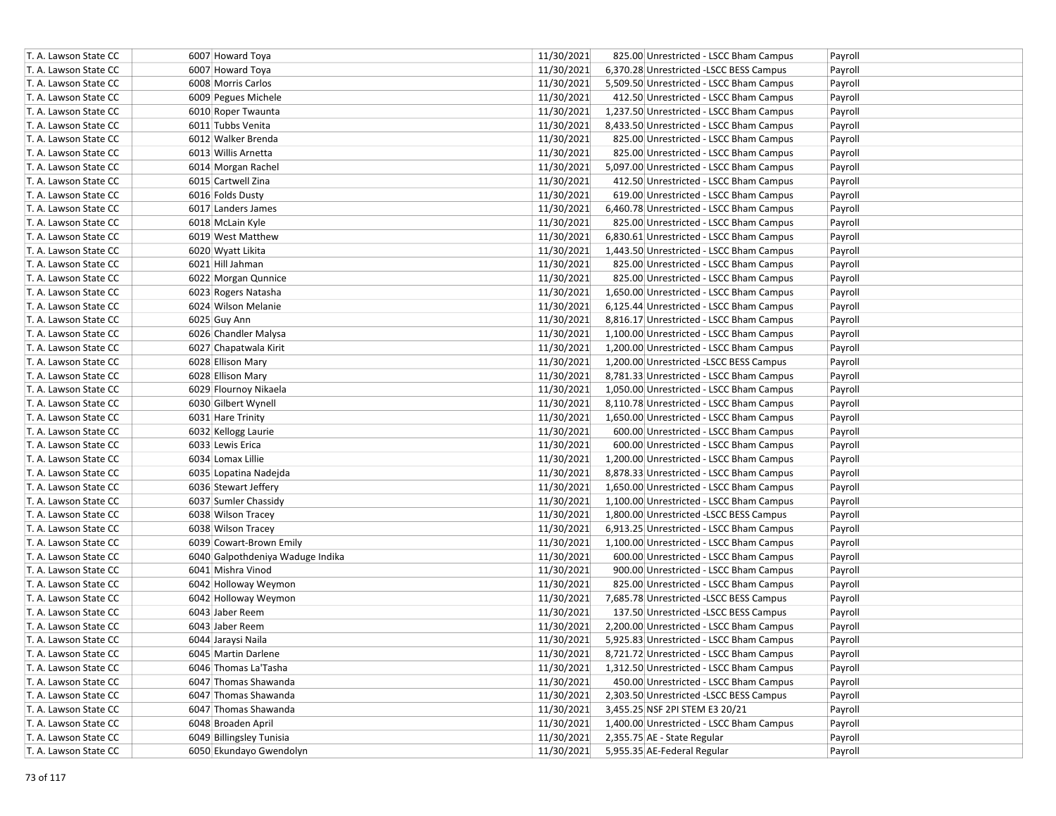| T. A. Lawson State CC | 6007 Howard Toya                 | 11/30/2021 | 825.00 Unrestricted - LSCC Bham Campus   | Payroll |
|-----------------------|----------------------------------|------------|------------------------------------------|---------|
| T. A. Lawson State CC | 6007 Howard Toya                 | 11/30/2021 | 6,370.28 Unrestricted -LSCC BESS Campus  | Payroll |
| T. A. Lawson State CC | 6008 Morris Carlos               | 11/30/2021 | 5,509.50 Unrestricted - LSCC Bham Campus | Payroll |
| T. A. Lawson State CC | 6009 Pegues Michele              | 11/30/2021 | 412.50 Unrestricted - LSCC Bham Campus   | Payroll |
| T. A. Lawson State CC | 6010 Roper Twaunta               | 11/30/2021 | 1,237.50 Unrestricted - LSCC Bham Campus | Payroll |
| T. A. Lawson State CC | 6011 Tubbs Venita                | 11/30/2021 | 8,433.50 Unrestricted - LSCC Bham Campus | Payroll |
| T. A. Lawson State CC | 6012 Walker Brenda               | 11/30/2021 | 825.00 Unrestricted - LSCC Bham Campus   | Payroll |
| T. A. Lawson State CC | 6013 Willis Arnetta              | 11/30/2021 | 825.00 Unrestricted - LSCC Bham Campus   | Payroll |
| T. A. Lawson State CC | 6014 Morgan Rachel               | 11/30/2021 | 5,097.00 Unrestricted - LSCC Bham Campus | Payroll |
| T. A. Lawson State CC | 6015 Cartwell Zina               | 11/30/2021 | 412.50 Unrestricted - LSCC Bham Campus   | Payroll |
| T. A. Lawson State CC | 6016 Folds Dusty                 | 11/30/2021 | 619.00 Unrestricted - LSCC Bham Campus   | Payroll |
| T. A. Lawson State CC | 6017 Landers James               | 11/30/2021 | 6,460.78 Unrestricted - LSCC Bham Campus | Payroll |
| T. A. Lawson State CC | 6018 McLain Kyle                 | 11/30/2021 | 825.00 Unrestricted - LSCC Bham Campus   | Payroll |
| T. A. Lawson State CC | 6019 West Matthew                | 11/30/2021 | 6,830.61 Unrestricted - LSCC Bham Campus | Payroll |
| T. A. Lawson State CC | 6020 Wyatt Likita                | 11/30/2021 | 1,443.50 Unrestricted - LSCC Bham Campus | Payroll |
| T. A. Lawson State CC | 6021 Hill Jahman                 | 11/30/2021 | 825.00 Unrestricted - LSCC Bham Campus   | Payroll |
| T. A. Lawson State CC | 6022 Morgan Qunnice              | 11/30/2021 | 825.00 Unrestricted - LSCC Bham Campus   | Payroll |
| T. A. Lawson State CC | 6023 Rogers Natasha              | 11/30/2021 | 1,650.00 Unrestricted - LSCC Bham Campus | Payroll |
| T. A. Lawson State CC | 6024 Wilson Melanie              | 11/30/2021 | 6,125.44 Unrestricted - LSCC Bham Campus | Payroll |
| T. A. Lawson State CC | 6025 Guy Ann                     | 11/30/2021 | 8,816.17 Unrestricted - LSCC Bham Campus | Payroll |
| T. A. Lawson State CC | 6026 Chandler Malysa             | 11/30/2021 | 1,100.00 Unrestricted - LSCC Bham Campus | Payroll |
| T. A. Lawson State CC | 6027 Chapatwala Kirit            | 11/30/2021 | 1,200.00 Unrestricted - LSCC Bham Campus | Payroll |
| T. A. Lawson State CC | 6028 Ellison Mary                | 11/30/2021 | 1,200.00 Unrestricted -LSCC BESS Campus  | Payroll |
| T. A. Lawson State CC | 6028 Ellison Mary                | 11/30/2021 | 8,781.33 Unrestricted - LSCC Bham Campus | Payroll |
| T. A. Lawson State CC | 6029 Flournoy Nikaela            | 11/30/2021 | 1,050.00 Unrestricted - LSCC Bham Campus | Payroll |
| T. A. Lawson State CC | 6030 Gilbert Wynell              | 11/30/2021 | 8,110.78 Unrestricted - LSCC Bham Campus | Payroll |
| T. A. Lawson State CC | 6031 Hare Trinity                | 11/30/2021 | 1,650.00 Unrestricted - LSCC Bham Campus | Payroll |
| T. A. Lawson State CC | 6032 Kellogg Laurie              | 11/30/2021 | 600.00 Unrestricted - LSCC Bham Campus   | Payroll |
| T. A. Lawson State CC | 6033 Lewis Erica                 | 11/30/2021 | 600.00 Unrestricted - LSCC Bham Campus   | Payroll |
| T. A. Lawson State CC | 6034 Lomax Lillie                | 11/30/2021 | 1,200.00 Unrestricted - LSCC Bham Campus | Payroll |
| T. A. Lawson State CC | 6035 Lopatina Nadejda            | 11/30/2021 | 8,878.33 Unrestricted - LSCC Bham Campus | Payroll |
| T. A. Lawson State CC | 6036 Stewart Jeffery             | 11/30/2021 | 1,650.00 Unrestricted - LSCC Bham Campus | Payroll |
| T. A. Lawson State CC | 6037 Sumler Chassidy             | 11/30/2021 | 1,100.00 Unrestricted - LSCC Bham Campus | Payroll |
| T. A. Lawson State CC | 6038 Wilson Tracey               | 11/30/2021 | 1,800.00 Unrestricted -LSCC BESS Campus  | Payroll |
| T. A. Lawson State CC | 6038 Wilson Tracey               | 11/30/2021 | 6,913.25 Unrestricted - LSCC Bham Campus | Payroll |
| T. A. Lawson State CC | 6039 Cowart-Brown Emily          | 11/30/2021 | 1,100.00 Unrestricted - LSCC Bham Campus | Payroll |
| T. A. Lawson State CC | 6040 Galpothdeniya Waduge Indika | 11/30/2021 | 600.00 Unrestricted - LSCC Bham Campus   | Payroll |
| T. A. Lawson State CC | 6041 Mishra Vinod                | 11/30/2021 | 900.00 Unrestricted - LSCC Bham Campus   | Payroll |
| T. A. Lawson State CC | 6042 Holloway Weymon             | 11/30/2021 | 825.00 Unrestricted - LSCC Bham Campus   | Payroll |
| T. A. Lawson State CC | 6042 Holloway Weymon             | 11/30/2021 | 7,685.78 Unrestricted -LSCC BESS Campus  | Payroll |
| T. A. Lawson State CC | 6043 Jaber Reem                  | 11/30/2021 | 137.50 Unrestricted -LSCC BESS Campus    | Payroll |
| T. A. Lawson State CC | 6043 Jaber Reem                  | 11/30/2021 | 2,200.00 Unrestricted - LSCC Bham Campus | Payroll |
| T. A. Lawson State CC | 6044 Jaraysi Naila               | 11/30/2021 | 5,925.83 Unrestricted - LSCC Bham Campus | Payroll |
| T. A. Lawson State CC | 6045 Martin Darlene              | 11/30/2021 | 8,721.72 Unrestricted - LSCC Bham Campus | Payroll |
| T. A. Lawson State CC | 6046 Thomas La'Tasha             | 11/30/2021 | 1,312.50 Unrestricted - LSCC Bham Campus | Payroll |
| T. A. Lawson State CC | 6047 Thomas Shawanda             | 11/30/2021 | 450.00 Unrestricted - LSCC Bham Campus   | Payroll |
| T. A. Lawson State CC | 6047 Thomas Shawanda             | 11/30/2021 | 2,303.50 Unrestricted -LSCC BESS Campus  | Payroll |
| T. A. Lawson State CC | 6047 Thomas Shawanda             | 11/30/2021 | 3,455.25 NSF 2PI STEM E3 20/21           | Payroll |
| T. A. Lawson State CC | 6048 Broaden April               | 11/30/2021 | 1,400.00 Unrestricted - LSCC Bham Campus | Payroll |
| T. A. Lawson State CC | 6049 Billingsley Tunisia         | 11/30/2021 | 2,355.75 AE - State Regular              | Payroll |
| T. A. Lawson State CC | 6050 Ekundayo Gwendolyn          | 11/30/2021 | 5,955.35 AE-Federal Regular              | Payroll |
|                       |                                  |            |                                          |         |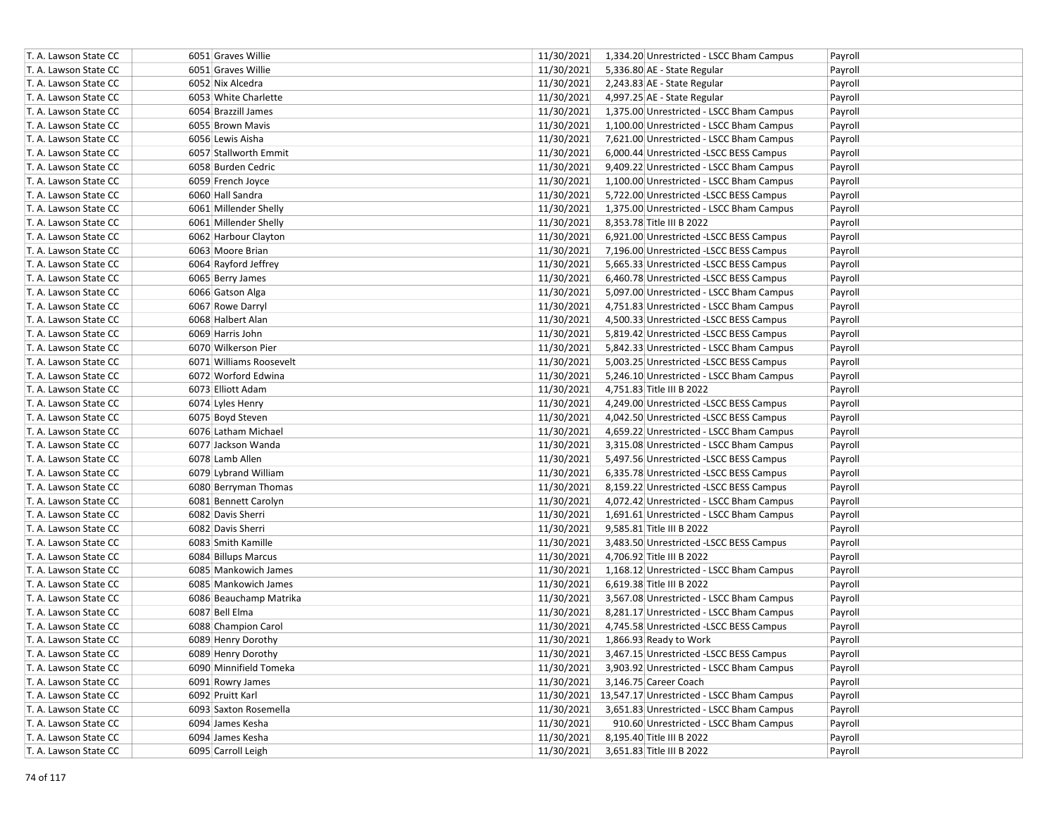| T. A. Lawson State CC | 6051 Graves Willie      | 11/30/2021 | 1,334.20 Unrestricted - LSCC Bham Campus             | Payroll |
|-----------------------|-------------------------|------------|------------------------------------------------------|---------|
| T. A. Lawson State CC | 6051 Graves Willie      | 11/30/2021 | 5,336.80 AE - State Regular                          | Payroll |
| T. A. Lawson State CC | 6052 Nix Alcedra        | 11/30/2021 | 2,243.83 AE - State Regular                          | Payroll |
| T. A. Lawson State CC | 6053 White Charlette    | 11/30/2021 | 4,997.25 AE - State Regular                          | Payroll |
| T. A. Lawson State CC | 6054 Brazzill James     | 11/30/2021 | 1,375.00 Unrestricted - LSCC Bham Campus             | Payroll |
| T. A. Lawson State CC | 6055 Brown Mavis        | 11/30/2021 | 1,100.00 Unrestricted - LSCC Bham Campus             | Payroll |
| T. A. Lawson State CC | 6056 Lewis Aisha        | 11/30/2021 | 7,621.00 Unrestricted - LSCC Bham Campus             | Payroll |
| T. A. Lawson State CC | 6057 Stallworth Emmit   | 11/30/2021 | 6,000.44 Unrestricted -LSCC BESS Campus              | Payroll |
| T. A. Lawson State CC | 6058 Burden Cedric      | 11/30/2021 | 9,409.22 Unrestricted - LSCC Bham Campus             | Payroll |
| T. A. Lawson State CC | 6059 French Joyce       | 11/30/2021 | 1,100.00 Unrestricted - LSCC Bham Campus             | Payroll |
| T. A. Lawson State CC | 6060 Hall Sandra        | 11/30/2021 | 5,722.00 Unrestricted -LSCC BESS Campus              | Payroll |
| T. A. Lawson State CC | 6061 Millender Shelly   | 11/30/2021 | 1,375.00 Unrestricted - LSCC Bham Campus             | Payroll |
| T. A. Lawson State CC | 6061 Millender Shelly   | 11/30/2021 | 8,353.78 Title III B 2022                            | Payroll |
| T. A. Lawson State CC | 6062 Harbour Clayton    | 11/30/2021 | 6,921.00 Unrestricted -LSCC BESS Campus              | Payroll |
| T. A. Lawson State CC | 6063 Moore Brian        | 11/30/2021 | 7,196.00 Unrestricted -LSCC BESS Campus              | Payroll |
| T. A. Lawson State CC | 6064 Rayford Jeffrey    | 11/30/2021 | 5,665.33 Unrestricted -LSCC BESS Campus              | Payroll |
| T. A. Lawson State CC | 6065 Berry James        | 11/30/2021 | 6,460.78 Unrestricted -LSCC BESS Campus              | Payroll |
| T. A. Lawson State CC | 6066 Gatson Alga        | 11/30/2021 | 5,097.00 Unrestricted - LSCC Bham Campus             | Payroll |
| T. A. Lawson State CC | 6067 Rowe Darryl        | 11/30/2021 | 4,751.83 Unrestricted - LSCC Bham Campus             | Payroll |
| T. A. Lawson State CC | 6068 Halbert Alan       | 11/30/2021 | 4,500.33 Unrestricted - LSCC BESS Campus             | Payroll |
| T. A. Lawson State CC | 6069 Harris John        | 11/30/2021 | 5,819.42 Unrestricted - LSCC BESS Campus             | Payroll |
| T. A. Lawson State CC | 6070 Wilkerson Pier     | 11/30/2021 | 5,842.33 Unrestricted - LSCC Bham Campus             | Payroll |
| T. A. Lawson State CC | 6071 Williams Roosevelt | 11/30/2021 | 5,003.25 Unrestricted -LSCC BESS Campus              | Payroll |
| T. A. Lawson State CC | 6072 Worford Edwina     | 11/30/2021 | 5,246.10 Unrestricted - LSCC Bham Campus             | Payroll |
| T. A. Lawson State CC | 6073 Elliott Adam       | 11/30/2021 | 4,751.83 Title III B 2022                            | Payroll |
| T. A. Lawson State CC | 6074 Lyles Henry        | 11/30/2021 | 4,249.00 Unrestricted -LSCC BESS Campus              | Payroll |
| T. A. Lawson State CC | 6075 Boyd Steven        | 11/30/2021 | 4,042.50 Unrestricted -LSCC BESS Campus              | Payroll |
| T. A. Lawson State CC | 6076 Latham Michael     | 11/30/2021 | 4,659.22 Unrestricted - LSCC Bham Campus             | Payroll |
| T. A. Lawson State CC | 6077 Jackson Wanda      | 11/30/2021 | 3,315.08 Unrestricted - LSCC Bham Campus             | Payroll |
| T. A. Lawson State CC | 6078 Lamb Allen         | 11/30/2021 | 5,497.56 Unrestricted -LSCC BESS Campus              | Payroll |
| T. A. Lawson State CC | 6079 Lybrand William    | 11/30/2021 | 6,335.78 Unrestricted -LSCC BESS Campus              | Payroll |
| T. A. Lawson State CC | 6080 Berryman Thomas    | 11/30/2021 | 8,159.22 Unrestricted -LSCC BESS Campus              | Payroll |
| T. A. Lawson State CC | 6081 Bennett Carolyn    | 11/30/2021 | 4,072.42 Unrestricted - LSCC Bham Campus             | Payroll |
| T. A. Lawson State CC | 6082 Davis Sherri       | 11/30/2021 | 1,691.61 Unrestricted - LSCC Bham Campus             | Payroll |
| T. A. Lawson State CC | 6082 Davis Sherri       | 11/30/2021 | 9,585.81 Title III B 2022                            | Payroll |
| T. A. Lawson State CC | 6083 Smith Kamille      | 11/30/2021 | 3,483.50 Unrestricted -LSCC BESS Campus              | Payroll |
| T. A. Lawson State CC | 6084 Billups Marcus     | 11/30/2021 | 4,706.92 Title III B 2022                            | Payroll |
| T. A. Lawson State CC | 6085 Mankowich James    | 11/30/2021 | 1,168.12 Unrestricted - LSCC Bham Campus             | Payroll |
| T. A. Lawson State CC | 6085 Mankowich James    | 11/30/2021 | 6,619.38 Title III B 2022                            | Payroll |
| T. A. Lawson State CC | 6086 Beauchamp Matrika  | 11/30/2021 | 3,567.08 Unrestricted - LSCC Bham Campus             | Payroll |
| T. A. Lawson State CC | 6087 Bell Elma          | 11/30/2021 | 8,281.17 Unrestricted - LSCC Bham Campus             | Payroll |
| T. A. Lawson State CC | 6088 Champion Carol     | 11/30/2021 | 4,745.58 Unrestricted -LSCC BESS Campus              | Payroll |
| T. A. Lawson State CC | 6089 Henry Dorothy      | 11/30/2021 | 1,866.93 Ready to Work                               | Payroll |
| T. A. Lawson State CC | 6089 Henry Dorothy      | 11/30/2021 | 3,467.15 Unrestricted -LSCC BESS Campus              | Payroll |
| T. A. Lawson State CC | 6090 Minnifield Tomeka  | 11/30/2021 | 3,903.92 Unrestricted - LSCC Bham Campus             | Payroll |
| T. A. Lawson State CC | 6091 Rowry James        | 11/30/2021 | 3,146.75 Career Coach                                | Payroll |
| T. A. Lawson State CC | 6092 Pruitt Karl        |            | 11/30/2021 13,547.17 Unrestricted - LSCC Bham Campus | Payroll |
| T. A. Lawson State CC | 6093 Saxton Rosemella   | 11/30/2021 | 3,651.83 Unrestricted - LSCC Bham Campus             | Payroll |
| T. A. Lawson State CC | 6094 James Kesha        | 11/30/2021 | 910.60 Unrestricted - LSCC Bham Campus               | Payroll |
| T. A. Lawson State CC | 6094 James Kesha        | 11/30/2021 | 8,195.40 Title III B 2022                            | Payroll |
| T. A. Lawson State CC | 6095 Carroll Leigh      | 11/30/2021 | 3,651.83 Title III B 2022                            | Payroll |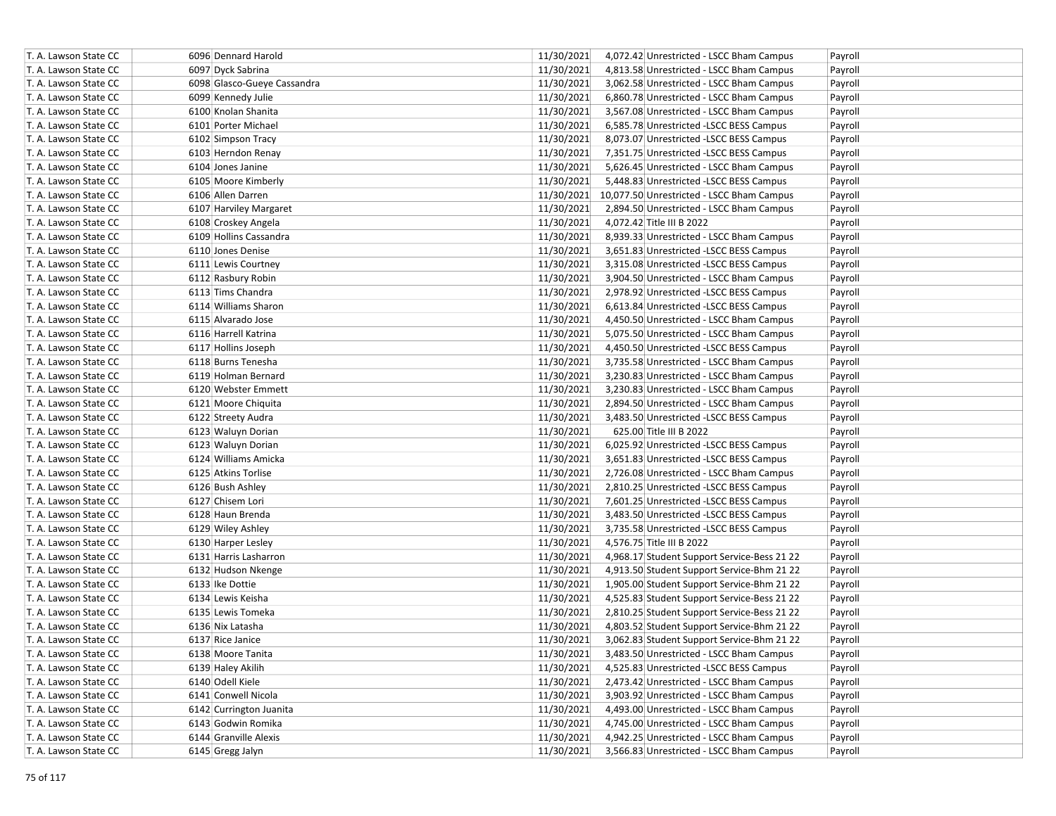| T. A. Lawson State CC | 6096 Dennard Harold         | 11/30/2021 | 4,072.42 Unrestricted - LSCC Bham Campus    | Payroll |
|-----------------------|-----------------------------|------------|---------------------------------------------|---------|
| T. A. Lawson State CC | 6097 Dyck Sabrina           | 11/30/2021 | 4,813.58 Unrestricted - LSCC Bham Campus    | Payroll |
| T. A. Lawson State CC | 6098 Glasco-Gueye Cassandra | 11/30/2021 | 3,062.58 Unrestricted - LSCC Bham Campus    | Payroll |
| T. A. Lawson State CC | 6099 Kennedy Julie          | 11/30/2021 | 6,860.78 Unrestricted - LSCC Bham Campus    | Payroll |
| T. A. Lawson State CC | 6100 Knolan Shanita         | 11/30/2021 | 3,567.08 Unrestricted - LSCC Bham Campus    | Payroll |
| T. A. Lawson State CC | 6101 Porter Michael         | 11/30/2021 | 6,585.78 Unrestricted -LSCC BESS Campus     | Payroll |
| T. A. Lawson State CC | 6102 Simpson Tracy          | 11/30/2021 | 8,073.07 Unrestricted -LSCC BESS Campus     | Payroll |
| T. A. Lawson State CC | 6103 Herndon Renay          | 11/30/2021 | 7,351.75 Unrestricted -LSCC BESS Campus     | Payroll |
| T. A. Lawson State CC | 6104 Jones Janine           | 11/30/2021 | 5,626.45 Unrestricted - LSCC Bham Campus    | Payroll |
| T. A. Lawson State CC | 6105 Moore Kimberly         | 11/30/2021 | 5,448.83 Unrestricted -LSCC BESS Campus     | Payroll |
| T. A. Lawson State CC | 6106 Allen Darren           | 11/30/2021 | 10,077.50 Unrestricted - LSCC Bham Campus   | Payroll |
| T. A. Lawson State CC | 6107 Harviley Margaret      | 11/30/2021 | 2,894.50 Unrestricted - LSCC Bham Campus    | Payroll |
| T. A. Lawson State CC | 6108 Croskey Angela         | 11/30/2021 | 4,072.42 Title III B 2022                   | Payroll |
| T. A. Lawson State CC | 6109 Hollins Cassandra      | 11/30/2021 | 8,939.33 Unrestricted - LSCC Bham Campus    | Payroll |
| T. A. Lawson State CC | 6110 Jones Denise           | 11/30/2021 | 3,651.83 Unrestricted -LSCC BESS Campus     | Payroll |
| T. A. Lawson State CC | 6111 Lewis Courtney         | 11/30/2021 | 3,315.08 Unrestricted -LSCC BESS Campus     | Payroll |
| T. A. Lawson State CC | 6112 Rasbury Robin          | 11/30/2021 | 3,904.50 Unrestricted - LSCC Bham Campus    | Payroll |
| T. A. Lawson State CC | 6113 Tims Chandra           | 11/30/2021 | 2,978.92 Unrestricted -LSCC BESS Campus     | Payroll |
| T. A. Lawson State CC | 6114 Williams Sharon        | 11/30/2021 | 6,613.84 Unrestricted - LSCC BESS Campus    | Payroll |
| T. A. Lawson State CC | 6115 Alvarado Jose          | 11/30/2021 | 4,450.50 Unrestricted - LSCC Bham Campus    | Payroll |
| T. A. Lawson State CC | 6116 Harrell Katrina        | 11/30/2021 | 5,075.50 Unrestricted - LSCC Bham Campus    | Payroll |
| T. A. Lawson State CC | 6117 Hollins Joseph         | 11/30/2021 | 4,450.50 Unrestricted -LSCC BESS Campus     | Payroll |
| T. A. Lawson State CC | 6118 Burns Tenesha          | 11/30/2021 | 3,735.58 Unrestricted - LSCC Bham Campus    | Payroll |
| T. A. Lawson State CC | 6119 Holman Bernard         | 11/30/2021 | 3,230.83 Unrestricted - LSCC Bham Campus    | Payroll |
| T. A. Lawson State CC | 6120 Webster Emmett         | 11/30/2021 | 3,230.83 Unrestricted - LSCC Bham Campus    | Payroll |
| T. A. Lawson State CC | 6121 Moore Chiquita         | 11/30/2021 | 2,894.50 Unrestricted - LSCC Bham Campus    | Payroll |
| T. A. Lawson State CC | 6122 Streety Audra          | 11/30/2021 | 3,483.50 Unrestricted -LSCC BESS Campus     | Payroll |
| T. A. Lawson State CC | 6123 Waluyn Dorian          | 11/30/2021 | 625.00 Title III B 2022                     | Payroll |
| T. A. Lawson State CC | 6123 Waluyn Dorian          | 11/30/2021 | 6,025.92 Unrestricted -LSCC BESS Campus     | Payroll |
| T. A. Lawson State CC | 6124 Williams Amicka        | 11/30/2021 | 3,651.83 Unrestricted -LSCC BESS Campus     | Payroll |
| T. A. Lawson State CC | 6125 Atkins Torlise         | 11/30/2021 | 2,726.08 Unrestricted - LSCC Bham Campus    | Payroll |
| T. A. Lawson State CC | 6126 Bush Ashley            | 11/30/2021 | 2,810.25 Unrestricted -LSCC BESS Campus     | Payroll |
| T. A. Lawson State CC | 6127 Chisem Lori            | 11/30/2021 | 7,601.25 Unrestricted -LSCC BESS Campus     | Payroll |
| T. A. Lawson State CC | 6128 Haun Brenda            | 11/30/2021 | 3,483.50 Unrestricted -LSCC BESS Campus     | Payroll |
| T. A. Lawson State CC | 6129 Wiley Ashley           | 11/30/2021 | 3,735.58 Unrestricted -LSCC BESS Campus     | Payroll |
| T. A. Lawson State CC | 6130 Harper Lesley          | 11/30/2021 | 4,576.75 Title III B 2022                   | Payroll |
| T. A. Lawson State CC | 6131 Harris Lasharron       | 11/30/2021 | 4,968.17 Student Support Service-Bess 21 22 | Payroll |
| T. A. Lawson State CC | 6132 Hudson Nkenge          | 11/30/2021 | 4,913.50 Student Support Service-Bhm 21 22  | Payroll |
| T. A. Lawson State CC | 6133 Ike Dottie             | 11/30/2021 | 1,905.00 Student Support Service-Bhm 21 22  | Payroll |
| T. A. Lawson State CC | 6134 Lewis Keisha           | 11/30/2021 | 4,525.83 Student Support Service-Bess 21 22 | Payroll |
| T. A. Lawson State CC | 6135 Lewis Tomeka           | 11/30/2021 | 2,810.25 Student Support Service-Bess 21 22 | Payroll |
| T. A. Lawson State CC | 6136 Nix Latasha            | 11/30/2021 | 4,803.52 Student Support Service-Bhm 21 22  | Payroll |
| T. A. Lawson State CC | 6137 Rice Janice            | 11/30/2021 | 3,062.83 Student Support Service-Bhm 21 22  | Payroll |
| T. A. Lawson State CC | 6138 Moore Tanita           | 11/30/2021 | 3,483.50 Unrestricted - LSCC Bham Campus    | Payroll |
| T. A. Lawson State CC | 6139 Haley Akilih           | 11/30/2021 | 4,525.83 Unrestricted -LSCC BESS Campus     | Payroll |
| T. A. Lawson State CC | 6140 Odell Kiele            | 11/30/2021 | 2,473.42 Unrestricted - LSCC Bham Campus    | Payroll |
| T. A. Lawson State CC | 6141 Conwell Nicola         | 11/30/2021 | 3,903.92 Unrestricted - LSCC Bham Campus    | Payroll |
| T. A. Lawson State CC | 6142 Currington Juanita     | 11/30/2021 | 4,493.00 Unrestricted - LSCC Bham Campus    | Payroll |
| T. A. Lawson State CC | 6143 Godwin Romika          | 11/30/2021 | 4,745.00 Unrestricted - LSCC Bham Campus    | Payroll |
| T. A. Lawson State CC | 6144 Granville Alexis       | 11/30/2021 | 4,942.25 Unrestricted - LSCC Bham Campus    | Payroll |
| T. A. Lawson State CC | 6145 Gregg Jalyn            | 11/30/2021 | 3,566.83 Unrestricted - LSCC Bham Campus    | Payroll |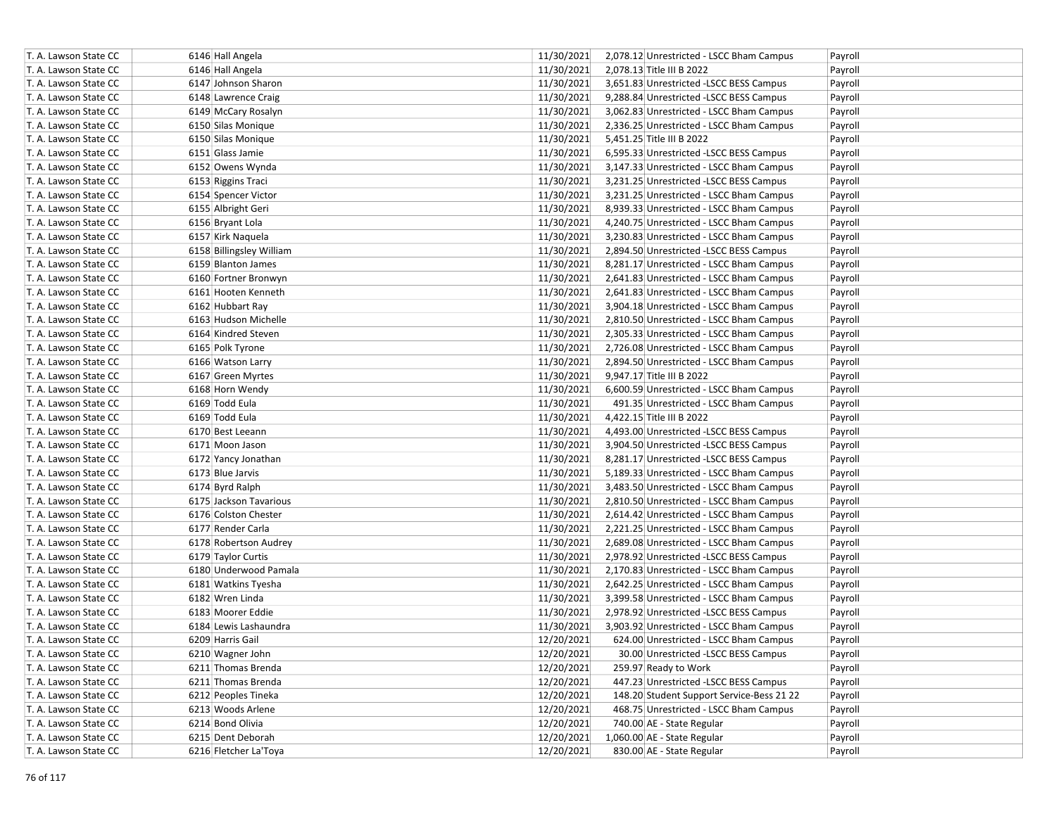| 11/30/2021<br>6146 Hall Angela<br>2,078.13 Title III B 2022<br>Payroll<br>11/30/2021<br>T. A. Lawson State CC<br>6147 Johnson Sharon<br>3,651.83 Unrestricted -LSCC BESS Campus<br>Payroll<br>6148 Lawrence Craig<br>11/30/2021<br>9,288.84 Unrestricted -LSCC BESS Campus<br>Payroll<br>T. A. Lawson State CC<br>11/30/2021<br>T. A. Lawson State CC<br>6149 McCary Rosalyn<br>3,062.83 Unrestricted - LSCC Bham Campus<br>Payroll<br>6150 Silas Monique<br>11/30/2021<br>2,336.25 Unrestricted - LSCC Bham Campus<br>Payroll<br>T. A. Lawson State CC<br>T. A. Lawson State CC<br>6150 Silas Monique<br>11/30/2021<br>5,451.25 Title III B 2022<br>Payroll<br>T. A. Lawson State CC<br>6151 Glass Jamie<br>11/30/2021<br>6,595.33 Unrestricted -LSCC BESS Campus<br>Payroll<br>11/30/2021<br>T. A. Lawson State CC<br>6152 Owens Wynda<br>3,147.33 Unrestricted - LSCC Bham Campus<br>Payroll<br>11/30/2021<br>6153 Riggins Traci<br>3,231.25 Unrestricted -LSCC BESS Campus<br>Payroll<br>T. A. Lawson State CC<br>11/30/2021<br>T. A. Lawson State CC<br>3,231.25 Unrestricted - LSCC Bham Campus<br>Payroll<br>6154 Spencer Victor<br>11/30/2021<br>6155 Albright Geri<br>8,939.33 Unrestricted - LSCC Bham Campus<br>T. A. Lawson State CC<br>Payroll<br>11/30/2021<br>T. A. Lawson State CC<br>6156 Bryant Lola<br>4,240.75 Unrestricted - LSCC Bham Campus<br>Payroll<br>11/30/2021<br>6157 Kirk Naquela<br>3,230.83 Unrestricted - LSCC Bham Campus<br>T. A. Lawson State CC<br>Payroll<br>T. A. Lawson State CC<br>11/30/2021<br>2,894.50 Unrestricted -LSCC BESS Campus<br>Payroll<br>6158 Billingsley William<br>11/30/2021<br>8,281.17 Unrestricted - LSCC Bham Campus<br>T. A. Lawson State CC<br>6159 Blanton James<br>Payroll<br>11/30/2021<br>T. A. Lawson State CC<br>6160 Fortner Bronwyn<br>2,641.83 Unrestricted - LSCC Bham Campus<br>Payroll<br>11/30/2021<br>T. A. Lawson State CC<br>6161 Hooten Kenneth<br>2,641.83 Unrestricted - LSCC Bham Campus<br>Payroll<br>11/30/2021<br>T. A. Lawson State CC<br>6162 Hubbart Ray<br>3,904.18 Unrestricted - LSCC Bham Campus<br>Payroll<br>11/30/2021<br>T. A. Lawson State CC<br>6163 Hudson Michelle<br>2,810.50 Unrestricted - LSCC Bham Campus<br>Payroll<br>11/30/2021<br>T. A. Lawson State CC<br>6164 Kindred Steven<br>2,305.33 Unrestricted - LSCC Bham Campus<br>Payroll<br>T. A. Lawson State CC<br>6165 Polk Tyrone<br>11/30/2021<br>2,726.08 Unrestricted - LSCC Bham Campus<br>Payroll<br>T. A. Lawson State CC<br>6166 Watson Larry<br>11/30/2021<br>2,894.50 Unrestricted - LSCC Bham Campus<br>Payroll<br>11/30/2021<br>9,947.17 Title III B 2022<br>T. A. Lawson State CC<br>6167 Green Myrtes<br>Payroll<br>T. A. Lawson State CC<br>6168 Horn Wendy<br>11/30/2021<br>6,600.59 Unrestricted - LSCC Bham Campus<br>Payroll<br>11/30/2021<br>T. A. Lawson State CC<br>6169 Todd Eula<br>491.35 Unrestricted - LSCC Bham Campus<br>Payroll<br>T. A. Lawson State CC<br>6169 Todd Eula<br>11/30/2021<br>4,422.15 Title III B 2022<br>Payroll<br>11/30/2021<br>T. A. Lawson State CC<br>6170 Best Leeann<br>4,493.00 Unrestricted -LSCC BESS Campus<br>Payroll<br>6171 Moon Jason<br>11/30/2021<br>3,904.50 Unrestricted -LSCC BESS Campus<br>Payroll<br>T. A. Lawson State CC<br>T. A. Lawson State CC<br>11/30/2021<br>8,281.17 Unrestricted -LSCC BESS Campus<br>6172 Yancy Jonathan<br>Payroll<br>T. A. Lawson State CC<br>11/30/2021<br>5,189.33 Unrestricted - LSCC Bham Campus<br>6173 Blue Jarvis<br>Payroll<br>11/30/2021<br>T. A. Lawson State CC<br>6174 Byrd Ralph<br>3,483.50 Unrestricted - LSCC Bham Campus<br>Payroll<br>11/30/2021<br>6175 Jackson Tavarious<br>2,810.50 Unrestricted - LSCC Bham Campus<br>Payroll<br>T. A. Lawson State CC<br>11/30/2021<br>6176 Colston Chester<br>T. A. Lawson State CC<br>2,614.42 Unrestricted - LSCC Bham Campus<br>Payroll<br>11/30/2021<br>6177 Render Carla<br>2,221.25 Unrestricted - LSCC Bham Campus<br>T. A. Lawson State CC<br>Payroll<br>11/30/2021<br>T. A. Lawson State CC<br>6178 Robertson Audrey<br>2,689.08 Unrestricted - LSCC Bham Campus<br>Payroll<br>11/30/2021<br>6179 Taylor Curtis<br>2,978.92 Unrestricted -LSCC BESS Campus<br>T. A. Lawson State CC<br>Payroll<br>11/30/2021<br>T. A. Lawson State CC<br>6180 Underwood Pamala<br>2,170.83 Unrestricted - LSCC Bham Campus<br>Payroll<br>11/30/2021<br>6181 Watkins Tyesha<br>2,642.25 Unrestricted - LSCC Bham Campus<br>T. A. Lawson State CC<br>Payroll<br>11/30/2021<br>T. A. Lawson State CC<br>6182 Wren Linda<br>3,399.58 Unrestricted - LSCC Bham Campus<br>Payroll<br>11/30/2021<br>T. A. Lawson State CC<br>6183 Moorer Eddie<br>2,978.92 Unrestricted -LSCC BESS Campus<br>Payroll<br>6184 Lewis Lashaundra<br>T. A. Lawson State CC<br>11/30/2021<br>3,903.92 Unrestricted - LSCC Bham Campus<br>Payroll<br>12/20/2021<br>T. A. Lawson State CC<br>6209 Harris Gail<br>624.00 Unrestricted - LSCC Bham Campus<br>Payroll<br>6210 Wagner John<br>12/20/2021<br>30.00 Unrestricted -LSCC BESS Campus<br>Payroll<br>T. A. Lawson State CC<br>12/20/2021<br>T. A. Lawson State CC<br>6211 Thomas Brenda<br>259.97 Ready to Work<br>Payroll<br>T. A. Lawson State CC<br>6211 Thomas Brenda<br>12/20/2021<br>447.23 Unrestricted -LSCC BESS Campus<br>Payroll<br>12/20/2021<br>T. A. Lawson State CC<br>6212 Peoples Tineka<br>148.20 Student Support Service-Bess 21 22<br>Payroll<br>12/20/2021<br>T. A. Lawson State CC<br>6213 Woods Arlene<br>468.75 Unrestricted - LSCC Bham Campus<br>Payroll<br>12/20/2021<br>T. A. Lawson State CC<br>6214 Bond Olivia<br>740.00 AE - State Regular<br>Payroll<br>T. A. Lawson State CC<br>6215 Dent Deborah<br>12/20/2021<br>1,060.00 AE - State Regular<br>Payroll | T. A. Lawson State CC | 6146 Hall Angela      | 11/30/2021<br>2,078.12 Unrestricted - LSCC Bham Campus<br>Payroll |
|----------------------------------------------------------------------------------------------------------------------------------------------------------------------------------------------------------------------------------------------------------------------------------------------------------------------------------------------------------------------------------------------------------------------------------------------------------------------------------------------------------------------------------------------------------------------------------------------------------------------------------------------------------------------------------------------------------------------------------------------------------------------------------------------------------------------------------------------------------------------------------------------------------------------------------------------------------------------------------------------------------------------------------------------------------------------------------------------------------------------------------------------------------------------------------------------------------------------------------------------------------------------------------------------------------------------------------------------------------------------------------------------------------------------------------------------------------------------------------------------------------------------------------------------------------------------------------------------------------------------------------------------------------------------------------------------------------------------------------------------------------------------------------------------------------------------------------------------------------------------------------------------------------------------------------------------------------------------------------------------------------------------------------------------------------------------------------------------------------------------------------------------------------------------------------------------------------------------------------------------------------------------------------------------------------------------------------------------------------------------------------------------------------------------------------------------------------------------------------------------------------------------------------------------------------------------------------------------------------------------------------------------------------------------------------------------------------------------------------------------------------------------------------------------------------------------------------------------------------------------------------------------------------------------------------------------------------------------------------------------------------------------------------------------------------------------------------------------------------------------------------------------------------------------------------------------------------------------------------------------------------------------------------------------------------------------------------------------------------------------------------------------------------------------------------------------------------------------------------------------------------------------------------------------------------------------------------------------------------------------------------------------------------------------------------------------------------------------------------------------------------------------------------------------------------------------------------------------------------------------------------------------------------------------------------------------------------------------------------------------------------------------------------------------------------------------------------------------------------------------------------------------------------------------------------------------------------------------------------------------------------------------------------------------------------------------------------------------------------------------------------------------------------------------------------------------------------------------------------------------------------------------------------------------------------------------------------------------------------------------------------------------------------------------------------------------------------------------------------------------------------------------------------------------------------------------------------------------------------------------------------------------------------------------------------------------------------------------------------------------------------------------------------------------------------------------------------------------------------------------------------------------------------------------------------------------------------------------------------------------------------------------------------------------------------------------------------------------------------------------------------------------------------------------------------------------------------------------------------------------------------------------------------------------------------------------------------------------------------------------------------------------------------------------------------------------------------------------------------------|-----------------------|-----------------------|-------------------------------------------------------------------|
|                                                                                                                                                                                                                                                                                                                                                                                                                                                                                                                                                                                                                                                                                                                                                                                                                                                                                                                                                                                                                                                                                                                                                                                                                                                                                                                                                                                                                                                                                                                                                                                                                                                                                                                                                                                                                                                                                                                                                                                                                                                                                                                                                                                                                                                                                                                                                                                                                                                                                                                                                                                                                                                                                                                                                                                                                                                                                                                                                                                                                                                                                                                                                                                                                                                                                                                                                                                                                                                                                                                                                                                                                                                                                                                                                                                                                                                                                                                                                                                                                                                                                                                                                                                                                                                                                                                                                                                                                                                                                                                                                                                                                                                                                                                                                                                                                                                                                                                                                                                                                                                                                                                                                                                                                                                                                                                                                                                                                                                                                                                                                                                                                                                                                                                                        | T. A. Lawson State CC |                       |                                                                   |
|                                                                                                                                                                                                                                                                                                                                                                                                                                                                                                                                                                                                                                                                                                                                                                                                                                                                                                                                                                                                                                                                                                                                                                                                                                                                                                                                                                                                                                                                                                                                                                                                                                                                                                                                                                                                                                                                                                                                                                                                                                                                                                                                                                                                                                                                                                                                                                                                                                                                                                                                                                                                                                                                                                                                                                                                                                                                                                                                                                                                                                                                                                                                                                                                                                                                                                                                                                                                                                                                                                                                                                                                                                                                                                                                                                                                                                                                                                                                                                                                                                                                                                                                                                                                                                                                                                                                                                                                                                                                                                                                                                                                                                                                                                                                                                                                                                                                                                                                                                                                                                                                                                                                                                                                                                                                                                                                                                                                                                                                                                                                                                                                                                                                                                                                        |                       |                       |                                                                   |
|                                                                                                                                                                                                                                                                                                                                                                                                                                                                                                                                                                                                                                                                                                                                                                                                                                                                                                                                                                                                                                                                                                                                                                                                                                                                                                                                                                                                                                                                                                                                                                                                                                                                                                                                                                                                                                                                                                                                                                                                                                                                                                                                                                                                                                                                                                                                                                                                                                                                                                                                                                                                                                                                                                                                                                                                                                                                                                                                                                                                                                                                                                                                                                                                                                                                                                                                                                                                                                                                                                                                                                                                                                                                                                                                                                                                                                                                                                                                                                                                                                                                                                                                                                                                                                                                                                                                                                                                                                                                                                                                                                                                                                                                                                                                                                                                                                                                                                                                                                                                                                                                                                                                                                                                                                                                                                                                                                                                                                                                                                                                                                                                                                                                                                                                        |                       |                       |                                                                   |
|                                                                                                                                                                                                                                                                                                                                                                                                                                                                                                                                                                                                                                                                                                                                                                                                                                                                                                                                                                                                                                                                                                                                                                                                                                                                                                                                                                                                                                                                                                                                                                                                                                                                                                                                                                                                                                                                                                                                                                                                                                                                                                                                                                                                                                                                                                                                                                                                                                                                                                                                                                                                                                                                                                                                                                                                                                                                                                                                                                                                                                                                                                                                                                                                                                                                                                                                                                                                                                                                                                                                                                                                                                                                                                                                                                                                                                                                                                                                                                                                                                                                                                                                                                                                                                                                                                                                                                                                                                                                                                                                                                                                                                                                                                                                                                                                                                                                                                                                                                                                                                                                                                                                                                                                                                                                                                                                                                                                                                                                                                                                                                                                                                                                                                                                        |                       |                       |                                                                   |
|                                                                                                                                                                                                                                                                                                                                                                                                                                                                                                                                                                                                                                                                                                                                                                                                                                                                                                                                                                                                                                                                                                                                                                                                                                                                                                                                                                                                                                                                                                                                                                                                                                                                                                                                                                                                                                                                                                                                                                                                                                                                                                                                                                                                                                                                                                                                                                                                                                                                                                                                                                                                                                                                                                                                                                                                                                                                                                                                                                                                                                                                                                                                                                                                                                                                                                                                                                                                                                                                                                                                                                                                                                                                                                                                                                                                                                                                                                                                                                                                                                                                                                                                                                                                                                                                                                                                                                                                                                                                                                                                                                                                                                                                                                                                                                                                                                                                                                                                                                                                                                                                                                                                                                                                                                                                                                                                                                                                                                                                                                                                                                                                                                                                                                                                        |                       |                       |                                                                   |
|                                                                                                                                                                                                                                                                                                                                                                                                                                                                                                                                                                                                                                                                                                                                                                                                                                                                                                                                                                                                                                                                                                                                                                                                                                                                                                                                                                                                                                                                                                                                                                                                                                                                                                                                                                                                                                                                                                                                                                                                                                                                                                                                                                                                                                                                                                                                                                                                                                                                                                                                                                                                                                                                                                                                                                                                                                                                                                                                                                                                                                                                                                                                                                                                                                                                                                                                                                                                                                                                                                                                                                                                                                                                                                                                                                                                                                                                                                                                                                                                                                                                                                                                                                                                                                                                                                                                                                                                                                                                                                                                                                                                                                                                                                                                                                                                                                                                                                                                                                                                                                                                                                                                                                                                                                                                                                                                                                                                                                                                                                                                                                                                                                                                                                                                        |                       |                       |                                                                   |
|                                                                                                                                                                                                                                                                                                                                                                                                                                                                                                                                                                                                                                                                                                                                                                                                                                                                                                                                                                                                                                                                                                                                                                                                                                                                                                                                                                                                                                                                                                                                                                                                                                                                                                                                                                                                                                                                                                                                                                                                                                                                                                                                                                                                                                                                                                                                                                                                                                                                                                                                                                                                                                                                                                                                                                                                                                                                                                                                                                                                                                                                                                                                                                                                                                                                                                                                                                                                                                                                                                                                                                                                                                                                                                                                                                                                                                                                                                                                                                                                                                                                                                                                                                                                                                                                                                                                                                                                                                                                                                                                                                                                                                                                                                                                                                                                                                                                                                                                                                                                                                                                                                                                                                                                                                                                                                                                                                                                                                                                                                                                                                                                                                                                                                                                        |                       |                       |                                                                   |
|                                                                                                                                                                                                                                                                                                                                                                                                                                                                                                                                                                                                                                                                                                                                                                                                                                                                                                                                                                                                                                                                                                                                                                                                                                                                                                                                                                                                                                                                                                                                                                                                                                                                                                                                                                                                                                                                                                                                                                                                                                                                                                                                                                                                                                                                                                                                                                                                                                                                                                                                                                                                                                                                                                                                                                                                                                                                                                                                                                                                                                                                                                                                                                                                                                                                                                                                                                                                                                                                                                                                                                                                                                                                                                                                                                                                                                                                                                                                                                                                                                                                                                                                                                                                                                                                                                                                                                                                                                                                                                                                                                                                                                                                                                                                                                                                                                                                                                                                                                                                                                                                                                                                                                                                                                                                                                                                                                                                                                                                                                                                                                                                                                                                                                                                        |                       |                       |                                                                   |
|                                                                                                                                                                                                                                                                                                                                                                                                                                                                                                                                                                                                                                                                                                                                                                                                                                                                                                                                                                                                                                                                                                                                                                                                                                                                                                                                                                                                                                                                                                                                                                                                                                                                                                                                                                                                                                                                                                                                                                                                                                                                                                                                                                                                                                                                                                                                                                                                                                                                                                                                                                                                                                                                                                                                                                                                                                                                                                                                                                                                                                                                                                                                                                                                                                                                                                                                                                                                                                                                                                                                                                                                                                                                                                                                                                                                                                                                                                                                                                                                                                                                                                                                                                                                                                                                                                                                                                                                                                                                                                                                                                                                                                                                                                                                                                                                                                                                                                                                                                                                                                                                                                                                                                                                                                                                                                                                                                                                                                                                                                                                                                                                                                                                                                                                        |                       |                       |                                                                   |
|                                                                                                                                                                                                                                                                                                                                                                                                                                                                                                                                                                                                                                                                                                                                                                                                                                                                                                                                                                                                                                                                                                                                                                                                                                                                                                                                                                                                                                                                                                                                                                                                                                                                                                                                                                                                                                                                                                                                                                                                                                                                                                                                                                                                                                                                                                                                                                                                                                                                                                                                                                                                                                                                                                                                                                                                                                                                                                                                                                                                                                                                                                                                                                                                                                                                                                                                                                                                                                                                                                                                                                                                                                                                                                                                                                                                                                                                                                                                                                                                                                                                                                                                                                                                                                                                                                                                                                                                                                                                                                                                                                                                                                                                                                                                                                                                                                                                                                                                                                                                                                                                                                                                                                                                                                                                                                                                                                                                                                                                                                                                                                                                                                                                                                                                        |                       |                       |                                                                   |
|                                                                                                                                                                                                                                                                                                                                                                                                                                                                                                                                                                                                                                                                                                                                                                                                                                                                                                                                                                                                                                                                                                                                                                                                                                                                                                                                                                                                                                                                                                                                                                                                                                                                                                                                                                                                                                                                                                                                                                                                                                                                                                                                                                                                                                                                                                                                                                                                                                                                                                                                                                                                                                                                                                                                                                                                                                                                                                                                                                                                                                                                                                                                                                                                                                                                                                                                                                                                                                                                                                                                                                                                                                                                                                                                                                                                                                                                                                                                                                                                                                                                                                                                                                                                                                                                                                                                                                                                                                                                                                                                                                                                                                                                                                                                                                                                                                                                                                                                                                                                                                                                                                                                                                                                                                                                                                                                                                                                                                                                                                                                                                                                                                                                                                                                        |                       |                       |                                                                   |
|                                                                                                                                                                                                                                                                                                                                                                                                                                                                                                                                                                                                                                                                                                                                                                                                                                                                                                                                                                                                                                                                                                                                                                                                                                                                                                                                                                                                                                                                                                                                                                                                                                                                                                                                                                                                                                                                                                                                                                                                                                                                                                                                                                                                                                                                                                                                                                                                                                                                                                                                                                                                                                                                                                                                                                                                                                                                                                                                                                                                                                                                                                                                                                                                                                                                                                                                                                                                                                                                                                                                                                                                                                                                                                                                                                                                                                                                                                                                                                                                                                                                                                                                                                                                                                                                                                                                                                                                                                                                                                                                                                                                                                                                                                                                                                                                                                                                                                                                                                                                                                                                                                                                                                                                                                                                                                                                                                                                                                                                                                                                                                                                                                                                                                                                        |                       |                       |                                                                   |
|                                                                                                                                                                                                                                                                                                                                                                                                                                                                                                                                                                                                                                                                                                                                                                                                                                                                                                                                                                                                                                                                                                                                                                                                                                                                                                                                                                                                                                                                                                                                                                                                                                                                                                                                                                                                                                                                                                                                                                                                                                                                                                                                                                                                                                                                                                                                                                                                                                                                                                                                                                                                                                                                                                                                                                                                                                                                                                                                                                                                                                                                                                                                                                                                                                                                                                                                                                                                                                                                                                                                                                                                                                                                                                                                                                                                                                                                                                                                                                                                                                                                                                                                                                                                                                                                                                                                                                                                                                                                                                                                                                                                                                                                                                                                                                                                                                                                                                                                                                                                                                                                                                                                                                                                                                                                                                                                                                                                                                                                                                                                                                                                                                                                                                                                        |                       |                       |                                                                   |
|                                                                                                                                                                                                                                                                                                                                                                                                                                                                                                                                                                                                                                                                                                                                                                                                                                                                                                                                                                                                                                                                                                                                                                                                                                                                                                                                                                                                                                                                                                                                                                                                                                                                                                                                                                                                                                                                                                                                                                                                                                                                                                                                                                                                                                                                                                                                                                                                                                                                                                                                                                                                                                                                                                                                                                                                                                                                                                                                                                                                                                                                                                                                                                                                                                                                                                                                                                                                                                                                                                                                                                                                                                                                                                                                                                                                                                                                                                                                                                                                                                                                                                                                                                                                                                                                                                                                                                                                                                                                                                                                                                                                                                                                                                                                                                                                                                                                                                                                                                                                                                                                                                                                                                                                                                                                                                                                                                                                                                                                                                                                                                                                                                                                                                                                        |                       |                       |                                                                   |
|                                                                                                                                                                                                                                                                                                                                                                                                                                                                                                                                                                                                                                                                                                                                                                                                                                                                                                                                                                                                                                                                                                                                                                                                                                                                                                                                                                                                                                                                                                                                                                                                                                                                                                                                                                                                                                                                                                                                                                                                                                                                                                                                                                                                                                                                                                                                                                                                                                                                                                                                                                                                                                                                                                                                                                                                                                                                                                                                                                                                                                                                                                                                                                                                                                                                                                                                                                                                                                                                                                                                                                                                                                                                                                                                                                                                                                                                                                                                                                                                                                                                                                                                                                                                                                                                                                                                                                                                                                                                                                                                                                                                                                                                                                                                                                                                                                                                                                                                                                                                                                                                                                                                                                                                                                                                                                                                                                                                                                                                                                                                                                                                                                                                                                                                        |                       |                       |                                                                   |
|                                                                                                                                                                                                                                                                                                                                                                                                                                                                                                                                                                                                                                                                                                                                                                                                                                                                                                                                                                                                                                                                                                                                                                                                                                                                                                                                                                                                                                                                                                                                                                                                                                                                                                                                                                                                                                                                                                                                                                                                                                                                                                                                                                                                                                                                                                                                                                                                                                                                                                                                                                                                                                                                                                                                                                                                                                                                                                                                                                                                                                                                                                                                                                                                                                                                                                                                                                                                                                                                                                                                                                                                                                                                                                                                                                                                                                                                                                                                                                                                                                                                                                                                                                                                                                                                                                                                                                                                                                                                                                                                                                                                                                                                                                                                                                                                                                                                                                                                                                                                                                                                                                                                                                                                                                                                                                                                                                                                                                                                                                                                                                                                                                                                                                                                        |                       |                       |                                                                   |
|                                                                                                                                                                                                                                                                                                                                                                                                                                                                                                                                                                                                                                                                                                                                                                                                                                                                                                                                                                                                                                                                                                                                                                                                                                                                                                                                                                                                                                                                                                                                                                                                                                                                                                                                                                                                                                                                                                                                                                                                                                                                                                                                                                                                                                                                                                                                                                                                                                                                                                                                                                                                                                                                                                                                                                                                                                                                                                                                                                                                                                                                                                                                                                                                                                                                                                                                                                                                                                                                                                                                                                                                                                                                                                                                                                                                                                                                                                                                                                                                                                                                                                                                                                                                                                                                                                                                                                                                                                                                                                                                                                                                                                                                                                                                                                                                                                                                                                                                                                                                                                                                                                                                                                                                                                                                                                                                                                                                                                                                                                                                                                                                                                                                                                                                        |                       |                       |                                                                   |
|                                                                                                                                                                                                                                                                                                                                                                                                                                                                                                                                                                                                                                                                                                                                                                                                                                                                                                                                                                                                                                                                                                                                                                                                                                                                                                                                                                                                                                                                                                                                                                                                                                                                                                                                                                                                                                                                                                                                                                                                                                                                                                                                                                                                                                                                                                                                                                                                                                                                                                                                                                                                                                                                                                                                                                                                                                                                                                                                                                                                                                                                                                                                                                                                                                                                                                                                                                                                                                                                                                                                                                                                                                                                                                                                                                                                                                                                                                                                                                                                                                                                                                                                                                                                                                                                                                                                                                                                                                                                                                                                                                                                                                                                                                                                                                                                                                                                                                                                                                                                                                                                                                                                                                                                                                                                                                                                                                                                                                                                                                                                                                                                                                                                                                                                        |                       |                       |                                                                   |
|                                                                                                                                                                                                                                                                                                                                                                                                                                                                                                                                                                                                                                                                                                                                                                                                                                                                                                                                                                                                                                                                                                                                                                                                                                                                                                                                                                                                                                                                                                                                                                                                                                                                                                                                                                                                                                                                                                                                                                                                                                                                                                                                                                                                                                                                                                                                                                                                                                                                                                                                                                                                                                                                                                                                                                                                                                                                                                                                                                                                                                                                                                                                                                                                                                                                                                                                                                                                                                                                                                                                                                                                                                                                                                                                                                                                                                                                                                                                                                                                                                                                                                                                                                                                                                                                                                                                                                                                                                                                                                                                                                                                                                                                                                                                                                                                                                                                                                                                                                                                                                                                                                                                                                                                                                                                                                                                                                                                                                                                                                                                                                                                                                                                                                                                        |                       |                       |                                                                   |
|                                                                                                                                                                                                                                                                                                                                                                                                                                                                                                                                                                                                                                                                                                                                                                                                                                                                                                                                                                                                                                                                                                                                                                                                                                                                                                                                                                                                                                                                                                                                                                                                                                                                                                                                                                                                                                                                                                                                                                                                                                                                                                                                                                                                                                                                                                                                                                                                                                                                                                                                                                                                                                                                                                                                                                                                                                                                                                                                                                                                                                                                                                                                                                                                                                                                                                                                                                                                                                                                                                                                                                                                                                                                                                                                                                                                                                                                                                                                                                                                                                                                                                                                                                                                                                                                                                                                                                                                                                                                                                                                                                                                                                                                                                                                                                                                                                                                                                                                                                                                                                                                                                                                                                                                                                                                                                                                                                                                                                                                                                                                                                                                                                                                                                                                        |                       |                       |                                                                   |
|                                                                                                                                                                                                                                                                                                                                                                                                                                                                                                                                                                                                                                                                                                                                                                                                                                                                                                                                                                                                                                                                                                                                                                                                                                                                                                                                                                                                                                                                                                                                                                                                                                                                                                                                                                                                                                                                                                                                                                                                                                                                                                                                                                                                                                                                                                                                                                                                                                                                                                                                                                                                                                                                                                                                                                                                                                                                                                                                                                                                                                                                                                                                                                                                                                                                                                                                                                                                                                                                                                                                                                                                                                                                                                                                                                                                                                                                                                                                                                                                                                                                                                                                                                                                                                                                                                                                                                                                                                                                                                                                                                                                                                                                                                                                                                                                                                                                                                                                                                                                                                                                                                                                                                                                                                                                                                                                                                                                                                                                                                                                                                                                                                                                                                                                        |                       |                       |                                                                   |
|                                                                                                                                                                                                                                                                                                                                                                                                                                                                                                                                                                                                                                                                                                                                                                                                                                                                                                                                                                                                                                                                                                                                                                                                                                                                                                                                                                                                                                                                                                                                                                                                                                                                                                                                                                                                                                                                                                                                                                                                                                                                                                                                                                                                                                                                                                                                                                                                                                                                                                                                                                                                                                                                                                                                                                                                                                                                                                                                                                                                                                                                                                                                                                                                                                                                                                                                                                                                                                                                                                                                                                                                                                                                                                                                                                                                                                                                                                                                                                                                                                                                                                                                                                                                                                                                                                                                                                                                                                                                                                                                                                                                                                                                                                                                                                                                                                                                                                                                                                                                                                                                                                                                                                                                                                                                                                                                                                                                                                                                                                                                                                                                                                                                                                                                        |                       |                       |                                                                   |
|                                                                                                                                                                                                                                                                                                                                                                                                                                                                                                                                                                                                                                                                                                                                                                                                                                                                                                                                                                                                                                                                                                                                                                                                                                                                                                                                                                                                                                                                                                                                                                                                                                                                                                                                                                                                                                                                                                                                                                                                                                                                                                                                                                                                                                                                                                                                                                                                                                                                                                                                                                                                                                                                                                                                                                                                                                                                                                                                                                                                                                                                                                                                                                                                                                                                                                                                                                                                                                                                                                                                                                                                                                                                                                                                                                                                                                                                                                                                                                                                                                                                                                                                                                                                                                                                                                                                                                                                                                                                                                                                                                                                                                                                                                                                                                                                                                                                                                                                                                                                                                                                                                                                                                                                                                                                                                                                                                                                                                                                                                                                                                                                                                                                                                                                        |                       |                       |                                                                   |
|                                                                                                                                                                                                                                                                                                                                                                                                                                                                                                                                                                                                                                                                                                                                                                                                                                                                                                                                                                                                                                                                                                                                                                                                                                                                                                                                                                                                                                                                                                                                                                                                                                                                                                                                                                                                                                                                                                                                                                                                                                                                                                                                                                                                                                                                                                                                                                                                                                                                                                                                                                                                                                                                                                                                                                                                                                                                                                                                                                                                                                                                                                                                                                                                                                                                                                                                                                                                                                                                                                                                                                                                                                                                                                                                                                                                                                                                                                                                                                                                                                                                                                                                                                                                                                                                                                                                                                                                                                                                                                                                                                                                                                                                                                                                                                                                                                                                                                                                                                                                                                                                                                                                                                                                                                                                                                                                                                                                                                                                                                                                                                                                                                                                                                                                        |                       |                       |                                                                   |
|                                                                                                                                                                                                                                                                                                                                                                                                                                                                                                                                                                                                                                                                                                                                                                                                                                                                                                                                                                                                                                                                                                                                                                                                                                                                                                                                                                                                                                                                                                                                                                                                                                                                                                                                                                                                                                                                                                                                                                                                                                                                                                                                                                                                                                                                                                                                                                                                                                                                                                                                                                                                                                                                                                                                                                                                                                                                                                                                                                                                                                                                                                                                                                                                                                                                                                                                                                                                                                                                                                                                                                                                                                                                                                                                                                                                                                                                                                                                                                                                                                                                                                                                                                                                                                                                                                                                                                                                                                                                                                                                                                                                                                                                                                                                                                                                                                                                                                                                                                                                                                                                                                                                                                                                                                                                                                                                                                                                                                                                                                                                                                                                                                                                                                                                        |                       |                       |                                                                   |
|                                                                                                                                                                                                                                                                                                                                                                                                                                                                                                                                                                                                                                                                                                                                                                                                                                                                                                                                                                                                                                                                                                                                                                                                                                                                                                                                                                                                                                                                                                                                                                                                                                                                                                                                                                                                                                                                                                                                                                                                                                                                                                                                                                                                                                                                                                                                                                                                                                                                                                                                                                                                                                                                                                                                                                                                                                                                                                                                                                                                                                                                                                                                                                                                                                                                                                                                                                                                                                                                                                                                                                                                                                                                                                                                                                                                                                                                                                                                                                                                                                                                                                                                                                                                                                                                                                                                                                                                                                                                                                                                                                                                                                                                                                                                                                                                                                                                                                                                                                                                                                                                                                                                                                                                                                                                                                                                                                                                                                                                                                                                                                                                                                                                                                                                        |                       |                       |                                                                   |
|                                                                                                                                                                                                                                                                                                                                                                                                                                                                                                                                                                                                                                                                                                                                                                                                                                                                                                                                                                                                                                                                                                                                                                                                                                                                                                                                                                                                                                                                                                                                                                                                                                                                                                                                                                                                                                                                                                                                                                                                                                                                                                                                                                                                                                                                                                                                                                                                                                                                                                                                                                                                                                                                                                                                                                                                                                                                                                                                                                                                                                                                                                                                                                                                                                                                                                                                                                                                                                                                                                                                                                                                                                                                                                                                                                                                                                                                                                                                                                                                                                                                                                                                                                                                                                                                                                                                                                                                                                                                                                                                                                                                                                                                                                                                                                                                                                                                                                                                                                                                                                                                                                                                                                                                                                                                                                                                                                                                                                                                                                                                                                                                                                                                                                                                        |                       |                       |                                                                   |
|                                                                                                                                                                                                                                                                                                                                                                                                                                                                                                                                                                                                                                                                                                                                                                                                                                                                                                                                                                                                                                                                                                                                                                                                                                                                                                                                                                                                                                                                                                                                                                                                                                                                                                                                                                                                                                                                                                                                                                                                                                                                                                                                                                                                                                                                                                                                                                                                                                                                                                                                                                                                                                                                                                                                                                                                                                                                                                                                                                                                                                                                                                                                                                                                                                                                                                                                                                                                                                                                                                                                                                                                                                                                                                                                                                                                                                                                                                                                                                                                                                                                                                                                                                                                                                                                                                                                                                                                                                                                                                                                                                                                                                                                                                                                                                                                                                                                                                                                                                                                                                                                                                                                                                                                                                                                                                                                                                                                                                                                                                                                                                                                                                                                                                                                        |                       |                       |                                                                   |
|                                                                                                                                                                                                                                                                                                                                                                                                                                                                                                                                                                                                                                                                                                                                                                                                                                                                                                                                                                                                                                                                                                                                                                                                                                                                                                                                                                                                                                                                                                                                                                                                                                                                                                                                                                                                                                                                                                                                                                                                                                                                                                                                                                                                                                                                                                                                                                                                                                                                                                                                                                                                                                                                                                                                                                                                                                                                                                                                                                                                                                                                                                                                                                                                                                                                                                                                                                                                                                                                                                                                                                                                                                                                                                                                                                                                                                                                                                                                                                                                                                                                                                                                                                                                                                                                                                                                                                                                                                                                                                                                                                                                                                                                                                                                                                                                                                                                                                                                                                                                                                                                                                                                                                                                                                                                                                                                                                                                                                                                                                                                                                                                                                                                                                                                        |                       |                       |                                                                   |
|                                                                                                                                                                                                                                                                                                                                                                                                                                                                                                                                                                                                                                                                                                                                                                                                                                                                                                                                                                                                                                                                                                                                                                                                                                                                                                                                                                                                                                                                                                                                                                                                                                                                                                                                                                                                                                                                                                                                                                                                                                                                                                                                                                                                                                                                                                                                                                                                                                                                                                                                                                                                                                                                                                                                                                                                                                                                                                                                                                                                                                                                                                                                                                                                                                                                                                                                                                                                                                                                                                                                                                                                                                                                                                                                                                                                                                                                                                                                                                                                                                                                                                                                                                                                                                                                                                                                                                                                                                                                                                                                                                                                                                                                                                                                                                                                                                                                                                                                                                                                                                                                                                                                                                                                                                                                                                                                                                                                                                                                                                                                                                                                                                                                                                                                        |                       |                       |                                                                   |
|                                                                                                                                                                                                                                                                                                                                                                                                                                                                                                                                                                                                                                                                                                                                                                                                                                                                                                                                                                                                                                                                                                                                                                                                                                                                                                                                                                                                                                                                                                                                                                                                                                                                                                                                                                                                                                                                                                                                                                                                                                                                                                                                                                                                                                                                                                                                                                                                                                                                                                                                                                                                                                                                                                                                                                                                                                                                                                                                                                                                                                                                                                                                                                                                                                                                                                                                                                                                                                                                                                                                                                                                                                                                                                                                                                                                                                                                                                                                                                                                                                                                                                                                                                                                                                                                                                                                                                                                                                                                                                                                                                                                                                                                                                                                                                                                                                                                                                                                                                                                                                                                                                                                                                                                                                                                                                                                                                                                                                                                                                                                                                                                                                                                                                                                        |                       |                       |                                                                   |
|                                                                                                                                                                                                                                                                                                                                                                                                                                                                                                                                                                                                                                                                                                                                                                                                                                                                                                                                                                                                                                                                                                                                                                                                                                                                                                                                                                                                                                                                                                                                                                                                                                                                                                                                                                                                                                                                                                                                                                                                                                                                                                                                                                                                                                                                                                                                                                                                                                                                                                                                                                                                                                                                                                                                                                                                                                                                                                                                                                                                                                                                                                                                                                                                                                                                                                                                                                                                                                                                                                                                                                                                                                                                                                                                                                                                                                                                                                                                                                                                                                                                                                                                                                                                                                                                                                                                                                                                                                                                                                                                                                                                                                                                                                                                                                                                                                                                                                                                                                                                                                                                                                                                                                                                                                                                                                                                                                                                                                                                                                                                                                                                                                                                                                                                        |                       |                       |                                                                   |
|                                                                                                                                                                                                                                                                                                                                                                                                                                                                                                                                                                                                                                                                                                                                                                                                                                                                                                                                                                                                                                                                                                                                                                                                                                                                                                                                                                                                                                                                                                                                                                                                                                                                                                                                                                                                                                                                                                                                                                                                                                                                                                                                                                                                                                                                                                                                                                                                                                                                                                                                                                                                                                                                                                                                                                                                                                                                                                                                                                                                                                                                                                                                                                                                                                                                                                                                                                                                                                                                                                                                                                                                                                                                                                                                                                                                                                                                                                                                                                                                                                                                                                                                                                                                                                                                                                                                                                                                                                                                                                                                                                                                                                                                                                                                                                                                                                                                                                                                                                                                                                                                                                                                                                                                                                                                                                                                                                                                                                                                                                                                                                                                                                                                                                                                        |                       |                       |                                                                   |
|                                                                                                                                                                                                                                                                                                                                                                                                                                                                                                                                                                                                                                                                                                                                                                                                                                                                                                                                                                                                                                                                                                                                                                                                                                                                                                                                                                                                                                                                                                                                                                                                                                                                                                                                                                                                                                                                                                                                                                                                                                                                                                                                                                                                                                                                                                                                                                                                                                                                                                                                                                                                                                                                                                                                                                                                                                                                                                                                                                                                                                                                                                                                                                                                                                                                                                                                                                                                                                                                                                                                                                                                                                                                                                                                                                                                                                                                                                                                                                                                                                                                                                                                                                                                                                                                                                                                                                                                                                                                                                                                                                                                                                                                                                                                                                                                                                                                                                                                                                                                                                                                                                                                                                                                                                                                                                                                                                                                                                                                                                                                                                                                                                                                                                                                        |                       |                       |                                                                   |
|                                                                                                                                                                                                                                                                                                                                                                                                                                                                                                                                                                                                                                                                                                                                                                                                                                                                                                                                                                                                                                                                                                                                                                                                                                                                                                                                                                                                                                                                                                                                                                                                                                                                                                                                                                                                                                                                                                                                                                                                                                                                                                                                                                                                                                                                                                                                                                                                                                                                                                                                                                                                                                                                                                                                                                                                                                                                                                                                                                                                                                                                                                                                                                                                                                                                                                                                                                                                                                                                                                                                                                                                                                                                                                                                                                                                                                                                                                                                                                                                                                                                                                                                                                                                                                                                                                                                                                                                                                                                                                                                                                                                                                                                                                                                                                                                                                                                                                                                                                                                                                                                                                                                                                                                                                                                                                                                                                                                                                                                                                                                                                                                                                                                                                                                        |                       |                       |                                                                   |
|                                                                                                                                                                                                                                                                                                                                                                                                                                                                                                                                                                                                                                                                                                                                                                                                                                                                                                                                                                                                                                                                                                                                                                                                                                                                                                                                                                                                                                                                                                                                                                                                                                                                                                                                                                                                                                                                                                                                                                                                                                                                                                                                                                                                                                                                                                                                                                                                                                                                                                                                                                                                                                                                                                                                                                                                                                                                                                                                                                                                                                                                                                                                                                                                                                                                                                                                                                                                                                                                                                                                                                                                                                                                                                                                                                                                                                                                                                                                                                                                                                                                                                                                                                                                                                                                                                                                                                                                                                                                                                                                                                                                                                                                                                                                                                                                                                                                                                                                                                                                                                                                                                                                                                                                                                                                                                                                                                                                                                                                                                                                                                                                                                                                                                                                        |                       |                       |                                                                   |
|                                                                                                                                                                                                                                                                                                                                                                                                                                                                                                                                                                                                                                                                                                                                                                                                                                                                                                                                                                                                                                                                                                                                                                                                                                                                                                                                                                                                                                                                                                                                                                                                                                                                                                                                                                                                                                                                                                                                                                                                                                                                                                                                                                                                                                                                                                                                                                                                                                                                                                                                                                                                                                                                                                                                                                                                                                                                                                                                                                                                                                                                                                                                                                                                                                                                                                                                                                                                                                                                                                                                                                                                                                                                                                                                                                                                                                                                                                                                                                                                                                                                                                                                                                                                                                                                                                                                                                                                                                                                                                                                                                                                                                                                                                                                                                                                                                                                                                                                                                                                                                                                                                                                                                                                                                                                                                                                                                                                                                                                                                                                                                                                                                                                                                                                        |                       |                       |                                                                   |
|                                                                                                                                                                                                                                                                                                                                                                                                                                                                                                                                                                                                                                                                                                                                                                                                                                                                                                                                                                                                                                                                                                                                                                                                                                                                                                                                                                                                                                                                                                                                                                                                                                                                                                                                                                                                                                                                                                                                                                                                                                                                                                                                                                                                                                                                                                                                                                                                                                                                                                                                                                                                                                                                                                                                                                                                                                                                                                                                                                                                                                                                                                                                                                                                                                                                                                                                                                                                                                                                                                                                                                                                                                                                                                                                                                                                                                                                                                                                                                                                                                                                                                                                                                                                                                                                                                                                                                                                                                                                                                                                                                                                                                                                                                                                                                                                                                                                                                                                                                                                                                                                                                                                                                                                                                                                                                                                                                                                                                                                                                                                                                                                                                                                                                                                        |                       |                       |                                                                   |
|                                                                                                                                                                                                                                                                                                                                                                                                                                                                                                                                                                                                                                                                                                                                                                                                                                                                                                                                                                                                                                                                                                                                                                                                                                                                                                                                                                                                                                                                                                                                                                                                                                                                                                                                                                                                                                                                                                                                                                                                                                                                                                                                                                                                                                                                                                                                                                                                                                                                                                                                                                                                                                                                                                                                                                                                                                                                                                                                                                                                                                                                                                                                                                                                                                                                                                                                                                                                                                                                                                                                                                                                                                                                                                                                                                                                                                                                                                                                                                                                                                                                                                                                                                                                                                                                                                                                                                                                                                                                                                                                                                                                                                                                                                                                                                                                                                                                                                                                                                                                                                                                                                                                                                                                                                                                                                                                                                                                                                                                                                                                                                                                                                                                                                                                        |                       |                       |                                                                   |
|                                                                                                                                                                                                                                                                                                                                                                                                                                                                                                                                                                                                                                                                                                                                                                                                                                                                                                                                                                                                                                                                                                                                                                                                                                                                                                                                                                                                                                                                                                                                                                                                                                                                                                                                                                                                                                                                                                                                                                                                                                                                                                                                                                                                                                                                                                                                                                                                                                                                                                                                                                                                                                                                                                                                                                                                                                                                                                                                                                                                                                                                                                                                                                                                                                                                                                                                                                                                                                                                                                                                                                                                                                                                                                                                                                                                                                                                                                                                                                                                                                                                                                                                                                                                                                                                                                                                                                                                                                                                                                                                                                                                                                                                                                                                                                                                                                                                                                                                                                                                                                                                                                                                                                                                                                                                                                                                                                                                                                                                                                                                                                                                                                                                                                                                        |                       |                       |                                                                   |
|                                                                                                                                                                                                                                                                                                                                                                                                                                                                                                                                                                                                                                                                                                                                                                                                                                                                                                                                                                                                                                                                                                                                                                                                                                                                                                                                                                                                                                                                                                                                                                                                                                                                                                                                                                                                                                                                                                                                                                                                                                                                                                                                                                                                                                                                                                                                                                                                                                                                                                                                                                                                                                                                                                                                                                                                                                                                                                                                                                                                                                                                                                                                                                                                                                                                                                                                                                                                                                                                                                                                                                                                                                                                                                                                                                                                                                                                                                                                                                                                                                                                                                                                                                                                                                                                                                                                                                                                                                                                                                                                                                                                                                                                                                                                                                                                                                                                                                                                                                                                                                                                                                                                                                                                                                                                                                                                                                                                                                                                                                                                                                                                                                                                                                                                        |                       |                       |                                                                   |
|                                                                                                                                                                                                                                                                                                                                                                                                                                                                                                                                                                                                                                                                                                                                                                                                                                                                                                                                                                                                                                                                                                                                                                                                                                                                                                                                                                                                                                                                                                                                                                                                                                                                                                                                                                                                                                                                                                                                                                                                                                                                                                                                                                                                                                                                                                                                                                                                                                                                                                                                                                                                                                                                                                                                                                                                                                                                                                                                                                                                                                                                                                                                                                                                                                                                                                                                                                                                                                                                                                                                                                                                                                                                                                                                                                                                                                                                                                                                                                                                                                                                                                                                                                                                                                                                                                                                                                                                                                                                                                                                                                                                                                                                                                                                                                                                                                                                                                                                                                                                                                                                                                                                                                                                                                                                                                                                                                                                                                                                                                                                                                                                                                                                                                                                        |                       |                       |                                                                   |
|                                                                                                                                                                                                                                                                                                                                                                                                                                                                                                                                                                                                                                                                                                                                                                                                                                                                                                                                                                                                                                                                                                                                                                                                                                                                                                                                                                                                                                                                                                                                                                                                                                                                                                                                                                                                                                                                                                                                                                                                                                                                                                                                                                                                                                                                                                                                                                                                                                                                                                                                                                                                                                                                                                                                                                                                                                                                                                                                                                                                                                                                                                                                                                                                                                                                                                                                                                                                                                                                                                                                                                                                                                                                                                                                                                                                                                                                                                                                                                                                                                                                                                                                                                                                                                                                                                                                                                                                                                                                                                                                                                                                                                                                                                                                                                                                                                                                                                                                                                                                                                                                                                                                                                                                                                                                                                                                                                                                                                                                                                                                                                                                                                                                                                                                        |                       |                       |                                                                   |
|                                                                                                                                                                                                                                                                                                                                                                                                                                                                                                                                                                                                                                                                                                                                                                                                                                                                                                                                                                                                                                                                                                                                                                                                                                                                                                                                                                                                                                                                                                                                                                                                                                                                                                                                                                                                                                                                                                                                                                                                                                                                                                                                                                                                                                                                                                                                                                                                                                                                                                                                                                                                                                                                                                                                                                                                                                                                                                                                                                                                                                                                                                                                                                                                                                                                                                                                                                                                                                                                                                                                                                                                                                                                                                                                                                                                                                                                                                                                                                                                                                                                                                                                                                                                                                                                                                                                                                                                                                                                                                                                                                                                                                                                                                                                                                                                                                                                                                                                                                                                                                                                                                                                                                                                                                                                                                                                                                                                                                                                                                                                                                                                                                                                                                                                        |                       |                       |                                                                   |
|                                                                                                                                                                                                                                                                                                                                                                                                                                                                                                                                                                                                                                                                                                                                                                                                                                                                                                                                                                                                                                                                                                                                                                                                                                                                                                                                                                                                                                                                                                                                                                                                                                                                                                                                                                                                                                                                                                                                                                                                                                                                                                                                                                                                                                                                                                                                                                                                                                                                                                                                                                                                                                                                                                                                                                                                                                                                                                                                                                                                                                                                                                                                                                                                                                                                                                                                                                                                                                                                                                                                                                                                                                                                                                                                                                                                                                                                                                                                                                                                                                                                                                                                                                                                                                                                                                                                                                                                                                                                                                                                                                                                                                                                                                                                                                                                                                                                                                                                                                                                                                                                                                                                                                                                                                                                                                                                                                                                                                                                                                                                                                                                                                                                                                                                        |                       |                       |                                                                   |
|                                                                                                                                                                                                                                                                                                                                                                                                                                                                                                                                                                                                                                                                                                                                                                                                                                                                                                                                                                                                                                                                                                                                                                                                                                                                                                                                                                                                                                                                                                                                                                                                                                                                                                                                                                                                                                                                                                                                                                                                                                                                                                                                                                                                                                                                                                                                                                                                                                                                                                                                                                                                                                                                                                                                                                                                                                                                                                                                                                                                                                                                                                                                                                                                                                                                                                                                                                                                                                                                                                                                                                                                                                                                                                                                                                                                                                                                                                                                                                                                                                                                                                                                                                                                                                                                                                                                                                                                                                                                                                                                                                                                                                                                                                                                                                                                                                                                                                                                                                                                                                                                                                                                                                                                                                                                                                                                                                                                                                                                                                                                                                                                                                                                                                                                        |                       |                       |                                                                   |
|                                                                                                                                                                                                                                                                                                                                                                                                                                                                                                                                                                                                                                                                                                                                                                                                                                                                                                                                                                                                                                                                                                                                                                                                                                                                                                                                                                                                                                                                                                                                                                                                                                                                                                                                                                                                                                                                                                                                                                                                                                                                                                                                                                                                                                                                                                                                                                                                                                                                                                                                                                                                                                                                                                                                                                                                                                                                                                                                                                                                                                                                                                                                                                                                                                                                                                                                                                                                                                                                                                                                                                                                                                                                                                                                                                                                                                                                                                                                                                                                                                                                                                                                                                                                                                                                                                                                                                                                                                                                                                                                                                                                                                                                                                                                                                                                                                                                                                                                                                                                                                                                                                                                                                                                                                                                                                                                                                                                                                                                                                                                                                                                                                                                                                                                        |                       |                       |                                                                   |
|                                                                                                                                                                                                                                                                                                                                                                                                                                                                                                                                                                                                                                                                                                                                                                                                                                                                                                                                                                                                                                                                                                                                                                                                                                                                                                                                                                                                                                                                                                                                                                                                                                                                                                                                                                                                                                                                                                                                                                                                                                                                                                                                                                                                                                                                                                                                                                                                                                                                                                                                                                                                                                                                                                                                                                                                                                                                                                                                                                                                                                                                                                                                                                                                                                                                                                                                                                                                                                                                                                                                                                                                                                                                                                                                                                                                                                                                                                                                                                                                                                                                                                                                                                                                                                                                                                                                                                                                                                                                                                                                                                                                                                                                                                                                                                                                                                                                                                                                                                                                                                                                                                                                                                                                                                                                                                                                                                                                                                                                                                                                                                                                                                                                                                                                        |                       |                       |                                                                   |
|                                                                                                                                                                                                                                                                                                                                                                                                                                                                                                                                                                                                                                                                                                                                                                                                                                                                                                                                                                                                                                                                                                                                                                                                                                                                                                                                                                                                                                                                                                                                                                                                                                                                                                                                                                                                                                                                                                                                                                                                                                                                                                                                                                                                                                                                                                                                                                                                                                                                                                                                                                                                                                                                                                                                                                                                                                                                                                                                                                                                                                                                                                                                                                                                                                                                                                                                                                                                                                                                                                                                                                                                                                                                                                                                                                                                                                                                                                                                                                                                                                                                                                                                                                                                                                                                                                                                                                                                                                                                                                                                                                                                                                                                                                                                                                                                                                                                                                                                                                                                                                                                                                                                                                                                                                                                                                                                                                                                                                                                                                                                                                                                                                                                                                                                        |                       |                       |                                                                   |
|                                                                                                                                                                                                                                                                                                                                                                                                                                                                                                                                                                                                                                                                                                                                                                                                                                                                                                                                                                                                                                                                                                                                                                                                                                                                                                                                                                                                                                                                                                                                                                                                                                                                                                                                                                                                                                                                                                                                                                                                                                                                                                                                                                                                                                                                                                                                                                                                                                                                                                                                                                                                                                                                                                                                                                                                                                                                                                                                                                                                                                                                                                                                                                                                                                                                                                                                                                                                                                                                                                                                                                                                                                                                                                                                                                                                                                                                                                                                                                                                                                                                                                                                                                                                                                                                                                                                                                                                                                                                                                                                                                                                                                                                                                                                                                                                                                                                                                                                                                                                                                                                                                                                                                                                                                                                                                                                                                                                                                                                                                                                                                                                                                                                                                                                        | T. A. Lawson State CC | 6216 Fletcher La'Toya | 12/20/2021<br>830.00 AE - State Regular<br>Payroll                |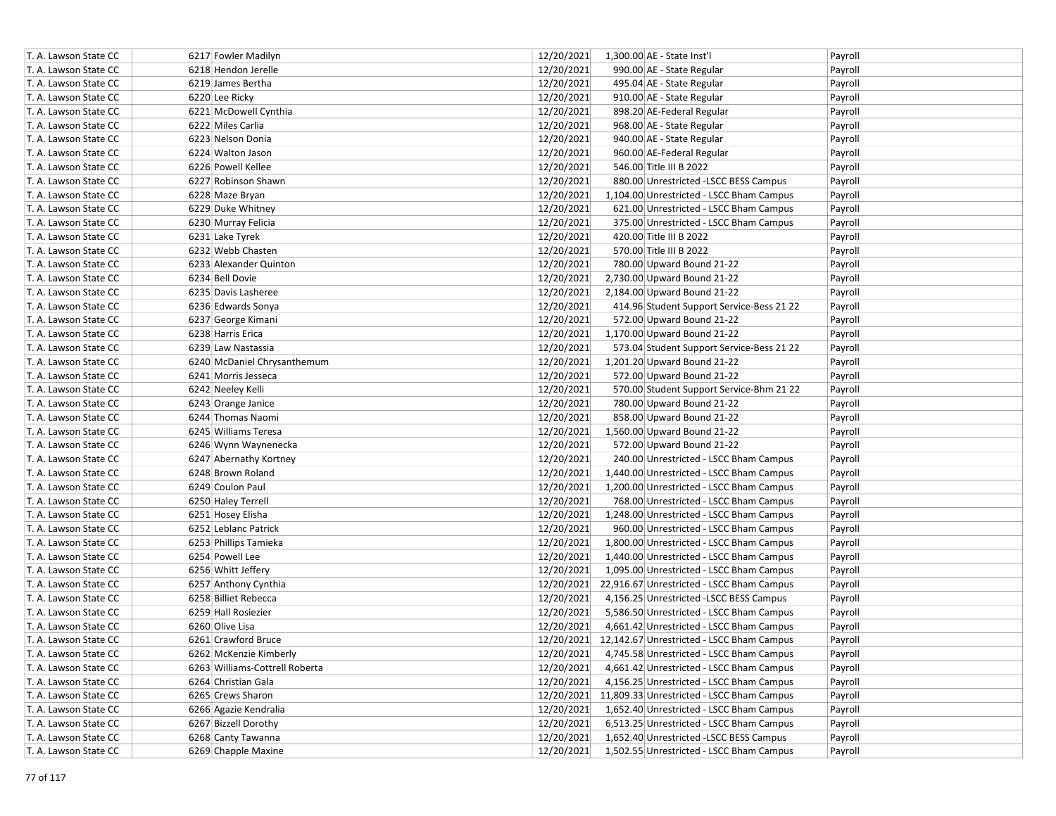| T. A. Lawson State CC | 6217 Fowler Madilyn            | 12/20/2021 | 1,300.00 AE - State Inst'l                           | Payroll |
|-----------------------|--------------------------------|------------|------------------------------------------------------|---------|
| T. A. Lawson State CC | 6218 Hendon Jerelle            | 12/20/2021 | 990.00 AE - State Regular                            | Payroll |
| T. A. Lawson State CC | 6219 James Bertha              | 12/20/2021 | 495.04 AE - State Regular                            | Payroll |
| T. A. Lawson State CC | 6220 Lee Ricky                 | 12/20/2021 | 910.00 AE - State Regular                            | Payroll |
| T. A. Lawson State CC | 6221 McDowell Cynthia          | 12/20/2021 | 898.20 AE-Federal Regular                            | Payroll |
| T. A. Lawson State CC | 6222 Miles Carlia              | 12/20/2021 | 968.00 AE - State Regular                            | Payroll |
| T. A. Lawson State CC | 6223 Nelson Donia              | 12/20/2021 | 940.00 AE - State Regular                            | Payroll |
| T. A. Lawson State CC | 6224 Walton Jason              | 12/20/2021 | 960.00 AE-Federal Regular                            | Payroll |
| T. A. Lawson State CC | 6226 Powell Kellee             | 12/20/2021 | 546.00 Title III B 2022                              | Payroll |
| T. A. Lawson State CC | 6227 Robinson Shawn            | 12/20/2021 | 880.00 Unrestricted -LSCC BESS Campus                | Payroll |
| T. A. Lawson State CC | 6228 Maze Bryan                | 12/20/2021 | 1,104.00 Unrestricted - LSCC Bham Campus             | Payroll |
| T. A. Lawson State CC | 6229 Duke Whitney              | 12/20/2021 | 621.00 Unrestricted - LSCC Bham Campus               | Payroll |
| T. A. Lawson State CC | 6230 Murray Felicia            | 12/20/2021 | 375.00 Unrestricted - LSCC Bham Campus               | Payroll |
| T. A. Lawson State CC | 6231 Lake Tyrek                | 12/20/2021 | 420.00 Title III B 2022                              | Payroll |
| T. A. Lawson State CC | 6232 Webb Chasten              | 12/20/2021 | 570.00 Title III B 2022                              | Payroll |
| T. A. Lawson State CC | 6233 Alexander Quinton         | 12/20/2021 | 780.00 Upward Bound 21-22                            | Payroll |
| T. A. Lawson State CC | 6234 Bell Dovie                | 12/20/2021 | 2,730.00 Upward Bound 21-22                          | Payroll |
| T. A. Lawson State CC | 6235 Davis Lasheree            | 12/20/2021 | 2,184.00 Upward Bound 21-22                          | Payroll |
| T. A. Lawson State CC | 6236 Edwards Sonya             | 12/20/2021 | 414.96 Student Support Service-Bess 21 22            | Payroll |
| T. A. Lawson State CC | 6237 George Kimani             | 12/20/2021 | 572.00 Upward Bound 21-22                            | Payroll |
| T. A. Lawson State CC | 6238 Harris Erica              | 12/20/2021 | 1,170.00 Upward Bound 21-22                          | Payroll |
| T. A. Lawson State CC | 6239 Law Nastassia             | 12/20/2021 | 573.04 Student Support Service-Bess 21 22            | Payroll |
| T. A. Lawson State CC | 6240 McDaniel Chrysanthemum    | 12/20/2021 | 1,201.20 Upward Bound 21-22                          | Payroll |
| T. A. Lawson State CC | 6241 Morris Jesseca            | 12/20/2021 | 572.00 Upward Bound 21-22                            | Payroll |
| T. A. Lawson State CC | 6242 Neeley Kelli              | 12/20/2021 | 570.00 Student Support Service-Bhm 21 22             | Payroll |
| T. A. Lawson State CC | 6243 Orange Janice             | 12/20/2021 | 780.00 Upward Bound 21-22                            | Payroll |
| T. A. Lawson State CC | 6244 Thomas Naomi              | 12/20/2021 | 858.00 Upward Bound 21-22                            | Payroll |
| T. A. Lawson State CC | 6245 Williams Teresa           | 12/20/2021 | 1,560.00 Upward Bound 21-22                          | Payroll |
| T. A. Lawson State CC | 6246 Wynn Waynenecka           | 12/20/2021 | 572.00 Upward Bound 21-22                            | Payroll |
| T. A. Lawson State CC | 6247 Abernathy Kortney         | 12/20/2021 | 240.00 Unrestricted - LSCC Bham Campus               | Payroll |
| T. A. Lawson State CC | 6248 Brown Roland              | 12/20/2021 | 1,440.00 Unrestricted - LSCC Bham Campus             | Payroll |
| T. A. Lawson State CC | 6249 Coulon Paul               | 12/20/2021 | 1,200.00 Unrestricted - LSCC Bham Campus             | Payroll |
| T. A. Lawson State CC | 6250 Haley Terrell             | 12/20/2021 | 768.00 Unrestricted - LSCC Bham Campus               | Payroll |
| T. A. Lawson State CC | 6251 Hosey Elisha              | 12/20/2021 | 1,248.00 Unrestricted - LSCC Bham Campus             | Payroll |
| T. A. Lawson State CC | 6252 Leblanc Patrick           | 12/20/2021 | 960.00 Unrestricted - LSCC Bham Campus               | Payroll |
| T. A. Lawson State CC | 6253 Phillips Tamieka          | 12/20/2021 | 1,800.00 Unrestricted - LSCC Bham Campus             | Payroll |
| T. A. Lawson State CC | 6254 Powell Lee                | 12/20/2021 | 1,440.00 Unrestricted - LSCC Bham Campus             | Payroll |
| T. A. Lawson State CC | 6256 Whitt Jeffery             | 12/20/2021 | 1,095.00 Unrestricted - LSCC Bham Campus             | Payroll |
| T. A. Lawson State CC | 6257 Anthony Cynthia           |            | 12/20/2021 22,916.67 Unrestricted - LSCC Bham Campus | Payroll |
| T. A. Lawson State CC | 6258 Billiet Rebecca           | 12/20/2021 | 4,156.25 Unrestricted -LSCC BESS Campus              | Payroll |
| T. A. Lawson State CC | 6259 Hall Rosiezier            | 12/20/2021 | 5,586.50 Unrestricted - LSCC Bham Campus             | Payroll |
| T. A. Lawson State CC | 6260 Olive Lisa                | 12/20/2021 | 4,661.42 Unrestricted - LSCC Bham Campus             | Payroll |
| T. A. Lawson State CC | 6261 Crawford Bruce            |            | 12/20/2021 12,142.67 Unrestricted - LSCC Bham Campus | Payroll |
| T. A. Lawson State CC | 6262 McKenzie Kimberly         | 12/20/2021 | 4,745.58 Unrestricted - LSCC Bham Campus             | Payroll |
| T. A. Lawson State CC | 6263 Williams-Cottrell Roberta | 12/20/2021 | 4,661.42 Unrestricted - LSCC Bham Campus             | Payroll |
| T. A. Lawson State CC | 6264 Christian Gala            | 12/20/2021 | 4,156.25 Unrestricted - LSCC Bham Campus             | Payroll |
| T. A. Lawson State CC | 6265 Crews Sharon              |            | 12/20/2021 11,809.33 Unrestricted - LSCC Bham Campus | Payroll |
| T. A. Lawson State CC | 6266 Agazie Kendralia          | 12/20/2021 | 1,652.40 Unrestricted - LSCC Bham Campus             | Payroll |
| T. A. Lawson State CC | 6267 Bizzell Dorothy           | 12/20/2021 | 6,513.25 Unrestricted - LSCC Bham Campus             | Payroll |
| T. A. Lawson State CC | 6268 Canty Tawanna             | 12/20/2021 | 1,652.40 Unrestricted -LSCC BESS Campus              | Payroll |
| T. A. Lawson State CC | 6269 Chapple Maxine            | 12/20/2021 | 1,502.55 Unrestricted - LSCC Bham Campus             | Payroll |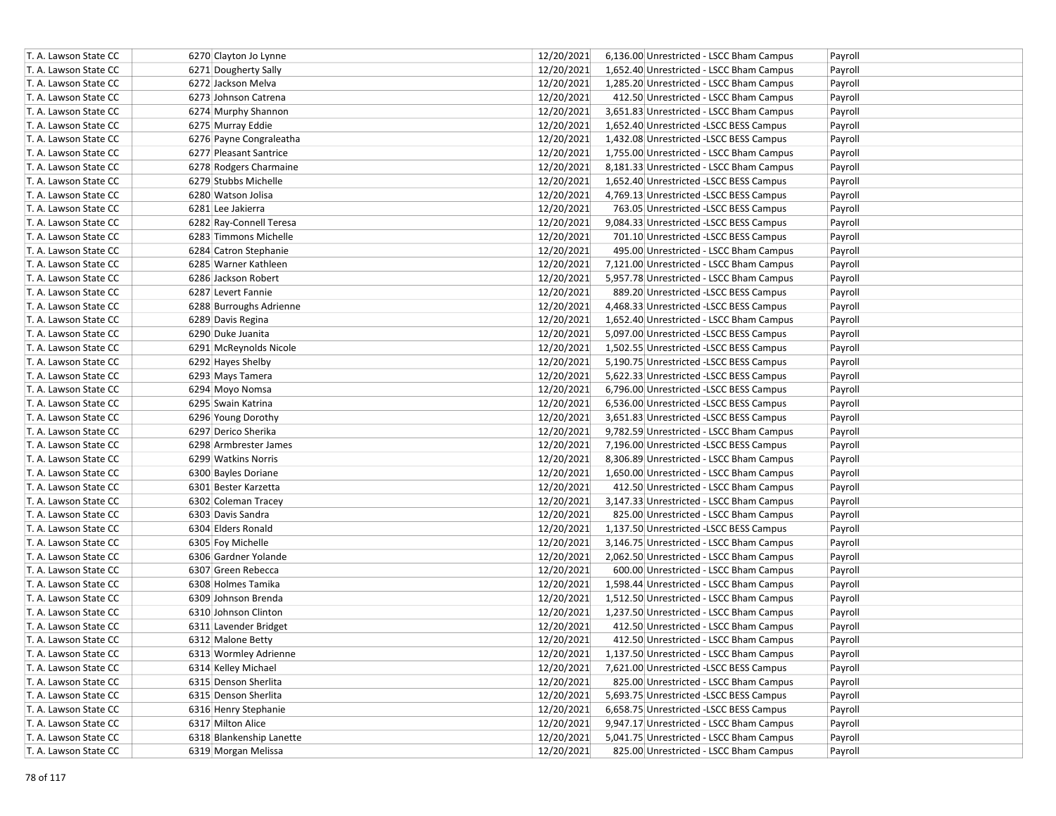| T. A. Lawson State CC | 6270 Clayton Jo Lynne    | 12/20/2021<br>6,136.00 Unrestricted - LSCC Bham Campus<br>Payroll |
|-----------------------|--------------------------|-------------------------------------------------------------------|
| T. A. Lawson State CC | 6271 Dougherty Sally     | 12/20/2021<br>1,652.40 Unrestricted - LSCC Bham Campus<br>Payroll |
| T. A. Lawson State CC | 6272 Jackson Melva       | 12/20/2021<br>1,285.20 Unrestricted - LSCC Bham Campus<br>Payroll |
| T. A. Lawson State CC | 6273 Johnson Catrena     | 12/20/2021<br>412.50 Unrestricted - LSCC Bham Campus<br>Payroll   |
| T. A. Lawson State CC | 6274 Murphy Shannon      | 12/20/2021<br>3,651.83 Unrestricted - LSCC Bham Campus<br>Payroll |
| T. A. Lawson State CC | 6275 Murray Eddie        | 12/20/2021<br>1,652.40 Unrestricted -LSCC BESS Campus<br>Payroll  |
| T. A. Lawson State CC | 6276 Payne Congraleatha  | 12/20/2021<br>1,432.08 Unrestricted -LSCC BESS Campus<br>Payroll  |
| T. A. Lawson State CC | 6277 Pleasant Santrice   | 12/20/2021<br>1,755.00 Unrestricted - LSCC Bham Campus<br>Payroll |
| T. A. Lawson State CC | 6278 Rodgers Charmaine   | 12/20/2021<br>8,181.33 Unrestricted - LSCC Bham Campus<br>Payroll |
| T. A. Lawson State CC | 6279 Stubbs Michelle     | 12/20/2021<br>1,652.40 Unrestricted -LSCC BESS Campus<br>Payroll  |
| T. A. Lawson State CC | 6280 Watson Jolisa       | 12/20/2021<br>4,769.13 Unrestricted -LSCC BESS Campus<br>Payroll  |
| T. A. Lawson State CC | 6281 Lee Jakierra        | 12/20/2021<br>763.05 Unrestricted -LSCC BESS Campus<br>Payroll    |
| T. A. Lawson State CC | 6282 Ray-Connell Teresa  | 12/20/2021<br>9,084.33 Unrestricted -LSCC BESS Campus<br>Payroll  |
| T. A. Lawson State CC | 6283 Timmons Michelle    | 12/20/2021<br>701.10 Unrestricted -LSCC BESS Campus<br>Payroll    |
| T. A. Lawson State CC | 6284 Catron Stephanie    | 12/20/2021<br>Payroll<br>495.00 Unrestricted - LSCC Bham Campus   |
| T. A. Lawson State CC | 6285 Warner Kathleen     | 12/20/2021<br>7,121.00 Unrestricted - LSCC Bham Campus<br>Payroll |
| T. A. Lawson State CC | 6286 Jackson Robert      | 12/20/2021<br>5,957.78 Unrestricted - LSCC Bham Campus<br>Payroll |
| T. A. Lawson State CC | 6287 Levert Fannie       | 12/20/2021<br>889.20 Unrestricted -LSCC BESS Campus<br>Payroll    |
| T. A. Lawson State CC | 6288 Burroughs Adrienne  | 12/20/2021<br>4,468.33 Unrestricted -LSCC BESS Campus<br>Payroll  |
| T. A. Lawson State CC | 6289 Davis Regina        | 12/20/2021<br>1,652.40 Unrestricted - LSCC Bham Campus<br>Payroll |
| T. A. Lawson State CC | 6290 Duke Juanita        | 12/20/2021<br>5,097.00 Unrestricted -LSCC BESS Campus<br>Payroll  |
| T. A. Lawson State CC | 6291 McReynolds Nicole   | 12/20/2021<br>1,502.55 Unrestricted -LSCC BESS Campus<br>Payroll  |
| T. A. Lawson State CC | 6292 Hayes Shelby        | 12/20/2021<br>5,190.75 Unrestricted -LSCC BESS Campus<br>Payroll  |
| T. A. Lawson State CC | 6293 Mays Tamera         | 12/20/2021<br>5,622.33 Unrestricted -LSCC BESS Campus<br>Payroll  |
| T. A. Lawson State CC | 6294 Moyo Nomsa          | 12/20/2021<br>6,796.00 Unrestricted -LSCC BESS Campus<br>Payroll  |
| T. A. Lawson State CC | 6295 Swain Katrina       | 12/20/2021<br>6,536.00 Unrestricted -LSCC BESS Campus<br>Payroll  |
| T. A. Lawson State CC | 6296 Young Dorothy       | 12/20/2021<br>3,651.83 Unrestricted -LSCC BESS Campus<br>Payroll  |
| T. A. Lawson State CC | 6297 Derico Sherika      | 12/20/2021<br>9,782.59 Unrestricted - LSCC Bham Campus<br>Payroll |
| T. A. Lawson State CC | 6298 Armbrester James    | 12/20/2021<br>7,196.00 Unrestricted -LSCC BESS Campus<br>Payroll  |
| T. A. Lawson State CC | 6299 Watkins Norris      | 12/20/2021<br>8,306.89 Unrestricted - LSCC Bham Campus<br>Payroll |
| T. A. Lawson State CC | 6300 Bayles Doriane      | 12/20/2021<br>1,650.00 Unrestricted - LSCC Bham Campus<br>Payroll |
| T. A. Lawson State CC | 6301 Bester Karzetta     | 12/20/2021<br>412.50 Unrestricted - LSCC Bham Campus<br>Payroll   |
| T. A. Lawson State CC | 6302 Coleman Tracey      | 12/20/2021<br>3,147.33 Unrestricted - LSCC Bham Campus<br>Payroll |
| T. A. Lawson State CC | 6303 Davis Sandra        | 12/20/2021<br>825.00 Unrestricted - LSCC Bham Campus<br>Payroll   |
| T. A. Lawson State CC | 6304 Elders Ronald       | 12/20/2021<br>1,137.50 Unrestricted -LSCC BESS Campus<br>Payroll  |
| T. A. Lawson State CC | 6305 Foy Michelle        | 12/20/2021<br>3,146.75 Unrestricted - LSCC Bham Campus<br>Payroll |
| T. A. Lawson State CC | 6306 Gardner Yolande     | 12/20/2021<br>2,062.50 Unrestricted - LSCC Bham Campus<br>Payroll |
| T. A. Lawson State CC | 6307 Green Rebecca       | 12/20/2021<br>600.00 Unrestricted - LSCC Bham Campus<br>Payroll   |
| T. A. Lawson State CC | 6308 Holmes Tamika       | 12/20/2021<br>1,598.44 Unrestricted - LSCC Bham Campus<br>Payroll |
| T. A. Lawson State CC | 6309 Johnson Brenda      | 12/20/2021<br>1,512.50 Unrestricted - LSCC Bham Campus<br>Payroll |
| T. A. Lawson State CC | 6310 Johnson Clinton     | 12/20/2021<br>1,237.50 Unrestricted - LSCC Bham Campus<br>Payroll |
| T. A. Lawson State CC | 6311 Lavender Bridget    | 12/20/2021<br>412.50 Unrestricted - LSCC Bham Campus<br>Payroll   |
| T. A. Lawson State CC | 6312 Malone Betty        | 12/20/2021<br>412.50 Unrestricted - LSCC Bham Campus<br>Payroll   |
| T. A. Lawson State CC | 6313 Wormley Adrienne    | 12/20/2021<br>1,137.50 Unrestricted - LSCC Bham Campus<br>Payroll |
| T. A. Lawson State CC | 6314 Kelley Michael      | 12/20/2021<br>7,621.00 Unrestricted -LSCC BESS Campus<br>Payroll  |
| T. A. Lawson State CC | 6315 Denson Sherlita     | 12/20/2021<br>825.00 Unrestricted - LSCC Bham Campus<br>Payroll   |
| T. A. Lawson State CC | 6315 Denson Sherlita     | 12/20/2021<br>5,693.75 Unrestricted -LSCC BESS Campus<br>Payroll  |
| T. A. Lawson State CC | 6316 Henry Stephanie     | 12/20/2021<br>6,658.75 Unrestricted -LSCC BESS Campus<br>Payroll  |
| T. A. Lawson State CC | 6317 Milton Alice        | 12/20/2021<br>9,947.17 Unrestricted - LSCC Bham Campus<br>Payroll |
| T. A. Lawson State CC | 6318 Blankenship Lanette | 12/20/2021<br>5,041.75 Unrestricted - LSCC Bham Campus<br>Payroll |
| T. A. Lawson State CC | 6319 Morgan Melissa      | 12/20/2021<br>825.00 Unrestricted - LSCC Bham Campus<br>Payroll   |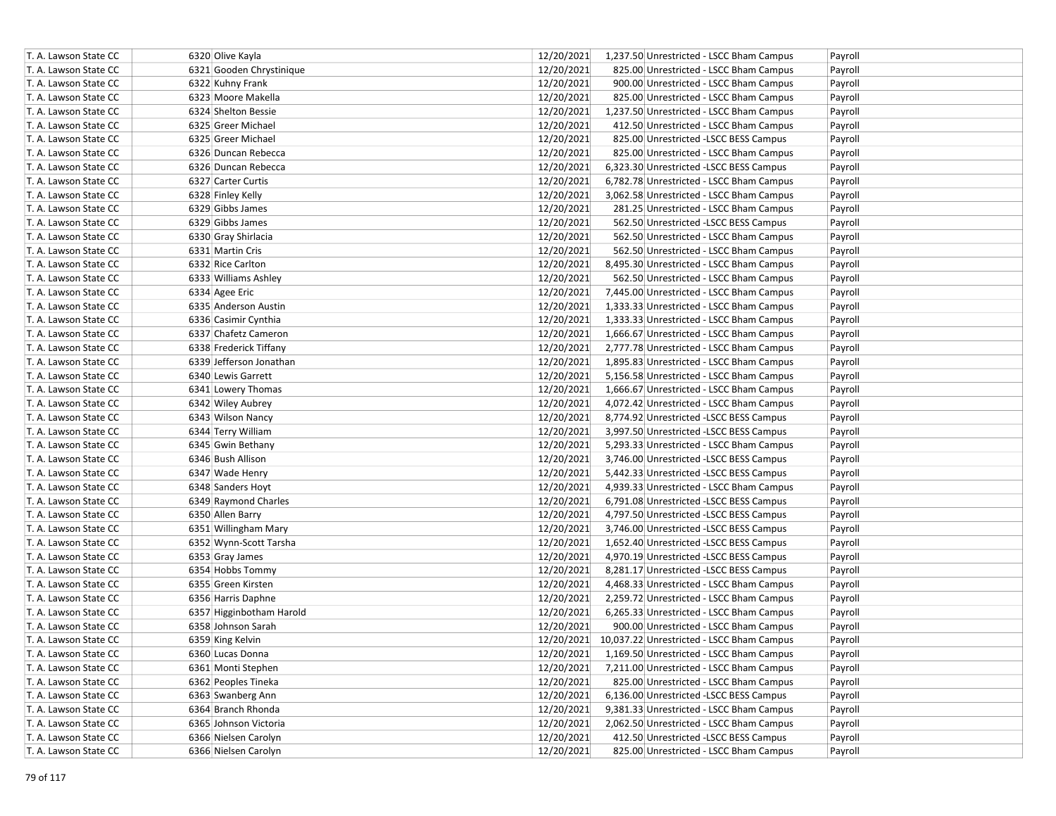| 6321 Gooden Chrystinique<br>12/20/2021<br>Payroll<br>825.00 Unrestricted - LSCC Bham Campus<br>12/20/2021<br>T. A. Lawson State CC<br>6322 Kuhny Frank<br>900.00 Unrestricted - LSCC Bham Campus<br>Payroll<br>12/20/2021<br>6323 Moore Makella<br>825.00 Unrestricted - LSCC Bham Campus<br>Payroll<br>12/20/2021<br>6324 Shelton Bessie<br>1,237.50 Unrestricted - LSCC Bham Campus<br>Payroll<br>12/20/2021<br>6325 Greer Michael<br>412.50 Unrestricted - LSCC Bham Campus<br>Payroll<br>12/20/2021<br>T. A. Lawson State CC<br>6325 Greer Michael<br>825.00 Unrestricted -LSCC BESS Campus<br>Payroll<br>12/20/2021<br>6326 Duncan Rebecca<br>825.00 Unrestricted - LSCC Bham Campus<br>T. A. Lawson State CC<br>Payroll<br>6326 Duncan Rebecca<br>12/20/2021<br>6,323.30 Unrestricted -LSCC BESS Campus<br>Payroll<br>12/20/2021<br>6327 Carter Curtis<br>6,782.78 Unrestricted - LSCC Bham Campus<br>Payroll<br>12/20/2021<br>T. A. Lawson State CC<br>6328 Finley Kelly<br>3,062.58 Unrestricted - LSCC Bham Campus<br>Payroll<br>12/20/2021<br>T. A. Lawson State CC<br>6329 Gibbs James<br>281.25 Unrestricted - LSCC Bham Campus<br>Payroll<br>12/20/2021<br>T. A. Lawson State CC<br>6329 Gibbs James<br>562.50 Unrestricted -LSCC BESS Campus<br>Payroll<br>12/20/2021<br>T. A. Lawson State CC<br>6330 Gray Shirlacia<br>562.50 Unrestricted - LSCC Bham Campus<br>Payroll<br>T. A. Lawson State CC<br>6331 Martin Cris<br>12/20/2021<br>562.50 Unrestricted - LSCC Bham Campus<br>Payroll<br>T. A. Lawson State CC<br>6332 Rice Carlton<br>12/20/2021<br>8,495.30 Unrestricted - LSCC Bham Campus<br>Payroll<br>12/20/2021<br>T. A. Lawson State CC<br>6333 Williams Ashley<br>562.50 Unrestricted - LSCC Bham Campus<br>Payroll<br>12/20/2021<br>T. A. Lawson State CC<br>6334 Agee Eric<br>7,445.00 Unrestricted - LSCC Bham Campus<br>Payroll<br>T. A. Lawson State CC<br>6335 Anderson Austin<br>12/20/2021<br>1,333.33 Unrestricted - LSCC Bham Campus<br>Payroll<br>12/20/2021<br>T. A. Lawson State CC<br>6336 Casimir Cynthia<br>1,333.33 Unrestricted - LSCC Bham Campus<br>Payroll<br>T. A. Lawson State CC<br>6337 Chafetz Cameron<br>12/20/2021<br>1,666.67 Unrestricted - LSCC Bham Campus<br>Payroll<br>12/20/2021<br>T. A. Lawson State CC<br>6338 Frederick Tiffany<br>2,777.78 Unrestricted - LSCC Bham Campus<br>Payroll<br>6339 Jefferson Jonathan<br>12/20/2021<br>1,895.83 Unrestricted - LSCC Bham Campus<br>T. A. Lawson State CC<br>Payroll<br>12/20/2021<br>T. A. Lawson State CC<br>6340 Lewis Garrett<br>5,156.58 Unrestricted - LSCC Bham Campus<br>Payroll<br>12/20/2021<br>1,666.67 Unrestricted - LSCC Bham Campus<br>Payroll<br>6341 Lowery Thomas<br>12/20/2021<br>T. A. Lawson State CC<br>6342 Wiley Aubrey<br>4,072.42 Unrestricted - LSCC Bham Campus<br>Payroll<br>12/20/2021<br>T. A. Lawson State CC<br>6343 Wilson Nancy<br>8,774.92 Unrestricted -LSCC BESS Campus<br>Payroll<br>12/20/2021<br>6344 Terry William<br>3,997.50 Unrestricted -LSCC BESS Campus<br>Payroll<br>12/20/2021<br>6345 Gwin Bethany<br>5,293.33 Unrestricted - LSCC Bham Campus<br>T. A. Lawson State CC<br>Payroll<br>12/20/2021<br>T. A. Lawson State CC<br>6346 Bush Allison<br>3,746.00 Unrestricted -LSCC BESS Campus<br>Payroll<br>12/20/2021<br>6347 Wade Henry<br>5,442.33 Unrestricted -LSCC BESS Campus<br>T. A. Lawson State CC<br>Payroll<br>12/20/2021<br>T. A. Lawson State CC<br>6348 Sanders Hoyt<br>4,939.33 Unrestricted - LSCC Bham Campus<br>Payroll<br>12/20/2021<br>T. A. Lawson State CC<br>6349 Raymond Charles<br>6,791.08 Unrestricted -LSCC BESS Campus<br>Payroll<br>T. A. Lawson State CC<br>12/20/2021<br>4,797.50 Unrestricted -LSCC BESS Campus<br>6350 Allen Barry<br>Payroll<br>12/20/2021<br>T. A. Lawson State CC<br>3,746.00 Unrestricted -LSCC BESS Campus<br>6351 Willingham Mary<br>Payroll<br>12/20/2021<br>T. A. Lawson State CC<br>6352 Wynn-Scott Tarsha<br>1,652.40 Unrestricted -LSCC BESS Campus<br>Payroll<br>12/20/2021<br>T. A. Lawson State CC<br>6353 Gray James<br>4,970.19 Unrestricted -LSCC BESS Campus<br>Payroll<br>6354 Hobbs Tommy<br>12/20/2021<br>8,281.17 Unrestricted - LSCC BESS Campus<br>Payroll<br>12/20/2021<br>T. A. Lawson State CC<br>6355 Green Kirsten<br>4,468.33 Unrestricted - LSCC Bham Campus<br>Payroll<br>T. A. Lawson State CC<br>6356 Harris Daphne<br>12/20/2021<br>2,259.72 Unrestricted - LSCC Bham Campus<br>Payroll<br>12/20/2021<br>T. A. Lawson State CC<br>6357 Higginbotham Harold<br>6,265.33 Unrestricted - LSCC Bham Campus<br>Payroll<br>T. A. Lawson State CC<br>6358 Johnson Sarah<br>12/20/2021<br>900.00 Unrestricted - LSCC Bham Campus<br>Payroll<br>T. A. Lawson State CC<br>6359 King Kelvin<br>12/20/2021 10,037.22 Unrestricted - LSCC Bham Campus<br>Payroll<br>T. A. Lawson State CC<br>6360 Lucas Donna<br>12/20/2021<br>1,169.50 Unrestricted - LSCC Bham Campus<br>Payroll<br>12/20/2021<br>T. A. Lawson State CC<br>6361 Monti Stephen<br>7,211.00 Unrestricted - LSCC Bham Campus<br>Payroll<br>12/20/2021<br>825.00 Unrestricted - LSCC Bham Campus<br>T. A. Lawson State CC<br>6362 Peoples Tineka<br>Payroll<br>12/20/2021<br>T. A. Lawson State CC<br>6363 Swanberg Ann<br>6,136.00 Unrestricted -LSCC BESS Campus<br>Payroll<br>12/20/2021<br>T. A. Lawson State CC<br>6364 Branch Rhonda<br>9,381.33 Unrestricted - LSCC Bham Campus<br>Payroll<br>12/20/2021<br>T. A. Lawson State CC<br>6365 Johnson Victoria<br>2,062.50 Unrestricted - LSCC Bham Campus<br>Payroll<br>T. A. Lawson State CC<br>6366 Nielsen Carolyn<br>12/20/2021<br>412.50 Unrestricted -LSCC BESS Campus<br>Payroll<br>12/20/2021<br>T. A. Lawson State CC<br>825.00 Unrestricted - LSCC Bham Campus<br>6366 Nielsen Carolyn<br>Payroll | T. A. Lawson State CC | 6320 Olive Kayla | 12/20/2021<br>Payroll<br>1,237.50 Unrestricted - LSCC Bham Campus |
|----------------------------------------------------------------------------------------------------------------------------------------------------------------------------------------------------------------------------------------------------------------------------------------------------------------------------------------------------------------------------------------------------------------------------------------------------------------------------------------------------------------------------------------------------------------------------------------------------------------------------------------------------------------------------------------------------------------------------------------------------------------------------------------------------------------------------------------------------------------------------------------------------------------------------------------------------------------------------------------------------------------------------------------------------------------------------------------------------------------------------------------------------------------------------------------------------------------------------------------------------------------------------------------------------------------------------------------------------------------------------------------------------------------------------------------------------------------------------------------------------------------------------------------------------------------------------------------------------------------------------------------------------------------------------------------------------------------------------------------------------------------------------------------------------------------------------------------------------------------------------------------------------------------------------------------------------------------------------------------------------------------------------------------------------------------------------------------------------------------------------------------------------------------------------------------------------------------------------------------------------------------------------------------------------------------------------------------------------------------------------------------------------------------------------------------------------------------------------------------------------------------------------------------------------------------------------------------------------------------------------------------------------------------------------------------------------------------------------------------------------------------------------------------------------------------------------------------------------------------------------------------------------------------------------------------------------------------------------------------------------------------------------------------------------------------------------------------------------------------------------------------------------------------------------------------------------------------------------------------------------------------------------------------------------------------------------------------------------------------------------------------------------------------------------------------------------------------------------------------------------------------------------------------------------------------------------------------------------------------------------------------------------------------------------------------------------------------------------------------------------------------------------------------------------------------------------------------------------------------------------------------------------------------------------------------------------------------------------------------------------------------------------------------------------------------------------------------------------------------------------------------------------------------------------------------------------------------------------------------------------------------------------------------------------------------------------------------------------------------------------------------------------------------------------------------------------------------------------------------------------------------------------------------------------------------------------------------------------------------------------------------------------------------------------------------------------------------------------------------------------------------------------------------------------------------------------------------------------------------------------------------------------------------------------------------------------------------------------------------------------------------------------------------------------------------------------------------------------------------------------------------------------------------------------------------------------------------------------------------------------------------------------------------------------------------------------------------------------------------------------------------------------------------------------------------------------------------------------------------------------------------------------------------------------------------------------------------------------------------------------------------------------------------------------------------------------------------------------------------------------------------------|-----------------------|------------------|-------------------------------------------------------------------|
|                                                                                                                                                                                                                                                                                                                                                                                                                                                                                                                                                                                                                                                                                                                                                                                                                                                                                                                                                                                                                                                                                                                                                                                                                                                                                                                                                                                                                                                                                                                                                                                                                                                                                                                                                                                                                                                                                                                                                                                                                                                                                                                                                                                                                                                                                                                                                                                                                                                                                                                                                                                                                                                                                                                                                                                                                                                                                                                                                                                                                                                                                                                                                                                                                                                                                                                                                                                                                                                                                                                                                                                                                                                                                                                                                                                                                                                                                                                                                                                                                                                                                                                                                                                                                                                                                                                                                                                                                                                                                                                                                                                                                                                                                                                                                                                                                                                                                                                                                                                                                                                                                                                                                                                                                                                                                                                                                                                                                                                                                                                                                                                                                                                                                                                                                                      | T. A. Lawson State CC |                  |                                                                   |
|                                                                                                                                                                                                                                                                                                                                                                                                                                                                                                                                                                                                                                                                                                                                                                                                                                                                                                                                                                                                                                                                                                                                                                                                                                                                                                                                                                                                                                                                                                                                                                                                                                                                                                                                                                                                                                                                                                                                                                                                                                                                                                                                                                                                                                                                                                                                                                                                                                                                                                                                                                                                                                                                                                                                                                                                                                                                                                                                                                                                                                                                                                                                                                                                                                                                                                                                                                                                                                                                                                                                                                                                                                                                                                                                                                                                                                                                                                                                                                                                                                                                                                                                                                                                                                                                                                                                                                                                                                                                                                                                                                                                                                                                                                                                                                                                                                                                                                                                                                                                                                                                                                                                                                                                                                                                                                                                                                                                                                                                                                                                                                                                                                                                                                                                                                      |                       |                  |                                                                   |
|                                                                                                                                                                                                                                                                                                                                                                                                                                                                                                                                                                                                                                                                                                                                                                                                                                                                                                                                                                                                                                                                                                                                                                                                                                                                                                                                                                                                                                                                                                                                                                                                                                                                                                                                                                                                                                                                                                                                                                                                                                                                                                                                                                                                                                                                                                                                                                                                                                                                                                                                                                                                                                                                                                                                                                                                                                                                                                                                                                                                                                                                                                                                                                                                                                                                                                                                                                                                                                                                                                                                                                                                                                                                                                                                                                                                                                                                                                                                                                                                                                                                                                                                                                                                                                                                                                                                                                                                                                                                                                                                                                                                                                                                                                                                                                                                                                                                                                                                                                                                                                                                                                                                                                                                                                                                                                                                                                                                                                                                                                                                                                                                                                                                                                                                                                      | T. A. Lawson State CC |                  |                                                                   |
|                                                                                                                                                                                                                                                                                                                                                                                                                                                                                                                                                                                                                                                                                                                                                                                                                                                                                                                                                                                                                                                                                                                                                                                                                                                                                                                                                                                                                                                                                                                                                                                                                                                                                                                                                                                                                                                                                                                                                                                                                                                                                                                                                                                                                                                                                                                                                                                                                                                                                                                                                                                                                                                                                                                                                                                                                                                                                                                                                                                                                                                                                                                                                                                                                                                                                                                                                                                                                                                                                                                                                                                                                                                                                                                                                                                                                                                                                                                                                                                                                                                                                                                                                                                                                                                                                                                                                                                                                                                                                                                                                                                                                                                                                                                                                                                                                                                                                                                                                                                                                                                                                                                                                                                                                                                                                                                                                                                                                                                                                                                                                                                                                                                                                                                                                                      | T. A. Lawson State CC |                  |                                                                   |
|                                                                                                                                                                                                                                                                                                                                                                                                                                                                                                                                                                                                                                                                                                                                                                                                                                                                                                                                                                                                                                                                                                                                                                                                                                                                                                                                                                                                                                                                                                                                                                                                                                                                                                                                                                                                                                                                                                                                                                                                                                                                                                                                                                                                                                                                                                                                                                                                                                                                                                                                                                                                                                                                                                                                                                                                                                                                                                                                                                                                                                                                                                                                                                                                                                                                                                                                                                                                                                                                                                                                                                                                                                                                                                                                                                                                                                                                                                                                                                                                                                                                                                                                                                                                                                                                                                                                                                                                                                                                                                                                                                                                                                                                                                                                                                                                                                                                                                                                                                                                                                                                                                                                                                                                                                                                                                                                                                                                                                                                                                                                                                                                                                                                                                                                                                      | T. A. Lawson State CC |                  |                                                                   |
|                                                                                                                                                                                                                                                                                                                                                                                                                                                                                                                                                                                                                                                                                                                                                                                                                                                                                                                                                                                                                                                                                                                                                                                                                                                                                                                                                                                                                                                                                                                                                                                                                                                                                                                                                                                                                                                                                                                                                                                                                                                                                                                                                                                                                                                                                                                                                                                                                                                                                                                                                                                                                                                                                                                                                                                                                                                                                                                                                                                                                                                                                                                                                                                                                                                                                                                                                                                                                                                                                                                                                                                                                                                                                                                                                                                                                                                                                                                                                                                                                                                                                                                                                                                                                                                                                                                                                                                                                                                                                                                                                                                                                                                                                                                                                                                                                                                                                                                                                                                                                                                                                                                                                                                                                                                                                                                                                                                                                                                                                                                                                                                                                                                                                                                                                                      |                       |                  |                                                                   |
|                                                                                                                                                                                                                                                                                                                                                                                                                                                                                                                                                                                                                                                                                                                                                                                                                                                                                                                                                                                                                                                                                                                                                                                                                                                                                                                                                                                                                                                                                                                                                                                                                                                                                                                                                                                                                                                                                                                                                                                                                                                                                                                                                                                                                                                                                                                                                                                                                                                                                                                                                                                                                                                                                                                                                                                                                                                                                                                                                                                                                                                                                                                                                                                                                                                                                                                                                                                                                                                                                                                                                                                                                                                                                                                                                                                                                                                                                                                                                                                                                                                                                                                                                                                                                                                                                                                                                                                                                                                                                                                                                                                                                                                                                                                                                                                                                                                                                                                                                                                                                                                                                                                                                                                                                                                                                                                                                                                                                                                                                                                                                                                                                                                                                                                                                                      |                       |                  |                                                                   |
|                                                                                                                                                                                                                                                                                                                                                                                                                                                                                                                                                                                                                                                                                                                                                                                                                                                                                                                                                                                                                                                                                                                                                                                                                                                                                                                                                                                                                                                                                                                                                                                                                                                                                                                                                                                                                                                                                                                                                                                                                                                                                                                                                                                                                                                                                                                                                                                                                                                                                                                                                                                                                                                                                                                                                                                                                                                                                                                                                                                                                                                                                                                                                                                                                                                                                                                                                                                                                                                                                                                                                                                                                                                                                                                                                                                                                                                                                                                                                                                                                                                                                                                                                                                                                                                                                                                                                                                                                                                                                                                                                                                                                                                                                                                                                                                                                                                                                                                                                                                                                                                                                                                                                                                                                                                                                                                                                                                                                                                                                                                                                                                                                                                                                                                                                                      | T. A. Lawson State CC |                  |                                                                   |
|                                                                                                                                                                                                                                                                                                                                                                                                                                                                                                                                                                                                                                                                                                                                                                                                                                                                                                                                                                                                                                                                                                                                                                                                                                                                                                                                                                                                                                                                                                                                                                                                                                                                                                                                                                                                                                                                                                                                                                                                                                                                                                                                                                                                                                                                                                                                                                                                                                                                                                                                                                                                                                                                                                                                                                                                                                                                                                                                                                                                                                                                                                                                                                                                                                                                                                                                                                                                                                                                                                                                                                                                                                                                                                                                                                                                                                                                                                                                                                                                                                                                                                                                                                                                                                                                                                                                                                                                                                                                                                                                                                                                                                                                                                                                                                                                                                                                                                                                                                                                                                                                                                                                                                                                                                                                                                                                                                                                                                                                                                                                                                                                                                                                                                                                                                      | T. A. Lawson State CC |                  |                                                                   |
|                                                                                                                                                                                                                                                                                                                                                                                                                                                                                                                                                                                                                                                                                                                                                                                                                                                                                                                                                                                                                                                                                                                                                                                                                                                                                                                                                                                                                                                                                                                                                                                                                                                                                                                                                                                                                                                                                                                                                                                                                                                                                                                                                                                                                                                                                                                                                                                                                                                                                                                                                                                                                                                                                                                                                                                                                                                                                                                                                                                                                                                                                                                                                                                                                                                                                                                                                                                                                                                                                                                                                                                                                                                                                                                                                                                                                                                                                                                                                                                                                                                                                                                                                                                                                                                                                                                                                                                                                                                                                                                                                                                                                                                                                                                                                                                                                                                                                                                                                                                                                                                                                                                                                                                                                                                                                                                                                                                                                                                                                                                                                                                                                                                                                                                                                                      |                       |                  |                                                                   |
|                                                                                                                                                                                                                                                                                                                                                                                                                                                                                                                                                                                                                                                                                                                                                                                                                                                                                                                                                                                                                                                                                                                                                                                                                                                                                                                                                                                                                                                                                                                                                                                                                                                                                                                                                                                                                                                                                                                                                                                                                                                                                                                                                                                                                                                                                                                                                                                                                                                                                                                                                                                                                                                                                                                                                                                                                                                                                                                                                                                                                                                                                                                                                                                                                                                                                                                                                                                                                                                                                                                                                                                                                                                                                                                                                                                                                                                                                                                                                                                                                                                                                                                                                                                                                                                                                                                                                                                                                                                                                                                                                                                                                                                                                                                                                                                                                                                                                                                                                                                                                                                                                                                                                                                                                                                                                                                                                                                                                                                                                                                                                                                                                                                                                                                                                                      |                       |                  |                                                                   |
|                                                                                                                                                                                                                                                                                                                                                                                                                                                                                                                                                                                                                                                                                                                                                                                                                                                                                                                                                                                                                                                                                                                                                                                                                                                                                                                                                                                                                                                                                                                                                                                                                                                                                                                                                                                                                                                                                                                                                                                                                                                                                                                                                                                                                                                                                                                                                                                                                                                                                                                                                                                                                                                                                                                                                                                                                                                                                                                                                                                                                                                                                                                                                                                                                                                                                                                                                                                                                                                                                                                                                                                                                                                                                                                                                                                                                                                                                                                                                                                                                                                                                                                                                                                                                                                                                                                                                                                                                                                                                                                                                                                                                                                                                                                                                                                                                                                                                                                                                                                                                                                                                                                                                                                                                                                                                                                                                                                                                                                                                                                                                                                                                                                                                                                                                                      |                       |                  |                                                                   |
|                                                                                                                                                                                                                                                                                                                                                                                                                                                                                                                                                                                                                                                                                                                                                                                                                                                                                                                                                                                                                                                                                                                                                                                                                                                                                                                                                                                                                                                                                                                                                                                                                                                                                                                                                                                                                                                                                                                                                                                                                                                                                                                                                                                                                                                                                                                                                                                                                                                                                                                                                                                                                                                                                                                                                                                                                                                                                                                                                                                                                                                                                                                                                                                                                                                                                                                                                                                                                                                                                                                                                                                                                                                                                                                                                                                                                                                                                                                                                                                                                                                                                                                                                                                                                                                                                                                                                                                                                                                                                                                                                                                                                                                                                                                                                                                                                                                                                                                                                                                                                                                                                                                                                                                                                                                                                                                                                                                                                                                                                                                                                                                                                                                                                                                                                                      |                       |                  |                                                                   |
|                                                                                                                                                                                                                                                                                                                                                                                                                                                                                                                                                                                                                                                                                                                                                                                                                                                                                                                                                                                                                                                                                                                                                                                                                                                                                                                                                                                                                                                                                                                                                                                                                                                                                                                                                                                                                                                                                                                                                                                                                                                                                                                                                                                                                                                                                                                                                                                                                                                                                                                                                                                                                                                                                                                                                                                                                                                                                                                                                                                                                                                                                                                                                                                                                                                                                                                                                                                                                                                                                                                                                                                                                                                                                                                                                                                                                                                                                                                                                                                                                                                                                                                                                                                                                                                                                                                                                                                                                                                                                                                                                                                                                                                                                                                                                                                                                                                                                                                                                                                                                                                                                                                                                                                                                                                                                                                                                                                                                                                                                                                                                                                                                                                                                                                                                                      |                       |                  |                                                                   |
|                                                                                                                                                                                                                                                                                                                                                                                                                                                                                                                                                                                                                                                                                                                                                                                                                                                                                                                                                                                                                                                                                                                                                                                                                                                                                                                                                                                                                                                                                                                                                                                                                                                                                                                                                                                                                                                                                                                                                                                                                                                                                                                                                                                                                                                                                                                                                                                                                                                                                                                                                                                                                                                                                                                                                                                                                                                                                                                                                                                                                                                                                                                                                                                                                                                                                                                                                                                                                                                                                                                                                                                                                                                                                                                                                                                                                                                                                                                                                                                                                                                                                                                                                                                                                                                                                                                                                                                                                                                                                                                                                                                                                                                                                                                                                                                                                                                                                                                                                                                                                                                                                                                                                                                                                                                                                                                                                                                                                                                                                                                                                                                                                                                                                                                                                                      |                       |                  |                                                                   |
|                                                                                                                                                                                                                                                                                                                                                                                                                                                                                                                                                                                                                                                                                                                                                                                                                                                                                                                                                                                                                                                                                                                                                                                                                                                                                                                                                                                                                                                                                                                                                                                                                                                                                                                                                                                                                                                                                                                                                                                                                                                                                                                                                                                                                                                                                                                                                                                                                                                                                                                                                                                                                                                                                                                                                                                                                                                                                                                                                                                                                                                                                                                                                                                                                                                                                                                                                                                                                                                                                                                                                                                                                                                                                                                                                                                                                                                                                                                                                                                                                                                                                                                                                                                                                                                                                                                                                                                                                                                                                                                                                                                                                                                                                                                                                                                                                                                                                                                                                                                                                                                                                                                                                                                                                                                                                                                                                                                                                                                                                                                                                                                                                                                                                                                                                                      |                       |                  |                                                                   |
|                                                                                                                                                                                                                                                                                                                                                                                                                                                                                                                                                                                                                                                                                                                                                                                                                                                                                                                                                                                                                                                                                                                                                                                                                                                                                                                                                                                                                                                                                                                                                                                                                                                                                                                                                                                                                                                                                                                                                                                                                                                                                                                                                                                                                                                                                                                                                                                                                                                                                                                                                                                                                                                                                                                                                                                                                                                                                                                                                                                                                                                                                                                                                                                                                                                                                                                                                                                                                                                                                                                                                                                                                                                                                                                                                                                                                                                                                                                                                                                                                                                                                                                                                                                                                                                                                                                                                                                                                                                                                                                                                                                                                                                                                                                                                                                                                                                                                                                                                                                                                                                                                                                                                                                                                                                                                                                                                                                                                                                                                                                                                                                                                                                                                                                                                                      |                       |                  |                                                                   |
|                                                                                                                                                                                                                                                                                                                                                                                                                                                                                                                                                                                                                                                                                                                                                                                                                                                                                                                                                                                                                                                                                                                                                                                                                                                                                                                                                                                                                                                                                                                                                                                                                                                                                                                                                                                                                                                                                                                                                                                                                                                                                                                                                                                                                                                                                                                                                                                                                                                                                                                                                                                                                                                                                                                                                                                                                                                                                                                                                                                                                                                                                                                                                                                                                                                                                                                                                                                                                                                                                                                                                                                                                                                                                                                                                                                                                                                                                                                                                                                                                                                                                                                                                                                                                                                                                                                                                                                                                                                                                                                                                                                                                                                                                                                                                                                                                                                                                                                                                                                                                                                                                                                                                                                                                                                                                                                                                                                                                                                                                                                                                                                                                                                                                                                                                                      |                       |                  |                                                                   |
|                                                                                                                                                                                                                                                                                                                                                                                                                                                                                                                                                                                                                                                                                                                                                                                                                                                                                                                                                                                                                                                                                                                                                                                                                                                                                                                                                                                                                                                                                                                                                                                                                                                                                                                                                                                                                                                                                                                                                                                                                                                                                                                                                                                                                                                                                                                                                                                                                                                                                                                                                                                                                                                                                                                                                                                                                                                                                                                                                                                                                                                                                                                                                                                                                                                                                                                                                                                                                                                                                                                                                                                                                                                                                                                                                                                                                                                                                                                                                                                                                                                                                                                                                                                                                                                                                                                                                                                                                                                                                                                                                                                                                                                                                                                                                                                                                                                                                                                                                                                                                                                                                                                                                                                                                                                                                                                                                                                                                                                                                                                                                                                                                                                                                                                                                                      |                       |                  |                                                                   |
|                                                                                                                                                                                                                                                                                                                                                                                                                                                                                                                                                                                                                                                                                                                                                                                                                                                                                                                                                                                                                                                                                                                                                                                                                                                                                                                                                                                                                                                                                                                                                                                                                                                                                                                                                                                                                                                                                                                                                                                                                                                                                                                                                                                                                                                                                                                                                                                                                                                                                                                                                                                                                                                                                                                                                                                                                                                                                                                                                                                                                                                                                                                                                                                                                                                                                                                                                                                                                                                                                                                                                                                                                                                                                                                                                                                                                                                                                                                                                                                                                                                                                                                                                                                                                                                                                                                                                                                                                                                                                                                                                                                                                                                                                                                                                                                                                                                                                                                                                                                                                                                                                                                                                                                                                                                                                                                                                                                                                                                                                                                                                                                                                                                                                                                                                                      |                       |                  |                                                                   |
|                                                                                                                                                                                                                                                                                                                                                                                                                                                                                                                                                                                                                                                                                                                                                                                                                                                                                                                                                                                                                                                                                                                                                                                                                                                                                                                                                                                                                                                                                                                                                                                                                                                                                                                                                                                                                                                                                                                                                                                                                                                                                                                                                                                                                                                                                                                                                                                                                                                                                                                                                                                                                                                                                                                                                                                                                                                                                                                                                                                                                                                                                                                                                                                                                                                                                                                                                                                                                                                                                                                                                                                                                                                                                                                                                                                                                                                                                                                                                                                                                                                                                                                                                                                                                                                                                                                                                                                                                                                                                                                                                                                                                                                                                                                                                                                                                                                                                                                                                                                                                                                                                                                                                                                                                                                                                                                                                                                                                                                                                                                                                                                                                                                                                                                                                                      |                       |                  |                                                                   |
|                                                                                                                                                                                                                                                                                                                                                                                                                                                                                                                                                                                                                                                                                                                                                                                                                                                                                                                                                                                                                                                                                                                                                                                                                                                                                                                                                                                                                                                                                                                                                                                                                                                                                                                                                                                                                                                                                                                                                                                                                                                                                                                                                                                                                                                                                                                                                                                                                                                                                                                                                                                                                                                                                                                                                                                                                                                                                                                                                                                                                                                                                                                                                                                                                                                                                                                                                                                                                                                                                                                                                                                                                                                                                                                                                                                                                                                                                                                                                                                                                                                                                                                                                                                                                                                                                                                                                                                                                                                                                                                                                                                                                                                                                                                                                                                                                                                                                                                                                                                                                                                                                                                                                                                                                                                                                                                                                                                                                                                                                                                                                                                                                                                                                                                                                                      |                       |                  |                                                                   |
|                                                                                                                                                                                                                                                                                                                                                                                                                                                                                                                                                                                                                                                                                                                                                                                                                                                                                                                                                                                                                                                                                                                                                                                                                                                                                                                                                                                                                                                                                                                                                                                                                                                                                                                                                                                                                                                                                                                                                                                                                                                                                                                                                                                                                                                                                                                                                                                                                                                                                                                                                                                                                                                                                                                                                                                                                                                                                                                                                                                                                                                                                                                                                                                                                                                                                                                                                                                                                                                                                                                                                                                                                                                                                                                                                                                                                                                                                                                                                                                                                                                                                                                                                                                                                                                                                                                                                                                                                                                                                                                                                                                                                                                                                                                                                                                                                                                                                                                                                                                                                                                                                                                                                                                                                                                                                                                                                                                                                                                                                                                                                                                                                                                                                                                                                                      |                       |                  |                                                                   |
|                                                                                                                                                                                                                                                                                                                                                                                                                                                                                                                                                                                                                                                                                                                                                                                                                                                                                                                                                                                                                                                                                                                                                                                                                                                                                                                                                                                                                                                                                                                                                                                                                                                                                                                                                                                                                                                                                                                                                                                                                                                                                                                                                                                                                                                                                                                                                                                                                                                                                                                                                                                                                                                                                                                                                                                                                                                                                                                                                                                                                                                                                                                                                                                                                                                                                                                                                                                                                                                                                                                                                                                                                                                                                                                                                                                                                                                                                                                                                                                                                                                                                                                                                                                                                                                                                                                                                                                                                                                                                                                                                                                                                                                                                                                                                                                                                                                                                                                                                                                                                                                                                                                                                                                                                                                                                                                                                                                                                                                                                                                                                                                                                                                                                                                                                                      | T. A. Lawson State CC |                  |                                                                   |
|                                                                                                                                                                                                                                                                                                                                                                                                                                                                                                                                                                                                                                                                                                                                                                                                                                                                                                                                                                                                                                                                                                                                                                                                                                                                                                                                                                                                                                                                                                                                                                                                                                                                                                                                                                                                                                                                                                                                                                                                                                                                                                                                                                                                                                                                                                                                                                                                                                                                                                                                                                                                                                                                                                                                                                                                                                                                                                                                                                                                                                                                                                                                                                                                                                                                                                                                                                                                                                                                                                                                                                                                                                                                                                                                                                                                                                                                                                                                                                                                                                                                                                                                                                                                                                                                                                                                                                                                                                                                                                                                                                                                                                                                                                                                                                                                                                                                                                                                                                                                                                                                                                                                                                                                                                                                                                                                                                                                                                                                                                                                                                                                                                                                                                                                                                      |                       |                  |                                                                   |
|                                                                                                                                                                                                                                                                                                                                                                                                                                                                                                                                                                                                                                                                                                                                                                                                                                                                                                                                                                                                                                                                                                                                                                                                                                                                                                                                                                                                                                                                                                                                                                                                                                                                                                                                                                                                                                                                                                                                                                                                                                                                                                                                                                                                                                                                                                                                                                                                                                                                                                                                                                                                                                                                                                                                                                                                                                                                                                                                                                                                                                                                                                                                                                                                                                                                                                                                                                                                                                                                                                                                                                                                                                                                                                                                                                                                                                                                                                                                                                                                                                                                                                                                                                                                                                                                                                                                                                                                                                                                                                                                                                                                                                                                                                                                                                                                                                                                                                                                                                                                                                                                                                                                                                                                                                                                                                                                                                                                                                                                                                                                                                                                                                                                                                                                                                      |                       |                  |                                                                   |
|                                                                                                                                                                                                                                                                                                                                                                                                                                                                                                                                                                                                                                                                                                                                                                                                                                                                                                                                                                                                                                                                                                                                                                                                                                                                                                                                                                                                                                                                                                                                                                                                                                                                                                                                                                                                                                                                                                                                                                                                                                                                                                                                                                                                                                                                                                                                                                                                                                                                                                                                                                                                                                                                                                                                                                                                                                                                                                                                                                                                                                                                                                                                                                                                                                                                                                                                                                                                                                                                                                                                                                                                                                                                                                                                                                                                                                                                                                                                                                                                                                                                                                                                                                                                                                                                                                                                                                                                                                                                                                                                                                                                                                                                                                                                                                                                                                                                                                                                                                                                                                                                                                                                                                                                                                                                                                                                                                                                                                                                                                                                                                                                                                                                                                                                                                      | T. A. Lawson State CC |                  |                                                                   |
|                                                                                                                                                                                                                                                                                                                                                                                                                                                                                                                                                                                                                                                                                                                                                                                                                                                                                                                                                                                                                                                                                                                                                                                                                                                                                                                                                                                                                                                                                                                                                                                                                                                                                                                                                                                                                                                                                                                                                                                                                                                                                                                                                                                                                                                                                                                                                                                                                                                                                                                                                                                                                                                                                                                                                                                                                                                                                                                                                                                                                                                                                                                                                                                                                                                                                                                                                                                                                                                                                                                                                                                                                                                                                                                                                                                                                                                                                                                                                                                                                                                                                                                                                                                                                                                                                                                                                                                                                                                                                                                                                                                                                                                                                                                                                                                                                                                                                                                                                                                                                                                                                                                                                                                                                                                                                                                                                                                                                                                                                                                                                                                                                                                                                                                                                                      |                       |                  |                                                                   |
|                                                                                                                                                                                                                                                                                                                                                                                                                                                                                                                                                                                                                                                                                                                                                                                                                                                                                                                                                                                                                                                                                                                                                                                                                                                                                                                                                                                                                                                                                                                                                                                                                                                                                                                                                                                                                                                                                                                                                                                                                                                                                                                                                                                                                                                                                                                                                                                                                                                                                                                                                                                                                                                                                                                                                                                                                                                                                                                                                                                                                                                                                                                                                                                                                                                                                                                                                                                                                                                                                                                                                                                                                                                                                                                                                                                                                                                                                                                                                                                                                                                                                                                                                                                                                                                                                                                                                                                                                                                                                                                                                                                                                                                                                                                                                                                                                                                                                                                                                                                                                                                                                                                                                                                                                                                                                                                                                                                                                                                                                                                                                                                                                                                                                                                                                                      |                       |                  |                                                                   |
|                                                                                                                                                                                                                                                                                                                                                                                                                                                                                                                                                                                                                                                                                                                                                                                                                                                                                                                                                                                                                                                                                                                                                                                                                                                                                                                                                                                                                                                                                                                                                                                                                                                                                                                                                                                                                                                                                                                                                                                                                                                                                                                                                                                                                                                                                                                                                                                                                                                                                                                                                                                                                                                                                                                                                                                                                                                                                                                                                                                                                                                                                                                                                                                                                                                                                                                                                                                                                                                                                                                                                                                                                                                                                                                                                                                                                                                                                                                                                                                                                                                                                                                                                                                                                                                                                                                                                                                                                                                                                                                                                                                                                                                                                                                                                                                                                                                                                                                                                                                                                                                                                                                                                                                                                                                                                                                                                                                                                                                                                                                                                                                                                                                                                                                                                                      |                       |                  |                                                                   |
|                                                                                                                                                                                                                                                                                                                                                                                                                                                                                                                                                                                                                                                                                                                                                                                                                                                                                                                                                                                                                                                                                                                                                                                                                                                                                                                                                                                                                                                                                                                                                                                                                                                                                                                                                                                                                                                                                                                                                                                                                                                                                                                                                                                                                                                                                                                                                                                                                                                                                                                                                                                                                                                                                                                                                                                                                                                                                                                                                                                                                                                                                                                                                                                                                                                                                                                                                                                                                                                                                                                                                                                                                                                                                                                                                                                                                                                                                                                                                                                                                                                                                                                                                                                                                                                                                                                                                                                                                                                                                                                                                                                                                                                                                                                                                                                                                                                                                                                                                                                                                                                                                                                                                                                                                                                                                                                                                                                                                                                                                                                                                                                                                                                                                                                                                                      |                       |                  |                                                                   |
|                                                                                                                                                                                                                                                                                                                                                                                                                                                                                                                                                                                                                                                                                                                                                                                                                                                                                                                                                                                                                                                                                                                                                                                                                                                                                                                                                                                                                                                                                                                                                                                                                                                                                                                                                                                                                                                                                                                                                                                                                                                                                                                                                                                                                                                                                                                                                                                                                                                                                                                                                                                                                                                                                                                                                                                                                                                                                                                                                                                                                                                                                                                                                                                                                                                                                                                                                                                                                                                                                                                                                                                                                                                                                                                                                                                                                                                                                                                                                                                                                                                                                                                                                                                                                                                                                                                                                                                                                                                                                                                                                                                                                                                                                                                                                                                                                                                                                                                                                                                                                                                                                                                                                                                                                                                                                                                                                                                                                                                                                                                                                                                                                                                                                                                                                                      |                       |                  |                                                                   |
|                                                                                                                                                                                                                                                                                                                                                                                                                                                                                                                                                                                                                                                                                                                                                                                                                                                                                                                                                                                                                                                                                                                                                                                                                                                                                                                                                                                                                                                                                                                                                                                                                                                                                                                                                                                                                                                                                                                                                                                                                                                                                                                                                                                                                                                                                                                                                                                                                                                                                                                                                                                                                                                                                                                                                                                                                                                                                                                                                                                                                                                                                                                                                                                                                                                                                                                                                                                                                                                                                                                                                                                                                                                                                                                                                                                                                                                                                                                                                                                                                                                                                                                                                                                                                                                                                                                                                                                                                                                                                                                                                                                                                                                                                                                                                                                                                                                                                                                                                                                                                                                                                                                                                                                                                                                                                                                                                                                                                                                                                                                                                                                                                                                                                                                                                                      |                       |                  |                                                                   |
|                                                                                                                                                                                                                                                                                                                                                                                                                                                                                                                                                                                                                                                                                                                                                                                                                                                                                                                                                                                                                                                                                                                                                                                                                                                                                                                                                                                                                                                                                                                                                                                                                                                                                                                                                                                                                                                                                                                                                                                                                                                                                                                                                                                                                                                                                                                                                                                                                                                                                                                                                                                                                                                                                                                                                                                                                                                                                                                                                                                                                                                                                                                                                                                                                                                                                                                                                                                                                                                                                                                                                                                                                                                                                                                                                                                                                                                                                                                                                                                                                                                                                                                                                                                                                                                                                                                                                                                                                                                                                                                                                                                                                                                                                                                                                                                                                                                                                                                                                                                                                                                                                                                                                                                                                                                                                                                                                                                                                                                                                                                                                                                                                                                                                                                                                                      |                       |                  |                                                                   |
|                                                                                                                                                                                                                                                                                                                                                                                                                                                                                                                                                                                                                                                                                                                                                                                                                                                                                                                                                                                                                                                                                                                                                                                                                                                                                                                                                                                                                                                                                                                                                                                                                                                                                                                                                                                                                                                                                                                                                                                                                                                                                                                                                                                                                                                                                                                                                                                                                                                                                                                                                                                                                                                                                                                                                                                                                                                                                                                                                                                                                                                                                                                                                                                                                                                                                                                                                                                                                                                                                                                                                                                                                                                                                                                                                                                                                                                                                                                                                                                                                                                                                                                                                                                                                                                                                                                                                                                                                                                                                                                                                                                                                                                                                                                                                                                                                                                                                                                                                                                                                                                                                                                                                                                                                                                                                                                                                                                                                                                                                                                                                                                                                                                                                                                                                                      |                       |                  |                                                                   |
|                                                                                                                                                                                                                                                                                                                                                                                                                                                                                                                                                                                                                                                                                                                                                                                                                                                                                                                                                                                                                                                                                                                                                                                                                                                                                                                                                                                                                                                                                                                                                                                                                                                                                                                                                                                                                                                                                                                                                                                                                                                                                                                                                                                                                                                                                                                                                                                                                                                                                                                                                                                                                                                                                                                                                                                                                                                                                                                                                                                                                                                                                                                                                                                                                                                                                                                                                                                                                                                                                                                                                                                                                                                                                                                                                                                                                                                                                                                                                                                                                                                                                                                                                                                                                                                                                                                                                                                                                                                                                                                                                                                                                                                                                                                                                                                                                                                                                                                                                                                                                                                                                                                                                                                                                                                                                                                                                                                                                                                                                                                                                                                                                                                                                                                                                                      |                       |                  |                                                                   |
|                                                                                                                                                                                                                                                                                                                                                                                                                                                                                                                                                                                                                                                                                                                                                                                                                                                                                                                                                                                                                                                                                                                                                                                                                                                                                                                                                                                                                                                                                                                                                                                                                                                                                                                                                                                                                                                                                                                                                                                                                                                                                                                                                                                                                                                                                                                                                                                                                                                                                                                                                                                                                                                                                                                                                                                                                                                                                                                                                                                                                                                                                                                                                                                                                                                                                                                                                                                                                                                                                                                                                                                                                                                                                                                                                                                                                                                                                                                                                                                                                                                                                                                                                                                                                                                                                                                                                                                                                                                                                                                                                                                                                                                                                                                                                                                                                                                                                                                                                                                                                                                                                                                                                                                                                                                                                                                                                                                                                                                                                                                                                                                                                                                                                                                                                                      | T. A. Lawson State CC |                  |                                                                   |
|                                                                                                                                                                                                                                                                                                                                                                                                                                                                                                                                                                                                                                                                                                                                                                                                                                                                                                                                                                                                                                                                                                                                                                                                                                                                                                                                                                                                                                                                                                                                                                                                                                                                                                                                                                                                                                                                                                                                                                                                                                                                                                                                                                                                                                                                                                                                                                                                                                                                                                                                                                                                                                                                                                                                                                                                                                                                                                                                                                                                                                                                                                                                                                                                                                                                                                                                                                                                                                                                                                                                                                                                                                                                                                                                                                                                                                                                                                                                                                                                                                                                                                                                                                                                                                                                                                                                                                                                                                                                                                                                                                                                                                                                                                                                                                                                                                                                                                                                                                                                                                                                                                                                                                                                                                                                                                                                                                                                                                                                                                                                                                                                                                                                                                                                                                      |                       |                  |                                                                   |
|                                                                                                                                                                                                                                                                                                                                                                                                                                                                                                                                                                                                                                                                                                                                                                                                                                                                                                                                                                                                                                                                                                                                                                                                                                                                                                                                                                                                                                                                                                                                                                                                                                                                                                                                                                                                                                                                                                                                                                                                                                                                                                                                                                                                                                                                                                                                                                                                                                                                                                                                                                                                                                                                                                                                                                                                                                                                                                                                                                                                                                                                                                                                                                                                                                                                                                                                                                                                                                                                                                                                                                                                                                                                                                                                                                                                                                                                                                                                                                                                                                                                                                                                                                                                                                                                                                                                                                                                                                                                                                                                                                                                                                                                                                                                                                                                                                                                                                                                                                                                                                                                                                                                                                                                                                                                                                                                                                                                                                                                                                                                                                                                                                                                                                                                                                      |                       |                  |                                                                   |
|                                                                                                                                                                                                                                                                                                                                                                                                                                                                                                                                                                                                                                                                                                                                                                                                                                                                                                                                                                                                                                                                                                                                                                                                                                                                                                                                                                                                                                                                                                                                                                                                                                                                                                                                                                                                                                                                                                                                                                                                                                                                                                                                                                                                                                                                                                                                                                                                                                                                                                                                                                                                                                                                                                                                                                                                                                                                                                                                                                                                                                                                                                                                                                                                                                                                                                                                                                                                                                                                                                                                                                                                                                                                                                                                                                                                                                                                                                                                                                                                                                                                                                                                                                                                                                                                                                                                                                                                                                                                                                                                                                                                                                                                                                                                                                                                                                                                                                                                                                                                                                                                                                                                                                                                                                                                                                                                                                                                                                                                                                                                                                                                                                                                                                                                                                      |                       |                  |                                                                   |
|                                                                                                                                                                                                                                                                                                                                                                                                                                                                                                                                                                                                                                                                                                                                                                                                                                                                                                                                                                                                                                                                                                                                                                                                                                                                                                                                                                                                                                                                                                                                                                                                                                                                                                                                                                                                                                                                                                                                                                                                                                                                                                                                                                                                                                                                                                                                                                                                                                                                                                                                                                                                                                                                                                                                                                                                                                                                                                                                                                                                                                                                                                                                                                                                                                                                                                                                                                                                                                                                                                                                                                                                                                                                                                                                                                                                                                                                                                                                                                                                                                                                                                                                                                                                                                                                                                                                                                                                                                                                                                                                                                                                                                                                                                                                                                                                                                                                                                                                                                                                                                                                                                                                                                                                                                                                                                                                                                                                                                                                                                                                                                                                                                                                                                                                                                      |                       |                  |                                                                   |
|                                                                                                                                                                                                                                                                                                                                                                                                                                                                                                                                                                                                                                                                                                                                                                                                                                                                                                                                                                                                                                                                                                                                                                                                                                                                                                                                                                                                                                                                                                                                                                                                                                                                                                                                                                                                                                                                                                                                                                                                                                                                                                                                                                                                                                                                                                                                                                                                                                                                                                                                                                                                                                                                                                                                                                                                                                                                                                                                                                                                                                                                                                                                                                                                                                                                                                                                                                                                                                                                                                                                                                                                                                                                                                                                                                                                                                                                                                                                                                                                                                                                                                                                                                                                                                                                                                                                                                                                                                                                                                                                                                                                                                                                                                                                                                                                                                                                                                                                                                                                                                                                                                                                                                                                                                                                                                                                                                                                                                                                                                                                                                                                                                                                                                                                                                      |                       |                  |                                                                   |
|                                                                                                                                                                                                                                                                                                                                                                                                                                                                                                                                                                                                                                                                                                                                                                                                                                                                                                                                                                                                                                                                                                                                                                                                                                                                                                                                                                                                                                                                                                                                                                                                                                                                                                                                                                                                                                                                                                                                                                                                                                                                                                                                                                                                                                                                                                                                                                                                                                                                                                                                                                                                                                                                                                                                                                                                                                                                                                                                                                                                                                                                                                                                                                                                                                                                                                                                                                                                                                                                                                                                                                                                                                                                                                                                                                                                                                                                                                                                                                                                                                                                                                                                                                                                                                                                                                                                                                                                                                                                                                                                                                                                                                                                                                                                                                                                                                                                                                                                                                                                                                                                                                                                                                                                                                                                                                                                                                                                                                                                                                                                                                                                                                                                                                                                                                      |                       |                  |                                                                   |
|                                                                                                                                                                                                                                                                                                                                                                                                                                                                                                                                                                                                                                                                                                                                                                                                                                                                                                                                                                                                                                                                                                                                                                                                                                                                                                                                                                                                                                                                                                                                                                                                                                                                                                                                                                                                                                                                                                                                                                                                                                                                                                                                                                                                                                                                                                                                                                                                                                                                                                                                                                                                                                                                                                                                                                                                                                                                                                                                                                                                                                                                                                                                                                                                                                                                                                                                                                                                                                                                                                                                                                                                                                                                                                                                                                                                                                                                                                                                                                                                                                                                                                                                                                                                                                                                                                                                                                                                                                                                                                                                                                                                                                                                                                                                                                                                                                                                                                                                                                                                                                                                                                                                                                                                                                                                                                                                                                                                                                                                                                                                                                                                                                                                                                                                                                      |                       |                  |                                                                   |
|                                                                                                                                                                                                                                                                                                                                                                                                                                                                                                                                                                                                                                                                                                                                                                                                                                                                                                                                                                                                                                                                                                                                                                                                                                                                                                                                                                                                                                                                                                                                                                                                                                                                                                                                                                                                                                                                                                                                                                                                                                                                                                                                                                                                                                                                                                                                                                                                                                                                                                                                                                                                                                                                                                                                                                                                                                                                                                                                                                                                                                                                                                                                                                                                                                                                                                                                                                                                                                                                                                                                                                                                                                                                                                                                                                                                                                                                                                                                                                                                                                                                                                                                                                                                                                                                                                                                                                                                                                                                                                                                                                                                                                                                                                                                                                                                                                                                                                                                                                                                                                                                                                                                                                                                                                                                                                                                                                                                                                                                                                                                                                                                                                                                                                                                                                      |                       |                  |                                                                   |
|                                                                                                                                                                                                                                                                                                                                                                                                                                                                                                                                                                                                                                                                                                                                                                                                                                                                                                                                                                                                                                                                                                                                                                                                                                                                                                                                                                                                                                                                                                                                                                                                                                                                                                                                                                                                                                                                                                                                                                                                                                                                                                                                                                                                                                                                                                                                                                                                                                                                                                                                                                                                                                                                                                                                                                                                                                                                                                                                                                                                                                                                                                                                                                                                                                                                                                                                                                                                                                                                                                                                                                                                                                                                                                                                                                                                                                                                                                                                                                                                                                                                                                                                                                                                                                                                                                                                                                                                                                                                                                                                                                                                                                                                                                                                                                                                                                                                                                                                                                                                                                                                                                                                                                                                                                                                                                                                                                                                                                                                                                                                                                                                                                                                                                                                                                      |                       |                  |                                                                   |
|                                                                                                                                                                                                                                                                                                                                                                                                                                                                                                                                                                                                                                                                                                                                                                                                                                                                                                                                                                                                                                                                                                                                                                                                                                                                                                                                                                                                                                                                                                                                                                                                                                                                                                                                                                                                                                                                                                                                                                                                                                                                                                                                                                                                                                                                                                                                                                                                                                                                                                                                                                                                                                                                                                                                                                                                                                                                                                                                                                                                                                                                                                                                                                                                                                                                                                                                                                                                                                                                                                                                                                                                                                                                                                                                                                                                                                                                                                                                                                                                                                                                                                                                                                                                                                                                                                                                                                                                                                                                                                                                                                                                                                                                                                                                                                                                                                                                                                                                                                                                                                                                                                                                                                                                                                                                                                                                                                                                                                                                                                                                                                                                                                                                                                                                                                      |                       |                  |                                                                   |
|                                                                                                                                                                                                                                                                                                                                                                                                                                                                                                                                                                                                                                                                                                                                                                                                                                                                                                                                                                                                                                                                                                                                                                                                                                                                                                                                                                                                                                                                                                                                                                                                                                                                                                                                                                                                                                                                                                                                                                                                                                                                                                                                                                                                                                                                                                                                                                                                                                                                                                                                                                                                                                                                                                                                                                                                                                                                                                                                                                                                                                                                                                                                                                                                                                                                                                                                                                                                                                                                                                                                                                                                                                                                                                                                                                                                                                                                                                                                                                                                                                                                                                                                                                                                                                                                                                                                                                                                                                                                                                                                                                                                                                                                                                                                                                                                                                                                                                                                                                                                                                                                                                                                                                                                                                                                                                                                                                                                                                                                                                                                                                                                                                                                                                                                                                      |                       |                  |                                                                   |
|                                                                                                                                                                                                                                                                                                                                                                                                                                                                                                                                                                                                                                                                                                                                                                                                                                                                                                                                                                                                                                                                                                                                                                                                                                                                                                                                                                                                                                                                                                                                                                                                                                                                                                                                                                                                                                                                                                                                                                                                                                                                                                                                                                                                                                                                                                                                                                                                                                                                                                                                                                                                                                                                                                                                                                                                                                                                                                                                                                                                                                                                                                                                                                                                                                                                                                                                                                                                                                                                                                                                                                                                                                                                                                                                                                                                                                                                                                                                                                                                                                                                                                                                                                                                                                                                                                                                                                                                                                                                                                                                                                                                                                                                                                                                                                                                                                                                                                                                                                                                                                                                                                                                                                                                                                                                                                                                                                                                                                                                                                                                                                                                                                                                                                                                                                      |                       |                  |                                                                   |
|                                                                                                                                                                                                                                                                                                                                                                                                                                                                                                                                                                                                                                                                                                                                                                                                                                                                                                                                                                                                                                                                                                                                                                                                                                                                                                                                                                                                                                                                                                                                                                                                                                                                                                                                                                                                                                                                                                                                                                                                                                                                                                                                                                                                                                                                                                                                                                                                                                                                                                                                                                                                                                                                                                                                                                                                                                                                                                                                                                                                                                                                                                                                                                                                                                                                                                                                                                                                                                                                                                                                                                                                                                                                                                                                                                                                                                                                                                                                                                                                                                                                                                                                                                                                                                                                                                                                                                                                                                                                                                                                                                                                                                                                                                                                                                                                                                                                                                                                                                                                                                                                                                                                                                                                                                                                                                                                                                                                                                                                                                                                                                                                                                                                                                                                                                      |                       |                  |                                                                   |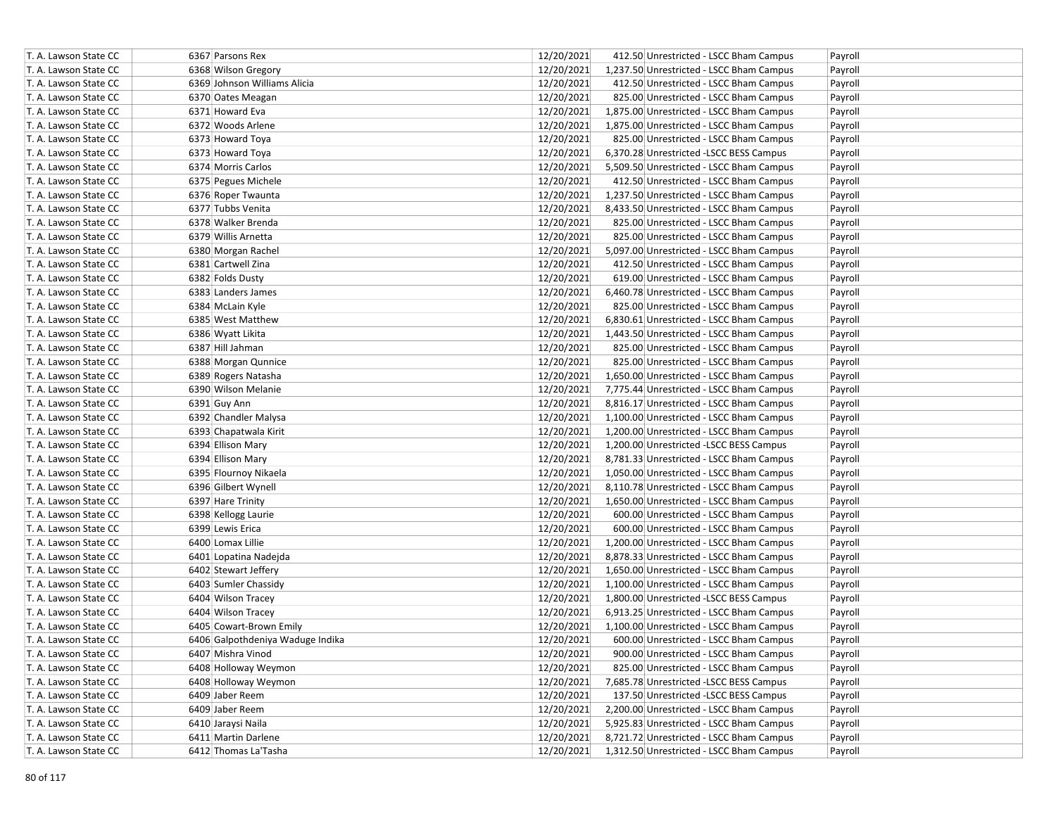| T. A. Lawson State CC | 6367 Parsons Rex                 | 12/20/2021 | 412.50 Unrestricted - LSCC Bham Campus   | Payroll |
|-----------------------|----------------------------------|------------|------------------------------------------|---------|
| T. A. Lawson State CC | 6368 Wilson Gregory              | 12/20/2021 | 1,237.50 Unrestricted - LSCC Bham Campus | Payroll |
| T. A. Lawson State CC | 6369 Johnson Williams Alicia     | 12/20/2021 | 412.50 Unrestricted - LSCC Bham Campus   | Payroll |
| T. A. Lawson State CC | 6370 Oates Meagan                | 12/20/2021 | 825.00 Unrestricted - LSCC Bham Campus   | Payroll |
| T. A. Lawson State CC | 6371 Howard Eva                  | 12/20/2021 | 1,875.00 Unrestricted - LSCC Bham Campus | Payroll |
| T. A. Lawson State CC | 6372 Woods Arlene                | 12/20/2021 | 1,875.00 Unrestricted - LSCC Bham Campus | Payroll |
| T. A. Lawson State CC | 6373 Howard Toya                 | 12/20/2021 | 825.00 Unrestricted - LSCC Bham Campus   | Payroll |
| T. A. Lawson State CC | 6373 Howard Toya                 | 12/20/2021 | 6,370.28 Unrestricted -LSCC BESS Campus  | Payroll |
| T. A. Lawson State CC | 6374 Morris Carlos               | 12/20/2021 | 5,509.50 Unrestricted - LSCC Bham Campus | Payroll |
| T. A. Lawson State CC | 6375 Pegues Michele              | 12/20/2021 | 412.50 Unrestricted - LSCC Bham Campus   | Payroll |
| T. A. Lawson State CC | 6376 Roper Twaunta               | 12/20/2021 | 1,237.50 Unrestricted - LSCC Bham Campus | Payroll |
| T. A. Lawson State CC | 6377 Tubbs Venita                | 12/20/2021 | 8,433.50 Unrestricted - LSCC Bham Campus | Payroll |
| T. A. Lawson State CC | 6378 Walker Brenda               | 12/20/2021 | 825.00 Unrestricted - LSCC Bham Campus   | Payroll |
| T. A. Lawson State CC | 6379 Willis Arnetta              | 12/20/2021 | 825.00 Unrestricted - LSCC Bham Campus   | Payroll |
| T. A. Lawson State CC | 6380 Morgan Rachel               | 12/20/2021 | 5,097.00 Unrestricted - LSCC Bham Campus | Payroll |
| T. A. Lawson State CC | 6381 Cartwell Zina               | 12/20/2021 | 412.50 Unrestricted - LSCC Bham Campus   | Payroll |
| T. A. Lawson State CC | 6382 Folds Dusty                 | 12/20/2021 | 619.00 Unrestricted - LSCC Bham Campus   | Payroll |
| T. A. Lawson State CC | 6383 Landers James               | 12/20/2021 | 6,460.78 Unrestricted - LSCC Bham Campus | Payroll |
| T. A. Lawson State CC | 6384 McLain Kyle                 | 12/20/2021 | 825.00 Unrestricted - LSCC Bham Campus   | Payroll |
| T. A. Lawson State CC | 6385 West Matthew                | 12/20/2021 | 6,830.61 Unrestricted - LSCC Bham Campus | Payroll |
| T. A. Lawson State CC | 6386 Wyatt Likita                | 12/20/2021 | 1,443.50 Unrestricted - LSCC Bham Campus | Payroll |
| T. A. Lawson State CC | 6387 Hill Jahman                 | 12/20/2021 | 825.00 Unrestricted - LSCC Bham Campus   | Payroll |
| T. A. Lawson State CC | 6388 Morgan Qunnice              | 12/20/2021 | 825.00 Unrestricted - LSCC Bham Campus   | Payroll |
| T. A. Lawson State CC | 6389 Rogers Natasha              | 12/20/2021 | 1,650.00 Unrestricted - LSCC Bham Campus | Payroll |
| T. A. Lawson State CC | 6390 Wilson Melanie              | 12/20/2021 | 7,775.44 Unrestricted - LSCC Bham Campus | Payroll |
| T. A. Lawson State CC | 6391 Guy Ann                     | 12/20/2021 | 8,816.17 Unrestricted - LSCC Bham Campus | Payroll |
| T. A. Lawson State CC | 6392 Chandler Malysa             | 12/20/2021 | 1,100.00 Unrestricted - LSCC Bham Campus | Payroll |
| T. A. Lawson State CC | 6393 Chapatwala Kirit            | 12/20/2021 | 1,200.00 Unrestricted - LSCC Bham Campus | Payroll |
| T. A. Lawson State CC | 6394 Ellison Mary                | 12/20/2021 | 1,200.00 Unrestricted -LSCC BESS Campus  | Payroll |
| T. A. Lawson State CC | 6394 Ellison Mary                | 12/20/2021 | 8,781.33 Unrestricted - LSCC Bham Campus | Payroll |
| T. A. Lawson State CC | 6395 Flournoy Nikaela            | 12/20/2021 | 1,050.00 Unrestricted - LSCC Bham Campus | Payroll |
| T. A. Lawson State CC | 6396 Gilbert Wynell              | 12/20/2021 | 8,110.78 Unrestricted - LSCC Bham Campus | Payroll |
| T. A. Lawson State CC | 6397 Hare Trinity                | 12/20/2021 | 1,650.00 Unrestricted - LSCC Bham Campus | Payroll |
| T. A. Lawson State CC | 6398 Kellogg Laurie              | 12/20/2021 | 600.00 Unrestricted - LSCC Bham Campus   | Payroll |
| T. A. Lawson State CC | 6399 Lewis Erica                 | 12/20/2021 | 600.00 Unrestricted - LSCC Bham Campus   | Payroll |
| T. A. Lawson State CC | 6400 Lomax Lillie                | 12/20/2021 | 1,200.00 Unrestricted - LSCC Bham Campus | Payroll |
| T. A. Lawson State CC | 6401 Lopatina Nadejda            | 12/20/2021 | 8,878.33 Unrestricted - LSCC Bham Campus | Payroll |
| T. A. Lawson State CC | 6402 Stewart Jeffery             | 12/20/2021 | 1,650.00 Unrestricted - LSCC Bham Campus | Payroll |
| T. A. Lawson State CC | 6403 Sumler Chassidy             | 12/20/2021 | 1,100.00 Unrestricted - LSCC Bham Campus | Payroll |
| T. A. Lawson State CC | 6404 Wilson Tracey               | 12/20/2021 | 1,800.00 Unrestricted -LSCC BESS Campus  | Payroll |
| T. A. Lawson State CC | 6404 Wilson Tracey               | 12/20/2021 | 6,913.25 Unrestricted - LSCC Bham Campus | Payroll |
| T. A. Lawson State CC | 6405 Cowart-Brown Emily          | 12/20/2021 | 1,100.00 Unrestricted - LSCC Bham Campus | Payroll |
| T. A. Lawson State CC | 6406 Galpothdeniya Waduge Indika | 12/20/2021 | 600.00 Unrestricted - LSCC Bham Campus   | Payroll |
| T. A. Lawson State CC | 6407 Mishra Vinod                | 12/20/2021 | 900.00 Unrestricted - LSCC Bham Campus   | Payroll |
| T. A. Lawson State CC | 6408 Holloway Weymon             | 12/20/2021 | 825.00 Unrestricted - LSCC Bham Campus   | Payroll |
| T. A. Lawson State CC | 6408 Holloway Weymon             | 12/20/2021 | 7,685.78 Unrestricted -LSCC BESS Campus  | Payroll |
| T. A. Lawson State CC | 6409 Jaber Reem                  | 12/20/2021 | 137.50 Unrestricted -LSCC BESS Campus    | Payroll |
| T. A. Lawson State CC | 6409 Jaber Reem                  | 12/20/2021 | 2,200.00 Unrestricted - LSCC Bham Campus | Payroll |
| T. A. Lawson State CC | 6410 Jaraysi Naila               | 12/20/2021 | 5,925.83 Unrestricted - LSCC Bham Campus | Payroll |
| T. A. Lawson State CC | 6411 Martin Darlene              | 12/20/2021 | 8,721.72 Unrestricted - LSCC Bham Campus | Payroll |
| T. A. Lawson State CC | 6412 Thomas La'Tasha             | 12/20/2021 | 1,312.50 Unrestricted - LSCC Bham Campus | Payroll |
|                       |                                  |            |                                          |         |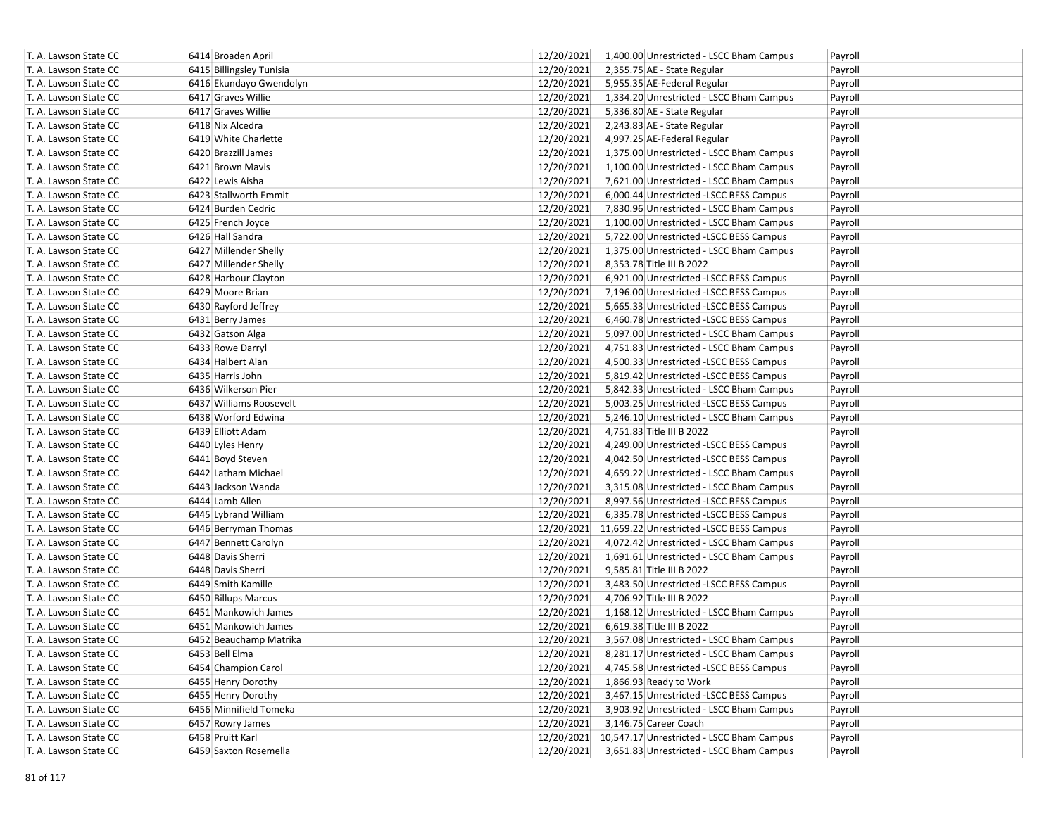| T. A. Lawson State CC | 6414 Broaden April       | 12/20/2021 | 1,400.00 Unrestricted - LSCC Bham Campus             | Payroll |
|-----------------------|--------------------------|------------|------------------------------------------------------|---------|
| T. A. Lawson State CC | 6415 Billingsley Tunisia | 12/20/2021 | 2,355.75 AE - State Regular                          | Payroll |
| T. A. Lawson State CC | 6416 Ekundayo Gwendolyn  | 12/20/2021 | 5,955.35 AE-Federal Regular                          | Payroll |
| T. A. Lawson State CC | 6417 Graves Willie       | 12/20/2021 | 1,334.20 Unrestricted - LSCC Bham Campus             | Payroll |
| T. A. Lawson State CC | 6417 Graves Willie       | 12/20/2021 | 5,336.80 AE - State Regular                          | Payroll |
| T. A. Lawson State CC | 6418 Nix Alcedra         | 12/20/2021 | 2,243.83 AE - State Regular                          | Payroll |
| T. A. Lawson State CC | 6419 White Charlette     | 12/20/2021 | 4,997.25 AE-Federal Regular                          | Payroll |
| T. A. Lawson State CC | 6420 Brazzill James      | 12/20/2021 | 1,375.00 Unrestricted - LSCC Bham Campus             | Payroll |
| T. A. Lawson State CC | 6421 Brown Mavis         | 12/20/2021 | 1,100.00 Unrestricted - LSCC Bham Campus             | Payroll |
| T. A. Lawson State CC | 6422 Lewis Aisha         | 12/20/2021 | 7,621.00 Unrestricted - LSCC Bham Campus             | Payroll |
| T. A. Lawson State CC | 6423 Stallworth Emmit    | 12/20/2021 | 6,000.44 Unrestricted -LSCC BESS Campus              | Payroll |
| T. A. Lawson State CC | 6424 Burden Cedric       | 12/20/2021 | 7,830.96 Unrestricted - LSCC Bham Campus             | Payroll |
| T. A. Lawson State CC | 6425 French Joyce        | 12/20/2021 | 1,100.00 Unrestricted - LSCC Bham Campus             | Payroll |
| T. A. Lawson State CC | 6426 Hall Sandra         | 12/20/2021 | 5,722.00 Unrestricted -LSCC BESS Campus              | Payroll |
| T. A. Lawson State CC | 6427 Millender Shelly    | 12/20/2021 | 1,375.00 Unrestricted - LSCC Bham Campus             | Payroll |
| T. A. Lawson State CC | 6427 Millender Shelly    | 12/20/2021 | 8,353.78 Title III B 2022                            | Payroll |
| T. A. Lawson State CC | 6428 Harbour Clayton     | 12/20/2021 | 6,921.00 Unrestricted -LSCC BESS Campus              | Payroll |
| T. A. Lawson State CC | 6429 Moore Brian         | 12/20/2021 | 7,196.00 Unrestricted -LSCC BESS Campus              | Payroll |
| T. A. Lawson State CC | 6430 Rayford Jeffrey     | 12/20/2021 | 5,665.33 Unrestricted -LSCC BESS Campus              | Payroll |
| T. A. Lawson State CC | 6431 Berry James         | 12/20/2021 | 6,460.78 Unrestricted -LSCC BESS Campus              | Payroll |
| T. A. Lawson State CC | 6432 Gatson Alga         | 12/20/2021 | 5,097.00 Unrestricted - LSCC Bham Campus             | Payroll |
| T. A. Lawson State CC | 6433 Rowe Darryl         | 12/20/2021 | 4,751.83 Unrestricted - LSCC Bham Campus             | Payroll |
| T. A. Lawson State CC | 6434 Halbert Alan        | 12/20/2021 | 4,500.33 Unrestricted -LSCC BESS Campus              | Payroll |
| T. A. Lawson State CC | 6435 Harris John         | 12/20/2021 | 5,819.42 Unrestricted -LSCC BESS Campus              | Payroll |
| T. A. Lawson State CC | 6436 Wilkerson Pier      | 12/20/2021 | 5,842.33 Unrestricted - LSCC Bham Campus             | Payroll |
| T. A. Lawson State CC | 6437 Williams Roosevelt  | 12/20/2021 | 5,003.25 Unrestricted -LSCC BESS Campus              | Payroll |
| T. A. Lawson State CC | 6438 Worford Edwina      | 12/20/2021 | 5,246.10 Unrestricted - LSCC Bham Campus             | Payroll |
| T. A. Lawson State CC | 6439 Elliott Adam        | 12/20/2021 | 4,751.83 Title III B 2022                            | Payroll |
| T. A. Lawson State CC | 6440 Lyles Henry         | 12/20/2021 | 4,249.00 Unrestricted -LSCC BESS Campus              | Payroll |
| T. A. Lawson State CC | 6441 Boyd Steven         | 12/20/2021 | 4,042.50 Unrestricted -LSCC BESS Campus              | Payroll |
| T. A. Lawson State CC | 6442 Latham Michael      | 12/20/2021 | 4,659.22 Unrestricted - LSCC Bham Campus             | Payroll |
| T. A. Lawson State CC | 6443 Jackson Wanda       | 12/20/2021 | 3,315.08 Unrestricted - LSCC Bham Campus             | Payroll |
| T. A. Lawson State CC | 6444 Lamb Allen          | 12/20/2021 | 8,997.56 Unrestricted -LSCC BESS Campus              | Payroll |
| T. A. Lawson State CC | 6445 Lybrand William     | 12/20/2021 | 6,335.78 Unrestricted -LSCC BESS Campus              | Payroll |
| T. A. Lawson State CC | 6446 Berryman Thomas     |            | 12/20/2021 11,659.22 Unrestricted -LSCC BESS Campus  | Payroll |
| T. A. Lawson State CC | 6447 Bennett Carolyn     | 12/20/2021 | 4,072.42 Unrestricted - LSCC Bham Campus             | Payroll |
| T. A. Lawson State CC | 6448 Davis Sherri        | 12/20/2021 | 1,691.61 Unrestricted - LSCC Bham Campus             | Payroll |
| T. A. Lawson State CC | 6448 Davis Sherri        | 12/20/2021 | 9,585.81 Title III B 2022                            | Payroll |
| T. A. Lawson State CC | 6449 Smith Kamille       | 12/20/2021 | 3,483.50 Unrestricted -LSCC BESS Campus              | Payroll |
| T. A. Lawson State CC | 6450 Billups Marcus      | 12/20/2021 | 4,706.92 Title III B 2022                            | Payroll |
| T. A. Lawson State CC | 6451 Mankowich James     | 12/20/2021 | 1,168.12 Unrestricted - LSCC Bham Campus             | Payroll |
| T. A. Lawson State CC | 6451 Mankowich James     | 12/20/2021 | 6,619.38 Title III B 2022                            | Payroll |
| T. A. Lawson State CC | 6452 Beauchamp Matrika   | 12/20/2021 | 3,567.08 Unrestricted - LSCC Bham Campus             | Payroll |
| T. A. Lawson State CC | 6453 Bell Elma           | 12/20/2021 | 8,281.17 Unrestricted - LSCC Bham Campus             | Payroll |
| T. A. Lawson State CC | 6454 Champion Carol      | 12/20/2021 | 4,745.58 Unrestricted -LSCC BESS Campus              | Payroll |
| T. A. Lawson State CC | 6455 Henry Dorothy       | 12/20/2021 | 1,866.93 Ready to Work                               | Payroll |
| T. A. Lawson State CC | 6455 Henry Dorothy       | 12/20/2021 | 3,467.15 Unrestricted -LSCC BESS Campus              | Payroll |
| T. A. Lawson State CC | 6456 Minnifield Tomeka   | 12/20/2021 | 3,903.92 Unrestricted - LSCC Bham Campus             | Payroll |
| T. A. Lawson State CC | 6457 Rowry James         | 12/20/2021 | 3,146.75 Career Coach                                | Payroll |
| T. A. Lawson State CC | 6458 Pruitt Karl         |            | 12/20/2021 10,547.17 Unrestricted - LSCC Bham Campus | Payroll |
| T. A. Lawson State CC | 6459 Saxton Rosemella    | 12/20/2021 | 3,651.83 Unrestricted - LSCC Bham Campus             | Payroll |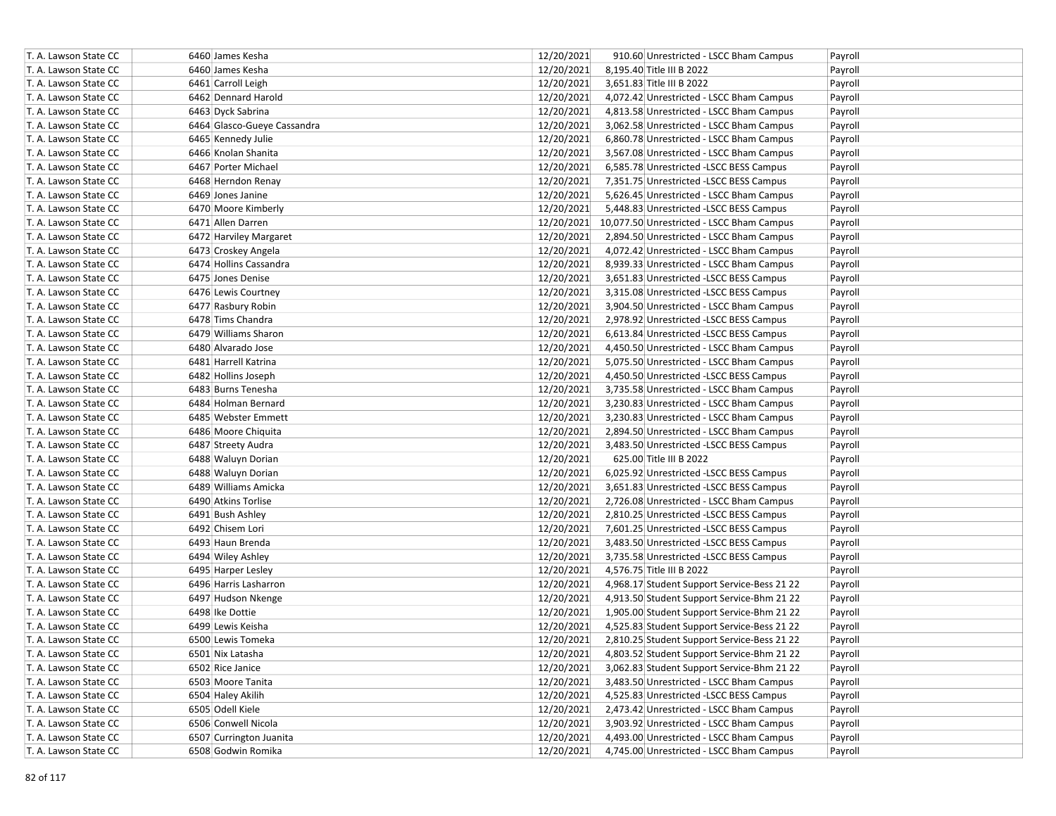| T. A. Lawson State CC | 6460 James Kesha            | 12/20/2021 | 910.60 Unrestricted - LSCC Bham Campus               | Payroll |
|-----------------------|-----------------------------|------------|------------------------------------------------------|---------|
| T. A. Lawson State CC | 6460 James Kesha            | 12/20/2021 | 8,195.40 Title III B 2022                            | Payroll |
| T. A. Lawson State CC | 6461 Carroll Leigh          | 12/20/2021 | 3,651.83 Title III B 2022                            | Payroll |
| T. A. Lawson State CC | 6462 Dennard Harold         | 12/20/2021 | 4,072.42 Unrestricted - LSCC Bham Campus             | Payroll |
| T. A. Lawson State CC | 6463 Dyck Sabrina           | 12/20/2021 | 4,813.58 Unrestricted - LSCC Bham Campus             | Payroll |
| T. A. Lawson State CC | 6464 Glasco-Gueye Cassandra | 12/20/2021 | 3,062.58 Unrestricted - LSCC Bham Campus             | Payroll |
| T. A. Lawson State CC | 6465 Kennedy Julie          | 12/20/2021 | 6,860.78 Unrestricted - LSCC Bham Campus             | Payroll |
| T. A. Lawson State CC | 6466 Knolan Shanita         | 12/20/2021 | 3,567.08 Unrestricted - LSCC Bham Campus             | Payroll |
| T. A. Lawson State CC | 6467 Porter Michael         | 12/20/2021 | 6,585.78 Unrestricted -LSCC BESS Campus              | Payroll |
| T. A. Lawson State CC | 6468 Herndon Renay          | 12/20/2021 | 7,351.75 Unrestricted -LSCC BESS Campus              | Payroll |
| T. A. Lawson State CC | 6469 Jones Janine           | 12/20/2021 | 5,626.45 Unrestricted - LSCC Bham Campus             | Payroll |
| T. A. Lawson State CC | 6470 Moore Kimberly         | 12/20/2021 | 5,448.83 Unrestricted -LSCC BESS Campus              | Payroll |
| T. A. Lawson State CC | 6471 Allen Darren           |            | 12/20/2021 10,077.50 Unrestricted - LSCC Bham Campus | Payroll |
| T. A. Lawson State CC | 6472 Harviley Margaret      | 12/20/2021 | 2,894.50 Unrestricted - LSCC Bham Campus             | Payroll |
| T. A. Lawson State CC | 6473 Croskey Angela         | 12/20/2021 | 4,072.42 Unrestricted - LSCC Bham Campus             | Payroll |
| T. A. Lawson State CC | 6474 Hollins Cassandra      | 12/20/2021 | 8,939.33 Unrestricted - LSCC Bham Campus             | Payroll |
| T. A. Lawson State CC | 6475 Jones Denise           | 12/20/2021 | 3,651.83 Unrestricted -LSCC BESS Campus              | Payroll |
| T. A. Lawson State CC | 6476 Lewis Courtney         | 12/20/2021 | 3,315.08 Unrestricted -LSCC BESS Campus              | Payroll |
| T. A. Lawson State CC | 6477 Rasbury Robin          | 12/20/2021 | 3,904.50 Unrestricted - LSCC Bham Campus             | Payroll |
| T. A. Lawson State CC | 6478 Tims Chandra           | 12/20/2021 | 2,978.92 Unrestricted -LSCC BESS Campus              | Payroll |
| T. A. Lawson State CC | 6479 Williams Sharon        | 12/20/2021 | 6,613.84 Unrestricted -LSCC BESS Campus              | Payroll |
| T. A. Lawson State CC | 6480 Alvarado Jose          | 12/20/2021 | 4,450.50 Unrestricted - LSCC Bham Campus             | Payroll |
| T. A. Lawson State CC | 6481 Harrell Katrina        | 12/20/2021 | 5,075.50 Unrestricted - LSCC Bham Campus             | Payroll |
| T. A. Lawson State CC | 6482 Hollins Joseph         | 12/20/2021 | 4,450.50 Unrestricted -LSCC BESS Campus              | Payroll |
| T. A. Lawson State CC | 6483 Burns Tenesha          | 12/20/2021 | 3,735.58 Unrestricted - LSCC Bham Campus             | Payroll |
| T. A. Lawson State CC | 6484 Holman Bernard         | 12/20/2021 | 3,230.83 Unrestricted - LSCC Bham Campus             | Payroll |
| T. A. Lawson State CC | 6485 Webster Emmett         | 12/20/2021 | 3,230.83 Unrestricted - LSCC Bham Campus             | Payroll |
| T. A. Lawson State CC | 6486 Moore Chiquita         | 12/20/2021 | 2,894.50 Unrestricted - LSCC Bham Campus             | Payroll |
| T. A. Lawson State CC | 6487 Streety Audra          | 12/20/2021 | 3,483.50 Unrestricted -LSCC BESS Campus              | Payroll |
| T. A. Lawson State CC | 6488 Waluyn Dorian          | 12/20/2021 | 625.00 Title III B 2022                              | Payroll |
| T. A. Lawson State CC | 6488 Waluyn Dorian          | 12/20/2021 | 6,025.92 Unrestricted -LSCC BESS Campus              | Payroll |
| T. A. Lawson State CC | 6489 Williams Amicka        | 12/20/2021 | 3,651.83 Unrestricted -LSCC BESS Campus              | Payroll |
| T. A. Lawson State CC | 6490 Atkins Torlise         | 12/20/2021 | 2,726.08 Unrestricted - LSCC Bham Campus             | Payroll |
| T. A. Lawson State CC | 6491 Bush Ashley            | 12/20/2021 | 2,810.25 Unrestricted -LSCC BESS Campus              | Payroll |
| T. A. Lawson State CC | 6492 Chisem Lori            | 12/20/2021 | 7,601.25 Unrestricted -LSCC BESS Campus              | Payroll |
| T. A. Lawson State CC | 6493 Haun Brenda            | 12/20/2021 | 3,483.50 Unrestricted -LSCC BESS Campus              | Payroll |
| T. A. Lawson State CC | 6494 Wiley Ashley           | 12/20/2021 | 3,735.58 Unrestricted -LSCC BESS Campus              | Payroll |
| T. A. Lawson State CC | 6495 Harper Lesley          | 12/20/2021 | 4,576.75 Title III B 2022                            | Payroll |
| T. A. Lawson State CC | 6496 Harris Lasharron       | 12/20/2021 | 4,968.17 Student Support Service-Bess 21 22          | Payroll |
| T. A. Lawson State CC | 6497 Hudson Nkenge          | 12/20/2021 | 4,913.50 Student Support Service-Bhm 21 22           | Payroll |
| T. A. Lawson State CC | 6498 Ike Dottie             | 12/20/2021 | 1,905.00 Student Support Service-Bhm 21 22           | Payroll |
| T. A. Lawson State CC | 6499 Lewis Keisha           | 12/20/2021 | 4,525.83 Student Support Service-Bess 21 22          | Payroll |
| T. A. Lawson State CC | 6500 Lewis Tomeka           | 12/20/2021 | 2,810.25 Student Support Service-Bess 21 22          | Payroll |
| T. A. Lawson State CC | 6501 Nix Latasha            | 12/20/2021 | 4,803.52 Student Support Service-Bhm 21 22           | Payroll |
| T. A. Lawson State CC | 6502 Rice Janice            | 12/20/2021 | 3,062.83 Student Support Service-Bhm 21 22           | Payroll |
| T. A. Lawson State CC | 6503 Moore Tanita           | 12/20/2021 | 3,483.50 Unrestricted - LSCC Bham Campus             | Payroll |
| T. A. Lawson State CC | 6504 Haley Akilih           | 12/20/2021 | 4,525.83 Unrestricted -LSCC BESS Campus              | Payroll |
| T. A. Lawson State CC | 6505 Odell Kiele            | 12/20/2021 | 2,473.42 Unrestricted - LSCC Bham Campus             | Payroll |
| T. A. Lawson State CC | 6506 Conwell Nicola         | 12/20/2021 | 3,903.92 Unrestricted - LSCC Bham Campus             | Payroll |
| T. A. Lawson State CC | 6507 Currington Juanita     | 12/20/2021 | 4,493.00 Unrestricted - LSCC Bham Campus             | Payroll |
| T. A. Lawson State CC | 6508 Godwin Romika          | 12/20/2021 | 4,745.00 Unrestricted - LSCC Bham Campus             | Payroll |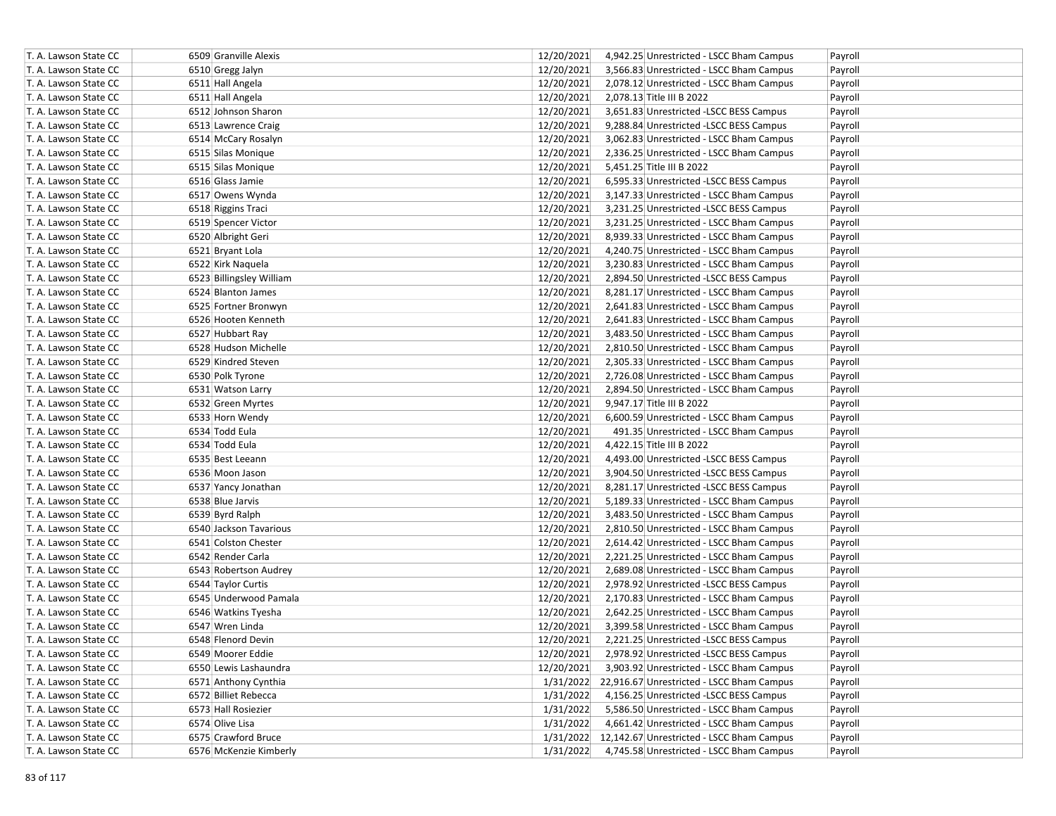| T. A. Lawson State CC | 6509 Granville Alexis    | 12/20/2021<br>4,942.25 Unrestricted - LSCC Bham Campus<br>Payroll |
|-----------------------|--------------------------|-------------------------------------------------------------------|
| T. A. Lawson State CC | 6510 Gregg Jalyn         | 12/20/2021<br>3,566.83 Unrestricted - LSCC Bham Campus<br>Payroll |
| T. A. Lawson State CC | 6511 Hall Angela         | 12/20/2021<br>2,078.12 Unrestricted - LSCC Bham Campus<br>Payroll |
| T. A. Lawson State CC | 6511 Hall Angela         | 12/20/2021<br>2,078.13 Title III B 2022<br>Payroll                |
| T. A. Lawson State CC | 6512 Johnson Sharon      | 12/20/2021<br>3,651.83 Unrestricted -LSCC BESS Campus<br>Payroll  |
| T. A. Lawson State CC | 6513 Lawrence Craig      | 12/20/2021<br>9,288.84 Unrestricted -LSCC BESS Campus<br>Payroll  |
| T. A. Lawson State CC | 6514 McCary Rosalyn      | 12/20/2021<br>3,062.83 Unrestricted - LSCC Bham Campus<br>Payroll |
| T. A. Lawson State CC | 6515 Silas Monique       | 12/20/2021<br>2,336.25 Unrestricted - LSCC Bham Campus<br>Payroll |
| T. A. Lawson State CC | 6515 Silas Monique       | 12/20/2021<br>5,451.25 Title III B 2022<br>Payroll                |
| T. A. Lawson State CC | 6516 Glass Jamie         | 12/20/2021<br>6,595.33 Unrestricted -LSCC BESS Campus<br>Payroll  |
| T. A. Lawson State CC | 6517 Owens Wynda         | 12/20/2021<br>3,147.33 Unrestricted - LSCC Bham Campus<br>Payroll |
| T. A. Lawson State CC | 6518 Riggins Traci       | 12/20/2021<br>3,231.25 Unrestricted -LSCC BESS Campus<br>Payroll  |
| T. A. Lawson State CC | 6519 Spencer Victor      | 12/20/2021<br>3,231.25 Unrestricted - LSCC Bham Campus<br>Payroll |
| T. A. Lawson State CC | 6520 Albright Geri       | 12/20/2021<br>8,939.33 Unrestricted - LSCC Bham Campus<br>Payroll |
| T. A. Lawson State CC | 6521 Bryant Lola         | 12/20/2021<br>4,240.75 Unrestricted - LSCC Bham Campus<br>Payroll |
| T. A. Lawson State CC | 6522 Kirk Naquela        | 12/20/2021<br>3,230.83 Unrestricted - LSCC Bham Campus<br>Payroll |
| T. A. Lawson State CC | 6523 Billingsley William | 12/20/2021<br>2,894.50 Unrestricted -LSCC BESS Campus<br>Payroll  |
| T. A. Lawson State CC | 6524 Blanton James       | 12/20/2021<br>8,281.17 Unrestricted - LSCC Bham Campus<br>Payroll |
| T. A. Lawson State CC | 6525 Fortner Bronwyn     | 12/20/2021<br>2,641.83 Unrestricted - LSCC Bham Campus<br>Payroll |
| T. A. Lawson State CC | 6526 Hooten Kenneth      | 12/20/2021<br>2,641.83 Unrestricted - LSCC Bham Campus<br>Payroll |
| T. A. Lawson State CC | 6527 Hubbart Ray         | 12/20/2021<br>3,483.50 Unrestricted - LSCC Bham Campus<br>Payroll |
| T. A. Lawson State CC | 6528 Hudson Michelle     | 12/20/2021<br>2,810.50 Unrestricted - LSCC Bham Campus<br>Payroll |
| T. A. Lawson State CC | 6529 Kindred Steven      | 12/20/2021<br>2,305.33 Unrestricted - LSCC Bham Campus<br>Payroll |
| T. A. Lawson State CC | 6530 Polk Tyrone         | 12/20/2021<br>2,726.08 Unrestricted - LSCC Bham Campus<br>Payroll |
| T. A. Lawson State CC | 6531 Watson Larry        | 12/20/2021<br>2,894.50 Unrestricted - LSCC Bham Campus<br>Payroll |
| T. A. Lawson State CC | 6532 Green Myrtes        | 12/20/2021<br>9,947.17 Title III B 2022<br>Payroll                |
| T. A. Lawson State CC | 6533 Horn Wendy          | 12/20/2021<br>6,600.59 Unrestricted - LSCC Bham Campus<br>Payroll |
| T. A. Lawson State CC | 6534 Todd Eula           | 12/20/2021<br>491.35 Unrestricted - LSCC Bham Campus<br>Payroll   |
| T. A. Lawson State CC | 6534 Todd Eula           | 12/20/2021<br>4,422.15 Title III B 2022<br>Payroll                |
| T. A. Lawson State CC | 6535 Best Leeann         | 12/20/2021<br>4,493.00 Unrestricted -LSCC BESS Campus<br>Payroll  |
| T. A. Lawson State CC | 6536 Moon Jason          | 12/20/2021<br>3,904.50 Unrestricted - LSCC BESS Campus<br>Payroll |
| T. A. Lawson State CC | 6537 Yancy Jonathan      | 12/20/2021<br>8,281.17 Unrestricted -LSCC BESS Campus<br>Payroll  |
| T. A. Lawson State CC | 6538 Blue Jarvis         | 12/20/2021<br>5,189.33 Unrestricted - LSCC Bham Campus<br>Payroll |
| T. A. Lawson State CC | 6539 Byrd Ralph          | 12/20/2021<br>3,483.50 Unrestricted - LSCC Bham Campus<br>Payroll |
| T. A. Lawson State CC | 6540 Jackson Tavarious   | 12/20/2021<br>2,810.50 Unrestricted - LSCC Bham Campus<br>Payroll |
| T. A. Lawson State CC | 6541 Colston Chester     | 12/20/2021<br>2,614.42 Unrestricted - LSCC Bham Campus<br>Payroll |
| T. A. Lawson State CC | 6542 Render Carla        | 12/20/2021<br>2,221.25 Unrestricted - LSCC Bham Campus<br>Payroll |
| T. A. Lawson State CC | 6543 Robertson Audrey    | 12/20/2021<br>2,689.08 Unrestricted - LSCC Bham Campus<br>Payroll |
| T. A. Lawson State CC | 6544 Taylor Curtis       | 12/20/2021<br>2,978.92 Unrestricted -LSCC BESS Campus<br>Payroll  |
| T. A. Lawson State CC | 6545 Underwood Pamala    | 12/20/2021<br>2,170.83 Unrestricted - LSCC Bham Campus<br>Payroll |
| T. A. Lawson State CC | 6546 Watkins Tyesha      | 12/20/2021<br>2,642.25 Unrestricted - LSCC Bham Campus<br>Payroll |
| T. A. Lawson State CC | 6547 Wren Linda          | 12/20/2021<br>3,399.58 Unrestricted - LSCC Bham Campus<br>Payroll |
| T. A. Lawson State CC | 6548 Flenord Devin       | 12/20/2021<br>2,221.25 Unrestricted -LSCC BESS Campus<br>Payroll  |
| T. A. Lawson State CC | 6549 Moorer Eddie        | 12/20/2021<br>2,978.92 Unrestricted -LSCC BESS Campus<br>Payroll  |
| T. A. Lawson State CC | 6550 Lewis Lashaundra    | 12/20/2021<br>3,903.92 Unrestricted - LSCC Bham Campus<br>Payroll |
| T. A. Lawson State CC | 6571 Anthony Cynthia     | 1/31/2022 22,916.67 Unrestricted - LSCC Bham Campus<br>Payroll    |
| T. A. Lawson State CC | 6572 Billiet Rebecca     | 1/31/2022<br>4,156.25 Unrestricted -LSCC BESS Campus<br>Payroll   |
| T. A. Lawson State CC | 6573 Hall Rosiezier      | 1/31/2022<br>5,586.50 Unrestricted - LSCC Bham Campus<br>Payroll  |
| T. A. Lawson State CC | 6574 Olive Lisa          | 1/31/2022<br>4,661.42 Unrestricted - LSCC Bham Campus<br>Payroll  |
| T. A. Lawson State CC | 6575 Crawford Bruce      | 1/31/2022 12,142.67 Unrestricted - LSCC Bham Campus<br>Payroll    |
| T. A. Lawson State CC | 6576 McKenzie Kimberly   | 1/31/2022 4,745.58 Unrestricted - LSCC Bham Campus<br>Payroll     |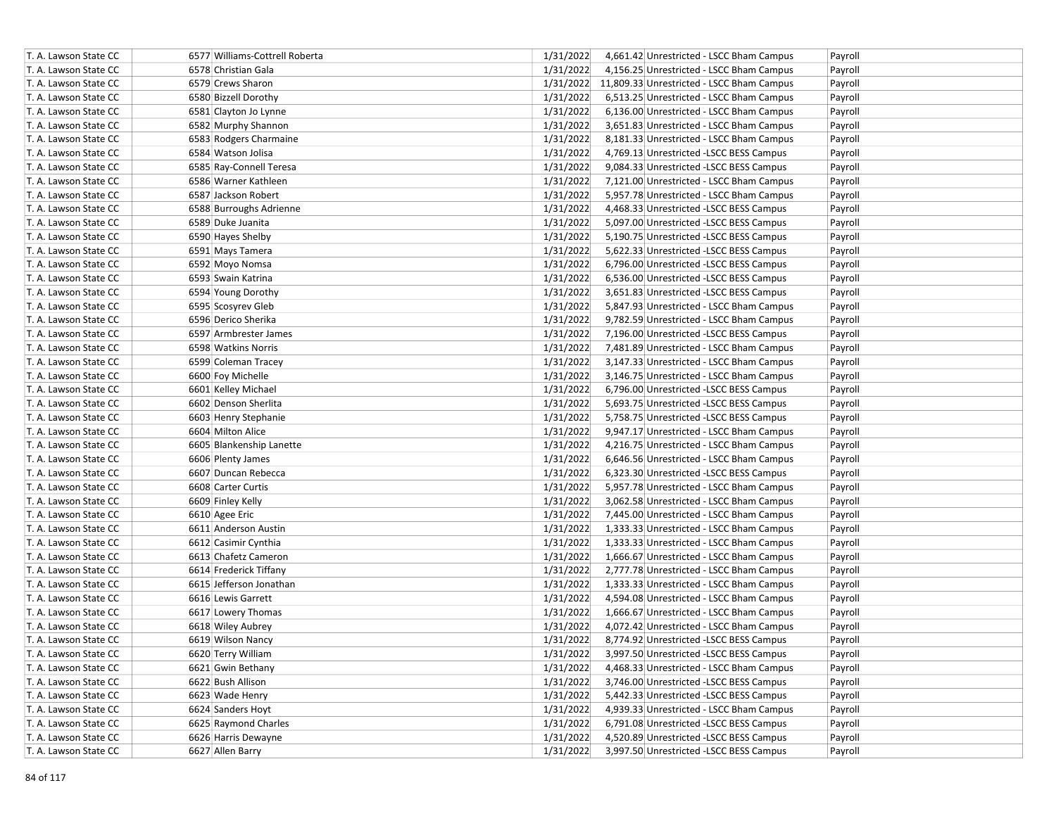| T. A. Lawson State CC | 6577 Williams-Cottrell Roberta | 1/31/2022 | 4,661.42 Unrestricted - LSCC Bham Campus            | Payroll |
|-----------------------|--------------------------------|-----------|-----------------------------------------------------|---------|
| T. A. Lawson State CC | 6578 Christian Gala            | 1/31/2022 | 4,156.25 Unrestricted - LSCC Bham Campus            | Payroll |
| T. A. Lawson State CC | 6579 Crews Sharon              |           | 1/31/2022 11,809.33 Unrestricted - LSCC Bham Campus | Payroll |
| T. A. Lawson State CC | 6580 Bizzell Dorothy           | 1/31/2022 | 6,513.25 Unrestricted - LSCC Bham Campus            | Payroll |
| T. A. Lawson State CC | 6581 Clayton Jo Lynne          | 1/31/2022 | 6,136.00 Unrestricted - LSCC Bham Campus            | Payroll |
| T. A. Lawson State CC | 6582 Murphy Shannon            | 1/31/2022 | 3,651.83 Unrestricted - LSCC Bham Campus            | Payroll |
| T. A. Lawson State CC | 6583 Rodgers Charmaine         | 1/31/2022 | 8,181.33 Unrestricted - LSCC Bham Campus            | Payroll |
| T. A. Lawson State CC | 6584 Watson Jolisa             | 1/31/2022 | 4,769.13 Unrestricted -LSCC BESS Campus             | Payroll |
| T. A. Lawson State CC | 6585 Ray-Connell Teresa        | 1/31/2022 | 9,084.33 Unrestricted -LSCC BESS Campus             | Payroll |
| T. A. Lawson State CC | 6586 Warner Kathleen           | 1/31/2022 | 7,121.00 Unrestricted - LSCC Bham Campus            | Payroll |
| T. A. Lawson State CC | 6587 Jackson Robert            | 1/31/2022 | 5,957.78 Unrestricted - LSCC Bham Campus            | Payroll |
| T. A. Lawson State CC | 6588 Burroughs Adrienne        | 1/31/2022 | 4,468.33 Unrestricted -LSCC BESS Campus             | Payroll |
| T. A. Lawson State CC | 6589 Duke Juanita              | 1/31/2022 | 5,097.00 Unrestricted -LSCC BESS Campus             | Payroll |
| T. A. Lawson State CC | 6590 Hayes Shelby              | 1/31/2022 | 5,190.75 Unrestricted -LSCC BESS Campus             | Payroll |
| T. A. Lawson State CC | 6591 Mays Tamera               | 1/31/2022 | 5,622.33 Unrestricted -LSCC BESS Campus             | Payroll |
| T. A. Lawson State CC | 6592 Moyo Nomsa                | 1/31/2022 | 6,796.00 Unrestricted -LSCC BESS Campus             | Payroll |
| T. A. Lawson State CC | 6593 Swain Katrina             | 1/31/2022 | 6,536.00 Unrestricted -LSCC BESS Campus             | Payroll |
| T. A. Lawson State CC | 6594 Young Dorothy             | 1/31/2022 | 3,651.83 Unrestricted -LSCC BESS Campus             | Payroll |
| T. A. Lawson State CC | 6595 Scosyrev Gleb             | 1/31/2022 | 5,847.93 Unrestricted - LSCC Bham Campus            | Payroll |
| T. A. Lawson State CC | 6596 Derico Sherika            | 1/31/2022 | 9,782.59 Unrestricted - LSCC Bham Campus            | Payroll |
| T. A. Lawson State CC | 6597 Armbrester James          | 1/31/2022 | 7,196.00 Unrestricted -LSCC BESS Campus             | Payroll |
| T. A. Lawson State CC | 6598 Watkins Norris            | 1/31/2022 | 7,481.89 Unrestricted - LSCC Bham Campus            | Payroll |
| T. A. Lawson State CC | 6599 Coleman Tracey            | 1/31/2022 | 3,147.33 Unrestricted - LSCC Bham Campus            | Payroll |
| T. A. Lawson State CC | 6600 Foy Michelle              | 1/31/2022 | 3,146.75 Unrestricted - LSCC Bham Campus            | Payroll |
| T. A. Lawson State CC | 6601 Kelley Michael            | 1/31/2022 | 6,796.00 Unrestricted -LSCC BESS Campus             | Payroll |
| T. A. Lawson State CC | 6602 Denson Sherlita           | 1/31/2022 | 5,693.75 Unrestricted -LSCC BESS Campus             | Payroll |
| T. A. Lawson State CC | 6603 Henry Stephanie           | 1/31/2022 | 5,758.75 Unrestricted -LSCC BESS Campus             | Payroll |
| T. A. Lawson State CC | 6604 Milton Alice              | 1/31/2022 | 9,947.17 Unrestricted - LSCC Bham Campus            | Payroll |
| T. A. Lawson State CC | 6605 Blankenship Lanette       | 1/31/2022 | 4,216.75 Unrestricted - LSCC Bham Campus            | Payroll |
| T. A. Lawson State CC | 6606 Plenty James              | 1/31/2022 | 6,646.56 Unrestricted - LSCC Bham Campus            | Payroll |
| T. A. Lawson State CC | 6607 Duncan Rebecca            | 1/31/2022 | 6,323.30 Unrestricted -LSCC BESS Campus             | Payroll |
| T. A. Lawson State CC | 6608 Carter Curtis             | 1/31/2022 | 5,957.78 Unrestricted - LSCC Bham Campus            | Payroll |
| T. A. Lawson State CC | 6609 Finley Kelly              | 1/31/2022 | 3,062.58 Unrestricted - LSCC Bham Campus            | Payroll |
| T. A. Lawson State CC | 6610 Agee Eric                 | 1/31/2022 | 7,445.00 Unrestricted - LSCC Bham Campus            | Payroll |
| T. A. Lawson State CC | 6611 Anderson Austin           | 1/31/2022 | 1,333.33 Unrestricted - LSCC Bham Campus            | Payroll |
| T. A. Lawson State CC | 6612 Casimir Cynthia           | 1/31/2022 | 1,333.33 Unrestricted - LSCC Bham Campus            | Payroll |
| T. A. Lawson State CC | 6613 Chafetz Cameron           | 1/31/2022 | 1,666.67 Unrestricted - LSCC Bham Campus            | Payroll |
| T. A. Lawson State CC | 6614 Frederick Tiffany         | 1/31/2022 | 2,777.78 Unrestricted - LSCC Bham Campus            | Payroll |
| T. A. Lawson State CC | 6615 Jefferson Jonathan        | 1/31/2022 | 1,333.33 Unrestricted - LSCC Bham Campus            | Payroll |
| T. A. Lawson State CC | 6616 Lewis Garrett             | 1/31/2022 | 4,594.08 Unrestricted - LSCC Bham Campus            | Payroll |
| T. A. Lawson State CC | 6617 Lowery Thomas             | 1/31/2022 | 1,666.67 Unrestricted - LSCC Bham Campus            | Payroll |
| T. A. Lawson State CC | 6618 Wiley Aubrey              | 1/31/2022 | 4,072.42 Unrestricted - LSCC Bham Campus            | Payroll |
| T. A. Lawson State CC | 6619 Wilson Nancy              | 1/31/2022 | 8,774.92 Unrestricted - LSCC BESS Campus            | Payroll |
| T. A. Lawson State CC | 6620 Terry William             | 1/31/2022 | 3,997.50 Unrestricted -LSCC BESS Campus             | Payroll |
| T. A. Lawson State CC | 6621 Gwin Bethany              | 1/31/2022 | 4,468.33 Unrestricted - LSCC Bham Campus            | Payroll |
| T. A. Lawson State CC | 6622 Bush Allison              | 1/31/2022 | 3,746.00 Unrestricted -LSCC BESS Campus             | Payroll |
| T. A. Lawson State CC | 6623 Wade Henry                | 1/31/2022 | 5,442.33 Unrestricted -LSCC BESS Campus             | Payroll |
| T. A. Lawson State CC | 6624 Sanders Hoyt              | 1/31/2022 | 4,939.33 Unrestricted - LSCC Bham Campus            | Payroll |
| T. A. Lawson State CC | 6625 Raymond Charles           | 1/31/2022 | 6,791.08 Unrestricted -LSCC BESS Campus             | Payroll |
| T. A. Lawson State CC | 6626 Harris Dewayne            | 1/31/2022 | 4,520.89 Unrestricted -LSCC BESS Campus             | Payroll |
| T. A. Lawson State CC | 6627 Allen Barry               | 1/31/2022 | 3,997.50 Unrestricted -LSCC BESS Campus             | Payroll |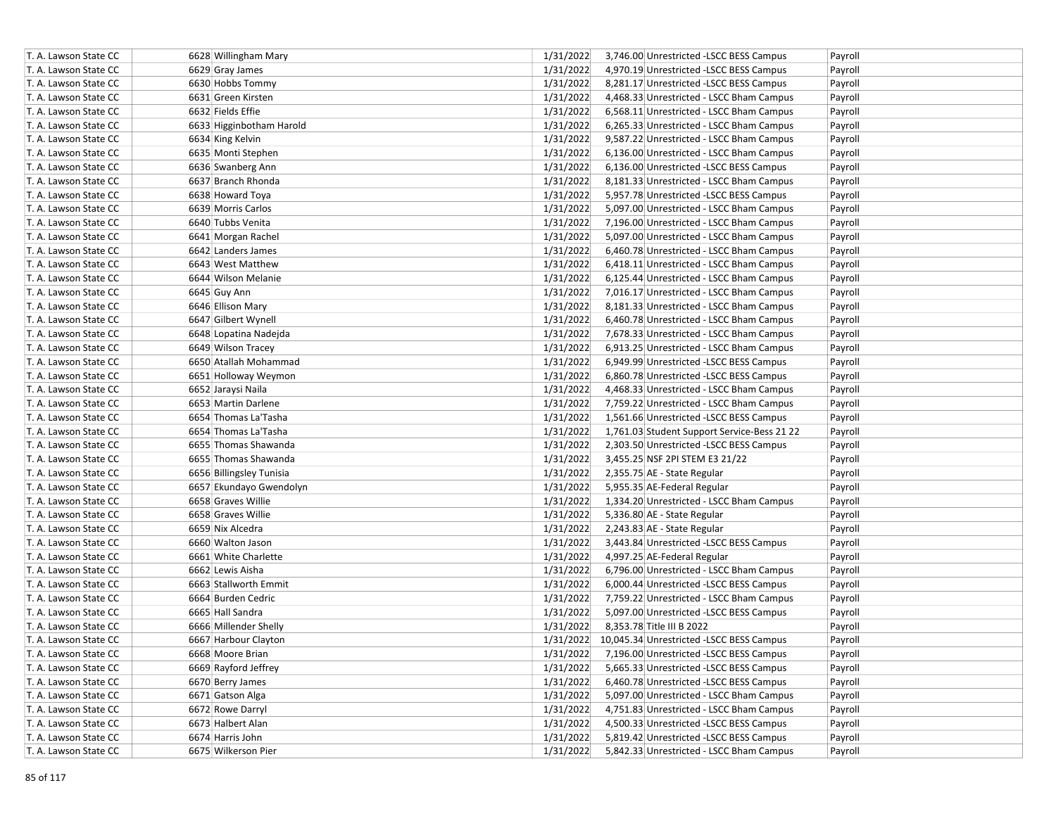| T. A. Lawson State CC | 6628 Willingham Mary     | 1/31/2022 | 3,746.00 Unrestricted -LSCC BESS Campus            | Payroll |
|-----------------------|--------------------------|-----------|----------------------------------------------------|---------|
| T. A. Lawson State CC | 6629 Gray James          | 1/31/2022 | 4,970.19 Unrestricted -LSCC BESS Campus            | Payroll |
| T. A. Lawson State CC | 6630 Hobbs Tommy         | 1/31/2022 | 8,281.17 Unrestricted -LSCC BESS Campus            | Payroll |
| T. A. Lawson State CC | 6631 Green Kirsten       | 1/31/2022 | 4,468.33 Unrestricted - LSCC Bham Campus           | Payroll |
| T. A. Lawson State CC | 6632 Fields Effie        | 1/31/2022 | 6,568.11 Unrestricted - LSCC Bham Campus           | Payroll |
| T. A. Lawson State CC | 6633 Higginbotham Harold | 1/31/2022 | 6,265.33 Unrestricted - LSCC Bham Campus           | Payroll |
| T. A. Lawson State CC | 6634 King Kelvin         | 1/31/2022 | 9,587.22 Unrestricted - LSCC Bham Campus           | Payroll |
| T. A. Lawson State CC | 6635 Monti Stephen       | 1/31/2022 | 6,136.00 Unrestricted - LSCC Bham Campus           | Payroll |
| T. A. Lawson State CC | 6636 Swanberg Ann        | 1/31/2022 | 6,136.00 Unrestricted -LSCC BESS Campus            | Payroll |
| T. A. Lawson State CC | 6637 Branch Rhonda       | 1/31/2022 | 8,181.33 Unrestricted - LSCC Bham Campus           | Payroll |
| T. A. Lawson State CC | 6638 Howard Toya         | 1/31/2022 | 5,957.78 Unrestricted -LSCC BESS Campus            | Payroll |
| T. A. Lawson State CC | 6639 Morris Carlos       | 1/31/2022 | 5,097.00 Unrestricted - LSCC Bham Campus           | Payroll |
| T. A. Lawson State CC | 6640 Tubbs Venita        | 1/31/2022 | 7,196.00 Unrestricted - LSCC Bham Campus           | Payroll |
| T. A. Lawson State CC | 6641 Morgan Rachel       | 1/31/2022 | 5,097.00 Unrestricted - LSCC Bham Campus           | Payroll |
| T. A. Lawson State CC | 6642 Landers James       | 1/31/2022 | 6,460.78 Unrestricted - LSCC Bham Campus           | Payroll |
| T. A. Lawson State CC | 6643 West Matthew        | 1/31/2022 | 6,418.11 Unrestricted - LSCC Bham Campus           | Payroll |
| T. A. Lawson State CC | 6644 Wilson Melanie      | 1/31/2022 | 6,125.44 Unrestricted - LSCC Bham Campus           | Payroll |
| T. A. Lawson State CC | 6645 Guy Ann             | 1/31/2022 | 7,016.17 Unrestricted - LSCC Bham Campus           | Payroll |
| T. A. Lawson State CC | 6646 Ellison Mary        | 1/31/2022 | 8,181.33 Unrestricted - LSCC Bham Campus           | Payroll |
| T. A. Lawson State CC | 6647 Gilbert Wynell      | 1/31/2022 | 6,460.78 Unrestricted - LSCC Bham Campus           | Payroll |
| T. A. Lawson State CC | 6648 Lopatina Nadejda    | 1/31/2022 | 7,678.33 Unrestricted - LSCC Bham Campus           | Payroll |
| T. A. Lawson State CC | 6649 Wilson Tracey       | 1/31/2022 | 6,913.25 Unrestricted - LSCC Bham Campus           | Payroll |
| T. A. Lawson State CC | 6650 Atallah Mohammad    | 1/31/2022 | 6,949.99 Unrestricted -LSCC BESS Campus            | Payroll |
| T. A. Lawson State CC | 6651 Holloway Weymon     | 1/31/2022 | 6,860.78 Unrestricted -LSCC BESS Campus            | Payroll |
| T. A. Lawson State CC | 6652 Jaraysi Naila       | 1/31/2022 | 4,468.33 Unrestricted - LSCC Bham Campus           | Payroll |
| T. A. Lawson State CC | 6653 Martin Darlene      | 1/31/2022 | 7,759.22 Unrestricted - LSCC Bham Campus           | Payroll |
| T. A. Lawson State CC | 6654 Thomas La'Tasha     | 1/31/2022 | 1,561.66 Unrestricted - LSCC BESS Campus           | Payroll |
| T. A. Lawson State CC | 6654 Thomas La'Tasha     | 1/31/2022 | 1,761.03 Student Support Service-Bess 21 22        | Payroll |
| T. A. Lawson State CC | 6655 Thomas Shawanda     | 1/31/2022 | 2,303.50 Unrestricted -LSCC BESS Campus            | Payroll |
| T. A. Lawson State CC | 6655 Thomas Shawanda     | 1/31/2022 | 3,455.25 NSF 2PI STEM E3 21/22                     | Payroll |
| T. A. Lawson State CC | 6656 Billingsley Tunisia | 1/31/2022 | 2,355.75 AE - State Regular                        | Payroll |
| T. A. Lawson State CC | 6657 Ekundayo Gwendolyn  | 1/31/2022 | 5,955.35 AE-Federal Regular                        | Payroll |
| T. A. Lawson State CC | 6658 Graves Willie       | 1/31/2022 | 1,334.20 Unrestricted - LSCC Bham Campus           | Payroll |
| T. A. Lawson State CC | 6658 Graves Willie       | 1/31/2022 | 5,336.80 AE - State Regular                        | Payroll |
| T. A. Lawson State CC | 6659 Nix Alcedra         | 1/31/2022 | 2,243.83 AE - State Regular                        | Payroll |
| T. A. Lawson State CC | 6660 Walton Jason        | 1/31/2022 | 3,443.84 Unrestricted -LSCC BESS Campus            | Payroll |
| T. A. Lawson State CC | 6661 White Charlette     | 1/31/2022 | 4,997.25 AE-Federal Regular                        | Payroll |
| T. A. Lawson State CC | 6662 Lewis Aisha         | 1/31/2022 | 6,796.00 Unrestricted - LSCC Bham Campus           | Payroll |
| T. A. Lawson State CC | 6663 Stallworth Emmit    | 1/31/2022 | 6,000.44 Unrestricted -LSCC BESS Campus            | Payroll |
| T. A. Lawson State CC | 6664 Burden Cedric       | 1/31/2022 | 7,759.22 Unrestricted - LSCC Bham Campus           | Payroll |
| T. A. Lawson State CC | 6665 Hall Sandra         | 1/31/2022 | 5,097.00 Unrestricted -LSCC BESS Campus            | Payroll |
| T. A. Lawson State CC | 6666 Millender Shelly    | 1/31/2022 | 8,353.78 Title III B 2022                          | Payroll |
| T. A. Lawson State CC | 6667 Harbour Clayton     |           | 1/31/2022 10,045.34 Unrestricted -LSCC BESS Campus | Payroll |
| T. A. Lawson State CC | 6668 Moore Brian         | 1/31/2022 | 7,196.00 Unrestricted -LSCC BESS Campus            | Payroll |
| T. A. Lawson State CC | 6669 Rayford Jeffrey     | 1/31/2022 | 5,665.33 Unrestricted -LSCC BESS Campus            | Payroll |
| T. A. Lawson State CC | 6670 Berry James         | 1/31/2022 | 6,460.78 Unrestricted -LSCC BESS Campus            | Payroll |
| T. A. Lawson State CC | 6671 Gatson Alga         | 1/31/2022 | 5,097.00 Unrestricted - LSCC Bham Campus           | Payroll |
| T. A. Lawson State CC | 6672 Rowe Darryl         | 1/31/2022 | 4,751.83 Unrestricted - LSCC Bham Campus           | Payroll |
| T. A. Lawson State CC | 6673 Halbert Alan        | 1/31/2022 | 4,500.33 Unrestricted -LSCC BESS Campus            | Payroll |
| T. A. Lawson State CC | 6674 Harris John         | 1/31/2022 | 5,819.42 Unrestricted -LSCC BESS Campus            | Payroll |
| T. A. Lawson State CC | 6675 Wilkerson Pier      | 1/31/2022 | 5,842.33 Unrestricted - LSCC Bham Campus           | Payroll |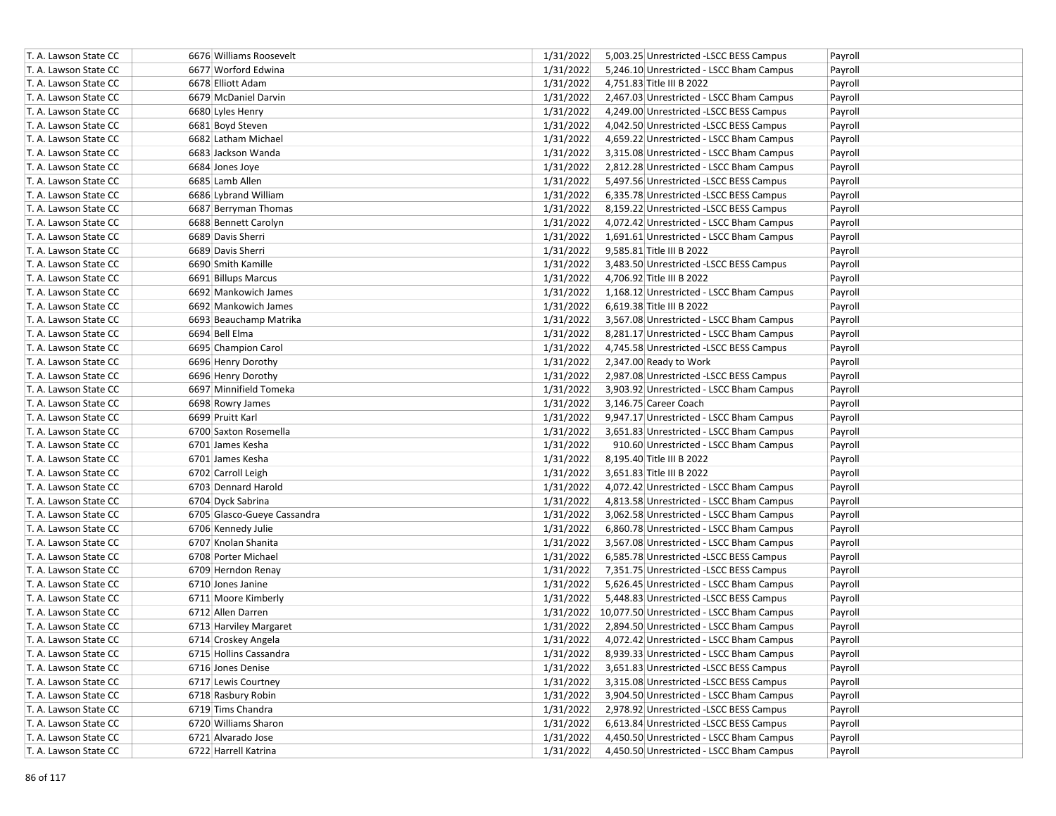| T. A. Lawson State CC | 6676 Williams Roosevelt     | 1/31/2022 | 5,003.25 Unrestricted -LSCC BESS Campus             | Payroll |
|-----------------------|-----------------------------|-----------|-----------------------------------------------------|---------|
| T. A. Lawson State CC | 6677 Worford Edwina         | 1/31/2022 | 5,246.10 Unrestricted - LSCC Bham Campus            | Payroll |
| T. A. Lawson State CC | 6678 Elliott Adam           | 1/31/2022 | 4,751.83 Title III B 2022                           | Payroll |
| T. A. Lawson State CC | 6679 McDaniel Darvin        | 1/31/2022 | 2,467.03 Unrestricted - LSCC Bham Campus            | Payroll |
| T. A. Lawson State CC | 6680 Lyles Henry            | 1/31/2022 | 4,249.00 Unrestricted -LSCC BESS Campus             | Payroll |
| T. A. Lawson State CC | 6681 Boyd Steven            | 1/31/2022 | 4,042.50 Unrestricted -LSCC BESS Campus             | Payroll |
| T. A. Lawson State CC | 6682 Latham Michael         | 1/31/2022 | 4,659.22 Unrestricted - LSCC Bham Campus            | Payroll |
| T. A. Lawson State CC | 6683 Jackson Wanda          | 1/31/2022 | 3,315.08 Unrestricted - LSCC Bham Campus            | Payroll |
| T. A. Lawson State CC | 6684 Jones Joye             | 1/31/2022 | 2,812.28 Unrestricted - LSCC Bham Campus            | Payroll |
| T. A. Lawson State CC | 6685 Lamb Allen             | 1/31/2022 | 5,497.56 Unrestricted -LSCC BESS Campus             | Payroll |
| T. A. Lawson State CC | 6686 Lybrand William        | 1/31/2022 | 6,335.78 Unrestricted -LSCC BESS Campus             | Payroll |
| T. A. Lawson State CC | 6687 Berryman Thomas        | 1/31/2022 | 8,159.22 Unrestricted -LSCC BESS Campus             | Payroll |
| T. A. Lawson State CC | 6688 Bennett Carolyn        | 1/31/2022 | 4,072.42 Unrestricted - LSCC Bham Campus            | Payroll |
| T. A. Lawson State CC | 6689 Davis Sherri           | 1/31/2022 | 1,691.61 Unrestricted - LSCC Bham Campus            | Payroll |
| T. A. Lawson State CC | 6689 Davis Sherri           | 1/31/2022 | 9,585.81 Title III B 2022                           | Payroll |
| T. A. Lawson State CC | 6690 Smith Kamille          | 1/31/2022 | 3,483.50 Unrestricted -LSCC BESS Campus             | Payroll |
| T. A. Lawson State CC | 6691 Billups Marcus         | 1/31/2022 | 4,706.92 Title III B 2022                           | Payroll |
| T. A. Lawson State CC | 6692 Mankowich James        | 1/31/2022 | 1,168.12 Unrestricted - LSCC Bham Campus            | Payroll |
| T. A. Lawson State CC | 6692 Mankowich James        | 1/31/2022 | 6,619.38 Title III B 2022                           | Payroll |
| T. A. Lawson State CC | 6693 Beauchamp Matrika      | 1/31/2022 | 3,567.08 Unrestricted - LSCC Bham Campus            | Payroll |
| T. A. Lawson State CC | 6694 Bell Elma              | 1/31/2022 | 8,281.17 Unrestricted - LSCC Bham Campus            | Payroll |
| T. A. Lawson State CC | 6695 Champion Carol         | 1/31/2022 | 4,745.58 Unrestricted -LSCC BESS Campus             | Payroll |
| T. A. Lawson State CC | 6696 Henry Dorothy          | 1/31/2022 | 2,347.00 Ready to Work                              | Payroll |
| T. A. Lawson State CC | 6696 Henry Dorothy          | 1/31/2022 | 2,987.08 Unrestricted -LSCC BESS Campus             | Payroll |
| T. A. Lawson State CC | 6697 Minnifield Tomeka      | 1/31/2022 | 3,903.92 Unrestricted - LSCC Bham Campus            | Payroll |
| T. A. Lawson State CC | 6698 Rowry James            | 1/31/2022 | 3,146.75 Career Coach                               | Payroll |
| T. A. Lawson State CC | 6699 Pruitt Karl            | 1/31/2022 | 9,947.17 Unrestricted - LSCC Bham Campus            | Payroll |
| T. A. Lawson State CC | 6700 Saxton Rosemella       | 1/31/2022 | 3,651.83 Unrestricted - LSCC Bham Campus            | Payroll |
| T. A. Lawson State CC | 6701 James Kesha            | 1/31/2022 | 910.60 Unrestricted - LSCC Bham Campus              | Payroll |
| T. A. Lawson State CC | 6701 James Kesha            | 1/31/2022 | 8,195.40 Title III B 2022                           | Payroll |
| T. A. Lawson State CC | 6702 Carroll Leigh          | 1/31/2022 | 3,651.83 Title III B 2022                           | Payroll |
| T. A. Lawson State CC | 6703 Dennard Harold         | 1/31/2022 | 4,072.42 Unrestricted - LSCC Bham Campus            | Payroll |
| T. A. Lawson State CC | 6704 Dyck Sabrina           | 1/31/2022 | 4,813.58 Unrestricted - LSCC Bham Campus            | Payroll |
| T. A. Lawson State CC | 6705 Glasco-Gueye Cassandra | 1/31/2022 | 3,062.58 Unrestricted - LSCC Bham Campus            | Payroll |
| T. A. Lawson State CC | 6706 Kennedy Julie          | 1/31/2022 | 6,860.78 Unrestricted - LSCC Bham Campus            | Payroll |
| T. A. Lawson State CC | 6707 Knolan Shanita         | 1/31/2022 | 3,567.08 Unrestricted - LSCC Bham Campus            | Payroll |
| T. A. Lawson State CC | 6708 Porter Michael         | 1/31/2022 | 6,585.78 Unrestricted -LSCC BESS Campus             | Payroll |
| T. A. Lawson State CC | 6709 Herndon Renay          | 1/31/2022 | 7,351.75 Unrestricted -LSCC BESS Campus             | Payroll |
| T. A. Lawson State CC | 6710 Jones Janine           | 1/31/2022 | 5,626.45 Unrestricted - LSCC Bham Campus            | Payroll |
| T. A. Lawson State CC | 6711 Moore Kimberly         | 1/31/2022 | 5,448.83 Unrestricted -LSCC BESS Campus             | Payroll |
| T. A. Lawson State CC | 6712 Allen Darren           |           | 1/31/2022 10,077.50 Unrestricted - LSCC Bham Campus | Payroll |
| T. A. Lawson State CC | 6713 Harviley Margaret      | 1/31/2022 | 2,894.50 Unrestricted - LSCC Bham Campus            | Payroll |
| T. A. Lawson State CC | 6714 Croskey Angela         | 1/31/2022 | 4,072.42 Unrestricted - LSCC Bham Campus            | Payroll |
| T. A. Lawson State CC | 6715 Hollins Cassandra      | 1/31/2022 | 8,939.33 Unrestricted - LSCC Bham Campus            | Payroll |
| T. A. Lawson State CC | 6716 Jones Denise           | 1/31/2022 | 3,651.83 Unrestricted - LSCC BESS Campus            | Payroll |
| T. A. Lawson State CC | 6717 Lewis Courtney         | 1/31/2022 | 3,315.08 Unrestricted -LSCC BESS Campus             | Payroll |
| T. A. Lawson State CC | 6718 Rasbury Robin          | 1/31/2022 | 3,904.50 Unrestricted - LSCC Bham Campus            | Payroll |
| T. A. Lawson State CC | 6719 Tims Chandra           | 1/31/2022 | 2,978.92 Unrestricted -LSCC BESS Campus             | Payroll |
| T. A. Lawson State CC | 6720 Williams Sharon        | 1/31/2022 | 6,613.84 Unrestricted -LSCC BESS Campus             | Payroll |
| T. A. Lawson State CC | 6721 Alvarado Jose          | 1/31/2022 | 4,450.50 Unrestricted - LSCC Bham Campus            | Payroll |
| T. A. Lawson State CC | 6722 Harrell Katrina        | 1/31/2022 | 4,450.50 Unrestricted - LSCC Bham Campus            | Payroll |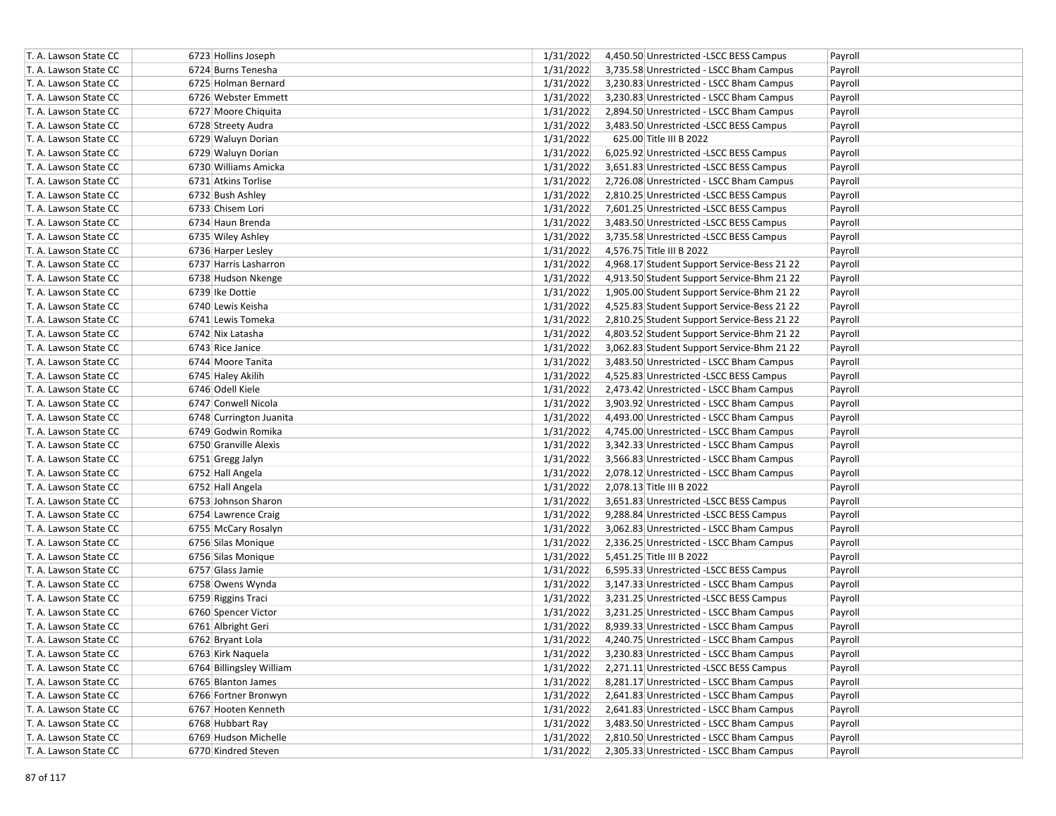| T. A. Lawson State CC | 6723 Hollins Joseph      | 1/31/2022<br>4,450.50 Unrestricted -LSCC BESS Campus     | Payroll |
|-----------------------|--------------------------|----------------------------------------------------------|---------|
| T. A. Lawson State CC | 6724 Burns Tenesha       | 1/31/2022<br>3,735.58 Unrestricted - LSCC Bham Campus    | Payroll |
| T. A. Lawson State CC | 6725 Holman Bernard      | 1/31/2022<br>3,230.83 Unrestricted - LSCC Bham Campus    | Payroll |
| T. A. Lawson State CC | 6726 Webster Emmett      | 1/31/2022<br>3,230.83 Unrestricted - LSCC Bham Campus    | Payroll |
| T. A. Lawson State CC | 6727 Moore Chiquita      | 1/31/2022<br>2,894.50 Unrestricted - LSCC Bham Campus    | Payroll |
| T. A. Lawson State CC | 6728 Streety Audra       | 1/31/2022<br>3,483.50 Unrestricted -LSCC BESS Campus     | Payroll |
| T. A. Lawson State CC | 6729 Waluyn Dorian       | 1/31/2022<br>625.00 Title III B 2022                     | Payroll |
| T. A. Lawson State CC | 6729 Waluyn Dorian       | 1/31/2022<br>6,025.92 Unrestricted -LSCC BESS Campus     | Payroll |
| T. A. Lawson State CC | 6730 Williams Amicka     | 1/31/2022<br>3,651.83 Unrestricted -LSCC BESS Campus     | Payroll |
| T. A. Lawson State CC | 6731 Atkins Torlise      | 1/31/2022<br>2,726.08 Unrestricted - LSCC Bham Campus    | Payroll |
| T. A. Lawson State CC | 6732 Bush Ashley         | 1/31/2022<br>2,810.25 Unrestricted -LSCC BESS Campus     | Payroll |
| T. A. Lawson State CC | 6733 Chisem Lori         | 1/31/2022<br>7,601.25 Unrestricted -LSCC BESS Campus     | Payroll |
| T. A. Lawson State CC | 6734 Haun Brenda         | 1/31/2022<br>3,483.50 Unrestricted -LSCC BESS Campus     | Payroll |
| T. A. Lawson State CC | 6735 Wiley Ashley        | 1/31/2022<br>3,735.58 Unrestricted -LSCC BESS Campus     | Payroll |
| T. A. Lawson State CC | 6736 Harper Lesley       | 1/31/2022<br>4,576.75 Title III B 2022                   | Payroll |
| T. A. Lawson State CC | 6737 Harris Lasharron    | 1/31/2022<br>4,968.17 Student Support Service-Bess 21 22 | Payroll |
| T. A. Lawson State CC | 6738 Hudson Nkenge       | 1/31/2022<br>4,913.50 Student Support Service-Bhm 21 22  | Payroll |
| T. A. Lawson State CC | 6739 Ike Dottie          | 1/31/2022<br>1,905.00 Student Support Service-Bhm 21 22  | Payroll |
| T. A. Lawson State CC | 6740 Lewis Keisha        | 1/31/2022<br>4,525.83 Student Support Service-Bess 21 22 | Payroll |
| T. A. Lawson State CC | 6741 Lewis Tomeka        | 1/31/2022<br>2,810.25 Student Support Service-Bess 21 22 | Payroll |
| T. A. Lawson State CC | 6742 Nix Latasha         | 1/31/2022<br>4,803.52 Student Support Service-Bhm 21 22  | Payroll |
| T. A. Lawson State CC | 6743 Rice Janice         | 1/31/2022<br>3,062.83 Student Support Service-Bhm 21 22  | Payroll |
| T. A. Lawson State CC | 6744 Moore Tanita        | 1/31/2022<br>3,483.50 Unrestricted - LSCC Bham Campus    | Payroll |
| T. A. Lawson State CC | 6745 Haley Akilih        | 1/31/2022<br>4,525.83 Unrestricted -LSCC BESS Campus     | Payroll |
| T. A. Lawson State CC | 6746 Odell Kiele         | 1/31/2022<br>2,473.42 Unrestricted - LSCC Bham Campus    | Payroll |
| T. A. Lawson State CC | 6747 Conwell Nicola      | 1/31/2022<br>3,903.92 Unrestricted - LSCC Bham Campus    | Payroll |
| T. A. Lawson State CC | 6748 Currington Juanita  | 1/31/2022<br>4,493.00 Unrestricted - LSCC Bham Campus    | Payroll |
| T. A. Lawson State CC | 6749 Godwin Romika       | 1/31/2022<br>4,745.00 Unrestricted - LSCC Bham Campus    | Payroll |
| T. A. Lawson State CC | 6750 Granville Alexis    | 1/31/2022<br>3,342.33 Unrestricted - LSCC Bham Campus    | Payroll |
| T. A. Lawson State CC | 6751 Gregg Jalyn         | 1/31/2022<br>3,566.83 Unrestricted - LSCC Bham Campus    | Payroll |
| T. A. Lawson State CC | 6752 Hall Angela         | 1/31/2022<br>2,078.12 Unrestricted - LSCC Bham Campus    | Payroll |
| T. A. Lawson State CC | 6752 Hall Angela         | 1/31/2022<br>2,078.13 Title III B 2022                   | Payroll |
| T. A. Lawson State CC | 6753 Johnson Sharon      | 1/31/2022<br>3,651.83 Unrestricted -LSCC BESS Campus     | Payroll |
| T. A. Lawson State CC | 6754 Lawrence Craig      | 1/31/2022<br>9,288.84 Unrestricted -LSCC BESS Campus     | Payroll |
| T. A. Lawson State CC | 6755 McCary Rosalyn      | 1/31/2022<br>3,062.83 Unrestricted - LSCC Bham Campus    | Payroll |
| T. A. Lawson State CC | 6756 Silas Monique       | 1/31/2022<br>2,336.25 Unrestricted - LSCC Bham Campus    | Payroll |
| T. A. Lawson State CC | 6756 Silas Monique       | 1/31/2022<br>5,451.25 Title III B 2022                   | Payroll |
| T. A. Lawson State CC | 6757 Glass Jamie         | 1/31/2022<br>6,595.33 Unrestricted -LSCC BESS Campus     | Payroll |
| T. A. Lawson State CC | 6758 Owens Wynda         | 1/31/2022<br>3,147.33 Unrestricted - LSCC Bham Campus    | Payroll |
| T. A. Lawson State CC | 6759 Riggins Traci       | 1/31/2022<br>3,231.25 Unrestricted -LSCC BESS Campus     | Payroll |
| T. A. Lawson State CC | 6760 Spencer Victor      | 1/31/2022<br>3,231.25 Unrestricted - LSCC Bham Campus    | Payroll |
| T. A. Lawson State CC | 6761 Albright Geri       | 1/31/2022<br>8,939.33 Unrestricted - LSCC Bham Campus    | Payroll |
| T. A. Lawson State CC | 6762 Bryant Lola         | 1/31/2022<br>4,240.75 Unrestricted - LSCC Bham Campus    | Payroll |
| T. A. Lawson State CC | 6763 Kirk Naquela        | 1/31/2022<br>3,230.83 Unrestricted - LSCC Bham Campus    | Payroll |
| T. A. Lawson State CC | 6764 Billingsley William | 1/31/2022<br>2,271.11 Unrestricted -LSCC BESS Campus     | Payroll |
| T. A. Lawson State CC | 6765 Blanton James       | 1/31/2022<br>8,281.17 Unrestricted - LSCC Bham Campus    | Payroll |
| T. A. Lawson State CC | 6766 Fortner Bronwyn     | 1/31/2022<br>2,641.83 Unrestricted - LSCC Bham Campus    | Payroll |
| T. A. Lawson State CC | 6767 Hooten Kenneth      | 1/31/2022<br>2,641.83 Unrestricted - LSCC Bham Campus    | Payroll |
| T. A. Lawson State CC | 6768 Hubbart Ray         | 1/31/2022<br>3,483.50 Unrestricted - LSCC Bham Campus    | Payroll |
| T. A. Lawson State CC | 6769 Hudson Michelle     | 1/31/2022<br>2,810.50 Unrestricted - LSCC Bham Campus    | Payroll |
| T. A. Lawson State CC | 6770 Kindred Steven      | 1/31/2022<br>2,305.33 Unrestricted - LSCC Bham Campus    | Payroll |
|                       |                          |                                                          |         |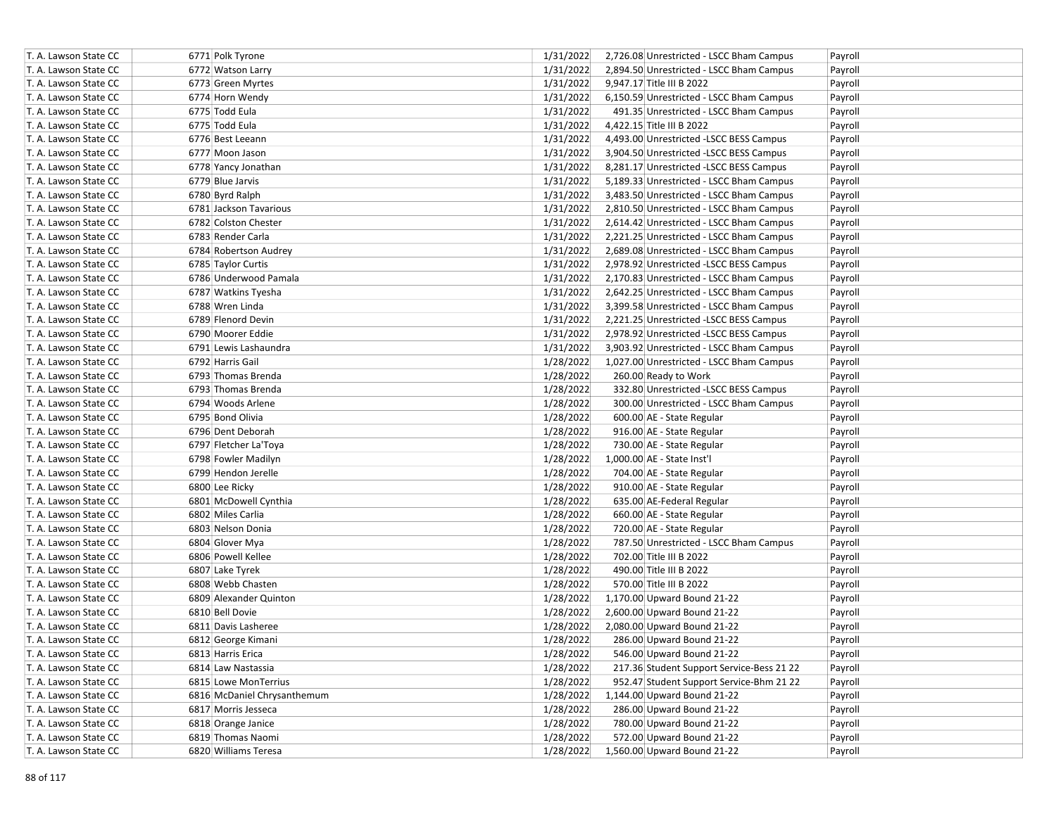| T. A. Lawson State CC | 6771 Polk Tyrone            | 1/31/2022 | 2,726.08 Unrestricted - LSCC Bham Campus  | Payroll |
|-----------------------|-----------------------------|-----------|-------------------------------------------|---------|
| T. A. Lawson State CC | 6772 Watson Larry           | 1/31/2022 | 2,894.50 Unrestricted - LSCC Bham Campus  | Payroll |
| T. A. Lawson State CC | 6773 Green Myrtes           | 1/31/2022 | 9,947.17 Title III B 2022                 | Payroll |
| T. A. Lawson State CC | 6774 Horn Wendy             | 1/31/2022 | 6,150.59 Unrestricted - LSCC Bham Campus  | Payroll |
| T. A. Lawson State CC | 6775 Todd Eula              | 1/31/2022 | 491.35 Unrestricted - LSCC Bham Campus    | Payroll |
| T. A. Lawson State CC | 6775 Todd Eula              | 1/31/2022 | 4,422.15 Title III B 2022                 | Payroll |
| T. A. Lawson State CC | 6776 Best Leeann            | 1/31/2022 | 4,493.00 Unrestricted -LSCC BESS Campus   | Payroll |
| T. A. Lawson State CC | 6777 Moon Jason             | 1/31/2022 | 3,904.50 Unrestricted -LSCC BESS Campus   | Payroll |
| T. A. Lawson State CC | 6778 Yancy Jonathan         | 1/31/2022 | 8,281.17 Unrestricted -LSCC BESS Campus   | Payroll |
| T. A. Lawson State CC | 6779 Blue Jarvis            | 1/31/2022 | 5,189.33 Unrestricted - LSCC Bham Campus  | Payroll |
| T. A. Lawson State CC | 6780 Byrd Ralph             | 1/31/2022 | 3,483.50 Unrestricted - LSCC Bham Campus  | Payroll |
| T. A. Lawson State CC | 6781 Jackson Tavarious      | 1/31/2022 | 2,810.50 Unrestricted - LSCC Bham Campus  | Payroll |
| T. A. Lawson State CC | 6782 Colston Chester        | 1/31/2022 | 2,614.42 Unrestricted - LSCC Bham Campus  | Payroll |
| T. A. Lawson State CC | 6783 Render Carla           | 1/31/2022 | 2,221.25 Unrestricted - LSCC Bham Campus  | Payroll |
| T. A. Lawson State CC | 6784 Robertson Audrey       | 1/31/2022 | 2,689.08 Unrestricted - LSCC Bham Campus  | Payroll |
| T. A. Lawson State CC | 6785 Taylor Curtis          | 1/31/2022 | 2,978.92 Unrestricted -LSCC BESS Campus   | Payroll |
| T. A. Lawson State CC | 6786 Underwood Pamala       | 1/31/2022 | 2,170.83 Unrestricted - LSCC Bham Campus  | Payroll |
| T. A. Lawson State CC | 6787 Watkins Tyesha         | 1/31/2022 | 2,642.25 Unrestricted - LSCC Bham Campus  | Payroll |
| T. A. Lawson State CC | 6788 Wren Linda             | 1/31/2022 | 3,399.58 Unrestricted - LSCC Bham Campus  | Payroll |
| T. A. Lawson State CC | 6789 Flenord Devin          | 1/31/2022 | 2,221.25 Unrestricted -LSCC BESS Campus   | Payroll |
| T. A. Lawson State CC | 6790 Moorer Eddie           | 1/31/2022 | 2,978.92 Unrestricted - LSCC BESS Campus  | Payroll |
| T. A. Lawson State CC | 6791 Lewis Lashaundra       | 1/31/2022 | 3,903.92 Unrestricted - LSCC Bham Campus  | Payroll |
| T. A. Lawson State CC | 6792 Harris Gail            | 1/28/2022 | 1,027.00 Unrestricted - LSCC Bham Campus  | Payroll |
| T. A. Lawson State CC | 6793 Thomas Brenda          | 1/28/2022 | 260.00 Ready to Work                      | Payroll |
| T. A. Lawson State CC | 6793 Thomas Brenda          | 1/28/2022 | 332.80 Unrestricted -LSCC BESS Campus     | Payroll |
| T. A. Lawson State CC | 6794 Woods Arlene           | 1/28/2022 | 300.00 Unrestricted - LSCC Bham Campus    | Payroll |
| T. A. Lawson State CC | 6795 Bond Olivia            | 1/28/2022 | 600.00 AE - State Regular                 | Payroll |
| T. A. Lawson State CC | 6796 Dent Deborah           | 1/28/2022 | 916.00 AE - State Regular                 | Payroll |
| T. A. Lawson State CC | 6797 Fletcher La'Toya       | 1/28/2022 | 730.00 AE - State Regular                 | Payroll |
| T. A. Lawson State CC | 6798 Fowler Madilyn         | 1/28/2022 | 1,000.00 AE - State Inst'l                | Payroll |
| T. A. Lawson State CC | 6799 Hendon Jerelle         | 1/28/2022 | 704.00 AE - State Regular                 | Payroll |
| T. A. Lawson State CC | 6800 Lee Ricky              | 1/28/2022 | 910.00 AE - State Regular                 | Payroll |
| T. A. Lawson State CC | 6801 McDowell Cynthia       | 1/28/2022 | 635.00 AE-Federal Regular                 | Payroll |
| T. A. Lawson State CC | 6802 Miles Carlia           | 1/28/2022 | 660.00 AE - State Regular                 | Payroll |
| T. A. Lawson State CC | 6803 Nelson Donia           | 1/28/2022 | 720.00 AE - State Regular                 | Payroll |
| T. A. Lawson State CC | 6804 Glover Mya             | 1/28/2022 | 787.50 Unrestricted - LSCC Bham Campus    | Payroll |
| T. A. Lawson State CC | 6806 Powell Kellee          | 1/28/2022 | 702.00 Title III B 2022                   | Payroll |
| T. A. Lawson State CC | 6807 Lake Tyrek             | 1/28/2022 | 490.00 Title III B 2022                   | Payroll |
| T. A. Lawson State CC | 6808 Webb Chasten           | 1/28/2022 | 570.00 Title III B 2022                   | Payroll |
| T. A. Lawson State CC | 6809 Alexander Quinton      | 1/28/2022 | 1,170.00 Upward Bound 21-22               | Payroll |
| T. A. Lawson State CC | 6810 Bell Dovie             | 1/28/2022 | 2,600.00 Upward Bound 21-22               | Payroll |
| T. A. Lawson State CC | 6811 Davis Lasheree         | 1/28/2022 | 2,080.00 Upward Bound 21-22               | Payroll |
| T. A. Lawson State CC | 6812 George Kimani          | 1/28/2022 | 286.00 Upward Bound 21-22                 | Payroll |
| T. A. Lawson State CC | 6813 Harris Erica           | 1/28/2022 | 546.00 Upward Bound 21-22                 | Payroll |
| T. A. Lawson State CC | 6814 Law Nastassia          | 1/28/2022 | 217.36 Student Support Service-Bess 21 22 | Payroll |
| T. A. Lawson State CC | 6815 Lowe MonTerrius        | 1/28/2022 | 952.47 Student Support Service-Bhm 21 22  | Payroll |
| T. A. Lawson State CC | 6816 McDaniel Chrysanthemum | 1/28/2022 | 1,144.00 Upward Bound 21-22               | Payroll |
| T. A. Lawson State CC | 6817 Morris Jesseca         | 1/28/2022 | 286.00 Upward Bound 21-22                 | Payroll |
| T. A. Lawson State CC | 6818 Orange Janice          | 1/28/2022 | 780.00 Upward Bound 21-22                 | Payroll |
| T. A. Lawson State CC | 6819 Thomas Naomi           | 1/28/2022 | 572.00 Upward Bound 21-22                 | Payroll |
| T. A. Lawson State CC | 6820 Williams Teresa        | 1/28/2022 | 1,560.00 Upward Bound 21-22               | Payroll |
|                       |                             |           |                                           |         |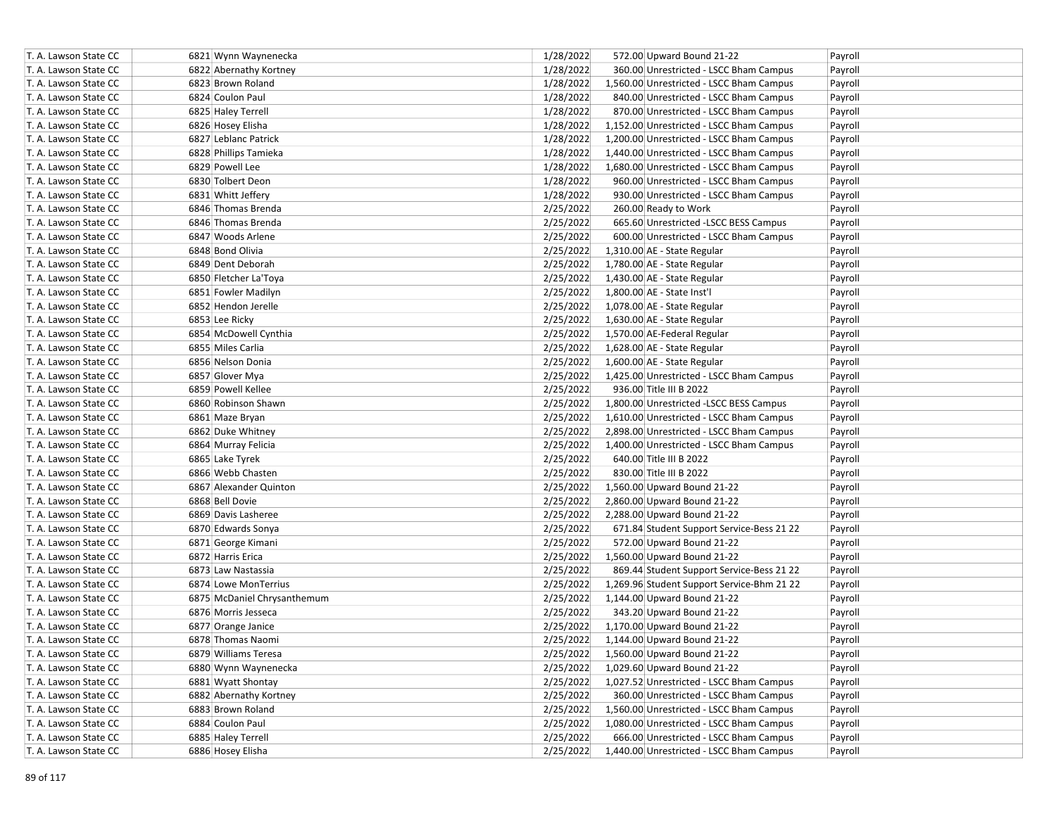| T. A. Lawson State CC | 6821 Wynn Waynenecka        | 1/28/2022 | 572.00 Upward Bound 21-22                  | Payroll |
|-----------------------|-----------------------------|-----------|--------------------------------------------|---------|
| T. A. Lawson State CC | 6822 Abernathy Kortney      | 1/28/2022 | 360.00 Unrestricted - LSCC Bham Campus     | Payroll |
| T. A. Lawson State CC | 6823 Brown Roland           | 1/28/2022 | 1,560.00 Unrestricted - LSCC Bham Campus   | Payroll |
| T. A. Lawson State CC | 6824 Coulon Paul            | 1/28/2022 | 840.00 Unrestricted - LSCC Bham Campus     | Payroll |
| T. A. Lawson State CC | 6825 Haley Terrell          | 1/28/2022 | 870.00 Unrestricted - LSCC Bham Campus     | Payroll |
| T. A. Lawson State CC | 6826 Hosey Elisha           | 1/28/2022 | 1,152.00 Unrestricted - LSCC Bham Campus   | Payroll |
| T. A. Lawson State CC | 6827 Leblanc Patrick        | 1/28/2022 | 1,200.00 Unrestricted - LSCC Bham Campus   | Payroll |
| T. A. Lawson State CC | 6828 Phillips Tamieka       | 1/28/2022 | 1,440.00 Unrestricted - LSCC Bham Campus   | Payroll |
| T. A. Lawson State CC | 6829 Powell Lee             | 1/28/2022 | 1,680.00 Unrestricted - LSCC Bham Campus   | Payroll |
| T. A. Lawson State CC | 6830 Tolbert Deon           | 1/28/2022 | 960.00 Unrestricted - LSCC Bham Campus     | Payroll |
| T. A. Lawson State CC | 6831 Whitt Jeffery          | 1/28/2022 | 930.00 Unrestricted - LSCC Bham Campus     | Payroll |
| T. A. Lawson State CC | 6846 Thomas Brenda          | 2/25/2022 | 260.00 Ready to Work                       | Payroll |
| T. A. Lawson State CC | 6846 Thomas Brenda          | 2/25/2022 | 665.60 Unrestricted -LSCC BESS Campus      | Payroll |
| T. A. Lawson State CC | 6847 Woods Arlene           | 2/25/2022 | 600.00 Unrestricted - LSCC Bham Campus     | Payroll |
| T. A. Lawson State CC | 6848 Bond Olivia            | 2/25/2022 | 1,310.00 AE - State Regular                | Payroll |
| T. A. Lawson State CC | 6849 Dent Deborah           | 2/25/2022 | 1,780.00 AE - State Regular                | Payroll |
| T. A. Lawson State CC | 6850 Fletcher La'Toya       | 2/25/2022 | 1,430.00 AE - State Regular                | Payroll |
| T. A. Lawson State CC | 6851 Fowler Madilyn         | 2/25/2022 | 1,800.00 AE - State Inst'l                 | Payroll |
| T. A. Lawson State CC | 6852 Hendon Jerelle         | 2/25/2022 | 1,078.00 AE - State Regular                | Payroll |
| T. A. Lawson State CC | 6853 Lee Ricky              | 2/25/2022 | 1,630.00 AE - State Regular                | Payroll |
| T. A. Lawson State CC | 6854 McDowell Cynthia       | 2/25/2022 | 1,570.00 AE-Federal Regular                | Payroll |
| T. A. Lawson State CC | 6855 Miles Carlia           | 2/25/2022 | 1,628.00 AE - State Regular                | Payroll |
| T. A. Lawson State CC | 6856 Nelson Donia           | 2/25/2022 | 1,600.00 AE - State Regular                | Payroll |
| T. A. Lawson State CC | 6857 Glover Mya             | 2/25/2022 | 1,425.00 Unrestricted - LSCC Bham Campus   | Payroll |
| T. A. Lawson State CC | 6859 Powell Kellee          | 2/25/2022 | 936.00 Title III B 2022                    | Payroll |
| T. A. Lawson State CC | 6860 Robinson Shawn         | 2/25/2022 | 1,800.00 Unrestricted -LSCC BESS Campus    | Payroll |
| T. A. Lawson State CC | 6861 Maze Bryan             | 2/25/2022 | 1,610.00 Unrestricted - LSCC Bham Campus   | Payroll |
| T. A. Lawson State CC | 6862 Duke Whitney           | 2/25/2022 | 2,898.00 Unrestricted - LSCC Bham Campus   | Payroll |
| T. A. Lawson State CC | 6864 Murray Felicia         | 2/25/2022 | 1,400.00 Unrestricted - LSCC Bham Campus   | Payroll |
| T. A. Lawson State CC | 6865 Lake Tyrek             | 2/25/2022 | 640.00 Title III B 2022                    | Payroll |
| T. A. Lawson State CC | 6866 Webb Chasten           | 2/25/2022 | 830.00 Title III B 2022                    | Payroll |
| T. A. Lawson State CC | 6867 Alexander Quinton      | 2/25/2022 | 1,560.00 Upward Bound 21-22                | Payroll |
| T. A. Lawson State CC | 6868 Bell Dovie             | 2/25/2022 | 2,860.00 Upward Bound 21-22                | Payroll |
| T. A. Lawson State CC | 6869 Davis Lasheree         | 2/25/2022 | 2,288.00 Upward Bound 21-22                | Payroll |
| T. A. Lawson State CC | 6870 Edwards Sonya          | 2/25/2022 | 671.84 Student Support Service-Bess 21 22  | Payroll |
| T. A. Lawson State CC | 6871 George Kimani          | 2/25/2022 | 572.00 Upward Bound 21-22                  | Payroll |
| T. A. Lawson State CC | 6872 Harris Erica           | 2/25/2022 | 1,560.00 Upward Bound 21-22                | Payroll |
| T. A. Lawson State CC | 6873 Law Nastassia          | 2/25/2022 | 869.44 Student Support Service-Bess 21 22  | Payroll |
| T. A. Lawson State CC | 6874 Lowe MonTerrius        | 2/25/2022 | 1,269.96 Student Support Service-Bhm 21 22 | Payroll |
| T. A. Lawson State CC | 6875 McDaniel Chrysanthemum | 2/25/2022 | 1,144.00 Upward Bound 21-22                | Payroll |
| T. A. Lawson State CC | 6876 Morris Jesseca         | 2/25/2022 | 343.20 Upward Bound 21-22                  | Payroll |
| T. A. Lawson State CC | 6877 Orange Janice          | 2/25/2022 | 1,170.00 Upward Bound 21-22                | Payroll |
| T. A. Lawson State CC | 6878 Thomas Naomi           | 2/25/2022 | 1,144.00 Upward Bound 21-22                | Payroll |
| T. A. Lawson State CC | 6879 Williams Teresa        | 2/25/2022 | 1,560.00 Upward Bound 21-22                | Payroll |
| T. A. Lawson State CC | 6880 Wynn Waynenecka        | 2/25/2022 | 1,029.60 Upward Bound 21-22                | Payroll |
| T. A. Lawson State CC | 6881 Wyatt Shontay          | 2/25/2022 | 1,027.52 Unrestricted - LSCC Bham Campus   | Payroll |
| T. A. Lawson State CC | 6882 Abernathy Kortney      | 2/25/2022 | 360.00 Unrestricted - LSCC Bham Campus     | Payroll |
| T. A. Lawson State CC | 6883 Brown Roland           | 2/25/2022 | 1,560.00 Unrestricted - LSCC Bham Campus   | Payroll |
| T. A. Lawson State CC | 6884 Coulon Paul            | 2/25/2022 | 1,080.00 Unrestricted - LSCC Bham Campus   | Payroll |
| T. A. Lawson State CC | 6885 Haley Terrell          | 2/25/2022 | 666.00 Unrestricted - LSCC Bham Campus     | Payroll |
| T. A. Lawson State CC | 6886 Hosey Elisha           | 2/25/2022 | 1,440.00 Unrestricted - LSCC Bham Campus   | Payroll |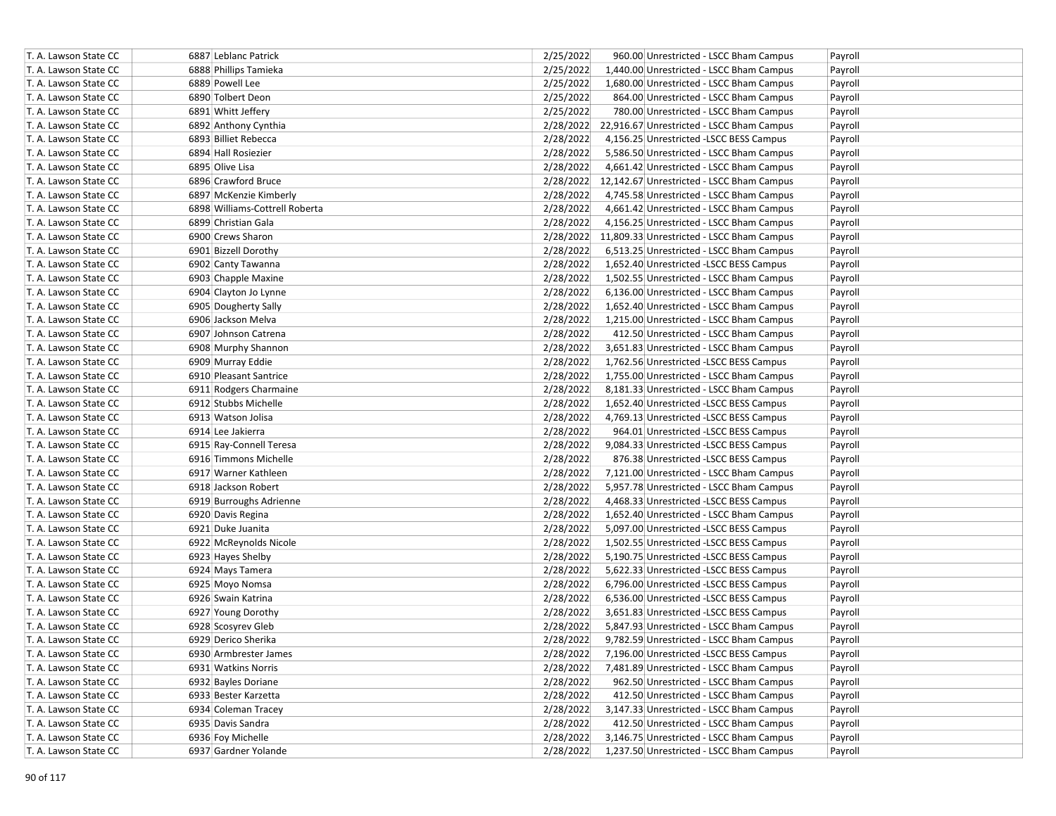| T. A. Lawson State CC | 6887 Leblanc Patrick           | 2/25/2022 | 960.00 Unrestricted - LSCC Bham Campus              | Payroll |
|-----------------------|--------------------------------|-----------|-----------------------------------------------------|---------|
| T. A. Lawson State CC | 6888 Phillips Tamieka          | 2/25/2022 | 1,440.00 Unrestricted - LSCC Bham Campus            | Payroll |
| T. A. Lawson State CC | 6889 Powell Lee                | 2/25/2022 | 1,680.00 Unrestricted - LSCC Bham Campus            | Payroll |
| T. A. Lawson State CC | 6890 Tolbert Deon              | 2/25/2022 | 864.00 Unrestricted - LSCC Bham Campus              | Payroll |
| T. A. Lawson State CC | 6891 Whitt Jeffery             | 2/25/2022 | 780.00 Unrestricted - LSCC Bham Campus              | Payroll |
| T. A. Lawson State CC | 6892 Anthony Cynthia           |           | 2/28/2022 22,916.67 Unrestricted - LSCC Bham Campus | Payroll |
| T. A. Lawson State CC | 6893 Billiet Rebecca           | 2/28/2022 | 4,156.25 Unrestricted - LSCC BESS Campus            | Payroll |
| T. A. Lawson State CC | 6894 Hall Rosiezier            | 2/28/2022 | 5,586.50 Unrestricted - LSCC Bham Campus            | Payroll |
| T. A. Lawson State CC | 6895 Olive Lisa                | 2/28/2022 | 4,661.42 Unrestricted - LSCC Bham Campus            | Payroll |
| T. A. Lawson State CC | 6896 Crawford Bruce            |           | 2/28/2022 12,142.67 Unrestricted - LSCC Bham Campus | Payroll |
| T. A. Lawson State CC | 6897 McKenzie Kimberly         | 2/28/2022 | 4,745.58 Unrestricted - LSCC Bham Campus            | Payroll |
| T. A. Lawson State CC | 6898 Williams-Cottrell Roberta | 2/28/2022 | 4,661.42 Unrestricted - LSCC Bham Campus            | Payroll |
| T. A. Lawson State CC | 6899 Christian Gala            | 2/28/2022 | 4,156.25 Unrestricted - LSCC Bham Campus            | Payroll |
| T. A. Lawson State CC | 6900 Crews Sharon              |           | 2/28/2022 11,809.33 Unrestricted - LSCC Bham Campus | Payroll |
| T. A. Lawson State CC | 6901 Bizzell Dorothy           | 2/28/2022 | 6,513.25 Unrestricted - LSCC Bham Campus            | Payroll |
| T. A. Lawson State CC | 6902 Canty Tawanna             | 2/28/2022 | 1,652.40 Unrestricted -LSCC BESS Campus             | Payroll |
| T. A. Lawson State CC | 6903 Chapple Maxine            | 2/28/2022 | 1,502.55 Unrestricted - LSCC Bham Campus            | Payroll |
| T. A. Lawson State CC | 6904 Clayton Jo Lynne          | 2/28/2022 | 6,136.00 Unrestricted - LSCC Bham Campus            | Payroll |
| T. A. Lawson State CC | 6905 Dougherty Sally           | 2/28/2022 | 1,652.40 Unrestricted - LSCC Bham Campus            | Payroll |
| T. A. Lawson State CC | 6906 Jackson Melva             | 2/28/2022 | 1,215.00 Unrestricted - LSCC Bham Campus            | Payroll |
| T. A. Lawson State CC | 6907 Johnson Catrena           | 2/28/2022 | 412.50 Unrestricted - LSCC Bham Campus              | Payroll |
| T. A. Lawson State CC | 6908 Murphy Shannon            | 2/28/2022 | 3,651.83 Unrestricted - LSCC Bham Campus            | Payroll |
| T. A. Lawson State CC | 6909 Murray Eddie              | 2/28/2022 | 1,762.56 Unrestricted -LSCC BESS Campus             | Payroll |
| T. A. Lawson State CC | 6910 Pleasant Santrice         | 2/28/2022 | 1,755.00 Unrestricted - LSCC Bham Campus            | Payroll |
| T. A. Lawson State CC | 6911 Rodgers Charmaine         | 2/28/2022 | 8,181.33 Unrestricted - LSCC Bham Campus            | Payroll |
| T. A. Lawson State CC | 6912 Stubbs Michelle           | 2/28/2022 | 1,652.40 Unrestricted -LSCC BESS Campus             | Payroll |
| T. A. Lawson State CC | 6913 Watson Jolisa             | 2/28/2022 | 4,769.13 Unrestricted -LSCC BESS Campus             | Payroll |
| T. A. Lawson State CC | 6914 Lee Jakierra              | 2/28/2022 | 964.01 Unrestricted -LSCC BESS Campus               | Payroll |
| T. A. Lawson State CC | 6915 Ray-Connell Teresa        | 2/28/2022 | 9,084.33 Unrestricted -LSCC BESS Campus             | Payroll |
| T. A. Lawson State CC | 6916 Timmons Michelle          | 2/28/2022 | 876.38 Unrestricted -LSCC BESS Campus               | Payroll |
| T. A. Lawson State CC | 6917 Warner Kathleen           | 2/28/2022 | 7,121.00 Unrestricted - LSCC Bham Campus            | Payroll |
| T. A. Lawson State CC | 6918 Jackson Robert            | 2/28/2022 | 5,957.78 Unrestricted - LSCC Bham Campus            | Payroll |
| T. A. Lawson State CC | 6919 Burroughs Adrienne        | 2/28/2022 | 4,468.33 Unrestricted - LSCC BESS Campus            | Payroll |
| T. A. Lawson State CC | 6920 Davis Regina              | 2/28/2022 | 1,652.40 Unrestricted - LSCC Bham Campus            | Payroll |
| T. A. Lawson State CC | 6921 Duke Juanita              | 2/28/2022 | 5,097.00 Unrestricted -LSCC BESS Campus             | Payroll |
| T. A. Lawson State CC | 6922 McReynolds Nicole         | 2/28/2022 | 1,502.55 Unrestricted -LSCC BESS Campus             | Payroll |
| T. A. Lawson State CC | 6923 Hayes Shelby              | 2/28/2022 | 5,190.75 Unrestricted -LSCC BESS Campus             | Payroll |
| T. A. Lawson State CC | 6924 Mays Tamera               | 2/28/2022 | 5,622.33 Unrestricted -LSCC BESS Campus             | Payroll |
| T. A. Lawson State CC | 6925 Moyo Nomsa                | 2/28/2022 | 6,796.00 Unrestricted -LSCC BESS Campus             | Payroll |
| T. A. Lawson State CC | 6926 Swain Katrina             | 2/28/2022 | 6,536.00 Unrestricted -LSCC BESS Campus             | Payroll |
| T. A. Lawson State CC | 6927 Young Dorothy             | 2/28/2022 | 3,651.83 Unrestricted -LSCC BESS Campus             | Payroll |
| T. A. Lawson State CC | 6928 Scosyrev Gleb             | 2/28/2022 | 5,847.93 Unrestricted - LSCC Bham Campus            | Payroll |
| T. A. Lawson State CC | 6929 Derico Sherika            | 2/28/2022 | 9,782.59 Unrestricted - LSCC Bham Campus            | Payroll |
| T. A. Lawson State CC | 6930 Armbrester James          | 2/28/2022 | 7,196.00 Unrestricted -LSCC BESS Campus             | Payroll |
| T. A. Lawson State CC | 6931 Watkins Norris            | 2/28/2022 | 7,481.89 Unrestricted - LSCC Bham Campus            | Payroll |
| T. A. Lawson State CC | 6932 Bayles Doriane            | 2/28/2022 | 962.50 Unrestricted - LSCC Bham Campus              | Payroll |
| T. A. Lawson State CC | 6933 Bester Karzetta           | 2/28/2022 | 412.50 Unrestricted - LSCC Bham Campus              | Payroll |
| T. A. Lawson State CC | 6934 Coleman Tracey            | 2/28/2022 | 3,147.33 Unrestricted - LSCC Bham Campus            | Payroll |
| T. A. Lawson State CC | 6935 Davis Sandra              | 2/28/2022 | 412.50 Unrestricted - LSCC Bham Campus              | Payroll |
| T. A. Lawson State CC | 6936 Foy Michelle              | 2/28/2022 | 3,146.75 Unrestricted - LSCC Bham Campus            | Payroll |
| T. A. Lawson State CC | 6937 Gardner Yolande           | 2/28/2022 | 1,237.50 Unrestricted - LSCC Bham Campus            | Payroll |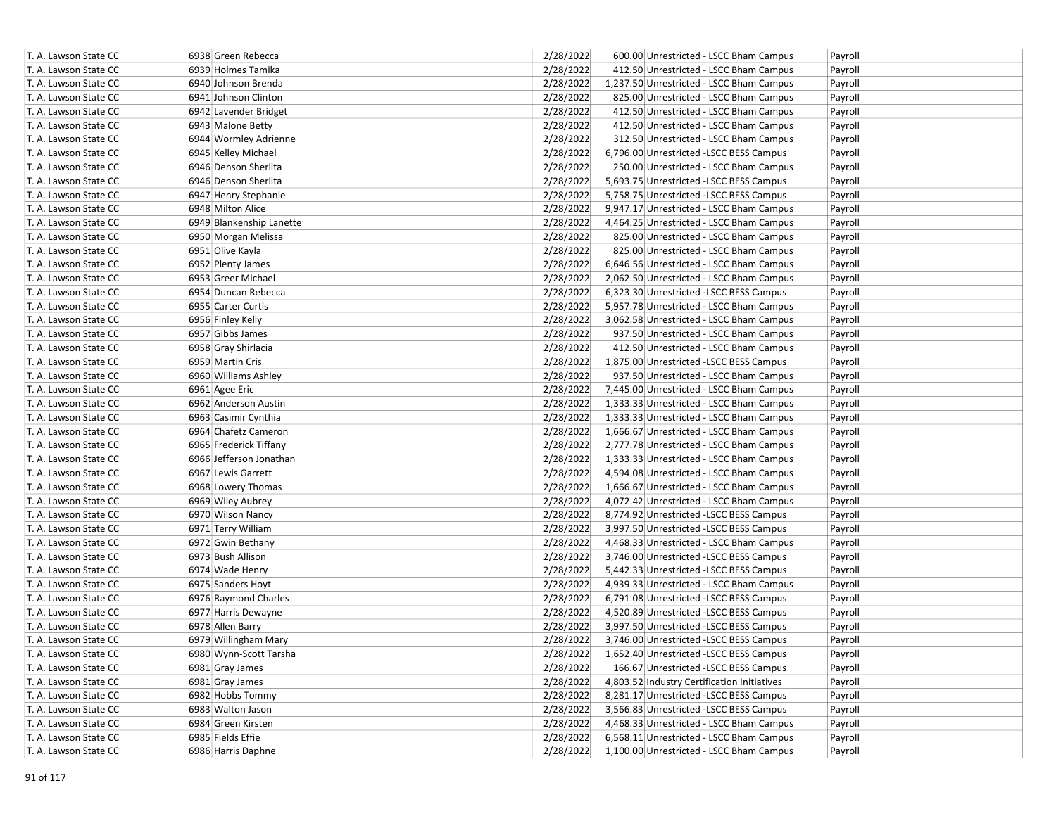| T. A. Lawson State CC | 6938 Green Rebecca       | 2/28/2022 | 600.00 Unrestricted - LSCC Bham Campus<br>Payroll      |
|-----------------------|--------------------------|-----------|--------------------------------------------------------|
| T. A. Lawson State CC | 6939 Holmes Tamika       | 2/28/2022 | 412.50 Unrestricted - LSCC Bham Campus<br>Payroll      |
| T. A. Lawson State CC | 6940 Johnson Brenda      | 2/28/2022 | 1,237.50 Unrestricted - LSCC Bham Campus<br>Payroll    |
| T. A. Lawson State CC | 6941 Johnson Clinton     | 2/28/2022 | 825.00 Unrestricted - LSCC Bham Campus<br>Payroll      |
| T. A. Lawson State CC | 6942 Lavender Bridget    | 2/28/2022 | 412.50 Unrestricted - LSCC Bham Campus<br>Payroll      |
| T. A. Lawson State CC | 6943 Malone Betty        | 2/28/2022 | 412.50 Unrestricted - LSCC Bham Campus<br>Payroll      |
| T. A. Lawson State CC | 6944 Wormley Adrienne    | 2/28/2022 | 312.50 Unrestricted - LSCC Bham Campus<br>Payroll      |
| T. A. Lawson State CC | 6945 Kelley Michael      | 2/28/2022 | 6,796.00 Unrestricted -LSCC BESS Campus<br>Payroll     |
| T. A. Lawson State CC | 6946 Denson Sherlita     | 2/28/2022 | 250.00 Unrestricted - LSCC Bham Campus<br>Payroll      |
| T. A. Lawson State CC | 6946 Denson Sherlita     | 2/28/2022 | 5,693.75 Unrestricted -LSCC BESS Campus<br>Payroll     |
| T. A. Lawson State CC | 6947 Henry Stephanie     | 2/28/2022 | 5,758.75 Unrestricted -LSCC BESS Campus<br>Payroll     |
| T. A. Lawson State CC | 6948 Milton Alice        | 2/28/2022 | 9,947.17 Unrestricted - LSCC Bham Campus<br>Payroll    |
| T. A. Lawson State CC | 6949 Blankenship Lanette | 2/28/2022 | 4,464.25 Unrestricted - LSCC Bham Campus<br>Payroll    |
| T. A. Lawson State CC | 6950 Morgan Melissa      | 2/28/2022 | 825.00 Unrestricted - LSCC Bham Campus<br>Payroll      |
| T. A. Lawson State CC | 6951 Olive Kayla         | 2/28/2022 | 825.00 Unrestricted - LSCC Bham Campus<br>Payroll      |
| T. A. Lawson State CC | 6952 Plenty James        | 2/28/2022 | 6,646.56 Unrestricted - LSCC Bham Campus<br>Payroll    |
| T. A. Lawson State CC | 6953 Greer Michael       | 2/28/2022 | 2,062.50 Unrestricted - LSCC Bham Campus<br>Payroll    |
| T. A. Lawson State CC | 6954 Duncan Rebecca      | 2/28/2022 | 6,323.30 Unrestricted -LSCC BESS Campus<br>Payroll     |
| T. A. Lawson State CC | 6955 Carter Curtis       | 2/28/2022 | 5,957.78 Unrestricted - LSCC Bham Campus<br>Payroll    |
| T. A. Lawson State CC | 6956 Finley Kelly        | 2/28/2022 | 3,062.58 Unrestricted - LSCC Bham Campus<br>Payroll    |
| T. A. Lawson State CC | 6957 Gibbs James         | 2/28/2022 | 937.50 Unrestricted - LSCC Bham Campus<br>Payroll      |
| T. A. Lawson State CC | 6958 Gray Shirlacia      | 2/28/2022 | 412.50 Unrestricted - LSCC Bham Campus<br>Payroll      |
| T. A. Lawson State CC | 6959 Martin Cris         | 2/28/2022 | 1,875.00 Unrestricted -LSCC BESS Campus<br>Payroll     |
| T. A. Lawson State CC | 6960 Williams Ashley     | 2/28/2022 | 937.50 Unrestricted - LSCC Bham Campus<br>Payroll      |
| T. A. Lawson State CC | 6961 Agee Eric           | 2/28/2022 | 7,445.00 Unrestricted - LSCC Bham Campus<br>Payroll    |
| T. A. Lawson State CC | 6962 Anderson Austin     | 2/28/2022 | 1,333.33 Unrestricted - LSCC Bham Campus<br>Payroll    |
| T. A. Lawson State CC | 6963 Casimir Cynthia     | 2/28/2022 | 1,333.33 Unrestricted - LSCC Bham Campus<br>Payroll    |
| T. A. Lawson State CC | 6964 Chafetz Cameron     | 2/28/2022 | 1,666.67 Unrestricted - LSCC Bham Campus<br>Payroll    |
| T. A. Lawson State CC | 6965 Frederick Tiffany   | 2/28/2022 | 2,777.78 Unrestricted - LSCC Bham Campus<br>Payroll    |
| T. A. Lawson State CC | 6966 Jefferson Jonathan  | 2/28/2022 | 1,333.33 Unrestricted - LSCC Bham Campus<br>Payroll    |
| T. A. Lawson State CC | 6967 Lewis Garrett       | 2/28/2022 | 4,594.08 Unrestricted - LSCC Bham Campus<br>Payroll    |
| T. A. Lawson State CC | 6968 Lowery Thomas       | 2/28/2022 | 1,666.67 Unrestricted - LSCC Bham Campus<br>Payroll    |
| T. A. Lawson State CC | 6969 Wiley Aubrey        | 2/28/2022 | 4,072.42 Unrestricted - LSCC Bham Campus<br>Payroll    |
| T. A. Lawson State CC | 6970 Wilson Nancy        | 2/28/2022 | 8,774.92 Unrestricted -LSCC BESS Campus<br>Payroll     |
| T. A. Lawson State CC | 6971 Terry William       | 2/28/2022 | 3,997.50 Unrestricted - LSCC BESS Campus<br>Payroll    |
| T. A. Lawson State CC | 6972 Gwin Bethany        | 2/28/2022 | 4,468.33 Unrestricted - LSCC Bham Campus<br>Payroll    |
| T. A. Lawson State CC | 6973 Bush Allison        | 2/28/2022 | 3,746.00 Unrestricted -LSCC BESS Campus<br>Payroll     |
| T. A. Lawson State CC | 6974 Wade Henry          | 2/28/2022 | 5,442.33 Unrestricted -LSCC BESS Campus<br>Payroll     |
| T. A. Lawson State CC | 6975 Sanders Hoyt        | 2/28/2022 | 4,939.33 Unrestricted - LSCC Bham Campus<br>Payroll    |
| T. A. Lawson State CC | 6976 Raymond Charles     | 2/28/2022 | 6,791.08 Unrestricted -LSCC BESS Campus<br>Payroll     |
| T. A. Lawson State CC | 6977 Harris Dewayne      | 2/28/2022 | 4,520.89 Unrestricted -LSCC BESS Campus<br>Payroll     |
| T. A. Lawson State CC | 6978 Allen Barry         | 2/28/2022 | 3,997.50 Unrestricted -LSCC BESS Campus<br>Payroll     |
| T. A. Lawson State CC | 6979 Willingham Mary     | 2/28/2022 | 3,746.00 Unrestricted -LSCC BESS Campus<br>Payroll     |
| T. A. Lawson State CC | 6980 Wynn-Scott Tarsha   | 2/28/2022 | 1,652.40 Unrestricted -LSCC BESS Campus<br>Payroll     |
| T. A. Lawson State CC | 6981 Gray James          | 2/28/2022 | 166.67 Unrestricted -LSCC BESS Campus<br>Payroll       |
| T. A. Lawson State CC | 6981 Gray James          | 2/28/2022 | 4,803.52 Industry Certification Initiatives<br>Payroll |
| T. A. Lawson State CC | 6982 Hobbs Tommy         | 2/28/2022 | 8,281.17 Unrestricted -LSCC BESS Campus<br>Payroll     |
| T. A. Lawson State CC | 6983 Walton Jason        | 2/28/2022 | 3,566.83 Unrestricted -LSCC BESS Campus<br>Payroll     |
| T. A. Lawson State CC | 6984 Green Kirsten       | 2/28/2022 | 4,468.33 Unrestricted - LSCC Bham Campus<br>Payroll    |
| T. A. Lawson State CC | 6985 Fields Effie        | 2/28/2022 | 6,568.11 Unrestricted - LSCC Bham Campus<br>Payroll    |
| T. A. Lawson State CC | 6986 Harris Daphne       | 2/28/2022 | 1,100.00 Unrestricted - LSCC Bham Campus<br>Payroll    |
|                       |                          |           |                                                        |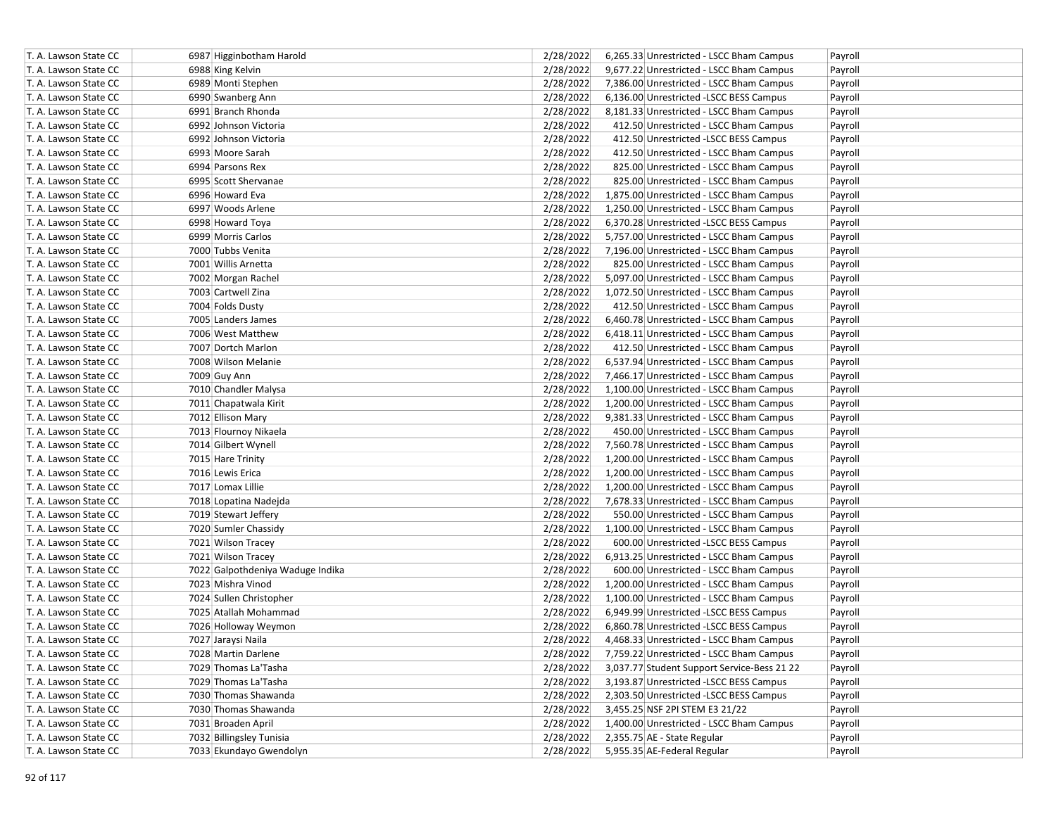| T. A. Lawson State CC | 6987 Higginbotham Harold         | 2/28/2022 | 6,265.33 Unrestricted - LSCC Bham Campus    | Payroll |
|-----------------------|----------------------------------|-----------|---------------------------------------------|---------|
| T. A. Lawson State CC | 6988 King Kelvin                 | 2/28/2022 | 9,677.22 Unrestricted - LSCC Bham Campus    | Payroll |
| T. A. Lawson State CC | 6989 Monti Stephen               | 2/28/2022 | 7,386.00 Unrestricted - LSCC Bham Campus    | Payroll |
| T. A. Lawson State CC | 6990 Swanberg Ann                | 2/28/2022 | 6,136.00 Unrestricted -LSCC BESS Campus     | Payroll |
| T. A. Lawson State CC | 6991 Branch Rhonda               | 2/28/2022 | 8,181.33 Unrestricted - LSCC Bham Campus    | Payroll |
| T. A. Lawson State CC | 6992 Johnson Victoria            | 2/28/2022 | 412.50 Unrestricted - LSCC Bham Campus      | Payroll |
| T. A. Lawson State CC | 6992 Johnson Victoria            | 2/28/2022 | 412.50 Unrestricted -LSCC BESS Campus       | Payroll |
| T. A. Lawson State CC | 6993 Moore Sarah                 | 2/28/2022 | 412.50 Unrestricted - LSCC Bham Campus      | Payroll |
| T. A. Lawson State CC | 6994 Parsons Rex                 | 2/28/2022 | 825.00 Unrestricted - LSCC Bham Campus      | Payroll |
| T. A. Lawson State CC | 6995 Scott Shervanae             | 2/28/2022 | 825.00 Unrestricted - LSCC Bham Campus      | Payroll |
| T. A. Lawson State CC | 6996 Howard Eva                  | 2/28/2022 | 1,875.00 Unrestricted - LSCC Bham Campus    | Payroll |
| T. A. Lawson State CC | 6997 Woods Arlene                | 2/28/2022 | 1,250.00 Unrestricted - LSCC Bham Campus    | Payroll |
| T. A. Lawson State CC | 6998 Howard Toya                 | 2/28/2022 | 6,370.28 Unrestricted -LSCC BESS Campus     | Payroll |
| T. A. Lawson State CC | 6999 Morris Carlos               | 2/28/2022 | 5,757.00 Unrestricted - LSCC Bham Campus    | Payroll |
| T. A. Lawson State CC | 7000 Tubbs Venita                | 2/28/2022 | 7,196.00 Unrestricted - LSCC Bham Campus    | Payroll |
| T. A. Lawson State CC | 7001 Willis Arnetta              | 2/28/2022 | 825.00 Unrestricted - LSCC Bham Campus      | Payroll |
| T. A. Lawson State CC | 7002 Morgan Rachel               | 2/28/2022 | 5,097.00 Unrestricted - LSCC Bham Campus    | Payroll |
| T. A. Lawson State CC | 7003 Cartwell Zina               | 2/28/2022 | 1,072.50 Unrestricted - LSCC Bham Campus    | Payroll |
| T. A. Lawson State CC | 7004 Folds Dusty                 | 2/28/2022 | 412.50 Unrestricted - LSCC Bham Campus      | Payroll |
| T. A. Lawson State CC | 7005 Landers James               | 2/28/2022 | 6,460.78 Unrestricted - LSCC Bham Campus    | Payroll |
| T. A. Lawson State CC | 7006 West Matthew                | 2/28/2022 | 6,418.11 Unrestricted - LSCC Bham Campus    | Payroll |
| T. A. Lawson State CC | 7007 Dortch Marlon               | 2/28/2022 | 412.50 Unrestricted - LSCC Bham Campus      | Payroll |
| T. A. Lawson State CC | 7008 Wilson Melanie              | 2/28/2022 | 6,537.94 Unrestricted - LSCC Bham Campus    | Payroll |
| T. A. Lawson State CC | 7009 Guy Ann                     | 2/28/2022 | 7,466.17 Unrestricted - LSCC Bham Campus    | Payroll |
| T. A. Lawson State CC | 7010 Chandler Malysa             | 2/28/2022 | 1,100.00 Unrestricted - LSCC Bham Campus    | Payroll |
| T. A. Lawson State CC | 7011 Chapatwala Kirit            | 2/28/2022 | 1,200.00 Unrestricted - LSCC Bham Campus    | Payroll |
| T. A. Lawson State CC | 7012 Ellison Mary                | 2/28/2022 | 9,381.33 Unrestricted - LSCC Bham Campus    | Payroll |
| T. A. Lawson State CC | 7013 Flournoy Nikaela            | 2/28/2022 | 450.00 Unrestricted - LSCC Bham Campus      | Payroll |
| T. A. Lawson State CC | 7014 Gilbert Wynell              | 2/28/2022 | 7,560.78 Unrestricted - LSCC Bham Campus    | Payroll |
| T. A. Lawson State CC | 7015 Hare Trinity                | 2/28/2022 | 1,200.00 Unrestricted - LSCC Bham Campus    | Payroll |
| T. A. Lawson State CC | 7016 Lewis Erica                 | 2/28/2022 | 1,200.00 Unrestricted - LSCC Bham Campus    | Payroll |
| T. A. Lawson State CC | 7017 Lomax Lillie                | 2/28/2022 | 1,200.00 Unrestricted - LSCC Bham Campus    | Payroll |
| T. A. Lawson State CC | 7018 Lopatina Nadejda            | 2/28/2022 | 7,678.33 Unrestricted - LSCC Bham Campus    | Payroll |
| T. A. Lawson State CC | 7019 Stewart Jeffery             | 2/28/2022 | 550.00 Unrestricted - LSCC Bham Campus      | Payroll |
| T. A. Lawson State CC | 7020 Sumler Chassidy             | 2/28/2022 | 1,100.00 Unrestricted - LSCC Bham Campus    | Payroll |
| T. A. Lawson State CC | 7021 Wilson Tracey               | 2/28/2022 | 600.00 Unrestricted -LSCC BESS Campus       | Payroll |
| T. A. Lawson State CC | 7021 Wilson Tracey               | 2/28/2022 | 6,913.25 Unrestricted - LSCC Bham Campus    | Payroll |
| T. A. Lawson State CC | 7022 Galpothdeniya Waduge Indika | 2/28/2022 | 600.00 Unrestricted - LSCC Bham Campus      | Payroll |
| T. A. Lawson State CC | 7023 Mishra Vinod                | 2/28/2022 | 1,200.00 Unrestricted - LSCC Bham Campus    | Payroll |
| T. A. Lawson State CC | 7024 Sullen Christopher          | 2/28/2022 | 1,100.00 Unrestricted - LSCC Bham Campus    | Payroll |
| T. A. Lawson State CC | 7025 Atallah Mohammad            | 2/28/2022 | 6,949.99 Unrestricted -LSCC BESS Campus     | Payroll |
| T. A. Lawson State CC | 7026 Holloway Weymon             | 2/28/2022 | 6,860.78 Unrestricted -LSCC BESS Campus     | Payroll |
| T. A. Lawson State CC | 7027 Jaraysi Naila               | 2/28/2022 | 4,468.33 Unrestricted - LSCC Bham Campus    | Payroll |
| T. A. Lawson State CC | 7028 Martin Darlene              | 2/28/2022 | 7,759.22 Unrestricted - LSCC Bham Campus    | Payroll |
| T. A. Lawson State CC | 7029 Thomas La'Tasha             | 2/28/2022 | 3,037.77 Student Support Service-Bess 21 22 | Payroll |
| T. A. Lawson State CC | 7029 Thomas La'Tasha             | 2/28/2022 | 3,193.87 Unrestricted - LSCC BESS Campus    | Payroll |
| T. A. Lawson State CC | 7030 Thomas Shawanda             | 2/28/2022 | 2,303.50 Unrestricted -LSCC BESS Campus     | Payroll |
| T. A. Lawson State CC | 7030 Thomas Shawanda             | 2/28/2022 | 3,455.25 NSF 2PI STEM E3 21/22              | Payroll |
| T. A. Lawson State CC | 7031 Broaden April               | 2/28/2022 | 1,400.00 Unrestricted - LSCC Bham Campus    | Payroll |
| T. A. Lawson State CC | 7032 Billingsley Tunisia         | 2/28/2022 | 2,355.75 AE - State Regular                 | Payroll |
| T. A. Lawson State CC | 7033 Ekundayo Gwendolyn          | 2/28/2022 | 5,955.35 AE-Federal Regular                 | Payroll |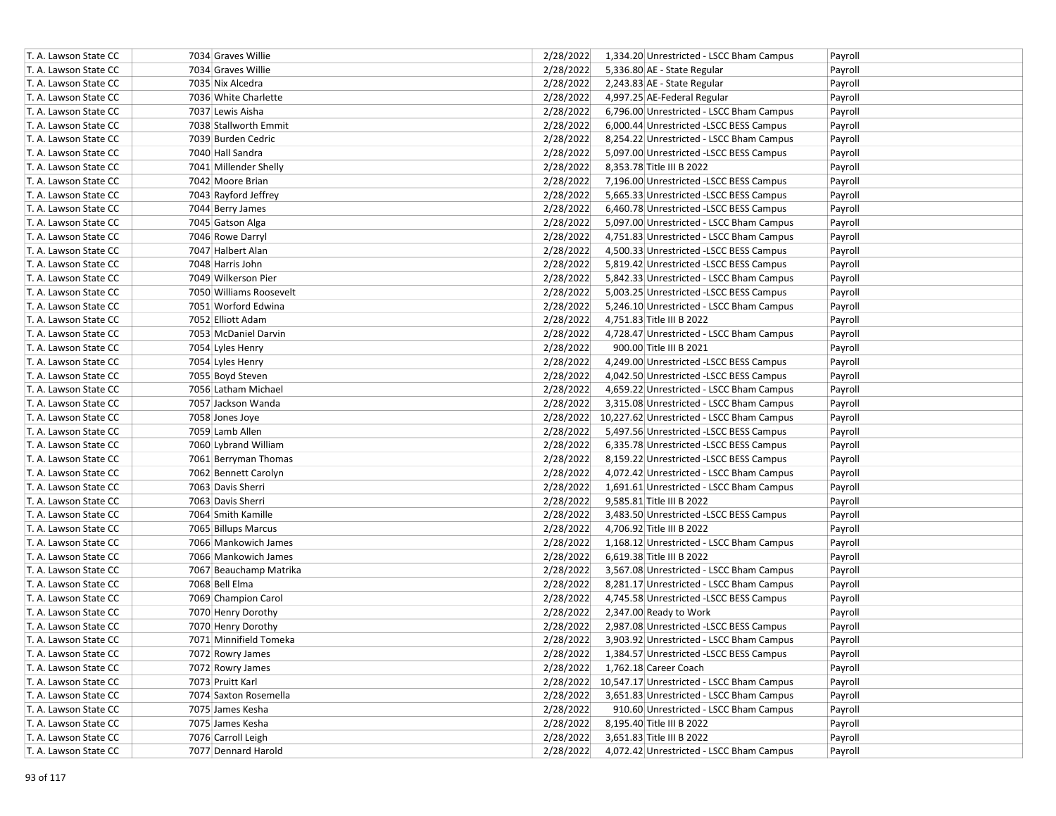| T. A. Lawson State CC | 7034 Graves Willie      | 2/28/2022 | 1,334.20 Unrestricted - LSCC Bham Campus            | Payroll |
|-----------------------|-------------------------|-----------|-----------------------------------------------------|---------|
| T. A. Lawson State CC | 7034 Graves Willie      | 2/28/2022 | 5,336.80 AE - State Regular                         | Payroll |
| T. A. Lawson State CC | 7035 Nix Alcedra        | 2/28/2022 | 2,243.83 AE - State Regular                         | Payroll |
| T. A. Lawson State CC | 7036 White Charlette    | 2/28/2022 | 4,997.25 AE-Federal Regular                         | Payroll |
| T. A. Lawson State CC | 7037 Lewis Aisha        | 2/28/2022 | 6,796.00 Unrestricted - LSCC Bham Campus            | Payroll |
| T. A. Lawson State CC | 7038 Stallworth Emmit   | 2/28/2022 | 6,000.44 Unrestricted -LSCC BESS Campus             | Payroll |
| T. A. Lawson State CC | 7039 Burden Cedric      | 2/28/2022 | 8,254.22 Unrestricted - LSCC Bham Campus            | Payroll |
| T. A. Lawson State CC | 7040 Hall Sandra        | 2/28/2022 | 5,097.00 Unrestricted -LSCC BESS Campus             | Payroll |
| T. A. Lawson State CC | 7041 Millender Shelly   | 2/28/2022 | 8,353.78 Title III B 2022                           | Payroll |
| T. A. Lawson State CC | 7042 Moore Brian        | 2/28/2022 | 7,196.00 Unrestricted -LSCC BESS Campus             | Payroll |
| T. A. Lawson State CC | 7043 Rayford Jeffrey    | 2/28/2022 | 5,665.33 Unrestricted -LSCC BESS Campus             | Payroll |
| T. A. Lawson State CC | 7044 Berry James        | 2/28/2022 | 6,460.78 Unrestricted -LSCC BESS Campus             | Payroll |
| T. A. Lawson State CC | 7045 Gatson Alga        | 2/28/2022 | 5,097.00 Unrestricted - LSCC Bham Campus            | Payroll |
| T. A. Lawson State CC | 7046 Rowe Darryl        | 2/28/2022 | 4,751.83 Unrestricted - LSCC Bham Campus            | Payroll |
| T. A. Lawson State CC | 7047 Halbert Alan       | 2/28/2022 | 4,500.33 Unrestricted -LSCC BESS Campus             | Payroll |
| T. A. Lawson State CC | 7048 Harris John        | 2/28/2022 | 5,819.42 Unrestricted -LSCC BESS Campus             | Payroll |
| T. A. Lawson State CC | 7049 Wilkerson Pier     | 2/28/2022 | 5,842.33 Unrestricted - LSCC Bham Campus            | Payroll |
| T. A. Lawson State CC | 7050 Williams Roosevelt | 2/28/2022 | 5,003.25 Unrestricted -LSCC BESS Campus             | Payroll |
| T. A. Lawson State CC | 7051 Worford Edwina     | 2/28/2022 | 5,246.10 Unrestricted - LSCC Bham Campus            | Payroll |
| T. A. Lawson State CC | 7052 Elliott Adam       | 2/28/2022 | 4,751.83 Title III B 2022                           | Payroll |
| T. A. Lawson State CC | 7053 McDaniel Darvin    | 2/28/2022 | 4,728.47 Unrestricted - LSCC Bham Campus            | Payroll |
| T. A. Lawson State CC | 7054 Lyles Henry        | 2/28/2022 | 900.00 Title III B 2021                             | Payroll |
| T. A. Lawson State CC | 7054 Lyles Henry        | 2/28/2022 | 4,249.00 Unrestricted -LSCC BESS Campus             | Payroll |
| T. A. Lawson State CC | 7055 Boyd Steven        | 2/28/2022 | 4,042.50 Unrestricted -LSCC BESS Campus             | Payroll |
| T. A. Lawson State CC | 7056 Latham Michael     | 2/28/2022 | 4,659.22 Unrestricted - LSCC Bham Campus            | Payroll |
| T. A. Lawson State CC | 7057 Jackson Wanda      | 2/28/2022 | 3,315.08 Unrestricted - LSCC Bham Campus            | Payroll |
| T. A. Lawson State CC | 7058 Jones Joye         |           | 2/28/2022 10,227.62 Unrestricted - LSCC Bham Campus | Payroll |
| T. A. Lawson State CC | 7059 Lamb Allen         | 2/28/2022 | 5,497.56 Unrestricted -LSCC BESS Campus             | Payroll |
| T. A. Lawson State CC | 7060 Lybrand William    | 2/28/2022 | 6,335.78 Unrestricted -LSCC BESS Campus             | Payroll |
| T. A. Lawson State CC | 7061 Berryman Thomas    | 2/28/2022 | 8,159.22 Unrestricted -LSCC BESS Campus             | Payroll |
| T. A. Lawson State CC | 7062 Bennett Carolyn    | 2/28/2022 | 4,072.42 Unrestricted - LSCC Bham Campus            | Payroll |
| T. A. Lawson State CC | 7063 Davis Sherri       | 2/28/2022 | 1,691.61 Unrestricted - LSCC Bham Campus            | Payroll |
| T. A. Lawson State CC | 7063 Davis Sherri       | 2/28/2022 | 9,585.81 Title III B 2022                           | Payroll |
| T. A. Lawson State CC | 7064 Smith Kamille      | 2/28/2022 | 3,483.50 Unrestricted -LSCC BESS Campus             | Payroll |
| T. A. Lawson State CC | 7065 Billups Marcus     | 2/28/2022 | 4,706.92 Title III B 2022                           | Payroll |
| T. A. Lawson State CC | 7066 Mankowich James    | 2/28/2022 | 1,168.12 Unrestricted - LSCC Bham Campus            | Payroll |
| T. A. Lawson State CC | 7066 Mankowich James    | 2/28/2022 | 6,619.38 Title III B 2022                           | Payroll |
| T. A. Lawson State CC | 7067 Beauchamp Matrika  | 2/28/2022 | 3,567.08 Unrestricted - LSCC Bham Campus            | Payroll |
| T. A. Lawson State CC | 7068 Bell Elma          | 2/28/2022 | 8,281.17 Unrestricted - LSCC Bham Campus            | Payroll |
| T. A. Lawson State CC | 7069 Champion Carol     | 2/28/2022 | 4,745.58 Unrestricted -LSCC BESS Campus             | Payroll |
| T. A. Lawson State CC | 7070 Henry Dorothy      | 2/28/2022 | 2,347.00 Ready to Work                              | Payroll |
| T. A. Lawson State CC | 7070 Henry Dorothy      | 2/28/2022 | 2,987.08 Unrestricted -LSCC BESS Campus             | Payroll |
| T. A. Lawson State CC | 7071 Minnifield Tomeka  | 2/28/2022 | 3,903.92 Unrestricted - LSCC Bham Campus            | Payroll |
| T. A. Lawson State CC | 7072 Rowry James        | 2/28/2022 | 1,384.57 Unrestricted -LSCC BESS Campus             | Payroll |
| T. A. Lawson State CC | 7072 Rowry James        | 2/28/2022 | 1,762.18 Career Coach                               | Payroll |
| T. A. Lawson State CC | 7073 Pruitt Karl        |           | 2/28/2022 10,547.17 Unrestricted - LSCC Bham Campus | Payroll |
| T. A. Lawson State CC | 7074 Saxton Rosemella   | 2/28/2022 | 3,651.83 Unrestricted - LSCC Bham Campus            | Payroll |
| T. A. Lawson State CC | 7075 James Kesha        | 2/28/2022 | 910.60 Unrestricted - LSCC Bham Campus              | Payroll |
| T. A. Lawson State CC | 7075 James Kesha        | 2/28/2022 | 8,195.40 Title III B 2022                           | Payroll |
| T. A. Lawson State CC | 7076 Carroll Leigh      | 2/28/2022 | 3,651.83 Title III B 2022                           | Payroll |
| T. A. Lawson State CC | 7077 Dennard Harold     | 2/28/2022 | 4,072.42 Unrestricted - LSCC Bham Campus            | Payroll |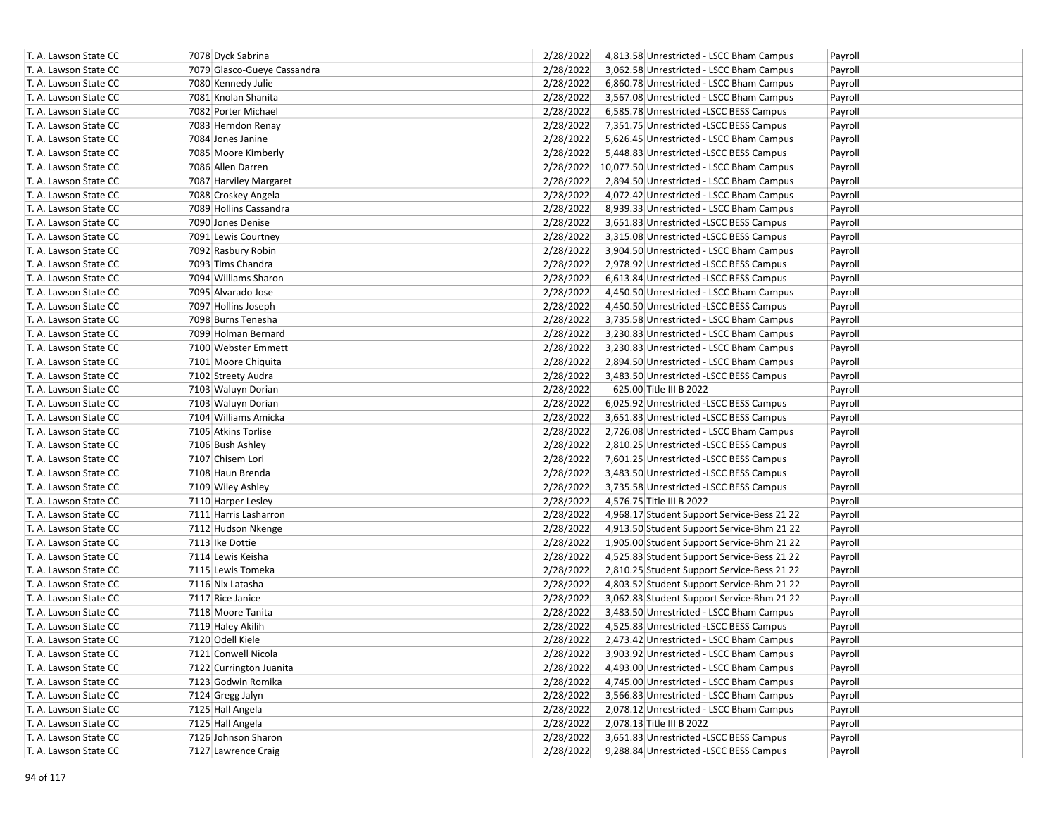| T. A. Lawson State CC | 7078 Dyck Sabrina           | 2/28/2022<br>4,813.58 Unrestricted - LSCC Bham Campus    | Payroll |
|-----------------------|-----------------------------|----------------------------------------------------------|---------|
| T. A. Lawson State CC | 7079 Glasco-Gueye Cassandra | 2/28/2022<br>3,062.58 Unrestricted - LSCC Bham Campus    | Payroll |
| T. A. Lawson State CC | 7080 Kennedy Julie          | 2/28/2022<br>6,860.78 Unrestricted - LSCC Bham Campus    | Payroll |
| T. A. Lawson State CC | 7081 Knolan Shanita         | 2/28/2022<br>3,567.08 Unrestricted - LSCC Bham Campus    | Payroll |
| T. A. Lawson State CC | 7082 Porter Michael         | 2/28/2022<br>6,585.78 Unrestricted -LSCC BESS Campus     | Payroll |
| T. A. Lawson State CC | 7083 Herndon Renay          | 2/28/2022<br>7,351.75 Unrestricted -LSCC BESS Campus     | Payroll |
| T. A. Lawson State CC | 7084 Jones Janine           | 2/28/2022<br>5,626.45 Unrestricted - LSCC Bham Campus    | Payroll |
| T. A. Lawson State CC | 7085 Moore Kimberly         | 2/28/2022<br>5,448.83 Unrestricted -LSCC BESS Campus     | Payroll |
| T. A. Lawson State CC | 7086 Allen Darren           | 2/28/2022 10,077.50 Unrestricted - LSCC Bham Campus      | Payroll |
| T. A. Lawson State CC | 7087 Harviley Margaret      | 2/28/2022<br>2,894.50 Unrestricted - LSCC Bham Campus    | Payroll |
| T. A. Lawson State CC | 7088 Croskey Angela         | 2/28/2022<br>4,072.42 Unrestricted - LSCC Bham Campus    | Payroll |
| T. A. Lawson State CC | 7089 Hollins Cassandra      | 2/28/2022<br>8,939.33 Unrestricted - LSCC Bham Campus    | Payroll |
| T. A. Lawson State CC | 7090 Jones Denise           | 2/28/2022<br>3,651.83 Unrestricted -LSCC BESS Campus     | Payroll |
| T. A. Lawson State CC | 7091 Lewis Courtney         | 2/28/2022<br>3,315.08 Unrestricted -LSCC BESS Campus     | Payroll |
| T. A. Lawson State CC | 7092 Rasbury Robin          | 2/28/2022<br>3,904.50 Unrestricted - LSCC Bham Campus    | Payroll |
| T. A. Lawson State CC | 7093 Tims Chandra           | 2/28/2022<br>2,978.92 Unrestricted -LSCC BESS Campus     | Payroll |
| T. A. Lawson State CC | 7094 Williams Sharon        | 2/28/2022<br>6,613.84 Unrestricted -LSCC BESS Campus     | Payroll |
| T. A. Lawson State CC | 7095 Alvarado Jose          | 2/28/2022<br>4,450.50 Unrestricted - LSCC Bham Campus    | Payroll |
| T. A. Lawson State CC | 7097 Hollins Joseph         | 2/28/2022<br>4,450.50 Unrestricted -LSCC BESS Campus     | Payroll |
| T. A. Lawson State CC | 7098 Burns Tenesha          | 2/28/2022<br>3,735.58 Unrestricted - LSCC Bham Campus    | Payroll |
| T. A. Lawson State CC | 7099 Holman Bernard         | 2/28/2022<br>3,230.83 Unrestricted - LSCC Bham Campus    | Payroll |
| T. A. Lawson State CC | 7100 Webster Emmett         | 2/28/2022<br>3,230.83 Unrestricted - LSCC Bham Campus    | Payroll |
| T. A. Lawson State CC | 7101 Moore Chiquita         | 2/28/2022<br>2,894.50 Unrestricted - LSCC Bham Campus    | Payroll |
| T. A. Lawson State CC | 7102 Streety Audra          | 2/28/2022<br>3,483.50 Unrestricted -LSCC BESS Campus     | Payroll |
| T. A. Lawson State CC | 7103 Waluyn Dorian          | 2/28/2022<br>625.00 Title III B 2022                     | Payroll |
| T. A. Lawson State CC | 7103 Waluyn Dorian          | 2/28/2022<br>6,025.92 Unrestricted -LSCC BESS Campus     | Payroll |
| T. A. Lawson State CC | 7104 Williams Amicka        | 2/28/2022<br>3,651.83 Unrestricted - LSCC BESS Campus    | Payroll |
| T. A. Lawson State CC | 7105 Atkins Torlise         | 2/28/2022<br>2,726.08 Unrestricted - LSCC Bham Campus    | Payroll |
| T. A. Lawson State CC | 7106 Bush Ashley            | 2/28/2022<br>2,810.25 Unrestricted -LSCC BESS Campus     | Payroll |
| T. A. Lawson State CC | 7107 Chisem Lori            | 2/28/2022<br>7,601.25 Unrestricted -LSCC BESS Campus     | Payroll |
| T. A. Lawson State CC | 7108 Haun Brenda            | 2/28/2022<br>3,483.50 Unrestricted -LSCC BESS Campus     | Payroll |
| T. A. Lawson State CC | 7109 Wiley Ashley           | 2/28/2022<br>3,735.58 Unrestricted -LSCC BESS Campus     | Payroll |
| T. A. Lawson State CC | 7110 Harper Lesley          | 2/28/2022<br>4,576.75 Title III B 2022                   | Payroll |
| T. A. Lawson State CC | 7111 Harris Lasharron       | 2/28/2022<br>4,968.17 Student Support Service-Bess 21 22 | Payroll |
| T. A. Lawson State CC | 7112 Hudson Nkenge          | 2/28/2022<br>4,913.50 Student Support Service-Bhm 21 22  | Payroll |
| T. A. Lawson State CC | 7113 Ike Dottie             | 2/28/2022<br>1,905.00 Student Support Service-Bhm 21 22  | Payroll |
| T. A. Lawson State CC | 7114 Lewis Keisha           | 2/28/2022<br>4,525.83 Student Support Service-Bess 21 22 | Payroll |
| T. A. Lawson State CC | 7115 Lewis Tomeka           | 2/28/2022<br>2,810.25 Student Support Service-Bess 21 22 | Payroll |
| T. A. Lawson State CC | 7116 Nix Latasha            | 2/28/2022<br>4,803.52 Student Support Service-Bhm 21 22  | Payroll |
| T. A. Lawson State CC | 7117 Rice Janice            | 2/28/2022<br>3,062.83 Student Support Service-Bhm 21 22  | Payroll |
| T. A. Lawson State CC | 7118 Moore Tanita           | 2/28/2022<br>3,483.50 Unrestricted - LSCC Bham Campus    | Payroll |
| T. A. Lawson State CC | 7119 Haley Akilih           | 2/28/2022<br>4,525.83 Unrestricted -LSCC BESS Campus     | Payroll |
| T. A. Lawson State CC | 7120 Odell Kiele            | 2/28/2022<br>2,473.42 Unrestricted - LSCC Bham Campus    | Payroll |
| T. A. Lawson State CC | 7121 Conwell Nicola         | 2/28/2022<br>3,903.92 Unrestricted - LSCC Bham Campus    | Payroll |
| T. A. Lawson State CC | 7122 Currington Juanita     | 2/28/2022<br>4,493.00 Unrestricted - LSCC Bham Campus    | Payroll |
| T. A. Lawson State CC | 7123 Godwin Romika          | 2/28/2022<br>4,745.00 Unrestricted - LSCC Bham Campus    | Payroll |
| T. A. Lawson State CC | 7124 Gregg Jalyn            | 2/28/2022<br>3,566.83 Unrestricted - LSCC Bham Campus    | Payroll |
| T. A. Lawson State CC | 7125 Hall Angela            | 2/28/2022<br>2,078.12 Unrestricted - LSCC Bham Campus    | Payroll |
| T. A. Lawson State CC | 7125 Hall Angela            | 2/28/2022<br>2,078.13 Title III B 2022                   | Payroll |
| T. A. Lawson State CC | 7126 Johnson Sharon         | 3,651.83 Unrestricted -LSCC BESS Campus<br>2/28/2022     | Payroll |
| T. A. Lawson State CC | 7127 Lawrence Craig         | 2/28/2022<br>9,288.84 Unrestricted -LSCC BESS Campus     | Payroll |
|                       |                             |                                                          |         |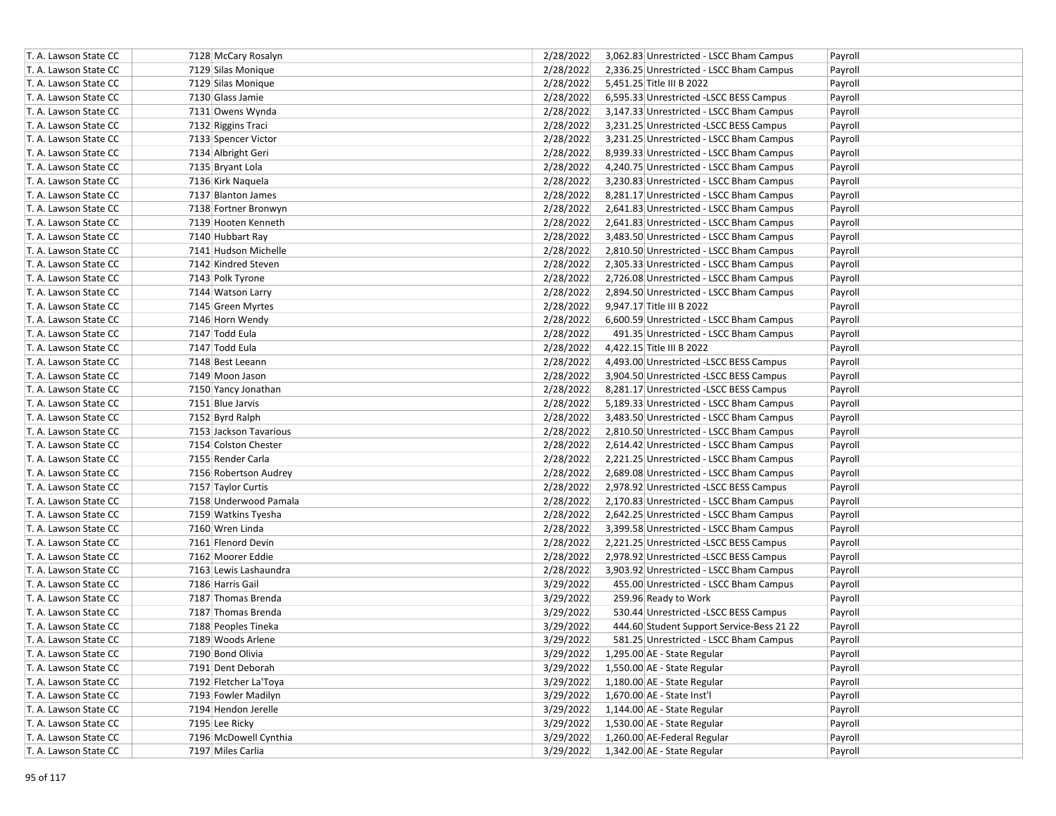| T. A. Lawson State CC | 7128 McCary Rosalyn    | 2/28/2022 | 3,062.83 Unrestricted - LSCC Bham Campus  | Payroll |
|-----------------------|------------------------|-----------|-------------------------------------------|---------|
| T. A. Lawson State CC | 7129 Silas Monique     | 2/28/2022 | 2,336.25 Unrestricted - LSCC Bham Campus  | Payroll |
| T. A. Lawson State CC | 7129 Silas Monique     | 2/28/2022 | 5,451.25 Title III B 2022                 | Payroll |
| T. A. Lawson State CC | 7130 Glass Jamie       | 2/28/2022 | 6,595.33 Unrestricted -LSCC BESS Campus   | Payroll |
| T. A. Lawson State CC | 7131 Owens Wynda       | 2/28/2022 | 3,147.33 Unrestricted - LSCC Bham Campus  | Payroll |
| T. A. Lawson State CC | 7132 Riggins Traci     | 2/28/2022 | 3,231.25 Unrestricted -LSCC BESS Campus   | Payroll |
| T. A. Lawson State CC | 7133 Spencer Victor    | 2/28/2022 | 3,231.25 Unrestricted - LSCC Bham Campus  | Payroll |
| T. A. Lawson State CC | 7134 Albright Geri     | 2/28/2022 | 8,939.33 Unrestricted - LSCC Bham Campus  | Payroll |
| T. A. Lawson State CC | 7135 Bryant Lola       | 2/28/2022 | 4,240.75 Unrestricted - LSCC Bham Campus  | Payroll |
| T. A. Lawson State CC | 7136 Kirk Naquela      | 2/28/2022 | 3,230.83 Unrestricted - LSCC Bham Campus  | Payroll |
| T. A. Lawson State CC | 7137 Blanton James     | 2/28/2022 | 8,281.17 Unrestricted - LSCC Bham Campus  | Payroll |
| T. A. Lawson State CC | 7138 Fortner Bronwyn   | 2/28/2022 | 2,641.83 Unrestricted - LSCC Bham Campus  | Payroll |
| T. A. Lawson State CC | 7139 Hooten Kenneth    | 2/28/2022 | 2,641.83 Unrestricted - LSCC Bham Campus  | Payroll |
| T. A. Lawson State CC | 7140 Hubbart Ray       | 2/28/2022 | 3,483.50 Unrestricted - LSCC Bham Campus  | Payroll |
| T. A. Lawson State CC | 7141 Hudson Michelle   | 2/28/2022 | 2,810.50 Unrestricted - LSCC Bham Campus  | Payroll |
| T. A. Lawson State CC | 7142 Kindred Steven    | 2/28/2022 | 2,305.33 Unrestricted - LSCC Bham Campus  | Payroll |
| T. A. Lawson State CC | 7143 Polk Tyrone       | 2/28/2022 | 2,726.08 Unrestricted - LSCC Bham Campus  | Payroll |
| T. A. Lawson State CC | 7144 Watson Larry      | 2/28/2022 | 2,894.50 Unrestricted - LSCC Bham Campus  | Payroll |
| T. A. Lawson State CC | 7145 Green Myrtes      | 2/28/2022 | 9,947.17 Title III B 2022                 | Payroll |
| T. A. Lawson State CC | 7146 Horn Wendy        | 2/28/2022 | 6,600.59 Unrestricted - LSCC Bham Campus  | Payroll |
| T. A. Lawson State CC | 7147 Todd Eula         | 2/28/2022 | 491.35 Unrestricted - LSCC Bham Campus    | Payroll |
| T. A. Lawson State CC | 7147 Todd Eula         | 2/28/2022 | 4,422.15 Title III B 2022                 | Payroll |
| T. A. Lawson State CC | 7148 Best Leeann       | 2/28/2022 | 4,493.00 Unrestricted -LSCC BESS Campus   | Payroll |
| T. A. Lawson State CC | 7149 Moon Jason        | 2/28/2022 | 3,904.50 Unrestricted -LSCC BESS Campus   | Payroll |
| T. A. Lawson State CC | 7150 Yancy Jonathan    | 2/28/2022 | 8,281.17 Unrestricted -LSCC BESS Campus   | Payroll |
| T. A. Lawson State CC | 7151 Blue Jarvis       | 2/28/2022 | 5,189.33 Unrestricted - LSCC Bham Campus  | Payroll |
| T. A. Lawson State CC | 7152 Byrd Ralph        | 2/28/2022 | 3,483.50 Unrestricted - LSCC Bham Campus  | Payroll |
| T. A. Lawson State CC | 7153 Jackson Tavarious | 2/28/2022 | 2,810.50 Unrestricted - LSCC Bham Campus  | Payroll |
| T. A. Lawson State CC | 7154 Colston Chester   | 2/28/2022 | 2,614.42 Unrestricted - LSCC Bham Campus  | Payroll |
| T. A. Lawson State CC | 7155 Render Carla      | 2/28/2022 | 2,221.25 Unrestricted - LSCC Bham Campus  | Payroll |
| T. A. Lawson State CC | 7156 Robertson Audrey  | 2/28/2022 | 2,689.08 Unrestricted - LSCC Bham Campus  | Payroll |
| T. A. Lawson State CC | 7157 Taylor Curtis     | 2/28/2022 | 2,978.92 Unrestricted -LSCC BESS Campus   | Payroll |
| T. A. Lawson State CC | 7158 Underwood Pamala  | 2/28/2022 | 2,170.83 Unrestricted - LSCC Bham Campus  | Payroll |
| T. A. Lawson State CC | 7159 Watkins Tyesha    | 2/28/2022 | 2,642.25 Unrestricted - LSCC Bham Campus  | Payroll |
| T. A. Lawson State CC | 7160 Wren Linda        | 2/28/2022 | 3,399.58 Unrestricted - LSCC Bham Campus  | Payroll |
| T. A. Lawson State CC | 7161 Flenord Devin     | 2/28/2022 | 2,221.25 Unrestricted -LSCC BESS Campus   | Payroll |
| T. A. Lawson State CC | 7162 Moorer Eddie      | 2/28/2022 | 2,978.92 Unrestricted -LSCC BESS Campus   | Payroll |
| T. A. Lawson State CC | 7163 Lewis Lashaundra  | 2/28/2022 | 3,903.92 Unrestricted - LSCC Bham Campus  | Payroll |
| T. A. Lawson State CC | 7186 Harris Gail       | 3/29/2022 | 455.00 Unrestricted - LSCC Bham Campus    | Payroll |
| T. A. Lawson State CC | 7187 Thomas Brenda     | 3/29/2022 | 259.96 Ready to Work                      | Payroll |
| T. A. Lawson State CC | 7187 Thomas Brenda     | 3/29/2022 | 530.44 Unrestricted -LSCC BESS Campus     | Payroll |
| T. A. Lawson State CC | 7188 Peoples Tineka    | 3/29/2022 | 444.60 Student Support Service-Bess 21 22 | Payroll |
| T. A. Lawson State CC | 7189 Woods Arlene      | 3/29/2022 | 581.25 Unrestricted - LSCC Bham Campus    | Payroll |
| T. A. Lawson State CC | 7190 Bond Olivia       | 3/29/2022 | 1,295.00 AE - State Regular               | Payroll |
| T. A. Lawson State CC | 7191 Dent Deborah      | 3/29/2022 | 1,550.00 AE - State Regular               | Payroll |
| T. A. Lawson State CC | 7192 Fletcher La'Toya  | 3/29/2022 | 1,180.00 AE - State Regular               | Payroll |
| T. A. Lawson State CC | 7193 Fowler Madilyn    | 3/29/2022 | 1,670.00 AE - State Inst'l                | Payroll |
| T. A. Lawson State CC | 7194 Hendon Jerelle    | 3/29/2022 | 1,144.00 AE - State Regular               | Payroll |
| T. A. Lawson State CC | 7195 Lee Ricky         | 3/29/2022 | 1,530.00 AE - State Regular               | Payroll |
| T. A. Lawson State CC | 7196 McDowell Cynthia  | 3/29/2022 | 1,260.00 AE-Federal Regular               | Payroll |
| T. A. Lawson State CC | 7197 Miles Carlia      | 3/29/2022 | 1,342.00 AE - State Regular               | Payroll |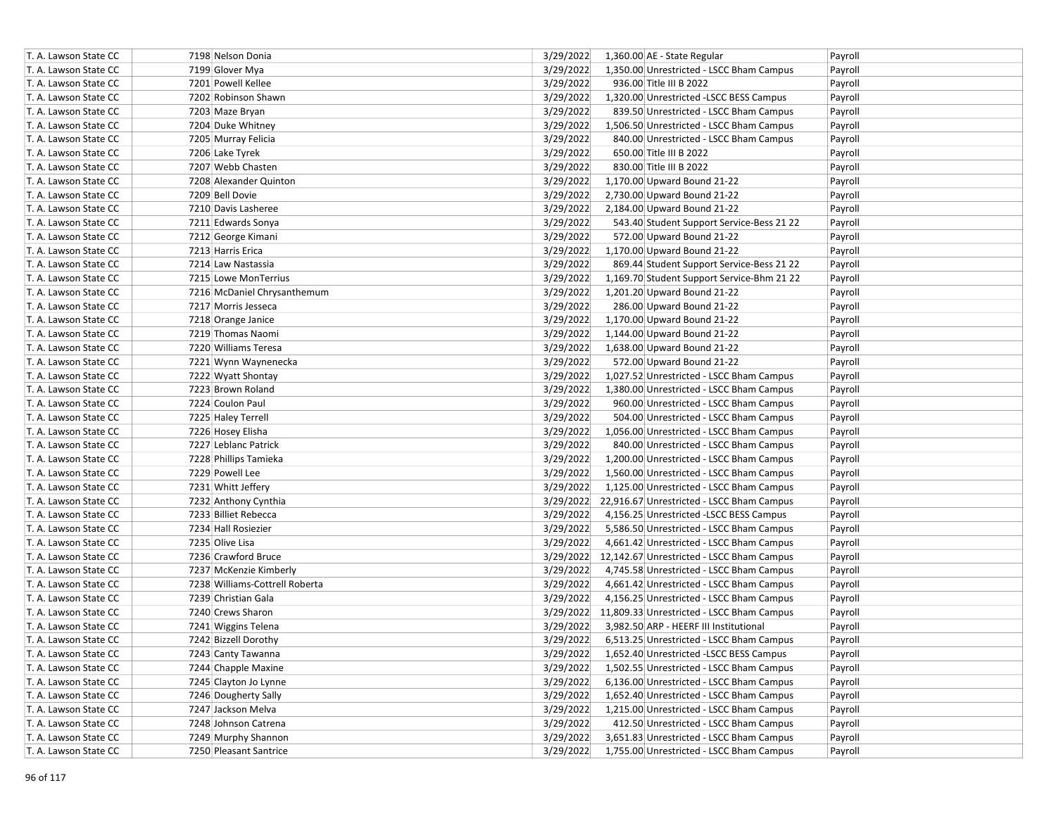| T. A. Lawson State CC | 7198 Nelson Donia              | 3/29/2022 | 1,360.00 AE - State Regular                         | Payroll |
|-----------------------|--------------------------------|-----------|-----------------------------------------------------|---------|
| T. A. Lawson State CC | 7199 Glover Mya                | 3/29/2022 | 1,350.00 Unrestricted - LSCC Bham Campus            | Payroll |
| T. A. Lawson State CC | 7201 Powell Kellee             | 3/29/2022 | 936.00 Title III B 2022                             | Payroll |
| T. A. Lawson State CC | 7202 Robinson Shawn            | 3/29/2022 | 1,320.00 Unrestricted -LSCC BESS Campus             | Payroll |
| T. A. Lawson State CC | 7203 Maze Bryan                | 3/29/2022 | 839.50 Unrestricted - LSCC Bham Campus              | Payroll |
| T. A. Lawson State CC | 7204 Duke Whitney              | 3/29/2022 | 1,506.50 Unrestricted - LSCC Bham Campus            | Payroll |
| T. A. Lawson State CC | 7205 Murray Felicia            | 3/29/2022 | 840.00 Unrestricted - LSCC Bham Campus              | Payroll |
| T. A. Lawson State CC | 7206 Lake Tyrek                | 3/29/2022 | 650.00 Title III B 2022                             | Payroll |
| T. A. Lawson State CC | 7207 Webb Chasten              | 3/29/2022 | 830.00 Title III B 2022                             | Payroll |
| T. A. Lawson State CC | 7208 Alexander Quinton         | 3/29/2022 | 1,170.00 Upward Bound 21-22                         | Payroll |
| T. A. Lawson State CC | 7209 Bell Dovie                | 3/29/2022 | 2,730.00 Upward Bound 21-22                         | Payroll |
| T. A. Lawson State CC | 7210 Davis Lasheree            | 3/29/2022 | 2,184.00 Upward Bound 21-22                         | Payroll |
| T. A. Lawson State CC | 7211 Edwards Sonya             | 3/29/2022 | 543.40 Student Support Service-Bess 21 22           | Payroll |
| T. A. Lawson State CC | 7212 George Kimani             | 3/29/2022 | 572.00 Upward Bound 21-22                           | Payroll |
| T. A. Lawson State CC | 7213 Harris Erica              | 3/29/2022 | 1,170.00 Upward Bound 21-22                         | Payroll |
| T. A. Lawson State CC | 7214 Law Nastassia             | 3/29/2022 | 869.44 Student Support Service-Bess 21 22           | Payroll |
| T. A. Lawson State CC | 7215 Lowe MonTerrius           | 3/29/2022 | 1,169.70 Student Support Service-Bhm 21 22          | Payroll |
| T. A. Lawson State CC | 7216 McDaniel Chrysanthemum    | 3/29/2022 | 1,201.20 Upward Bound 21-22                         | Payroll |
| T. A. Lawson State CC | 7217 Morris Jesseca            | 3/29/2022 | 286.00 Upward Bound 21-22                           | Payroll |
| T. A. Lawson State CC | 7218 Orange Janice             | 3/29/2022 | 1,170.00 Upward Bound 21-22                         | Payroll |
| T. A. Lawson State CC | 7219 Thomas Naomi              | 3/29/2022 | 1,144.00 Upward Bound 21-22                         | Payroll |
| T. A. Lawson State CC | 7220 Williams Teresa           | 3/29/2022 | 1,638.00 Upward Bound 21-22                         | Payroll |
| T. A. Lawson State CC | 7221 Wynn Waynenecka           | 3/29/2022 | 572.00 Upward Bound 21-22                           | Payroll |
| T. A. Lawson State CC | 7222 Wyatt Shontay             | 3/29/2022 | 1,027.52 Unrestricted - LSCC Bham Campus            | Payroll |
| T. A. Lawson State CC | 7223 Brown Roland              | 3/29/2022 | 1,380.00 Unrestricted - LSCC Bham Campus            | Payroll |
| T. A. Lawson State CC | 7224 Coulon Paul               | 3/29/2022 | 960.00 Unrestricted - LSCC Bham Campus              | Payroll |
| T. A. Lawson State CC | 7225 Haley Terrell             | 3/29/2022 | 504.00 Unrestricted - LSCC Bham Campus              | Payroll |
| T. A. Lawson State CC | 7226 Hosey Elisha              | 3/29/2022 | 1,056.00 Unrestricted - LSCC Bham Campus            | Payroll |
| T. A. Lawson State CC | 7227 Leblanc Patrick           | 3/29/2022 | 840.00 Unrestricted - LSCC Bham Campus              | Payroll |
| T. A. Lawson State CC | 7228 Phillips Tamieka          | 3/29/2022 | 1,200.00 Unrestricted - LSCC Bham Campus            | Payroll |
| T. A. Lawson State CC | 7229 Powell Lee                | 3/29/2022 | 1,560.00 Unrestricted - LSCC Bham Campus            | Payroll |
| T. A. Lawson State CC | 7231 Whitt Jeffery             | 3/29/2022 | 1,125.00 Unrestricted - LSCC Bham Campus            | Payroll |
| T. A. Lawson State CC | 7232 Anthony Cynthia           |           | 3/29/2022 22,916.67 Unrestricted - LSCC Bham Campus | Payroll |
| T. A. Lawson State CC | 7233 Billiet Rebecca           | 3/29/2022 | 4,156.25 Unrestricted -LSCC BESS Campus             | Payroll |
| T. A. Lawson State CC | 7234 Hall Rosiezier            | 3/29/2022 | 5,586.50 Unrestricted - LSCC Bham Campus            | Payroll |
| T. A. Lawson State CC | 7235 Olive Lisa                | 3/29/2022 | 4,661.42 Unrestricted - LSCC Bham Campus            | Payroll |
| T. A. Lawson State CC | 7236 Crawford Bruce            |           | 3/29/2022 12,142.67 Unrestricted - LSCC Bham Campus | Payroll |
| T. A. Lawson State CC | 7237 McKenzie Kimberly         | 3/29/2022 | 4,745.58 Unrestricted - LSCC Bham Campus            | Payroll |
| T. A. Lawson State CC | 7238 Williams-Cottrell Roberta | 3/29/2022 | 4,661.42 Unrestricted - LSCC Bham Campus            | Payroll |
| T. A. Lawson State CC | 7239 Christian Gala            | 3/29/2022 | 4,156.25 Unrestricted - LSCC Bham Campus            | Payroll |
| T. A. Lawson State CC | 7240 Crews Sharon              |           | 3/29/2022 11,809.33 Unrestricted - LSCC Bham Campus | Payroll |
| T. A. Lawson State CC | 7241 Wiggins Telena            | 3/29/2022 | 3,982.50 ARP - HEERF III Institutional              | Payroll |
| T. A. Lawson State CC | 7242 Bizzell Dorothy           | 3/29/2022 | 6,513.25 Unrestricted - LSCC Bham Campus            | Payroll |
| T. A. Lawson State CC | 7243 Canty Tawanna             | 3/29/2022 | 1,652.40 Unrestricted -LSCC BESS Campus             | Payroll |
| T. A. Lawson State CC | 7244 Chapple Maxine            | 3/29/2022 | 1,502.55 Unrestricted - LSCC Bham Campus            | Payroll |
| T. A. Lawson State CC | 7245 Clayton Jo Lynne          | 3/29/2022 | 6,136.00 Unrestricted - LSCC Bham Campus            | Payroll |
| T. A. Lawson State CC | 7246 Dougherty Sally           | 3/29/2022 | 1,652.40 Unrestricted - LSCC Bham Campus            | Payroll |
| T. A. Lawson State CC | 7247 Jackson Melva             | 3/29/2022 | 1,215.00 Unrestricted - LSCC Bham Campus            | Payroll |
| T. A. Lawson State CC | 7248 Johnson Catrena           | 3/29/2022 | 412.50 Unrestricted - LSCC Bham Campus              | Payroll |
| T. A. Lawson State CC | 7249 Murphy Shannon            | 3/29/2022 | 3,651.83 Unrestricted - LSCC Bham Campus            | Payroll |
| T. A. Lawson State CC | 7250 Pleasant Santrice         | 3/29/2022 | 1,755.00 Unrestricted - LSCC Bham Campus            | Payroll |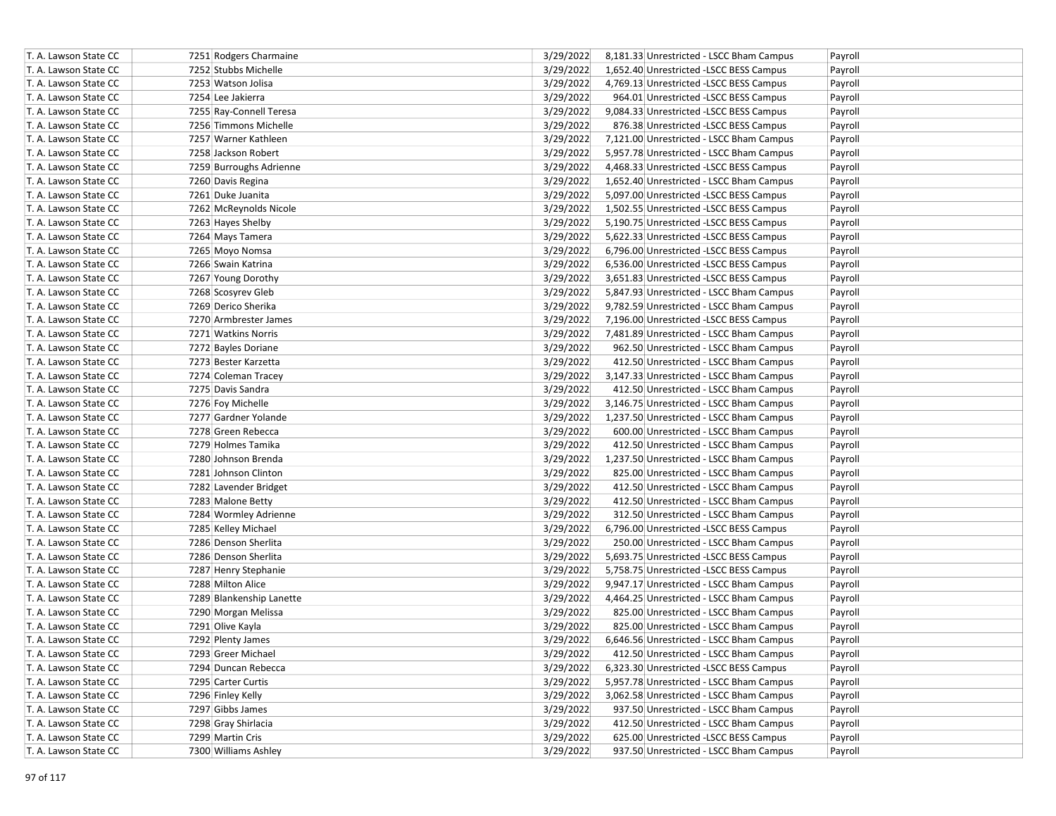| T. A. Lawson State CC | 7251 Rodgers Charmaine   | 3/29/2022 | 8,181.33 Unrestricted - LSCC Bham Campus | Payroll |
|-----------------------|--------------------------|-----------|------------------------------------------|---------|
| T. A. Lawson State CC | 7252 Stubbs Michelle     | 3/29/2022 | 1,652.40 Unrestricted -LSCC BESS Campus  | Payroll |
| T. A. Lawson State CC | 7253 Watson Jolisa       | 3/29/2022 | 4,769.13 Unrestricted -LSCC BESS Campus  | Payroll |
| T. A. Lawson State CC | 7254 Lee Jakierra        | 3/29/2022 | 964.01 Unrestricted -LSCC BESS Campus    | Payroll |
| T. A. Lawson State CC | 7255 Ray-Connell Teresa  | 3/29/2022 | 9,084.33 Unrestricted -LSCC BESS Campus  | Payroll |
| T. A. Lawson State CC | 7256 Timmons Michelle    | 3/29/2022 | 876.38 Unrestricted -LSCC BESS Campus    | Payroll |
| T. A. Lawson State CC | 7257 Warner Kathleen     | 3/29/2022 | 7,121.00 Unrestricted - LSCC Bham Campus | Payroll |
| T. A. Lawson State CC | 7258 Jackson Robert      | 3/29/2022 | 5,957.78 Unrestricted - LSCC Bham Campus | Payroll |
| T. A. Lawson State CC | 7259 Burroughs Adrienne  | 3/29/2022 | 4,468.33 Unrestricted -LSCC BESS Campus  | Payroll |
| T. A. Lawson State CC | 7260 Davis Regina        | 3/29/2022 | 1,652.40 Unrestricted - LSCC Bham Campus | Payroll |
| T. A. Lawson State CC | 7261 Duke Juanita        | 3/29/2022 | 5,097.00 Unrestricted -LSCC BESS Campus  | Payroll |
| T. A. Lawson State CC | 7262 McReynolds Nicole   | 3/29/2022 | 1,502.55 Unrestricted -LSCC BESS Campus  | Payroll |
| T. A. Lawson State CC | 7263 Hayes Shelby        | 3/29/2022 | 5,190.75 Unrestricted -LSCC BESS Campus  | Payroll |
| T. A. Lawson State CC | 7264 Mays Tamera         | 3/29/2022 | 5,622.33 Unrestricted -LSCC BESS Campus  | Payroll |
| T. A. Lawson State CC | 7265 Moyo Nomsa          | 3/29/2022 | 6,796.00 Unrestricted -LSCC BESS Campus  | Payroll |
| T. A. Lawson State CC | 7266 Swain Katrina       | 3/29/2022 | 6,536.00 Unrestricted -LSCC BESS Campus  | Payroll |
| T. A. Lawson State CC | 7267 Young Dorothy       | 3/29/2022 | 3,651.83 Unrestricted -LSCC BESS Campus  | Payroll |
| T. A. Lawson State CC | 7268 Scosyrev Gleb       | 3/29/2022 | 5,847.93 Unrestricted - LSCC Bham Campus | Payroll |
| T. A. Lawson State CC | 7269 Derico Sherika      | 3/29/2022 | 9,782.59 Unrestricted - LSCC Bham Campus | Payroll |
| T. A. Lawson State CC | 7270 Armbrester James    | 3/29/2022 | 7,196.00 Unrestricted -LSCC BESS Campus  | Payroll |
| T. A. Lawson State CC | 7271 Watkins Norris      | 3/29/2022 | 7,481.89 Unrestricted - LSCC Bham Campus | Payroll |
| T. A. Lawson State CC | 7272 Bayles Doriane      | 3/29/2022 | 962.50 Unrestricted - LSCC Bham Campus   | Payroll |
| T. A. Lawson State CC | 7273 Bester Karzetta     | 3/29/2022 | 412.50 Unrestricted - LSCC Bham Campus   | Payroll |
| T. A. Lawson State CC | 7274 Coleman Tracey      | 3/29/2022 | 3,147.33 Unrestricted - LSCC Bham Campus | Payroll |
| T. A. Lawson State CC | 7275 Davis Sandra        | 3/29/2022 | 412.50 Unrestricted - LSCC Bham Campus   | Payroll |
| T. A. Lawson State CC | 7276 Foy Michelle        | 3/29/2022 | 3,146.75 Unrestricted - LSCC Bham Campus | Payroll |
| T. A. Lawson State CC | 7277 Gardner Yolande     | 3/29/2022 | 1,237.50 Unrestricted - LSCC Bham Campus | Payroll |
| T. A. Lawson State CC | 7278 Green Rebecca       | 3/29/2022 | 600.00 Unrestricted - LSCC Bham Campus   | Payroll |
| T. A. Lawson State CC | 7279 Holmes Tamika       | 3/29/2022 | 412.50 Unrestricted - LSCC Bham Campus   | Payroll |
| T. A. Lawson State CC | 7280 Johnson Brenda      | 3/29/2022 | 1,237.50 Unrestricted - LSCC Bham Campus | Payroll |
| T. A. Lawson State CC | 7281 Johnson Clinton     | 3/29/2022 | 825.00 Unrestricted - LSCC Bham Campus   | Payroll |
| T. A. Lawson State CC | 7282 Lavender Bridget    | 3/29/2022 | 412.50 Unrestricted - LSCC Bham Campus   | Payroll |
| T. A. Lawson State CC | 7283 Malone Betty        | 3/29/2022 | 412.50 Unrestricted - LSCC Bham Campus   | Payroll |
| T. A. Lawson State CC | 7284 Wormley Adrienne    | 3/29/2022 | 312.50 Unrestricted - LSCC Bham Campus   | Payroll |
| T. A. Lawson State CC | 7285 Kelley Michael      | 3/29/2022 | 6,796.00 Unrestricted -LSCC BESS Campus  | Payroll |
| T. A. Lawson State CC | 7286 Denson Sherlita     | 3/29/2022 | 250.00 Unrestricted - LSCC Bham Campus   | Payroll |
| T. A. Lawson State CC | 7286 Denson Sherlita     | 3/29/2022 | 5,693.75 Unrestricted -LSCC BESS Campus  | Payroll |
| T. A. Lawson State CC | 7287 Henry Stephanie     | 3/29/2022 | 5,758.75 Unrestricted - LSCC BESS Campus | Payroll |
| T. A. Lawson State CC | 7288 Milton Alice        | 3/29/2022 | 9,947.17 Unrestricted - LSCC Bham Campus | Payroll |
| T. A. Lawson State CC | 7289 Blankenship Lanette | 3/29/2022 | 4,464.25 Unrestricted - LSCC Bham Campus | Payroll |
| T. A. Lawson State CC | 7290 Morgan Melissa      | 3/29/2022 | 825.00 Unrestricted - LSCC Bham Campus   | Payroll |
| T. A. Lawson State CC | 7291 Olive Kayla         | 3/29/2022 | 825.00 Unrestricted - LSCC Bham Campus   | Payroll |
| T. A. Lawson State CC | 7292 Plenty James        | 3/29/2022 | 6,646.56 Unrestricted - LSCC Bham Campus | Payroll |
| T. A. Lawson State CC | 7293 Greer Michael       | 3/29/2022 | 412.50 Unrestricted - LSCC Bham Campus   | Payroll |
| T. A. Lawson State CC | 7294 Duncan Rebecca      | 3/29/2022 | 6,323.30 Unrestricted -LSCC BESS Campus  | Payroll |
| T. A. Lawson State CC | 7295 Carter Curtis       | 3/29/2022 | 5,957.78 Unrestricted - LSCC Bham Campus | Payroll |
| T. A. Lawson State CC | 7296 Finley Kelly        | 3/29/2022 | 3,062.58 Unrestricted - LSCC Bham Campus | Payroll |
| T. A. Lawson State CC | 7297 Gibbs James         | 3/29/2022 | 937.50 Unrestricted - LSCC Bham Campus   | Payroll |
| T. A. Lawson State CC | 7298 Gray Shirlacia      | 3/29/2022 | 412.50 Unrestricted - LSCC Bham Campus   | Payroll |
| T. A. Lawson State CC | 7299 Martin Cris         | 3/29/2022 | 625.00 Unrestricted -LSCC BESS Campus    | Payroll |
| T. A. Lawson State CC | 7300 Williams Ashley     | 3/29/2022 | 937.50 Unrestricted - LSCC Bham Campus   | Payroll |
|                       |                          |           |                                          |         |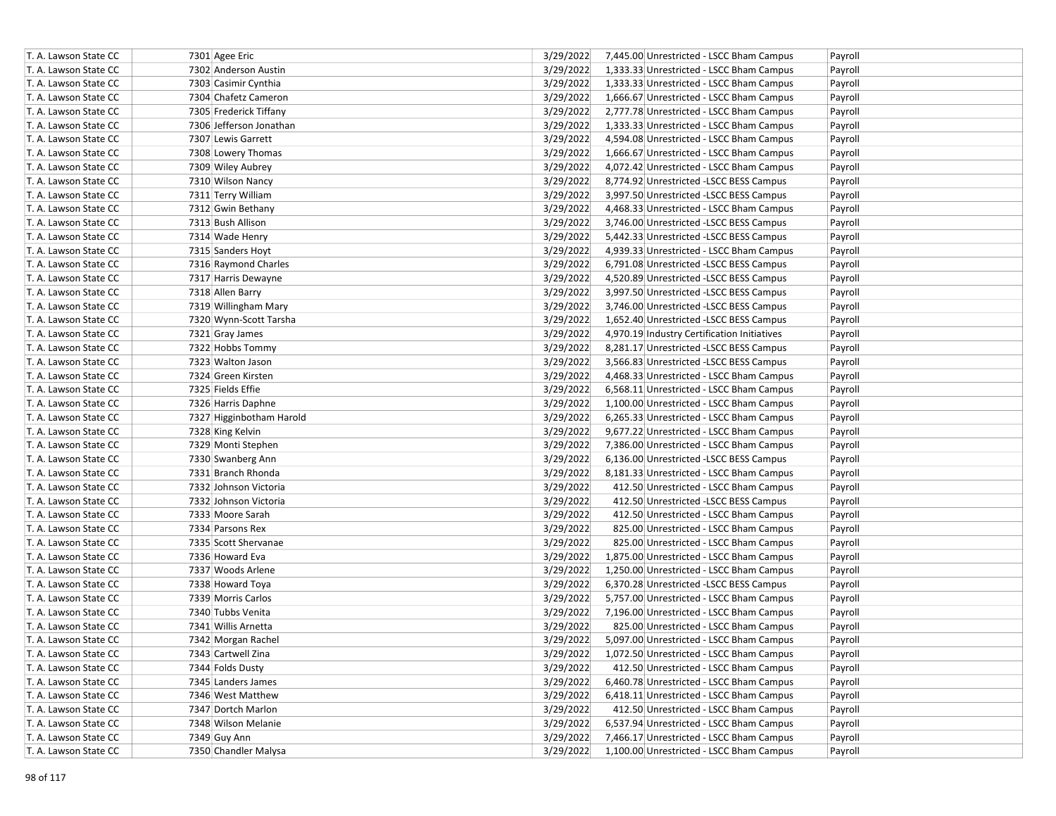| T. A. Lawson State CC | 7301 Agee Eric           | 3/29/2022 | 7,445.00 Unrestricted - LSCC Bham Campus    | Payroll |
|-----------------------|--------------------------|-----------|---------------------------------------------|---------|
| T. A. Lawson State CC | 7302 Anderson Austin     | 3/29/2022 | 1,333.33 Unrestricted - LSCC Bham Campus    | Payroll |
| T. A. Lawson State CC | 7303 Casimir Cynthia     | 3/29/2022 | 1,333.33 Unrestricted - LSCC Bham Campus    | Payroll |
| T. A. Lawson State CC | 7304 Chafetz Cameron     | 3/29/2022 | 1,666.67 Unrestricted - LSCC Bham Campus    | Payroll |
| T. A. Lawson State CC | 7305 Frederick Tiffany   | 3/29/2022 | 2,777.78 Unrestricted - LSCC Bham Campus    | Payroll |
| T. A. Lawson State CC | 7306 Jefferson Jonathan  | 3/29/2022 | 1,333.33 Unrestricted - LSCC Bham Campus    | Payroll |
| T. A. Lawson State CC | 7307 Lewis Garrett       | 3/29/2022 | 4,594.08 Unrestricted - LSCC Bham Campus    | Payroll |
| T. A. Lawson State CC | 7308 Lowery Thomas       | 3/29/2022 | 1,666.67 Unrestricted - LSCC Bham Campus    | Payroll |
| T. A. Lawson State CC | 7309 Wiley Aubrey        | 3/29/2022 | 4,072.42 Unrestricted - LSCC Bham Campus    | Payroll |
| T. A. Lawson State CC | 7310 Wilson Nancy        | 3/29/2022 | 8,774.92 Unrestricted -LSCC BESS Campus     | Payroll |
| T. A. Lawson State CC | 7311 Terry William       | 3/29/2022 | 3,997.50 Unrestricted - LSCC BESS Campus    | Payroll |
| T. A. Lawson State CC | 7312 Gwin Bethany        | 3/29/2022 | 4,468.33 Unrestricted - LSCC Bham Campus    | Payroll |
| T. A. Lawson State CC | 7313 Bush Allison        | 3/29/2022 | 3,746.00 Unrestricted -LSCC BESS Campus     | Payroll |
| T. A. Lawson State CC | 7314 Wade Henry          | 3/29/2022 | 5,442.33 Unrestricted -LSCC BESS Campus     | Payroll |
| T. A. Lawson State CC | 7315 Sanders Hoyt        | 3/29/2022 | 4,939.33 Unrestricted - LSCC Bham Campus    | Payroll |
| T. A. Lawson State CC | 7316 Raymond Charles     | 3/29/2022 | 6,791.08 Unrestricted -LSCC BESS Campus     | Payroll |
| T. A. Lawson State CC | 7317 Harris Dewayne      | 3/29/2022 | 4,520.89 Unrestricted -LSCC BESS Campus     | Payroll |
| T. A. Lawson State CC | 7318 Allen Barry         | 3/29/2022 | 3,997.50 Unrestricted -LSCC BESS Campus     | Payroll |
| T. A. Lawson State CC | 7319 Willingham Mary     | 3/29/2022 | 3,746.00 Unrestricted -LSCC BESS Campus     | Payroll |
| T. A. Lawson State CC | 7320 Wynn-Scott Tarsha   | 3/29/2022 | 1,652.40 Unrestricted -LSCC BESS Campus     | Payroll |
| T. A. Lawson State CC | 7321 Gray James          | 3/29/2022 | 4,970.19 Industry Certification Initiatives | Payroll |
| T. A. Lawson State CC | 7322 Hobbs Tommy         | 3/29/2022 | 8,281.17 Unrestricted -LSCC BESS Campus     | Payroll |
| T. A. Lawson State CC | 7323 Walton Jason        | 3/29/2022 | 3,566.83 Unrestricted -LSCC BESS Campus     | Payroll |
| T. A. Lawson State CC | 7324 Green Kirsten       | 3/29/2022 | 4,468.33 Unrestricted - LSCC Bham Campus    | Payroll |
| T. A. Lawson State CC | 7325 Fields Effie        | 3/29/2022 | 6,568.11 Unrestricted - LSCC Bham Campus    | Payroll |
| T. A. Lawson State CC | 7326 Harris Daphne       | 3/29/2022 | 1,100.00 Unrestricted - LSCC Bham Campus    | Payroll |
| T. A. Lawson State CC | 7327 Higginbotham Harold | 3/29/2022 | 6,265.33 Unrestricted - LSCC Bham Campus    | Payroll |
| T. A. Lawson State CC | 7328 King Kelvin         | 3/29/2022 | 9,677.22 Unrestricted - LSCC Bham Campus    | Payroll |
| T. A. Lawson State CC | 7329 Monti Stephen       | 3/29/2022 | 7,386.00 Unrestricted - LSCC Bham Campus    | Payroll |
| T. A. Lawson State CC | 7330 Swanberg Ann        | 3/29/2022 | 6,136.00 Unrestricted -LSCC BESS Campus     | Payroll |
| T. A. Lawson State CC | 7331 Branch Rhonda       | 3/29/2022 | 8,181.33 Unrestricted - LSCC Bham Campus    | Payroll |
| T. A. Lawson State CC | 7332 Johnson Victoria    | 3/29/2022 | 412.50 Unrestricted - LSCC Bham Campus      | Payroll |
| T. A. Lawson State CC | 7332 Johnson Victoria    | 3/29/2022 | 412.50 Unrestricted -LSCC BESS Campus       | Payroll |
| T. A. Lawson State CC | 7333 Moore Sarah         | 3/29/2022 | 412.50 Unrestricted - LSCC Bham Campus      | Payroll |
| T. A. Lawson State CC | 7334 Parsons Rex         | 3/29/2022 | 825.00 Unrestricted - LSCC Bham Campus      | Payroll |
| T. A. Lawson State CC | 7335 Scott Shervanae     | 3/29/2022 | 825.00 Unrestricted - LSCC Bham Campus      | Payroll |
| T. A. Lawson State CC | 7336 Howard Eva          | 3/29/2022 | 1,875.00 Unrestricted - LSCC Bham Campus    | Payroll |
| T. A. Lawson State CC | 7337 Woods Arlene        | 3/29/2022 | 1,250.00 Unrestricted - LSCC Bham Campus    | Payroll |
| T. A. Lawson State CC | 7338 Howard Toya         | 3/29/2022 | 6,370.28 Unrestricted -LSCC BESS Campus     | Payroll |
| T. A. Lawson State CC | 7339 Morris Carlos       | 3/29/2022 | 5,757.00 Unrestricted - LSCC Bham Campus    | Payroll |
| T. A. Lawson State CC | 7340 Tubbs Venita        | 3/29/2022 | 7,196.00 Unrestricted - LSCC Bham Campus    | Payroll |
| T. A. Lawson State CC | 7341 Willis Arnetta      | 3/29/2022 | 825.00 Unrestricted - LSCC Bham Campus      | Payroll |
| T. A. Lawson State CC | 7342 Morgan Rachel       | 3/29/2022 | 5,097.00 Unrestricted - LSCC Bham Campus    | Payroll |
| T. A. Lawson State CC | 7343 Cartwell Zina       | 3/29/2022 | 1,072.50 Unrestricted - LSCC Bham Campus    | Payroll |
| T. A. Lawson State CC | 7344 Folds Dusty         | 3/29/2022 | 412.50 Unrestricted - LSCC Bham Campus      | Payroll |
| T. A. Lawson State CC | 7345 Landers James       | 3/29/2022 | 6,460.78 Unrestricted - LSCC Bham Campus    | Payroll |
| T. A. Lawson State CC | 7346 West Matthew        | 3/29/2022 | 6,418.11 Unrestricted - LSCC Bham Campus    | Payroll |
| T. A. Lawson State CC | 7347 Dortch Marlon       | 3/29/2022 | 412.50 Unrestricted - LSCC Bham Campus      | Payroll |
| T. A. Lawson State CC | 7348 Wilson Melanie      | 3/29/2022 | 6,537.94 Unrestricted - LSCC Bham Campus    | Payroll |
| T. A. Lawson State CC | 7349 Guy Ann             | 3/29/2022 | 7,466.17 Unrestricted - LSCC Bham Campus    | Payroll |
| T. A. Lawson State CC | 7350 Chandler Malysa     | 3/29/2022 | 1,100.00 Unrestricted - LSCC Bham Campus    | Payroll |
|                       |                          |           |                                             |         |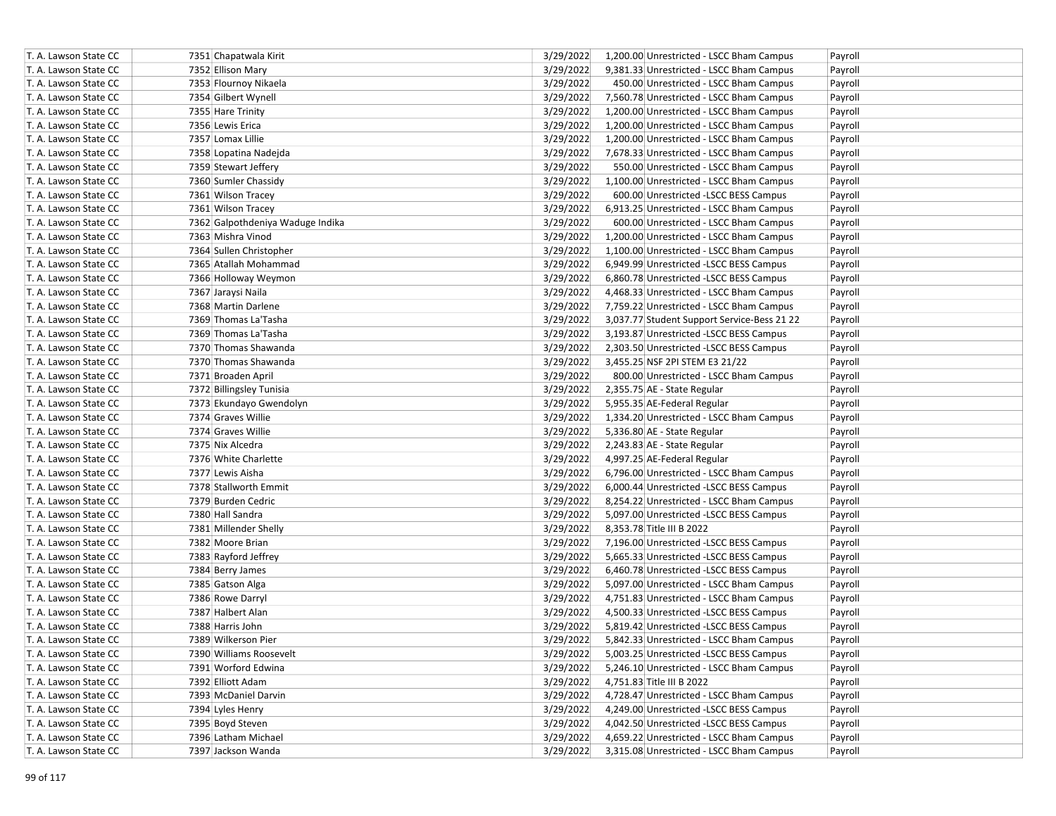| T. A. Lawson State CC | 7351 Chapatwala Kirit            | 3/29/2022 | 1,200.00 Unrestricted - LSCC Bham Campus           | Payroll |
|-----------------------|----------------------------------|-----------|----------------------------------------------------|---------|
| T. A. Lawson State CC | 7352 Ellison Mary                | 3/29/2022 | 9,381.33 Unrestricted - LSCC Bham Campus           | Payroll |
| T. A. Lawson State CC | 7353 Flournoy Nikaela            | 3/29/2022 | 450.00 Unrestricted - LSCC Bham Campus             | Payroll |
| T. A. Lawson State CC | 7354 Gilbert Wynell              | 3/29/2022 | 7,560.78 Unrestricted - LSCC Bham Campus           | Payroll |
| T. A. Lawson State CC | 7355 Hare Trinity                | 3/29/2022 | 1,200.00 Unrestricted - LSCC Bham Campus           | Payroll |
| T. A. Lawson State CC | 7356 Lewis Erica                 | 3/29/2022 | 1,200.00 Unrestricted - LSCC Bham Campus           | Payroll |
| T. A. Lawson State CC | 7357 Lomax Lillie                | 3/29/2022 | 1,200.00 Unrestricted - LSCC Bham Campus           | Payroll |
| T. A. Lawson State CC | 7358 Lopatina Nadejda            | 3/29/2022 | 7,678.33 Unrestricted - LSCC Bham Campus           | Payroll |
| T. A. Lawson State CC | 7359 Stewart Jeffery             | 3/29/2022 | 550.00 Unrestricted - LSCC Bham Campus             | Payroll |
| T. A. Lawson State CC | 7360 Sumler Chassidy             | 3/29/2022 | 1,100.00 Unrestricted - LSCC Bham Campus           | Payroll |
| T. A. Lawson State CC | 7361 Wilson Tracey               | 3/29/2022 | 600.00 Unrestricted -LSCC BESS Campus              | Payroll |
| T. A. Lawson State CC | 7361 Wilson Tracey               | 3/29/2022 | 6,913.25 Unrestricted - LSCC Bham Campus           | Payroll |
| T. A. Lawson State CC | 7362 Galpothdeniya Waduge Indika | 3/29/2022 | 600.00 Unrestricted - LSCC Bham Campus             | Payroll |
| T. A. Lawson State CC | 7363 Mishra Vinod                | 3/29/2022 | 1,200.00 Unrestricted - LSCC Bham Campus           | Payroll |
| T. A. Lawson State CC | 7364 Sullen Christopher          | 3/29/2022 | 1,100.00 Unrestricted - LSCC Bham Campus           | Payroll |
| T. A. Lawson State CC | 7365 Atallah Mohammad            | 3/29/2022 | 6,949.99 Unrestricted -LSCC BESS Campus            | Payroll |
| T. A. Lawson State CC | 7366 Holloway Weymon             | 3/29/2022 | 6,860.78 Unrestricted -LSCC BESS Campus            | Payroll |
| T. A. Lawson State CC | 7367 Jaraysi Naila               | 3/29/2022 | 4,468.33 Unrestricted - LSCC Bham Campus           | Payroll |
| T. A. Lawson State CC | 7368 Martin Darlene              | 3/29/2022 | 7,759.22 Unrestricted - LSCC Bham Campus           | Payroll |
| T. A. Lawson State CC | 7369 Thomas La'Tasha             | 3/29/2022 | 3,037.77 Student Support Service-Bess 21 22        | Payroll |
| T. A. Lawson State CC | 7369 Thomas La'Tasha             | 3/29/2022 | 3,193.87 Unrestricted -LSCC BESS Campus            | Payroll |
| T. A. Lawson State CC | 7370 Thomas Shawanda             | 3/29/2022 | 2,303.50 Unrestricted -LSCC BESS Campus            | Payroll |
| T. A. Lawson State CC | 7370 Thomas Shawanda             | 3/29/2022 | 3,455.25 NSF 2PI STEM E3 21/22                     | Payroll |
| T. A. Lawson State CC | 7371 Broaden April               | 3/29/2022 | 800.00 Unrestricted - LSCC Bham Campus             | Payroll |
| T. A. Lawson State CC | 7372 Billingsley Tunisia         | 3/29/2022 | 2,355.75 AE - State Regular                        | Payroll |
| T. A. Lawson State CC | 7373 Ekundayo Gwendolyn          | 3/29/2022 | 5,955.35 AE-Federal Regular                        | Payroll |
| T. A. Lawson State CC | 7374 Graves Willie               | 3/29/2022 | 1,334.20 Unrestricted - LSCC Bham Campus           | Payroll |
| T. A. Lawson State CC | 7374 Graves Willie               | 3/29/2022 | 5,336.80 AE - State Regular                        | Payroll |
| T. A. Lawson State CC | 7375 Nix Alcedra                 | 3/29/2022 | 2,243.83 AE - State Regular                        | Payroll |
| T. A. Lawson State CC | 7376 White Charlette             | 3/29/2022 | 4,997.25 AE-Federal Regular                        | Payroll |
| T. A. Lawson State CC | 7377 Lewis Aisha                 | 3/29/2022 | 6,796.00 Unrestricted - LSCC Bham Campus           | Payroll |
| T. A. Lawson State CC | 7378 Stallworth Emmit            | 3/29/2022 | 6,000.44 Unrestricted -LSCC BESS Campus            | Payroll |
| T. A. Lawson State CC | 7379 Burden Cedric               | 3/29/2022 | 8,254.22 Unrestricted - LSCC Bham Campus           | Payroll |
| T. A. Lawson State CC | 7380 Hall Sandra                 | 3/29/2022 | 5,097.00 Unrestricted -LSCC BESS Campus            | Payroll |
| T. A. Lawson State CC | 7381 Millender Shelly            | 3/29/2022 | 8,353.78 Title III B 2022                          | Payroll |
| T. A. Lawson State CC | 7382 Moore Brian                 | 3/29/2022 | 7,196.00 Unrestricted -LSCC BESS Campus            | Payroll |
| T. A. Lawson State CC | 7383 Rayford Jeffrey             | 3/29/2022 | 5,665.33 Unrestricted -LSCC BESS Campus            | Payroll |
| T. A. Lawson State CC | 7384 Berry James                 | 3/29/2022 | 6,460.78 Unrestricted -LSCC BESS Campus            | Payroll |
| T. A. Lawson State CC | 7385 Gatson Alga                 | 3/29/2022 | 5,097.00 Unrestricted - LSCC Bham Campus           | Payroll |
| T. A. Lawson State CC | 7386 Rowe Darryl                 | 3/29/2022 | 4,751.83 Unrestricted - LSCC Bham Campus           | Payroll |
| T. A. Lawson State CC | 7387 Halbert Alan                | 3/29/2022 | 4,500.33 Unrestricted -LSCC BESS Campus            | Payroll |
| T. A. Lawson State CC | 7388 Harris John                 | 3/29/2022 | 5,819.42 Unrestricted - LSCC BESS Campus           | Payroll |
| T. A. Lawson State CC | 7389 Wilkerson Pier              | 3/29/2022 | 5,842.33 Unrestricted - LSCC Bham Campus           | Payroll |
| T. A. Lawson State CC | 7390 Williams Roosevelt          | 3/29/2022 | 5,003.25 Unrestricted -LSCC BESS Campus            | Payroll |
| T. A. Lawson State CC | 7391 Worford Edwina              | 3/29/2022 | 5,246.10 Unrestricted - LSCC Bham Campus           | Payroll |
| T. A. Lawson State CC | 7392 Elliott Adam                | 3/29/2022 | 4,751.83 Title III B 2022                          | Payroll |
| T. A. Lawson State CC | 7393 McDaniel Darvin             | 3/29/2022 | 4,728.47 Unrestricted - LSCC Bham Campus           | Payroll |
| T. A. Lawson State CC | 7394 Lyles Henry                 | 3/29/2022 | 4,249.00 Unrestricted -LSCC BESS Campus            | Payroll |
| T. A. Lawson State CC | 7395 Boyd Steven                 | 3/29/2022 | 4,042.50 Unrestricted -LSCC BESS Campus            | Payroll |
| T. A. Lawson State CC | 7396 Latham Michael              | 3/29/2022 | 4,659.22 Unrestricted - LSCC Bham Campus           | Payroll |
| T. A. Lawson State CC | 7397 Jackson Wanda               |           | 3/29/2022 3,315.08 Unrestricted - LSCC Bham Campus | Payroll |
|                       |                                  |           |                                                    |         |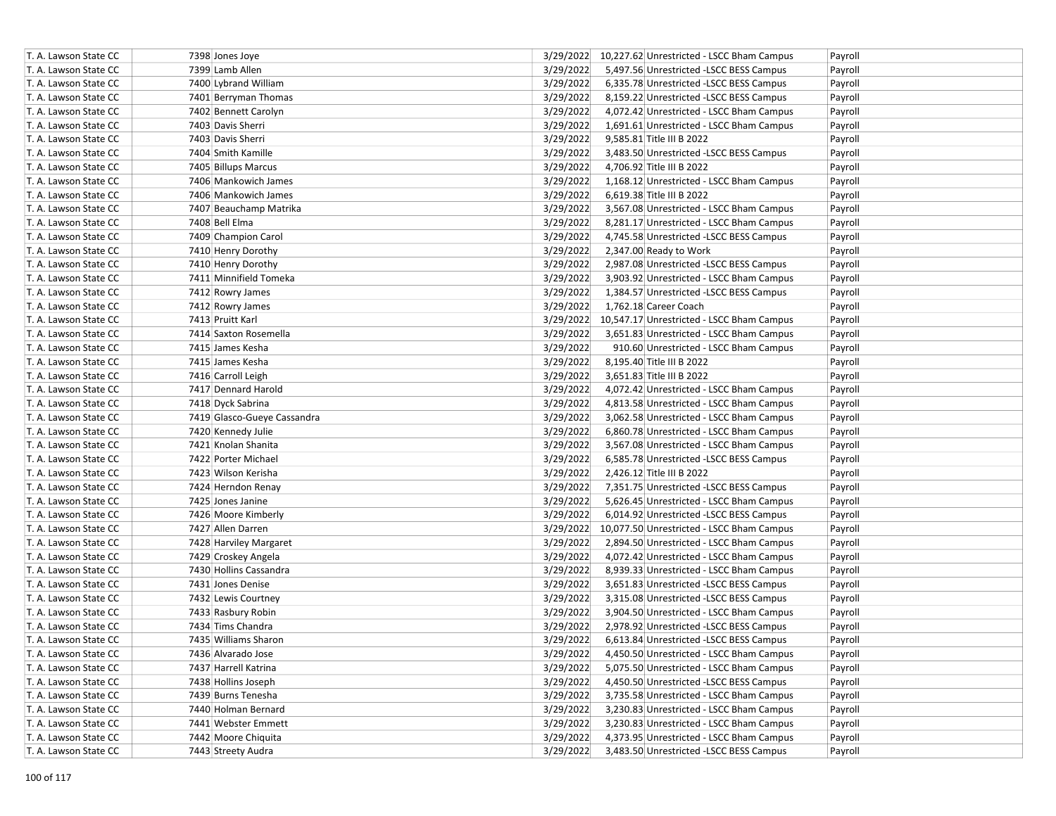| T. A. Lawson State CC | 7398 Jones Joye             |           | 3/29/2022 10,227.62 Unrestricted - LSCC Bham Campus | Payroll |
|-----------------------|-----------------------------|-----------|-----------------------------------------------------|---------|
| T. A. Lawson State CC | 7399 Lamb Allen             | 3/29/2022 | 5,497.56 Unrestricted -LSCC BESS Campus             | Payroll |
| T. A. Lawson State CC | 7400 Lybrand William        | 3/29/2022 | 6,335.78 Unrestricted -LSCC BESS Campus             | Payroll |
| T. A. Lawson State CC | 7401 Berryman Thomas        | 3/29/2022 | 8,159.22 Unrestricted -LSCC BESS Campus             | Payroll |
| T. A. Lawson State CC | 7402 Bennett Carolyn        | 3/29/2022 | 4,072.42 Unrestricted - LSCC Bham Campus            | Payroll |
| T. A. Lawson State CC | 7403 Davis Sherri           | 3/29/2022 | 1,691.61 Unrestricted - LSCC Bham Campus            | Payroll |
| T. A. Lawson State CC | 7403 Davis Sherri           | 3/29/2022 | 9,585.81 Title III B 2022                           | Payroll |
| T. A. Lawson State CC | 7404 Smith Kamille          | 3/29/2022 | 3,483.50 Unrestricted -LSCC BESS Campus             | Payroll |
| T. A. Lawson State CC | 7405 Billups Marcus         | 3/29/2022 | 4,706.92 Title III B 2022                           | Payroll |
| T. A. Lawson State CC | 7406 Mankowich James        | 3/29/2022 | 1,168.12 Unrestricted - LSCC Bham Campus            | Payroll |
| T. A. Lawson State CC | 7406 Mankowich James        | 3/29/2022 | 6,619.38 Title III B 2022                           | Payroll |
| T. A. Lawson State CC | 7407 Beauchamp Matrika      | 3/29/2022 | 3,567.08 Unrestricted - LSCC Bham Campus            | Payroll |
| T. A. Lawson State CC | 7408 Bell Elma              | 3/29/2022 | 8,281.17 Unrestricted - LSCC Bham Campus            | Payroll |
| T. A. Lawson State CC | 7409 Champion Carol         | 3/29/2022 | 4,745.58 Unrestricted -LSCC BESS Campus             | Payroll |
| T. A. Lawson State CC | 7410 Henry Dorothy          | 3/29/2022 | 2,347.00 Ready to Work                              | Payroll |
| T. A. Lawson State CC | 7410 Henry Dorothy          | 3/29/2022 | 2,987.08 Unrestricted -LSCC BESS Campus             | Payroll |
| T. A. Lawson State CC | 7411 Minnifield Tomeka      | 3/29/2022 | 3,903.92 Unrestricted - LSCC Bham Campus            | Payroll |
| T. A. Lawson State CC | 7412 Rowry James            | 3/29/2022 | 1,384.57 Unrestricted -LSCC BESS Campus             | Payroll |
| T. A. Lawson State CC | 7412 Rowry James            | 3/29/2022 | 1,762.18 Career Coach                               | Payroll |
| T. A. Lawson State CC | 7413 Pruitt Karl            |           | 3/29/2022 10,547.17 Unrestricted - LSCC Bham Campus | Payroll |
| T. A. Lawson State CC | 7414 Saxton Rosemella       | 3/29/2022 | 3,651.83 Unrestricted - LSCC Bham Campus            | Payroll |
| T. A. Lawson State CC | 7415 James Kesha            | 3/29/2022 | 910.60 Unrestricted - LSCC Bham Campus              | Payroll |
| T. A. Lawson State CC | 7415 James Kesha            | 3/29/2022 | 8,195.40 Title III B 2022                           | Payroll |
| T. A. Lawson State CC | 7416 Carroll Leigh          | 3/29/2022 | 3,651.83 Title III B 2022                           | Payroll |
| T. A. Lawson State CC | 7417 Dennard Harold         | 3/29/2022 | 4,072.42 Unrestricted - LSCC Bham Campus            | Payroll |
| T. A. Lawson State CC | 7418 Dyck Sabrina           | 3/29/2022 | 4,813.58 Unrestricted - LSCC Bham Campus            | Payroll |
| T. A. Lawson State CC | 7419 Glasco-Gueye Cassandra | 3/29/2022 | 3,062.58 Unrestricted - LSCC Bham Campus            | Payroll |
| T. A. Lawson State CC | 7420 Kennedy Julie          | 3/29/2022 | 6,860.78 Unrestricted - LSCC Bham Campus            | Payroll |
| T. A. Lawson State CC | 7421 Knolan Shanita         | 3/29/2022 | 3,567.08 Unrestricted - LSCC Bham Campus            | Payroll |
| T. A. Lawson State CC | 7422 Porter Michael         | 3/29/2022 | 6,585.78 Unrestricted -LSCC BESS Campus             | Payroll |
| T. A. Lawson State CC | 7423 Wilson Kerisha         | 3/29/2022 | 2,426.12 Title III B 2022                           | Payroll |
| T. A. Lawson State CC | 7424 Herndon Renay          | 3/29/2022 | 7,351.75 Unrestricted -LSCC BESS Campus             | Payroll |
| T. A. Lawson State CC | 7425 Jones Janine           | 3/29/2022 | 5,626.45 Unrestricted - LSCC Bham Campus            | Payroll |
| T. A. Lawson State CC | 7426 Moore Kimberly         | 3/29/2022 | 6,014.92 Unrestricted -LSCC BESS Campus             | Payroll |
| T. A. Lawson State CC | 7427 Allen Darren           |           | 3/29/2022 10,077.50 Unrestricted - LSCC Bham Campus | Payroll |
| T. A. Lawson State CC | 7428 Harviley Margaret      | 3/29/2022 | 2,894.50 Unrestricted - LSCC Bham Campus            | Payroll |
| T. A. Lawson State CC | 7429 Croskey Angela         | 3/29/2022 | 4,072.42 Unrestricted - LSCC Bham Campus            | Payroll |
| T. A. Lawson State CC | 7430 Hollins Cassandra      | 3/29/2022 | 8,939.33 Unrestricted - LSCC Bham Campus            | Payroll |
| T. A. Lawson State CC | 7431 Jones Denise           | 3/29/2022 | 3,651.83 Unrestricted -LSCC BESS Campus             | Payroll |
| T. A. Lawson State CC | 7432 Lewis Courtney         | 3/29/2022 | 3,315.08 Unrestricted -LSCC BESS Campus             | Payroll |
| T. A. Lawson State CC | 7433 Rasbury Robin          | 3/29/2022 | 3,904.50 Unrestricted - LSCC Bham Campus            | Payroll |
| T. A. Lawson State CC | 7434 Tims Chandra           | 3/29/2022 | 2,978.92 Unrestricted -LSCC BESS Campus             | Payroll |
| T. A. Lawson State CC | 7435 Williams Sharon        | 3/29/2022 | 6,613.84 Unrestricted -LSCC BESS Campus             | Payroll |
| T. A. Lawson State CC | 7436 Alvarado Jose          | 3/29/2022 | 4,450.50 Unrestricted - LSCC Bham Campus            | Payroll |
| T. A. Lawson State CC | 7437 Harrell Katrina        | 3/29/2022 | 5,075.50 Unrestricted - LSCC Bham Campus            | Payroll |
| T. A. Lawson State CC | 7438 Hollins Joseph         | 3/29/2022 | 4,450.50 Unrestricted -LSCC BESS Campus             | Payroll |
| T. A. Lawson State CC | 7439 Burns Tenesha          | 3/29/2022 | 3,735.58 Unrestricted - LSCC Bham Campus            | Payroll |
| T. A. Lawson State CC | 7440 Holman Bernard         | 3/29/2022 | 3,230.83 Unrestricted - LSCC Bham Campus            | Payroll |
| T. A. Lawson State CC | 7441 Webster Emmett         | 3/29/2022 | 3,230.83 Unrestricted - LSCC Bham Campus            | Payroll |
| T. A. Lawson State CC | 7442 Moore Chiquita         | 3/29/2022 | 4,373.95 Unrestricted - LSCC Bham Campus            | Payroll |
| T. A. Lawson State CC | 7443 Streety Audra          | 3/29/2022 | 3,483.50 Unrestricted -LSCC BESS Campus             | Payroll |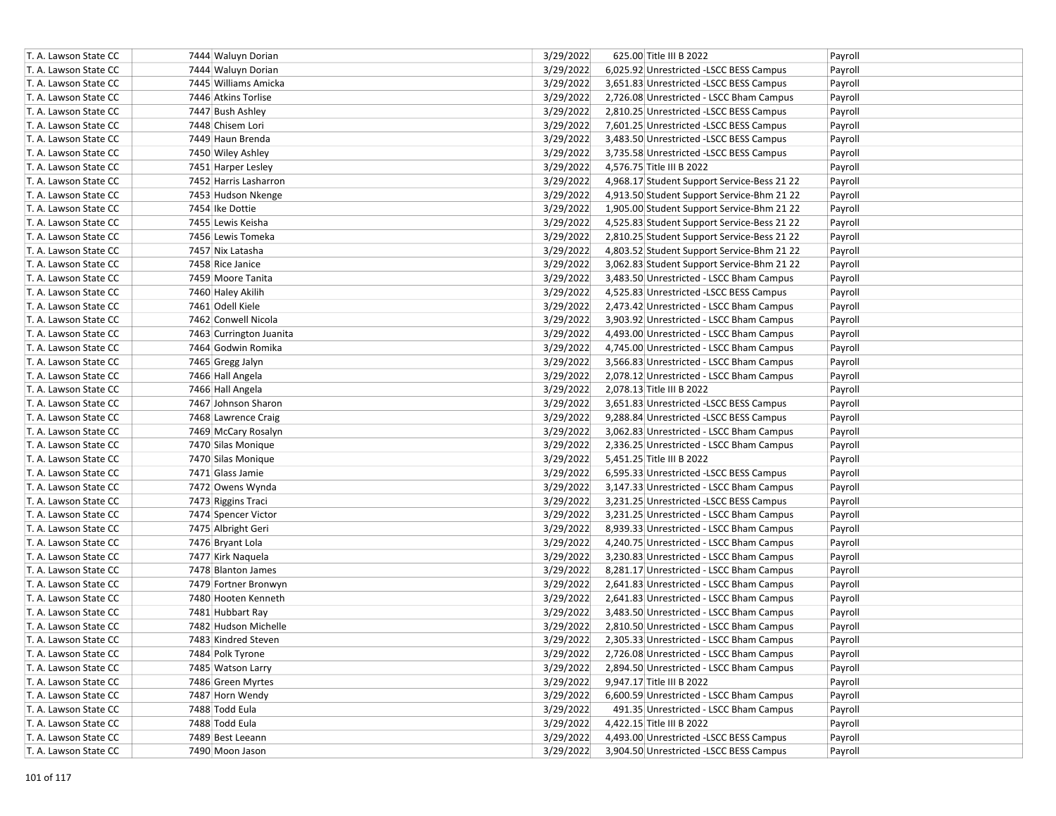| T. A. Lawson State CC | 7444 Waluyn Dorian      | 3/29/2022 | 625.00 Title III B 2022                     | Payroll |
|-----------------------|-------------------------|-----------|---------------------------------------------|---------|
| T. A. Lawson State CC | 7444 Waluyn Dorian      | 3/29/2022 | 6,025.92 Unrestricted -LSCC BESS Campus     | Payroll |
| T. A. Lawson State CC | 7445 Williams Amicka    | 3/29/2022 | 3,651.83 Unrestricted -LSCC BESS Campus     | Payroll |
| T. A. Lawson State CC | 7446 Atkins Torlise     | 3/29/2022 | 2,726.08 Unrestricted - LSCC Bham Campus    | Payroll |
| T. A. Lawson State CC | 7447 Bush Ashley        | 3/29/2022 | 2,810.25 Unrestricted -LSCC BESS Campus     | Payroll |
| T. A. Lawson State CC | 7448 Chisem Lori        | 3/29/2022 | 7,601.25 Unrestricted -LSCC BESS Campus     | Payroll |
| T. A. Lawson State CC | 7449 Haun Brenda        | 3/29/2022 | 3,483.50 Unrestricted -LSCC BESS Campus     | Payroll |
| T. A. Lawson State CC | 7450 Wiley Ashley       | 3/29/2022 | 3,735.58 Unrestricted -LSCC BESS Campus     | Payroll |
| T. A. Lawson State CC | 7451 Harper Lesley      | 3/29/2022 | 4,576.75 Title III B 2022                   | Payroll |
| T. A. Lawson State CC | 7452 Harris Lasharron   | 3/29/2022 | 4,968.17 Student Support Service-Bess 21 22 | Payroll |
| T. A. Lawson State CC | 7453 Hudson Nkenge      | 3/29/2022 | 4,913.50 Student Support Service-Bhm 21 22  | Payroll |
| T. A. Lawson State CC | 7454 Ike Dottie         | 3/29/2022 | 1,905.00 Student Support Service-Bhm 21 22  | Payroll |
| T. A. Lawson State CC | 7455 Lewis Keisha       | 3/29/2022 | 4,525.83 Student Support Service-Bess 21 22 | Payroll |
| T. A. Lawson State CC | 7456 Lewis Tomeka       | 3/29/2022 | 2,810.25 Student Support Service-Bess 21 22 | Payroll |
| T. A. Lawson State CC | 7457 Nix Latasha        | 3/29/2022 | 4,803.52 Student Support Service-Bhm 21 22  | Payroll |
| T. A. Lawson State CC | 7458 Rice Janice        | 3/29/2022 | 3,062.83 Student Support Service-Bhm 21 22  | Payroll |
| T. A. Lawson State CC | 7459 Moore Tanita       | 3/29/2022 | 3,483.50 Unrestricted - LSCC Bham Campus    | Payroll |
| T. A. Lawson State CC | 7460 Haley Akilih       | 3/29/2022 | 4,525.83 Unrestricted -LSCC BESS Campus     | Payroll |
| T. A. Lawson State CC | 7461 Odell Kiele        | 3/29/2022 | 2,473.42 Unrestricted - LSCC Bham Campus    | Payroll |
| T. A. Lawson State CC | 7462 Conwell Nicola     | 3/29/2022 | 3,903.92 Unrestricted - LSCC Bham Campus    | Payroll |
| T. A. Lawson State CC | 7463 Currington Juanita | 3/29/2022 | 4,493.00 Unrestricted - LSCC Bham Campus    | Payroll |
| T. A. Lawson State CC | 7464 Godwin Romika      | 3/29/2022 | 4,745.00 Unrestricted - LSCC Bham Campus    | Payroll |
| T. A. Lawson State CC | 7465 Gregg Jalyn        | 3/29/2022 | 3,566.83 Unrestricted - LSCC Bham Campus    | Payroll |
| T. A. Lawson State CC | 7466 Hall Angela        | 3/29/2022 | 2,078.12 Unrestricted - LSCC Bham Campus    | Payroll |
| T. A. Lawson State CC | 7466 Hall Angela        | 3/29/2022 | 2,078.13 Title III B 2022                   | Payroll |
| T. A. Lawson State CC | 7467 Johnson Sharon     | 3/29/2022 | 3,651.83 Unrestricted -LSCC BESS Campus     | Payroll |
| T. A. Lawson State CC | 7468 Lawrence Craig     | 3/29/2022 | 9,288.84 Unrestricted -LSCC BESS Campus     | Payroll |
| T. A. Lawson State CC | 7469 McCary Rosalyn     | 3/29/2022 | 3,062.83 Unrestricted - LSCC Bham Campus    | Payroll |
| T. A. Lawson State CC | 7470 Silas Monique      | 3/29/2022 | 2,336.25 Unrestricted - LSCC Bham Campus    | Payroll |
| T. A. Lawson State CC | 7470 Silas Monique      | 3/29/2022 | 5,451.25 Title III B 2022                   | Payroll |
| T. A. Lawson State CC | 7471 Glass Jamie        | 3/29/2022 | 6,595.33 Unrestricted -LSCC BESS Campus     | Payroll |
| T. A. Lawson State CC | 7472 Owens Wynda        | 3/29/2022 | 3,147.33 Unrestricted - LSCC Bham Campus    | Payroll |
| T. A. Lawson State CC | 7473 Riggins Traci      | 3/29/2022 | 3,231.25 Unrestricted - LSCC BESS Campus    | Payroll |
| T. A. Lawson State CC | 7474 Spencer Victor     | 3/29/2022 | 3,231.25 Unrestricted - LSCC Bham Campus    | Payroll |
| T. A. Lawson State CC | 7475 Albright Geri      | 3/29/2022 | 8,939.33 Unrestricted - LSCC Bham Campus    | Payroll |
| T. A. Lawson State CC | 7476 Bryant Lola        | 3/29/2022 | 4,240.75 Unrestricted - LSCC Bham Campus    | Payroll |
| T. A. Lawson State CC | 7477 Kirk Naquela       | 3/29/2022 | 3,230.83 Unrestricted - LSCC Bham Campus    | Payroll |
| T. A. Lawson State CC | 7478 Blanton James      | 3/29/2022 | 8,281.17 Unrestricted - LSCC Bham Campus    | Payroll |
| T. A. Lawson State CC | 7479 Fortner Bronwyn    | 3/29/2022 | 2,641.83 Unrestricted - LSCC Bham Campus    | Payroll |
| T. A. Lawson State CC | 7480 Hooten Kenneth     | 3/29/2022 | 2,641.83 Unrestricted - LSCC Bham Campus    | Payroll |
| T. A. Lawson State CC | 7481 Hubbart Ray        | 3/29/2022 | 3,483.50 Unrestricted - LSCC Bham Campus    | Payroll |
| T. A. Lawson State CC | 7482 Hudson Michelle    | 3/29/2022 | 2,810.50 Unrestricted - LSCC Bham Campus    | Payroll |
| T. A. Lawson State CC | 7483 Kindred Steven     | 3/29/2022 | 2,305.33 Unrestricted - LSCC Bham Campus    | Payroll |
| T. A. Lawson State CC | 7484 Polk Tyrone        | 3/29/2022 | 2,726.08 Unrestricted - LSCC Bham Campus    | Payroll |
| T. A. Lawson State CC | 7485 Watson Larry       | 3/29/2022 | 2,894.50 Unrestricted - LSCC Bham Campus    | Payroll |
| T. A. Lawson State CC | 7486 Green Myrtes       | 3/29/2022 | 9,947.17 Title III B 2022                   | Payroll |
| T. A. Lawson State CC | 7487 Horn Wendy         | 3/29/2022 | 6,600.59 Unrestricted - LSCC Bham Campus    | Payroll |
| T. A. Lawson State CC | 7488 Todd Eula          | 3/29/2022 | 491.35 Unrestricted - LSCC Bham Campus      | Payroll |
| T. A. Lawson State CC | 7488 Todd Eula          | 3/29/2022 | 4,422.15 Title III B 2022                   | Payroll |
| T. A. Lawson State CC | 7489 Best Leeann        | 3/29/2022 | 4,493.00 Unrestricted -LSCC BESS Campus     | Payroll |
| T. A. Lawson State CC | 7490 Moon Jason         | 3/29/2022 | 3,904.50 Unrestricted -LSCC BESS Campus     | Payroll |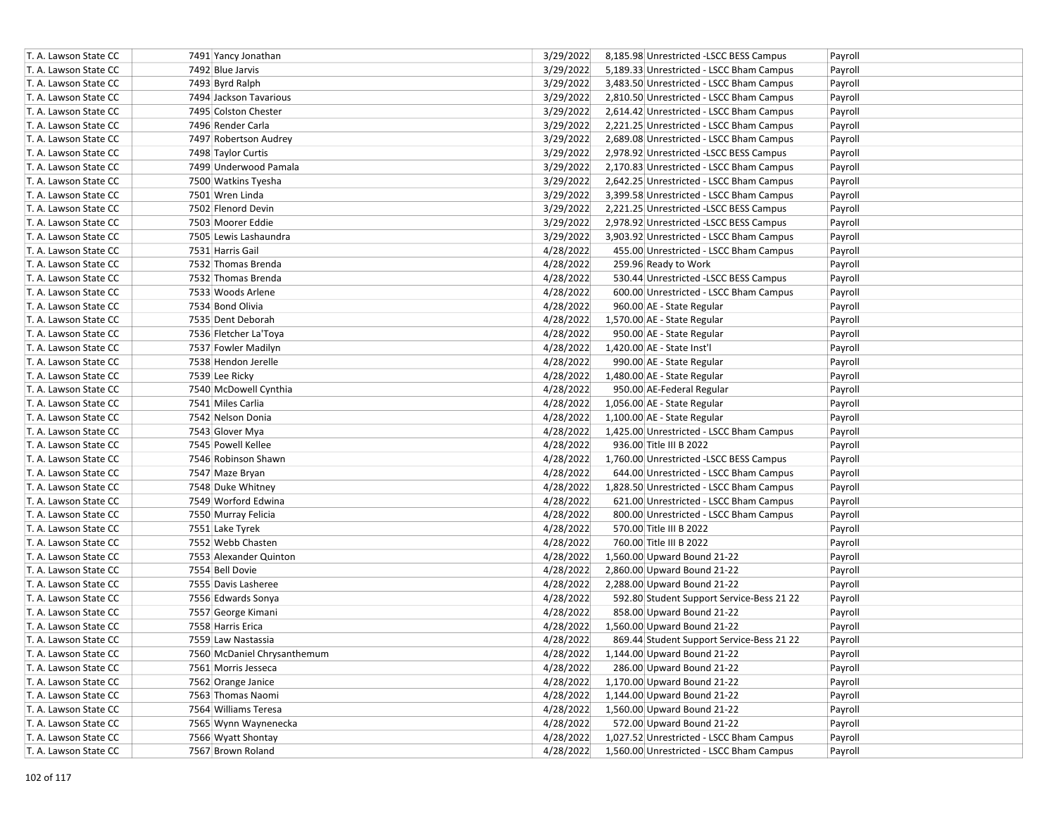| T. A. Lawson State CC | 7491 Yancy Jonathan         | 3/29/2022 | 8,185.98 Unrestricted -LSCC BESS Campus   | Payroll |
|-----------------------|-----------------------------|-----------|-------------------------------------------|---------|
| T. A. Lawson State CC | 7492 Blue Jarvis            | 3/29/2022 | 5,189.33 Unrestricted - LSCC Bham Campus  | Payroll |
| T. A. Lawson State CC | 7493 Byrd Ralph             | 3/29/2022 | 3,483.50 Unrestricted - LSCC Bham Campus  | Payroll |
| T. A. Lawson State CC | 7494 Jackson Tavarious      | 3/29/2022 | 2,810.50 Unrestricted - LSCC Bham Campus  | Payroll |
| T. A. Lawson State CC | 7495 Colston Chester        | 3/29/2022 | 2,614.42 Unrestricted - LSCC Bham Campus  | Payroll |
| T. A. Lawson State CC | 7496 Render Carla           | 3/29/2022 | 2,221.25 Unrestricted - LSCC Bham Campus  | Payroll |
| T. A. Lawson State CC | 7497 Robertson Audrey       | 3/29/2022 | 2,689.08 Unrestricted - LSCC Bham Campus  | Payroll |
| T. A. Lawson State CC | 7498 Taylor Curtis          | 3/29/2022 | 2,978.92 Unrestricted -LSCC BESS Campus   | Payroll |
| T. A. Lawson State CC | 7499 Underwood Pamala       | 3/29/2022 | 2,170.83 Unrestricted - LSCC Bham Campus  | Payroll |
| T. A. Lawson State CC | 7500 Watkins Tyesha         | 3/29/2022 | 2,642.25 Unrestricted - LSCC Bham Campus  | Payroll |
| T. A. Lawson State CC | 7501 Wren Linda             | 3/29/2022 | 3,399.58 Unrestricted - LSCC Bham Campus  | Payroll |
| T. A. Lawson State CC | 7502 Flenord Devin          | 3/29/2022 | 2,221.25 Unrestricted -LSCC BESS Campus   | Payroll |
| T. A. Lawson State CC | 7503 Moorer Eddie           | 3/29/2022 | 2,978.92 Unrestricted -LSCC BESS Campus   | Payroll |
| T. A. Lawson State CC | 7505 Lewis Lashaundra       | 3/29/2022 | 3,903.92 Unrestricted - LSCC Bham Campus  | Payroll |
| T. A. Lawson State CC | 7531 Harris Gail            | 4/28/2022 | 455.00 Unrestricted - LSCC Bham Campus    | Payroll |
| T. A. Lawson State CC | 7532 Thomas Brenda          | 4/28/2022 | 259.96 Ready to Work                      | Payroll |
| T. A. Lawson State CC | 7532 Thomas Brenda          | 4/28/2022 | 530.44 Unrestricted -LSCC BESS Campus     | Payroll |
| T. A. Lawson State CC | 7533 Woods Arlene           | 4/28/2022 | 600.00 Unrestricted - LSCC Bham Campus    | Payroll |
| T. A. Lawson State CC | 7534 Bond Olivia            | 4/28/2022 | 960.00 AE - State Regular                 | Payroll |
| T. A. Lawson State CC | 7535 Dent Deborah           | 4/28/2022 | 1,570.00 AE - State Regular               | Payroll |
| T. A. Lawson State CC | 7536 Fletcher La'Toya       | 4/28/2022 | 950.00 AE - State Regular                 | Payroll |
| T. A. Lawson State CC | 7537 Fowler Madilyn         | 4/28/2022 | 1,420.00 AE - State Inst'l                | Payroll |
| T. A. Lawson State CC | 7538 Hendon Jerelle         | 4/28/2022 | 990.00 AE - State Regular                 | Payroll |
| T. A. Lawson State CC | 7539 Lee Ricky              | 4/28/2022 | 1,480.00 AE - State Regular               | Payroll |
| T. A. Lawson State CC | 7540 McDowell Cynthia       | 4/28/2022 | 950.00 AE-Federal Regular                 | Payroll |
| T. A. Lawson State CC | 7541 Miles Carlia           | 4/28/2022 | 1,056.00 AE - State Regular               | Payroll |
| T. A. Lawson State CC | 7542 Nelson Donia           | 4/28/2022 | 1,100.00 AE - State Regular               | Payroll |
| T. A. Lawson State CC | 7543 Glover Mya             | 4/28/2022 | 1,425.00 Unrestricted - LSCC Bham Campus  | Payroll |
| T. A. Lawson State CC | 7545 Powell Kellee          | 4/28/2022 | 936.00 Title III B 2022                   | Payroll |
| T. A. Lawson State CC | 7546 Robinson Shawn         | 4/28/2022 | 1,760.00 Unrestricted -LSCC BESS Campus   | Payroll |
| T. A. Lawson State CC | 7547 Maze Bryan             | 4/28/2022 | 644.00 Unrestricted - LSCC Bham Campus    | Payroll |
| T. A. Lawson State CC | 7548 Duke Whitney           | 4/28/2022 | 1,828.50 Unrestricted - LSCC Bham Campus  | Payroll |
| T. A. Lawson State CC | 7549 Worford Edwina         | 4/28/2022 | 621.00 Unrestricted - LSCC Bham Campus    | Payroll |
| T. A. Lawson State CC | 7550 Murray Felicia         | 4/28/2022 | 800.00 Unrestricted - LSCC Bham Campus    | Payroll |
| T. A. Lawson State CC | 7551 Lake Tyrek             | 4/28/2022 | 570.00 Title III B 2022                   | Payroll |
| T. A. Lawson State CC | 7552 Webb Chasten           | 4/28/2022 | 760.00 Title III B 2022                   | Payroll |
| T. A. Lawson State CC | 7553 Alexander Quinton      | 4/28/2022 | 1,560.00 Upward Bound 21-22               | Payroll |
| T. A. Lawson State CC | 7554 Bell Dovie             | 4/28/2022 | 2,860.00 Upward Bound 21-22               | Payroll |
| T. A. Lawson State CC | 7555 Davis Lasheree         | 4/28/2022 | 2,288.00 Upward Bound 21-22               | Payroll |
| T. A. Lawson State CC | 7556 Edwards Sonya          | 4/28/2022 | 592.80 Student Support Service-Bess 21 22 | Payroll |
| T. A. Lawson State CC | 7557 George Kimani          | 4/28/2022 | 858.00 Upward Bound 21-22                 | Payroll |
| T. A. Lawson State CC | 7558 Harris Erica           | 4/28/2022 | 1,560.00 Upward Bound 21-22               | Payroll |
| T. A. Lawson State CC | 7559 Law Nastassia          | 4/28/2022 | 869.44 Student Support Service-Bess 21 22 | Payroll |
| T. A. Lawson State CC | 7560 McDaniel Chrysanthemum | 4/28/2022 | 1,144.00 Upward Bound 21-22               | Payroll |
| T. A. Lawson State CC | 7561 Morris Jesseca         | 4/28/2022 | 286.00 Upward Bound 21-22                 | Payroll |
| T. A. Lawson State CC | 7562 Orange Janice          | 4/28/2022 | 1,170.00 Upward Bound 21-22               | Payroll |
| T. A. Lawson State CC | 7563 Thomas Naomi           | 4/28/2022 | 1,144.00 Upward Bound 21-22               | Payroll |
| T. A. Lawson State CC | 7564 Williams Teresa        | 4/28/2022 | 1,560.00 Upward Bound 21-22               | Payroll |
| T. A. Lawson State CC | 7565 Wynn Waynenecka        | 4/28/2022 | 572.00 Upward Bound 21-22                 | Payroll |
| T. A. Lawson State CC | 7566 Wyatt Shontay          | 4/28/2022 | 1,027.52 Unrestricted - LSCC Bham Campus  | Payroll |
| T. A. Lawson State CC | 7567 Brown Roland           | 4/28/2022 | 1,560.00 Unrestricted - LSCC Bham Campus  | Payroll |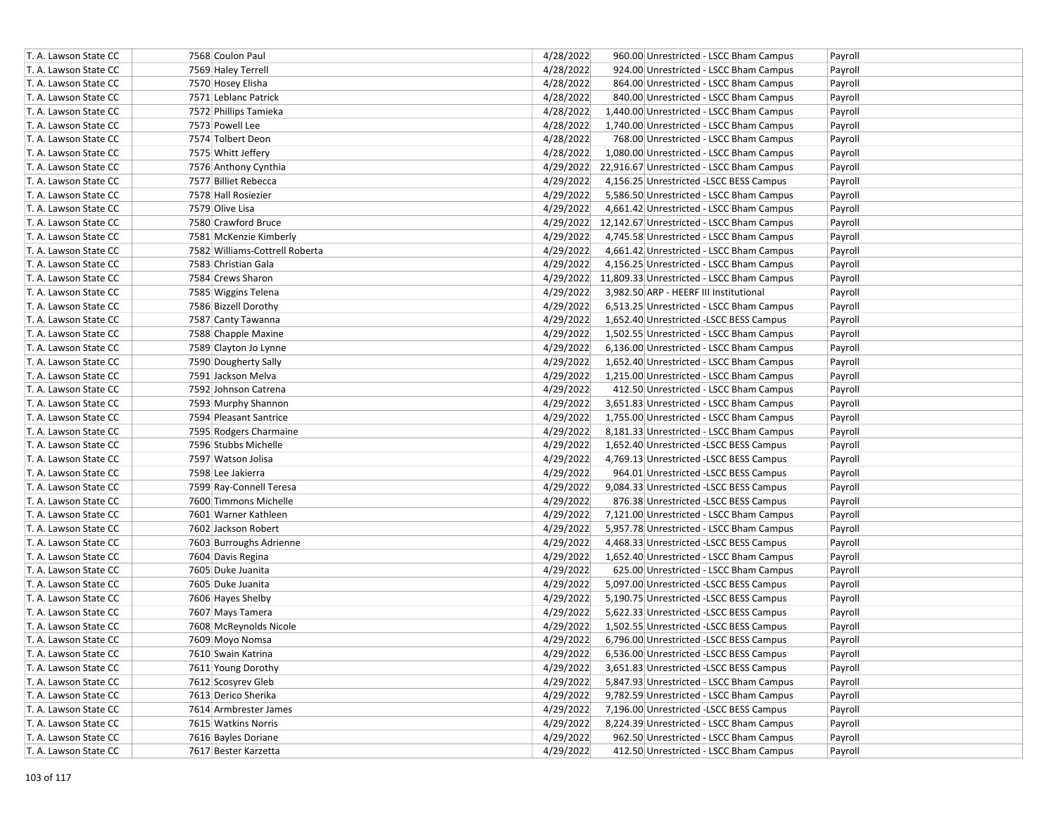| T. A. Lawson State CC | 7568 Coulon Paul               | 4/28/2022 | 960.00 Unrestricted - LSCC Bham Campus              | Payroll |
|-----------------------|--------------------------------|-----------|-----------------------------------------------------|---------|
| T. A. Lawson State CC | 7569 Haley Terrell             | 4/28/2022 | 924.00 Unrestricted - LSCC Bham Campus              | Payroll |
| T. A. Lawson State CC | 7570 Hosey Elisha              | 4/28/2022 | 864.00 Unrestricted - LSCC Bham Campus              | Payroll |
| T. A. Lawson State CC | 7571 Leblanc Patrick           | 4/28/2022 | 840.00 Unrestricted - LSCC Bham Campus              | Payroll |
| T. A. Lawson State CC | 7572 Phillips Tamieka          | 4/28/2022 | 1,440.00 Unrestricted - LSCC Bham Campus            | Payroll |
| T. A. Lawson State CC | 7573 Powell Lee                | 4/28/2022 | 1,740.00 Unrestricted - LSCC Bham Campus            | Payroll |
| T. A. Lawson State CC | 7574 Tolbert Deon              | 4/28/2022 | 768.00 Unrestricted - LSCC Bham Campus              | Payroll |
| T. A. Lawson State CC | 7575 Whitt Jeffery             | 4/28/2022 | 1,080.00 Unrestricted - LSCC Bham Campus            | Payroll |
| T. A. Lawson State CC | 7576 Anthony Cynthia           |           | 4/29/2022 22,916.67 Unrestricted - LSCC Bham Campus | Payroll |
| T. A. Lawson State CC | 7577 Billiet Rebecca           | 4/29/2022 | 4,156.25 Unrestricted -LSCC BESS Campus             | Payroll |
| T. A. Lawson State CC | 7578 Hall Rosiezier            | 4/29/2022 | 5,586.50 Unrestricted - LSCC Bham Campus            | Payroll |
| T. A. Lawson State CC | 7579 Olive Lisa                | 4/29/2022 | 4,661.42 Unrestricted - LSCC Bham Campus            | Payroll |
| T. A. Lawson State CC | 7580 Crawford Bruce            |           | 4/29/2022 12,142.67 Unrestricted - LSCC Bham Campus | Payroll |
| T. A. Lawson State CC | 7581 McKenzie Kimberly         | 4/29/2022 | 4,745.58 Unrestricted - LSCC Bham Campus            | Payroll |
| T. A. Lawson State CC | 7582 Williams-Cottrell Roberta | 4/29/2022 | 4,661.42 Unrestricted - LSCC Bham Campus            | Payroll |
| T. A. Lawson State CC | 7583 Christian Gala            | 4/29/2022 | 4,156.25 Unrestricted - LSCC Bham Campus            | Payroll |
| T. A. Lawson State CC | 7584 Crews Sharon              |           | 4/29/2022 11,809.33 Unrestricted - LSCC Bham Campus | Payroll |
| T. A. Lawson State CC | 7585 Wiggins Telena            | 4/29/2022 | 3,982.50 ARP - HEERF III Institutional              | Payroll |
| T. A. Lawson State CC | 7586 Bizzell Dorothy           | 4/29/2022 | 6,513.25 Unrestricted - LSCC Bham Campus            | Payroll |
| T. A. Lawson State CC | 7587 Canty Tawanna             | 4/29/2022 | 1,652.40 Unrestricted -LSCC BESS Campus             | Payroll |
| T. A. Lawson State CC | 7588 Chapple Maxine            | 4/29/2022 | 1,502.55 Unrestricted - LSCC Bham Campus            | Payroll |
| T. A. Lawson State CC | 7589 Clayton Jo Lynne          | 4/29/2022 | 6,136.00 Unrestricted - LSCC Bham Campus            | Payroll |
| T. A. Lawson State CC | 7590 Dougherty Sally           | 4/29/2022 | 1,652.40 Unrestricted - LSCC Bham Campus            | Payroll |
| T. A. Lawson State CC | 7591 Jackson Melva             | 4/29/2022 | 1,215.00 Unrestricted - LSCC Bham Campus            | Payroll |
| T. A. Lawson State CC | 7592 Johnson Catrena           | 4/29/2022 | 412.50 Unrestricted - LSCC Bham Campus              | Payroll |
| T. A. Lawson State CC | 7593 Murphy Shannon            | 4/29/2022 | 3,651.83 Unrestricted - LSCC Bham Campus            | Payroll |
| T. A. Lawson State CC | 7594 Pleasant Santrice         | 4/29/2022 | 1,755.00 Unrestricted - LSCC Bham Campus            | Payroll |
| T. A. Lawson State CC | 7595 Rodgers Charmaine         | 4/29/2022 | 8,181.33 Unrestricted - LSCC Bham Campus            | Payroll |
| T. A. Lawson State CC | 7596 Stubbs Michelle           | 4/29/2022 | 1,652.40 Unrestricted -LSCC BESS Campus             | Payroll |
| T. A. Lawson State CC | 7597 Watson Jolisa             | 4/29/2022 | 4,769.13 Unrestricted -LSCC BESS Campus             | Payroll |
| T. A. Lawson State CC | 7598 Lee Jakierra              | 4/29/2022 | 964.01 Unrestricted -LSCC BESS Campus               | Payroll |
| T. A. Lawson State CC | 7599 Ray-Connell Teresa        | 4/29/2022 | 9,084.33 Unrestricted -LSCC BESS Campus             | Payroll |
| T. A. Lawson State CC | 7600 Timmons Michelle          | 4/29/2022 | 876.38 Unrestricted -LSCC BESS Campus               | Payroll |
| T. A. Lawson State CC | 7601 Warner Kathleen           | 4/29/2022 | 7,121.00 Unrestricted - LSCC Bham Campus            | Payroll |
| T. A. Lawson State CC | 7602 Jackson Robert            | 4/29/2022 | 5,957.78 Unrestricted - LSCC Bham Campus            | Payroll |
| T. A. Lawson State CC | 7603 Burroughs Adrienne        | 4/29/2022 | 4,468.33 Unrestricted -LSCC BESS Campus             | Payroll |
| T. A. Lawson State CC | 7604 Davis Regina              | 4/29/2022 | 1,652.40 Unrestricted - LSCC Bham Campus            | Payroll |
| T. A. Lawson State CC | 7605 Duke Juanita              | 4/29/2022 | 625.00 Unrestricted - LSCC Bham Campus              | Payroll |
| T. A. Lawson State CC | 7605 Duke Juanita              | 4/29/2022 | 5,097.00 Unrestricted -LSCC BESS Campus             | Payroll |
| T. A. Lawson State CC | 7606 Hayes Shelby              | 4/29/2022 | 5,190.75 Unrestricted -LSCC BESS Campus             | Payroll |
| T. A. Lawson State CC | 7607 Mays Tamera               | 4/29/2022 | 5,622.33 Unrestricted -LSCC BESS Campus             | Payroll |
| T. A. Lawson State CC | 7608 McReynolds Nicole         | 4/29/2022 | 1,502.55 Unrestricted -LSCC BESS Campus             | Payroll |
| T. A. Lawson State CC | 7609 Moyo Nomsa                | 4/29/2022 | 6,796.00 Unrestricted -LSCC BESS Campus             | Payroll |
| T. A. Lawson State CC | 7610 Swain Katrina             | 4/29/2022 | 6,536.00 Unrestricted -LSCC BESS Campus             | Payroll |
| T. A. Lawson State CC | 7611 Young Dorothy             | 4/29/2022 | 3,651.83 Unrestricted -LSCC BESS Campus             | Payroll |
| T. A. Lawson State CC | 7612 Scosyrev Gleb             | 4/29/2022 | 5,847.93 Unrestricted - LSCC Bham Campus            | Payroll |
| T. A. Lawson State CC | 7613 Derico Sherika            | 4/29/2022 | 9,782.59 Unrestricted - LSCC Bham Campus            | Payroll |
| T. A. Lawson State CC | 7614 Armbrester James          | 4/29/2022 | 7,196.00 Unrestricted -LSCC BESS Campus             | Payroll |
| T. A. Lawson State CC | 7615 Watkins Norris            | 4/29/2022 | 8,224.39 Unrestricted - LSCC Bham Campus            | Payroll |
| T. A. Lawson State CC | 7616 Bayles Doriane            | 4/29/2022 | 962.50 Unrestricted - LSCC Bham Campus              |         |
| T. A. Lawson State CC | 7617 Bester Karzetta           | 4/29/2022 | 412.50 Unrestricted - LSCC Bham Campus              | Payroll |
|                       |                                |           |                                                     | Payroll |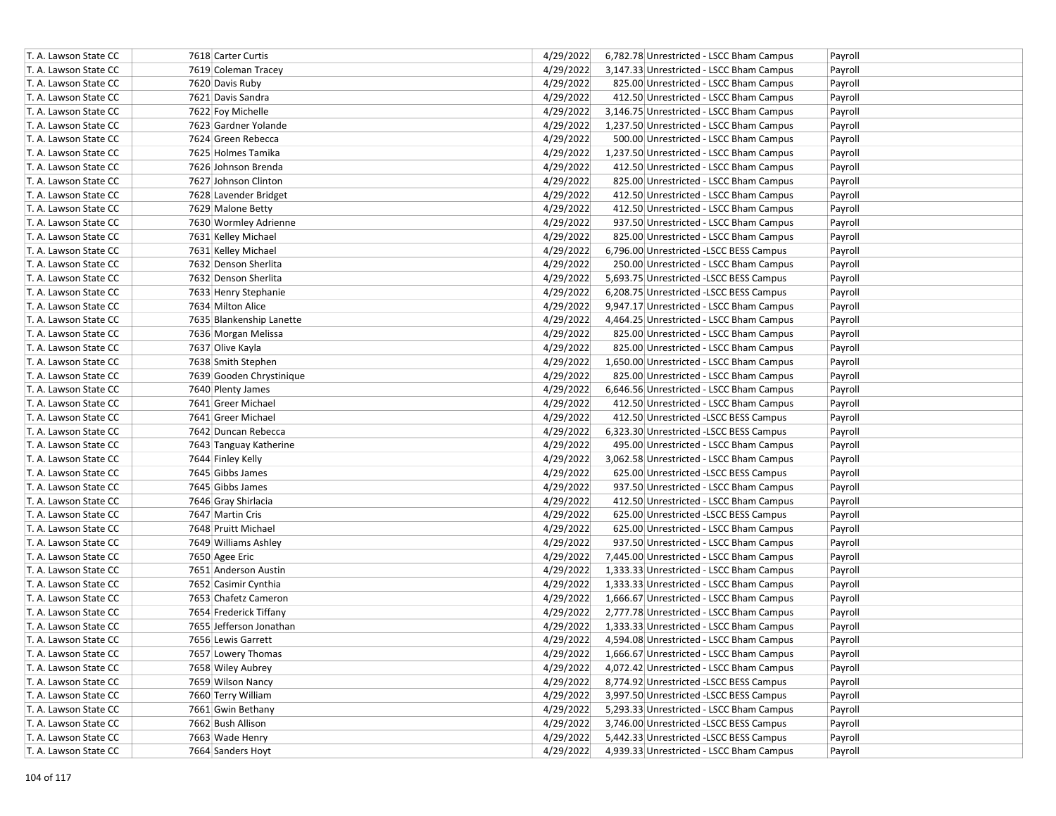| 4/29/2022<br>T. A. Lawson State CC<br>7619 Coleman Tracey<br>3,147.33 Unrestricted - LSCC Bham Campus<br>Payroll<br>4/29/2022<br>T. A. Lawson State CC<br>7620 Davis Ruby<br>825.00 Unrestricted - LSCC Bham Campus<br>Payroll<br>4/29/2022<br>T. A. Lawson State CC<br>7621 Davis Sandra<br>412.50 Unrestricted - LSCC Bham Campus<br>Payroll<br>4/29/2022<br>T. A. Lawson State CC<br>7622 Foy Michelle<br>3,146.75 Unrestricted - LSCC Bham Campus<br>Payroll<br>4/29/2022<br>T. A. Lawson State CC<br>7623 Gardner Yolande<br>1,237.50 Unrestricted - LSCC Bham Campus<br>Payroll<br>4/29/2022<br>T. A. Lawson State CC<br>7624 Green Rebecca<br>500.00 Unrestricted - LSCC Bham Campus<br>Payroll<br>4/29/2022<br>T. A. Lawson State CC<br>7625 Holmes Tamika<br>1,237.50 Unrestricted - LSCC Bham Campus<br>Payroll<br>4/29/2022<br>T. A. Lawson State CC<br>7626 Johnson Brenda<br>412.50 Unrestricted - LSCC Bham Campus<br>Payroll<br>7627 Johnson Clinton<br>4/29/2022<br>T. A. Lawson State CC<br>825.00 Unrestricted - LSCC Bham Campus<br>Payroll<br>4/29/2022<br>T. A. Lawson State CC<br>7628 Lavender Bridget<br>412.50 Unrestricted - LSCC Bham Campus<br>Payroll<br>4/29/2022<br>T. A. Lawson State CC<br>7629 Malone Betty<br>412.50 Unrestricted - LSCC Bham Campus<br>Payroll<br>4/29/2022<br>T. A. Lawson State CC<br>7630 Wormley Adrienne<br>937.50 Unrestricted - LSCC Bham Campus<br>Payroll<br>4/29/2022<br>T. A. Lawson State CC<br>7631 Kelley Michael<br>825.00 Unrestricted - LSCC Bham Campus<br>Payroll<br>T. A. Lawson State CC<br>7631 Kelley Michael<br>4/29/2022<br>6,796.00 Unrestricted -LSCC BESS Campus<br>Payroll<br>4/29/2022<br>T. A. Lawson State CC<br>7632 Denson Sherlita<br>250.00 Unrestricted - LSCC Bham Campus<br>Payroll<br>7632 Denson Sherlita<br>4/29/2022<br>T. A. Lawson State CC<br>5,693.75 Unrestricted -LSCC BESS Campus<br>Payroll<br>4/29/2022<br>T. A. Lawson State CC<br>7633 Henry Stephanie<br>6,208.75 Unrestricted -LSCC BESS Campus<br>Payroll<br>T. A. Lawson State CC<br>7634 Milton Alice<br>4/29/2022<br>9,947.17 Unrestricted - LSCC Bham Campus<br>Payroll<br>4/29/2022<br>T. A. Lawson State CC<br>7635 Blankenship Lanette<br>4,464.25 Unrestricted - LSCC Bham Campus<br>Payroll<br>T. A. Lawson State CC<br>7636 Morgan Melissa<br>4/29/2022<br>825.00 Unrestricted - LSCC Bham Campus<br>Payroll<br>T. A. Lawson State CC<br>7637 Olive Kayla<br>4/29/2022<br>825.00 Unrestricted - LSCC Bham Campus<br>Payroll<br>T. A. Lawson State CC<br>4/29/2022<br>1,650.00 Unrestricted - LSCC Bham Campus<br>Payroll<br>7638 Smith Stephen<br>4/29/2022<br>T. A. Lawson State CC<br>7639 Gooden Chrystinique<br>825.00 Unrestricted - LSCC Bham Campus<br>Payroll<br>4/29/2022<br>T. A. Lawson State CC<br>7640 Plenty James<br>6,646.56 Unrestricted - LSCC Bham Campus<br>Payroll<br>4/29/2022<br>T. A. Lawson State CC<br>7641 Greer Michael<br>412.50 Unrestricted - LSCC Bham Campus<br>Payroll<br>4/29/2022<br>T. A. Lawson State CC<br>7641 Greer Michael<br>412.50 Unrestricted -LSCC BESS Campus<br>Payroll<br>4/29/2022<br>T. A. Lawson State CC<br>7642 Duncan Rebecca<br>6,323.30 Unrestricted -LSCC BESS Campus<br>Payroll<br>4/29/2022<br>T. A. Lawson State CC<br>7643 Tanguay Katherine<br>495.00 Unrestricted - LSCC Bham Campus<br>Payroll<br>4/29/2022<br>T. A. Lawson State CC<br>7644 Finley Kelly<br>3,062.58 Unrestricted - LSCC Bham Campus<br>Payroll<br>4/29/2022<br>T. A. Lawson State CC<br>7645 Gibbs James<br>625.00 Unrestricted -LSCC BESS Campus<br>Payroll<br>7645 Gibbs James<br>4/29/2022<br>T. A. Lawson State CC<br>937.50 Unrestricted - LSCC Bham Campus<br>Payroll<br>4/29/2022<br>T. A. Lawson State CC<br>7646 Gray Shirlacia<br>412.50 Unrestricted - LSCC Bham Campus<br>Payroll<br>T. A. Lawson State CC<br>7647 Martin Cris<br>4/29/2022<br>625.00 Unrestricted -LSCC BESS Campus<br>Payroll<br>4/29/2022<br>T. A. Lawson State CC<br>7648 Pruitt Michael<br>625.00 Unrestricted - LSCC Bham Campus<br>Payroll<br>4/29/2022<br>T. A. Lawson State CC<br>7649 Williams Ashley<br>937.50 Unrestricted - LSCC Bham Campus<br>Payroll<br>4/29/2022<br>T. A. Lawson State CC<br>7650 Agee Eric<br>7,445.00 Unrestricted - LSCC Bham Campus<br>Payroll<br>T. A. Lawson State CC<br>7651 Anderson Austin<br>4/29/2022<br>1,333.33 Unrestricted - LSCC Bham Campus<br>Payroll<br>4/29/2022<br>T. A. Lawson State CC<br>7652 Casimir Cynthia<br>1,333.33 Unrestricted - LSCC Bham Campus<br>Payroll<br>T. A. Lawson State CC<br>7653 Chafetz Cameron<br>4/29/2022<br>1,666.67 Unrestricted - LSCC Bham Campus<br>Payroll<br>4/29/2022<br>T. A. Lawson State CC<br>7654 Frederick Tiffany<br>2,777.78 Unrestricted - LSCC Bham Campus<br>Payroll<br>T. A. Lawson State CC<br>7655 Jefferson Jonathan<br>4/29/2022<br>1,333.33 Unrestricted - LSCC Bham Campus<br>Payroll<br>T. A. Lawson State CC<br>7656 Lewis Garrett<br>4/29/2022<br>4,594.08 Unrestricted - LSCC Bham Campus<br>Payroll<br>T. A. Lawson State CC<br>7657 Lowery Thomas<br>4/29/2022<br>1,666.67 Unrestricted - LSCC Bham Campus<br>Payroll<br>4/29/2022<br>4,072.42 Unrestricted - LSCC Bham Campus<br>T. A. Lawson State CC<br>7658 Wiley Aubrey<br>Payroll<br>8,774.92 Unrestricted -LSCC BESS Campus<br>T. A. Lawson State CC<br>7659 Wilson Nancy<br>4/29/2022<br>Payroll<br>4/29/2022<br>T. A. Lawson State CC<br>7660 Terry William<br>3,997.50 Unrestricted -LSCC BESS Campus<br>Payroll<br>4/29/2022<br>T. A. Lawson State CC<br>7661 Gwin Bethany<br>5,293.33 Unrestricted - LSCC Bham Campus<br>Payroll<br>4/29/2022<br>T. A. Lawson State CC<br>7662 Bush Allison<br>3,746.00 Unrestricted -LSCC BESS Campus<br>Payroll<br>5,442.33 Unrestricted -LSCC BESS Campus<br>T. A. Lawson State CC<br>7663 Wade Henry<br>4/29/2022<br>Payroll<br>T. A. Lawson State CC<br>4/29/2022<br>4,939.33 Unrestricted - LSCC Bham Campus<br>7664 Sanders Hoyt<br>Payroll | T. A. Lawson State CC | 7618 Carter Curtis | 4/29/2022 | 6,782.78 Unrestricted - LSCC Bham Campus | Payroll |
|---------------------------------------------------------------------------------------------------------------------------------------------------------------------------------------------------------------------------------------------------------------------------------------------------------------------------------------------------------------------------------------------------------------------------------------------------------------------------------------------------------------------------------------------------------------------------------------------------------------------------------------------------------------------------------------------------------------------------------------------------------------------------------------------------------------------------------------------------------------------------------------------------------------------------------------------------------------------------------------------------------------------------------------------------------------------------------------------------------------------------------------------------------------------------------------------------------------------------------------------------------------------------------------------------------------------------------------------------------------------------------------------------------------------------------------------------------------------------------------------------------------------------------------------------------------------------------------------------------------------------------------------------------------------------------------------------------------------------------------------------------------------------------------------------------------------------------------------------------------------------------------------------------------------------------------------------------------------------------------------------------------------------------------------------------------------------------------------------------------------------------------------------------------------------------------------------------------------------------------------------------------------------------------------------------------------------------------------------------------------------------------------------------------------------------------------------------------------------------------------------------------------------------------------------------------------------------------------------------------------------------------------------------------------------------------------------------------------------------------------------------------------------------------------------------------------------------------------------------------------------------------------------------------------------------------------------------------------------------------------------------------------------------------------------------------------------------------------------------------------------------------------------------------------------------------------------------------------------------------------------------------------------------------------------------------------------------------------------------------------------------------------------------------------------------------------------------------------------------------------------------------------------------------------------------------------------------------------------------------------------------------------------------------------------------------------------------------------------------------------------------------------------------------------------------------------------------------------------------------------------------------------------------------------------------------------------------------------------------------------------------------------------------------------------------------------------------------------------------------------------------------------------------------------------------------------------------------------------------------------------------------------------------------------------------------------------------------------------------------------------------------------------------------------------------------------------------------------------------------------------------------------------------------------------------------------------------------------------------------------------------------------------------------------------------------------------------------------------------------------------------------------------------------------------------------------------------------------------------------------------------------------------------------------------------------------------------------------------------------------------------------------------------------------------------------------------------------------------------------------------------------------------------------------------------------------------------------------------------------------------------------------------------------------------------------------------------------------------------------------------------------------------------------------------------------------------------------------------------------------------------------------------------------------------------------------------------------------------------------------------------------------------------------------------------------------------------------------------------------------------------------------------------------------------------------------------------------------------------------------------------------------------------------------------------------------------------|-----------------------|--------------------|-----------|------------------------------------------|---------|
|                                                                                                                                                                                                                                                                                                                                                                                                                                                                                                                                                                                                                                                                                                                                                                                                                                                                                                                                                                                                                                                                                                                                                                                                                                                                                                                                                                                                                                                                                                                                                                                                                                                                                                                                                                                                                                                                                                                                                                                                                                                                                                                                                                                                                                                                                                                                                                                                                                                                                                                                                                                                                                                                                                                                                                                                                                                                                                                                                                                                                                                                                                                                                                                                                                                                                                                                                                                                                                                                                                                                                                                                                                                                                                                                                                                                                                                                                                                                                                                                                                                                                                                                                                                                                                                                                                                                                                                                                                                                                                                                                                                                                                                                                                                                                                                                                                                                                                                                                                                                                                                                                                                                                                                                                                                                                                                                                                                                                                                                                                                                                                                                                                                                                                                                                                                                                                                                                                                                                         |                       |                    |           |                                          |         |
|                                                                                                                                                                                                                                                                                                                                                                                                                                                                                                                                                                                                                                                                                                                                                                                                                                                                                                                                                                                                                                                                                                                                                                                                                                                                                                                                                                                                                                                                                                                                                                                                                                                                                                                                                                                                                                                                                                                                                                                                                                                                                                                                                                                                                                                                                                                                                                                                                                                                                                                                                                                                                                                                                                                                                                                                                                                                                                                                                                                                                                                                                                                                                                                                                                                                                                                                                                                                                                                                                                                                                                                                                                                                                                                                                                                                                                                                                                                                                                                                                                                                                                                                                                                                                                                                                                                                                                                                                                                                                                                                                                                                                                                                                                                                                                                                                                                                                                                                                                                                                                                                                                                                                                                                                                                                                                                                                                                                                                                                                                                                                                                                                                                                                                                                                                                                                                                                                                                                                         |                       |                    |           |                                          |         |
|                                                                                                                                                                                                                                                                                                                                                                                                                                                                                                                                                                                                                                                                                                                                                                                                                                                                                                                                                                                                                                                                                                                                                                                                                                                                                                                                                                                                                                                                                                                                                                                                                                                                                                                                                                                                                                                                                                                                                                                                                                                                                                                                                                                                                                                                                                                                                                                                                                                                                                                                                                                                                                                                                                                                                                                                                                                                                                                                                                                                                                                                                                                                                                                                                                                                                                                                                                                                                                                                                                                                                                                                                                                                                                                                                                                                                                                                                                                                                                                                                                                                                                                                                                                                                                                                                                                                                                                                                                                                                                                                                                                                                                                                                                                                                                                                                                                                                                                                                                                                                                                                                                                                                                                                                                                                                                                                                                                                                                                                                                                                                                                                                                                                                                                                                                                                                                                                                                                                                         |                       |                    |           |                                          |         |
|                                                                                                                                                                                                                                                                                                                                                                                                                                                                                                                                                                                                                                                                                                                                                                                                                                                                                                                                                                                                                                                                                                                                                                                                                                                                                                                                                                                                                                                                                                                                                                                                                                                                                                                                                                                                                                                                                                                                                                                                                                                                                                                                                                                                                                                                                                                                                                                                                                                                                                                                                                                                                                                                                                                                                                                                                                                                                                                                                                                                                                                                                                                                                                                                                                                                                                                                                                                                                                                                                                                                                                                                                                                                                                                                                                                                                                                                                                                                                                                                                                                                                                                                                                                                                                                                                                                                                                                                                                                                                                                                                                                                                                                                                                                                                                                                                                                                                                                                                                                                                                                                                                                                                                                                                                                                                                                                                                                                                                                                                                                                                                                                                                                                                                                                                                                                                                                                                                                                                         |                       |                    |           |                                          |         |
|                                                                                                                                                                                                                                                                                                                                                                                                                                                                                                                                                                                                                                                                                                                                                                                                                                                                                                                                                                                                                                                                                                                                                                                                                                                                                                                                                                                                                                                                                                                                                                                                                                                                                                                                                                                                                                                                                                                                                                                                                                                                                                                                                                                                                                                                                                                                                                                                                                                                                                                                                                                                                                                                                                                                                                                                                                                                                                                                                                                                                                                                                                                                                                                                                                                                                                                                                                                                                                                                                                                                                                                                                                                                                                                                                                                                                                                                                                                                                                                                                                                                                                                                                                                                                                                                                                                                                                                                                                                                                                                                                                                                                                                                                                                                                                                                                                                                                                                                                                                                                                                                                                                                                                                                                                                                                                                                                                                                                                                                                                                                                                                                                                                                                                                                                                                                                                                                                                                                                         |                       |                    |           |                                          |         |
|                                                                                                                                                                                                                                                                                                                                                                                                                                                                                                                                                                                                                                                                                                                                                                                                                                                                                                                                                                                                                                                                                                                                                                                                                                                                                                                                                                                                                                                                                                                                                                                                                                                                                                                                                                                                                                                                                                                                                                                                                                                                                                                                                                                                                                                                                                                                                                                                                                                                                                                                                                                                                                                                                                                                                                                                                                                                                                                                                                                                                                                                                                                                                                                                                                                                                                                                                                                                                                                                                                                                                                                                                                                                                                                                                                                                                                                                                                                                                                                                                                                                                                                                                                                                                                                                                                                                                                                                                                                                                                                                                                                                                                                                                                                                                                                                                                                                                                                                                                                                                                                                                                                                                                                                                                                                                                                                                                                                                                                                                                                                                                                                                                                                                                                                                                                                                                                                                                                                                         |                       |                    |           |                                          |         |
|                                                                                                                                                                                                                                                                                                                                                                                                                                                                                                                                                                                                                                                                                                                                                                                                                                                                                                                                                                                                                                                                                                                                                                                                                                                                                                                                                                                                                                                                                                                                                                                                                                                                                                                                                                                                                                                                                                                                                                                                                                                                                                                                                                                                                                                                                                                                                                                                                                                                                                                                                                                                                                                                                                                                                                                                                                                                                                                                                                                                                                                                                                                                                                                                                                                                                                                                                                                                                                                                                                                                                                                                                                                                                                                                                                                                                                                                                                                                                                                                                                                                                                                                                                                                                                                                                                                                                                                                                                                                                                                                                                                                                                                                                                                                                                                                                                                                                                                                                                                                                                                                                                                                                                                                                                                                                                                                                                                                                                                                                                                                                                                                                                                                                                                                                                                                                                                                                                                                                         |                       |                    |           |                                          |         |
|                                                                                                                                                                                                                                                                                                                                                                                                                                                                                                                                                                                                                                                                                                                                                                                                                                                                                                                                                                                                                                                                                                                                                                                                                                                                                                                                                                                                                                                                                                                                                                                                                                                                                                                                                                                                                                                                                                                                                                                                                                                                                                                                                                                                                                                                                                                                                                                                                                                                                                                                                                                                                                                                                                                                                                                                                                                                                                                                                                                                                                                                                                                                                                                                                                                                                                                                                                                                                                                                                                                                                                                                                                                                                                                                                                                                                                                                                                                                                                                                                                                                                                                                                                                                                                                                                                                                                                                                                                                                                                                                                                                                                                                                                                                                                                                                                                                                                                                                                                                                                                                                                                                                                                                                                                                                                                                                                                                                                                                                                                                                                                                                                                                                                                                                                                                                                                                                                                                                                         |                       |                    |           |                                          |         |
|                                                                                                                                                                                                                                                                                                                                                                                                                                                                                                                                                                                                                                                                                                                                                                                                                                                                                                                                                                                                                                                                                                                                                                                                                                                                                                                                                                                                                                                                                                                                                                                                                                                                                                                                                                                                                                                                                                                                                                                                                                                                                                                                                                                                                                                                                                                                                                                                                                                                                                                                                                                                                                                                                                                                                                                                                                                                                                                                                                                                                                                                                                                                                                                                                                                                                                                                                                                                                                                                                                                                                                                                                                                                                                                                                                                                                                                                                                                                                                                                                                                                                                                                                                                                                                                                                                                                                                                                                                                                                                                                                                                                                                                                                                                                                                                                                                                                                                                                                                                                                                                                                                                                                                                                                                                                                                                                                                                                                                                                                                                                                                                                                                                                                                                                                                                                                                                                                                                                                         |                       |                    |           |                                          |         |
|                                                                                                                                                                                                                                                                                                                                                                                                                                                                                                                                                                                                                                                                                                                                                                                                                                                                                                                                                                                                                                                                                                                                                                                                                                                                                                                                                                                                                                                                                                                                                                                                                                                                                                                                                                                                                                                                                                                                                                                                                                                                                                                                                                                                                                                                                                                                                                                                                                                                                                                                                                                                                                                                                                                                                                                                                                                                                                                                                                                                                                                                                                                                                                                                                                                                                                                                                                                                                                                                                                                                                                                                                                                                                                                                                                                                                                                                                                                                                                                                                                                                                                                                                                                                                                                                                                                                                                                                                                                                                                                                                                                                                                                                                                                                                                                                                                                                                                                                                                                                                                                                                                                                                                                                                                                                                                                                                                                                                                                                                                                                                                                                                                                                                                                                                                                                                                                                                                                                                         |                       |                    |           |                                          |         |
|                                                                                                                                                                                                                                                                                                                                                                                                                                                                                                                                                                                                                                                                                                                                                                                                                                                                                                                                                                                                                                                                                                                                                                                                                                                                                                                                                                                                                                                                                                                                                                                                                                                                                                                                                                                                                                                                                                                                                                                                                                                                                                                                                                                                                                                                                                                                                                                                                                                                                                                                                                                                                                                                                                                                                                                                                                                                                                                                                                                                                                                                                                                                                                                                                                                                                                                                                                                                                                                                                                                                                                                                                                                                                                                                                                                                                                                                                                                                                                                                                                                                                                                                                                                                                                                                                                                                                                                                                                                                                                                                                                                                                                                                                                                                                                                                                                                                                                                                                                                                                                                                                                                                                                                                                                                                                                                                                                                                                                                                                                                                                                                                                                                                                                                                                                                                                                                                                                                                                         |                       |                    |           |                                          |         |
|                                                                                                                                                                                                                                                                                                                                                                                                                                                                                                                                                                                                                                                                                                                                                                                                                                                                                                                                                                                                                                                                                                                                                                                                                                                                                                                                                                                                                                                                                                                                                                                                                                                                                                                                                                                                                                                                                                                                                                                                                                                                                                                                                                                                                                                                                                                                                                                                                                                                                                                                                                                                                                                                                                                                                                                                                                                                                                                                                                                                                                                                                                                                                                                                                                                                                                                                                                                                                                                                                                                                                                                                                                                                                                                                                                                                                                                                                                                                                                                                                                                                                                                                                                                                                                                                                                                                                                                                                                                                                                                                                                                                                                                                                                                                                                                                                                                                                                                                                                                                                                                                                                                                                                                                                                                                                                                                                                                                                                                                                                                                                                                                                                                                                                                                                                                                                                                                                                                                                         |                       |                    |           |                                          |         |
|                                                                                                                                                                                                                                                                                                                                                                                                                                                                                                                                                                                                                                                                                                                                                                                                                                                                                                                                                                                                                                                                                                                                                                                                                                                                                                                                                                                                                                                                                                                                                                                                                                                                                                                                                                                                                                                                                                                                                                                                                                                                                                                                                                                                                                                                                                                                                                                                                                                                                                                                                                                                                                                                                                                                                                                                                                                                                                                                                                                                                                                                                                                                                                                                                                                                                                                                                                                                                                                                                                                                                                                                                                                                                                                                                                                                                                                                                                                                                                                                                                                                                                                                                                                                                                                                                                                                                                                                                                                                                                                                                                                                                                                                                                                                                                                                                                                                                                                                                                                                                                                                                                                                                                                                                                                                                                                                                                                                                                                                                                                                                                                                                                                                                                                                                                                                                                                                                                                                                         |                       |                    |           |                                          |         |
|                                                                                                                                                                                                                                                                                                                                                                                                                                                                                                                                                                                                                                                                                                                                                                                                                                                                                                                                                                                                                                                                                                                                                                                                                                                                                                                                                                                                                                                                                                                                                                                                                                                                                                                                                                                                                                                                                                                                                                                                                                                                                                                                                                                                                                                                                                                                                                                                                                                                                                                                                                                                                                                                                                                                                                                                                                                                                                                                                                                                                                                                                                                                                                                                                                                                                                                                                                                                                                                                                                                                                                                                                                                                                                                                                                                                                                                                                                                                                                                                                                                                                                                                                                                                                                                                                                                                                                                                                                                                                                                                                                                                                                                                                                                                                                                                                                                                                                                                                                                                                                                                                                                                                                                                                                                                                                                                                                                                                                                                                                                                                                                                                                                                                                                                                                                                                                                                                                                                                         |                       |                    |           |                                          |         |
|                                                                                                                                                                                                                                                                                                                                                                                                                                                                                                                                                                                                                                                                                                                                                                                                                                                                                                                                                                                                                                                                                                                                                                                                                                                                                                                                                                                                                                                                                                                                                                                                                                                                                                                                                                                                                                                                                                                                                                                                                                                                                                                                                                                                                                                                                                                                                                                                                                                                                                                                                                                                                                                                                                                                                                                                                                                                                                                                                                                                                                                                                                                                                                                                                                                                                                                                                                                                                                                                                                                                                                                                                                                                                                                                                                                                                                                                                                                                                                                                                                                                                                                                                                                                                                                                                                                                                                                                                                                                                                                                                                                                                                                                                                                                                                                                                                                                                                                                                                                                                                                                                                                                                                                                                                                                                                                                                                                                                                                                                                                                                                                                                                                                                                                                                                                                                                                                                                                                                         |                       |                    |           |                                          |         |
|                                                                                                                                                                                                                                                                                                                                                                                                                                                                                                                                                                                                                                                                                                                                                                                                                                                                                                                                                                                                                                                                                                                                                                                                                                                                                                                                                                                                                                                                                                                                                                                                                                                                                                                                                                                                                                                                                                                                                                                                                                                                                                                                                                                                                                                                                                                                                                                                                                                                                                                                                                                                                                                                                                                                                                                                                                                                                                                                                                                                                                                                                                                                                                                                                                                                                                                                                                                                                                                                                                                                                                                                                                                                                                                                                                                                                                                                                                                                                                                                                                                                                                                                                                                                                                                                                                                                                                                                                                                                                                                                                                                                                                                                                                                                                                                                                                                                                                                                                                                                                                                                                                                                                                                                                                                                                                                                                                                                                                                                                                                                                                                                                                                                                                                                                                                                                                                                                                                                                         |                       |                    |           |                                          |         |
|                                                                                                                                                                                                                                                                                                                                                                                                                                                                                                                                                                                                                                                                                                                                                                                                                                                                                                                                                                                                                                                                                                                                                                                                                                                                                                                                                                                                                                                                                                                                                                                                                                                                                                                                                                                                                                                                                                                                                                                                                                                                                                                                                                                                                                                                                                                                                                                                                                                                                                                                                                                                                                                                                                                                                                                                                                                                                                                                                                                                                                                                                                                                                                                                                                                                                                                                                                                                                                                                                                                                                                                                                                                                                                                                                                                                                                                                                                                                                                                                                                                                                                                                                                                                                                                                                                                                                                                                                                                                                                                                                                                                                                                                                                                                                                                                                                                                                                                                                                                                                                                                                                                                                                                                                                                                                                                                                                                                                                                                                                                                                                                                                                                                                                                                                                                                                                                                                                                                                         |                       |                    |           |                                          |         |
|                                                                                                                                                                                                                                                                                                                                                                                                                                                                                                                                                                                                                                                                                                                                                                                                                                                                                                                                                                                                                                                                                                                                                                                                                                                                                                                                                                                                                                                                                                                                                                                                                                                                                                                                                                                                                                                                                                                                                                                                                                                                                                                                                                                                                                                                                                                                                                                                                                                                                                                                                                                                                                                                                                                                                                                                                                                                                                                                                                                                                                                                                                                                                                                                                                                                                                                                                                                                                                                                                                                                                                                                                                                                                                                                                                                                                                                                                                                                                                                                                                                                                                                                                                                                                                                                                                                                                                                                                                                                                                                                                                                                                                                                                                                                                                                                                                                                                                                                                                                                                                                                                                                                                                                                                                                                                                                                                                                                                                                                                                                                                                                                                                                                                                                                                                                                                                                                                                                                                         |                       |                    |           |                                          |         |
|                                                                                                                                                                                                                                                                                                                                                                                                                                                                                                                                                                                                                                                                                                                                                                                                                                                                                                                                                                                                                                                                                                                                                                                                                                                                                                                                                                                                                                                                                                                                                                                                                                                                                                                                                                                                                                                                                                                                                                                                                                                                                                                                                                                                                                                                                                                                                                                                                                                                                                                                                                                                                                                                                                                                                                                                                                                                                                                                                                                                                                                                                                                                                                                                                                                                                                                                                                                                                                                                                                                                                                                                                                                                                                                                                                                                                                                                                                                                                                                                                                                                                                                                                                                                                                                                                                                                                                                                                                                                                                                                                                                                                                                                                                                                                                                                                                                                                                                                                                                                                                                                                                                                                                                                                                                                                                                                                                                                                                                                                                                                                                                                                                                                                                                                                                                                                                                                                                                                                         |                       |                    |           |                                          |         |
|                                                                                                                                                                                                                                                                                                                                                                                                                                                                                                                                                                                                                                                                                                                                                                                                                                                                                                                                                                                                                                                                                                                                                                                                                                                                                                                                                                                                                                                                                                                                                                                                                                                                                                                                                                                                                                                                                                                                                                                                                                                                                                                                                                                                                                                                                                                                                                                                                                                                                                                                                                                                                                                                                                                                                                                                                                                                                                                                                                                                                                                                                                                                                                                                                                                                                                                                                                                                                                                                                                                                                                                                                                                                                                                                                                                                                                                                                                                                                                                                                                                                                                                                                                                                                                                                                                                                                                                                                                                                                                                                                                                                                                                                                                                                                                                                                                                                                                                                                                                                                                                                                                                                                                                                                                                                                                                                                                                                                                                                                                                                                                                                                                                                                                                                                                                                                                                                                                                                                         |                       |                    |           |                                          |         |
|                                                                                                                                                                                                                                                                                                                                                                                                                                                                                                                                                                                                                                                                                                                                                                                                                                                                                                                                                                                                                                                                                                                                                                                                                                                                                                                                                                                                                                                                                                                                                                                                                                                                                                                                                                                                                                                                                                                                                                                                                                                                                                                                                                                                                                                                                                                                                                                                                                                                                                                                                                                                                                                                                                                                                                                                                                                                                                                                                                                                                                                                                                                                                                                                                                                                                                                                                                                                                                                                                                                                                                                                                                                                                                                                                                                                                                                                                                                                                                                                                                                                                                                                                                                                                                                                                                                                                                                                                                                                                                                                                                                                                                                                                                                                                                                                                                                                                                                                                                                                                                                                                                                                                                                                                                                                                                                                                                                                                                                                                                                                                                                                                                                                                                                                                                                                                                                                                                                                                         |                       |                    |           |                                          |         |
|                                                                                                                                                                                                                                                                                                                                                                                                                                                                                                                                                                                                                                                                                                                                                                                                                                                                                                                                                                                                                                                                                                                                                                                                                                                                                                                                                                                                                                                                                                                                                                                                                                                                                                                                                                                                                                                                                                                                                                                                                                                                                                                                                                                                                                                                                                                                                                                                                                                                                                                                                                                                                                                                                                                                                                                                                                                                                                                                                                                                                                                                                                                                                                                                                                                                                                                                                                                                                                                                                                                                                                                                                                                                                                                                                                                                                                                                                                                                                                                                                                                                                                                                                                                                                                                                                                                                                                                                                                                                                                                                                                                                                                                                                                                                                                                                                                                                                                                                                                                                                                                                                                                                                                                                                                                                                                                                                                                                                                                                                                                                                                                                                                                                                                                                                                                                                                                                                                                                                         |                       |                    |           |                                          |         |
|                                                                                                                                                                                                                                                                                                                                                                                                                                                                                                                                                                                                                                                                                                                                                                                                                                                                                                                                                                                                                                                                                                                                                                                                                                                                                                                                                                                                                                                                                                                                                                                                                                                                                                                                                                                                                                                                                                                                                                                                                                                                                                                                                                                                                                                                                                                                                                                                                                                                                                                                                                                                                                                                                                                                                                                                                                                                                                                                                                                                                                                                                                                                                                                                                                                                                                                                                                                                                                                                                                                                                                                                                                                                                                                                                                                                                                                                                                                                                                                                                                                                                                                                                                                                                                                                                                                                                                                                                                                                                                                                                                                                                                                                                                                                                                                                                                                                                                                                                                                                                                                                                                                                                                                                                                                                                                                                                                                                                                                                                                                                                                                                                                                                                                                                                                                                                                                                                                                                                         |                       |                    |           |                                          |         |
|                                                                                                                                                                                                                                                                                                                                                                                                                                                                                                                                                                                                                                                                                                                                                                                                                                                                                                                                                                                                                                                                                                                                                                                                                                                                                                                                                                                                                                                                                                                                                                                                                                                                                                                                                                                                                                                                                                                                                                                                                                                                                                                                                                                                                                                                                                                                                                                                                                                                                                                                                                                                                                                                                                                                                                                                                                                                                                                                                                                                                                                                                                                                                                                                                                                                                                                                                                                                                                                                                                                                                                                                                                                                                                                                                                                                                                                                                                                                                                                                                                                                                                                                                                                                                                                                                                                                                                                                                                                                                                                                                                                                                                                                                                                                                                                                                                                                                                                                                                                                                                                                                                                                                                                                                                                                                                                                                                                                                                                                                                                                                                                                                                                                                                                                                                                                                                                                                                                                                         |                       |                    |           |                                          |         |
|                                                                                                                                                                                                                                                                                                                                                                                                                                                                                                                                                                                                                                                                                                                                                                                                                                                                                                                                                                                                                                                                                                                                                                                                                                                                                                                                                                                                                                                                                                                                                                                                                                                                                                                                                                                                                                                                                                                                                                                                                                                                                                                                                                                                                                                                                                                                                                                                                                                                                                                                                                                                                                                                                                                                                                                                                                                                                                                                                                                                                                                                                                                                                                                                                                                                                                                                                                                                                                                                                                                                                                                                                                                                                                                                                                                                                                                                                                                                                                                                                                                                                                                                                                                                                                                                                                                                                                                                                                                                                                                                                                                                                                                                                                                                                                                                                                                                                                                                                                                                                                                                                                                                                                                                                                                                                                                                                                                                                                                                                                                                                                                                                                                                                                                                                                                                                                                                                                                                                         |                       |                    |           |                                          |         |
|                                                                                                                                                                                                                                                                                                                                                                                                                                                                                                                                                                                                                                                                                                                                                                                                                                                                                                                                                                                                                                                                                                                                                                                                                                                                                                                                                                                                                                                                                                                                                                                                                                                                                                                                                                                                                                                                                                                                                                                                                                                                                                                                                                                                                                                                                                                                                                                                                                                                                                                                                                                                                                                                                                                                                                                                                                                                                                                                                                                                                                                                                                                                                                                                                                                                                                                                                                                                                                                                                                                                                                                                                                                                                                                                                                                                                                                                                                                                                                                                                                                                                                                                                                                                                                                                                                                                                                                                                                                                                                                                                                                                                                                                                                                                                                                                                                                                                                                                                                                                                                                                                                                                                                                                                                                                                                                                                                                                                                                                                                                                                                                                                                                                                                                                                                                                                                                                                                                                                         |                       |                    |           |                                          |         |
|                                                                                                                                                                                                                                                                                                                                                                                                                                                                                                                                                                                                                                                                                                                                                                                                                                                                                                                                                                                                                                                                                                                                                                                                                                                                                                                                                                                                                                                                                                                                                                                                                                                                                                                                                                                                                                                                                                                                                                                                                                                                                                                                                                                                                                                                                                                                                                                                                                                                                                                                                                                                                                                                                                                                                                                                                                                                                                                                                                                                                                                                                                                                                                                                                                                                                                                                                                                                                                                                                                                                                                                                                                                                                                                                                                                                                                                                                                                                                                                                                                                                                                                                                                                                                                                                                                                                                                                                                                                                                                                                                                                                                                                                                                                                                                                                                                                                                                                                                                                                                                                                                                                                                                                                                                                                                                                                                                                                                                                                                                                                                                                                                                                                                                                                                                                                                                                                                                                                                         |                       |                    |           |                                          |         |
|                                                                                                                                                                                                                                                                                                                                                                                                                                                                                                                                                                                                                                                                                                                                                                                                                                                                                                                                                                                                                                                                                                                                                                                                                                                                                                                                                                                                                                                                                                                                                                                                                                                                                                                                                                                                                                                                                                                                                                                                                                                                                                                                                                                                                                                                                                                                                                                                                                                                                                                                                                                                                                                                                                                                                                                                                                                                                                                                                                                                                                                                                                                                                                                                                                                                                                                                                                                                                                                                                                                                                                                                                                                                                                                                                                                                                                                                                                                                                                                                                                                                                                                                                                                                                                                                                                                                                                                                                                                                                                                                                                                                                                                                                                                                                                                                                                                                                                                                                                                                                                                                                                                                                                                                                                                                                                                                                                                                                                                                                                                                                                                                                                                                                                                                                                                                                                                                                                                                                         |                       |                    |           |                                          |         |
|                                                                                                                                                                                                                                                                                                                                                                                                                                                                                                                                                                                                                                                                                                                                                                                                                                                                                                                                                                                                                                                                                                                                                                                                                                                                                                                                                                                                                                                                                                                                                                                                                                                                                                                                                                                                                                                                                                                                                                                                                                                                                                                                                                                                                                                                                                                                                                                                                                                                                                                                                                                                                                                                                                                                                                                                                                                                                                                                                                                                                                                                                                                                                                                                                                                                                                                                                                                                                                                                                                                                                                                                                                                                                                                                                                                                                                                                                                                                                                                                                                                                                                                                                                                                                                                                                                                                                                                                                                                                                                                                                                                                                                                                                                                                                                                                                                                                                                                                                                                                                                                                                                                                                                                                                                                                                                                                                                                                                                                                                                                                                                                                                                                                                                                                                                                                                                                                                                                                                         |                       |                    |           |                                          |         |
|                                                                                                                                                                                                                                                                                                                                                                                                                                                                                                                                                                                                                                                                                                                                                                                                                                                                                                                                                                                                                                                                                                                                                                                                                                                                                                                                                                                                                                                                                                                                                                                                                                                                                                                                                                                                                                                                                                                                                                                                                                                                                                                                                                                                                                                                                                                                                                                                                                                                                                                                                                                                                                                                                                                                                                                                                                                                                                                                                                                                                                                                                                                                                                                                                                                                                                                                                                                                                                                                                                                                                                                                                                                                                                                                                                                                                                                                                                                                                                                                                                                                                                                                                                                                                                                                                                                                                                                                                                                                                                                                                                                                                                                                                                                                                                                                                                                                                                                                                                                                                                                                                                                                                                                                                                                                                                                                                                                                                                                                                                                                                                                                                                                                                                                                                                                                                                                                                                                                                         |                       |                    |           |                                          |         |
|                                                                                                                                                                                                                                                                                                                                                                                                                                                                                                                                                                                                                                                                                                                                                                                                                                                                                                                                                                                                                                                                                                                                                                                                                                                                                                                                                                                                                                                                                                                                                                                                                                                                                                                                                                                                                                                                                                                                                                                                                                                                                                                                                                                                                                                                                                                                                                                                                                                                                                                                                                                                                                                                                                                                                                                                                                                                                                                                                                                                                                                                                                                                                                                                                                                                                                                                                                                                                                                                                                                                                                                                                                                                                                                                                                                                                                                                                                                                                                                                                                                                                                                                                                                                                                                                                                                                                                                                                                                                                                                                                                                                                                                                                                                                                                                                                                                                                                                                                                                                                                                                                                                                                                                                                                                                                                                                                                                                                                                                                                                                                                                                                                                                                                                                                                                                                                                                                                                                                         |                       |                    |           |                                          |         |
|                                                                                                                                                                                                                                                                                                                                                                                                                                                                                                                                                                                                                                                                                                                                                                                                                                                                                                                                                                                                                                                                                                                                                                                                                                                                                                                                                                                                                                                                                                                                                                                                                                                                                                                                                                                                                                                                                                                                                                                                                                                                                                                                                                                                                                                                                                                                                                                                                                                                                                                                                                                                                                                                                                                                                                                                                                                                                                                                                                                                                                                                                                                                                                                                                                                                                                                                                                                                                                                                                                                                                                                                                                                                                                                                                                                                                                                                                                                                                                                                                                                                                                                                                                                                                                                                                                                                                                                                                                                                                                                                                                                                                                                                                                                                                                                                                                                                                                                                                                                                                                                                                                                                                                                                                                                                                                                                                                                                                                                                                                                                                                                                                                                                                                                                                                                                                                                                                                                                                         |                       |                    |           |                                          |         |
|                                                                                                                                                                                                                                                                                                                                                                                                                                                                                                                                                                                                                                                                                                                                                                                                                                                                                                                                                                                                                                                                                                                                                                                                                                                                                                                                                                                                                                                                                                                                                                                                                                                                                                                                                                                                                                                                                                                                                                                                                                                                                                                                                                                                                                                                                                                                                                                                                                                                                                                                                                                                                                                                                                                                                                                                                                                                                                                                                                                                                                                                                                                                                                                                                                                                                                                                                                                                                                                                                                                                                                                                                                                                                                                                                                                                                                                                                                                                                                                                                                                                                                                                                                                                                                                                                                                                                                                                                                                                                                                                                                                                                                                                                                                                                                                                                                                                                                                                                                                                                                                                                                                                                                                                                                                                                                                                                                                                                                                                                                                                                                                                                                                                                                                                                                                                                                                                                                                                                         |                       |                    |           |                                          |         |
|                                                                                                                                                                                                                                                                                                                                                                                                                                                                                                                                                                                                                                                                                                                                                                                                                                                                                                                                                                                                                                                                                                                                                                                                                                                                                                                                                                                                                                                                                                                                                                                                                                                                                                                                                                                                                                                                                                                                                                                                                                                                                                                                                                                                                                                                                                                                                                                                                                                                                                                                                                                                                                                                                                                                                                                                                                                                                                                                                                                                                                                                                                                                                                                                                                                                                                                                                                                                                                                                                                                                                                                                                                                                                                                                                                                                                                                                                                                                                                                                                                                                                                                                                                                                                                                                                                                                                                                                                                                                                                                                                                                                                                                                                                                                                                                                                                                                                                                                                                                                                                                                                                                                                                                                                                                                                                                                                                                                                                                                                                                                                                                                                                                                                                                                                                                                                                                                                                                                                         |                       |                    |           |                                          |         |
|                                                                                                                                                                                                                                                                                                                                                                                                                                                                                                                                                                                                                                                                                                                                                                                                                                                                                                                                                                                                                                                                                                                                                                                                                                                                                                                                                                                                                                                                                                                                                                                                                                                                                                                                                                                                                                                                                                                                                                                                                                                                                                                                                                                                                                                                                                                                                                                                                                                                                                                                                                                                                                                                                                                                                                                                                                                                                                                                                                                                                                                                                                                                                                                                                                                                                                                                                                                                                                                                                                                                                                                                                                                                                                                                                                                                                                                                                                                                                                                                                                                                                                                                                                                                                                                                                                                                                                                                                                                                                                                                                                                                                                                                                                                                                                                                                                                                                                                                                                                                                                                                                                                                                                                                                                                                                                                                                                                                                                                                                                                                                                                                                                                                                                                                                                                                                                                                                                                                                         |                       |                    |           |                                          |         |
|                                                                                                                                                                                                                                                                                                                                                                                                                                                                                                                                                                                                                                                                                                                                                                                                                                                                                                                                                                                                                                                                                                                                                                                                                                                                                                                                                                                                                                                                                                                                                                                                                                                                                                                                                                                                                                                                                                                                                                                                                                                                                                                                                                                                                                                                                                                                                                                                                                                                                                                                                                                                                                                                                                                                                                                                                                                                                                                                                                                                                                                                                                                                                                                                                                                                                                                                                                                                                                                                                                                                                                                                                                                                                                                                                                                                                                                                                                                                                                                                                                                                                                                                                                                                                                                                                                                                                                                                                                                                                                                                                                                                                                                                                                                                                                                                                                                                                                                                                                                                                                                                                                                                                                                                                                                                                                                                                                                                                                                                                                                                                                                                                                                                                                                                                                                                                                                                                                                                                         |                       |                    |           |                                          |         |
|                                                                                                                                                                                                                                                                                                                                                                                                                                                                                                                                                                                                                                                                                                                                                                                                                                                                                                                                                                                                                                                                                                                                                                                                                                                                                                                                                                                                                                                                                                                                                                                                                                                                                                                                                                                                                                                                                                                                                                                                                                                                                                                                                                                                                                                                                                                                                                                                                                                                                                                                                                                                                                                                                                                                                                                                                                                                                                                                                                                                                                                                                                                                                                                                                                                                                                                                                                                                                                                                                                                                                                                                                                                                                                                                                                                                                                                                                                                                                                                                                                                                                                                                                                                                                                                                                                                                                                                                                                                                                                                                                                                                                                                                                                                                                                                                                                                                                                                                                                                                                                                                                                                                                                                                                                                                                                                                                                                                                                                                                                                                                                                                                                                                                                                                                                                                                                                                                                                                                         |                       |                    |           |                                          |         |
|                                                                                                                                                                                                                                                                                                                                                                                                                                                                                                                                                                                                                                                                                                                                                                                                                                                                                                                                                                                                                                                                                                                                                                                                                                                                                                                                                                                                                                                                                                                                                                                                                                                                                                                                                                                                                                                                                                                                                                                                                                                                                                                                                                                                                                                                                                                                                                                                                                                                                                                                                                                                                                                                                                                                                                                                                                                                                                                                                                                                                                                                                                                                                                                                                                                                                                                                                                                                                                                                                                                                                                                                                                                                                                                                                                                                                                                                                                                                                                                                                                                                                                                                                                                                                                                                                                                                                                                                                                                                                                                                                                                                                                                                                                                                                                                                                                                                                                                                                                                                                                                                                                                                                                                                                                                                                                                                                                                                                                                                                                                                                                                                                                                                                                                                                                                                                                                                                                                                                         |                       |                    |           |                                          |         |
|                                                                                                                                                                                                                                                                                                                                                                                                                                                                                                                                                                                                                                                                                                                                                                                                                                                                                                                                                                                                                                                                                                                                                                                                                                                                                                                                                                                                                                                                                                                                                                                                                                                                                                                                                                                                                                                                                                                                                                                                                                                                                                                                                                                                                                                                                                                                                                                                                                                                                                                                                                                                                                                                                                                                                                                                                                                                                                                                                                                                                                                                                                                                                                                                                                                                                                                                                                                                                                                                                                                                                                                                                                                                                                                                                                                                                                                                                                                                                                                                                                                                                                                                                                                                                                                                                                                                                                                                                                                                                                                                                                                                                                                                                                                                                                                                                                                                                                                                                                                                                                                                                                                                                                                                                                                                                                                                                                                                                                                                                                                                                                                                                                                                                                                                                                                                                                                                                                                                                         |                       |                    |           |                                          |         |
|                                                                                                                                                                                                                                                                                                                                                                                                                                                                                                                                                                                                                                                                                                                                                                                                                                                                                                                                                                                                                                                                                                                                                                                                                                                                                                                                                                                                                                                                                                                                                                                                                                                                                                                                                                                                                                                                                                                                                                                                                                                                                                                                                                                                                                                                                                                                                                                                                                                                                                                                                                                                                                                                                                                                                                                                                                                                                                                                                                                                                                                                                                                                                                                                                                                                                                                                                                                                                                                                                                                                                                                                                                                                                                                                                                                                                                                                                                                                                                                                                                                                                                                                                                                                                                                                                                                                                                                                                                                                                                                                                                                                                                                                                                                                                                                                                                                                                                                                                                                                                                                                                                                                                                                                                                                                                                                                                                                                                                                                                                                                                                                                                                                                                                                                                                                                                                                                                                                                                         |                       |                    |           |                                          |         |
|                                                                                                                                                                                                                                                                                                                                                                                                                                                                                                                                                                                                                                                                                                                                                                                                                                                                                                                                                                                                                                                                                                                                                                                                                                                                                                                                                                                                                                                                                                                                                                                                                                                                                                                                                                                                                                                                                                                                                                                                                                                                                                                                                                                                                                                                                                                                                                                                                                                                                                                                                                                                                                                                                                                                                                                                                                                                                                                                                                                                                                                                                                                                                                                                                                                                                                                                                                                                                                                                                                                                                                                                                                                                                                                                                                                                                                                                                                                                                                                                                                                                                                                                                                                                                                                                                                                                                                                                                                                                                                                                                                                                                                                                                                                                                                                                                                                                                                                                                                                                                                                                                                                                                                                                                                                                                                                                                                                                                                                                                                                                                                                                                                                                                                                                                                                                                                                                                                                                                         |                       |                    |           |                                          |         |
|                                                                                                                                                                                                                                                                                                                                                                                                                                                                                                                                                                                                                                                                                                                                                                                                                                                                                                                                                                                                                                                                                                                                                                                                                                                                                                                                                                                                                                                                                                                                                                                                                                                                                                                                                                                                                                                                                                                                                                                                                                                                                                                                                                                                                                                                                                                                                                                                                                                                                                                                                                                                                                                                                                                                                                                                                                                                                                                                                                                                                                                                                                                                                                                                                                                                                                                                                                                                                                                                                                                                                                                                                                                                                                                                                                                                                                                                                                                                                                                                                                                                                                                                                                                                                                                                                                                                                                                                                                                                                                                                                                                                                                                                                                                                                                                                                                                                                                                                                                                                                                                                                                                                                                                                                                                                                                                                                                                                                                                                                                                                                                                                                                                                                                                                                                                                                                                                                                                                                         |                       |                    |           |                                          |         |
|                                                                                                                                                                                                                                                                                                                                                                                                                                                                                                                                                                                                                                                                                                                                                                                                                                                                                                                                                                                                                                                                                                                                                                                                                                                                                                                                                                                                                                                                                                                                                                                                                                                                                                                                                                                                                                                                                                                                                                                                                                                                                                                                                                                                                                                                                                                                                                                                                                                                                                                                                                                                                                                                                                                                                                                                                                                                                                                                                                                                                                                                                                                                                                                                                                                                                                                                                                                                                                                                                                                                                                                                                                                                                                                                                                                                                                                                                                                                                                                                                                                                                                                                                                                                                                                                                                                                                                                                                                                                                                                                                                                                                                                                                                                                                                                                                                                                                                                                                                                                                                                                                                                                                                                                                                                                                                                                                                                                                                                                                                                                                                                                                                                                                                                                                                                                                                                                                                                                                         |                       |                    |           |                                          |         |
|                                                                                                                                                                                                                                                                                                                                                                                                                                                                                                                                                                                                                                                                                                                                                                                                                                                                                                                                                                                                                                                                                                                                                                                                                                                                                                                                                                                                                                                                                                                                                                                                                                                                                                                                                                                                                                                                                                                                                                                                                                                                                                                                                                                                                                                                                                                                                                                                                                                                                                                                                                                                                                                                                                                                                                                                                                                                                                                                                                                                                                                                                                                                                                                                                                                                                                                                                                                                                                                                                                                                                                                                                                                                                                                                                                                                                                                                                                                                                                                                                                                                                                                                                                                                                                                                                                                                                                                                                                                                                                                                                                                                                                                                                                                                                                                                                                                                                                                                                                                                                                                                                                                                                                                                                                                                                                                                                                                                                                                                                                                                                                                                                                                                                                                                                                                                                                                                                                                                                         |                       |                    |           |                                          |         |
|                                                                                                                                                                                                                                                                                                                                                                                                                                                                                                                                                                                                                                                                                                                                                                                                                                                                                                                                                                                                                                                                                                                                                                                                                                                                                                                                                                                                                                                                                                                                                                                                                                                                                                                                                                                                                                                                                                                                                                                                                                                                                                                                                                                                                                                                                                                                                                                                                                                                                                                                                                                                                                                                                                                                                                                                                                                                                                                                                                                                                                                                                                                                                                                                                                                                                                                                                                                                                                                                                                                                                                                                                                                                                                                                                                                                                                                                                                                                                                                                                                                                                                                                                                                                                                                                                                                                                                                                                                                                                                                                                                                                                                                                                                                                                                                                                                                                                                                                                                                                                                                                                                                                                                                                                                                                                                                                                                                                                                                                                                                                                                                                                                                                                                                                                                                                                                                                                                                                                         |                       |                    |           |                                          |         |
|                                                                                                                                                                                                                                                                                                                                                                                                                                                                                                                                                                                                                                                                                                                                                                                                                                                                                                                                                                                                                                                                                                                                                                                                                                                                                                                                                                                                                                                                                                                                                                                                                                                                                                                                                                                                                                                                                                                                                                                                                                                                                                                                                                                                                                                                                                                                                                                                                                                                                                                                                                                                                                                                                                                                                                                                                                                                                                                                                                                                                                                                                                                                                                                                                                                                                                                                                                                                                                                                                                                                                                                                                                                                                                                                                                                                                                                                                                                                                                                                                                                                                                                                                                                                                                                                                                                                                                                                                                                                                                                                                                                                                                                                                                                                                                                                                                                                                                                                                                                                                                                                                                                                                                                                                                                                                                                                                                                                                                                                                                                                                                                                                                                                                                                                                                                                                                                                                                                                                         |                       |                    |           |                                          |         |
|                                                                                                                                                                                                                                                                                                                                                                                                                                                                                                                                                                                                                                                                                                                                                                                                                                                                                                                                                                                                                                                                                                                                                                                                                                                                                                                                                                                                                                                                                                                                                                                                                                                                                                                                                                                                                                                                                                                                                                                                                                                                                                                                                                                                                                                                                                                                                                                                                                                                                                                                                                                                                                                                                                                                                                                                                                                                                                                                                                                                                                                                                                                                                                                                                                                                                                                                                                                                                                                                                                                                                                                                                                                                                                                                                                                                                                                                                                                                                                                                                                                                                                                                                                                                                                                                                                                                                                                                                                                                                                                                                                                                                                                                                                                                                                                                                                                                                                                                                                                                                                                                                                                                                                                                                                                                                                                                                                                                                                                                                                                                                                                                                                                                                                                                                                                                                                                                                                                                                         |                       |                    |           |                                          |         |
|                                                                                                                                                                                                                                                                                                                                                                                                                                                                                                                                                                                                                                                                                                                                                                                                                                                                                                                                                                                                                                                                                                                                                                                                                                                                                                                                                                                                                                                                                                                                                                                                                                                                                                                                                                                                                                                                                                                                                                                                                                                                                                                                                                                                                                                                                                                                                                                                                                                                                                                                                                                                                                                                                                                                                                                                                                                                                                                                                                                                                                                                                                                                                                                                                                                                                                                                                                                                                                                                                                                                                                                                                                                                                                                                                                                                                                                                                                                                                                                                                                                                                                                                                                                                                                                                                                                                                                                                                                                                                                                                                                                                                                                                                                                                                                                                                                                                                                                                                                                                                                                                                                                                                                                                                                                                                                                                                                                                                                                                                                                                                                                                                                                                                                                                                                                                                                                                                                                                                         |                       |                    |           |                                          |         |
|                                                                                                                                                                                                                                                                                                                                                                                                                                                                                                                                                                                                                                                                                                                                                                                                                                                                                                                                                                                                                                                                                                                                                                                                                                                                                                                                                                                                                                                                                                                                                                                                                                                                                                                                                                                                                                                                                                                                                                                                                                                                                                                                                                                                                                                                                                                                                                                                                                                                                                                                                                                                                                                                                                                                                                                                                                                                                                                                                                                                                                                                                                                                                                                                                                                                                                                                                                                                                                                                                                                                                                                                                                                                                                                                                                                                                                                                                                                                                                                                                                                                                                                                                                                                                                                                                                                                                                                                                                                                                                                                                                                                                                                                                                                                                                                                                                                                                                                                                                                                                                                                                                                                                                                                                                                                                                                                                                                                                                                                                                                                                                                                                                                                                                                                                                                                                                                                                                                                                         |                       |                    |           |                                          |         |
|                                                                                                                                                                                                                                                                                                                                                                                                                                                                                                                                                                                                                                                                                                                                                                                                                                                                                                                                                                                                                                                                                                                                                                                                                                                                                                                                                                                                                                                                                                                                                                                                                                                                                                                                                                                                                                                                                                                                                                                                                                                                                                                                                                                                                                                                                                                                                                                                                                                                                                                                                                                                                                                                                                                                                                                                                                                                                                                                                                                                                                                                                                                                                                                                                                                                                                                                                                                                                                                                                                                                                                                                                                                                                                                                                                                                                                                                                                                                                                                                                                                                                                                                                                                                                                                                                                                                                                                                                                                                                                                                                                                                                                                                                                                                                                                                                                                                                                                                                                                                                                                                                                                                                                                                                                                                                                                                                                                                                                                                                                                                                                                                                                                                                                                                                                                                                                                                                                                                                         |                       |                    |           |                                          |         |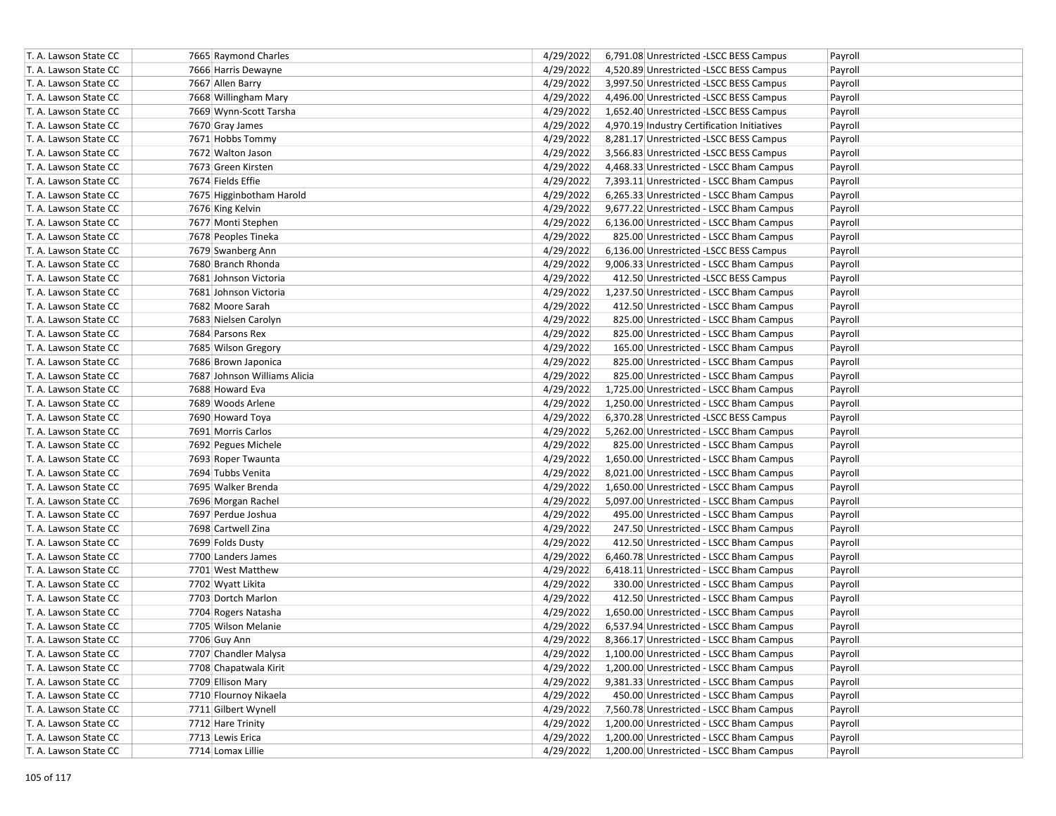| T. A. Lawson State CC                          | 7665 Raymond Charles         | 4/29/2022 | 6,791.08 Unrestricted -LSCC BESS Campus            | Payroll |
|------------------------------------------------|------------------------------|-----------|----------------------------------------------------|---------|
| T. A. Lawson State CC                          | 7666 Harris Dewayne          | 4/29/2022 | 4,520.89 Unrestricted - LSCC BESS Campus           | Payroll |
| T. A. Lawson State CC                          | 7667 Allen Barry             | 4/29/2022 | 3,997.50 Unrestricted -LSCC BESS Campus            | Payroll |
| T. A. Lawson State CC                          | 7668 Willingham Mary         | 4/29/2022 | 4,496.00 Unrestricted -LSCC BESS Campus            | Payroll |
| T. A. Lawson State CC                          | 7669 Wynn-Scott Tarsha       | 4/29/2022 | 1,652.40 Unrestricted -LSCC BESS Campus            | Payroll |
| T. A. Lawson State CC                          | 7670 Gray James              | 4/29/2022 | 4,970.19 Industry Certification Initiatives        | Payroll |
| T. A. Lawson State CC                          | 7671 Hobbs Tommy             | 4/29/2022 | 8,281.17 Unrestricted -LSCC BESS Campus            | Payroll |
| T. A. Lawson State CC                          | 7672 Walton Jason            | 4/29/2022 | 3,566.83 Unrestricted -LSCC BESS Campus            | Payroll |
| T. A. Lawson State CC                          | 7673 Green Kirsten           | 4/29/2022 | 4,468.33 Unrestricted - LSCC Bham Campus           | Payroll |
| T. A. Lawson State CC                          | 7674 Fields Effie            | 4/29/2022 | 7,393.11 Unrestricted - LSCC Bham Campus           | Payroll |
| T. A. Lawson State CC                          | 7675 Higginbotham Harold     | 4/29/2022 | 6,265.33 Unrestricted - LSCC Bham Campus           | Payroll |
| T. A. Lawson State CC                          | 7676 King Kelvin             | 4/29/2022 | 9,677.22 Unrestricted - LSCC Bham Campus           | Payroll |
| T. A. Lawson State CC                          | 7677 Monti Stephen           | 4/29/2022 | 6,136.00 Unrestricted - LSCC Bham Campus           | Payroll |
| T. A. Lawson State CC                          | 7678 Peoples Tineka          | 4/29/2022 | 825.00 Unrestricted - LSCC Bham Campus             | Payroll |
| T. A. Lawson State CC                          | 7679 Swanberg Ann            | 4/29/2022 | 6,136.00 Unrestricted -LSCC BESS Campus            | Payroll |
| T. A. Lawson State CC                          | 7680 Branch Rhonda           | 4/29/2022 | 9,006.33 Unrestricted - LSCC Bham Campus           | Payroll |
| T. A. Lawson State CC                          | 7681 Johnson Victoria        | 4/29/2022 | 412.50 Unrestricted -LSCC BESS Campus              | Payroll |
| T. A. Lawson State CC                          | 7681 Johnson Victoria        | 4/29/2022 | 1,237.50 Unrestricted - LSCC Bham Campus           | Payroll |
| T. A. Lawson State CC                          | 7682 Moore Sarah             | 4/29/2022 | 412.50 Unrestricted - LSCC Bham Campus             | Payroll |
| T. A. Lawson State CC                          | 7683 Nielsen Carolyn         | 4/29/2022 | 825.00 Unrestricted - LSCC Bham Campus             |         |
|                                                |                              |           |                                                    | Payroll |
| T. A. Lawson State CC<br>T. A. Lawson State CC | 7684 Parsons Rex             | 4/29/2022 | 825.00 Unrestricted - LSCC Bham Campus             | Payroll |
|                                                | 7685 Wilson Gregory          | 4/29/2022 | 165.00 Unrestricted - LSCC Bham Campus             | Payroll |
| T. A. Lawson State CC                          | 7686 Brown Japonica          | 4/29/2022 | 825.00 Unrestricted - LSCC Bham Campus             | Payroll |
| T. A. Lawson State CC                          | 7687 Johnson Williams Alicia | 4/29/2022 | 825.00 Unrestricted - LSCC Bham Campus             | Payroll |
| T. A. Lawson State CC                          | 7688 Howard Eva              | 4/29/2022 | 1,725.00 Unrestricted - LSCC Bham Campus           | Payroll |
| T. A. Lawson State CC                          | 7689 Woods Arlene            | 4/29/2022 | 1,250.00 Unrestricted - LSCC Bham Campus           | Payroll |
| T. A. Lawson State CC                          | 7690 Howard Toya             | 4/29/2022 | 6,370.28 Unrestricted -LSCC BESS Campus            | Payroll |
| T. A. Lawson State CC                          | 7691 Morris Carlos           | 4/29/2022 | 5,262.00 Unrestricted - LSCC Bham Campus           | Payroll |
| T. A. Lawson State CC                          | 7692 Pegues Michele          | 4/29/2022 | 825.00 Unrestricted - LSCC Bham Campus             | Payroll |
| T. A. Lawson State CC                          | 7693 Roper Twaunta           | 4/29/2022 | 1,650.00 Unrestricted - LSCC Bham Campus           | Payroll |
| T. A. Lawson State CC                          | 7694 Tubbs Venita            | 4/29/2022 | 8,021.00 Unrestricted - LSCC Bham Campus           | Payroll |
| T. A. Lawson State CC                          | 7695 Walker Brenda           | 4/29/2022 | 1,650.00 Unrestricted - LSCC Bham Campus           | Payroll |
| T. A. Lawson State CC                          | 7696 Morgan Rachel           | 4/29/2022 | 5,097.00 Unrestricted - LSCC Bham Campus           | Payroll |
| T. A. Lawson State CC                          | 7697 Perdue Joshua           | 4/29/2022 | 495.00 Unrestricted - LSCC Bham Campus             | Payroll |
| T. A. Lawson State CC                          | 7698 Cartwell Zina           | 4/29/2022 | 247.50 Unrestricted - LSCC Bham Campus             | Payroll |
| T. A. Lawson State CC                          | 7699 Folds Dusty             | 4/29/2022 | 412.50 Unrestricted - LSCC Bham Campus             | Payroll |
| T. A. Lawson State CC                          | 7700 Landers James           | 4/29/2022 | 6,460.78 Unrestricted - LSCC Bham Campus           | Payroll |
| T. A. Lawson State CC                          | 7701 West Matthew            | 4/29/2022 | 6,418.11 Unrestricted - LSCC Bham Campus           | Payroll |
| T. A. Lawson State CC                          | 7702 Wyatt Likita            | 4/29/2022 | 330.00 Unrestricted - LSCC Bham Campus             | Payroll |
| T. A. Lawson State CC                          | 7703 Dortch Marlon           | 4/29/2022 | 412.50 Unrestricted - LSCC Bham Campus             | Payroll |
| T. A. Lawson State CC                          | 7704 Rogers Natasha          | 4/29/2022 | 1,650.00 Unrestricted - LSCC Bham Campus           | Payroll |
| T. A. Lawson State CC                          | 7705 Wilson Melanie          | 4/29/2022 | 6,537.94 Unrestricted - LSCC Bham Campus           | Payroll |
| T. A. Lawson State CC                          | 7706 Guy Ann                 | 4/29/2022 | 8,366.17 Unrestricted - LSCC Bham Campus           | Payroll |
| T. A. Lawson State CC                          | 7707 Chandler Malysa         | 4/29/2022 | 1,100.00 Unrestricted - LSCC Bham Campus           | Payroll |
| T. A. Lawson State CC                          | 7708 Chapatwala Kirit        | 4/29/2022 | 1,200.00 Unrestricted - LSCC Bham Campus           | Payroll |
| T. A. Lawson State CC                          | 7709 Ellison Mary            | 4/29/2022 | 9,381.33 Unrestricted - LSCC Bham Campus           | Payroll |
| T. A. Lawson State CC                          | 7710 Flournoy Nikaela        | 4/29/2022 | 450.00 Unrestricted - LSCC Bham Campus             | Payroll |
| T. A. Lawson State CC                          | 7711 Gilbert Wynell          | 4/29/2022 | 7,560.78 Unrestricted - LSCC Bham Campus           | Payroll |
| T. A. Lawson State CC                          | 7712 Hare Trinity            | 4/29/2022 | 1,200.00 Unrestricted - LSCC Bham Campus           | Payroll |
| T. A. Lawson State CC                          | 7713 Lewis Erica             | 4/29/2022 | 1,200.00 Unrestricted - LSCC Bham Campus           | Payroll |
| T. A. Lawson State CC                          | 7714 Lomax Lillie            |           | 4/29/2022 1,200.00 Unrestricted - LSCC Bham Campus | Payroll |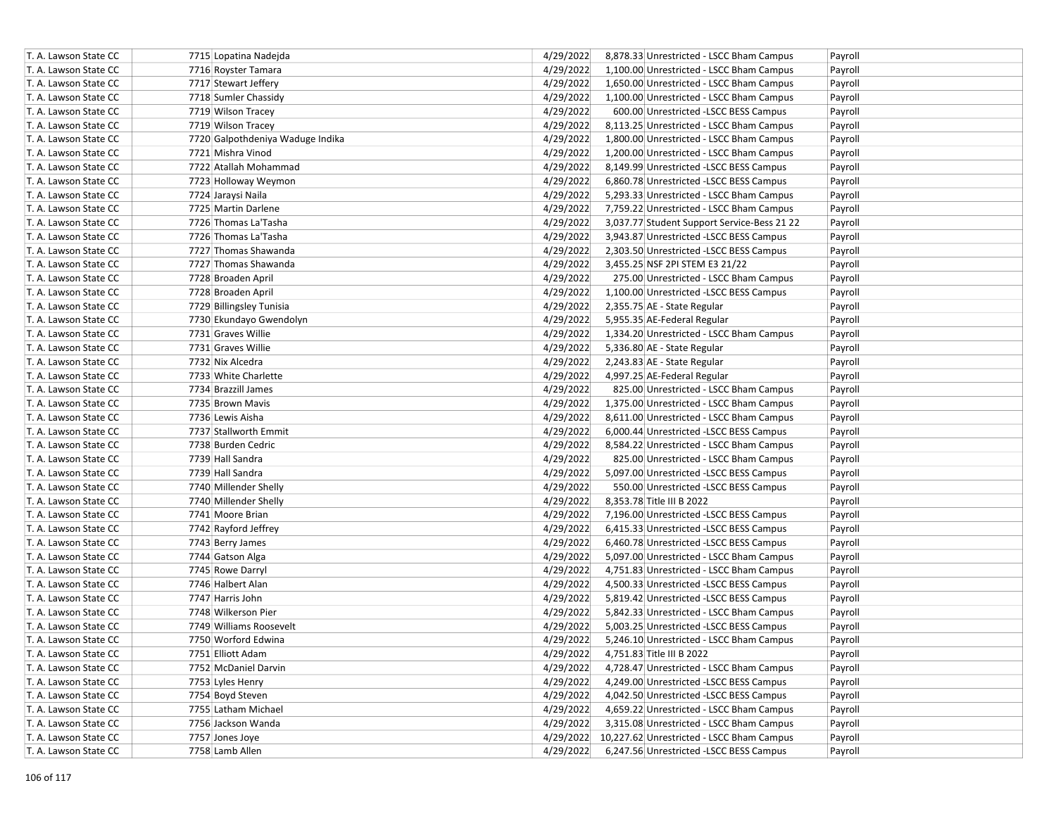| T. A. Lawson State CC | 7715 Lopatina Nadejda            | 4/29/2022 | 8,878.33 Unrestricted - LSCC Bham Campus            | Payroll |
|-----------------------|----------------------------------|-----------|-----------------------------------------------------|---------|
| T. A. Lawson State CC | 7716 Royster Tamara              | 4/29/2022 | 1,100.00 Unrestricted - LSCC Bham Campus            | Payroll |
| T. A. Lawson State CC | 7717 Stewart Jeffery             | 4/29/2022 | 1,650.00 Unrestricted - LSCC Bham Campus            | Payroll |
| T. A. Lawson State CC | 7718 Sumler Chassidy             | 4/29/2022 | 1,100.00 Unrestricted - LSCC Bham Campus            | Payroll |
| T. A. Lawson State CC | 7719 Wilson Tracey               | 4/29/2022 | 600.00 Unrestricted -LSCC BESS Campus               | Payroll |
| T. A. Lawson State CC | 7719 Wilson Tracey               | 4/29/2022 | 8,113.25 Unrestricted - LSCC Bham Campus            | Payroll |
| T. A. Lawson State CC | 7720 Galpothdeniya Waduge Indika | 4/29/2022 | 1,800.00 Unrestricted - LSCC Bham Campus            | Payroll |
| T. A. Lawson State CC | 7721 Mishra Vinod                | 4/29/2022 | 1,200.00 Unrestricted - LSCC Bham Campus            | Payroll |
| T. A. Lawson State CC | 7722 Atallah Mohammad            | 4/29/2022 | 8,149.99 Unrestricted -LSCC BESS Campus             | Payroll |
| T. A. Lawson State CC | 7723 Holloway Weymon             | 4/29/2022 | 6,860.78 Unrestricted -LSCC BESS Campus             | Payroll |
| T. A. Lawson State CC | 7724 Jaraysi Naila               | 4/29/2022 | 5,293.33 Unrestricted - LSCC Bham Campus            | Payroll |
| T. A. Lawson State CC | 7725 Martin Darlene              | 4/29/2022 | 7,759.22 Unrestricted - LSCC Bham Campus            | Payroll |
| T. A. Lawson State CC | 7726 Thomas La'Tasha             | 4/29/2022 | 3,037.77 Student Support Service-Bess 21 22         | Payroll |
| T. A. Lawson State CC | 7726 Thomas La'Tasha             | 4/29/2022 | 3,943.87 Unrestricted -LSCC BESS Campus             | Payroll |
| T. A. Lawson State CC | 7727 Thomas Shawanda             | 4/29/2022 | 2,303.50 Unrestricted -LSCC BESS Campus             | Payroll |
| T. A. Lawson State CC | 7727 Thomas Shawanda             | 4/29/2022 | 3,455.25 NSF 2PI STEM E3 21/22                      | Payroll |
| T. A. Lawson State CC | 7728 Broaden April               | 4/29/2022 | 275.00 Unrestricted - LSCC Bham Campus              | Payroll |
| T. A. Lawson State CC | 7728 Broaden April               | 4/29/2022 | 1,100.00 Unrestricted -LSCC BESS Campus             | Payroll |
| T. A. Lawson State CC | 7729 Billingsley Tunisia         | 4/29/2022 | 2,355.75 AE - State Regular                         | Payroll |
| T. A. Lawson State CC | 7730 Ekundayo Gwendolyn          | 4/29/2022 | 5,955.35 AE-Federal Regular                         | Payroll |
| T. A. Lawson State CC | 7731 Graves Willie               | 4/29/2022 | 1,334.20 Unrestricted - LSCC Bham Campus            | Payroll |
| T. A. Lawson State CC | 7731 Graves Willie               | 4/29/2022 | 5,336.80 AE - State Regular                         | Payroll |
| T. A. Lawson State CC | 7732 Nix Alcedra                 | 4/29/2022 | 2,243.83 AE - State Regular                         | Payroll |
| T. A. Lawson State CC | 7733 White Charlette             | 4/29/2022 | 4,997.25 AE-Federal Regular                         | Payroll |
| T. A. Lawson State CC | 7734 Brazzill James              | 4/29/2022 | 825.00 Unrestricted - LSCC Bham Campus              | Payroll |
| T. A. Lawson State CC | 7735 Brown Mavis                 | 4/29/2022 | 1,375.00 Unrestricted - LSCC Bham Campus            | Payroll |
| T. A. Lawson State CC | 7736 Lewis Aisha                 | 4/29/2022 | 8,611.00 Unrestricted - LSCC Bham Campus            | Payroll |
| T. A. Lawson State CC | 7737 Stallworth Emmit            | 4/29/2022 | 6,000.44 Unrestricted -LSCC BESS Campus             | Payroll |
| T. A. Lawson State CC | 7738 Burden Cedric               | 4/29/2022 | 8,584.22 Unrestricted - LSCC Bham Campus            | Payroll |
| T. A. Lawson State CC | 7739 Hall Sandra                 | 4/29/2022 | 825.00 Unrestricted - LSCC Bham Campus              | Payroll |
| T. A. Lawson State CC | 7739 Hall Sandra                 | 4/29/2022 | 5,097.00 Unrestricted -LSCC BESS Campus             | Payroll |
| T. A. Lawson State CC | 7740 Millender Shelly            | 4/29/2022 | 550.00 Unrestricted -LSCC BESS Campus               | Payroll |
| T. A. Lawson State CC | 7740 Millender Shelly            | 4/29/2022 | 8,353.78 Title III B 2022                           | Payroll |
| T. A. Lawson State CC | 7741 Moore Brian                 | 4/29/2022 | 7,196.00 Unrestricted -LSCC BESS Campus             | Payroll |
| T. A. Lawson State CC | 7742 Rayford Jeffrey             | 4/29/2022 | 6,415.33 Unrestricted -LSCC BESS Campus             | Payroll |
| T. A. Lawson State CC | 7743 Berry James                 | 4/29/2022 | 6,460.78 Unrestricted -LSCC BESS Campus             | Payroll |
| T. A. Lawson State CC | 7744 Gatson Alga                 | 4/29/2022 | 5,097.00 Unrestricted - LSCC Bham Campus            | Payroll |
| T. A. Lawson State CC | 7745 Rowe Darryl                 | 4/29/2022 | 4,751.83 Unrestricted - LSCC Bham Campus            | Payroll |
| T. A. Lawson State CC | 7746 Halbert Alan                | 4/29/2022 | 4,500.33 Unrestricted -LSCC BESS Campus             | Payroll |
| T. A. Lawson State CC | 7747 Harris John                 | 4/29/2022 | 5,819.42 Unrestricted -LSCC BESS Campus             | Payroll |
| T. A. Lawson State CC | 7748 Wilkerson Pier              | 4/29/2022 | 5,842.33 Unrestricted - LSCC Bham Campus            | Payroll |
| T. A. Lawson State CC | 7749 Williams Roosevelt          | 4/29/2022 | 5,003.25 Unrestricted -LSCC BESS Campus             | Payroll |
| T. A. Lawson State CC | 7750 Worford Edwina              | 4/29/2022 | 5,246.10 Unrestricted - LSCC Bham Campus            | Payroll |
| T. A. Lawson State CC | 7751 Elliott Adam                | 4/29/2022 | 4,751.83 Title III B 2022                           | Payroll |
| T. A. Lawson State CC | 7752 McDaniel Darvin             | 4/29/2022 | 4,728.47 Unrestricted - LSCC Bham Campus            | Payroll |
| T. A. Lawson State CC | 7753 Lyles Henry                 | 4/29/2022 | 4,249.00 Unrestricted -LSCC BESS Campus             | Payroll |
| T. A. Lawson State CC | 7754 Boyd Steven                 | 4/29/2022 | 4,042.50 Unrestricted -LSCC BESS Campus             | Payroll |
| T. A. Lawson State CC | 7755 Latham Michael              | 4/29/2022 | 4,659.22 Unrestricted - LSCC Bham Campus            | Payroll |
| T. A. Lawson State CC | 7756 Jackson Wanda               | 4/29/2022 | 3,315.08 Unrestricted - LSCC Bham Campus            | Payroll |
| T. A. Lawson State CC | 7757 Jones Joye                  |           | 4/29/2022 10,227.62 Unrestricted - LSCC Bham Campus | Payroll |
| T. A. Lawson State CC | 7758 Lamb Allen                  | 4/29/2022 | 6,247.56 Unrestricted -LSCC BESS Campus             | Payroll |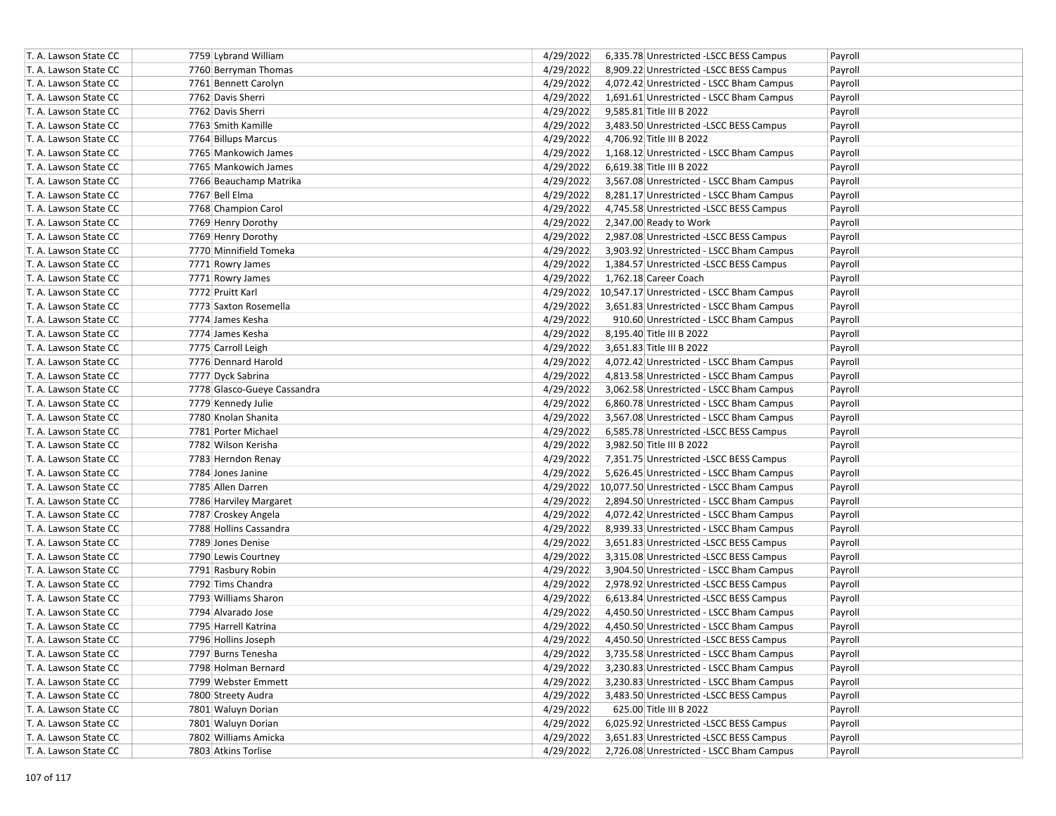| T. A. Lawson State CC | 7759 Lybrand William        | 4/29/2022<br>6,335.78 Unrestricted -LSCC BESS Campus  | Payroll |
|-----------------------|-----------------------------|-------------------------------------------------------|---------|
| T. A. Lawson State CC | 7760 Berryman Thomas        | 4/29/2022<br>8,909.22 Unrestricted -LSCC BESS Campus  | Payroll |
| T. A. Lawson State CC | 7761 Bennett Carolyn        | 4/29/2022<br>4,072.42 Unrestricted - LSCC Bham Campus | Payroll |
| T. A. Lawson State CC | 7762 Davis Sherri           | 4/29/2022<br>1,691.61 Unrestricted - LSCC Bham Campus | Payroll |
| T. A. Lawson State CC | 7762 Davis Sherri           | 4/29/2022<br>9,585.81 Title III B 2022                | Payroll |
| T. A. Lawson State CC | 7763 Smith Kamille          | 4/29/2022<br>3,483.50 Unrestricted -LSCC BESS Campus  | Payroll |
| T. A. Lawson State CC | 7764 Billups Marcus         | 4/29/2022<br>4,706.92 Title III B 2022                | Payroll |
| T. A. Lawson State CC | 7765 Mankowich James        | 4/29/2022<br>1,168.12 Unrestricted - LSCC Bham Campus | Payroll |
| T. A. Lawson State CC | 7765 Mankowich James        | 4/29/2022<br>6,619.38 Title III B 2022                | Payroll |
| T. A. Lawson State CC | 7766 Beauchamp Matrika      | 4/29/2022<br>3,567.08 Unrestricted - LSCC Bham Campus | Payroll |
| T. A. Lawson State CC | 7767 Bell Elma              | 4/29/2022<br>8,281.17 Unrestricted - LSCC Bham Campus | Payroll |
| T. A. Lawson State CC | 7768 Champion Carol         | 4/29/2022<br>4.745.58 Unrestricted -LSCC BESS Campus  | Payroll |
| T. A. Lawson State CC | 7769 Henry Dorothy          | 4/29/2022<br>2,347.00 Ready to Work                   | Payroll |
| T. A. Lawson State CC | 7769 Henry Dorothy          | 4/29/2022<br>2,987.08 Unrestricted -LSCC BESS Campus  | Payroll |
| T. A. Lawson State CC | 7770 Minnifield Tomeka      | 4/29/2022<br>3,903.92 Unrestricted - LSCC Bham Campus | Payroll |
| T. A. Lawson State CC | 7771 Rowry James            | 4/29/2022<br>1,384.57 Unrestricted -LSCC BESS Campus  | Payroll |
| T. A. Lawson State CC | 7771 Rowry James            | 4/29/2022<br>1,762.18 Career Coach                    | Payroll |
| T. A. Lawson State CC | 7772 Pruitt Karl            | 4/29/2022 10,547.17 Unrestricted - LSCC Bham Campus   | Payroll |
| T. A. Lawson State CC | 7773 Saxton Rosemella       | 4/29/2022<br>3,651.83 Unrestricted - LSCC Bham Campus | Payroll |
| T. A. Lawson State CC | 7774 James Kesha            | 4/29/2022<br>910.60 Unrestricted - LSCC Bham Campus   | Payroll |
| T. A. Lawson State CC | 7774 James Kesha            | 4/29/2022<br>8,195.40 Title III B 2022                | Payroll |
| T. A. Lawson State CC | 7775 Carroll Leigh          | 4/29/2022<br>3,651.83 Title III B 2022                | Payroll |
| T. A. Lawson State CC | 7776 Dennard Harold         | 4/29/2022<br>4,072.42 Unrestricted - LSCC Bham Campus | Payroll |
| T. A. Lawson State CC | 7777 Dyck Sabrina           | 4/29/2022<br>4,813.58 Unrestricted - LSCC Bham Campus | Payroll |
| T. A. Lawson State CC | 7778 Glasco-Gueye Cassandra | 4/29/2022<br>3,062.58 Unrestricted - LSCC Bham Campus | Payroll |
| T. A. Lawson State CC | 7779 Kennedy Julie          | 4/29/2022<br>6,860.78 Unrestricted - LSCC Bham Campus | Payroll |
| T. A. Lawson State CC | 7780 Knolan Shanita         | 4/29/2022<br>3,567.08 Unrestricted - LSCC Bham Campus | Payroll |
| T. A. Lawson State CC | 7781 Porter Michael         | 4/29/2022<br>6,585.78 Unrestricted -LSCC BESS Campus  | Payroll |
| T. A. Lawson State CC | 7782 Wilson Kerisha         | 4/29/2022<br>3,982.50 Title III B 2022                | Payroll |
| T. A. Lawson State CC | 7783 Herndon Renay          | 4/29/2022<br>7,351.75 Unrestricted -LSCC BESS Campus  | Payroll |
| T. A. Lawson State CC | 7784 Jones Janine           | 4/29/2022<br>5,626.45 Unrestricted - LSCC Bham Campus | Payroll |
| T. A. Lawson State CC | 7785 Allen Darren           | 4/29/2022 10,077.50 Unrestricted - LSCC Bham Campus   | Payroll |
| T. A. Lawson State CC | 7786 Harviley Margaret      | 4/29/2022<br>2,894.50 Unrestricted - LSCC Bham Campus | Payroll |
| T. A. Lawson State CC | 7787 Croskey Angela         | 4/29/2022<br>4,072.42 Unrestricted - LSCC Bham Campus | Payroll |
| T. A. Lawson State CC | 7788 Hollins Cassandra      | 4/29/2022<br>8,939.33 Unrestricted - LSCC Bham Campus | Payroll |
| T. A. Lawson State CC | 7789 Jones Denise           | 4/29/2022<br>3,651.83 Unrestricted -LSCC BESS Campus  | Payroll |
| T. A. Lawson State CC | 7790 Lewis Courtney         | 4/29/2022<br>3,315.08 Unrestricted -LSCC BESS Campus  | Payroll |
| T. A. Lawson State CC | 7791 Rasbury Robin          | 4/29/2022<br>3,904.50 Unrestricted - LSCC Bham Campus | Payroll |
| T. A. Lawson State CC | 7792 Tims Chandra           | 4/29/2022<br>2,978.92 Unrestricted -LSCC BESS Campus  | Payroll |
| T. A. Lawson State CC | 7793 Williams Sharon        | 4/29/2022<br>6,613.84 Unrestricted -LSCC BESS Campus  | Payroll |
| T. A. Lawson State CC | 7794 Alvarado Jose          | 4/29/2022<br>4,450.50 Unrestricted - LSCC Bham Campus | Payroll |
| T. A. Lawson State CC | 7795 Harrell Katrina        | 4/29/2022<br>4,450.50 Unrestricted - LSCC Bham Campus | Payroll |
| T. A. Lawson State CC | 7796 Hollins Joseph         | 4/29/2022<br>4,450.50 Unrestricted -LSCC BESS Campus  | Payroll |
| T. A. Lawson State CC | 7797 Burns Tenesha          | 4/29/2022<br>3,735.58 Unrestricted - LSCC Bham Campus | Payroll |
| T. A. Lawson State CC | 7798 Holman Bernard         | 4/29/2022<br>3,230.83 Unrestricted - LSCC Bham Campus | Payroll |
| T. A. Lawson State CC | 7799 Webster Emmett         | 4/29/2022<br>3,230.83 Unrestricted - LSCC Bham Campus | Payroll |
| T. A. Lawson State CC | 7800 Streety Audra          | 4/29/2022<br>3,483.50 Unrestricted -LSCC BESS Campus  | Payroll |
| T. A. Lawson State CC | 7801 Waluyn Dorian          | 4/29/2022<br>625.00 Title III B 2022                  | Payroll |
| T. A. Lawson State CC | 7801 Waluyn Dorian          | 4/29/2022<br>6,025.92 Unrestricted -LSCC BESS Campus  | Payroll |
| T. A. Lawson State CC | 7802 Williams Amicka        | 4/29/2022<br>3,651.83 Unrestricted -LSCC BESS Campus  | Payroll |
| T. A. Lawson State CC | 7803 Atkins Torlise         | 4/29/2022<br>2,726.08 Unrestricted - LSCC Bham Campus | Payroll |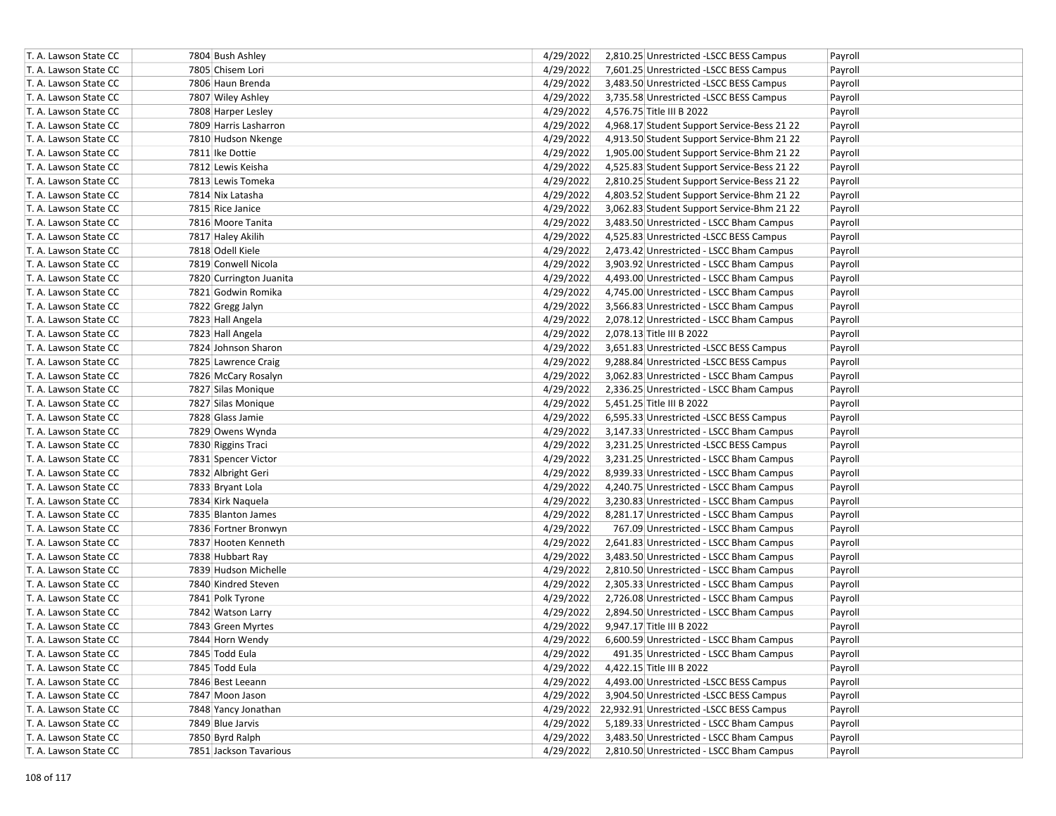| T. A. Lawson State CC | 7804 Bush Ashley        | 4/29/2022 | 2,810.25 Unrestricted -LSCC BESS Campus            | Payroll |
|-----------------------|-------------------------|-----------|----------------------------------------------------|---------|
| T. A. Lawson State CC | 7805 Chisem Lori        | 4/29/2022 | 7,601.25 Unrestricted -LSCC BESS Campus            | Payroll |
| T. A. Lawson State CC | 7806 Haun Brenda        | 4/29/2022 | 3,483.50 Unrestricted -LSCC BESS Campus            | Payroll |
| T. A. Lawson State CC | 7807 Wiley Ashley       | 4/29/2022 | 3,735.58 Unrestricted -LSCC BESS Campus            | Payroll |
| T. A. Lawson State CC | 7808 Harper Lesley      | 4/29/2022 | 4,576.75 Title III B 2022                          | Payroll |
| T. A. Lawson State CC | 7809 Harris Lasharron   | 4/29/2022 | 4,968.17 Student Support Service-Bess 21 22        | Payroll |
| T. A. Lawson State CC | 7810 Hudson Nkenge      | 4/29/2022 | 4,913.50 Student Support Service-Bhm 21 22         | Payroll |
| T. A. Lawson State CC | 7811 Ike Dottie         | 4/29/2022 | 1,905.00 Student Support Service-Bhm 21 22         | Payroll |
| T. A. Lawson State CC | 7812 Lewis Keisha       | 4/29/2022 | 4,525.83 Student Support Service-Bess 21 22        | Payroll |
| T. A. Lawson State CC | 7813 Lewis Tomeka       | 4/29/2022 | 2,810.25 Student Support Service-Bess 21 22        | Payroll |
| T. A. Lawson State CC | 7814 Nix Latasha        | 4/29/2022 | 4,803.52 Student Support Service-Bhm 21 22         | Payroll |
| T. A. Lawson State CC | 7815 Rice Janice        | 4/29/2022 | 3,062.83 Student Support Service-Bhm 21 22         | Payroll |
| T. A. Lawson State CC | 7816 Moore Tanita       | 4/29/2022 | 3,483.50 Unrestricted - LSCC Bham Campus           | Payroll |
| T. A. Lawson State CC | 7817 Haley Akilih       | 4/29/2022 | 4,525.83 Unrestricted -LSCC BESS Campus            | Payroll |
| T. A. Lawson State CC | 7818 Odell Kiele        | 4/29/2022 | 2,473.42 Unrestricted - LSCC Bham Campus           | Payroll |
| T. A. Lawson State CC | 7819 Conwell Nicola     | 4/29/2022 | 3,903.92 Unrestricted - LSCC Bham Campus           | Payroll |
| T. A. Lawson State CC | 7820 Currington Juanita | 4/29/2022 | 4,493.00 Unrestricted - LSCC Bham Campus           | Payroll |
| T. A. Lawson State CC | 7821 Godwin Romika      | 4/29/2022 | 4,745.00 Unrestricted - LSCC Bham Campus           | Payroll |
| T. A. Lawson State CC | 7822 Gregg Jalyn        | 4/29/2022 | 3,566.83 Unrestricted - LSCC Bham Campus           | Payroll |
| T. A. Lawson State CC | 7823 Hall Angela        | 4/29/2022 | 2,078.12 Unrestricted - LSCC Bham Campus           | Payroll |
| T. A. Lawson State CC | 7823 Hall Angela        | 4/29/2022 | 2,078.13 Title III B 2022                          | Payroll |
| T. A. Lawson State CC | 7824 Johnson Sharon     | 4/29/2022 | 3,651.83 Unrestricted -LSCC BESS Campus            | Payroll |
| T. A. Lawson State CC | 7825 Lawrence Craig     | 4/29/2022 | 9,288.84 Unrestricted -LSCC BESS Campus            | Payroll |
| T. A. Lawson State CC | 7826 McCary Rosalyn     | 4/29/2022 | 3,062.83 Unrestricted - LSCC Bham Campus           | Payroll |
| T. A. Lawson State CC | 7827 Silas Monique      | 4/29/2022 | 2,336.25 Unrestricted - LSCC Bham Campus           | Payroll |
| T. A. Lawson State CC | 7827 Silas Monique      | 4/29/2022 | 5,451.25 Title III B 2022                          | Payroll |
| T. A. Lawson State CC | 7828 Glass Jamie        | 4/29/2022 | 6,595.33 Unrestricted - LSCC BESS Campus           | Payroll |
| T. A. Lawson State CC | 7829 Owens Wynda        | 4/29/2022 | 3,147.33 Unrestricted - LSCC Bham Campus           | Payroll |
| T. A. Lawson State CC | 7830 Riggins Traci      | 4/29/2022 | 3,231.25 Unrestricted -LSCC BESS Campus            | Payroll |
| T. A. Lawson State CC | 7831 Spencer Victor     | 4/29/2022 | 3,231.25 Unrestricted - LSCC Bham Campus           | Payroll |
| T. A. Lawson State CC | 7832 Albright Geri      | 4/29/2022 | 8,939.33 Unrestricted - LSCC Bham Campus           | Payroll |
| T. A. Lawson State CC | 7833 Bryant Lola        | 4/29/2022 | 4,240.75 Unrestricted - LSCC Bham Campus           | Payroll |
| T. A. Lawson State CC | 7834 Kirk Naquela       | 4/29/2022 | 3,230.83 Unrestricted - LSCC Bham Campus           | Payroll |
| T. A. Lawson State CC | 7835 Blanton James      | 4/29/2022 | 8,281.17 Unrestricted - LSCC Bham Campus           | Payroll |
| T. A. Lawson State CC | 7836 Fortner Bronwyn    | 4/29/2022 | 767.09 Unrestricted - LSCC Bham Campus             | Payroll |
| T. A. Lawson State CC | 7837 Hooten Kenneth     | 4/29/2022 | 2,641.83 Unrestricted - LSCC Bham Campus           | Payroll |
| T. A. Lawson State CC | 7838 Hubbart Ray        | 4/29/2022 | 3,483.50 Unrestricted - LSCC Bham Campus           | Payroll |
| T. A. Lawson State CC | 7839 Hudson Michelle    | 4/29/2022 | 2,810.50 Unrestricted - LSCC Bham Campus           | Payroll |
| T. A. Lawson State CC | 7840 Kindred Steven     | 4/29/2022 | 2,305.33 Unrestricted - LSCC Bham Campus           | Payroll |
| T. A. Lawson State CC | 7841 Polk Tyrone        | 4/29/2022 | 2,726.08 Unrestricted - LSCC Bham Campus           | Payroll |
| T. A. Lawson State CC | 7842 Watson Larry       | 4/29/2022 | 2,894.50 Unrestricted - LSCC Bham Campus           | Payroll |
| T. A. Lawson State CC | 7843 Green Myrtes       | 4/29/2022 | 9,947.17 Title III B 2022                          | Payroll |
| T. A. Lawson State CC | 7844 Horn Wendy         | 4/29/2022 | 6,600.59 Unrestricted - LSCC Bham Campus           | Payroll |
| T. A. Lawson State CC | 7845 Todd Eula          | 4/29/2022 | 491.35 Unrestricted - LSCC Bham Campus             | Payroll |
| T. A. Lawson State CC | 7845 Todd Eula          | 4/29/2022 | 4,422.15 Title III B 2022                          | Payroll |
| T. A. Lawson State CC | 7846 Best Leeann        | 4/29/2022 | 4,493.00 Unrestricted -LSCC BESS Campus            | Payroll |
| T. A. Lawson State CC | 7847 Moon Jason         | 4/29/2022 | 3,904.50 Unrestricted -LSCC BESS Campus            | Payroll |
| T. A. Lawson State CC | 7848 Yancy Jonathan     |           | 4/29/2022 22,932.91 Unrestricted -LSCC BESS Campus | Payroll |
| T. A. Lawson State CC | 7849 Blue Jarvis        | 4/29/2022 | 5,189.33 Unrestricted - LSCC Bham Campus           | Payroll |
| T. A. Lawson State CC | 7850 Byrd Ralph         | 4/29/2022 | 3,483.50 Unrestricted - LSCC Bham Campus           | Payroll |
| T. A. Lawson State CC | 7851 Jackson Tavarious  | 4/29/2022 | 2,810.50 Unrestricted - LSCC Bham Campus           | Payroll |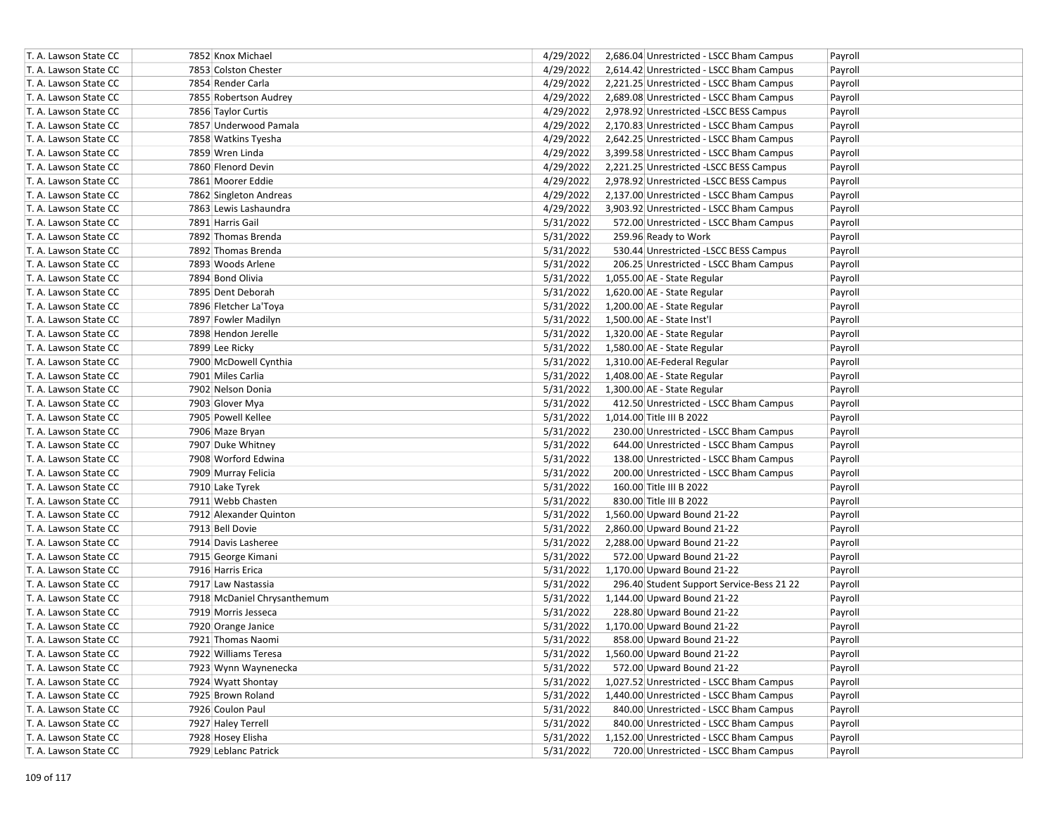| T. A. Lawson State CC | 7852 Knox Michael           | 4/29/2022 | 2,686.04 Unrestricted - LSCC Bham Campus  | Payroll |
|-----------------------|-----------------------------|-----------|-------------------------------------------|---------|
| T. A. Lawson State CC | 7853 Colston Chester        | 4/29/2022 | 2,614.42 Unrestricted - LSCC Bham Campus  | Payroll |
| T. A. Lawson State CC | 7854 Render Carla           | 4/29/2022 | 2,221.25 Unrestricted - LSCC Bham Campus  | Payroll |
| T. A. Lawson State CC | 7855 Robertson Audrey       | 4/29/2022 | 2,689.08 Unrestricted - LSCC Bham Campus  | Payroll |
| T. A. Lawson State CC | 7856 Taylor Curtis          | 4/29/2022 | 2,978.92 Unrestricted -LSCC BESS Campus   | Payroll |
| T. A. Lawson State CC | 7857 Underwood Pamala       | 4/29/2022 | 2,170.83 Unrestricted - LSCC Bham Campus  | Payroll |
| T. A. Lawson State CC | 7858 Watkins Tyesha         | 4/29/2022 | 2,642.25 Unrestricted - LSCC Bham Campus  | Payroll |
| T. A. Lawson State CC | 7859 Wren Linda             | 4/29/2022 | 3,399.58 Unrestricted - LSCC Bham Campus  | Payroll |
| T. A. Lawson State CC | 7860 Flenord Devin          | 4/29/2022 | 2,221.25 Unrestricted -LSCC BESS Campus   | Payroll |
| T. A. Lawson State CC | 7861 Moorer Eddie           | 4/29/2022 | 2,978.92 Unrestricted -LSCC BESS Campus   | Payroll |
| T. A. Lawson State CC | 7862 Singleton Andreas      | 4/29/2022 | 2,137.00 Unrestricted - LSCC Bham Campus  | Payroll |
| T. A. Lawson State CC | 7863 Lewis Lashaundra       | 4/29/2022 | 3,903.92 Unrestricted - LSCC Bham Campus  | Payroll |
| T. A. Lawson State CC | 7891 Harris Gail            | 5/31/2022 | 572.00 Unrestricted - LSCC Bham Campus    | Payroll |
| T. A. Lawson State CC | 7892 Thomas Brenda          | 5/31/2022 | 259.96 Ready to Work                      | Payroll |
| T. A. Lawson State CC | 7892 Thomas Brenda          | 5/31/2022 | 530.44 Unrestricted -LSCC BESS Campus     | Payroll |
| T. A. Lawson State CC | 7893 Woods Arlene           | 5/31/2022 | 206.25 Unrestricted - LSCC Bham Campus    | Payroll |
| T. A. Lawson State CC | 7894 Bond Olivia            | 5/31/2022 | 1,055.00 AE - State Regular               | Payroll |
| T. A. Lawson State CC | 7895 Dent Deborah           | 5/31/2022 | 1,620.00 AE - State Regular               | Payroll |
| T. A. Lawson State CC | 7896 Fletcher La'Toya       | 5/31/2022 | 1,200.00 AE - State Regular               | Payroll |
| T. A. Lawson State CC | 7897 Fowler Madilyn         | 5/31/2022 | 1,500.00 AE - State Inst'l                | Payroll |
| T. A. Lawson State CC | 7898 Hendon Jerelle         | 5/31/2022 | 1,320.00 AE - State Regular               | Payroll |
| T. A. Lawson State CC | 7899 Lee Ricky              | 5/31/2022 | 1,580.00 AE - State Regular               | Payroll |
| T. A. Lawson State CC | 7900 McDowell Cynthia       | 5/31/2022 | 1,310.00 AE-Federal Regular               | Payroll |
| T. A. Lawson State CC | 7901 Miles Carlia           | 5/31/2022 | 1,408.00 AE - State Regular               | Payroll |
| T. A. Lawson State CC | 7902 Nelson Donia           | 5/31/2022 | 1,300.00 AE - State Regular               | Payroll |
| T. A. Lawson State CC | 7903 Glover Mya             | 5/31/2022 | 412.50 Unrestricted - LSCC Bham Campus    | Payroll |
| T. A. Lawson State CC | 7905 Powell Kellee          | 5/31/2022 | 1,014.00 Title III B 2022                 | Payroll |
| T. A. Lawson State CC | 7906 Maze Bryan             | 5/31/2022 | 230.00 Unrestricted - LSCC Bham Campus    | Payroll |
| T. A. Lawson State CC | 7907 Duke Whitney           | 5/31/2022 | 644.00 Unrestricted - LSCC Bham Campus    | Payroll |
| T. A. Lawson State CC | 7908 Worford Edwina         | 5/31/2022 | 138.00 Unrestricted - LSCC Bham Campus    | Payroll |
| T. A. Lawson State CC | 7909 Murray Felicia         | 5/31/2022 | 200.00 Unrestricted - LSCC Bham Campus    | Payroll |
| T. A. Lawson State CC | 7910 Lake Tyrek             | 5/31/2022 | 160.00 Title III B 2022                   | Payroll |
| T. A. Lawson State CC | 7911 Webb Chasten           | 5/31/2022 | 830.00 Title III B 2022                   | Payroll |
| T. A. Lawson State CC | 7912 Alexander Quinton      | 5/31/2022 | 1,560.00 Upward Bound 21-22               | Payroll |
| T. A. Lawson State CC | 7913 Bell Dovie             | 5/31/2022 | 2,860.00 Upward Bound 21-22               | Payroll |
| T. A. Lawson State CC | 7914 Davis Lasheree         | 5/31/2022 | 2,288.00 Upward Bound 21-22               | Payroll |
| T. A. Lawson State CC | 7915 George Kimani          | 5/31/2022 | 572.00 Upward Bound 21-22                 | Payroll |
| T. A. Lawson State CC | 7916 Harris Erica           | 5/31/2022 | 1,170.00 Upward Bound 21-22               | Payroll |
| T. A. Lawson State CC | 7917 Law Nastassia          | 5/31/2022 | 296.40 Student Support Service-Bess 21 22 | Payroll |
| T. A. Lawson State CC | 7918 McDaniel Chrysanthemum | 5/31/2022 | 1,144.00 Upward Bound 21-22               | Payroll |
| T. A. Lawson State CC | 7919 Morris Jesseca         | 5/31/2022 | 228.80 Upward Bound 21-22                 | Payroll |
| T. A. Lawson State CC | 7920 Orange Janice          | 5/31/2022 | 1,170.00 Upward Bound 21-22               | Payroll |
| T. A. Lawson State CC | 7921 Thomas Naomi           | 5/31/2022 | 858.00 Upward Bound 21-22                 | Payroll |
| T. A. Lawson State CC | 7922 Williams Teresa        | 5/31/2022 | 1,560.00 Upward Bound 21-22               | Payroll |
| T. A. Lawson State CC | 7923 Wynn Waynenecka        | 5/31/2022 | 572.00 Upward Bound 21-22                 | Payroll |
| T. A. Lawson State CC | 7924 Wyatt Shontay          | 5/31/2022 | 1,027.52 Unrestricted - LSCC Bham Campus  | Payroll |
| T. A. Lawson State CC | 7925 Brown Roland           | 5/31/2022 | 1,440.00 Unrestricted - LSCC Bham Campus  | Payroll |
| T. A. Lawson State CC | 7926 Coulon Paul            | 5/31/2022 | 840.00 Unrestricted - LSCC Bham Campus    | Payroll |
| T. A. Lawson State CC | 7927 Haley Terrell          | 5/31/2022 | 840.00 Unrestricted - LSCC Bham Campus    | Payroll |
| T. A. Lawson State CC | 7928 Hosey Elisha           | 5/31/2022 | 1,152.00 Unrestricted - LSCC Bham Campus  | Payroll |
| T. A. Lawson State CC | 7929 Leblanc Patrick        | 5/31/2022 | 720.00 Unrestricted - LSCC Bham Campus    | Payroll |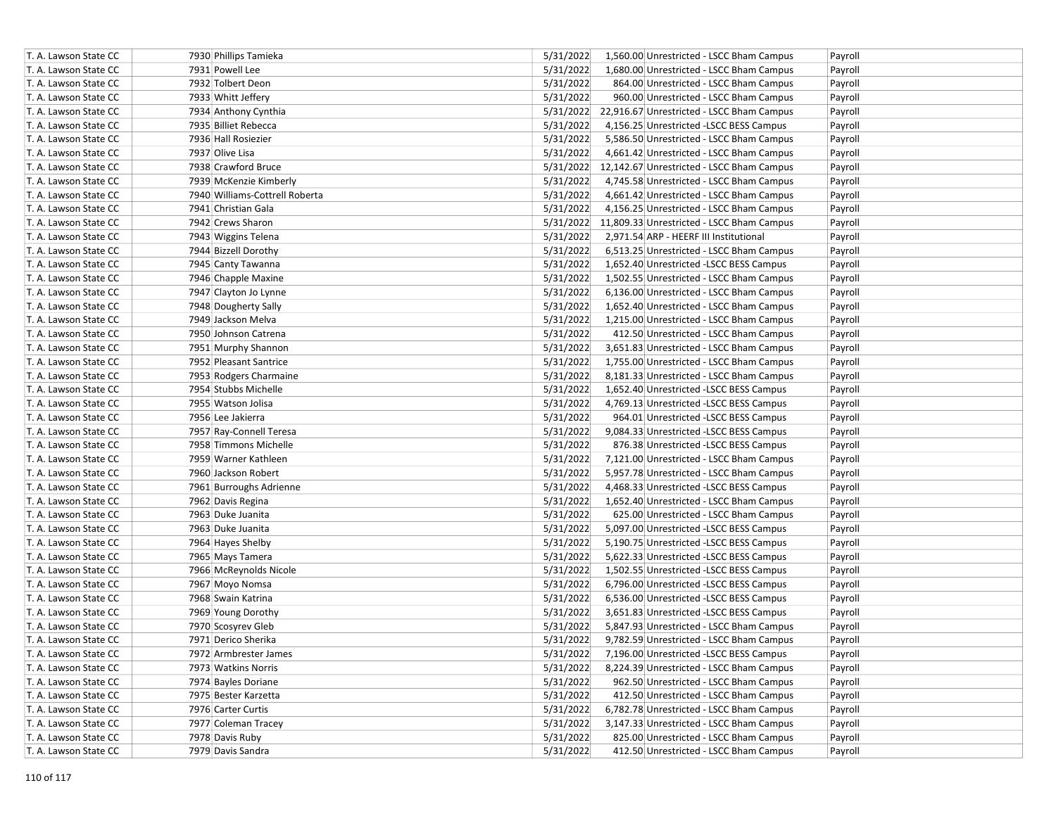| T. A. Lawson State CC | 7930 Phillips Tamieka          | 5/31/2022 | 1,560.00 Unrestricted - LSCC Bham Campus            | Payroll |
|-----------------------|--------------------------------|-----------|-----------------------------------------------------|---------|
| T. A. Lawson State CC | 7931 Powell Lee                | 5/31/2022 | 1,680.00 Unrestricted - LSCC Bham Campus            | Payroll |
| T. A. Lawson State CC | 7932 Tolbert Deon              | 5/31/2022 | 864.00 Unrestricted - LSCC Bham Campus              | Payroll |
| T. A. Lawson State CC | 7933 Whitt Jeffery             | 5/31/2022 | 960.00 Unrestricted - LSCC Bham Campus              | Payroll |
| T. A. Lawson State CC | 7934 Anthony Cynthia           |           | 5/31/2022 22,916.67 Unrestricted - LSCC Bham Campus | Payroll |
| T. A. Lawson State CC | 7935 Billiet Rebecca           | 5/31/2022 | 4,156.25 Unrestricted -LSCC BESS Campus             | Payroll |
| T. A. Lawson State CC | 7936 Hall Rosiezier            | 5/31/2022 | 5,586.50 Unrestricted - LSCC Bham Campus            | Payroll |
| T. A. Lawson State CC | 7937 Olive Lisa                | 5/31/2022 | 4,661.42 Unrestricted - LSCC Bham Campus            | Payroll |
| T. A. Lawson State CC | 7938 Crawford Bruce            |           | 5/31/2022 12,142.67 Unrestricted - LSCC Bham Campus | Payroll |
| T. A. Lawson State CC | 7939 McKenzie Kimberly         | 5/31/2022 | 4,745.58 Unrestricted - LSCC Bham Campus            | Payroll |
| T. A. Lawson State CC | 7940 Williams-Cottrell Roberta | 5/31/2022 | 4,661.42 Unrestricted - LSCC Bham Campus            | Payroll |
| T. A. Lawson State CC | 7941 Christian Gala            | 5/31/2022 | 4,156.25 Unrestricted - LSCC Bham Campus            | Payroll |
| T. A. Lawson State CC | 7942 Crews Sharon              |           | 5/31/2022 11,809.33 Unrestricted - LSCC Bham Campus | Payroll |
| T. A. Lawson State CC | 7943 Wiggins Telena            | 5/31/2022 | 2,971.54 ARP - HEERF III Institutional              | Payroll |
| T. A. Lawson State CC | 7944 Bizzell Dorothy           | 5/31/2022 | 6,513.25 Unrestricted - LSCC Bham Campus            | Payroll |
| T. A. Lawson State CC | 7945 Canty Tawanna             | 5/31/2022 | 1,652.40 Unrestricted -LSCC BESS Campus             | Payroll |
| T. A. Lawson State CC | 7946 Chapple Maxine            | 5/31/2022 | 1,502.55 Unrestricted - LSCC Bham Campus            | Payroll |
| T. A. Lawson State CC | 7947 Clayton Jo Lynne          | 5/31/2022 | 6,136.00 Unrestricted - LSCC Bham Campus            | Payroll |
| T. A. Lawson State CC | 7948 Dougherty Sally           | 5/31/2022 | 1,652.40 Unrestricted - LSCC Bham Campus            | Payroll |
| T. A. Lawson State CC | 7949 Jackson Melva             | 5/31/2022 | 1,215.00 Unrestricted - LSCC Bham Campus            | Payroll |
| T. A. Lawson State CC | 7950 Johnson Catrena           | 5/31/2022 | 412.50 Unrestricted - LSCC Bham Campus              | Payroll |
| T. A. Lawson State CC | 7951 Murphy Shannon            | 5/31/2022 | 3,651.83 Unrestricted - LSCC Bham Campus            | Payroll |
| T. A. Lawson State CC | 7952 Pleasant Santrice         | 5/31/2022 | 1,755.00 Unrestricted - LSCC Bham Campus            | Payroll |
| T. A. Lawson State CC | 7953 Rodgers Charmaine         | 5/31/2022 | 8,181.33 Unrestricted - LSCC Bham Campus            | Payroll |
| T. A. Lawson State CC | 7954 Stubbs Michelle           | 5/31/2022 | 1,652.40 Unrestricted -LSCC BESS Campus             | Payroll |
| T. A. Lawson State CC | 7955 Watson Jolisa             | 5/31/2022 | 4,769.13 Unrestricted -LSCC BESS Campus             | Payroll |
| T. A. Lawson State CC | 7956 Lee Jakierra              | 5/31/2022 | 964.01 Unrestricted -LSCC BESS Campus               | Payroll |
| T. A. Lawson State CC | 7957 Ray-Connell Teresa        | 5/31/2022 | 9,084.33 Unrestricted -LSCC BESS Campus             | Payroll |
| T. A. Lawson State CC | 7958 Timmons Michelle          | 5/31/2022 | 876.38 Unrestricted -LSCC BESS Campus               | Payroll |
| T. A. Lawson State CC | 7959 Warner Kathleen           | 5/31/2022 | 7,121.00 Unrestricted - LSCC Bham Campus            | Payroll |
| T. A. Lawson State CC | 7960 Jackson Robert            | 5/31/2022 | 5,957.78 Unrestricted - LSCC Bham Campus            | Payroll |
| T. A. Lawson State CC | 7961 Burroughs Adrienne        | 5/31/2022 | 4,468.33 Unrestricted - LSCC BESS Campus            | Payroll |
| T. A. Lawson State CC | 7962 Davis Regina              | 5/31/2022 | 1,652.40 Unrestricted - LSCC Bham Campus            | Payroll |
| T. A. Lawson State CC | 7963 Duke Juanita              | 5/31/2022 | 625.00 Unrestricted - LSCC Bham Campus              | Payroll |
| T. A. Lawson State CC | 7963 Duke Juanita              | 5/31/2022 | 5,097.00 Unrestricted -LSCC BESS Campus             | Payroll |
| T. A. Lawson State CC | 7964 Hayes Shelby              | 5/31/2022 | 5,190.75 Unrestricted -LSCC BESS Campus             | Payroll |
| T. A. Lawson State CC | 7965 Mays Tamera               | 5/31/2022 | 5,622.33 Unrestricted -LSCC BESS Campus             | Payroll |
| T. A. Lawson State CC | 7966 McReynolds Nicole         | 5/31/2022 | 1,502.55 Unrestricted -LSCC BESS Campus             | Payroll |
| T. A. Lawson State CC | 7967 Moyo Nomsa                | 5/31/2022 | 6,796.00 Unrestricted -LSCC BESS Campus             | Payroll |
| T. A. Lawson State CC | 7968 Swain Katrina             | 5/31/2022 | 6,536.00 Unrestricted -LSCC BESS Campus             | Payroll |
| T. A. Lawson State CC | 7969 Young Dorothy             | 5/31/2022 | 3,651.83 Unrestricted -LSCC BESS Campus             | Payroll |
| T. A. Lawson State CC | 7970 Scosyrev Gleb             | 5/31/2022 | 5,847.93 Unrestricted - LSCC Bham Campus            | Payroll |
| T. A. Lawson State CC | 7971 Derico Sherika            | 5/31/2022 | 9,782.59 Unrestricted - LSCC Bham Campus            | Payroll |
| T. A. Lawson State CC | 7972 Armbrester James          | 5/31/2022 | 7,196.00 Unrestricted -LSCC BESS Campus             | Payroll |
| T. A. Lawson State CC | 7973 Watkins Norris            | 5/31/2022 | 8,224.39 Unrestricted - LSCC Bham Campus            | Payroll |
| T. A. Lawson State CC | 7974 Bayles Doriane            | 5/31/2022 | 962.50 Unrestricted - LSCC Bham Campus              | Payroll |
| T. A. Lawson State CC | 7975 Bester Karzetta           | 5/31/2022 | 412.50 Unrestricted - LSCC Bham Campus              | Payroll |
| T. A. Lawson State CC | 7976 Carter Curtis             | 5/31/2022 | 6,782.78 Unrestricted - LSCC Bham Campus            | Payroll |
| T. A. Lawson State CC | 7977 Coleman Tracey            | 5/31/2022 | 3,147.33 Unrestricted - LSCC Bham Campus            | Payroll |
| T. A. Lawson State CC | 7978 Davis Ruby                | 5/31/2022 | 825.00 Unrestricted - LSCC Bham Campus              | Payroll |
| T. A. Lawson State CC | 7979 Davis Sandra              | 5/31/2022 | 412.50 Unrestricted - LSCC Bham Campus              | Payroll |
|                       |                                |           |                                                     |         |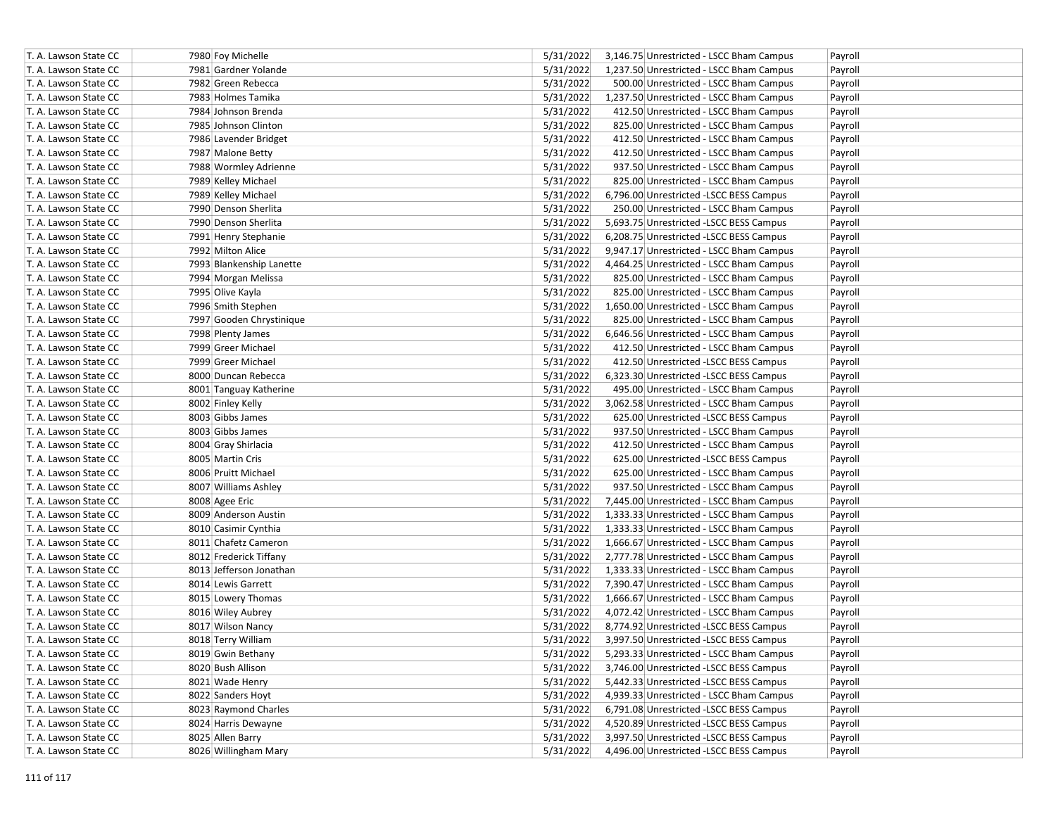| T. A. Lawson State CC | 7980 Foy Michelle        | 5/31/2022 | 3,146.75 Unrestricted - LSCC Bham Campus | Payroll |
|-----------------------|--------------------------|-----------|------------------------------------------|---------|
| T. A. Lawson State CC | 7981 Gardner Yolande     | 5/31/2022 | 1,237.50 Unrestricted - LSCC Bham Campus | Payroll |
| T. A. Lawson State CC | 7982 Green Rebecca       | 5/31/2022 | 500.00 Unrestricted - LSCC Bham Campus   | Payroll |
| T. A. Lawson State CC | 7983 Holmes Tamika       | 5/31/2022 | 1,237.50 Unrestricted - LSCC Bham Campus | Payroll |
| T. A. Lawson State CC | 7984 Johnson Brenda      | 5/31/2022 | 412.50 Unrestricted - LSCC Bham Campus   | Payroll |
| T. A. Lawson State CC | 7985 Johnson Clinton     | 5/31/2022 | 825.00 Unrestricted - LSCC Bham Campus   | Payroll |
| T. A. Lawson State CC | 7986 Lavender Bridget    | 5/31/2022 | 412.50 Unrestricted - LSCC Bham Campus   | Payroll |
| T. A. Lawson State CC | 7987 Malone Betty        | 5/31/2022 | 412.50 Unrestricted - LSCC Bham Campus   | Payroll |
| T. A. Lawson State CC | 7988 Wormley Adrienne    | 5/31/2022 | 937.50 Unrestricted - LSCC Bham Campus   | Payroll |
| T. A. Lawson State CC | 7989 Kelley Michael      | 5/31/2022 | 825.00 Unrestricted - LSCC Bham Campus   | Payroll |
| T. A. Lawson State CC | 7989 Kelley Michael      | 5/31/2022 | 6,796.00 Unrestricted -LSCC BESS Campus  | Payroll |
| T. A. Lawson State CC | 7990 Denson Sherlita     | 5/31/2022 | 250.00 Unrestricted - LSCC Bham Campus   | Payroll |
| T. A. Lawson State CC | 7990 Denson Sherlita     | 5/31/2022 | 5,693.75 Unrestricted - LSCC BESS Campus | Payroll |
| T. A. Lawson State CC | 7991 Henry Stephanie     | 5/31/2022 | 6,208.75 Unrestricted -LSCC BESS Campus  | Payroll |
| T. A. Lawson State CC | 7992 Milton Alice        | 5/31/2022 | 9,947.17 Unrestricted - LSCC Bham Campus | Payroll |
| T. A. Lawson State CC | 7993 Blankenship Lanette | 5/31/2022 | 4,464.25 Unrestricted - LSCC Bham Campus | Payroll |
| T. A. Lawson State CC | 7994 Morgan Melissa      | 5/31/2022 | 825.00 Unrestricted - LSCC Bham Campus   | Payroll |
| T. A. Lawson State CC | 7995 Olive Kayla         | 5/31/2022 | 825.00 Unrestricted - LSCC Bham Campus   | Payroll |
| T. A. Lawson State CC | 7996 Smith Stephen       | 5/31/2022 | 1,650.00 Unrestricted - LSCC Bham Campus | Payroll |
| T. A. Lawson State CC | 7997 Gooden Chrystinique | 5/31/2022 | 825.00 Unrestricted - LSCC Bham Campus   | Payroll |
| T. A. Lawson State CC | 7998 Plenty James        | 5/31/2022 | 6,646.56 Unrestricted - LSCC Bham Campus | Payroll |
| T. A. Lawson State CC | 7999 Greer Michael       | 5/31/2022 | 412.50 Unrestricted - LSCC Bham Campus   | Payroll |
| T. A. Lawson State CC | 7999 Greer Michael       | 5/31/2022 | 412.50 Unrestricted -LSCC BESS Campus    | Payroll |
| T. A. Lawson State CC | 8000 Duncan Rebecca      | 5/31/2022 | 6,323.30 Unrestricted -LSCC BESS Campus  | Payroll |
| T. A. Lawson State CC | 8001 Tanguay Katherine   | 5/31/2022 | 495.00 Unrestricted - LSCC Bham Campus   | Payroll |
| T. A. Lawson State CC | 8002 Finley Kelly        | 5/31/2022 | 3,062.58 Unrestricted - LSCC Bham Campus | Payroll |
| T. A. Lawson State CC | 8003 Gibbs James         | 5/31/2022 | 625.00 Unrestricted -LSCC BESS Campus    | Payroll |
| T. A. Lawson State CC | 8003 Gibbs James         | 5/31/2022 | 937.50 Unrestricted - LSCC Bham Campus   | Payroll |
| T. A. Lawson State CC | 8004 Gray Shirlacia      | 5/31/2022 | 412.50 Unrestricted - LSCC Bham Campus   | Payroll |
| T. A. Lawson State CC | 8005 Martin Cris         | 5/31/2022 | 625.00 Unrestricted -LSCC BESS Campus    | Payroll |
| T. A. Lawson State CC | 8006 Pruitt Michael      | 5/31/2022 | 625.00 Unrestricted - LSCC Bham Campus   | Payroll |
| T. A. Lawson State CC | 8007 Williams Ashley     | 5/31/2022 | 937.50 Unrestricted - LSCC Bham Campus   | Payroll |
| T. A. Lawson State CC | 8008 Agee Eric           | 5/31/2022 | 7,445.00 Unrestricted - LSCC Bham Campus | Payroll |
| T. A. Lawson State CC | 8009 Anderson Austin     | 5/31/2022 | 1,333.33 Unrestricted - LSCC Bham Campus | Payroll |
| T. A. Lawson State CC | 8010 Casimir Cynthia     | 5/31/2022 | 1,333.33 Unrestricted - LSCC Bham Campus | Payroll |
| T. A. Lawson State CC | 8011 Chafetz Cameron     | 5/31/2022 | 1,666.67 Unrestricted - LSCC Bham Campus | Payroll |
| T. A. Lawson State CC | 8012 Frederick Tiffany   | 5/31/2022 | 2,777.78 Unrestricted - LSCC Bham Campus | Payroll |
| T. A. Lawson State CC | 8013 Jefferson Jonathan  | 5/31/2022 | 1,333.33 Unrestricted - LSCC Bham Campus | Payroll |
| T. A. Lawson State CC | 8014 Lewis Garrett       | 5/31/2022 | 7,390.47 Unrestricted - LSCC Bham Campus | Payroll |
| T. A. Lawson State CC | 8015 Lowery Thomas       | 5/31/2022 | 1,666.67 Unrestricted - LSCC Bham Campus | Payroll |
| T. A. Lawson State CC | 8016 Wiley Aubrey        | 5/31/2022 | 4,072.42 Unrestricted - LSCC Bham Campus | Payroll |
| T. A. Lawson State CC | 8017 Wilson Nancy        | 5/31/2022 | 8,774.92 Unrestricted - LSCC BESS Campus | Payroll |
| T. A. Lawson State CC | 8018 Terry William       | 5/31/2022 | 3,997.50 Unrestricted -LSCC BESS Campus  | Payroll |
| T. A. Lawson State CC | 8019 Gwin Bethany        | 5/31/2022 | 5,293.33 Unrestricted - LSCC Bham Campus | Payroll |
| T. A. Lawson State CC | 8020 Bush Allison        | 5/31/2022 | 3,746.00 Unrestricted -LSCC BESS Campus  | Payroll |
| T. A. Lawson State CC | 8021 Wade Henry          | 5/31/2022 | 5,442.33 Unrestricted -LSCC BESS Campus  | Payroll |
| T. A. Lawson State CC | 8022 Sanders Hoyt        | 5/31/2022 | 4,939.33 Unrestricted - LSCC Bham Campus | Payroll |
| T. A. Lawson State CC | 8023 Raymond Charles     | 5/31/2022 | 6,791.08 Unrestricted -LSCC BESS Campus  | Payroll |
| T. A. Lawson State CC | 8024 Harris Dewayne      | 5/31/2022 | 4,520.89 Unrestricted -LSCC BESS Campus  | Payroll |
| T. A. Lawson State CC | 8025 Allen Barry         | 5/31/2022 | 3,997.50 Unrestricted -LSCC BESS Campus  |         |
| T. A. Lawson State CC |                          | 5/31/2022 | 4,496.00 Unrestricted -LSCC BESS Campus  | Payroll |
|                       | 8026 Willingham Mary     |           |                                          | Payroll |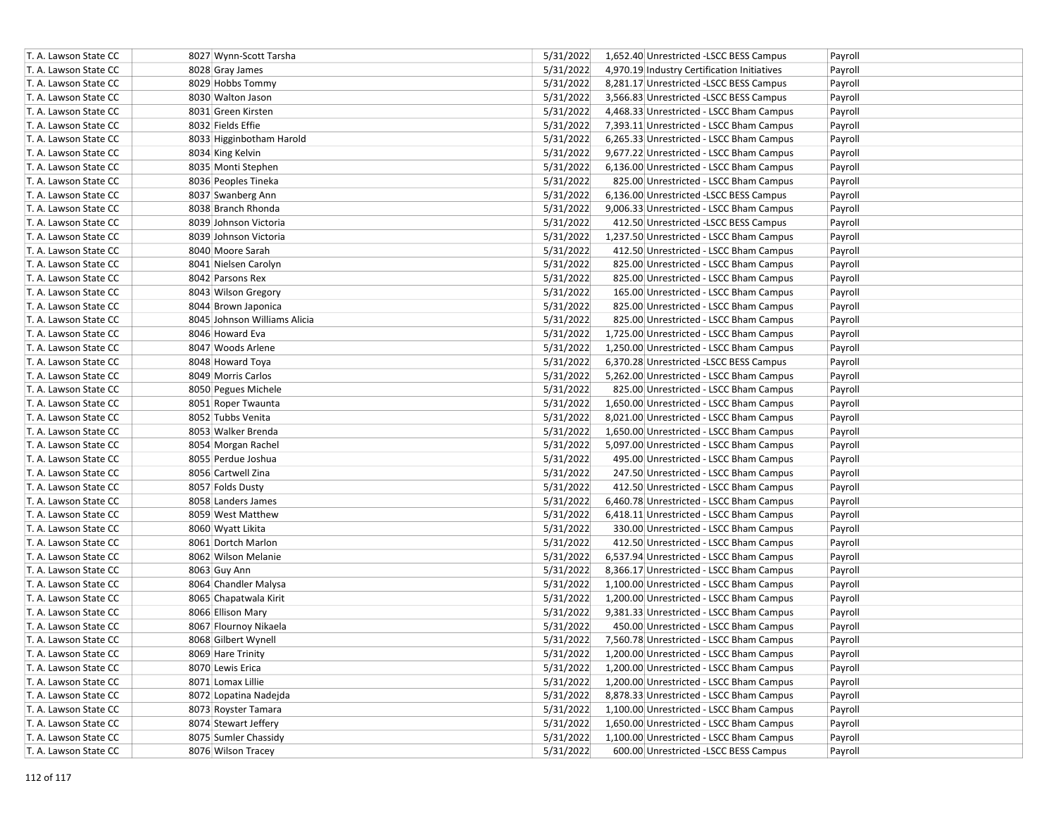| T. A. Lawson State CC | 8027 Wynn-Scott Tarsha       | 5/31/2022 | 1,652.40 Unrestricted -LSCC BESS Campus     | Payroll |
|-----------------------|------------------------------|-----------|---------------------------------------------|---------|
| T. A. Lawson State CC | 8028 Gray James              | 5/31/2022 | 4,970.19 Industry Certification Initiatives | Payroll |
| T. A. Lawson State CC | 8029 Hobbs Tommy             | 5/31/2022 | 8,281.17 Unrestricted -LSCC BESS Campus     | Payroll |
| T. A. Lawson State CC | 8030 Walton Jason            | 5/31/2022 | 3,566.83 Unrestricted -LSCC BESS Campus     | Payroll |
| T. A. Lawson State CC | 8031 Green Kirsten           | 5/31/2022 | 4,468.33 Unrestricted - LSCC Bham Campus    | Payroll |
| T. A. Lawson State CC | 8032 Fields Effie            | 5/31/2022 | 7,393.11 Unrestricted - LSCC Bham Campus    | Payroll |
| T. A. Lawson State CC | 8033 Higginbotham Harold     | 5/31/2022 | 6,265.33 Unrestricted - LSCC Bham Campus    | Payroll |
| T. A. Lawson State CC | 8034 King Kelvin             | 5/31/2022 | 9,677.22 Unrestricted - LSCC Bham Campus    | Payroll |
| T. A. Lawson State CC | 8035 Monti Stephen           | 5/31/2022 | 6,136.00 Unrestricted - LSCC Bham Campus    | Payroll |
| T. A. Lawson State CC | 8036 Peoples Tineka          | 5/31/2022 | 825.00 Unrestricted - LSCC Bham Campus      | Payroll |
| T. A. Lawson State CC | 8037 Swanberg Ann            | 5/31/2022 | 6,136.00 Unrestricted - LSCC BESS Campus    | Payroll |
| T. A. Lawson State CC | 8038 Branch Rhonda           | 5/31/2022 | 9,006.33 Unrestricted - LSCC Bham Campus    | Payroll |
| T. A. Lawson State CC | 8039 Johnson Victoria        | 5/31/2022 | 412.50 Unrestricted -LSCC BESS Campus       | Payroll |
| T. A. Lawson State CC | 8039 Johnson Victoria        | 5/31/2022 | 1,237.50 Unrestricted - LSCC Bham Campus    | Payroll |
| T. A. Lawson State CC | 8040 Moore Sarah             | 5/31/2022 | 412.50 Unrestricted - LSCC Bham Campus      | Payroll |
| T. A. Lawson State CC | 8041 Nielsen Carolyn         | 5/31/2022 | 825.00 Unrestricted - LSCC Bham Campus      | Payroll |
| T. A. Lawson State CC | 8042 Parsons Rex             | 5/31/2022 | 825.00 Unrestricted - LSCC Bham Campus      | Payroll |
| T. A. Lawson State CC | 8043 Wilson Gregory          | 5/31/2022 | 165.00 Unrestricted - LSCC Bham Campus      | Payroll |
| T. A. Lawson State CC | 8044 Brown Japonica          | 5/31/2022 | 825.00 Unrestricted - LSCC Bham Campus      | Payroll |
| T. A. Lawson State CC | 8045 Johnson Williams Alicia | 5/31/2022 | 825.00 Unrestricted - LSCC Bham Campus      | Payroll |
| T. A. Lawson State CC | 8046 Howard Eva              | 5/31/2022 | 1,725.00 Unrestricted - LSCC Bham Campus    | Payroll |
| T. A. Lawson State CC | 8047 Woods Arlene            | 5/31/2022 | 1,250.00 Unrestricted - LSCC Bham Campus    | Payroll |
| T. A. Lawson State CC | 8048 Howard Toya             | 5/31/2022 | 6,370.28 Unrestricted -LSCC BESS Campus     | Payroll |
| T. A. Lawson State CC | 8049 Morris Carlos           | 5/31/2022 | 5,262.00 Unrestricted - LSCC Bham Campus    | Payroll |
| T. A. Lawson State CC | 8050 Pegues Michele          | 5/31/2022 | 825.00 Unrestricted - LSCC Bham Campus      | Payroll |
| T. A. Lawson State CC | 8051 Roper Twaunta           | 5/31/2022 | 1,650.00 Unrestricted - LSCC Bham Campus    | Payroll |
| T. A. Lawson State CC | 8052 Tubbs Venita            | 5/31/2022 | 8,021.00 Unrestricted - LSCC Bham Campus    | Payroll |
| T. A. Lawson State CC | 8053 Walker Brenda           | 5/31/2022 | 1,650.00 Unrestricted - LSCC Bham Campus    | Payroll |
| T. A. Lawson State CC | 8054 Morgan Rachel           | 5/31/2022 | 5,097.00 Unrestricted - LSCC Bham Campus    | Payroll |
| T. A. Lawson State CC | 8055 Perdue Joshua           | 5/31/2022 | 495.00 Unrestricted - LSCC Bham Campus      | Payroll |
| T. A. Lawson State CC | 8056 Cartwell Zina           | 5/31/2022 | 247.50 Unrestricted - LSCC Bham Campus      | Payroll |
| T. A. Lawson State CC | 8057 Folds Dusty             | 5/31/2022 | 412.50 Unrestricted - LSCC Bham Campus      | Payroll |
| T. A. Lawson State CC | 8058 Landers James           | 5/31/2022 | 6,460.78 Unrestricted - LSCC Bham Campus    | Payroll |
| T. A. Lawson State CC | 8059 West Matthew            | 5/31/2022 | 6,418.11 Unrestricted - LSCC Bham Campus    | Payroll |
| T. A. Lawson State CC | 8060 Wyatt Likita            | 5/31/2022 | 330.00 Unrestricted - LSCC Bham Campus      | Payroll |
| T. A. Lawson State CC | 8061 Dortch Marlon           | 5/31/2022 | 412.50 Unrestricted - LSCC Bham Campus      | Payroll |
| T. A. Lawson State CC | 8062 Wilson Melanie          | 5/31/2022 | 6,537.94 Unrestricted - LSCC Bham Campus    | Payroll |
| T. A. Lawson State CC | 8063 Guy Ann                 | 5/31/2022 | 8,366.17 Unrestricted - LSCC Bham Campus    | Payroll |
| T. A. Lawson State CC | 8064 Chandler Malysa         | 5/31/2022 | 1,100.00 Unrestricted - LSCC Bham Campus    | Payroll |
| T. A. Lawson State CC | 8065 Chapatwala Kirit        | 5/31/2022 | 1,200.00 Unrestricted - LSCC Bham Campus    | Payroll |
| T. A. Lawson State CC | 8066 Ellison Mary            | 5/31/2022 | 9,381.33 Unrestricted - LSCC Bham Campus    | Payroll |
| T. A. Lawson State CC | 8067 Flournoy Nikaela        | 5/31/2022 | 450.00 Unrestricted - LSCC Bham Campus      | Payroll |
| T. A. Lawson State CC | 8068 Gilbert Wynell          | 5/31/2022 | 7,560.78 Unrestricted - LSCC Bham Campus    | Payroll |
| T. A. Lawson State CC | 8069 Hare Trinity            | 5/31/2022 | 1,200.00 Unrestricted - LSCC Bham Campus    | Payroll |
| T. A. Lawson State CC | 8070 Lewis Erica             | 5/31/2022 | 1,200.00 Unrestricted - LSCC Bham Campus    | Payroll |
| T. A. Lawson State CC | 8071 Lomax Lillie            | 5/31/2022 | 1,200.00 Unrestricted - LSCC Bham Campus    | Payroll |
| T. A. Lawson State CC | 8072 Lopatina Nadejda        | 5/31/2022 | 8,878.33 Unrestricted - LSCC Bham Campus    | Payroll |
| T. A. Lawson State CC | 8073 Royster Tamara          | 5/31/2022 | 1,100.00 Unrestricted - LSCC Bham Campus    | Payroll |
| T. A. Lawson State CC | 8074 Stewart Jeffery         | 5/31/2022 | 1,650.00 Unrestricted - LSCC Bham Campus    | Payroll |
| T. A. Lawson State CC | 8075 Sumler Chassidy         | 5/31/2022 | 1,100.00 Unrestricted - LSCC Bham Campus    | Payroll |
| T. A. Lawson State CC | 8076 Wilson Tracey           | 5/31/2022 | 600.00 Unrestricted -LSCC BESS Campus       | Payroll |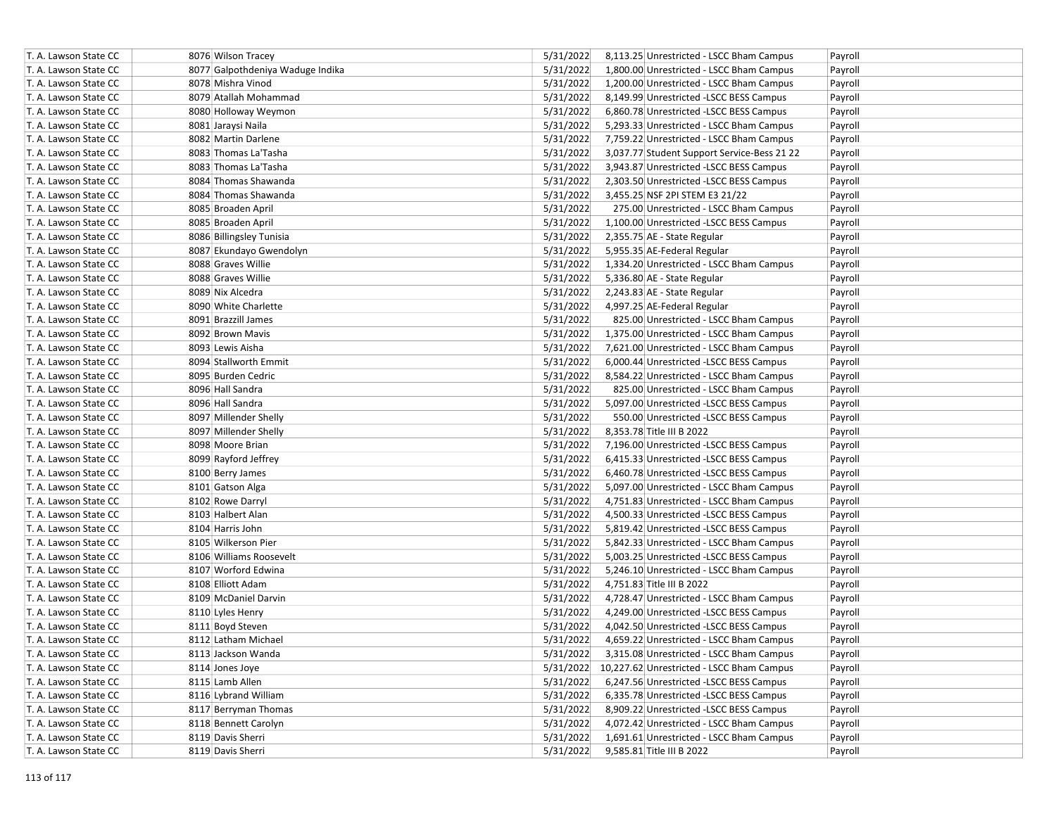| T. A. Lawson State CC | 8076 Wilson Tracey               | 5/31/2022 | 8,113.25 Unrestricted - LSCC Bham Campus            | Payroll |
|-----------------------|----------------------------------|-----------|-----------------------------------------------------|---------|
| T. A. Lawson State CC | 8077 Galpothdeniya Waduge Indika | 5/31/2022 | 1,800.00 Unrestricted - LSCC Bham Campus            | Payroll |
| T. A. Lawson State CC | 8078 Mishra Vinod                | 5/31/2022 | 1,200.00 Unrestricted - LSCC Bham Campus            | Payroll |
| T. A. Lawson State CC | 8079 Atallah Mohammad            | 5/31/2022 | 8,149.99 Unrestricted -LSCC BESS Campus             | Payroll |
| T. A. Lawson State CC | 8080 Holloway Weymon             | 5/31/2022 | 6,860.78 Unrestricted -LSCC BESS Campus             | Payroll |
| T. A. Lawson State CC | 8081 Jaraysi Naila               | 5/31/2022 | 5,293.33 Unrestricted - LSCC Bham Campus            | Payroll |
| T. A. Lawson State CC | 8082 Martin Darlene              | 5/31/2022 | 7,759.22 Unrestricted - LSCC Bham Campus            | Payroll |
| T. A. Lawson State CC | 8083 Thomas La'Tasha             | 5/31/2022 | 3,037.77 Student Support Service-Bess 21 22         | Payroll |
| T. A. Lawson State CC | 8083 Thomas La'Tasha             | 5/31/2022 | 3,943.87 Unrestricted -LSCC BESS Campus             | Payroll |
| T. A. Lawson State CC | 8084 Thomas Shawanda             | 5/31/2022 | 2,303.50 Unrestricted -LSCC BESS Campus             | Payroll |
| T. A. Lawson State CC | 8084 Thomas Shawanda             | 5/31/2022 | 3,455.25 NSF 2PI STEM E3 21/22                      | Payroll |
| T. A. Lawson State CC | 8085 Broaden April               | 5/31/2022 | 275.00 Unrestricted - LSCC Bham Campus              | Payroll |
| T. A. Lawson State CC | 8085 Broaden April               | 5/31/2022 | 1,100.00 Unrestricted -LSCC BESS Campus             | Payroll |
| T. A. Lawson State CC | 8086 Billingsley Tunisia         | 5/31/2022 | 2,355.75 AE - State Regular                         | Payroll |
| T. A. Lawson State CC | 8087 Ekundayo Gwendolyn          | 5/31/2022 | 5,955.35 AE-Federal Regular                         | Payroll |
| T. A. Lawson State CC | 8088 Graves Willie               | 5/31/2022 | 1,334.20 Unrestricted - LSCC Bham Campus            | Payroll |
| T. A. Lawson State CC | 8088 Graves Willie               | 5/31/2022 | 5,336.80 AE - State Regular                         | Payroll |
| T. A. Lawson State CC | 8089 Nix Alcedra                 | 5/31/2022 | 2,243.83 AE - State Regular                         | Payroll |
| T. A. Lawson State CC | 8090 White Charlette             | 5/31/2022 | 4,997.25 AE-Federal Regular                         | Payroll |
| T. A. Lawson State CC | 8091 Brazzill James              | 5/31/2022 | 825.00 Unrestricted - LSCC Bham Campus              | Payroll |
| T. A. Lawson State CC | 8092 Brown Mavis                 | 5/31/2022 | 1,375.00 Unrestricted - LSCC Bham Campus            | Payroll |
| T. A. Lawson State CC | 8093 Lewis Aisha                 | 5/31/2022 | 7,621.00 Unrestricted - LSCC Bham Campus            | Payroll |
| T. A. Lawson State CC | 8094 Stallworth Emmit            | 5/31/2022 | 6,000.44 Unrestricted -LSCC BESS Campus             | Payroll |
| T. A. Lawson State CC | 8095 Burden Cedric               | 5/31/2022 | 8,584.22 Unrestricted - LSCC Bham Campus            | Payroll |
| T. A. Lawson State CC | 8096 Hall Sandra                 | 5/31/2022 | 825.00 Unrestricted - LSCC Bham Campus              | Payroll |
| T. A. Lawson State CC | 8096 Hall Sandra                 | 5/31/2022 | 5,097.00 Unrestricted -LSCC BESS Campus             | Payroll |
| T. A. Lawson State CC | 8097 Millender Shelly            | 5/31/2022 | 550.00 Unrestricted -LSCC BESS Campus               | Payroll |
| T. A. Lawson State CC | 8097 Millender Shelly            | 5/31/2022 | 8,353.78 Title III B 2022                           | Payroll |
| T. A. Lawson State CC | 8098 Moore Brian                 | 5/31/2022 | 7,196.00 Unrestricted -LSCC BESS Campus             | Payroll |
| T. A. Lawson State CC | 8099 Rayford Jeffrey             | 5/31/2022 | 6,415.33 Unrestricted -LSCC BESS Campus             | Payroll |
| T. A. Lawson State CC | 8100 Berry James                 | 5/31/2022 | 6,460.78 Unrestricted -LSCC BESS Campus             | Payroll |
| T. A. Lawson State CC | 8101 Gatson Alga                 | 5/31/2022 | 5,097.00 Unrestricted - LSCC Bham Campus            | Payroll |
| T. A. Lawson State CC | 8102 Rowe Darryl                 | 5/31/2022 | 4,751.83 Unrestricted - LSCC Bham Campus            | Payroll |
| T. A. Lawson State CC | 8103 Halbert Alan                | 5/31/2022 | 4,500.33 Unrestricted -LSCC BESS Campus             | Payroll |
| T. A. Lawson State CC | 8104 Harris John                 | 5/31/2022 | 5,819.42 Unrestricted -LSCC BESS Campus             | Payroll |
| T. A. Lawson State CC | 8105 Wilkerson Pier              | 5/31/2022 | 5,842.33 Unrestricted - LSCC Bham Campus            | Payroll |
| T. A. Lawson State CC | 8106 Williams Roosevelt          | 5/31/2022 | 5,003.25 Unrestricted -LSCC BESS Campus             | Payroll |
| T. A. Lawson State CC | 8107 Worford Edwina              | 5/31/2022 | 5,246.10 Unrestricted - LSCC Bham Campus            | Payroll |
| T. A. Lawson State CC | 8108 Elliott Adam                | 5/31/2022 | 4,751.83 Title III B 2022                           | Payroll |
| T. A. Lawson State CC | 8109 McDaniel Darvin             | 5/31/2022 | 4,728.47 Unrestricted - LSCC Bham Campus            | Payroll |
| T. A. Lawson State CC | 8110 Lyles Henry                 | 5/31/2022 | 4,249.00 Unrestricted -LSCC BESS Campus             | Payroll |
| T. A. Lawson State CC | 8111 Boyd Steven                 | 5/31/2022 | 4,042.50 Unrestricted -LSCC BESS Campus             | Payroll |
| T. A. Lawson State CC | 8112 Latham Michael              | 5/31/2022 | 4,659.22 Unrestricted - LSCC Bham Campus            | Payroll |
| T. A. Lawson State CC | 8113 Jackson Wanda               | 5/31/2022 | 3,315.08 Unrestricted - LSCC Bham Campus            | Payroll |
| T. A. Lawson State CC | 8114 Jones Joye                  |           | 5/31/2022 10,227.62 Unrestricted - LSCC Bham Campus | Payroll |
| T. A. Lawson State CC | 8115 Lamb Allen                  | 5/31/2022 | 6,247.56 Unrestricted -LSCC BESS Campus             | Payroll |
| T. A. Lawson State CC | 8116 Lybrand William             | 5/31/2022 | 6,335.78 Unrestricted -LSCC BESS Campus             | Payroll |
| T. A. Lawson State CC | 8117 Berryman Thomas             | 5/31/2022 | 8,909.22 Unrestricted -LSCC BESS Campus             | Payroll |
| T. A. Lawson State CC | 8118 Bennett Carolyn             | 5/31/2022 | 4,072.42 Unrestricted - LSCC Bham Campus            | Payroll |
| T. A. Lawson State CC | 8119 Davis Sherri                | 5/31/2022 | 1,691.61 Unrestricted - LSCC Bham Campus            | Payroll |
| T. A. Lawson State CC | 8119 Davis Sherri                | 5/31/2022 | 9,585.81 Title III B 2022                           | Payroll |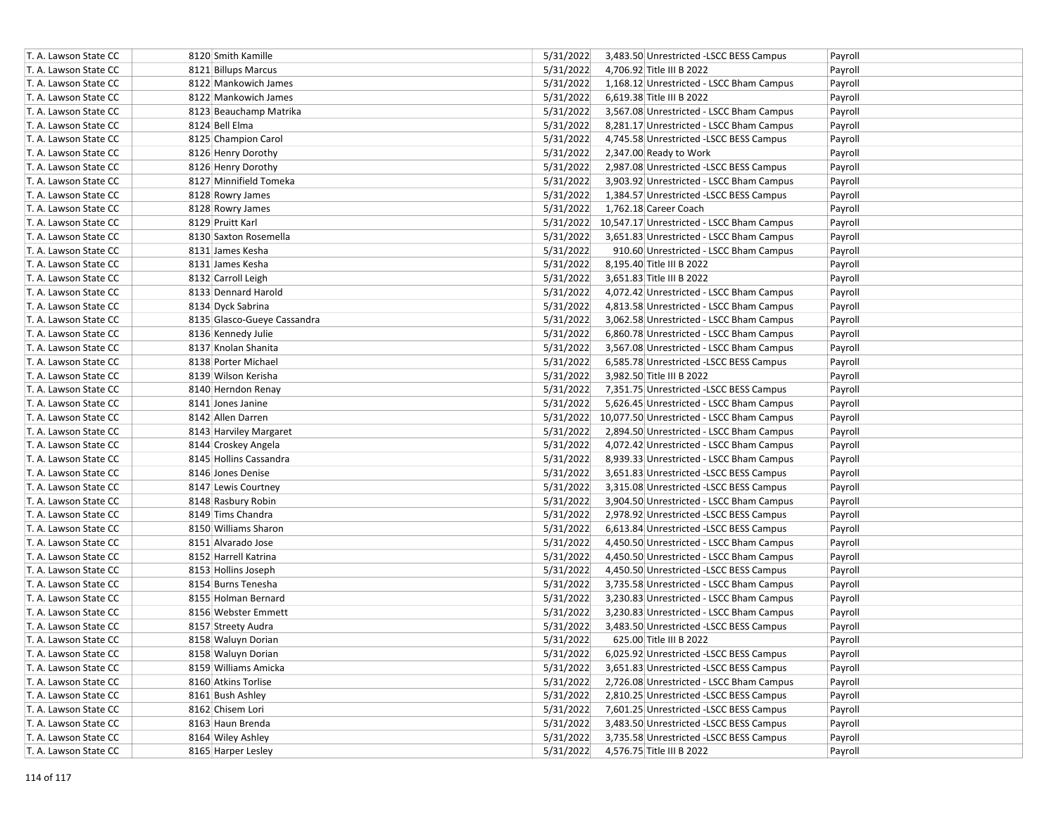| T. A. Lawson State CC | 8120 Smith Kamille          | 5/31/2022<br>3,483.50 Unrestricted -LSCC BESS Campus  | Payroll |
|-----------------------|-----------------------------|-------------------------------------------------------|---------|
| T. A. Lawson State CC | 8121 Billups Marcus         | 5/31/2022<br>4,706.92 Title III B 2022                | Payroll |
| T. A. Lawson State CC | 8122 Mankowich James        | 5/31/2022<br>1,168.12 Unrestricted - LSCC Bham Campus | Payroll |
| T. A. Lawson State CC | 8122 Mankowich James        | 5/31/2022<br>6,619.38 Title III B 2022                | Payroll |
| T. A. Lawson State CC | 8123 Beauchamp Matrika      | 5/31/2022<br>3,567.08 Unrestricted - LSCC Bham Campus | Payroll |
| T. A. Lawson State CC | 8124 Bell Elma              | 5/31/2022<br>8,281.17 Unrestricted - LSCC Bham Campus | Payroll |
| T. A. Lawson State CC | 8125 Champion Carol         | 5/31/2022<br>4,745.58 Unrestricted -LSCC BESS Campus  | Payroll |
| T. A. Lawson State CC | 8126 Henry Dorothy          | 5/31/2022<br>2,347.00 Ready to Work                   | Payroll |
| T. A. Lawson State CC | 8126 Henry Dorothy          | 5/31/2022<br>2,987.08 Unrestricted -LSCC BESS Campus  | Payroll |
| T. A. Lawson State CC | 8127 Minnifield Tomeka      | 5/31/2022<br>3,903.92 Unrestricted - LSCC Bham Campus | Payroll |
| T. A. Lawson State CC | 8128 Rowry James            | 5/31/2022<br>1,384.57 Unrestricted -LSCC BESS Campus  | Payroll |
| T. A. Lawson State CC | 8128 Rowry James            | 5/31/2022<br>1,762.18 Career Coach                    | Payroll |
| T. A. Lawson State CC | 8129 Pruitt Karl            | 5/31/2022 10,547.17 Unrestricted - LSCC Bham Campus   | Payroll |
| T. A. Lawson State CC | 8130 Saxton Rosemella       | 5/31/2022<br>3,651.83 Unrestricted - LSCC Bham Campus | Payroll |
| T. A. Lawson State CC | 8131 James Kesha            | 5/31/2022<br>910.60 Unrestricted - LSCC Bham Campus   | Payroll |
| T. A. Lawson State CC | 8131 James Kesha            | 5/31/2022<br>8,195.40 Title III B 2022                | Payroll |
| T. A. Lawson State CC | 8132 Carroll Leigh          | 3,651.83 Title III B 2022<br>5/31/2022                | Payroll |
| T. A. Lawson State CC | 8133 Dennard Harold         | 5/31/2022<br>4,072.42 Unrestricted - LSCC Bham Campus | Payroll |
| T. A. Lawson State CC | 8134 Dyck Sabrina           | 5/31/2022<br>4,813.58 Unrestricted - LSCC Bham Campus | Payroll |
| T. A. Lawson State CC | 8135 Glasco-Gueye Cassandra | 5/31/2022<br>3,062.58 Unrestricted - LSCC Bham Campus | Payroll |
| T. A. Lawson State CC | 8136 Kennedy Julie          | 5/31/2022<br>6,860.78 Unrestricted - LSCC Bham Campus | Payroll |
| T. A. Lawson State CC | 8137 Knolan Shanita         | 5/31/2022<br>3,567.08 Unrestricted - LSCC Bham Campus | Payroll |
| T. A. Lawson State CC | 8138 Porter Michael         | 5/31/2022<br>6,585.78 Unrestricted -LSCC BESS Campus  | Payroll |
| T. A. Lawson State CC | 8139 Wilson Kerisha         | 5/31/2022<br>3,982.50 Title III B 2022                | Payroll |
| T. A. Lawson State CC | 8140 Herndon Renay          | 5/31/2022<br>7,351.75 Unrestricted -LSCC BESS Campus  | Payroll |
| T. A. Lawson State CC | 8141 Jones Janine           | 5/31/2022<br>5,626.45 Unrestricted - LSCC Bham Campus | Payroll |
| T. A. Lawson State CC | 8142 Allen Darren           | 5/31/2022 10,077.50 Unrestricted - LSCC Bham Campus   | Payroll |
| T. A. Lawson State CC | 8143 Harviley Margaret      | 5/31/2022<br>2,894.50 Unrestricted - LSCC Bham Campus | Payroll |
| T. A. Lawson State CC | 8144 Croskey Angela         | 5/31/2022<br>4,072.42 Unrestricted - LSCC Bham Campus | Payroll |
| T. A. Lawson State CC | 8145 Hollins Cassandra      | 5/31/2022<br>8,939.33 Unrestricted - LSCC Bham Campus | Payroll |
| T. A. Lawson State CC | 8146 Jones Denise           | 5/31/2022<br>3,651.83 Unrestricted -LSCC BESS Campus  | Payroll |
| T. A. Lawson State CC | 8147 Lewis Courtney         | 5/31/2022<br>3,315.08 Unrestricted -LSCC BESS Campus  | Payroll |
| T. A. Lawson State CC | 8148 Rasbury Robin          | 5/31/2022<br>3,904.50 Unrestricted - LSCC Bham Campus | Payroll |
| T. A. Lawson State CC | 8149 Tims Chandra           | 5/31/2022<br>2,978.92 Unrestricted -LSCC BESS Campus  | Payroll |
| T. A. Lawson State CC | 8150 Williams Sharon        | 5/31/2022<br>6,613.84 Unrestricted -LSCC BESS Campus  | Payroll |
| T. A. Lawson State CC | 8151 Alvarado Jose          | 5/31/2022<br>4,450.50 Unrestricted - LSCC Bham Campus | Payroll |
| T. A. Lawson State CC | 8152 Harrell Katrina        | 5/31/2022<br>4,450.50 Unrestricted - LSCC Bham Campus | Payroll |
| T. A. Lawson State CC | 8153 Hollins Joseph         | 5/31/2022<br>4,450.50 Unrestricted -LSCC BESS Campus  | Payroll |
| T. A. Lawson State CC | 8154 Burns Tenesha          | 5/31/2022<br>3,735.58 Unrestricted - LSCC Bham Campus | Payroll |
| T. A. Lawson State CC | 8155 Holman Bernard         | 5/31/2022<br>3,230.83 Unrestricted - LSCC Bham Campus | Payroll |
| T. A. Lawson State CC | 8156 Webster Emmett         | 5/31/2022<br>3,230.83 Unrestricted - LSCC Bham Campus | Payroll |
| T. A. Lawson State CC | 8157 Streety Audra          | 5/31/2022<br>3,483.50 Unrestricted - LSCC BESS Campus | Payroll |
| T. A. Lawson State CC | 8158 Waluyn Dorian          | 5/31/2022<br>625.00 Title III B 2022                  | Payroll |
| T. A. Lawson State CC | 8158 Waluyn Dorian          | 5/31/2022<br>6,025.92 Unrestricted -LSCC BESS Campus  | Payroll |
| T. A. Lawson State CC | 8159 Williams Amicka        | 5/31/2022<br>3,651.83 Unrestricted -LSCC BESS Campus  | Payroll |
| T. A. Lawson State CC | 8160 Atkins Torlise         | 5/31/2022<br>2,726.08 Unrestricted - LSCC Bham Campus | Payroll |
| T. A. Lawson State CC | 8161 Bush Ashley            | 5/31/2022<br>2,810.25 Unrestricted -LSCC BESS Campus  | Payroll |
| T. A. Lawson State CC | 8162 Chisem Lori            | 5/31/2022<br>7,601.25 Unrestricted -LSCC BESS Campus  | Payroll |
| T. A. Lawson State CC | 8163 Haun Brenda            | 5/31/2022<br>3,483.50 Unrestricted -LSCC BESS Campus  | Payroll |
| T. A. Lawson State CC | 8164 Wiley Ashley           | 5/31/2022<br>3,735.58 Unrestricted -LSCC BESS Campus  | Payroll |
| T. A. Lawson State CC | 8165 Harper Lesley          | 5/31/2022<br>4,576.75 Title III B 2022                | Payroll |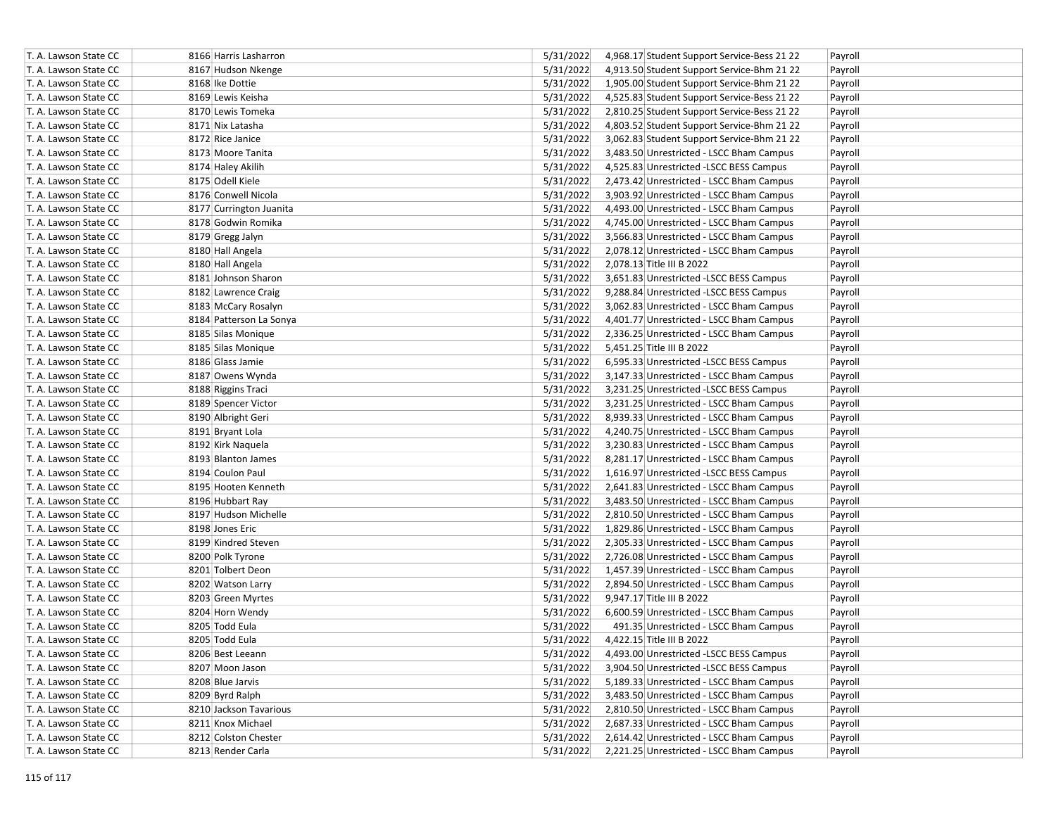| T. A. Lawson State CC | 8166 Harris Lasharron   | 5/31/2022<br>4,968.17 Student Support Service-Bess 21 22<br>Payroll |
|-----------------------|-------------------------|---------------------------------------------------------------------|
| T. A. Lawson State CC | 8167 Hudson Nkenge      | 5/31/2022<br>4,913.50 Student Support Service-Bhm 21 22<br>Payroll  |
| T. A. Lawson State CC | 8168 Ike Dottie         | 5/31/2022<br>1,905.00 Student Support Service-Bhm 21 22<br>Payroll  |
| T. A. Lawson State CC | 8169 Lewis Keisha       | 5/31/2022<br>4,525.83 Student Support Service-Bess 21 22<br>Payroll |
| T. A. Lawson State CC | 8170 Lewis Tomeka       | 5/31/2022<br>2,810.25 Student Support Service-Bess 21 22<br>Payroll |
| T. A. Lawson State CC | 8171 Nix Latasha        | 5/31/2022<br>4,803.52 Student Support Service-Bhm 21 22<br>Payroll  |
| T. A. Lawson State CC | 8172 Rice Janice        | 5/31/2022<br>3,062.83 Student Support Service-Bhm 21 22<br>Payroll  |
| T. A. Lawson State CC | 8173 Moore Tanita       | 5/31/2022<br>3,483.50 Unrestricted - LSCC Bham Campus<br>Payroll    |
| T. A. Lawson State CC | 8174 Haley Akilih       | 5/31/2022<br>4,525.83 Unrestricted -LSCC BESS Campus<br>Payroll     |
| T. A. Lawson State CC | 8175 Odell Kiele        | 5/31/2022<br>2,473.42 Unrestricted - LSCC Bham Campus<br>Payroll    |
| T. A. Lawson State CC | 8176 Conwell Nicola     | 5/31/2022<br>3,903.92 Unrestricted - LSCC Bham Campus<br>Payroll    |
| T. A. Lawson State CC | 8177 Currington Juanita | 5/31/2022<br>4,493.00 Unrestricted - LSCC Bham Campus<br>Payroll    |
| T. A. Lawson State CC | 8178 Godwin Romika      | 5/31/2022<br>4,745.00 Unrestricted - LSCC Bham Campus<br>Payroll    |
| T. A. Lawson State CC | 8179 Gregg Jalyn        | 5/31/2022<br>3,566.83 Unrestricted - LSCC Bham Campus<br>Payroll    |
| T. A. Lawson State CC | 8180 Hall Angela        | 5/31/2022<br>2,078.12 Unrestricted - LSCC Bham Campus<br>Payroll    |
| T. A. Lawson State CC | 8180 Hall Angela        | 5/31/2022<br>2,078.13 Title III B 2022<br>Payroll                   |
| T. A. Lawson State CC | 8181 Johnson Sharon     | 5/31/2022<br>3,651.83 Unrestricted -LSCC BESS Campus<br>Payroll     |
| T. A. Lawson State CC | 8182 Lawrence Craig     | 5/31/2022<br>9,288.84 Unrestricted -LSCC BESS Campus<br>Payroll     |
| T. A. Lawson State CC | 8183 McCary Rosalyn     | 5/31/2022<br>3,062.83 Unrestricted - LSCC Bham Campus<br>Payroll    |
| T. A. Lawson State CC | 8184 Patterson La Sonya | 5/31/2022<br>4,401.77 Unrestricted - LSCC Bham Campus<br>Payroll    |
| T. A. Lawson State CC | 8185 Silas Monique      | 5/31/2022<br>2,336.25 Unrestricted - LSCC Bham Campus<br>Payroll    |
| T. A. Lawson State CC | 8185 Silas Monique      | 5/31/2022<br>5,451.25 Title III B 2022<br>Payroll                   |
| T. A. Lawson State CC | 8186 Glass Jamie        | 5/31/2022<br>6,595.33 Unrestricted -LSCC BESS Campus<br>Payroll     |
| T. A. Lawson State CC | 8187 Owens Wynda        | 5/31/2022<br>3,147.33 Unrestricted - LSCC Bham Campus<br>Payroll    |
| T. A. Lawson State CC | 8188 Riggins Traci      | 5/31/2022<br>3,231.25 Unrestricted -LSCC BESS Campus<br>Payroll     |
| T. A. Lawson State CC | 8189 Spencer Victor     | 5/31/2022<br>3,231.25 Unrestricted - LSCC Bham Campus<br>Payroll    |
| T. A. Lawson State CC | 8190 Albright Geri      | 5/31/2022<br>8,939.33 Unrestricted - LSCC Bham Campus<br>Payroll    |
| T. A. Lawson State CC | 8191 Bryant Lola        | 5/31/2022<br>4,240.75 Unrestricted - LSCC Bham Campus<br>Payroll    |
| T. A. Lawson State CC | 8192 Kirk Naquela       | 5/31/2022<br>3,230.83 Unrestricted - LSCC Bham Campus<br>Payroll    |
| T. A. Lawson State CC | 8193 Blanton James      | 5/31/2022<br>8,281.17 Unrestricted - LSCC Bham Campus<br>Payroll    |
| T. A. Lawson State CC | 8194 Coulon Paul        | 5/31/2022<br>1,616.97 Unrestricted -LSCC BESS Campus<br>Payroll     |
| T. A. Lawson State CC | 8195 Hooten Kenneth     | 5/31/2022<br>2,641.83 Unrestricted - LSCC Bham Campus<br>Payroll    |
| T. A. Lawson State CC | 8196 Hubbart Ray        | 5/31/2022<br>3,483.50 Unrestricted - LSCC Bham Campus<br>Payroll    |
| T. A. Lawson State CC | 8197 Hudson Michelle    | 5/31/2022<br>2,810.50 Unrestricted - LSCC Bham Campus<br>Payroll    |
| T. A. Lawson State CC | 8198 Jones Eric         | 5/31/2022<br>1,829.86 Unrestricted - LSCC Bham Campus<br>Payroll    |
| T. A. Lawson State CC | 8199 Kindred Steven     | 5/31/2022<br>2,305.33 Unrestricted - LSCC Bham Campus<br>Payroll    |
| T. A. Lawson State CC | 8200 Polk Tyrone        | 5/31/2022<br>2,726.08 Unrestricted - LSCC Bham Campus<br>Payroll    |
| T. A. Lawson State CC | 8201 Tolbert Deon       | 5/31/2022<br>1,457.39 Unrestricted - LSCC Bham Campus<br>Payroll    |
| T. A. Lawson State CC | 8202 Watson Larry       | 5/31/2022<br>2,894.50 Unrestricted - LSCC Bham Campus<br>Payroll    |
| T. A. Lawson State CC | 8203 Green Myrtes       | 5/31/2022<br>9,947.17 Title III B 2022<br>Payroll                   |
| T. A. Lawson State CC | 8204 Horn Wendy         | 5/31/2022<br>6,600.59 Unrestricted - LSCC Bham Campus<br>Payroll    |
| T. A. Lawson State CC | 8205 Todd Eula          | 5/31/2022<br>491.35 Unrestricted - LSCC Bham Campus<br>Payroll      |
| T. A. Lawson State CC | 8205 Todd Eula          | 5/31/2022<br>4,422.15 Title III B 2022<br>Payroll                   |
| T. A. Lawson State CC | 8206 Best Leeann        | 5/31/2022<br>4,493.00 Unrestricted -LSCC BESS Campus<br>Payroll     |
| T. A. Lawson State CC | 8207 Moon Jason         | 5/31/2022<br>3,904.50 Unrestricted -LSCC BESS Campus<br>Payroll     |
| T. A. Lawson State CC | 8208 Blue Jarvis        | 5/31/2022<br>5,189.33 Unrestricted - LSCC Bham Campus<br>Payroll    |
| T. A. Lawson State CC | 8209 Byrd Ralph         | 5/31/2022<br>3,483.50 Unrestricted - LSCC Bham Campus<br>Payroll    |
| T. A. Lawson State CC | 8210 Jackson Tavarious  | 5/31/2022<br>2,810.50 Unrestricted - LSCC Bham Campus<br>Payroll    |
| T. A. Lawson State CC | 8211 Knox Michael       | 5/31/2022<br>2,687.33 Unrestricted - LSCC Bham Campus<br>Payroll    |
| T. A. Lawson State CC | 8212 Colston Chester    | 5/31/2022<br>2,614.42 Unrestricted - LSCC Bham Campus<br>Payroll    |
| T. A. Lawson State CC | 8213 Render Carla       | 5/31/2022<br>2,221.25 Unrestricted - LSCC Bham Campus<br>Payroll    |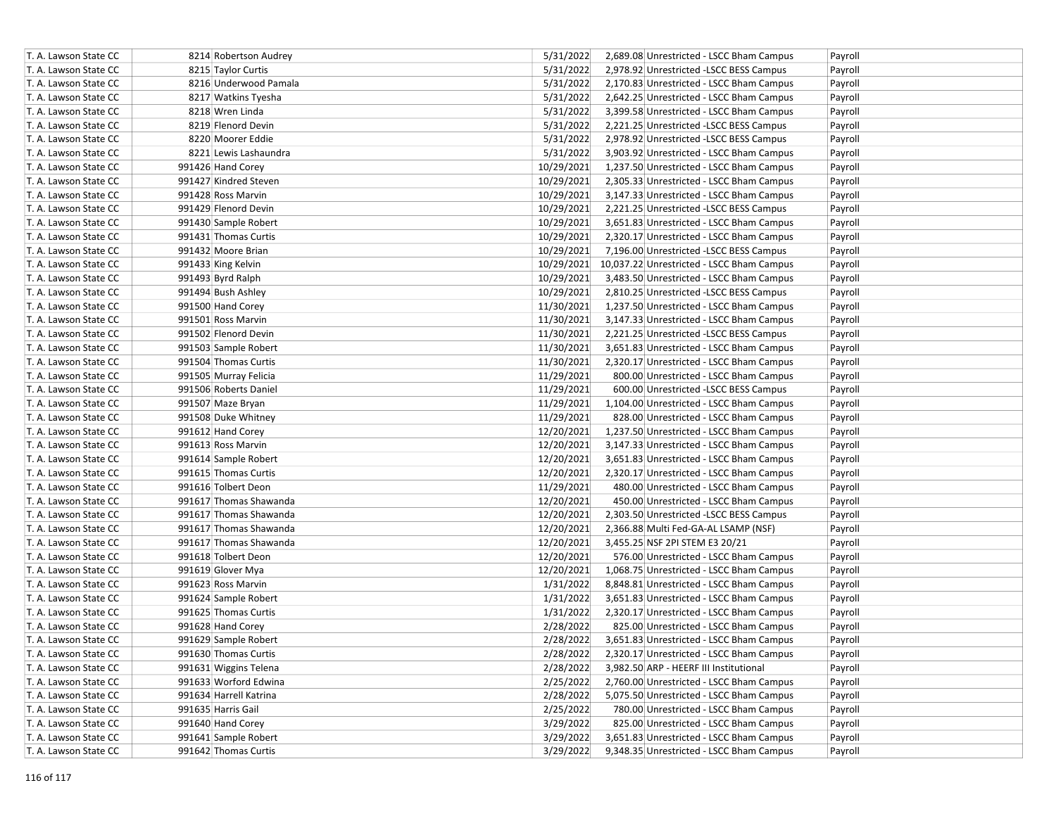| T. A. Lawson State CC | 8214 Robertson Audrey  | 5/31/2022<br>2,689.08 Unrestricted - LSCC Bham Campus  | Payroll |
|-----------------------|------------------------|--------------------------------------------------------|---------|
| T. A. Lawson State CC | 8215 Taylor Curtis     | 5/31/2022<br>2,978.92 Unrestricted -LSCC BESS Campus   | Payroll |
| T. A. Lawson State CC | 8216 Underwood Pamala  | 5/31/2022<br>2,170.83 Unrestricted - LSCC Bham Campus  | Payroll |
| T. A. Lawson State CC | 8217 Watkins Tyesha    | 5/31/2022<br>2,642.25 Unrestricted - LSCC Bham Campus  | Payroll |
| T. A. Lawson State CC | 8218 Wren Linda        | 5/31/2022<br>3,399.58 Unrestricted - LSCC Bham Campus  | Payroll |
| T. A. Lawson State CC | 8219 Flenord Devin     | 5/31/2022<br>2,221.25 Unrestricted -LSCC BESS Campus   | Payroll |
| T. A. Lawson State CC | 8220 Moorer Eddie      | 5/31/2022<br>2,978.92 Unrestricted -LSCC BESS Campus   | Payroll |
| T. A. Lawson State CC | 8221 Lewis Lashaundra  | 5/31/2022<br>3,903.92 Unrestricted - LSCC Bham Campus  | Payroll |
| T. A. Lawson State CC | 991426 Hand Corey      | 10/29/2021<br>1,237.50 Unrestricted - LSCC Bham Campus | Payroll |
| T. A. Lawson State CC | 991427 Kindred Steven  | 10/29/2021<br>2,305.33 Unrestricted - LSCC Bham Campus | Payroll |
| T. A. Lawson State CC | 991428 Ross Marvin     | 10/29/2021<br>3,147.33 Unrestricted - LSCC Bham Campus | Payroll |
| T. A. Lawson State CC | 991429 Flenord Devin   | 10/29/2021<br>2,221.25 Unrestricted - LSCC BESS Campus | Payroll |
| T. A. Lawson State CC | 991430 Sample Robert   | 10/29/2021<br>3,651.83 Unrestricted - LSCC Bham Campus | Payroll |
| T. A. Lawson State CC | 991431 Thomas Curtis   | 10/29/2021<br>2,320.17 Unrestricted - LSCC Bham Campus | Payroll |
| T. A. Lawson State CC | 991432 Moore Brian     | 10/29/2021<br>7,196.00 Unrestricted -LSCC BESS Campus  | Payroll |
| T. A. Lawson State CC | 991433 King Kelvin     | 10/29/2021 10,037.22 Unrestricted - LSCC Bham Campus   | Payroll |
| T. A. Lawson State CC | 991493 Byrd Ralph      | 10/29/2021<br>3,483.50 Unrestricted - LSCC Bham Campus | Payroll |
| T. A. Lawson State CC | 991494 Bush Ashley     | 10/29/2021<br>2,810.25 Unrestricted -LSCC BESS Campus  | Payroll |
| T. A. Lawson State CC | 991500 Hand Corey      | 11/30/2021<br>1,237.50 Unrestricted - LSCC Bham Campus | Payroll |
| T. A. Lawson State CC | 991501 Ross Marvin     | 11/30/2021<br>3,147.33 Unrestricted - LSCC Bham Campus | Payroll |
| T. A. Lawson State CC | 991502 Flenord Devin   | 11/30/2021<br>2,221.25 Unrestricted - LSCC BESS Campus | Payroll |
| T. A. Lawson State CC | 991503 Sample Robert   | 11/30/2021<br>3,651.83 Unrestricted - LSCC Bham Campus | Payroll |
| T. A. Lawson State CC | 991504 Thomas Curtis   | 11/30/2021<br>2,320.17 Unrestricted - LSCC Bham Campus | Payroll |
| T. A. Lawson State CC | 991505 Murray Felicia  | 11/29/2021<br>800.00 Unrestricted - LSCC Bham Campus   | Payroll |
| T. A. Lawson State CC | 991506 Roberts Daniel  | 11/29/2021<br>600.00 Unrestricted -LSCC BESS Campus    | Payroll |
| T. A. Lawson State CC | 991507 Maze Bryan      | 11/29/2021<br>1,104.00 Unrestricted - LSCC Bham Campus | Payroll |
| T. A. Lawson State CC | 991508 Duke Whitney    | 11/29/2021<br>828.00 Unrestricted - LSCC Bham Campus   | Payroll |
| T. A. Lawson State CC | 991612 Hand Corey      | 12/20/2021<br>1,237.50 Unrestricted - LSCC Bham Campus | Payroll |
| T. A. Lawson State CC | 991613 Ross Marvin     | 12/20/2021<br>3,147.33 Unrestricted - LSCC Bham Campus | Payroll |
| T. A. Lawson State CC | 991614 Sample Robert   | 12/20/2021<br>3,651.83 Unrestricted - LSCC Bham Campus | Payroll |
| T. A. Lawson State CC | 991615 Thomas Curtis   | 12/20/2021<br>2,320.17 Unrestricted - LSCC Bham Campus | Payroll |
| T. A. Lawson State CC | 991616 Tolbert Deon    | 11/29/2021<br>480.00 Unrestricted - LSCC Bham Campus   | Payroll |
| T. A. Lawson State CC | 991617 Thomas Shawanda | 12/20/2021<br>450.00 Unrestricted - LSCC Bham Campus   | Payroll |
| T. A. Lawson State CC | 991617 Thomas Shawanda | 12/20/2021<br>2,303.50 Unrestricted -LSCC BESS Campus  | Payroll |
| T. A. Lawson State CC | 991617 Thomas Shawanda | 12/20/2021<br>2,366.88 Multi Fed-GA-AL LSAMP (NSF)     | Payroll |
| T. A. Lawson State CC | 991617 Thomas Shawanda | 12/20/2021<br>3,455.25 NSF 2PI STEM E3 20/21           | Payroll |
| T. A. Lawson State CC | 991618 Tolbert Deon    | 12/20/2021<br>576.00 Unrestricted - LSCC Bham Campus   | Payroll |
| T. A. Lawson State CC | 991619 Glover Mya      | 12/20/2021<br>1,068.75 Unrestricted - LSCC Bham Campus | Payroll |
| T. A. Lawson State CC | 991623 Ross Marvin     | 1/31/2022<br>8,848.81 Unrestricted - LSCC Bham Campus  | Payroll |
| T. A. Lawson State CC | 991624 Sample Robert   | 1/31/2022<br>3,651.83 Unrestricted - LSCC Bham Campus  | Payroll |
| T. A. Lawson State CC | 991625 Thomas Curtis   | 1/31/2022<br>2,320.17 Unrestricted - LSCC Bham Campus  | Payroll |
| T. A. Lawson State CC | 991628 Hand Corey      | 2/28/2022<br>825.00 Unrestricted - LSCC Bham Campus    | Payroll |
| T. A. Lawson State CC | 991629 Sample Robert   | 2/28/2022<br>3,651.83 Unrestricted - LSCC Bham Campus  | Payroll |
| T. A. Lawson State CC | 991630 Thomas Curtis   | 2/28/2022<br>2,320.17 Unrestricted - LSCC Bham Campus  | Payroll |
| T. A. Lawson State CC | 991631 Wiggins Telena  | 2/28/2022<br>3,982.50 ARP - HEERF III Institutional    | Payroll |
| T. A. Lawson State CC | 991633 Worford Edwina  | 2/25/2022<br>2,760.00 Unrestricted - LSCC Bham Campus  | Payroll |
| T. A. Lawson State CC | 991634 Harrell Katrina | 2/28/2022<br>5,075.50 Unrestricted - LSCC Bham Campus  | Payroll |
| T. A. Lawson State CC | 991635 Harris Gail     | 2/25/2022<br>780.00 Unrestricted - LSCC Bham Campus    | Payroll |
| T. A. Lawson State CC | 991640 Hand Corey      | 3/29/2022<br>825.00 Unrestricted - LSCC Bham Campus    | Payroll |
| T. A. Lawson State CC | 991641 Sample Robert   | 3/29/2022<br>3,651.83 Unrestricted - LSCC Bham Campus  | Payroll |
| T. A. Lawson State CC | 991642 Thomas Curtis   | 3/29/2022<br>9,348.35 Unrestricted - LSCC Bham Campus  | Payroll |
|                       |                        |                                                        |         |